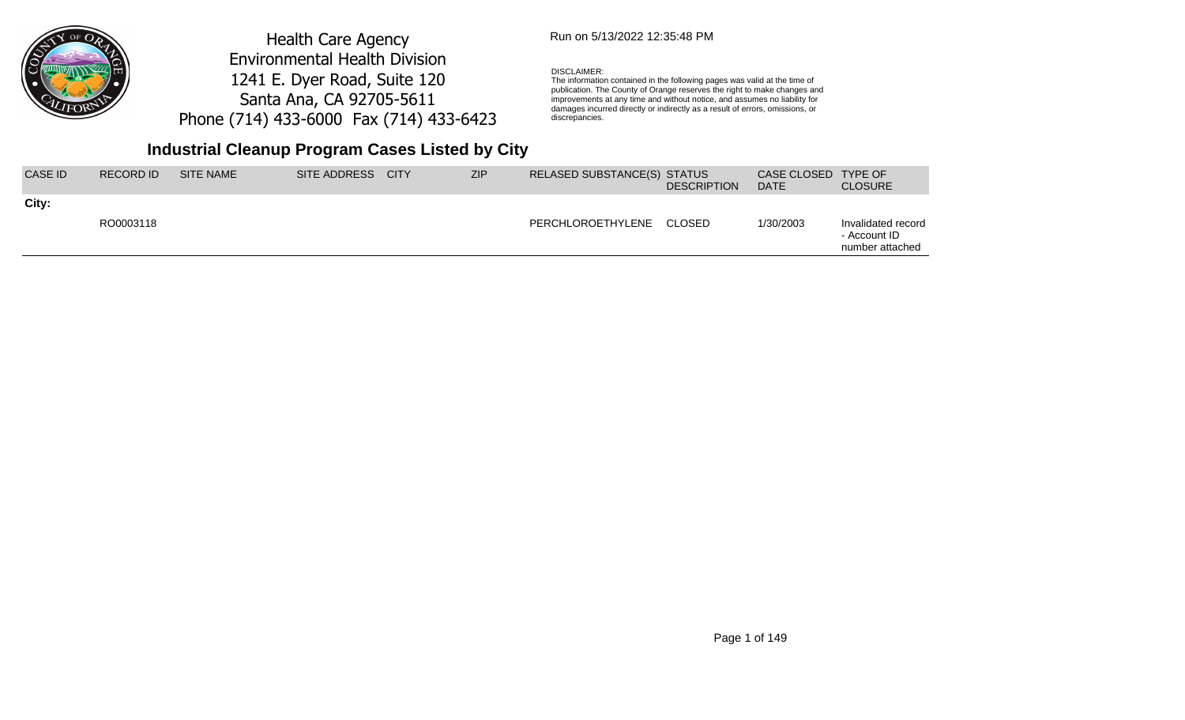

## Run on 5/13/2022 12:35:48 PM

#### DISCLAIMER:

The information contained in the following pages was valid at the time of publication. The County of Orange reserves the right to make changes and improvements at any time and without notice, and assumes no liability for damages incurred directly or indirectly as a result of errors, omissions, or discrepancies.

| City:<br>1/30/2003<br>RO0003118<br>PERCHLOROETHYLENE<br>CLOSED | CASE ID | RECORD ID | SITE NAME | SITE ADDRESS | <b>CITY</b> | <b>ZIP</b> | RELASED SUBSTANCE(S) STATUS | <b>DESCRIPTION</b> | CASE CLOSED TYPE OF<br><b>DATE</b> | <b>CLOSURE</b>                                        |
|----------------------------------------------------------------|---------|-----------|-----------|--------------|-------------|------------|-----------------------------|--------------------|------------------------------------|-------------------------------------------------------|
|                                                                |         |           |           |              |             |            |                             |                    |                                    | Invalidated record<br>- Account ID<br>number attached |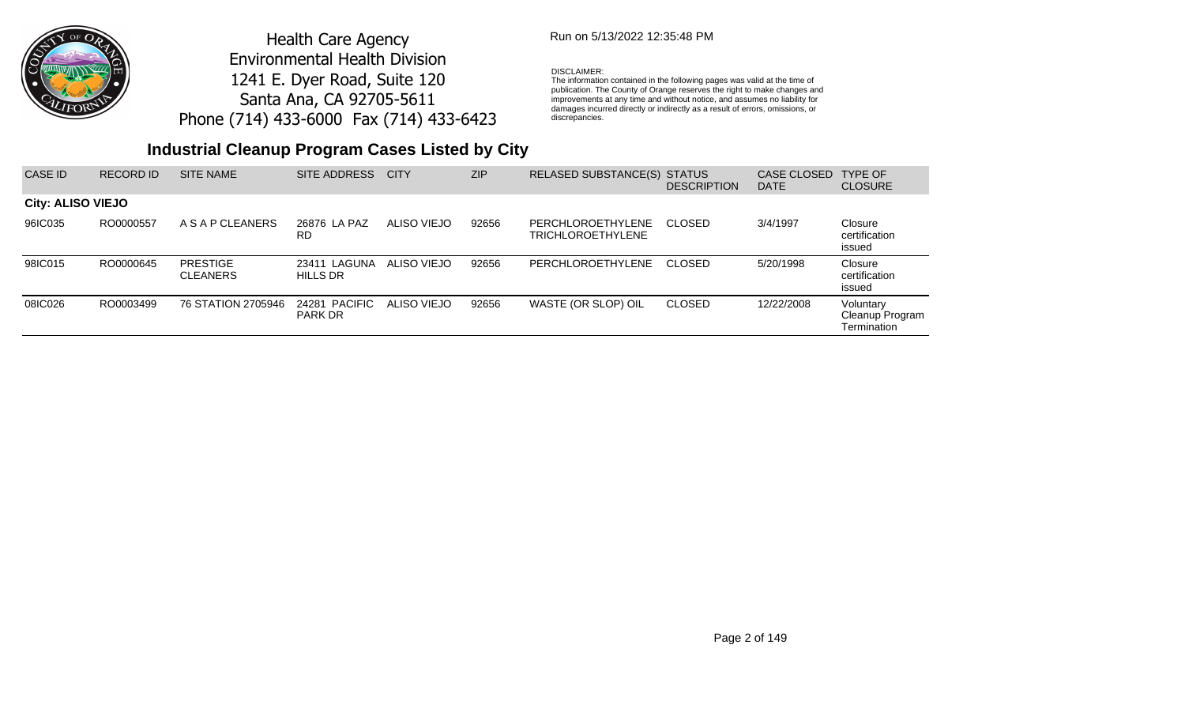

## Run on 5/13/2022 12:35:48 PM

#### DISCLAIMER:

The information contained in the following pages was valid at the time of publication. The County of Orange reserves the right to make changes and improvements at any time and without notice, and assumes no liability for damages incurred directly or indirectly as a result of errors, omissions, or discrepancies.

| CASE ID                  | RECORD ID | <b>SITE NAME</b>                   | SITE ADDRESS                    | <b>CITY</b> | ZIP   | RELASED SUBSTANCE(S) STATUS                   | <b>DESCRIPTION</b> | CASE CLOSED<br><b>DATE</b> | <b>TYPE OF</b><br><b>CLOSURE</b>            |
|--------------------------|-----------|------------------------------------|---------------------------------|-------------|-------|-----------------------------------------------|--------------------|----------------------------|---------------------------------------------|
| <b>City: ALISO VIEJO</b> |           |                                    |                                 |             |       |                                               |                    |                            |                                             |
| 96IC035                  | RO0000557 | A S A P CLEANERS                   | 26876 LA PAZ<br>RD              | ALISO VIEJO | 92656 | PERCHLOROETHYLENE<br><b>TRICHLOROETHYLENE</b> | <b>CLOSED</b>      | 3/4/1997                   | Closure<br>certification<br>issued          |
| 98IC015                  | RO0000645 | <b>PRESTIGE</b><br><b>CLEANERS</b> | 23411 LAGUNA<br><b>HILLS DR</b> | ALISO VIEJO | 92656 | PERCHLOROETHYLENE                             | CLOSED             | 5/20/1998                  | Closure<br>certification<br>issued          |
| 08IC026                  | RO0003499 | 76 STATION 2705946                 | 24281 PACIFIC<br><b>PARK DR</b> | ALISO VIEJO | 92656 | WASTE (OR SLOP) OIL                           | <b>CLOSED</b>      | 12/22/2008                 | Voluntary<br>Cleanup Program<br>Termination |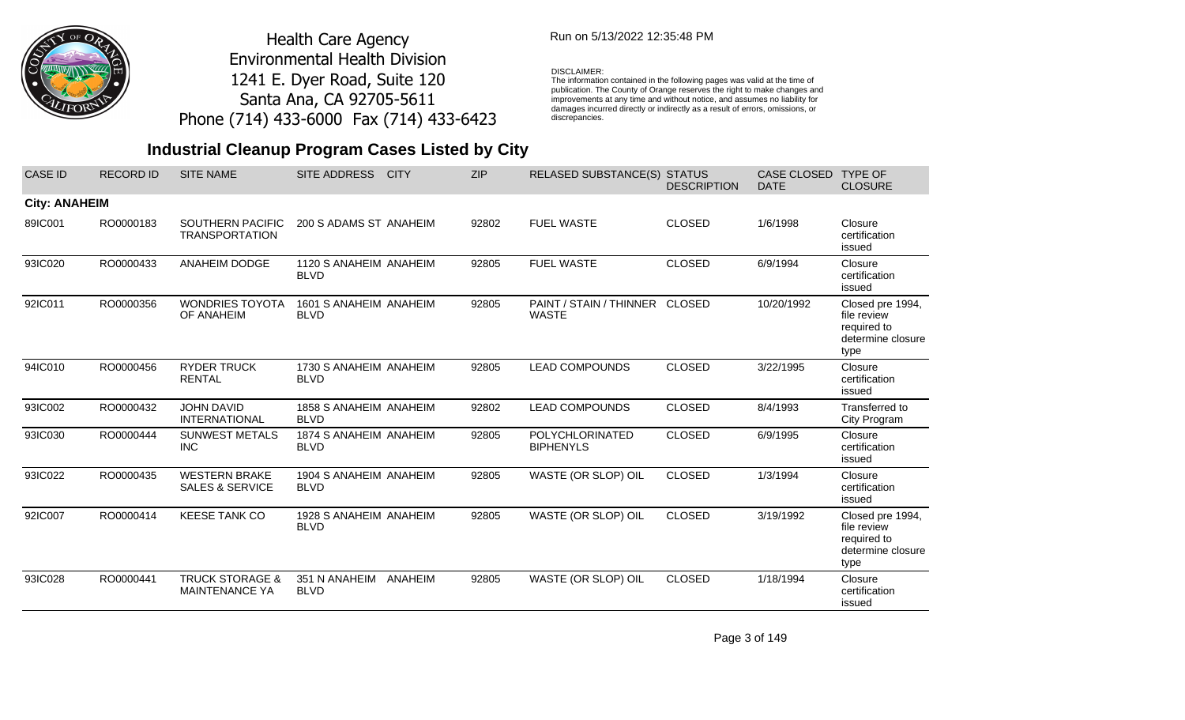

## Run on 5/13/2022 12:35:48 PM

#### DISCLAIMER:

The information contained in the following pages was valid at the time of publication. The County of Orange reserves the right to make changes and improvements at any time and without notice, and assumes no liability for damages incurred directly or indirectly as a result of errors, omissions, or discrepancies.

# **Industrial Cleanup Program Cases Listed by City**

| <b>CASE ID</b>       | <b>RECORD ID</b> | <b>SITE NAME</b>                                    | SITE ADDRESS                          | <b>CITY</b> | <b>ZIP</b> | <b>RELASED SUBSTANCE(S) STATUS</b>             | <b>DESCRIPTION</b> | CASE CLOSED<br><b>DATE</b> | <b>TYPE OF</b><br><b>CLOSURE</b>                                            |
|----------------------|------------------|-----------------------------------------------------|---------------------------------------|-------------|------------|------------------------------------------------|--------------------|----------------------------|-----------------------------------------------------------------------------|
| <b>City: ANAHEIM</b> |                  |                                                     |                                       |             |            |                                                |                    |                            |                                                                             |
| 89IC001              | RO0000183        | <b>SOUTHERN PACIFIC</b><br><b>TRANSPORTATION</b>    | 200 S ADAMS ST ANAHEIM                |             | 92802      | <b>FUEL WASTE</b>                              | <b>CLOSED</b>      | 1/6/1998                   | Closure<br>certification<br>issued                                          |
| 93IC020              | RO0000433        | ANAHEIM DODGE                                       | 1120 S ANAHEIM ANAHEIM<br><b>BLVD</b> |             | 92805      | <b>FUEL WASTE</b>                              | <b>CLOSED</b>      | 6/9/1994                   | Closure<br>certification<br>issued                                          |
| 92IC011              | RO0000356        | <b>WONDRIES TOYOTA</b><br>OF ANAHEIM                | 1601 S ANAHEIM ANAHEIM<br><b>BLVD</b> |             | 92805      | PAINT / STAIN / THINNER CLOSED<br><b>WASTE</b> |                    | 10/20/1992                 | Closed pre 1994,<br>file review<br>required to<br>determine closure<br>type |
| 94IC010              | RO0000456        | <b>RYDER TRUCK</b><br><b>RENTAL</b>                 | 1730 S ANAHEIM ANAHEIM<br><b>BLVD</b> |             | 92805      | <b>LEAD COMPOUNDS</b>                          | <b>CLOSED</b>      | 3/22/1995                  | Closure<br>certification<br>issued                                          |
| 93IC002              | RO0000432        | <b>JOHN DAVID</b><br><b>INTERNATIONAL</b>           | 1858 S ANAHEIM ANAHEIM<br><b>BLVD</b> |             | 92802      | <b>LEAD COMPOUNDS</b>                          | <b>CLOSED</b>      | 8/4/1993                   | Transferred to<br>City Program                                              |
| 93IC030              | RO0000444        | <b>SUNWEST METALS</b><br><b>INC</b>                 | 1874 S ANAHEIM ANAHEIM<br><b>BLVD</b> |             | 92805      | POLYCHLORINATED<br><b>BIPHENYLS</b>            | <b>CLOSED</b>      | 6/9/1995                   | Closure<br>certification<br>issued                                          |
| 93IC022              | RO0000435        | <b>WESTERN BRAKE</b><br><b>SALES &amp; SERVICE</b>  | 1904 S ANAHEIM ANAHEIM<br><b>BLVD</b> |             | 92805      | WASTE (OR SLOP) OIL                            | <b>CLOSED</b>      | 1/3/1994                   | Closure<br>certification<br>issued                                          |
| 92IC007              | RO0000414        | <b>KEESE TANK CO</b>                                | 1928 S ANAHEIM ANAHEIM<br><b>BLVD</b> |             | 92805      | WASTE (OR SLOP) OIL                            | <b>CLOSED</b>      | 3/19/1992                  | Closed pre 1994,<br>file review<br>required to<br>determine closure<br>type |
| 93IC028              | RO0000441        | <b>TRUCK STORAGE &amp;</b><br><b>MAINTENANCE YA</b> | 351 N ANAHEIM<br><b>BLVD</b>          | ANAHEIM     | 92805      | WASTE (OR SLOP) OIL                            | <b>CLOSED</b>      | 1/18/1994                  | Closure<br>certification<br>issued                                          |

Page 3 of 149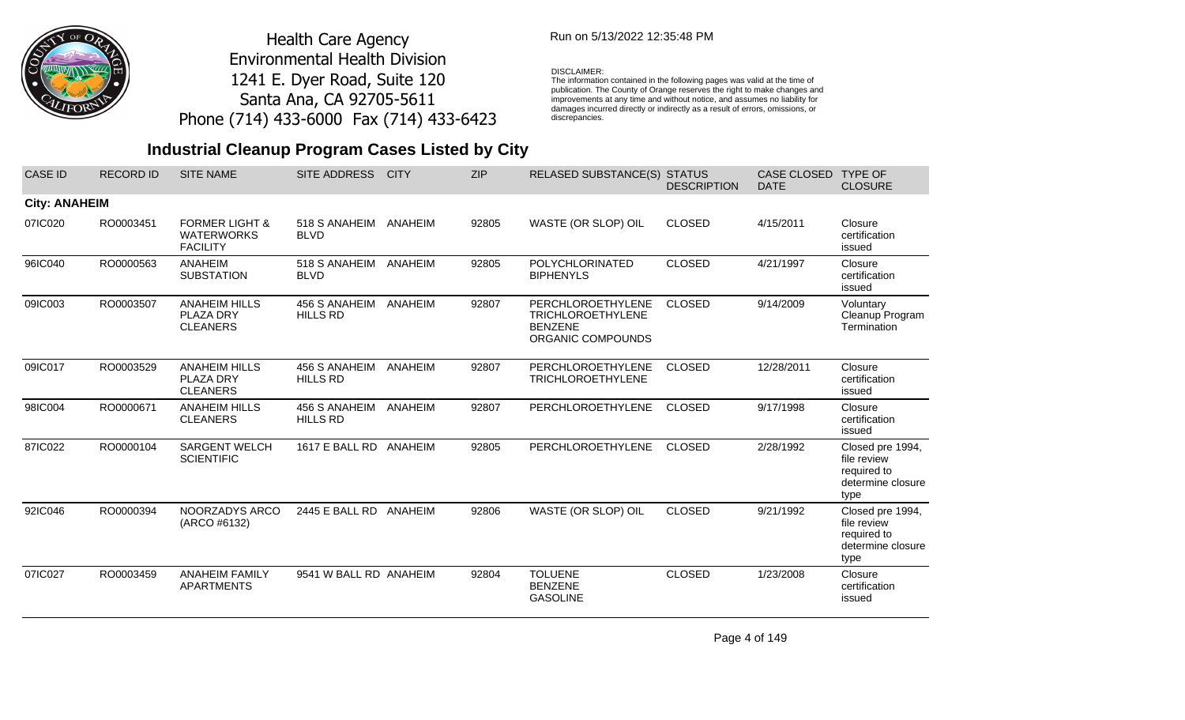

## Run on 5/13/2022 12:35:48 PM

#### DISCLAIMER:

The information contained in the following pages was valid at the time of publication. The County of Orange reserves the right to make changes and improvements at any time and without notice, and assumes no liability for damages incurred directly or indirectly as a result of errors, omissions, or discrepancies.

# **Industrial Cleanup Program Cases Listed by City**

| <b>CASE ID</b>       | <b>RECORD ID</b> | <b>SITE NAME</b>                                                  | SITE ADDRESS                     | <b>CITY</b> | <b>ZIP</b> | <b>RELASED SUBSTANCE(S)</b>                                                          | <b>STATUS</b><br><b>DESCRIPTION</b> | <b>CASE CLOSED</b><br><b>DATE</b> | <b>TYPE OF</b><br><b>CLOSURE</b>                                            |
|----------------------|------------------|-------------------------------------------------------------------|----------------------------------|-------------|------------|--------------------------------------------------------------------------------------|-------------------------------------|-----------------------------------|-----------------------------------------------------------------------------|
| <b>City: ANAHEIM</b> |                  |                                                                   |                                  |             |            |                                                                                      |                                     |                                   |                                                                             |
| 07IC020              | RO0003451        | <b>FORMER LIGHT &amp;</b><br><b>WATERWORKS</b><br><b>FACILITY</b> | 518 S ANAHEIM<br><b>BLVD</b>     | ANAHEIM     | 92805      | WASTE (OR SLOP) OIL                                                                  | <b>CLOSED</b>                       | 4/15/2011                         | Closure<br>certification<br>issued                                          |
| 96IC040              | RO0000563        | <b>ANAHEIM</b><br><b>SUBSTATION</b>                               | 518 S ANAHEIM<br><b>BLVD</b>     | ANAHEIM     | 92805      | <b>POLYCHLORINATED</b><br><b>BIPHENYLS</b>                                           | <b>CLOSED</b>                       | 4/21/1997                         | Closure<br>certification<br>issued                                          |
| 09IC003              | RO0003507        | <b>ANAHEIM HILLS</b><br>PLAZA DRY<br><b>CLEANERS</b>              | 456 S ANAHEIM<br><b>HILLS RD</b> | ANAHEIM     | 92807      | PERCHLOROETHYLENE<br><b>TRICHLOROETHYLENE</b><br><b>BENZENE</b><br>ORGANIC COMPOUNDS | <b>CLOSED</b>                       | 9/14/2009                         | Voluntary<br>Cleanup Program<br>Termination                                 |
| 09IC017              | RO0003529        | <b>ANAHEIM HILLS</b><br>PLAZA DRY<br><b>CLEANERS</b>              | 456 S ANAHEIM<br><b>HILLS RD</b> | ANAHEIM     | 92807      | <b>PERCHLOROETHYLENE</b><br><b>TRICHLOROETHYLENE</b>                                 | <b>CLOSED</b>                       | 12/28/2011                        | Closure<br>certification<br>issued                                          |
| 98IC004              | RO0000671        | <b>ANAHEIM HILLS</b><br><b>CLEANERS</b>                           | 456 S ANAHEIM<br><b>HILLS RD</b> | ANAHEIM     | 92807      | PERCHLOROETHYLENE                                                                    | <b>CLOSED</b>                       | 9/17/1998                         | Closure<br>certification<br>issued                                          |
| 87IC022              | RO0000104        | <b>SARGENT WELCH</b><br><b>SCIENTIFIC</b>                         | 1617 E BALL RD ANAHEIM           |             | 92805      | PERCHLOROETHYLENE                                                                    | <b>CLOSED</b>                       | 2/28/1992                         | Closed pre 1994,<br>file review<br>required to<br>determine closure<br>type |
| 92IC046              | RO0000394        | NOORZADYS ARCO<br>(ARCO #6132)                                    | 2445 E BALL RD                   | ANAHEIM     | 92806      | WASTE (OR SLOP) OIL                                                                  | <b>CLOSED</b>                       | 9/21/1992                         | Closed pre 1994,<br>file review<br>required to<br>determine closure<br>type |
| 07IC027              | RO0003459        | <b>ANAHEIM FAMILY</b><br><b>APARTMENTS</b>                        | 9541 W BALL RD ANAHEIM           |             | 92804      | <b>TOLUENE</b><br><b>BENZENE</b><br><b>GASOLINE</b>                                  | <b>CLOSED</b>                       | 1/23/2008                         | Closure<br>certification<br>issued                                          |

Page 4 of 149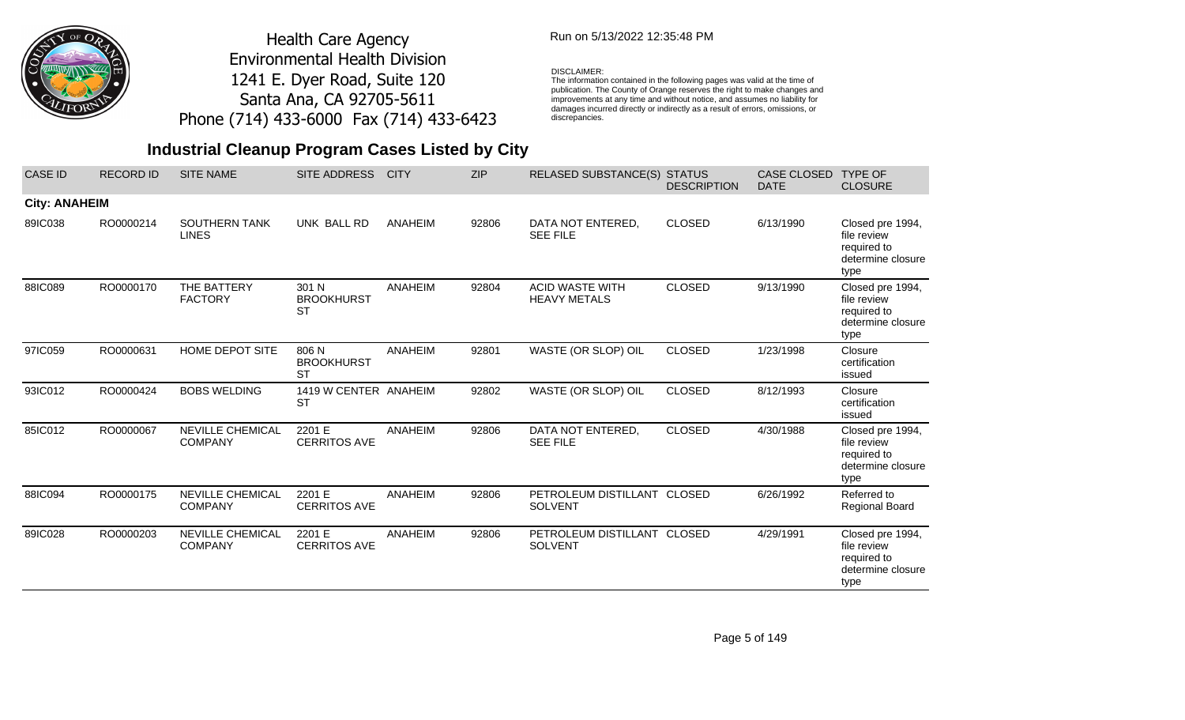

## Run on 5/13/2022 12:35:48 PM

#### DISCLAIMER:

The information contained in the following pages was valid at the time of publication. The County of Orange reserves the right to make changes and improvements at any time and without notice, and assumes no liability for damages incurred directly or indirectly as a result of errors, omissions, or discrepancies.

| <b>CASE ID</b>       | <b>RECORD ID</b> | <b>SITE NAME</b>                          | <b>SITE ADDRESS</b>                     | <b>CITY</b>    | <b>ZIP</b> | <b>RELASED SUBSTANCE(S)</b>                   | <b>STATUS</b><br><b>DESCRIPTION</b> | <b>CASE CLOSED</b><br><b>DATE</b> | <b>TYPE OF</b><br><b>CLOSURE</b>                                            |
|----------------------|------------------|-------------------------------------------|-----------------------------------------|----------------|------------|-----------------------------------------------|-------------------------------------|-----------------------------------|-----------------------------------------------------------------------------|
| <b>City: ANAHEIM</b> |                  |                                           |                                         |                |            |                                               |                                     |                                   |                                                                             |
| 89IC038              | RO0000214        | <b>SOUTHERN TANK</b><br><b>LINES</b>      | UNK BALL RD                             | ANAHEIM        | 92806      | DATA NOT ENTERED,<br><b>SEE FILE</b>          | <b>CLOSED</b>                       | 6/13/1990                         | Closed pre 1994,<br>file review<br>required to<br>determine closure<br>type |
| 88IC089              | RO0000170        | THE BATTERY<br><b>FACTORY</b>             | 301 N<br><b>BROOKHURST</b><br><b>ST</b> | <b>ANAHEIM</b> | 92804      | <b>ACID WASTE WITH</b><br><b>HEAVY METALS</b> | <b>CLOSED</b>                       | 9/13/1990                         | Closed pre 1994,<br>file review<br>required to<br>determine closure<br>type |
| 97IC059              | RO0000631        | HOME DEPOT SITE                           | 806 N<br><b>BROOKHURST</b><br><b>ST</b> | <b>ANAHEIM</b> | 92801      | WASTE (OR SLOP) OIL                           | <b>CLOSED</b>                       | 1/23/1998                         | Closure<br>certification<br>issued                                          |
| 93IC012              | RO0000424        | <b>BOBS WELDING</b>                       | 1419 W CENTER ANAHEIM<br><b>ST</b>      |                | 92802      | WASTE (OR SLOP) OIL                           | <b>CLOSED</b>                       | 8/12/1993                         | Closure<br>certification<br>issued                                          |
| 85IC012              | RO0000067        | NEVILLE CHEMICAL<br><b>COMPANY</b>        | 2201 E<br><b>CERRITOS AVE</b>           | <b>ANAHEIM</b> | 92806      | DATA NOT ENTERED,<br><b>SEE FILE</b>          | <b>CLOSED</b>                       | 4/30/1988                         | Closed pre 1994,<br>file review<br>required to<br>determine closure<br>type |
| 88IC094              | RO0000175        | <b>NEVILLE CHEMICAL</b><br><b>COMPANY</b> | 2201 E<br><b>CERRITOS AVE</b>           | ANAHEIM        | 92806      | PETROLEUM DISTILLANT CLOSED<br><b>SOLVENT</b> |                                     | 6/26/1992                         | Referred to<br><b>Regional Board</b>                                        |
| 89IC028              | RO0000203        | <b>NEVILLE CHEMICAL</b><br><b>COMPANY</b> | 2201 E<br><b>CERRITOS AVE</b>           | ANAHEIM        | 92806      | PETROLEUM DISTILLANT CLOSED<br><b>SOLVENT</b> |                                     | 4/29/1991                         | Closed pre 1994,<br>file review<br>required to<br>determine closure<br>type |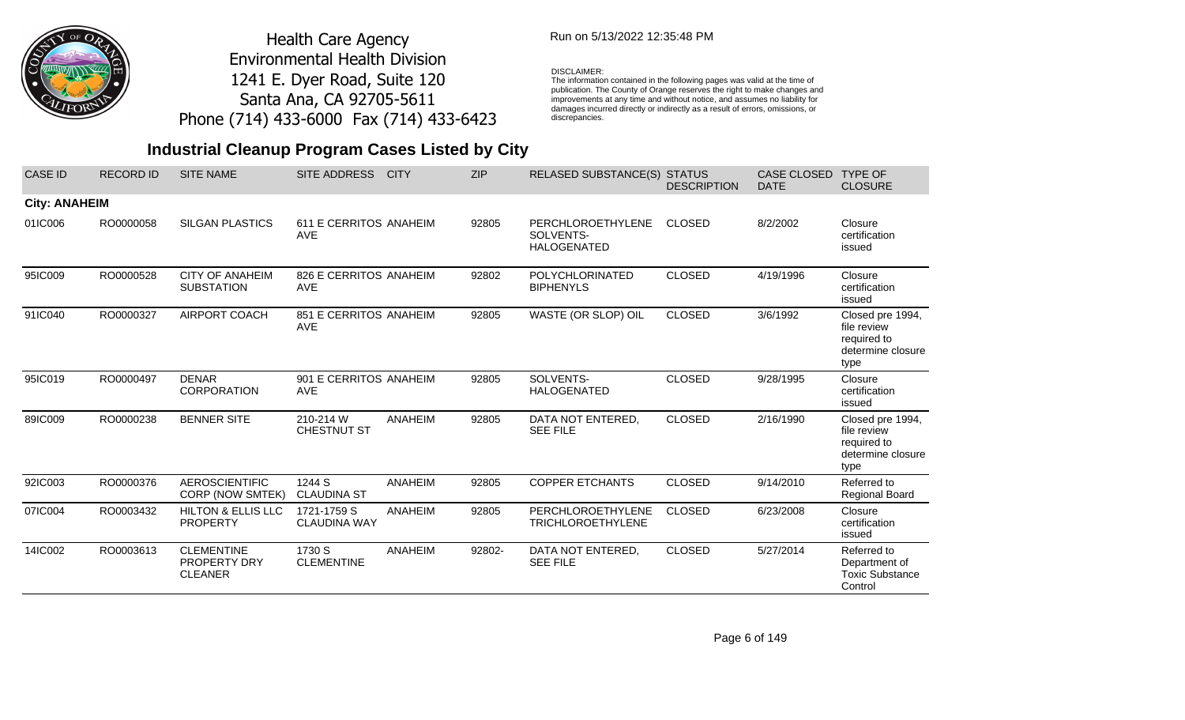

## Run on 5/13/2022 12:35:48 PM

#### DISCLAIMER:

The information contained in the following pages was valid at the time of publication. The County of Orange reserves the right to make changes and improvements at any time and without notice, and assumes no liability for damages incurred directly or indirectly as a result of errors, omissions, or discrepancies.

| <b>CASE ID</b>       | <b>RECORD ID</b> | <b>SITE NAME</b>                                           | <b>SITE ADDRESS</b>                  | <b>CITY</b>    | <b>ZIP</b> | <b>RELASED SUBSTANCE(S)</b>                          | <b>STATUS</b><br><b>DESCRIPTION</b> | <b>CASE CLOSED</b><br><b>DATE</b> | <b>TYPE OF</b><br><b>CLOSURE</b>                                            |
|----------------------|------------------|------------------------------------------------------------|--------------------------------------|----------------|------------|------------------------------------------------------|-------------------------------------|-----------------------------------|-----------------------------------------------------------------------------|
| <b>City: ANAHEIM</b> |                  |                                                            |                                      |                |            |                                                      |                                     |                                   |                                                                             |
| 01IC006              | RO0000058        | <b>SILGAN PLASTICS</b>                                     | 611 E CERRITOS ANAHEIM<br><b>AVE</b> |                | 92805      | PERCHLOROETHYLENE<br>SOLVENTS-<br><b>HALOGENATED</b> | <b>CLOSED</b>                       | 8/2/2002                          | Closure<br>certification<br>issued                                          |
| 95IC009              | RO0000528        | <b>CITY OF ANAHEIM</b><br><b>SUBSTATION</b>                | 826 E CERRITOS ANAHEIM<br><b>AVE</b> |                | 92802      | <b>POLYCHLORINATED</b><br><b>BIPHENYLS</b>           | <b>CLOSED</b>                       | 4/19/1996                         | Closure<br>certification<br>issued                                          |
| 91IC040              | RO0000327        | AIRPORT COACH                                              | 851 E CERRITOS ANAHEIM<br><b>AVE</b> |                | 92805      | WASTE (OR SLOP) OIL                                  | <b>CLOSED</b>                       | 3/6/1992                          | Closed pre 1994,<br>file review<br>required to<br>determine closure<br>type |
| 95IC019              | RO0000497        | <b>DENAR</b><br><b>CORPORATION</b>                         | 901 E CERRITOS ANAHEIM<br><b>AVE</b> |                | 92805      | SOLVENTS-<br><b>HALOGENATED</b>                      | <b>CLOSED</b>                       | 9/28/1995                         | Closure<br>certification<br>issued                                          |
| 89IC009              | RO0000238        | <b>BENNER SITE</b>                                         | 210-214 W<br><b>CHESTNUT ST</b>      | <b>ANAHEIM</b> | 92805      | DATA NOT ENTERED,<br><b>SEE FILE</b>                 | <b>CLOSED</b>                       | 2/16/1990                         | Closed pre 1994,<br>file review<br>required to<br>determine closure<br>type |
| 92IC003              | RO0000376        | <b>AEROSCIENTIFIC</b><br>CORP (NOW SMTEK)                  | 1244 S<br><b>CLAUDINA ST</b>         | ANAHEIM        | 92805      | <b>COPPER ETCHANTS</b>                               | <b>CLOSED</b>                       | 9/14/2010                         | Referred to<br>Regional Board                                               |
| 07IC004              | RO0003432        | <b>HILTON &amp; ELLIS LLC</b><br><b>PROPERTY</b>           | 1721-1759 S<br><b>CLAUDINA WAY</b>   | <b>ANAHEIM</b> | 92805      | PERCHLOROETHYLENE<br><b>TRICHLOROETHYLENE</b>        | <b>CLOSED</b>                       | 6/23/2008                         | Closure<br>certification<br>issued                                          |
| 14IC002              | RO0003613        | <b>CLEMENTINE</b><br><b>PROPERTY DRY</b><br><b>CLEANER</b> | 1730 S<br><b>CLEMENTINE</b>          | ANAHEIM        | 92802-     | DATA NOT ENTERED,<br><b>SEE FILE</b>                 | <b>CLOSED</b>                       | 5/27/2014                         | Referred to<br>Department of<br><b>Toxic Substance</b><br>Control           |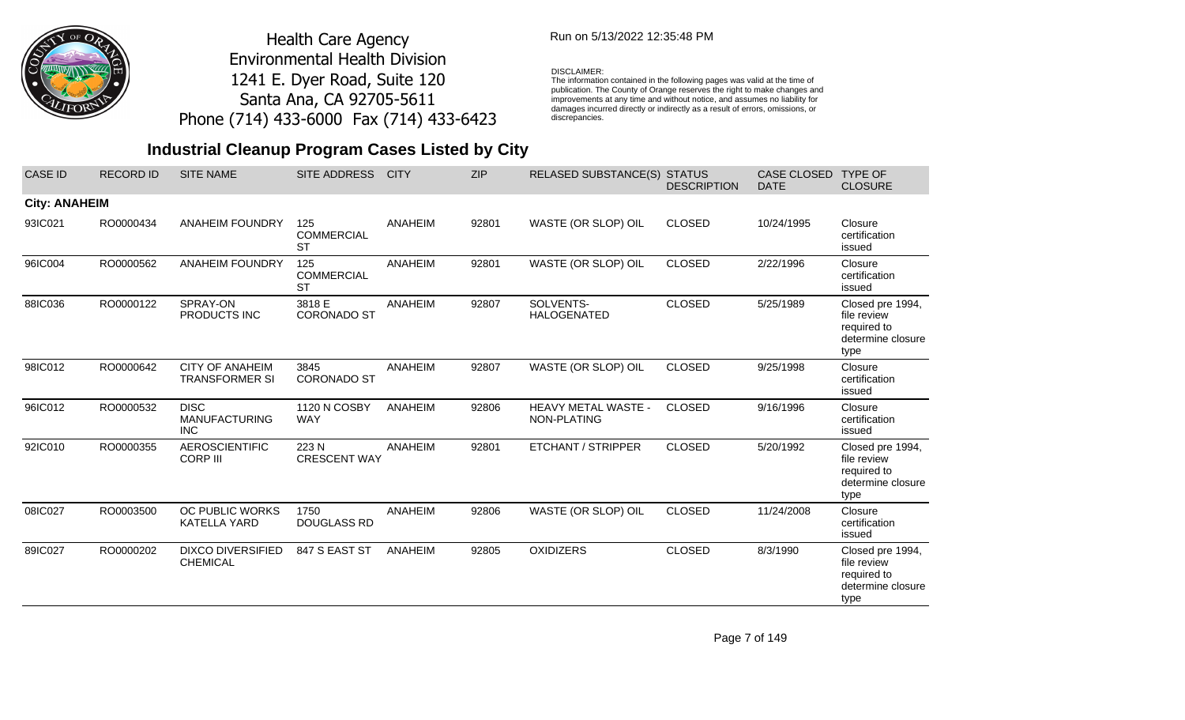

## Run on 5/13/2022 12:35:48 PM

#### DISCLAIMER:

The information contained in the following pages was valid at the time of publication. The County of Orange reserves the right to make changes and improvements at any time and without notice, and assumes no liability for damages incurred directly or indirectly as a result of errors, omissions, or discrepancies.

# **Industrial Cleanup Program Cases Listed by City**

| <b>CASE ID</b>       | <b>RECORD ID</b> | <b>SITE NAME</b>                                  | SITE ADDRESS                          | <b>CITY</b> | <b>ZIP</b> | <b>RELASED SUBSTANCE(S)</b>               | <b>STATUS</b><br><b>DESCRIPTION</b> | CASE CLOSED<br><b>DATE</b> | <b>TYPE OF</b><br><b>CLOSURE</b>                                            |
|----------------------|------------------|---------------------------------------------------|---------------------------------------|-------------|------------|-------------------------------------------|-------------------------------------|----------------------------|-----------------------------------------------------------------------------|
| <b>City: ANAHEIM</b> |                  |                                                   |                                       |             |            |                                           |                                     |                            |                                                                             |
| 93IC021              | RO0000434        | <b>ANAHEIM FOUNDRY</b>                            | 125<br><b>COMMERCIAL</b><br><b>ST</b> | ANAHEIM     | 92801      | WASTE (OR SLOP) OIL                       | <b>CLOSED</b>                       | 10/24/1995                 | Closure<br>certification<br>issued                                          |
| 96IC004              | RO0000562        | <b>ANAHEIM FOUNDRY</b>                            | 125<br><b>COMMERCIAL</b><br><b>ST</b> | ANAHEIM     | 92801      | WASTE (OR SLOP) OIL                       | <b>CLOSED</b>                       | 2/22/1996                  | Closure<br>certification<br>issued                                          |
| 88IC036              | RO0000122        | SPRAY-ON<br>PRODUCTS INC                          | 3818 E<br><b>CORONADO ST</b>          | ANAHEIM     | 92807      | SOLVENTS-<br><b>HALOGENATED</b>           | <b>CLOSED</b>                       | 5/25/1989                  | Closed pre 1994,<br>file review<br>required to<br>determine closure<br>type |
| 98IC012              | RO0000642        | <b>CITY OF ANAHEIM</b><br><b>TRANSFORMER SI</b>   | 3845<br><b>CORONADO ST</b>            | ANAHEIM     | 92807      | WASTE (OR SLOP) OIL                       | <b>CLOSED</b>                       | 9/25/1998                  | Closure<br>certification<br>issued                                          |
| 96IC012              | RO0000532        | <b>DISC</b><br><b>MANUFACTURING</b><br><b>INC</b> | 1120 N COSBY<br><b>WAY</b>            | ANAHEIM     | 92806      | <b>HEAVY METAL WASTE -</b><br>NON-PLATING | <b>CLOSED</b>                       | 9/16/1996                  | Closure<br>certification<br>issued                                          |
| 92IC010              | RO0000355        | <b>AEROSCIENTIFIC</b><br><b>CORP III</b>          | 223N<br><b>CRESCENT WAY</b>           | ANAHEIM     | 92801      | <b>ETCHANT / STRIPPER</b>                 | <b>CLOSED</b>                       | 5/20/1992                  | Closed pre 1994,<br>file review<br>required to<br>determine closure<br>type |
| 08IC027              | RO0003500        | OC PUBLIC WORKS<br><b>KATELLA YARD</b>            | 1750<br><b>DOUGLASS RD</b>            | ANAHEIM     | 92806      | WASTE (OR SLOP) OIL                       | <b>CLOSED</b>                       | 11/24/2008                 | Closure<br>certification<br>issued                                          |
| 89IC027              | RO0000202        | <b>DIXCO DIVERSIFIED</b><br><b>CHEMICAL</b>       | 847 S EAST ST                         | ANAHEIM     | 92805      | <b>OXIDIZERS</b>                          | <b>CLOSED</b>                       | 8/3/1990                   | Closed pre 1994,<br>file review<br>required to<br>determine closure<br>type |

Page 7 of 149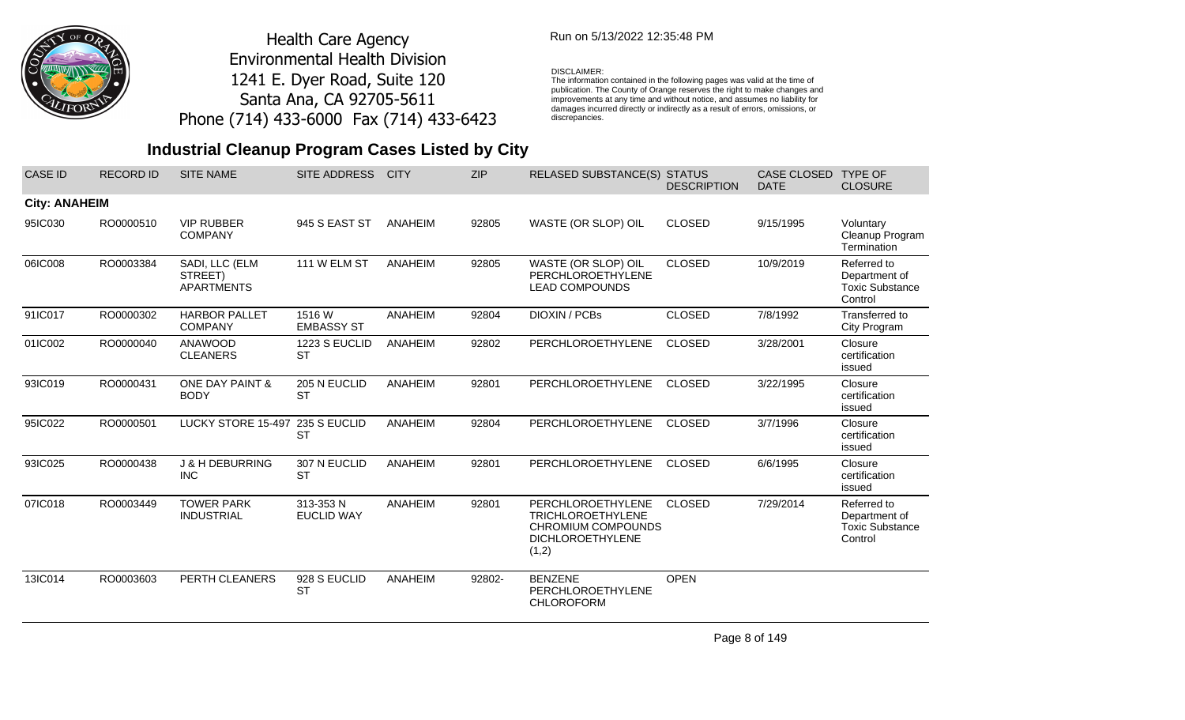

## Run on 5/13/2022 12:35:48 PM

#### DISCLAIMER:

The information contained in the following pages was valid at the time of publication. The County of Orange reserves the right to make changes and improvements at any time and without notice, and assumes no liability for damages incurred directly or indirectly as a result of errors, omissions, or discrepancies.

# **Industrial Cleanup Program Cases Listed by City**

| <b>CASE ID</b>       | <b>RECORD ID</b> | <b>SITE NAME</b>                               | <b>SITE ADDRESS</b>            | <b>CITY</b>    | <b>ZIP</b> | RELASED SUBSTANCE(S) STATUS                                                                                    | <b>DESCRIPTION</b> | <b>CASE CLOSED</b><br><b>DATE</b> | <b>TYPE OF</b><br><b>CLOSURE</b>                                  |
|----------------------|------------------|------------------------------------------------|--------------------------------|----------------|------------|----------------------------------------------------------------------------------------------------------------|--------------------|-----------------------------------|-------------------------------------------------------------------|
| <b>City: ANAHEIM</b> |                  |                                                |                                |                |            |                                                                                                                |                    |                                   |                                                                   |
| 95IC030              | RO0000510        | <b>VIP RUBBER</b><br><b>COMPANY</b>            | 945 S EAST ST                  | ANAHEIM        | 92805      | WASTE (OR SLOP) OIL                                                                                            | <b>CLOSED</b>      | 9/15/1995                         | Voluntary<br>Cleanup Program<br>Termination                       |
| 06IC008              | RO0003384        | SADI, LLC (ELM<br>STREET)<br><b>APARTMENTS</b> | 111 W ELM ST                   | ANAHEIM        | 92805      | WASTE (OR SLOP) OIL<br><b>PERCHLOROETHYLENE</b><br><b>LEAD COMPOUNDS</b>                                       | <b>CLOSED</b>      | 10/9/2019                         | Referred to<br>Department of<br><b>Toxic Substance</b><br>Control |
| 91IC017              | RO0000302        | <b>HARBOR PALLET</b><br><b>COMPANY</b>         | 1516 W<br><b>EMBASSY ST</b>    | <b>ANAHEIM</b> | 92804      | DIOXIN / PCBs                                                                                                  | <b>CLOSED</b>      | 7/8/1992                          | Transferred to<br>City Program                                    |
| 01IC002              | RO0000040        | ANAWOOD<br><b>CLEANERS</b>                     | 1223 S EUCLID<br><b>ST</b>     | ANAHEIM        | 92802      | PERCHLOROETHYLENE                                                                                              | <b>CLOSED</b>      | 3/28/2001                         | Closure<br>certification<br>issued                                |
| 93IC019              | RO0000431        | ONE DAY PAINT &<br><b>BODY</b>                 | 205 N EUCLID<br><b>ST</b>      | ANAHEIM        | 92801      | PERCHLOROETHYLENE                                                                                              | <b>CLOSED</b>      | 3/22/1995                         | Closure<br>certification<br>issued                                |
| 95IC022              | RO0000501        | LUCKY STORE 15-497 235 S EUCLID                | <b>ST</b>                      | <b>ANAHEIM</b> | 92804      | PERCHLOROETHYLENE                                                                                              | <b>CLOSED</b>      | 3/7/1996                          | Closure<br>certification<br>issued                                |
| 93IC025              | RO0000438        | <b>J &amp; H DEBURRING</b><br><b>INC</b>       | 307 N EUCLID<br><b>ST</b>      | ANAHEIM        | 92801      | PERCHLOROETHYLENE                                                                                              | <b>CLOSED</b>      | 6/6/1995                          | Closure<br>certification<br>issued                                |
| 07IC018              | RO0003449        | <b>TOWER PARK</b><br><b>INDUSTRIAL</b>         | 313-353 N<br><b>EUCLID WAY</b> | <b>ANAHEIM</b> | 92801      | PERCHLOROETHYLENE<br><b>TRICHLOROETHYLENE</b><br><b>CHROMIUM COMPOUNDS</b><br><b>DICHLOROETHYLENE</b><br>(1,2) | <b>CLOSED</b>      | 7/29/2014                         | Referred to<br>Department of<br><b>Toxic Substance</b><br>Control |
| 13IC014              | RO0003603        | PERTH CLEANERS                                 | 928 S EUCLID<br><b>ST</b>      | ANAHEIM        | 92802-     | <b>BENZENE</b><br>PERCHLOROETHYLENE<br><b>CHLOROFORM</b>                                                       | <b>OPEN</b>        |                                   |                                                                   |

Page 8 of 149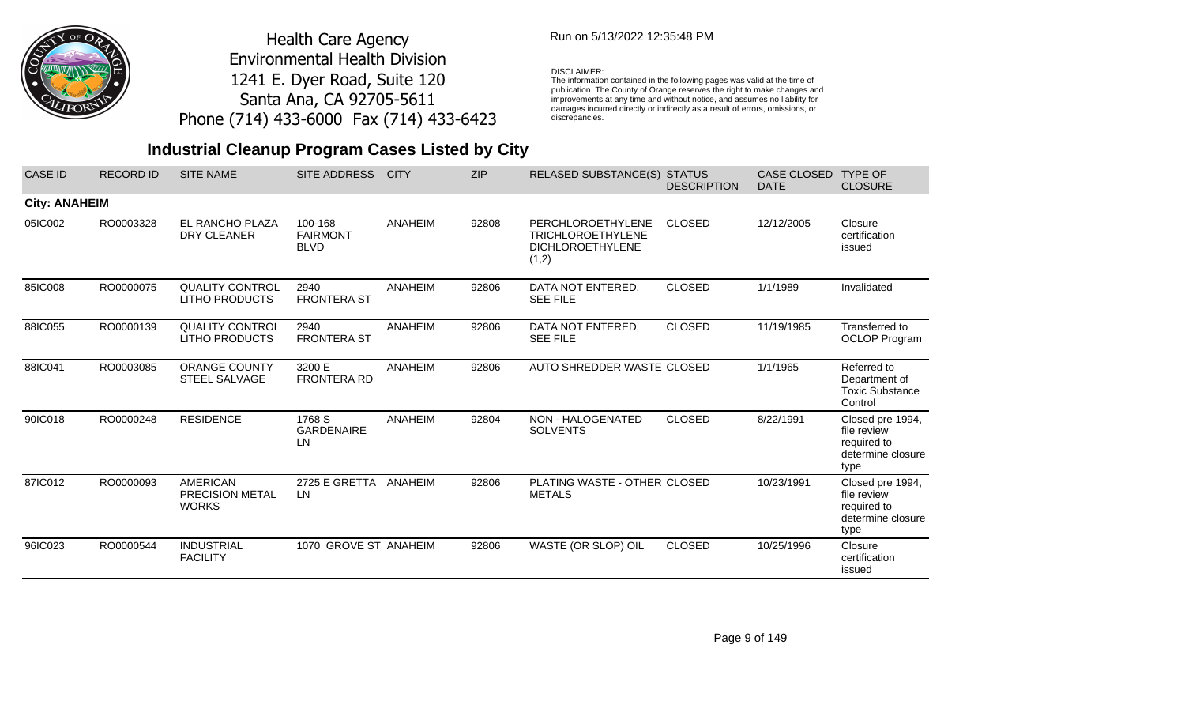

## Run on 5/13/2022 12:35:48 PM

#### DISCLAIMER:

The information contained in the following pages was valid at the time of publication. The County of Orange reserves the right to make changes and improvements at any time and without notice, and assumes no liability for damages incurred directly or indirectly as a result of errors, omissions, or discrepancies.

| <b>CASE ID</b>       | <b>RECORD ID</b> | <b>SITE NAME</b>                                   | <b>SITE ADDRESS</b>                       | <b>CITY</b>    | <b>ZIP</b> | <b>RELASED SUBSTANCE(S) STATUS</b>                                                | <b>DESCRIPTION</b> | <b>CASE CLOSED</b><br><b>DATE</b> | <b>TYPE OF</b><br><b>CLOSURE</b>                                            |
|----------------------|------------------|----------------------------------------------------|-------------------------------------------|----------------|------------|-----------------------------------------------------------------------------------|--------------------|-----------------------------------|-----------------------------------------------------------------------------|
| <b>City: ANAHEIM</b> |                  |                                                    |                                           |                |            |                                                                                   |                    |                                   |                                                                             |
| 05IC002              | RO0003328        | EL RANCHO PLAZA<br>DRY CLEANER                     | 100-168<br><b>FAIRMONT</b><br><b>BLVD</b> | ANAHEIM        | 92808      | PERCHLOROETHYLENE<br><b>TRICHLOROETHYLENE</b><br><b>DICHLOROETHYLENE</b><br>(1,2) | <b>CLOSED</b>      | 12/12/2005                        | Closure<br>certification<br>issued                                          |
| 85IC008              | RO0000075        | <b>QUALITY CONTROL</b><br><b>LITHO PRODUCTS</b>    | 2940<br><b>FRONTERA ST</b>                | <b>ANAHEIM</b> | 92806      | DATA NOT ENTERED,<br><b>SEE FILE</b>                                              | <b>CLOSED</b>      | 1/1/1989                          | Invalidated                                                                 |
| 88IC055              | RO0000139        | <b>QUALITY CONTROL</b><br><b>LITHO PRODUCTS</b>    | 2940<br><b>FRONTERA ST</b>                | <b>ANAHEIM</b> | 92806      | DATA NOT ENTERED,<br><b>SEE FILE</b>                                              | <b>CLOSED</b>      | 11/19/1985                        | Transferred to<br><b>OCLOP Program</b>                                      |
| 88IC041              | RO0003085        | ORANGE COUNTY<br><b>STEEL SALVAGE</b>              | 3200 E<br><b>FRONTERA RD</b>              | ANAHEIM        | 92806      | AUTO SHREDDER WASTE CLOSED                                                        |                    | 1/1/1965                          | Referred to<br>Department of<br><b>Toxic Substance</b><br>Control           |
| 90IC018              | RO0000248        | <b>RESIDENCE</b>                                   | 1768 S<br><b>GARDENAIRE</b><br>LN         | ANAHEIM        | 92804      | NON - HALOGENATED<br><b>SOLVENTS</b>                                              | <b>CLOSED</b>      | 8/22/1991                         | Closed pre 1994,<br>file review<br>required to<br>determine closure<br>type |
| 87IC012              | RO0000093        | <b>AMERICAN</b><br>PRECISION METAL<br><b>WORKS</b> | 2725 E GRETTA ANAHEIM<br>LN.              |                | 92806      | PLATING WASTE - OTHER CLOSED<br><b>METALS</b>                                     |                    | 10/23/1991                        | Closed pre 1994,<br>file review<br>required to<br>determine closure<br>type |
| 96IC023              | RO0000544        | <b>INDUSTRIAL</b><br><b>FACILITY</b>               | 1070 GROVE ST ANAHEIM                     |                | 92806      | WASTE (OR SLOP) OIL                                                               | <b>CLOSED</b>      | 10/25/1996                        | Closure<br>certification<br>issued                                          |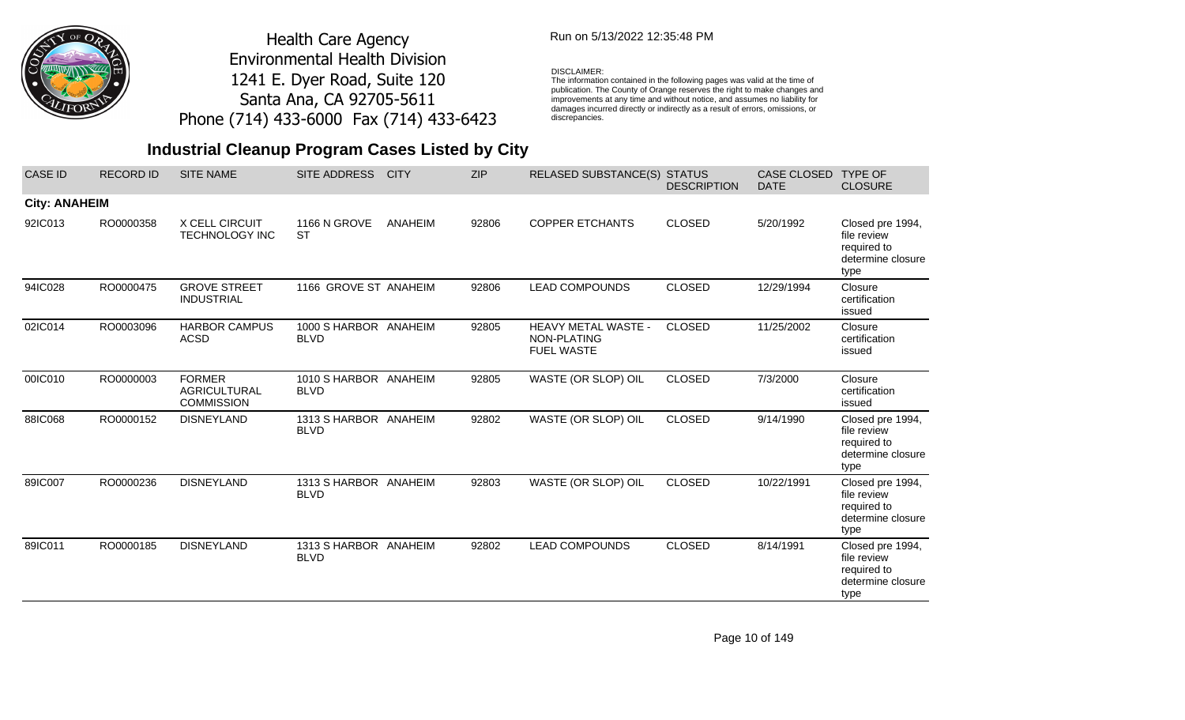

## Run on 5/13/2022 12:35:48 PM

#### DISCLAIMER:

The information contained in the following pages was valid at the time of publication. The County of Orange reserves the right to make changes and improvements at any time and without notice, and assumes no liability for damages incurred directly or indirectly as a result of errors, omissions, or discrepancies.

| <b>CASE ID</b>       | <b>RECORD ID</b> | <b>SITE NAME</b>                                          | <b>SITE ADDRESS</b>                  | <b>CITY</b> | <b>ZIP</b> | <b>RELASED SUBSTANCE(S)</b>                             | <b>STATUS</b><br><b>DESCRIPTION</b> | <b>CASE CLOSED</b><br><b>DATE</b> | <b>TYPE OF</b><br><b>CLOSURE</b>                                            |
|----------------------|------------------|-----------------------------------------------------------|--------------------------------------|-------------|------------|---------------------------------------------------------|-------------------------------------|-----------------------------------|-----------------------------------------------------------------------------|
| <b>City: ANAHEIM</b> |                  |                                                           |                                      |             |            |                                                         |                                     |                                   |                                                                             |
| 92IC013              | RO0000358        | X CELL CIRCUIT<br><b>TECHNOLOGY INC</b>                   | <b>1166 N GROVE</b><br><b>ST</b>     | ANAHEIM     | 92806      | <b>COPPER ETCHANTS</b>                                  | <b>CLOSED</b>                       | 5/20/1992                         | Closed pre 1994,<br>file review<br>required to<br>determine closure<br>type |
| 94IC028              | RO0000475        | <b>GROVE STREET</b><br><b>INDUSTRIAL</b>                  | 1166 GROVE ST ANAHEIM                |             | 92806      | <b>LEAD COMPOUNDS</b>                                   | <b>CLOSED</b>                       | 12/29/1994                        | Closure<br>certification<br>issued                                          |
| 02IC014              | RO0003096        | <b>HARBOR CAMPUS</b><br><b>ACSD</b>                       | 1000 S HARBOR ANAHEIM<br><b>BLVD</b> |             | 92805      | HEAVY METAL WASTE -<br>NON-PLATING<br><b>FUEL WASTE</b> | <b>CLOSED</b>                       | 11/25/2002                        | Closure<br>certification<br>issued                                          |
| 00IC010              | RO0000003        | <b>FORMER</b><br><b>AGRICULTURAL</b><br><b>COMMISSION</b> | 1010 S HARBOR ANAHEIM<br><b>BLVD</b> |             | 92805      | WASTE (OR SLOP) OIL                                     | <b>CLOSED</b>                       | 7/3/2000                          | Closure<br>certification<br>issued                                          |
| 88IC068              | RO0000152        | <b>DISNEYLAND</b>                                         | 1313 S HARBOR ANAHEIM<br><b>BLVD</b> |             | 92802      | WASTE (OR SLOP) OIL                                     | <b>CLOSED</b>                       | 9/14/1990                         | Closed pre 1994,<br>file review<br>required to<br>determine closure<br>type |
| 89IC007              | RO0000236        | <b>DISNEYLAND</b>                                         | 1313 S HARBOR ANAHEIM<br><b>BLVD</b> |             | 92803      | WASTE (OR SLOP) OIL                                     | <b>CLOSED</b>                       | 10/22/1991                        | Closed pre 1994,<br>file review<br>required to<br>determine closure<br>type |
| 89IC011              | RO0000185        | <b>DISNEYLAND</b>                                         | 1313 S HARBOR ANAHEIM<br><b>BLVD</b> |             | 92802      | <b>LEAD COMPOUNDS</b>                                   | <b>CLOSED</b>                       | 8/14/1991                         | Closed pre 1994,<br>file review<br>required to<br>determine closure<br>type |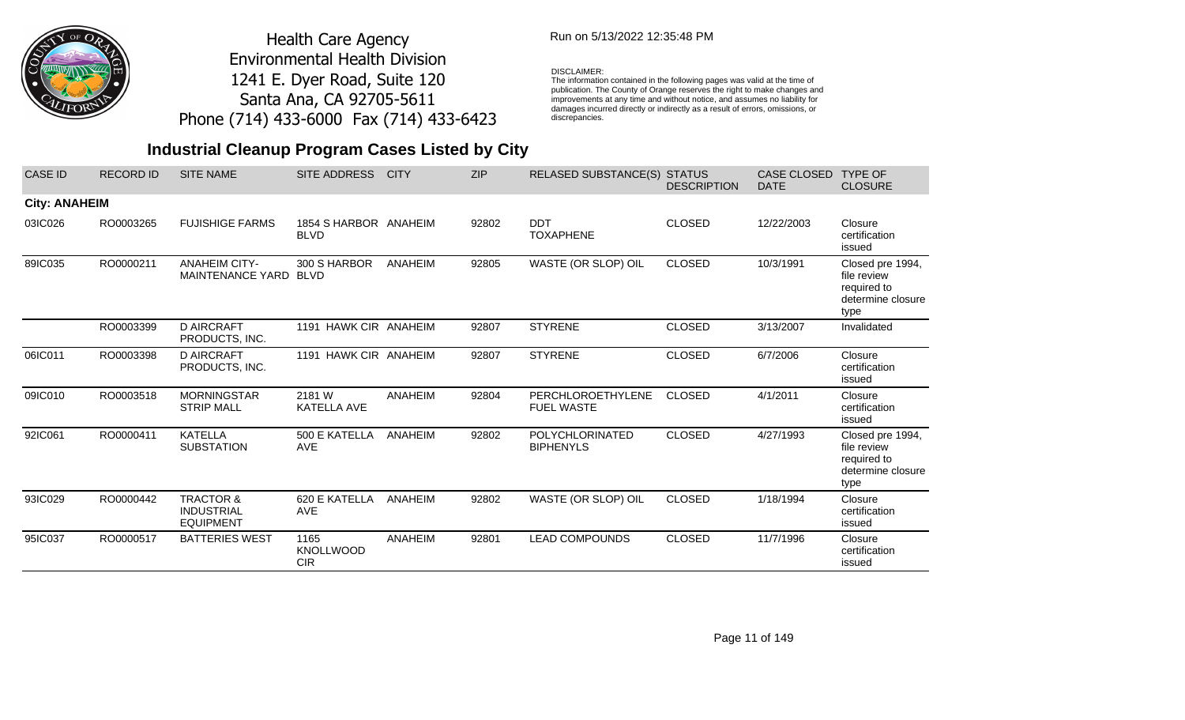

## Run on 5/13/2022 12:35:48 PM

#### DISCLAIMER:

The information contained in the following pages was valid at the time of publication. The County of Orange reserves the right to make changes and improvements at any time and without notice, and assumes no liability for damages incurred directly or indirectly as a result of errors, omissions, or discrepancies.

# **Industrial Cleanup Program Cases Listed by City**

| <b>CASE ID</b>       | <b>RECORD ID</b> | <b>SITE NAME</b>                                              | <b>SITE ADDRESS</b>                    | <b>CITY</b>    | <b>ZIP</b> | <b>RELASED SUBSTANCE(S) STATUS</b>     | <b>DESCRIPTION</b> | <b>CASE CLOSED</b><br><b>DATE</b> | <b>TYPE OF</b><br><b>CLOSURE</b>                                            |
|----------------------|------------------|---------------------------------------------------------------|----------------------------------------|----------------|------------|----------------------------------------|--------------------|-----------------------------------|-----------------------------------------------------------------------------|
| <b>City: ANAHEIM</b> |                  |                                                               |                                        |                |            |                                        |                    |                                   |                                                                             |
| 03IC026              | RO0003265        | <b>FUJISHIGE FARMS</b>                                        | 1854 S HARBOR ANAHEIM<br><b>BLVD</b>   |                | 92802      | <b>DDT</b><br><b>TOXAPHENE</b>         | <b>CLOSED</b>      | 12/22/2003                        | Closure<br>certification<br>issued                                          |
| 89IC035              | RO0000211        | <b>ANAHEIM CITY-</b><br><b>MAINTENANCE YARD</b>               | 300 S HARBOR<br><b>BLVD</b>            | ANAHEIM        | 92805      | WASTE (OR SLOP) OIL                    | <b>CLOSED</b>      | 10/3/1991                         | Closed pre 1994,<br>file review<br>required to<br>determine closure<br>type |
|                      | RO0003399        | <b>D AIRCRAFT</b><br>PRODUCTS, INC.                           | 1191 HAWK CIR ANAHEIM                  |                | 92807      | <b>STYRENE</b>                         | <b>CLOSED</b>      | 3/13/2007                         | Invalidated                                                                 |
| 06IC011              | RO0003398        | <b>D AIRCRAFT</b><br>PRODUCTS, INC.                           | 1191 HAWK CIR ANAHEIM                  |                | 92807      | <b>STYRENE</b>                         | <b>CLOSED</b>      | 6/7/2006                          | Closure<br>certification<br>issued                                          |
| 09IC010              | RO0003518        | <b>MORNINGSTAR</b><br><b>STRIP MALL</b>                       | 2181 W<br>KATELLA AVE                  | <b>ANAHEIM</b> | 92804      | PERCHLOROETHYLENE<br><b>FUEL WASTE</b> | <b>CLOSED</b>      | 4/1/2011                          | Closure<br>certification<br>issued                                          |
| 92IC061              | RO0000411        | <b>KATELLA</b><br><b>SUBSTATION</b>                           | 500 E KATELLA<br><b>AVE</b>            | ANAHEIM        | 92802      | POLYCHLORINATED<br><b>BIPHENYLS</b>    | <b>CLOSED</b>      | 4/27/1993                         | Closed pre 1994,<br>file review<br>required to<br>determine closure<br>type |
| 93IC029              | RO0000442        | <b>TRACTOR &amp;</b><br><b>INDUSTRIAL</b><br><b>EQUIPMENT</b> | 620 E KATELLA<br><b>AVE</b>            | ANAHEIM        | 92802      | WASTE (OR SLOP) OIL                    | <b>CLOSED</b>      | 1/18/1994                         | Closure<br>certification<br>issued                                          |
| 95IC037              | RO0000517        | <b>BATTERIES WEST</b>                                         | 1165<br><b>KNOLLWOOD</b><br><b>CIR</b> | <b>ANAHEIM</b> | 92801      | <b>LEAD COMPOUNDS</b>                  | <b>CLOSED</b>      | 11/7/1996                         | Closure<br>certification<br>issued                                          |

Page 11 of 149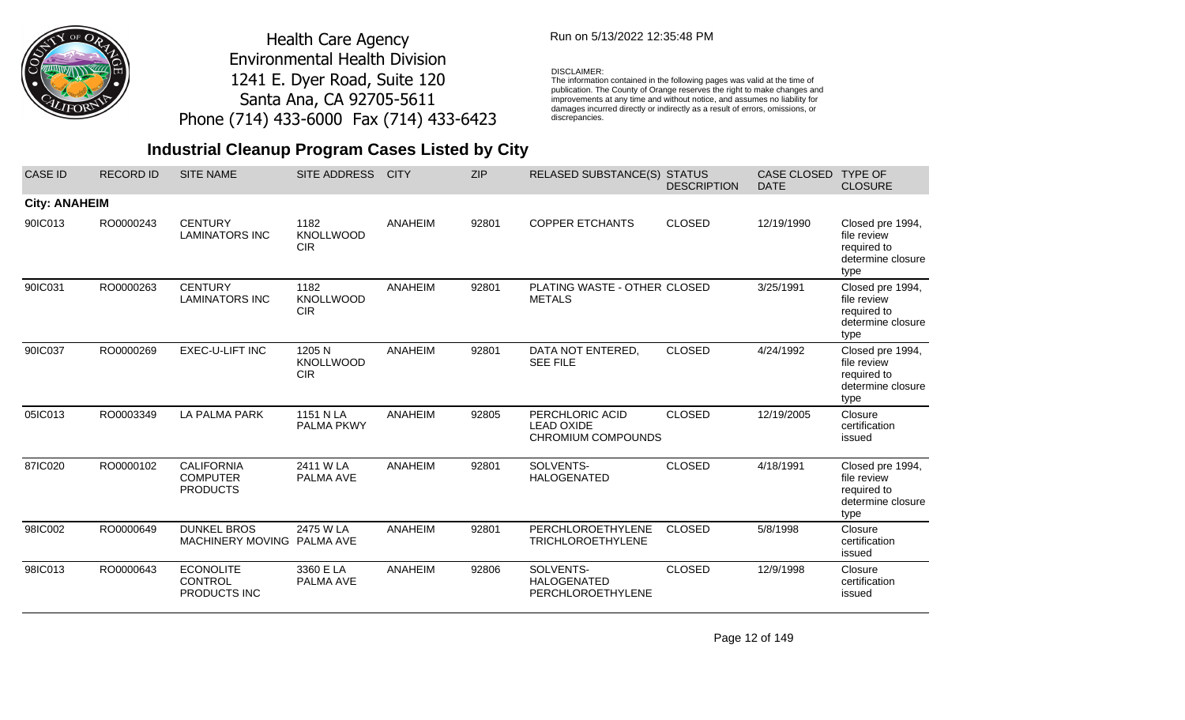

## Run on 5/13/2022 12:35:48 PM

#### DISCLAIMER:

The information contained in the following pages was valid at the time of publication. The County of Orange reserves the right to make changes and improvements at any time and without notice, and assumes no liability for damages incurred directly or indirectly as a result of errors, omissions, or discrepancies.

# **Industrial Cleanup Program Cases Listed by City**

| <b>CASE ID</b>       | <b>RECORD ID</b> | <b>SITE NAME</b>                                          | <b>SITE ADDRESS</b>                      | <b>CITY</b>    | <b>ZIP</b> | <b>RELASED SUBSTANCE(S)</b>                                | <b>STATUS</b><br><b>DESCRIPTION</b> | <b>CASE CLOSED</b><br><b>DATE</b> | <b>TYPE OF</b><br><b>CLOSURE</b>                                            |
|----------------------|------------------|-----------------------------------------------------------|------------------------------------------|----------------|------------|------------------------------------------------------------|-------------------------------------|-----------------------------------|-----------------------------------------------------------------------------|
| <b>City: ANAHEIM</b> |                  |                                                           |                                          |                |            |                                                            |                                     |                                   |                                                                             |
| 90IC013              | RO0000243        | <b>CENTURY</b><br><b>LAMINATORS INC</b>                   | 1182<br><b>KNOLLWOOD</b><br><b>CIR</b>   | ANAHEIM        | 92801      | <b>COPPER ETCHANTS</b>                                     | <b>CLOSED</b>                       | 12/19/1990                        | Closed pre 1994,<br>file review<br>required to<br>determine closure<br>type |
| 90IC031              | RO0000263        | <b>CENTURY</b><br><b>LAMINATORS INC</b>                   | 1182<br><b>KNOLLWOOD</b><br><b>CIR</b>   | <b>ANAHEIM</b> | 92801      | PLATING WASTE - OTHER CLOSED<br><b>METALS</b>              |                                     | 3/25/1991                         | Closed pre 1994,<br>file review<br>required to<br>determine closure<br>type |
| 90IC037              | RO0000269        | <b>EXEC-U-LIFT INC</b>                                    | 1205 N<br><b>KNOLLWOOD</b><br><b>CIR</b> | <b>ANAHEIM</b> | 92801      | DATA NOT ENTERED,<br><b>SEE FILE</b>                       | <b>CLOSED</b>                       | 4/24/1992                         | Closed pre 1994,<br>file review<br>required to<br>determine closure<br>type |
| 05IC013              | RO0003349        | LA PALMA PARK                                             | 1151 N LA<br><b>PALMA PKWY</b>           | ANAHEIM        | 92805      | PERCHLORIC ACID<br><b>LEAD OXIDE</b><br>CHROMIUM COMPOUNDS | <b>CLOSED</b>                       | 12/19/2005                        | Closure<br>certification<br>issued                                          |
| 87IC020              | RO0000102        | <b>CALIFORNIA</b><br><b>COMPUTER</b><br><b>PRODUCTS</b>   | 2411 W LA<br>PALMA AVE                   | ANAHEIM        | 92801      | SOLVENTS-<br>HALOGENATED                                   | <b>CLOSED</b>                       | 4/18/1991                         | Closed pre 1994,<br>file review<br>required to<br>determine closure<br>type |
| 98IC002              | RO0000649        | <b>DUNKEL BROS</b><br><b>MACHINERY MOVING</b>             | 2475 W LA<br>PALMA AVE                   | <b>ANAHEIM</b> | 92801      | PERCHLOROETHYLENE<br><b>TRICHLOROETHYLENE</b>              | <b>CLOSED</b>                       | 5/8/1998                          | Closure<br>certification<br>issued                                          |
| 98IC013              | RO0000643        | <b>ECONOLITE</b><br><b>CONTROL</b><br><b>PRODUCTS INC</b> | 3360 E LA<br>PALMA AVE                   | <b>ANAHEIM</b> | 92806      | SOLVENTS-<br><b>HALOGENATED</b><br>PERCHLOROETHYLENE       | <b>CLOSED</b>                       | 12/9/1998                         | Closure<br>certification<br>issued                                          |

Page 12 of 149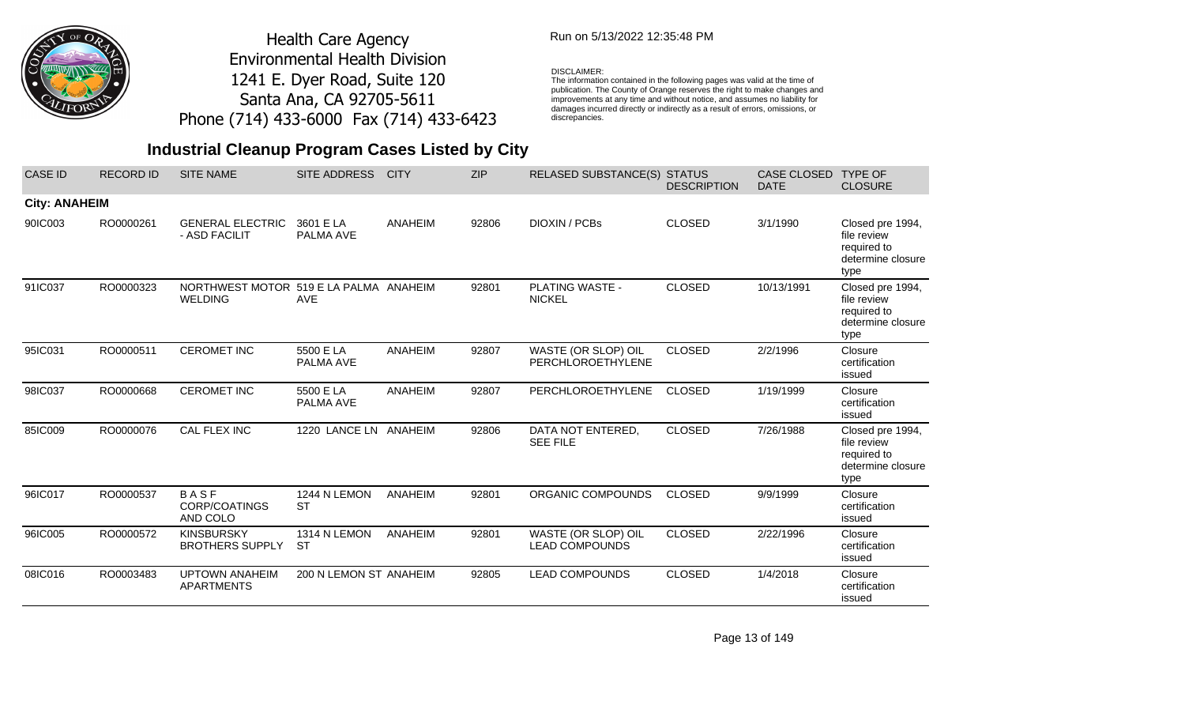

## Run on 5/13/2022 12:35:48 PM

#### DISCLAIMER:

The information contained in the following pages was valid at the time of publication. The County of Orange reserves the right to make changes and improvements at any time and without notice, and assumes no liability for damages incurred directly or indirectly as a result of errors, omissions, or discrepancies.

# **Industrial Cleanup Program Cases Listed by City**

| <b>CASE ID</b>       | <b>RECORD ID</b> | <b>SITE NAME</b>                                         | <b>SITE ADDRESS</b>       | <b>CITY</b>    | <b>ZIP</b> | <b>RELASED SUBSTANCE(S)</b>                  | <b>STATUS</b><br><b>DESCRIPTION</b> | <b>CASE CLOSED</b><br><b>DATE</b> | <b>TYPE OF</b><br><b>CLOSURE</b>                                            |
|----------------------|------------------|----------------------------------------------------------|---------------------------|----------------|------------|----------------------------------------------|-------------------------------------|-----------------------------------|-----------------------------------------------------------------------------|
| <b>City: ANAHEIM</b> |                  |                                                          |                           |                |            |                                              |                                     |                                   |                                                                             |
| 90IC003              | RO0000261        | <b>GENERAL ELECTRIC</b><br>- ASD FACILIT                 | 3601 E LA<br>PALMA AVE    | <b>ANAHEIM</b> | 92806      | <b>DIOXIN / PCBs</b>                         | <b>CLOSED</b>                       | 3/1/1990                          | Closed pre 1994,<br>file review<br>required to<br>determine closure<br>type |
| 91IC037              | RO0000323        | NORTHWEST MOTOR 519 E LA PALMA ANAHEIM<br><b>WELDING</b> | <b>AVE</b>                |                | 92801      | <b>PLATING WASTE -</b><br><b>NICKEL</b>      | <b>CLOSED</b>                       | 10/13/1991                        | Closed pre 1994,<br>file review<br>required to<br>determine closure<br>type |
| 95IC031              | RO0000511        | <b>CEROMET INC</b>                                       | 5500 E LA<br>PALMA AVE    | <b>ANAHEIM</b> | 92807      | WASTE (OR SLOP) OIL<br>PERCHLOROETHYLENE     | <b>CLOSED</b>                       | 2/2/1996                          | Closure<br>certification<br>issued                                          |
| 98IC037              | RO0000668        | <b>CEROMET INC</b>                                       | 5500 E LA<br>PALMA AVE    | <b>ANAHEIM</b> | 92807      | PERCHLOROETHYLENE                            | <b>CLOSED</b>                       | 1/19/1999                         | Closure<br>certification<br>issued                                          |
| 85IC009              | RO0000076        | CAL FLEX INC                                             | 1220 LANCE LN ANAHEIM     |                | 92806      | DATA NOT ENTERED,<br><b>SEE FILE</b>         | <b>CLOSED</b>                       | 7/26/1988                         | Closed pre 1994,<br>file review<br>required to<br>determine closure<br>type |
| 96IC017              | RO0000537        | BASF<br>CORP/COATINGS<br>AND COLO                        | 1244 N LEMON<br><b>ST</b> | <b>ANAHEIM</b> | 92801      | ORGANIC COMPOUNDS                            | <b>CLOSED</b>                       | 9/9/1999                          | Closure<br>certification<br>issued                                          |
| 96IC005              | RO0000572        | <b>KINSBURSKY</b><br><b>BROTHERS SUPPLY</b>              | 1314 N LEMON<br><b>ST</b> | ANAHEIM        | 92801      | WASTE (OR SLOP) OIL<br><b>LEAD COMPOUNDS</b> | <b>CLOSED</b>                       | 2/22/1996                         | Closure<br>certification<br>issued                                          |
| 08IC016              | RO0003483        | <b>UPTOWN ANAHEIM</b><br>APARTMENTS                      | 200 N LEMON ST ANAHEIM    |                | 92805      | <b>LEAD COMPOUNDS</b>                        | <b>CLOSED</b>                       | 1/4/2018                          | Closure<br>certification<br>issued                                          |

Page 13 of 149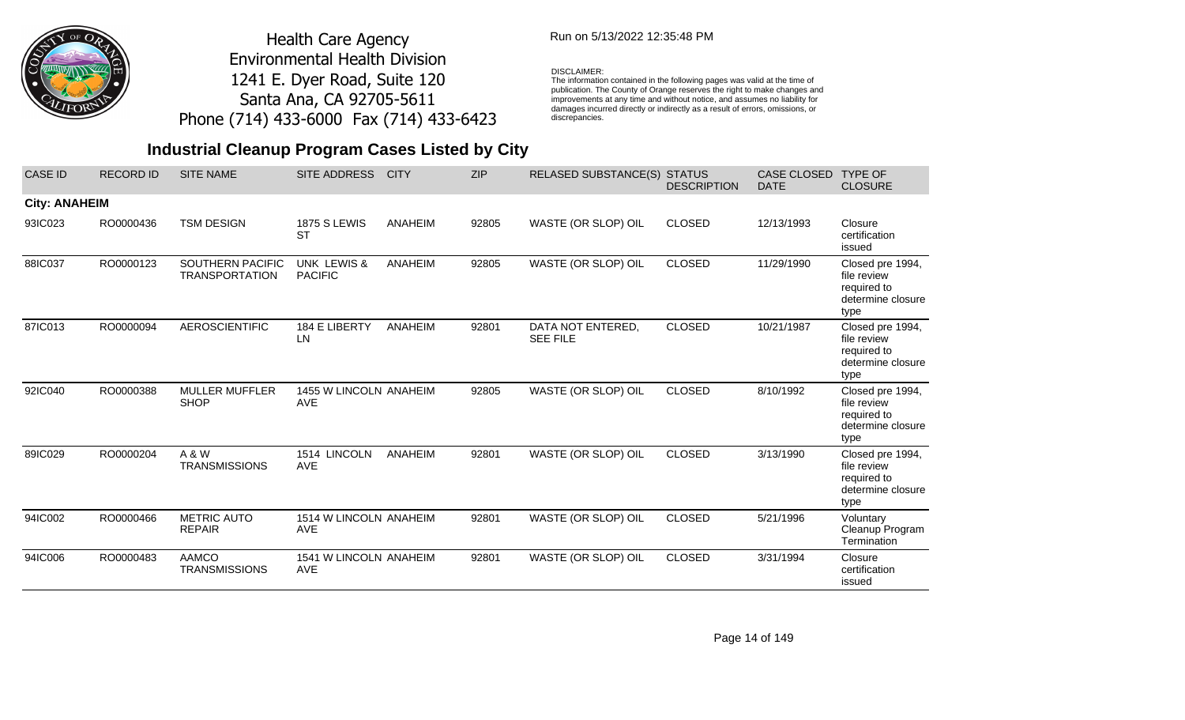

## Run on 5/13/2022 12:35:48 PM

#### DISCLAIMER:

The information contained in the following pages was valid at the time of publication. The County of Orange reserves the right to make changes and improvements at any time and without notice, and assumes no liability for damages incurred directly or indirectly as a result of errors, omissions, or discrepancies.

| <b>CASE ID</b>       | <b>RECORD ID</b> | <b>SITE NAME</b>                          | SITE ADDRESS                             | <b>CITY</b>    | <b>ZIP</b> | <b>RELASED SUBSTANCE(S)</b>          | <b>STATUS</b><br><b>DESCRIPTION</b> | <b>CASE CLOSED</b><br><b>DATE</b> | <b>TYPE OF</b><br><b>CLOSURE</b>                                            |
|----------------------|------------------|-------------------------------------------|------------------------------------------|----------------|------------|--------------------------------------|-------------------------------------|-----------------------------------|-----------------------------------------------------------------------------|
| <b>City: ANAHEIM</b> |                  |                                           |                                          |                |            |                                      |                                     |                                   |                                                                             |
| 93IC023              | RO0000436        | <b>TSM DESIGN</b>                         | <b>1875 S LEWIS</b><br>ST                | ANAHEIM        | 92805      | WASTE (OR SLOP) OIL                  | <b>CLOSED</b>                       | 12/13/1993                        | Closure<br>certification<br>issued                                          |
| 88IC037              | RO0000123        | SOUTHERN PACIFIC<br><b>TRANSPORTATION</b> | <b>UNK LEWIS &amp;</b><br><b>PACIFIC</b> | <b>ANAHEIM</b> | 92805      | WASTE (OR SLOP) OIL                  | <b>CLOSED</b>                       | 11/29/1990                        | Closed pre 1994,<br>file review<br>required to<br>determine closure<br>type |
| 87IC013              | RO0000094        | <b>AEROSCIENTIFIC</b>                     | 184 E LIBERTY<br>LN.                     | ANAHEIM        | 92801      | DATA NOT ENTERED,<br><b>SEE FILE</b> | <b>CLOSED</b>                       | 10/21/1987                        | Closed pre 1994,<br>file review<br>required to<br>determine closure<br>type |
| 92IC040              | RO0000388        | <b>MULLER MUFFLER</b><br><b>SHOP</b>      | 1455 W LINCOLN ANAHEIM<br><b>AVE</b>     |                | 92805      | WASTE (OR SLOP) OIL                  | <b>CLOSED</b>                       | 8/10/1992                         | Closed pre 1994,<br>file review<br>required to<br>determine closure<br>type |
| 89IC029              | RO0000204        | A & W<br><b>TRANSMISSIONS</b>             | 1514 LINCOLN<br><b>AVE</b>               | ANAHEIM        | 92801      | WASTE (OR SLOP) OIL                  | <b>CLOSED</b>                       | 3/13/1990                         | Closed pre 1994,<br>file review<br>required to<br>determine closure<br>type |
| 94IC002              | RO0000466        | <b>METRIC AUTO</b><br><b>REPAIR</b>       | 1514 W LINCOLN ANAHEIM<br><b>AVE</b>     |                | 92801      | WASTE (OR SLOP) OIL                  | <b>CLOSED</b>                       | 5/21/1996                         | Voluntary<br>Cleanup Program<br>Termination                                 |
| 94IC006              | RO0000483        | <b>AAMCO</b><br><b>TRANSMISSIONS</b>      | 1541 W LINCOLN ANAHEIM<br><b>AVE</b>     |                | 92801      | WASTE (OR SLOP) OIL                  | <b>CLOSED</b>                       | 3/31/1994                         | Closure<br>certification<br>issued                                          |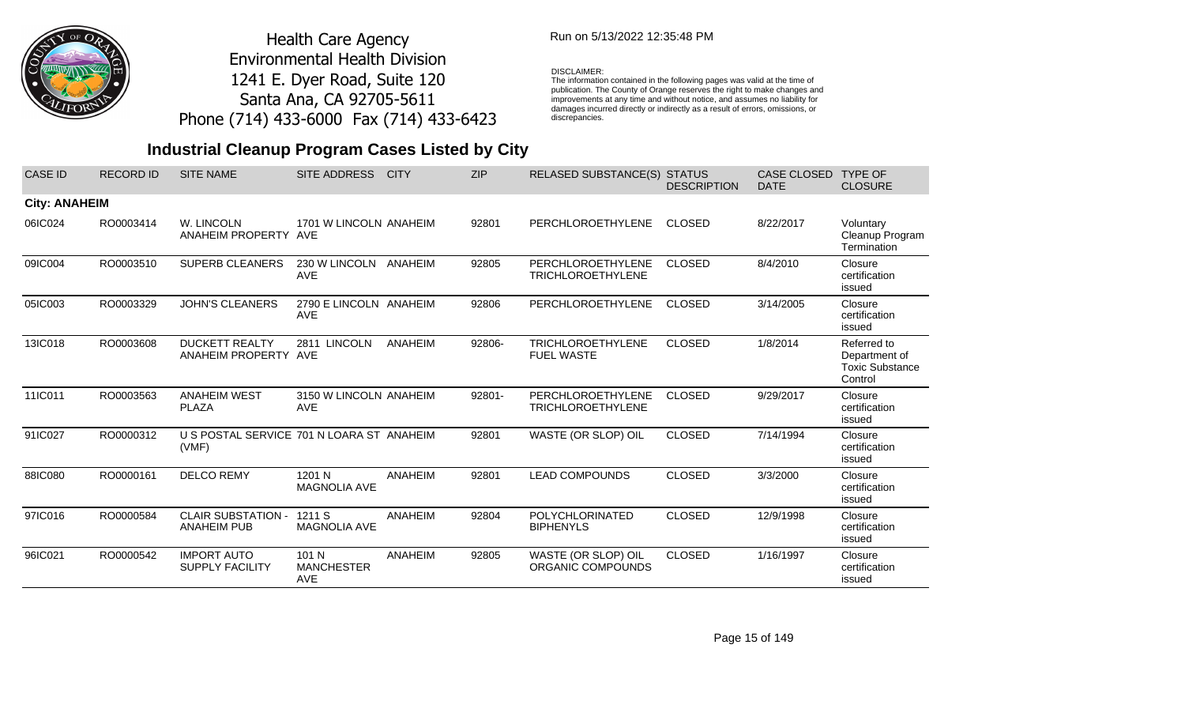

## Run on 5/13/2022 12:35:48 PM

#### DISCLAIMER:

The information contained in the following pages was valid at the time of publication. The County of Orange reserves the right to make changes and improvements at any time and without notice, and assumes no liability for damages incurred directly or indirectly as a result of errors, omissions, or discrepancies.

# **Industrial Cleanup Program Cases Listed by City**

| <b>CASE ID</b>       | <b>RECORD ID</b> | <b>SITE NAME</b>                                   | <b>SITE ADDRESS</b>                      | <b>CITY</b> | <b>ZIP</b> | <b>RELASED SUBSTANCE(S)</b>                   | <b>STATUS</b><br><b>DESCRIPTION</b> | <b>CASE CLOSED</b><br><b>DATE</b> | <b>TYPE OF</b><br><b>CLOSURE</b>                                  |
|----------------------|------------------|----------------------------------------------------|------------------------------------------|-------------|------------|-----------------------------------------------|-------------------------------------|-----------------------------------|-------------------------------------------------------------------|
| <b>City: ANAHEIM</b> |                  |                                                    |                                          |             |            |                                               |                                     |                                   |                                                                   |
| 06IC024              | RO0003414        | W. LINCOLN<br>ANAHEIM PROPERTY AVE                 | 1701 W LINCOLN ANAHEIM                   |             | 92801      | <b>PERCHLOROETHYLENE</b>                      | <b>CLOSED</b>                       | 8/22/2017                         | Voluntary<br>Cleanup Program<br>Termination                       |
| 09IC004              | RO0003510        | SUPERB CLEANERS                                    | 230 W LINCOLN<br><b>AVE</b>              | ANAHEIM     | 92805      | PERCHLOROETHYLENE<br><b>TRICHLOROETHYLENE</b> | <b>CLOSED</b>                       | 8/4/2010                          | Closure<br>certification<br>issued                                |
| 05IC003              | RO0003329        | <b>JOHN'S CLEANERS</b>                             | 2790 E LINCOLN ANAHEIM<br><b>AVE</b>     |             | 92806      | PERCHLOROETHYLENE                             | <b>CLOSED</b>                       | 3/14/2005                         | Closure<br>certification<br>issued                                |
| 13IC018              | RO0003608        | <b>DUCKETT REALTY</b><br>ANAHEIM PROPERTY AVE      | 2811 LINCOLN                             | ANAHEIM     | 92806-     | <b>TRICHLOROETHYLENE</b><br><b>FUEL WASTE</b> | <b>CLOSED</b>                       | 1/8/2014                          | Referred to<br>Department of<br><b>Toxic Substance</b><br>Control |
| 11IC011              | RO0003563        | <b>ANAHEIM WEST</b><br><b>PLAZA</b>                | 3150 W LINCOLN ANAHEIM<br><b>AVE</b>     |             | 92801-     | PERCHLOROETHYLENE<br><b>TRICHLOROETHYLENE</b> | <b>CLOSED</b>                       | 9/29/2017                         | Closure<br>certification<br>issued                                |
| 91IC027              | RO0000312        | U S POSTAL SERVICE 701 N LOARA ST ANAHEIM<br>(VMF) |                                          |             | 92801      | WASTE (OR SLOP) OIL                           | <b>CLOSED</b>                       | 7/14/1994                         | Closure<br>certification<br>issued                                |
| 88IC080              | RO0000161        | <b>DELCO REMY</b>                                  | 1201 N<br><b>MAGNOLIA AVE</b>            | ANAHEIM     | 92801      | <b>LEAD COMPOUNDS</b>                         | <b>CLOSED</b>                       | 3/3/2000                          | Closure<br>certification<br>issued                                |
| 97IC016              | RO0000584        | <b>CLAIR SUBSTATION -</b><br><b>ANAHEIM PUB</b>    | 1211 S<br><b>MAGNOLIA AVE</b>            | ANAHEIM     | 92804      | <b>POLYCHLORINATED</b><br><b>BIPHENYLS</b>    | <b>CLOSED</b>                       | 12/9/1998                         | Closure<br>certification<br>issued                                |
| 96IC021              | RO0000542        | <b>IMPORT AUTO</b><br><b>SUPPLY FACILITY</b>       | 101 N<br><b>MANCHESTER</b><br><b>AVE</b> | ANAHEIM     | 92805      | WASTE (OR SLOP) OIL<br>ORGANIC COMPOUNDS      | <b>CLOSED</b>                       | 1/16/1997                         | Closure<br>certification<br>issued                                |

Page 15 of 149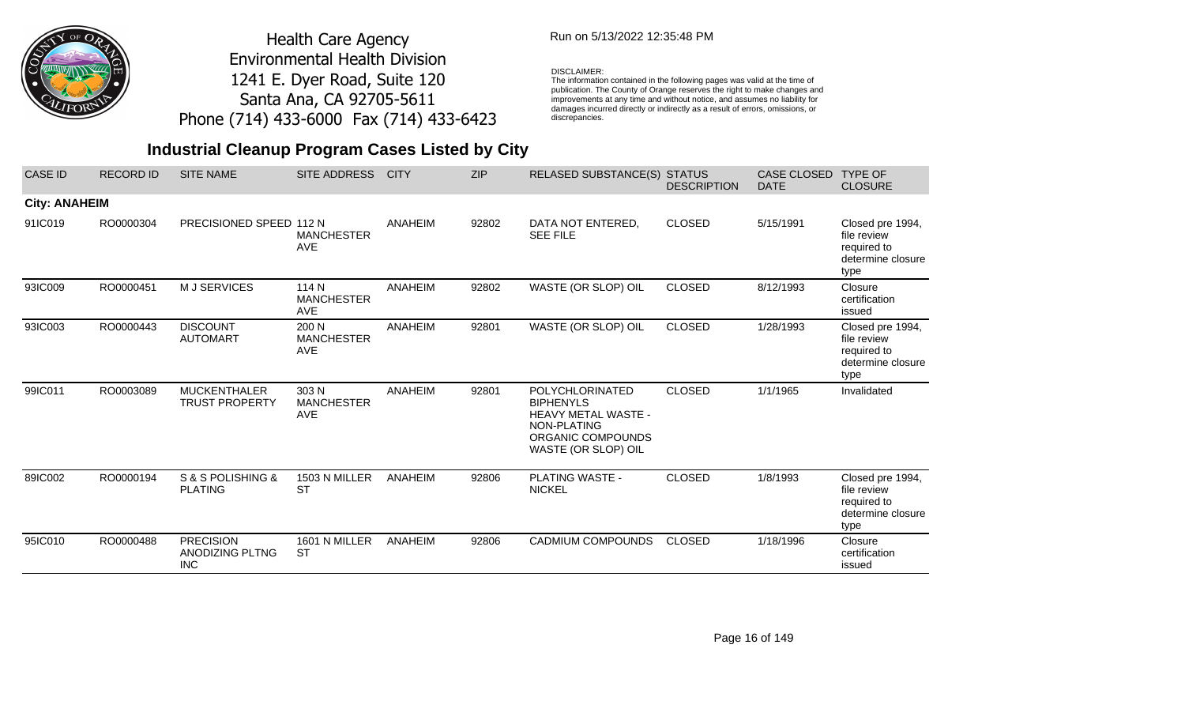

## Run on 5/13/2022 12:35:48 PM

#### DISCLAIMER:

The information contained in the following pages was valid at the time of publication. The County of Orange reserves the right to make changes and improvements at any time and without notice, and assumes no liability for damages incurred directly or indirectly as a result of errors, omissions, or discrepancies.

| <b>CASE ID</b>       | <b>RECORD ID</b> | <b>SITE NAME</b>                                  | <b>SITE ADDRESS</b>                      | <b>CITY</b> | <b>ZIP</b> | <b>RELASED SUBSTANCE(S) STATUS</b>                                                                                           | <b>DESCRIPTION</b> | <b>CASE CLOSED</b><br><b>DATE</b> | <b>TYPE OF</b><br><b>CLOSURE</b>                                            |
|----------------------|------------------|---------------------------------------------------|------------------------------------------|-------------|------------|------------------------------------------------------------------------------------------------------------------------------|--------------------|-----------------------------------|-----------------------------------------------------------------------------|
| <b>City: ANAHEIM</b> |                  |                                                   |                                          |             |            |                                                                                                                              |                    |                                   |                                                                             |
| 91IC019              | RO0000304        | PRECISIONED SPEED 112 N                           | <b>MANCHESTER</b><br><b>AVE</b>          | ANAHEIM     | 92802      | DATA NOT ENTERED,<br><b>SEE FILE</b>                                                                                         | <b>CLOSED</b>      | 5/15/1991                         | Closed pre 1994,<br>file review<br>required to<br>determine closure<br>type |
| 93IC009              | RO0000451        | M J SERVICES                                      | 114 N<br><b>MANCHESTER</b><br><b>AVE</b> | ANAHEIM     | 92802      | WASTE (OR SLOP) OIL                                                                                                          | <b>CLOSED</b>      | 8/12/1993                         | Closure<br>certification<br>issued                                          |
| 93IC003              | RO0000443        | <b>DISCOUNT</b><br><b>AUTOMART</b>                | 200 N<br><b>MANCHESTER</b><br>AVE        | ANAHEIM     | 92801      | WASTE (OR SLOP) OIL                                                                                                          | <b>CLOSED</b>      | 1/28/1993                         | Closed pre 1994,<br>file review<br>required to<br>determine closure<br>type |
| 99IC011              | RO0003089        | <b>MUCKENTHALER</b><br><b>TRUST PROPERTY</b>      | 303 N<br><b>MANCHESTER</b><br>AVE        | ANAHEIM     | 92801      | <b>POLYCHLORINATED</b><br><b>BIPHENYLS</b><br>HEAVY METAL WASTE -<br>NON-PLATING<br>ORGANIC COMPOUNDS<br>WASTE (OR SLOP) OIL | <b>CLOSED</b>      | 1/1/1965                          | Invalidated                                                                 |
| 89IC002              | RO0000194        | S & S POLISHING &<br><b>PLATING</b>               | 1503 N MILLER<br><b>ST</b>               | ANAHEIM     | 92806      | <b>PLATING WASTE -</b><br><b>NICKEL</b>                                                                                      | <b>CLOSED</b>      | 1/8/1993                          | Closed pre 1994,<br>file review<br>required to<br>determine closure<br>type |
| 95IC010              | RO0000488        | <b>PRECISION</b><br>ANODIZING PLTNG<br><b>INC</b> | 1601 N MILLER<br><b>ST</b>               | ANAHEIM     | 92806      | <b>CADMIUM COMPOUNDS</b>                                                                                                     | <b>CLOSED</b>      | 1/18/1996                         | Closure<br>certification<br>issued                                          |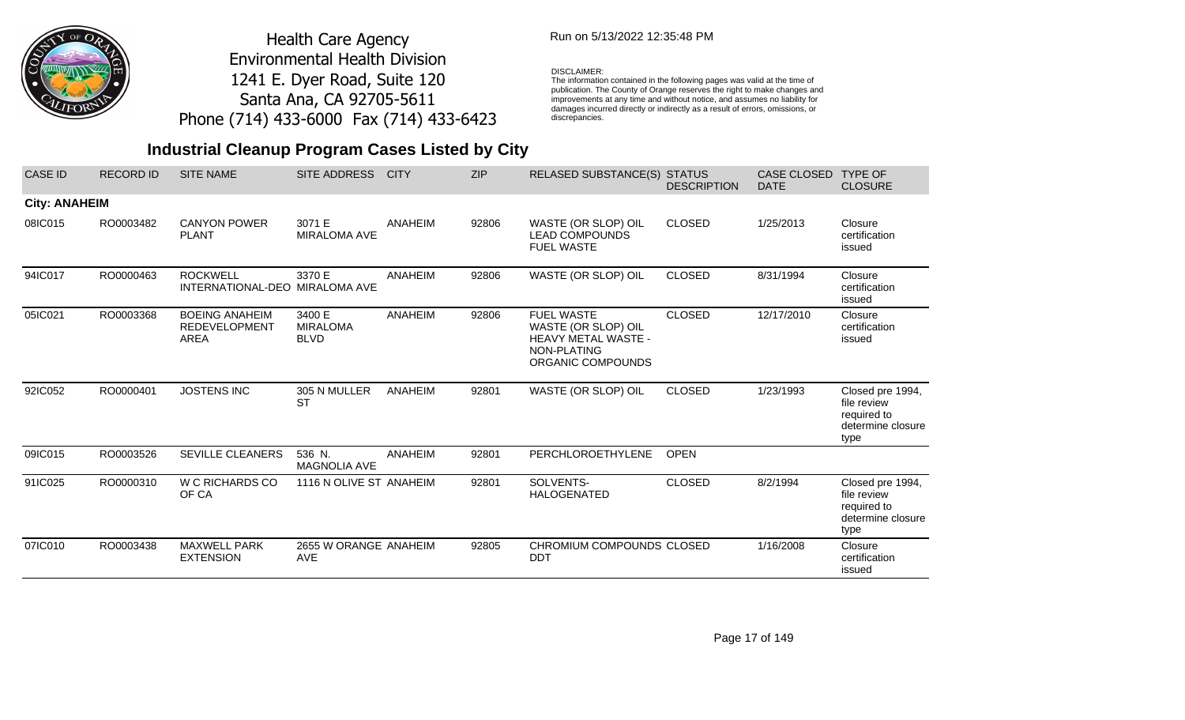

## Run on 5/13/2022 12:35:48 PM

#### DISCLAIMER:

The information contained in the following pages was valid at the time of publication. The County of Orange reserves the right to make changes and improvements at any time and without notice, and assumes no liability for damages incurred directly or indirectly as a result of errors, omissions, or discrepancies.

| <b>CASE ID</b>       | <b>RECORD ID</b> | <b>SITE NAME</b>                                             | SITE ADDRESS                             | <b>CITY</b> | <b>ZIP</b> | <b>RELASED SUBSTANCE(S) STATUS</b>                                                                         | <b>DESCRIPTION</b> | <b>CASE CLOSED</b><br><b>DATE</b> | <b>TYPE OF</b><br><b>CLOSURE</b>                                            |
|----------------------|------------------|--------------------------------------------------------------|------------------------------------------|-------------|------------|------------------------------------------------------------------------------------------------------------|--------------------|-----------------------------------|-----------------------------------------------------------------------------|
| <b>City: ANAHEIM</b> |                  |                                                              |                                          |             |            |                                                                                                            |                    |                                   |                                                                             |
| 08IC015              | RO0003482        | <b>CANYON POWER</b><br><b>PLANT</b>                          | 3071 E<br>MIRALOMA AVE                   | ANAHEIM     | 92806      | WASTE (OR SLOP) OIL<br><b>LEAD COMPOUNDS</b><br><b>FUEL WASTE</b>                                          | <b>CLOSED</b>      | 1/25/2013                         | Closure<br>certification<br>issued                                          |
| 94IC017              | RO0000463        | <b>ROCKWELL</b><br>INTERNATIONAL-DEO                         | 3370 E<br><b>MIRALOMA AVE</b>            | ANAHEIM     | 92806      | WASTE (OR SLOP) OIL                                                                                        | <b>CLOSED</b>      | 8/31/1994                         | Closure<br>certification<br>issued                                          |
| 05IC021              | RO0003368        | <b>BOEING ANAHEIM</b><br><b>REDEVELOPMENT</b><br><b>AREA</b> | 3400 E<br><b>MIRALOMA</b><br><b>BLVD</b> | ANAHEIM     | 92806      | <b>FUEL WASTE</b><br>WASTE (OR SLOP) OIL<br><b>HEAVY METAL WASTE -</b><br>NON-PLATING<br>ORGANIC COMPOUNDS | <b>CLOSED</b>      | 12/17/2010                        | Closure<br>certification<br>issued                                          |
| 92IC052              | RO0000401        | <b>JOSTENS INC</b>                                           | 305 N MULLER<br><b>ST</b>                | ANAHEIM     | 92801      | WASTE (OR SLOP) OIL                                                                                        | <b>CLOSED</b>      | 1/23/1993                         | Closed pre 1994,<br>file review<br>required to<br>determine closure<br>type |
| 09IC015              | RO0003526        | <b>SEVILLE CLEANERS</b>                                      | 536 N.<br><b>MAGNOLIA AVE</b>            | ANAHEIM     | 92801      | PERCHLOROETHYLENE                                                                                          | <b>OPEN</b>        |                                   |                                                                             |
| 91IC025              | RO0000310        | W C RICHARDS CO<br>OF CA                                     | 1116 N OLIVE ST ANAHEIM                  |             | 92801      | SOLVENTS-<br><b>HALOGENATED</b>                                                                            | <b>CLOSED</b>      | 8/2/1994                          | Closed pre 1994,<br>file review<br>required to<br>determine closure<br>type |
| 07IC010              | RO0003438        | <b>MAXWELL PARK</b><br><b>EXTENSION</b>                      | 2655 W ORANGE ANAHEIM<br><b>AVE</b>      |             | 92805      | CHROMIUM COMPOUNDS CLOSED<br><b>DDT</b>                                                                    |                    | 1/16/2008                         | Closure<br>certification<br>issued                                          |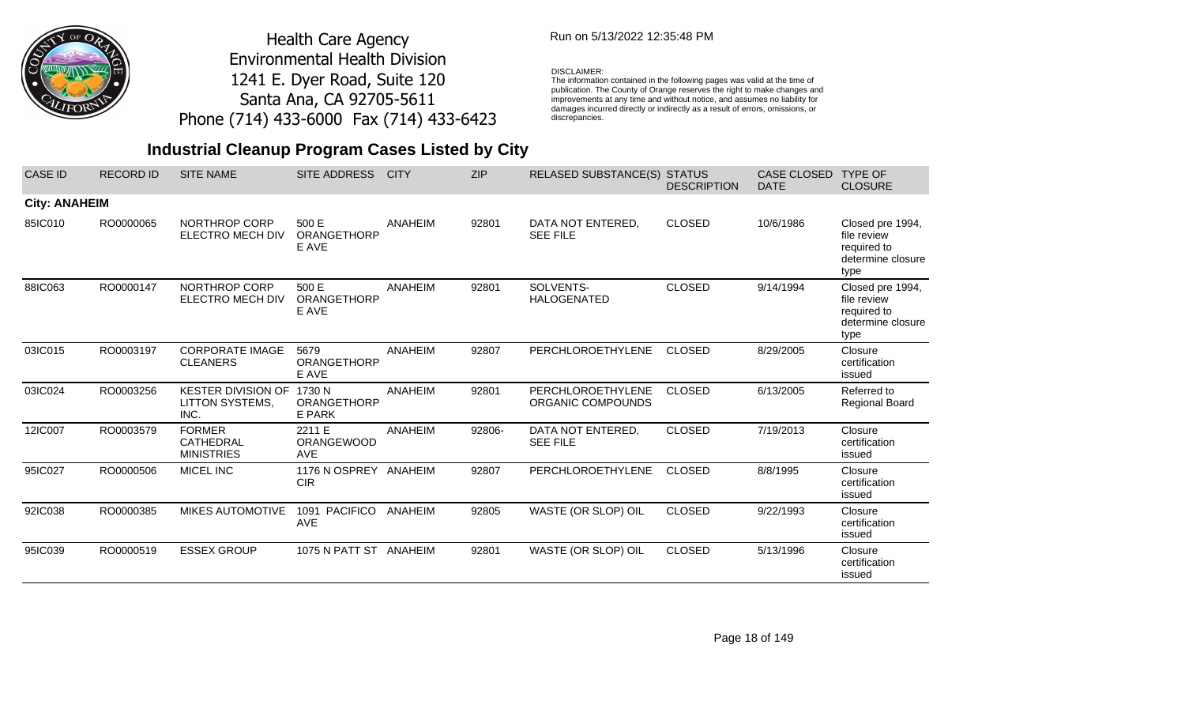

## Run on 5/13/2022 12:35:48 PM

#### DISCLAIMER:

The information contained in the following pages was valid at the time of publication. The County of Orange reserves the right to make changes and improvements at any time and without notice, and assumes no liability for damages incurred directly or indirectly as a result of errors, omissions, or discrepancies.

| <b>CASE ID</b>       | <b>RECORD ID</b> | <b>SITE NAME</b>                                            | <b>SITE ADDRESS</b>                    | <b>CITY</b>    | <b>ZIP</b> | <b>RELASED SUBSTANCE(S)</b>            | <b>STATUS</b><br><b>DESCRIPTION</b> | <b>CASE CLOSED</b><br><b>DATE</b> | <b>TYPE OF</b><br><b>CLOSURE</b>                                            |
|----------------------|------------------|-------------------------------------------------------------|----------------------------------------|----------------|------------|----------------------------------------|-------------------------------------|-----------------------------------|-----------------------------------------------------------------------------|
| <b>City: ANAHEIM</b> |                  |                                                             |                                        |                |            |                                        |                                     |                                   |                                                                             |
| 85IC010              | RO0000065        | NORTHROP CORP<br>ELECTRO MECH DIV                           | 500 E<br><b>ORANGETHORP</b><br>E AVE   | ANAHEIM        | 92801      | DATA NOT ENTERED,<br><b>SEE FILE</b>   | <b>CLOSED</b>                       | 10/6/1986                         | Closed pre 1994,<br>file review<br>required to<br>determine closure<br>type |
| 88IC063              | RO0000147        | NORTHROP CORP<br>ELECTRO MECH DIV                           | 500 E<br>ORANGETHORP<br>E AVE          | <b>ANAHEIM</b> | 92801      | SOLVENTS-<br><b>HALOGENATED</b>        | <b>CLOSED</b>                       | 9/14/1994                         | Closed pre 1994,<br>file review<br>required to<br>determine closure<br>type |
| 03IC015              | RO0003197        | <b>CORPORATE IMAGE</b><br><b>CLEANERS</b>                   | 5679<br><b>ORANGETHORP</b><br>E AVE    | <b>ANAHEIM</b> | 92807      | PERCHLOROETHYLENE                      | <b>CLOSED</b>                       | 8/29/2005                         | Closure<br>certification<br>issued                                          |
| 03IC024              | RO0003256        | <b>KESTER DIVISION OF</b><br><b>LITTON SYSTEMS,</b><br>INC. | 1730 N<br><b>ORANGETHORP</b><br>E PARK | <b>ANAHEIM</b> | 92801      | PERCHLOROETHYLENE<br>ORGANIC COMPOUNDS | <b>CLOSED</b>                       | 6/13/2005                         | Referred to<br>Regional Board                                               |
| 12IC007              | RO0003579        | <b>FORMER</b><br>CATHEDRAL<br><b>MINISTRIES</b>             | 2211 E<br>ORANGEWOOD<br><b>AVE</b>     | <b>ANAHEIM</b> | 92806-     | DATA NOT ENTERED,<br><b>SEE FILE</b>   | <b>CLOSED</b>                       | 7/19/2013                         | Closure<br>certification<br>issued                                          |
| 95IC027              | RO0000506        | MICEL INC                                                   | 1176 N OSPREY<br><b>CIR</b>            | ANAHEIM        | 92807      | PERCHLOROETHYLENE                      | <b>CLOSED</b>                       | 8/8/1995                          | Closure<br>certification<br>issued                                          |
| 92IC038              | RO0000385        | <b>MIKES AUTOMOTIVE</b>                                     | <b>PACIFICO</b><br>1091<br><b>AVE</b>  | ANAHEIM        | 92805      | WASTE (OR SLOP) OIL                    | <b>CLOSED</b>                       | 9/22/1993                         | Closure<br>certification<br>issued                                          |
| 95IC039              | RO0000519        | <b>ESSEX GROUP</b>                                          | 1075 N PATT ST ANAHEIM                 |                | 92801      | WASTE (OR SLOP) OIL                    | <b>CLOSED</b>                       | 5/13/1996                         | Closure<br>certification<br>issued                                          |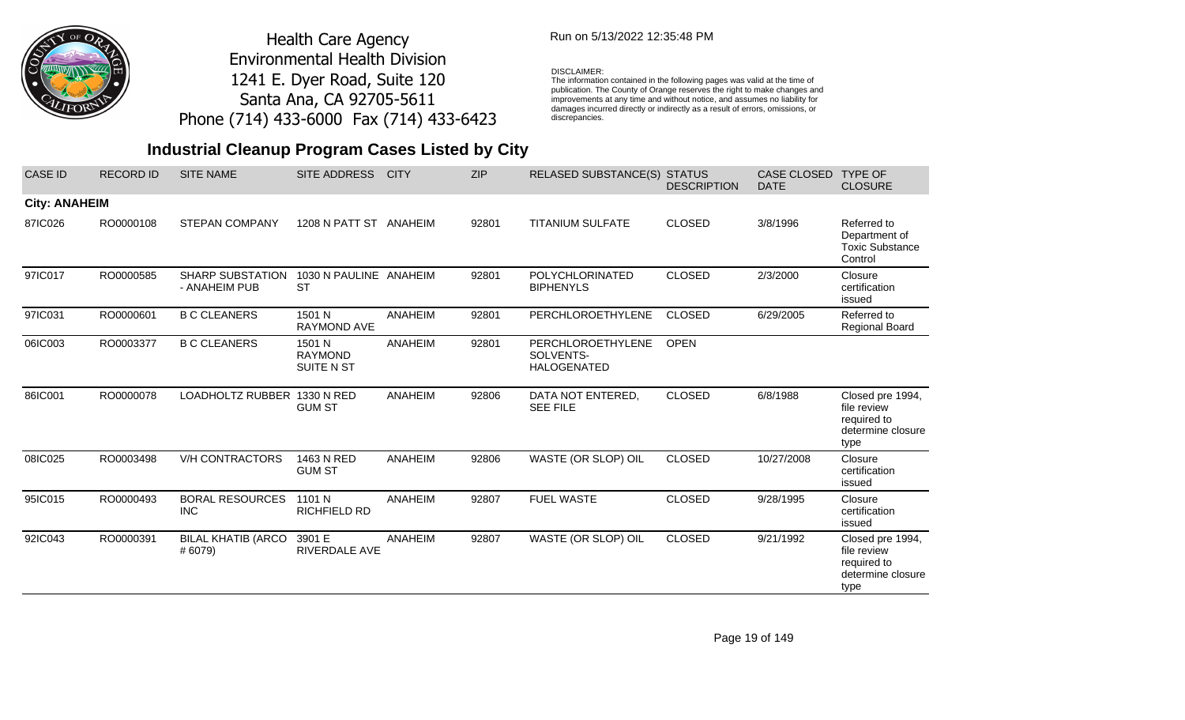

## Run on 5/13/2022 12:35:48 PM

#### DISCLAIMER:

The information contained in the following pages was valid at the time of publication. The County of Orange reserves the right to make changes and improvements at any time and without notice, and assumes no liability for damages incurred directly or indirectly as a result of errors, omissions, or discrepancies.

| <b>CASE ID</b>       | <b>RECORD ID</b> | <b>SITE NAME</b>                         | SITE ADDRESS                           | <b>CITY</b>    | <b>ZIP</b> | <b>RELASED SUBSTANCE(S)</b>                          | <b>STATUS</b><br><b>DESCRIPTION</b> | <b>CASE CLOSED</b><br><b>DATE</b> | <b>TYPE OF</b><br><b>CLOSURE</b>                                            |
|----------------------|------------------|------------------------------------------|----------------------------------------|----------------|------------|------------------------------------------------------|-------------------------------------|-----------------------------------|-----------------------------------------------------------------------------|
| <b>City: ANAHEIM</b> |                  |                                          |                                        |                |            |                                                      |                                     |                                   |                                                                             |
| 87IC026              | RO0000108        | <b>STEPAN COMPANY</b>                    | 1208 N PATT ST ANAHEIM                 |                | 92801      | <b>TITANIUM SULFATE</b>                              | <b>CLOSED</b>                       | 3/8/1996                          | Referred to<br>Department of<br><b>Toxic Substance</b><br>Control           |
| 97IC017              | RO0000585        | <b>SHARP SUBSTATION</b><br>- ANAHEIM PUB | 1030 N PAULINE ANAHEIM<br><b>ST</b>    |                | 92801      | <b>POLYCHLORINATED</b><br><b>BIPHENYLS</b>           | <b>CLOSED</b>                       | 2/3/2000                          | Closure<br>certification<br>issued                                          |
| 97IC031              | RO0000601        | <b>B C CLEANERS</b>                      | 1501 N<br><b>RAYMOND AVE</b>           | ANAHEIM        | 92801      | PERCHLOROETHYLENE                                    | <b>CLOSED</b>                       | 6/29/2005                         | Referred to<br>Regional Board                                               |
| 06IC003              | RO0003377        | <b>B C CLEANERS</b>                      | 1501 N<br><b>RAYMOND</b><br>SUITE N ST | ANAHEIM        | 92801      | PERCHLOROETHYLENE<br>SOLVENTS-<br><b>HALOGENATED</b> | <b>OPEN</b>                         |                                   |                                                                             |
| 86IC001              | RO0000078        | LOADHOLTZ RUBBER 1330 N RED              | <b>GUM ST</b>                          | <b>ANAHEIM</b> | 92806      | DATA NOT ENTERED,<br><b>SEE FILE</b>                 | <b>CLOSED</b>                       | 6/8/1988                          | Closed pre 1994,<br>file review<br>required to<br>determine closure<br>type |
| 08IC025              | RO0003498        | <b>V/H CONTRACTORS</b>                   | 1463 N RED<br><b>GUM ST</b>            | ANAHEIM        | 92806      | WASTE (OR SLOP) OIL                                  | <b>CLOSED</b>                       | 10/27/2008                        | Closure<br>certification<br>issued                                          |
| 95IC015              | RO0000493        | <b>BORAL RESOURCES</b><br><b>INC</b>     | 1101 N<br><b>RICHFIELD RD</b>          | ANAHEIM        | 92807      | <b>FUEL WASTE</b>                                    | <b>CLOSED</b>                       | 9/28/1995                         | Closure<br>certification<br>issued                                          |
| 92IC043              | RO0000391        | <b>BILAL KHATIB (ARCO</b><br># 6079)     | 3901 E<br><b>RIVERDALE AVE</b>         | ANAHEIM        | 92807      | WASTE (OR SLOP) OIL                                  | <b>CLOSED</b>                       | 9/21/1992                         | Closed pre 1994,<br>file review<br>required to<br>determine closure<br>type |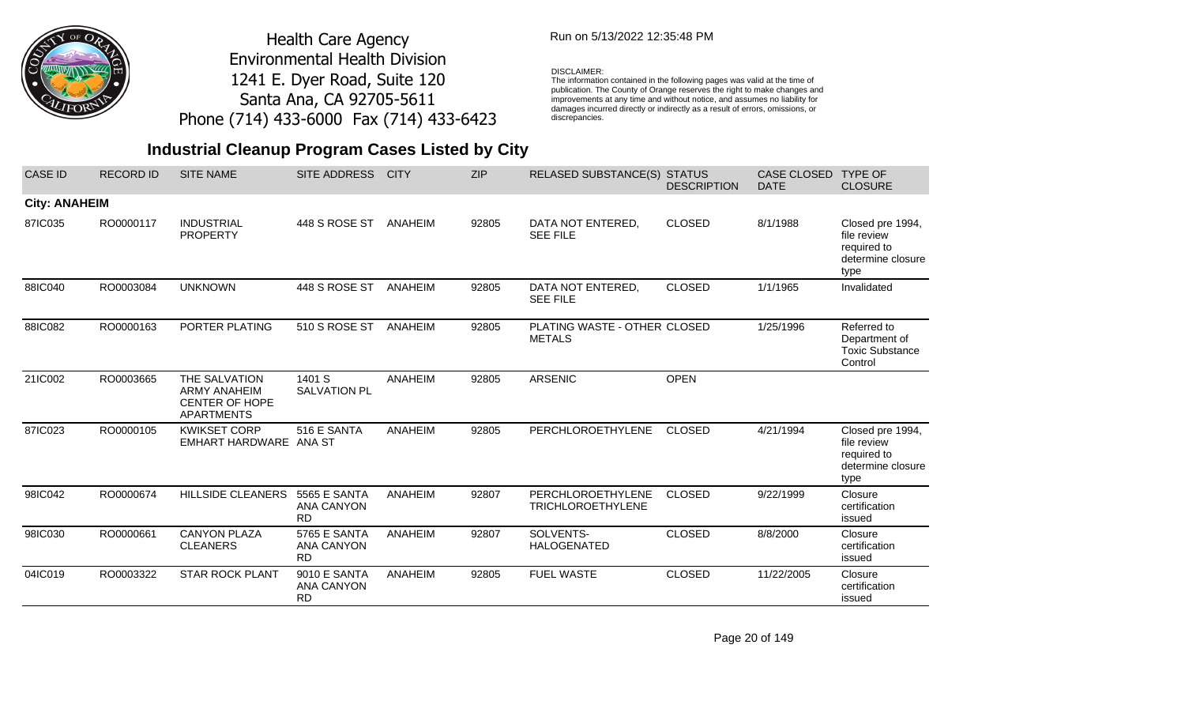

## Run on 5/13/2022 12:35:48 PM

#### DISCLAIMER:

The information contained in the following pages was valid at the time of publication. The County of Orange reserves the right to make changes and improvements at any time and without notice, and assumes no liability for damages incurred directly or indirectly as a result of errors, omissions, or discrepancies.

# **Industrial Cleanup Program Cases Listed by City**

| <b>CASE ID</b>       | <b>RECORD ID</b> | <b>SITE NAME</b>                                                                   | <b>SITE ADDRESS</b>                                   | <b>CITY</b>    | <b>ZIP</b> | <b>RELASED SUBSTANCE(S)</b>                   | <b>STATUS</b><br><b>DESCRIPTION</b> | <b>CASE CLOSED</b><br><b>DATE</b> | <b>TYPE OF</b><br><b>CLOSURE</b>                                            |
|----------------------|------------------|------------------------------------------------------------------------------------|-------------------------------------------------------|----------------|------------|-----------------------------------------------|-------------------------------------|-----------------------------------|-----------------------------------------------------------------------------|
| <b>City: ANAHEIM</b> |                  |                                                                                    |                                                       |                |            |                                               |                                     |                                   |                                                                             |
| 87IC035              | RO0000117        | <b>INDUSTRIAL</b><br><b>PROPERTY</b>                                               | 448 S ROSE ST                                         | ANAHEIM        | 92805      | DATA NOT ENTERED,<br><b>SEE FILE</b>          | <b>CLOSED</b>                       | 8/1/1988                          | Closed pre 1994,<br>file review<br>required to<br>determine closure<br>type |
| 88IC040              | RO0003084        | <b>UNKNOWN</b>                                                                     | 448 S ROSE ST                                         | ANAHEIM        | 92805      | DATA NOT ENTERED.<br><b>SEE FILE</b>          | <b>CLOSED</b>                       | 1/1/1965                          | Invalidated                                                                 |
| 88IC082              | RO0000163        | PORTER PLATING                                                                     | 510 S ROSE ST                                         | ANAHEIM        | 92805      | PLATING WASTE - OTHER CLOSED<br><b>METALS</b> |                                     | 1/25/1996                         | Referred to<br>Department of<br><b>Toxic Substance</b><br>Control           |
| 21IC002              | RO0003665        | THE SALVATION<br><b>ARMY ANAHEIM</b><br><b>CENTER OF HOPE</b><br><b>APARTMENTS</b> | 1401 S<br><b>SALVATION PL</b>                         | <b>ANAHEIM</b> | 92805      | <b>ARSENIC</b>                                | <b>OPEN</b>                         |                                   |                                                                             |
| 87IC023              | RO0000105        | <b>KWIKSET CORP</b><br>EMHART HARDWARE ANA ST                                      | 516 E SANTA                                           | <b>ANAHEIM</b> | 92805      | PERCHLOROETHYLENE                             | <b>CLOSED</b>                       | 4/21/1994                         | Closed pre 1994,<br>file review<br>required to<br>determine closure<br>type |
| 98IC042              | RO0000674        | <b>HILLSIDE CLEANERS</b>                                                           | <b>5565 E SANTA</b><br><b>ANA CANYON</b><br><b>RD</b> | ANAHEIM        | 92807      | PERCHLOROETHYLENE<br><b>TRICHLOROETHYLENE</b> | <b>CLOSED</b>                       | 9/22/1999                         | Closure<br>certification<br>issued                                          |
| 98IC030              | RO0000661        | <b>CANYON PLAZA</b><br><b>CLEANERS</b>                                             | 5765 E SANTA<br><b>ANA CANYON</b><br><b>RD</b>        | <b>ANAHEIM</b> | 92807      | SOLVENTS-<br><b>HALOGENATED</b>               | <b>CLOSED</b>                       | 8/8/2000                          | Closure<br>certification<br>issued                                          |
| 04IC019              | RO0003322        | <b>STAR ROCK PLANT</b>                                                             | 9010 E SANTA<br><b>ANA CANYON</b><br><b>RD</b>        | <b>ANAHEIM</b> | 92805      | <b>FUEL WASTE</b>                             | <b>CLOSED</b>                       | 11/22/2005                        | Closure<br>certification<br>issued                                          |

Page 20 of 149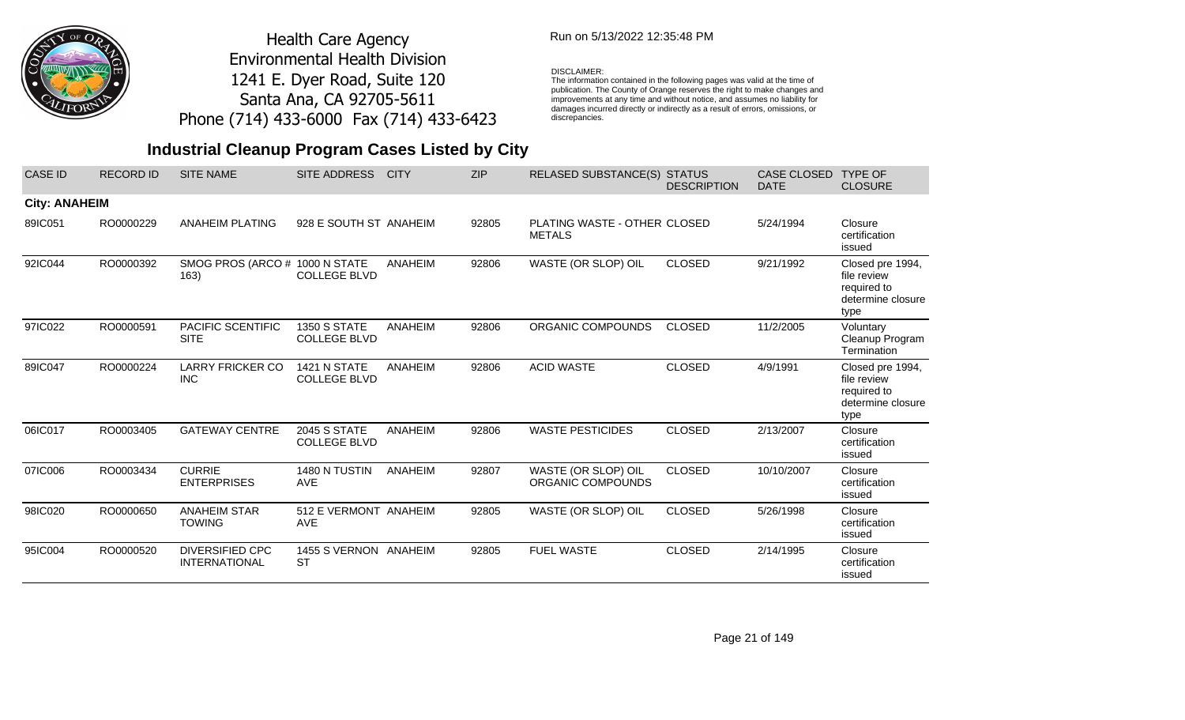

## Run on 5/13/2022 12:35:48 PM

#### DISCLAIMER:

The information contained in the following pages was valid at the time of publication. The County of Orange reserves the right to make changes and improvements at any time and without notice, and assumes no liability for damages incurred directly or indirectly as a result of errors, omissions, or discrepancies.

| <b>CASE ID</b>       | <b>RECORD ID</b> | <b>SITE NAME</b>                               | SITE ADDRESS                               | <b>CITY</b> | <b>ZIP</b> | <b>RELASED SUBSTANCE(S) STATUS</b>            | <b>DESCRIPTION</b> | CASE CLOSED<br><b>DATE</b> | <b>TYPE OF</b><br><b>CLOSURE</b>                                            |
|----------------------|------------------|------------------------------------------------|--------------------------------------------|-------------|------------|-----------------------------------------------|--------------------|----------------------------|-----------------------------------------------------------------------------|
| <b>City: ANAHEIM</b> |                  |                                                |                                            |             |            |                                               |                    |                            |                                                                             |
| 89IC051              | RO0000229        | <b>ANAHEIM PLATING</b>                         | 928 E SOUTH ST ANAHEIM                     |             | 92805      | PLATING WASTE - OTHER CLOSED<br><b>METALS</b> |                    | 5/24/1994                  | Closure<br>certification<br>issued                                          |
| 92IC044              | RO0000392        | SMOG PROS (ARCO # 1000 N STATE<br>163)         | <b>COLLEGE BLVD</b>                        | ANAHEIM     | 92806      | WASTE (OR SLOP) OIL                           | <b>CLOSED</b>      | 9/21/1992                  | Closed pre 1994,<br>file review<br>required to<br>determine closure<br>type |
| 97IC022              | RO0000591        | PACIFIC SCENTIFIC<br><b>SITE</b>               | <b>1350 S STATE</b><br><b>COLLEGE BLVD</b> | ANAHEIM     | 92806      | ORGANIC COMPOUNDS                             | <b>CLOSED</b>      | 11/2/2005                  | Voluntary<br>Cleanup Program<br>Termination                                 |
| 89IC047              | RO0000224        | <b>LARRY FRICKER CO</b><br><b>INC</b>          | 1421 N STATE<br><b>COLLEGE BLVD</b>        | ANAHEIM     | 92806      | <b>ACID WASTE</b>                             | <b>CLOSED</b>      | 4/9/1991                   | Closed pre 1994,<br>file review<br>required to<br>determine closure<br>type |
| 06IC017              | RO0003405        | <b>GATEWAY CENTRE</b>                          | <b>2045 S STATE</b><br><b>COLLEGE BLVD</b> | ANAHEIM     | 92806      | <b>WASTE PESTICIDES</b>                       | <b>CLOSED</b>      | 2/13/2007                  | Closure<br>certification<br>issued                                          |
| 07IC006              | RO0003434        | <b>CURRIE</b><br><b>ENTERPRISES</b>            | 1480 N TUSTIN<br><b>AVE</b>                | ANAHEIM     | 92807      | WASTE (OR SLOP) OIL<br>ORGANIC COMPOUNDS      | <b>CLOSED</b>      | 10/10/2007                 | Closure<br>certification<br>issued                                          |
| 98IC020              | RO0000650        | <b>ANAHEIM STAR</b><br><b>TOWING</b>           | 512 E VERMONT ANAHEIM<br><b>AVE</b>        |             | 92805      | WASTE (OR SLOP) OIL                           | <b>CLOSED</b>      | 5/26/1998                  | Closure<br>certification<br>issued                                          |
| 95IC004              | RO0000520        | <b>DIVERSIFIED CPC</b><br><b>INTERNATIONAL</b> | 1455 S VERNON ANAHEIM<br><b>ST</b>         |             | 92805      | <b>FUEL WASTE</b>                             | <b>CLOSED</b>      | 2/14/1995                  | Closure<br>certification<br>issued                                          |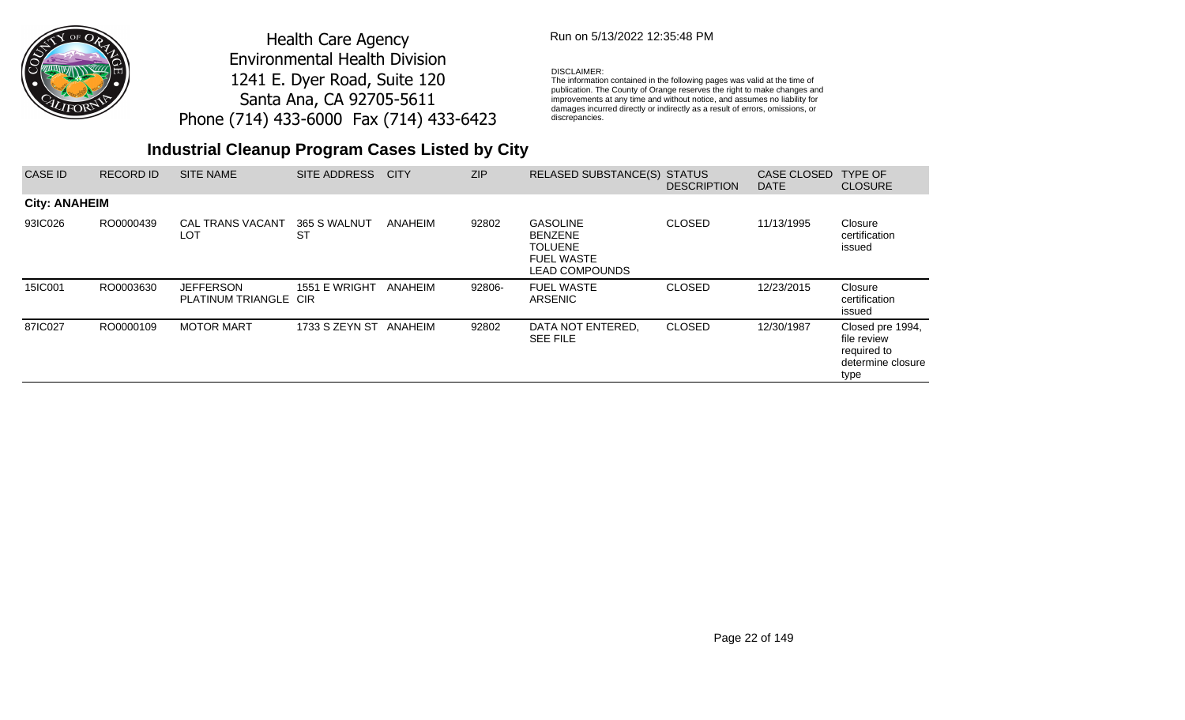

## Run on 5/13/2022 12:35:48 PM

#### DISCLAIMER:

The information contained in the following pages was valid at the time of publication. The County of Orange reserves the right to make changes and improvements at any time and without notice, and assumes no liability for damages incurred directly or indirectly as a result of errors, omissions, or discrepancies.

| CASE ID              | <b>RECORD ID</b> | <b>SITE NAME</b>                          | <b>SITE ADDRESS</b>    | <b>CITY</b> | <b>ZIP</b> | <b>RELASED SUBSTANCE(S)</b>                                                                       | <b>STATUS</b><br><b>DESCRIPTION</b> | CASE CLOSED<br><b>DATE</b> | <b>TYPE OF</b><br><b>CLOSURE</b>                                            |
|----------------------|------------------|-------------------------------------------|------------------------|-------------|------------|---------------------------------------------------------------------------------------------------|-------------------------------------|----------------------------|-----------------------------------------------------------------------------|
| <b>City: ANAHEIM</b> |                  |                                           |                        |             |            |                                                                                                   |                                     |                            |                                                                             |
| 93IC026              | RO0000439        | <b>CAL TRANS VACANT</b><br>LOT            | 365 S WALNUT<br>ST     | ANAHEIM     | 92802      | <b>GASOLINE</b><br><b>BENZENE</b><br><b>TOLUENE</b><br><b>FUEL WASTE</b><br><b>LEAD COMPOUNDS</b> | <b>CLOSED</b>                       | 11/13/1995                 | Closure<br>certification<br>issued                                          |
| 15IC001              | RO0003630        | <b>JEFFERSON</b><br>PLATINUM TRIANGLE CIR | 1551 E WRIGHT          | ANAHEIM     | 92806-     | <b>FUEL WASTE</b><br>ARSENIC                                                                      | <b>CLOSED</b>                       | 12/23/2015                 | Closure<br>certification<br>issued                                          |
| 87IC027              | RO0000109        | <b>MOTOR MART</b>                         | 1733 S ZEYN ST ANAHEIM |             | 92802      | DATA NOT ENTERED,<br><b>SEE FILE</b>                                                              | <b>CLOSED</b>                       | 12/30/1987                 | Closed pre 1994,<br>file review<br>required to<br>determine closure<br>type |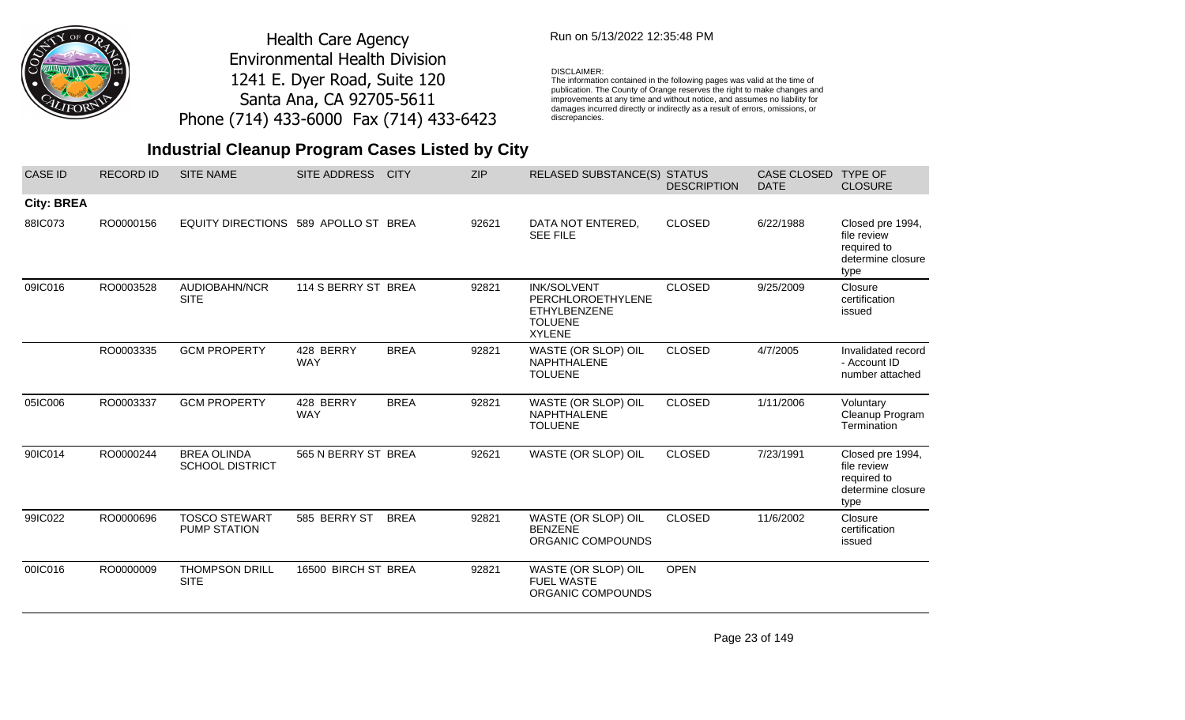

## Run on 5/13/2022 12:35:48 PM

#### DISCLAIMER:

The information contained in the following pages was valid at the time of publication. The County of Orange reserves the right to make changes and improvements at any time and without notice, and assumes no liability for damages incurred directly or indirectly as a result of errors, omissions, or discrepancies.

# **Industrial Cleanup Program Cases Listed by City**

| <b>CASE ID</b>    | <b>RECORD ID</b> | <b>SITE NAME</b>                             | <b>SITE ADDRESS</b>     | <b>CITY</b> | <b>ZIP</b> | <b>RELASED SUBSTANCE(S) STATUS</b>                                                                | <b>DESCRIPTION</b> | <b>CASE CLOSED</b><br><b>DATE</b> | <b>TYPE OF</b><br><b>CLOSURE</b>                                            |
|-------------------|------------------|----------------------------------------------|-------------------------|-------------|------------|---------------------------------------------------------------------------------------------------|--------------------|-----------------------------------|-----------------------------------------------------------------------------|
| <b>City: BREA</b> |                  |                                              |                         |             |            |                                                                                                   |                    |                                   |                                                                             |
| 88IC073           | RO0000156        | EQUITY DIRECTIONS 589 APOLLO ST BREA         |                         |             | 92621      | DATA NOT ENTERED,<br><b>SEE FILE</b>                                                              | <b>CLOSED</b>      | 6/22/1988                         | Closed pre 1994,<br>file review<br>required to<br>determine closure<br>type |
| 09IC016           | RO0003528        | AUDIOBAHN/NCR<br><b>SITE</b>                 | 114 S BERRY ST BREA     |             | 92821      | <b>INK/SOLVENT</b><br>PERCHLOROETHYLENE<br><b>ETHYLBENZENE</b><br><b>TOLUENE</b><br><b>XYLENE</b> | <b>CLOSED</b>      | 9/25/2009                         | Closure<br>certification<br>issued                                          |
|                   | RO0003335        | <b>GCM PROPERTY</b>                          | 428 BERRY<br><b>WAY</b> | <b>BREA</b> | 92821      | WASTE (OR SLOP) OIL<br><b>NAPHTHALENE</b><br><b>TOLUENE</b>                                       | <b>CLOSED</b>      | 4/7/2005                          | Invalidated record<br>- Account ID<br>number attached                       |
| 05IC006           | RO0003337        | <b>GCM PROPERTY</b>                          | 428 BERRY<br><b>WAY</b> | <b>BREA</b> | 92821      | WASTE (OR SLOP) OIL<br>NAPHTHALENE<br><b>TOLUENE</b>                                              | <b>CLOSED</b>      | 1/11/2006                         | Voluntary<br>Cleanup Program<br>Termination                                 |
| 90IC014           | RO0000244        | <b>BREA OLINDA</b><br><b>SCHOOL DISTRICT</b> | 565 N BERRY ST BREA     |             | 92621      | WASTE (OR SLOP) OIL                                                                               | <b>CLOSED</b>      | 7/23/1991                         | Closed pre 1994,<br>file review<br>required to<br>determine closure<br>type |
| 99IC022           | RO0000696        | <b>TOSCO STEWART</b><br><b>PUMP STATION</b>  | 585 BERRY ST            | <b>BREA</b> | 92821      | WASTE (OR SLOP) OIL<br><b>BENZENE</b><br>ORGANIC COMPOUNDS                                        | <b>CLOSED</b>      | 11/6/2002                         | Closure<br>certification<br>issued                                          |
| 00IC016           | RO0000009        | <b>THOMPSON DRILL</b><br><b>SITE</b>         | 16500 BIRCH ST BREA     |             | 92821      | WASTE (OR SLOP) OIL<br><b>FUEL WASTE</b><br>ORGANIC COMPOUNDS                                     | <b>OPEN</b>        |                                   |                                                                             |

Page 23 of 149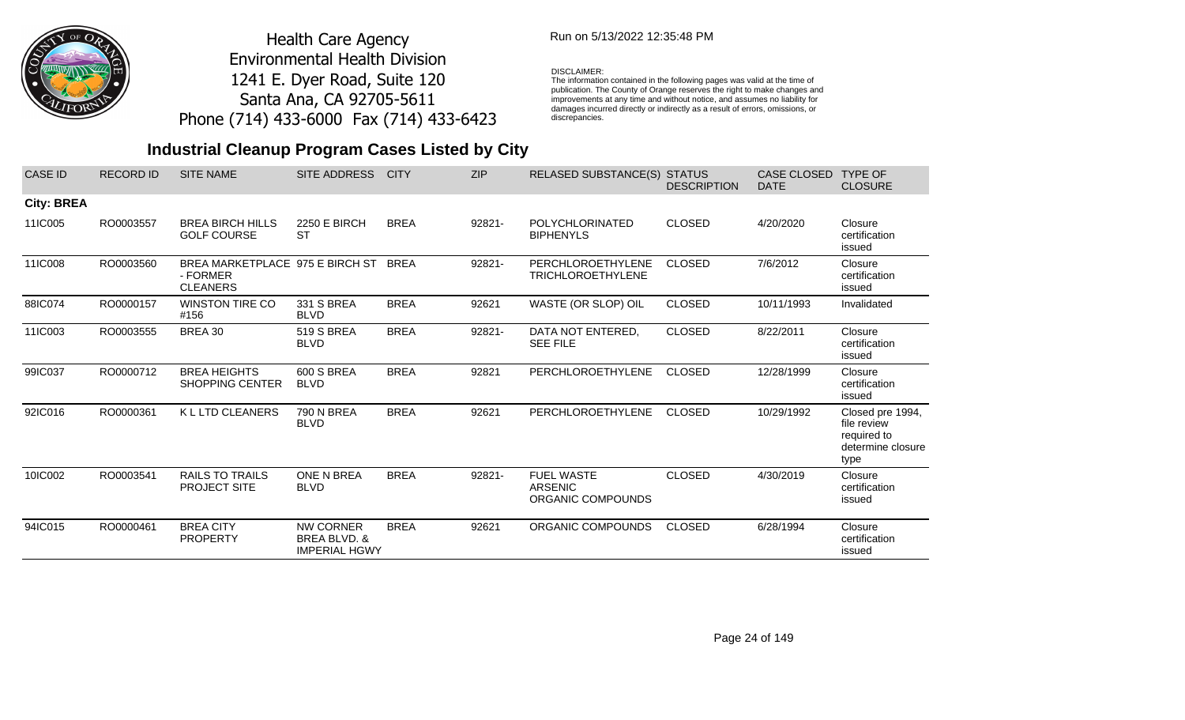

## Run on 5/13/2022 12:35:48 PM

#### DISCLAIMER:

The information contained in the following pages was valid at the time of publication. The County of Orange reserves the right to make changes and improvements at any time and without notice, and assumes no liability for damages incurred directly or indirectly as a result of errors, omissions, or discrepancies.

| <b>CASE ID</b>    | <b>RECORD ID</b> | <b>SITE NAME</b>                                               | <b>SITE ADDRESS</b>                                      | <b>CITY</b> | <b>ZIP</b> | <b>RELASED SUBSTANCE(S)</b>                              | <b>STATUS</b><br><b>DESCRIPTION</b> | <b>CASE CLOSED</b><br><b>DATE</b> | <b>TYPE OF</b><br><b>CLOSURE</b>                                            |
|-------------------|------------------|----------------------------------------------------------------|----------------------------------------------------------|-------------|------------|----------------------------------------------------------|-------------------------------------|-----------------------------------|-----------------------------------------------------------------------------|
| <b>City: BREA</b> |                  |                                                                |                                                          |             |            |                                                          |                                     |                                   |                                                                             |
| 11IC005           | RO0003557        | <b>BREA BIRCH HILLS</b><br><b>GOLF COURSE</b>                  | <b>2250 E BIRCH</b><br><b>ST</b>                         | <b>BREA</b> | 92821-     | <b>POLYCHLORINATED</b><br><b>BIPHENYLS</b>               | <b>CLOSED</b>                       | 4/20/2020                         | Closure<br>certification<br>issued                                          |
| 11IC008           | RO0003560        | BREA MARKETPLACE 975 E BIRCH ST<br>- FORMER<br><b>CLEANERS</b> |                                                          | BREA        | 92821-     | PERCHLOROETHYLENE<br><b>TRICHLOROETHYLENE</b>            | <b>CLOSED</b>                       | 7/6/2012                          | Closure<br>certification<br>issued                                          |
| 88IC074           | RO0000157        | <b>WINSTON TIRE CO</b><br>#156                                 | 331 S BREA<br><b>BLVD</b>                                | <b>BREA</b> | 92621      | WASTE (OR SLOP) OIL                                      | <b>CLOSED</b>                       | 10/11/1993                        | Invalidated                                                                 |
| 11IC003           | RO0003555        | BREA 30                                                        | <b>519 S BREA</b><br><b>BLVD</b>                         | <b>BREA</b> | 92821-     | DATA NOT ENTERED,<br><b>SEE FILE</b>                     | <b>CLOSED</b>                       | 8/22/2011                         | Closure<br>certification<br>issued                                          |
| 99IC037           | RO0000712        | <b>BREA HEIGHTS</b><br><b>SHOPPING CENTER</b>                  | 600 S BREA<br><b>BLVD</b>                                | <b>BREA</b> | 92821      | <b>PERCHLOROETHYLENE</b>                                 | <b>CLOSED</b>                       | 12/28/1999                        | Closure<br>certification<br>issued                                          |
| 92IC016           | RO0000361        | K L LTD CLEANERS                                               | <b>790 N BREA</b><br><b>BLVD</b>                         | <b>BREA</b> | 92621      | PERCHLOROETHYLENE                                        | <b>CLOSED</b>                       | 10/29/1992                        | Closed pre 1994,<br>file review<br>required to<br>determine closure<br>type |
| 10IC002           | RO0003541        | <b>RAILS TO TRAILS</b><br><b>PROJECT SITE</b>                  | ONE N BREA<br><b>BLVD</b>                                | <b>BREA</b> | 92821-     | <b>FUEL WASTE</b><br><b>ARSENIC</b><br>ORGANIC COMPOUNDS | <b>CLOSED</b>                       | 4/30/2019                         | Closure<br>certification<br>issued                                          |
| 94IC015           | RO0000461        | <b>BREA CITY</b><br><b>PROPERTY</b>                            | <b>NW CORNER</b><br>BREA BLVD, &<br><b>IMPERIAL HGWY</b> | <b>BREA</b> | 92621      | ORGANIC COMPOUNDS                                        | <b>CLOSED</b>                       | 6/28/1994                         | Closure<br>certification<br>issued                                          |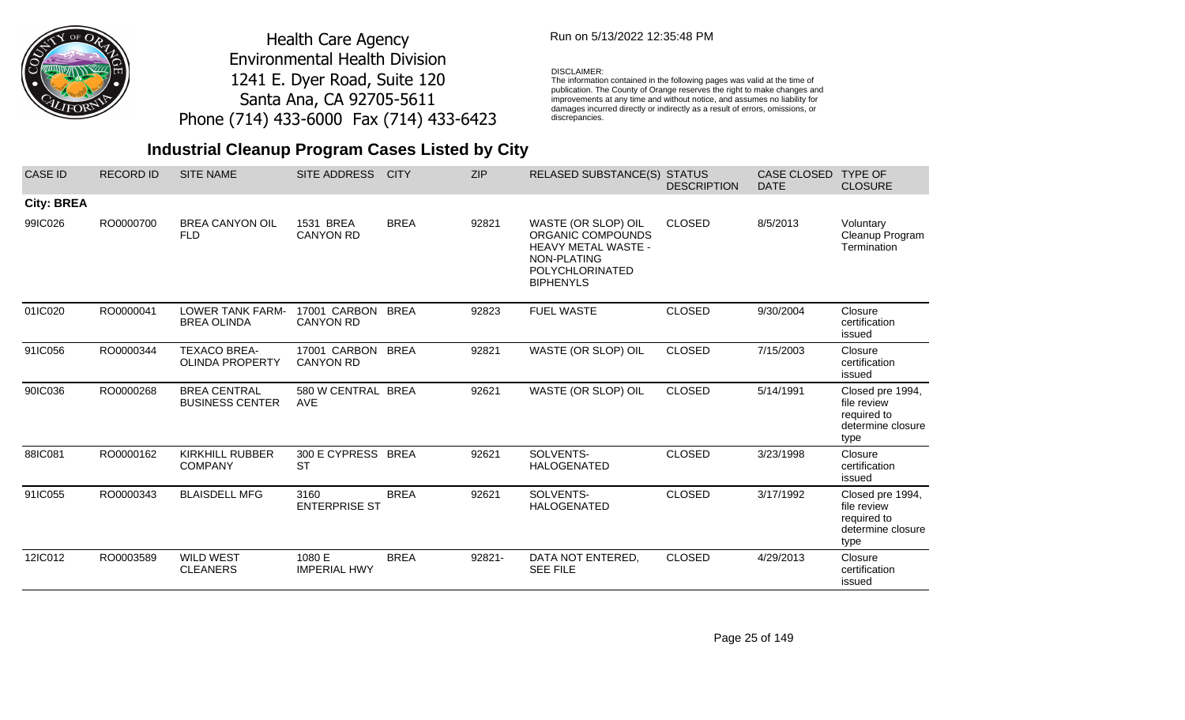

## Run on 5/13/2022 12:35:48 PM

#### DISCLAIMER:

The information contained in the following pages was valid at the time of publication. The County of Orange reserves the right to make changes and improvements at any time and without notice, and assumes no liability for damages incurred directly or indirectly as a result of errors, omissions, or discrepancies.

| <b>CASE ID</b>    | <b>RECORD ID</b> | <b>SITE NAME</b>                              | SITE ADDRESS                     | <b>CITY</b> | <b>ZIP</b> | <b>RELASED SUBSTANCE(S) STATUS</b>                                                                                                  | <b>DESCRIPTION</b> | <b>CASE CLOSED</b><br><b>DATE</b> | <b>TYPE OF</b><br><b>CLOSURE</b>                                            |
|-------------------|------------------|-----------------------------------------------|----------------------------------|-------------|------------|-------------------------------------------------------------------------------------------------------------------------------------|--------------------|-----------------------------------|-----------------------------------------------------------------------------|
| <b>City: BREA</b> |                  |                                               |                                  |             |            |                                                                                                                                     |                    |                                   |                                                                             |
| 99IC026           | RO0000700        | <b>BREA CANYON OIL</b><br><b>FLD</b>          | 1531 BREA<br><b>CANYON RD</b>    | <b>BREA</b> | 92821      | WASTE (OR SLOP) OIL<br>ORGANIC COMPOUNDS<br><b>HEAVY METAL WASTE -</b><br>NON-PLATING<br><b>POLYCHLORINATED</b><br><b>BIPHENYLS</b> | <b>CLOSED</b>      | 8/5/2013                          | Voluntary<br>Cleanup Program<br>Termination                                 |
| 01IC020           | RO0000041        | LOWER TANK FARM-<br><b>BREA OLINDA</b>        | 17001 CARBON<br><b>CANYON RD</b> | <b>BREA</b> | 92823      | <b>FUEL WASTE</b>                                                                                                                   | <b>CLOSED</b>      | 9/30/2004                         | Closure<br>certification<br>issued                                          |
| 91IC056           | RO0000344        | <b>TEXACO BREA-</b><br><b>OLINDA PROPERTY</b> | 17001 CARBON<br><b>CANYON RD</b> | <b>BREA</b> | 92821      | WASTE (OR SLOP) OIL                                                                                                                 | <b>CLOSED</b>      | 7/15/2003                         | Closure<br>certification<br>issued                                          |
| 90IC036           | RO0000268        | <b>BREA CENTRAL</b><br><b>BUSINESS CENTER</b> | 580 W CENTRAL BREA<br><b>AVE</b> |             | 92621      | WASTE (OR SLOP) OIL                                                                                                                 | <b>CLOSED</b>      | 5/14/1991                         | Closed pre 1994,<br>file review<br>required to<br>determine closure<br>type |
| 88IC081           | RO0000162        | <b>KIRKHILL RUBBER</b><br><b>COMPANY</b>      | 300 E CYPRESS BREA<br><b>ST</b>  |             | 92621      | SOLVENTS-<br><b>HALOGENATED</b>                                                                                                     | <b>CLOSED</b>      | 3/23/1998                         | Closure<br>certification<br>issued                                          |
| 91IC055           | RO0000343        | <b>BLAISDELL MFG</b>                          | 3160<br><b>ENTERPRISE ST</b>     | <b>BREA</b> | 92621      | SOLVENTS-<br><b>HALOGENATED</b>                                                                                                     | <b>CLOSED</b>      | 3/17/1992                         | Closed pre 1994,<br>file review<br>required to<br>determine closure<br>type |
| 12IC012           | RO0003589        | <b>WILD WEST</b><br><b>CLEANERS</b>           | 1080 E<br><b>IMPERIAL HWY</b>    | <b>BREA</b> | 92821-     | DATA NOT ENTERED,<br><b>SEE FILE</b>                                                                                                | <b>CLOSED</b>      | 4/29/2013                         | Closure<br>certification<br>issued                                          |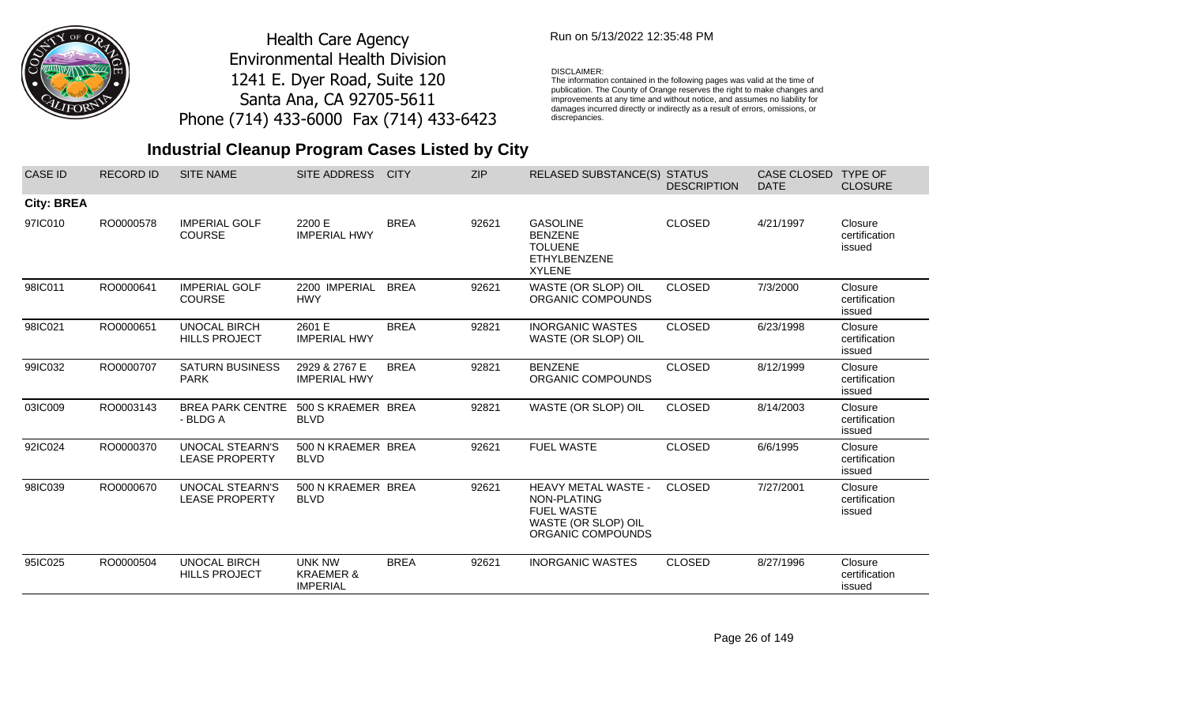

## Run on 5/13/2022 12:35:48 PM

#### DISCLAIMER:

The information contained in the following pages was valid at the time of publication. The County of Orange reserves the right to make changes and improvements at any time and without notice, and assumes no liability for damages incurred directly or indirectly as a result of errors, omissions, or discrepancies.

| <b>CASE ID</b>    | <b>RECORD ID</b> | <b>SITE NAME</b>                                | SITE ADDRESS                                             | <b>CITY</b> | <b>ZIP</b> | <b>RELASED SUBSTANCE(S) STATUS</b>                                                                         | <b>DESCRIPTION</b> | CASE CLOSED<br><b>DATE</b> | <b>TYPE OF</b><br><b>CLOSURE</b>   |
|-------------------|------------------|-------------------------------------------------|----------------------------------------------------------|-------------|------------|------------------------------------------------------------------------------------------------------------|--------------------|----------------------------|------------------------------------|
| <b>City: BREA</b> |                  |                                                 |                                                          |             |            |                                                                                                            |                    |                            |                                    |
| 97IC010           | RO0000578        | <b>IMPERIAL GOLF</b><br><b>COURSE</b>           | 2200 E<br><b>IMPERIAL HWY</b>                            | <b>BREA</b> | 92621      | <b>GASOLINE</b><br><b>BENZENE</b><br><b>TOLUENE</b><br><b>ETHYLBENZENE</b><br><b>XYLENE</b>                | <b>CLOSED</b>      | 4/21/1997                  | Closure<br>certification<br>issued |
| 98IC011           | RO0000641        | <b>IMPERIAL GOLF</b><br><b>COURSE</b>           | 2200 IMPERIAL<br><b>HWY</b>                              | <b>BREA</b> | 92621      | WASTE (OR SLOP) OIL<br>ORGANIC COMPOUNDS                                                                   | <b>CLOSED</b>      | 7/3/2000                   | Closure<br>certification<br>issued |
| 98IC021           | RO0000651        | <b>UNOCAL BIRCH</b><br><b>HILLS PROJECT</b>     | 2601 E<br><b>IMPERIAL HWY</b>                            | <b>BREA</b> | 92821      | <b>INORGANIC WASTES</b><br>WASTE (OR SLOP) OIL                                                             | <b>CLOSED</b>      | 6/23/1998                  | Closure<br>certification<br>issued |
| 99IC032           | RO0000707        | <b>SATURN BUSINESS</b><br><b>PARK</b>           | 2929 & 2767 E<br><b>IMPERIAL HWY</b>                     | <b>BREA</b> | 92821      | <b>BENZENE</b><br>ORGANIC COMPOUNDS                                                                        | <b>CLOSED</b>      | 8/12/1999                  | Closure<br>certification<br>issued |
| 03IC009           | RO0003143        | <b>BREA PARK CENTRE</b><br>- BLDG A             | 500 S KRAEMER BREA<br><b>BLVD</b>                        |             | 92821      | WASTE (OR SLOP) OIL                                                                                        | <b>CLOSED</b>      | 8/14/2003                  | Closure<br>certification<br>issued |
| 92IC024           | RO0000370        | <b>UNOCAL STEARN'S</b><br><b>LEASE PROPERTY</b> | 500 N KRAEMER BREA<br><b>BLVD</b>                        |             | 92621      | <b>FUEL WASTE</b>                                                                                          | <b>CLOSED</b>      | 6/6/1995                   | Closure<br>certification<br>issued |
| 98IC039           | RO0000670        | <b>UNOCAL STEARN'S</b><br><b>LEASE PROPERTY</b> | 500 N KRAEMER BREA<br><b>BLVD</b>                        |             | 92621      | <b>HEAVY METAL WASTE -</b><br>NON-PLATING<br><b>FUEL WASTE</b><br>WASTE (OR SLOP) OIL<br>ORGANIC COMPOUNDS | <b>CLOSED</b>      | 7/27/2001                  | Closure<br>certification<br>issued |
| 95IC025           | RO0000504        | <b>UNOCAL BIRCH</b><br><b>HILLS PROJECT</b>     | <b>UNK NW</b><br><b>KRAEMER &amp;</b><br><b>IMPERIAL</b> | <b>BREA</b> | 92621      | <b>INORGANIC WASTES</b>                                                                                    | <b>CLOSED</b>      | 8/27/1996                  | Closure<br>certification<br>issued |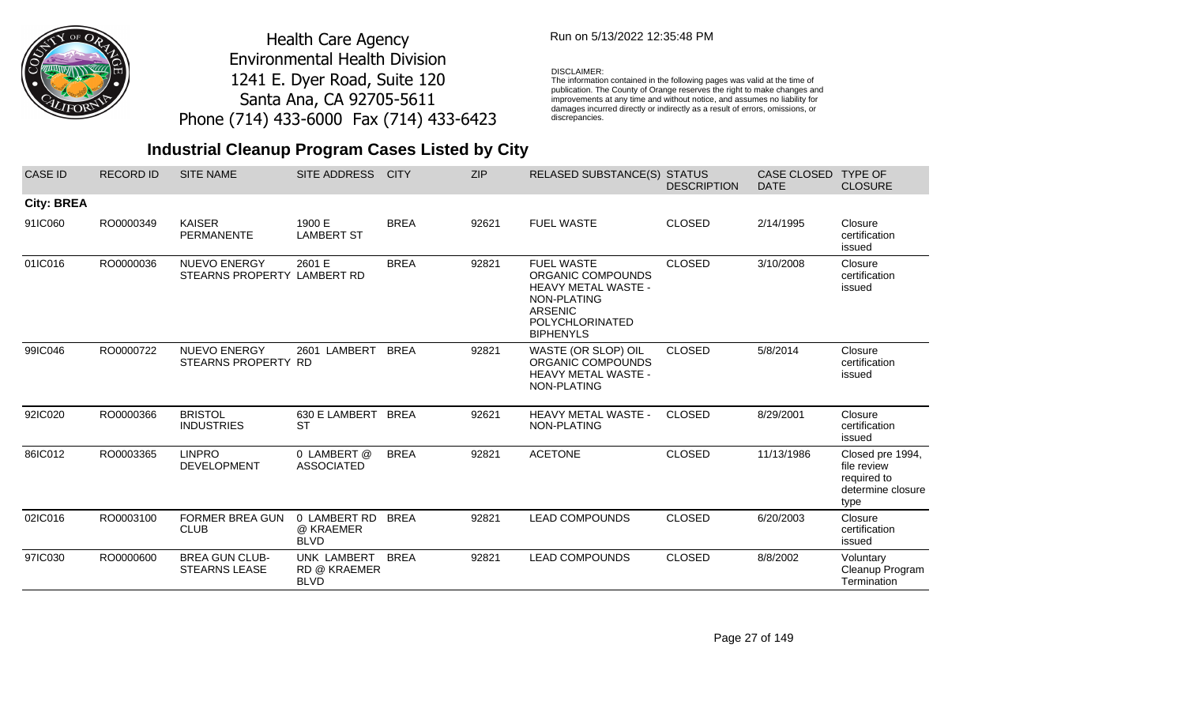

## Run on 5/13/2022 12:35:48 PM

#### DISCLAIMER:

The information contained in the following pages was valid at the time of publication. The County of Orange reserves the right to make changes and improvements at any time and without notice, and assumes no liability for damages incurred directly or indirectly as a result of errors, omissions, or discrepancies.

| <b>CASE ID</b>    | <b>RECORD ID</b> | <b>SITE NAME</b>                                   | SITE ADDRESS                               | <b>CITY</b> | <b>ZIP</b> | RELASED SUBSTANCE(S) STATUS                                                                                                           | <b>DESCRIPTION</b> | CASE CLOSED<br><b>DATE</b> | <b>TYPE OF</b><br><b>CLOSURE</b>                                            |
|-------------------|------------------|----------------------------------------------------|--------------------------------------------|-------------|------------|---------------------------------------------------------------------------------------------------------------------------------------|--------------------|----------------------------|-----------------------------------------------------------------------------|
| <b>City: BREA</b> |                  |                                                    |                                            |             |            |                                                                                                                                       |                    |                            |                                                                             |
| 91IC060           | RO0000349        | <b>KAISER</b><br><b>PERMANENTE</b>                 | 1900 E<br><b>LAMBERT ST</b>                | <b>BREA</b> | 92621      | <b>FUEL WASTE</b>                                                                                                                     | <b>CLOSED</b>      | 2/14/1995                  | Closure<br>certification<br>issued                                          |
| 01IC016           | RO0000036        | <b>NUEVO ENERGY</b><br>STEARNS PROPERTY LAMBERT RD | 2601 E                                     | <b>BREA</b> | 92821      | <b>FUEL WASTE</b><br>ORGANIC COMPOUNDS<br>HEAVY METAL WASTE -<br>NON-PLATING<br>ARSENIC<br><b>POLYCHLORINATED</b><br><b>BIPHENYLS</b> | <b>CLOSED</b>      | 3/10/2008                  | Closure<br>certification<br>issued                                          |
| 99IC046           | RO0000722        | <b>NUEVO ENERGY</b><br>STEARNS PROPERTY RD         | 2601 LAMBERT                               | <b>BREA</b> | 92821      | WASTE (OR SLOP) OIL<br>ORGANIC COMPOUNDS<br>HEAVY METAL WASTE -<br>NON-PLATING                                                        | <b>CLOSED</b>      | 5/8/2014                   | Closure<br>certification<br>issued                                          |
| 92IC020           | RO0000366        | <b>BRISTOL</b><br><b>INDUSTRIES</b>                | 630 E LAMBERT BREA<br><b>ST</b>            |             | 92621      | HEAVY METAL WASTE -<br>NON-PLATING                                                                                                    | <b>CLOSED</b>      | 8/29/2001                  | Closure<br>certification<br>issued                                          |
| 86IC012           | RO0003365        | <b>LINPRO</b><br><b>DEVELOPMENT</b>                | 0 LAMBERT @<br><b>ASSOCIATED</b>           | <b>BREA</b> | 92821      | <b>ACETONE</b>                                                                                                                        | <b>CLOSED</b>      | 11/13/1986                 | Closed pre 1994,<br>file review<br>required to<br>determine closure<br>type |
| 02IC016           | RO0003100        | <b>FORMER BREA GUN</b><br><b>CLUB</b>              | 0 LAMBERT RD<br>@ KRAEMER<br><b>BLVD</b>   | <b>BREA</b> | 92821      | <b>LEAD COMPOUNDS</b>                                                                                                                 | <b>CLOSED</b>      | 6/20/2003                  | Closure<br>certification<br>issued                                          |
| 97IC030           | RO0000600        | <b>BREA GUN CLUB-</b><br><b>STEARNS LEASE</b>      | UNK LAMBERT<br>RD @ KRAEMER<br><b>BLVD</b> | <b>BREA</b> | 92821      | <b>LEAD COMPOUNDS</b>                                                                                                                 | <b>CLOSED</b>      | 8/8/2002                   | Voluntary<br>Cleanup Program<br>Termination                                 |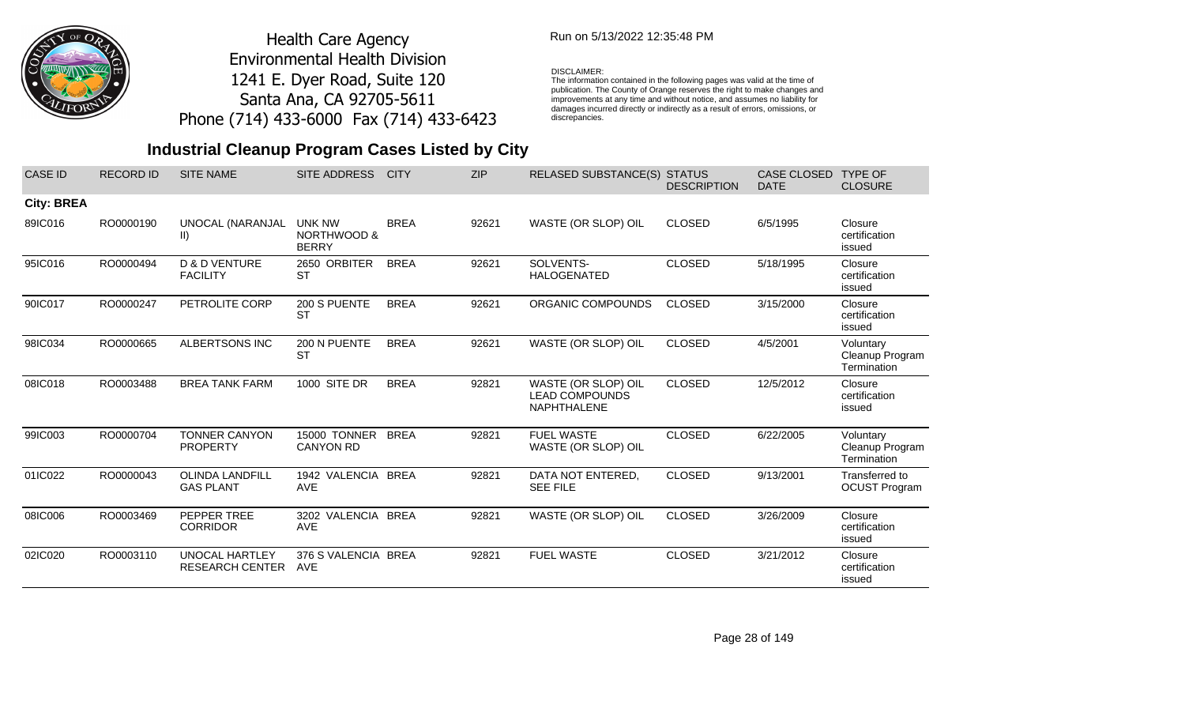

## Run on 5/13/2022 12:35:48 PM

#### DISCLAIMER:

The information contained in the following pages was valid at the time of publication. The County of Orange reserves the right to make changes and improvements at any time and without notice, and assumes no liability for damages incurred directly or indirectly as a result of errors, omissions, or discrepancies.

| <b>CASE ID</b>    | <b>RECORD ID</b> | <b>SITE NAME</b>                                | <b>SITE ADDRESS</b>                                     | <b>CITY</b> | <b>ZIP</b> | <b>RELASED SUBSTANCE(S)</b>                                        | <b>STATUS</b><br><b>DESCRIPTION</b> | <b>CASE CLOSED</b><br><b>DATE</b> | <b>TYPE OF</b><br><b>CLOSURE</b>            |
|-------------------|------------------|-------------------------------------------------|---------------------------------------------------------|-------------|------------|--------------------------------------------------------------------|-------------------------------------|-----------------------------------|---------------------------------------------|
| <b>City: BREA</b> |                  |                                                 |                                                         |             |            |                                                                    |                                     |                                   |                                             |
| 89IC016           | RO0000190        | UNOCAL (NARANJAL<br>$\vert \vert$               | <b>UNK NW</b><br><b>NORTHWOOD &amp;</b><br><b>BERRY</b> | <b>BREA</b> | 92621      | WASTE (OR SLOP) OIL                                                | <b>CLOSED</b>                       | 6/5/1995                          | Closure<br>certification<br>issued          |
| 95IC016           | RO0000494        | <b>D &amp; D VENTURE</b><br><b>FACILITY</b>     | 2650 ORBITER<br><b>ST</b>                               | <b>BREA</b> | 92621      | SOLVENTS-<br><b>HALOGENATED</b>                                    | <b>CLOSED</b>                       | 5/18/1995                         | Closure<br>certification<br>issued          |
| 90IC017           | RO0000247        | PETROLITE CORP                                  | 200 S PUENTE<br><b>ST</b>                               | <b>BREA</b> | 92621      | ORGANIC COMPOUNDS                                                  | <b>CLOSED</b>                       | 3/15/2000                         | Closure<br>certification<br>issued          |
| 98IC034           | RO0000665        | ALBERTSONS INC                                  | 200 N PUENTE<br><b>ST</b>                               | <b>BREA</b> | 92621      | WASTE (OR SLOP) OIL                                                | <b>CLOSED</b>                       | 4/5/2001                          | Voluntary<br>Cleanup Program<br>Termination |
| 08IC018           | RO0003488        | <b>BREA TANK FARM</b>                           | 1000 SITE DR                                            | <b>BREA</b> | 92821      | WASTE (OR SLOP) OIL<br><b>LEAD COMPOUNDS</b><br><b>NAPHTHALENE</b> | <b>CLOSED</b>                       | 12/5/2012                         | Closure<br>certification<br>issued          |
| 99IC003           | RO0000704        | <b>TONNER CANYON</b><br><b>PROPERTY</b>         | 15000 TONNER<br><b>CANYON RD</b>                        | <b>BREA</b> | 92821      | <b>FUEL WASTE</b><br>WASTE (OR SLOP) OIL                           | <b>CLOSED</b>                       | 6/22/2005                         | Voluntary<br>Cleanup Program<br>Termination |
| 01IC022           | RO0000043        | <b>OLINDA LANDFILL</b><br><b>GAS PLANT</b>      | 1942 VALENCIA BREA<br><b>AVE</b>                        |             | 92821      | DATA NOT ENTERED,<br><b>SEE FILE</b>                               | <b>CLOSED</b>                       | 9/13/2001                         | Transferred to<br><b>OCUST Program</b>      |
| 08IC006           | RO0003469        | PEPPER TREE<br><b>CORRIDOR</b>                  | 3202 VALENCIA BREA<br><b>AVE</b>                        |             | 92821      | WASTE (OR SLOP) OIL                                                | <b>CLOSED</b>                       | 3/26/2009                         | Closure<br>certification<br>issued          |
| 02IC020           | RO0003110        | <b>UNOCAL HARTLEY</b><br><b>RESEARCH CENTER</b> | 376 S VALENCIA BREA<br><b>AVE</b>                       |             | 92821      | <b>FUEL WASTE</b>                                                  | <b>CLOSED</b>                       | 3/21/2012                         | Closure<br>certification<br>issued          |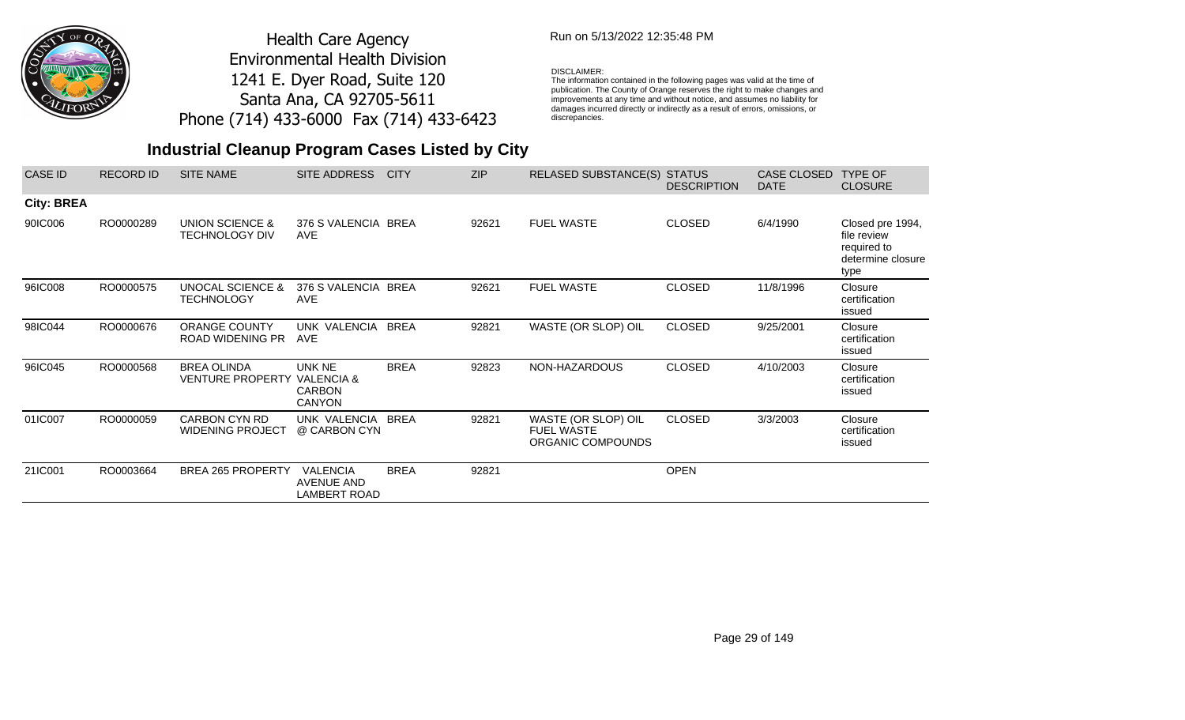

## Run on 5/13/2022 12:35:48 PM

#### DISCLAIMER:

The information contained in the following pages was valid at the time of publication. The County of Orange reserves the right to make changes and improvements at any time and without notice, and assumes no liability for damages incurred directly or indirectly as a result of errors, omissions, or discrepancies.

| <b>CASE ID</b>    | <b>RECORD ID</b> | <b>SITE NAME</b>                                 | SITE ADDRESS                                                      | <b>CITY</b> | <b>ZIP</b> | RELASED SUBSTANCE(S) STATUS                                   | <b>DESCRIPTION</b> | <b>CASE CLOSED</b><br><b>DATE</b> | TYPE OF<br><b>CLOSURE</b>                                                   |
|-------------------|------------------|--------------------------------------------------|-------------------------------------------------------------------|-------------|------------|---------------------------------------------------------------|--------------------|-----------------------------------|-----------------------------------------------------------------------------|
| <b>City: BREA</b> |                  |                                                  |                                                                   |             |            |                                                               |                    |                                   |                                                                             |
| 90IC006           | RO0000289        | UNION SCIENCE &<br><b>TECHNOLOGY DIV</b>         | 376 S VALENCIA BREA<br><b>AVE</b>                                 |             | 92621      | <b>FUEL WASTE</b>                                             | <b>CLOSED</b>      | 6/4/1990                          | Closed pre 1994,<br>file review<br>required to<br>determine closure<br>type |
| 96IC008           | RO0000575        | <b>UNOCAL SCIENCE &amp;</b><br><b>TECHNOLOGY</b> | 376 S VALENCIA BREA<br>AVE                                        |             | 92621      | <b>FUEL WASTE</b>                                             | <b>CLOSED</b>      | 11/8/1996                         | Closure<br>certification<br>issued                                          |
| 98IC044           | RO0000676        | <b>ORANGE COUNTY</b><br><b>ROAD WIDENING PR</b>  | UNK VALENCIA BREA<br><b>AVE</b>                                   |             | 92821      | WASTE (OR SLOP) OIL                                           | <b>CLOSED</b>      | 9/25/2001                         | Closure<br>certification<br>issued                                          |
| 96IC045           | RO0000568        | <b>BREA OLINDA</b><br><b>VENTURE PROPERTY</b>    | UNK NE<br><b>VALENCIA &amp;</b><br><b>CARBON</b><br><b>CANYON</b> | <b>BREA</b> | 92823      | NON-HAZARDOUS                                                 | <b>CLOSED</b>      | 4/10/2003                         | Closure<br>certification<br>issued                                          |
| 01IC007           | RO0000059        | <b>CARBON CYN RD</b><br><b>WIDENING PROJECT</b>  | UNK VALENCIA<br>@ CARBON CYN                                      | <b>BREA</b> | 92821      | WASTE (OR SLOP) OIL<br><b>FUEL WASTE</b><br>ORGANIC COMPOUNDS | <b>CLOSED</b>      | 3/3/2003                          | Closure<br>certification<br>issued                                          |
| 21IC001           | RO0003664        | <b>BREA 265 PROPERTY</b>                         | <b>VALENCIA</b><br><b>AVENUE AND</b><br><b>LAMBERT ROAD</b>       | <b>BREA</b> | 92821      |                                                               | <b>OPEN</b>        |                                   |                                                                             |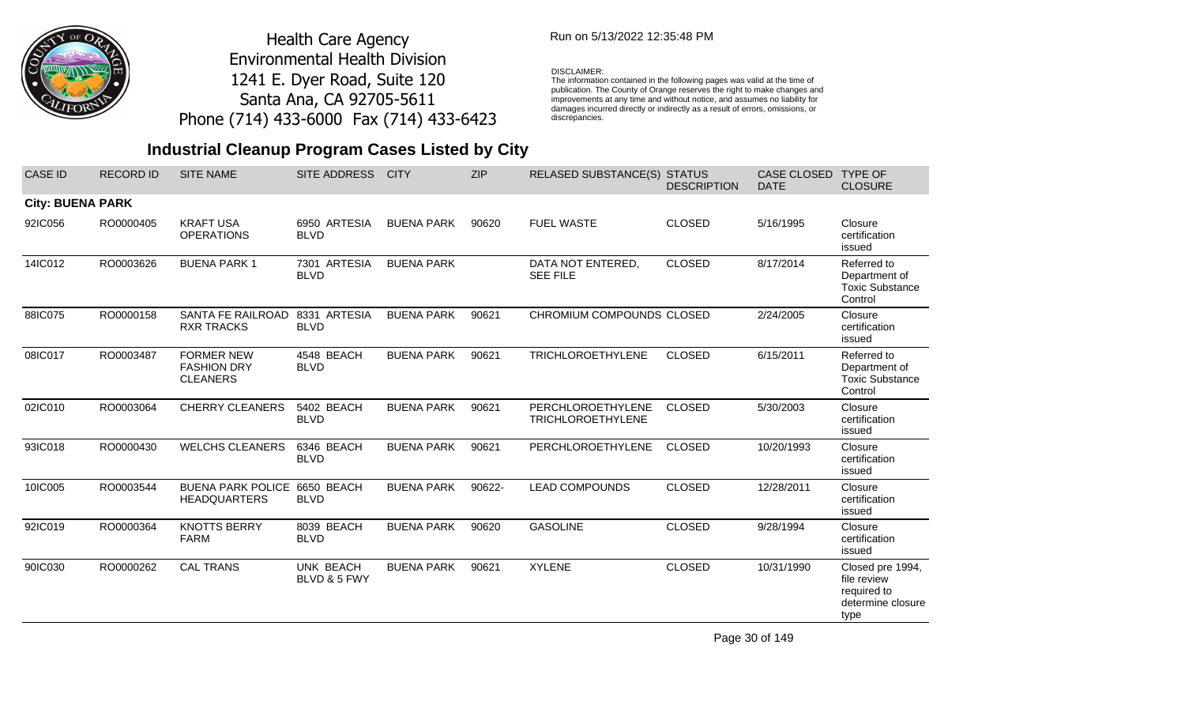

## Run on 5/13/2022 12:35:48 PM

#### DISCLAIMER:

The information contained in the following pages was valid at the time of publication. The County of Orange reserves the right to make changes and improvements at any time and without notice, and assumes no liability for damages incurred directly or indirectly as a result of errors, omissions, or discrepancies.

# **Industrial Cleanup Program Cases Listed by City**

| <b>CASE ID</b>          | <b>RECORD ID</b> | <b>SITE NAME</b>                                           | SITE ADDRESS                     | <b>CITY</b>       | <b>ZIP</b> | <b>RELASED SUBSTANCE(S) STATUS</b>            | <b>DESCRIPTION</b> | CASE CLOSED<br><b>DATE</b> | <b>TYPE OF</b><br><b>CLOSURE</b>                                            |
|-------------------------|------------------|------------------------------------------------------------|----------------------------------|-------------------|------------|-----------------------------------------------|--------------------|----------------------------|-----------------------------------------------------------------------------|
| <b>City: BUENA PARK</b> |                  |                                                            |                                  |                   |            |                                               |                    |                            |                                                                             |
| 92IC056                 | RO0000405        | <b>KRAFT USA</b><br><b>OPERATIONS</b>                      | 6950 ARTESIA<br><b>BLVD</b>      | <b>BUENA PARK</b> | 90620      | <b>FUEL WASTE</b>                             | <b>CLOSED</b>      | 5/16/1995                  | Closure<br>certification<br>issued                                          |
| 14IC012                 | RO0003626        | <b>BUENA PARK1</b>                                         | 7301 ARTESIA<br><b>BLVD</b>      | <b>BUENA PARK</b> |            | DATA NOT ENTERED,<br><b>SEE FILE</b>          | <b>CLOSED</b>      | 8/17/2014                  | Referred to<br>Department of<br><b>Toxic Substance</b><br>Control           |
| 88IC075                 | RO0000158        | SANTA FE RAILROAD<br><b>RXR TRACKS</b>                     | 8331 ARTESIA<br><b>BLVD</b>      | <b>BUENA PARK</b> | 90621      | CHROMIUM COMPOUNDS CLOSED                     |                    | 2/24/2005                  | Closure<br>certification<br>issued                                          |
| 08IC017                 | RO0003487        | <b>FORMER NEW</b><br><b>FASHION DRY</b><br><b>CLEANERS</b> | 4548 BEACH<br><b>BLVD</b>        | <b>BUENA PARK</b> | 90621      | <b>TRICHLOROETHYLENE</b>                      | <b>CLOSED</b>      | 6/15/2011                  | Referred to<br>Department of<br><b>Toxic Substance</b><br>Control           |
| 02IC010                 | RO0003064        | <b>CHERRY CLEANERS</b>                                     | 5402 BEACH<br><b>BLVD</b>        | <b>BUENA PARK</b> | 90621      | PERCHLOROETHYLENE<br><b>TRICHLOROETHYLENE</b> | <b>CLOSED</b>      | 5/30/2003                  | Closure<br>certification<br>issued                                          |
| 93IC018                 | RO0000430        | <b>WELCHS CLEANERS</b>                                     | 6346 BEACH<br><b>BLVD</b>        | <b>BUENA PARK</b> | 90621      | PERCHLOROETHYLENE                             | <b>CLOSED</b>      | 10/20/1993                 | Closure<br>certification<br>issued                                          |
| 10IC005                 | RO0003544        | <b>BUENA PARK POLICE</b><br><b>HEADQUARTERS</b>            | 6650 BEACH<br><b>BLVD</b>        | <b>BUENA PARK</b> | 90622-     | <b>LEAD COMPOUNDS</b>                         | <b>CLOSED</b>      | 12/28/2011                 | Closure<br>certification<br>issued                                          |
| 92IC019                 | RO0000364        | <b>KNOTTS BERRY</b><br><b>FARM</b>                         | 8039 BEACH<br><b>BLVD</b>        | <b>BUENA PARK</b> | 90620      | <b>GASOLINE</b>                               | <b>CLOSED</b>      | 9/28/1994                  | Closure<br>certification<br>issued                                          |
| 90IC030                 | RO0000262        | <b>CAL TRANS</b>                                           | <b>UNK BEACH</b><br>BLVD & 5 FWY | <b>BUENA PARK</b> | 90621      | <b>XYLENE</b>                                 | <b>CLOSED</b>      | 10/31/1990                 | Closed pre 1994,<br>file review<br>required to<br>determine closure<br>type |

Page 30 of 149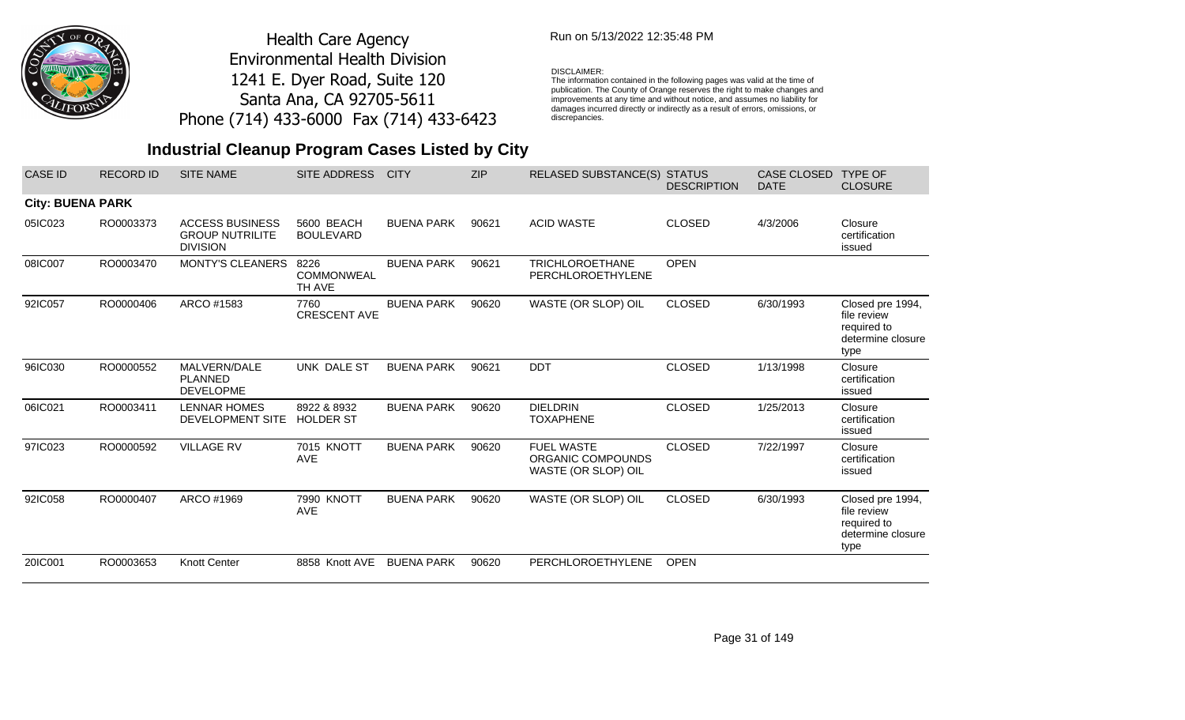

## Run on 5/13/2022 12:35:48 PM

#### DISCLAIMER:

The information contained in the following pages was valid at the time of publication. The County of Orange reserves the right to make changes and improvements at any time and without notice, and assumes no liability for damages incurred directly or indirectly as a result of errors, omissions, or discrepancies.

| <b>CASE ID</b>          | <b>RECORD ID</b> | <b>SITE NAME</b>                                                    | <b>SITE ADDRESS</b>                 | <b>CITY</b>       | <b>ZIP</b> | <b>RELASED SUBSTANCE(S)</b>                                   | <b>STATUS</b><br><b>DESCRIPTION</b> | <b>CASE CLOSED</b><br><b>DATE</b> | <b>TYPE OF</b><br><b>CLOSURE</b>                                            |
|-------------------------|------------------|---------------------------------------------------------------------|-------------------------------------|-------------------|------------|---------------------------------------------------------------|-------------------------------------|-----------------------------------|-----------------------------------------------------------------------------|
| <b>City: BUENA PARK</b> |                  |                                                                     |                                     |                   |            |                                                               |                                     |                                   |                                                                             |
| 05IC023                 | RO0003373        | <b>ACCESS BUSINESS</b><br><b>GROUP NUTRILITE</b><br><b>DIVISION</b> | 5600 BEACH<br><b>BOULEVARD</b>      | <b>BUENA PARK</b> | 90621      | <b>ACID WASTE</b>                                             | <b>CLOSED</b>                       | 4/3/2006                          | Closure<br>certification<br>issued                                          |
| 08IC007                 | RO0003470        | MONTY'S CLEANERS                                                    | 8226<br><b>COMMONWEAL</b><br>TH AVE | <b>BUENA PARK</b> | 90621      | <b>TRICHLOROETHANE</b><br>PERCHLOROETHYLENE                   | <b>OPEN</b>                         |                                   |                                                                             |
| 92IC057                 | RO0000406        | ARCO #1583                                                          | 7760<br><b>CRESCENT AVE</b>         | <b>BUENA PARK</b> | 90620      | WASTE (OR SLOP) OIL                                           | <b>CLOSED</b>                       | 6/30/1993                         | Closed pre 1994,<br>file review<br>required to<br>determine closure<br>type |
| 96IC030                 | RO0000552        | MALVERN/DALE<br><b>PLANNED</b><br><b>DEVELOPME</b>                  | UNK DALE ST                         | <b>BUENA PARK</b> | 90621      | <b>DDT</b>                                                    | <b>CLOSED</b>                       | 1/13/1998                         | Closure<br>certification<br>issued                                          |
| 06IC021                 | RO0003411        | <b>LENNAR HOMES</b><br><b>DEVELOPMENT SITE</b>                      | 8922 & 8932<br><b>HOLDER ST</b>     | <b>BUENA PARK</b> | 90620      | <b>DIELDRIN</b><br><b>TOXAPHENE</b>                           | <b>CLOSED</b>                       | 1/25/2013                         | Closure<br>certification<br>issued                                          |
| 97IC023                 | RO0000592        | <b>VILLAGE RV</b>                                                   | <b>7015 KNOTT</b><br><b>AVE</b>     | <b>BUENA PARK</b> | 90620      | <b>FUEL WASTE</b><br>ORGANIC COMPOUNDS<br>WASTE (OR SLOP) OIL | <b>CLOSED</b>                       | 7/22/1997                         | Closure<br>certification<br>issued                                          |
| 92IC058                 | RO0000407        | ARCO #1969                                                          | 7990 KNOTT<br><b>AVE</b>            | <b>BUENA PARK</b> | 90620      | WASTE (OR SLOP) OIL                                           | <b>CLOSED</b>                       | 6/30/1993                         | Closed pre 1994,<br>file review<br>required to<br>determine closure<br>type |
| 20IC001                 | RO0003653        | <b>Knott Center</b>                                                 | 8858 Knott AVE                      | <b>BUENA PARK</b> | 90620      | PERCHLOROETHYLENE                                             | <b>OPEN</b>                         |                                   |                                                                             |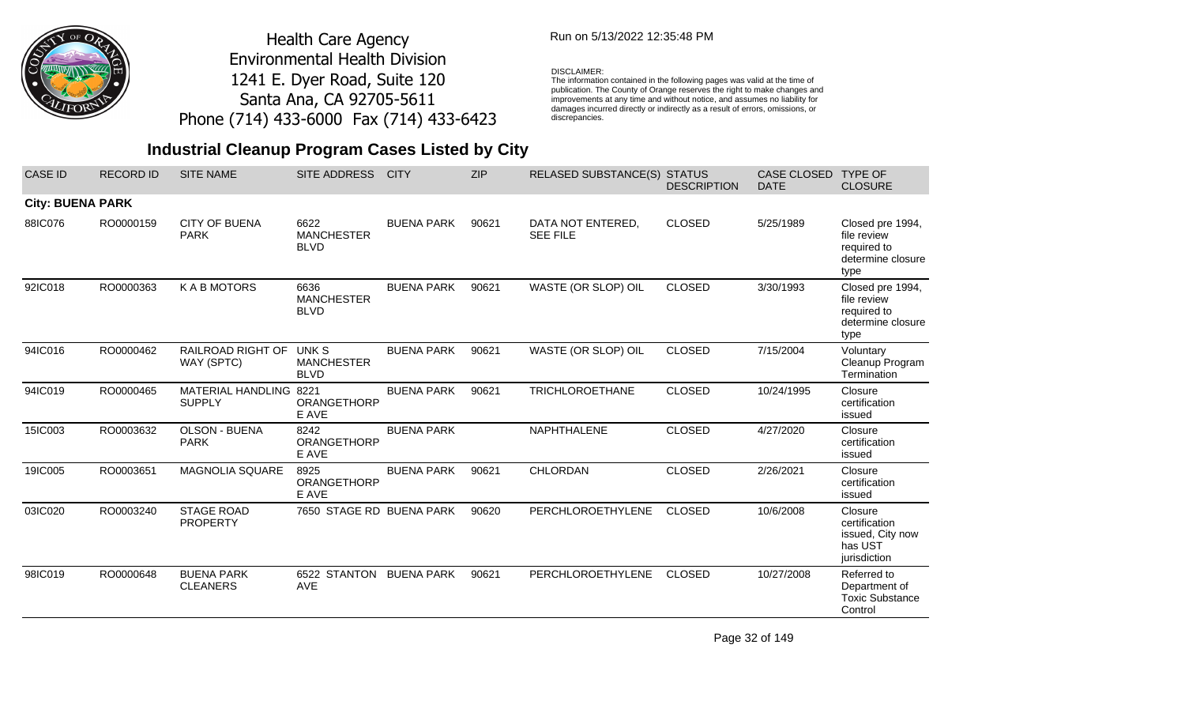

## Run on 5/13/2022 12:35:48 PM

#### DISCLAIMER:

The information contained in the following pages was valid at the time of publication. The County of Orange reserves the right to make changes and improvements at any time and without notice, and assumes no liability for damages incurred directly or indirectly as a result of errors, omissions, or discrepancies.

# **Industrial Cleanup Program Cases Listed by City**

| <b>CASE ID</b>          | <b>RECORD ID</b> | <b>SITE NAME</b>                        | SITE ADDRESS                              | <b>CITY</b>       | <b>ZIP</b> | <b>RELASED SUBSTANCE(S)</b>          | <b>STATUS</b><br><b>DESCRIPTION</b> | CASE CLOSED TYPE OF<br><b>DATE</b> | <b>CLOSURE</b>                                                              |
|-------------------------|------------------|-----------------------------------------|-------------------------------------------|-------------------|------------|--------------------------------------|-------------------------------------|------------------------------------|-----------------------------------------------------------------------------|
| <b>City: BUENA PARK</b> |                  |                                         |                                           |                   |            |                                      |                                     |                                    |                                                                             |
| 88IC076                 | RO0000159        | <b>CITY OF BUENA</b><br><b>PARK</b>     | 6622<br><b>MANCHESTER</b><br><b>BLVD</b>  | <b>BUENA PARK</b> | 90621      | DATA NOT ENTERED,<br><b>SEE FILE</b> | <b>CLOSED</b>                       | 5/25/1989                          | Closed pre 1994,<br>file review<br>required to<br>determine closure<br>type |
| 92IC018                 | RO0000363        | <b>KABMOTORS</b>                        | 6636<br><b>MANCHESTER</b><br><b>BLVD</b>  | <b>BUENA PARK</b> | 90621      | WASTE (OR SLOP) OIL                  | <b>CLOSED</b>                       | 3/30/1993                          | Closed pre 1994,<br>file review<br>required to<br>determine closure<br>type |
| 94IC016                 | RO0000462        | RAILROAD RIGHT OF<br>WAY (SPTC)         | UNK S<br><b>MANCHESTER</b><br><b>BLVD</b> | <b>BUENA PARK</b> | 90621      | WASTE (OR SLOP) OIL                  | <b>CLOSED</b>                       | 7/15/2004                          | Voluntary<br>Cleanup Program<br>Termination                                 |
| 94IC019                 | RO0000465        | MATERIAL HANDLING 8221<br><b>SUPPLY</b> | ORANGETHORP<br>E AVE                      | <b>BUENA PARK</b> | 90621      | <b>TRICHLOROETHANE</b>               | <b>CLOSED</b>                       | 10/24/1995                         | Closure<br>certification<br>issued                                          |
| 15IC003                 | RO0003632        | <b>OLSON - BUENA</b><br><b>PARK</b>     | 8242<br>ORANGETHORP<br>E AVE              | <b>BUENA PARK</b> |            | NAPHTHALENE                          | <b>CLOSED</b>                       | 4/27/2020                          | Closure<br>certification<br>issued                                          |
| 19IC005                 | RO0003651        | <b>MAGNOLIA SQUARE</b>                  | 8925<br>ORANGETHORP<br>E AVE              | <b>BUENA PARK</b> | 90621      | CHLORDAN                             | <b>CLOSED</b>                       | 2/26/2021                          | Closure<br>certification<br>issued                                          |
| 03IC020                 | RO0003240        | <b>STAGE ROAD</b><br><b>PROPERTY</b>    | 7650 STAGE RD BUENA PARK                  |                   | 90620      | PERCHLOROETHYLENE                    | <b>CLOSED</b>                       | 10/6/2008                          | Closure<br>certification<br>issued, City now<br>has UST<br>jurisdiction     |
| 98IC019                 | RO0000648        | <b>BUENA PARK</b><br><b>CLEANERS</b>    | 6522 STANTON<br><b>AVE</b>                | <b>BUENA PARK</b> | 90621      | PERCHLOROETHYLENE                    | <b>CLOSED</b>                       | 10/27/2008                         | Referred to<br>Department of<br><b>Toxic Substance</b><br>Control           |

Page 32 of 149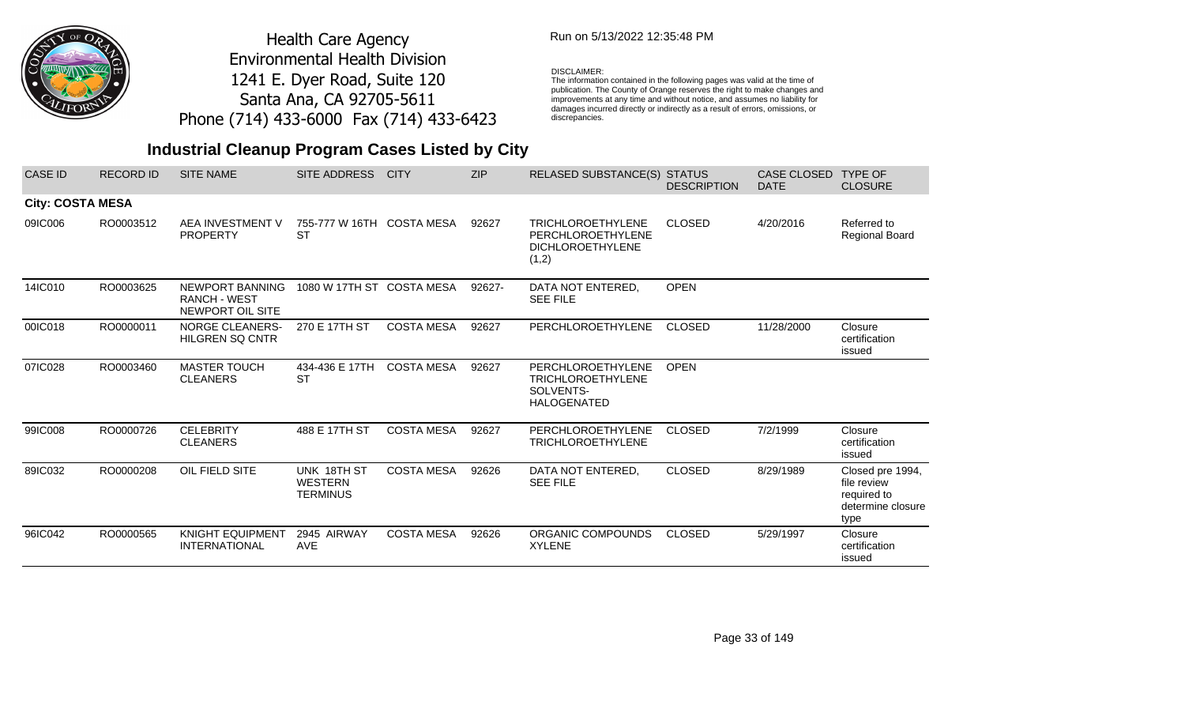

## Run on 5/13/2022 12:35:48 PM

#### DISCLAIMER:

The information contained in the following pages was valid at the time of publication. The County of Orange reserves the right to make changes and improvements at any time and without notice, and assumes no liability for damages incurred directly or indirectly as a result of errors, omissions, or discrepancies.

| <b>CASE ID</b>          | <b>RECORD ID</b> | <b>SITE NAME</b>                                           | <b>SITE ADDRESS</b>                              | <b>CITY</b>       | ZIP    | RELASED SUBSTANCE(S) STATUS                                                       | <b>DESCRIPTION</b> | CASE CLOSED<br><b>DATE</b> | <b>TYPE OF</b><br><b>CLOSURE</b>                                            |
|-------------------------|------------------|------------------------------------------------------------|--------------------------------------------------|-------------------|--------|-----------------------------------------------------------------------------------|--------------------|----------------------------|-----------------------------------------------------------------------------|
| <b>City: COSTA MESA</b> |                  |                                                            |                                                  |                   |        |                                                                                   |                    |                            |                                                                             |
| 09IC006                 | RO0003512        | AEA INVESTMENT V<br><b>PROPERTY</b>                        | 755-777 W 16TH COSTA MESA<br><b>ST</b>           |                   | 92627  | <b>TRICHLOROETHYLENE</b><br>PERCHLOROETHYLENE<br><b>DICHLOROETHYLENE</b><br>(1,2) | <b>CLOSED</b>      | 4/20/2016                  | Referred to<br>Regional Board                                               |
| 14IC010                 | RO0003625        | NEWPORT BANNING<br><b>RANCH - WEST</b><br>NEWPORT OIL SITE | 1080 W 17TH ST COSTA MESA                        |                   | 92627- | DATA NOT ENTERED,<br><b>SEE FILE</b>                                              | <b>OPEN</b>        |                            |                                                                             |
| 00IC018                 | RO0000011        | <b>NORGE CLEANERS-</b><br><b>HILGREN SQ CNTR</b>           | 270 E 17TH ST                                    | <b>COSTA MESA</b> | 92627  | PERCHLOROETHYLENE                                                                 | <b>CLOSED</b>      | 11/28/2000                 | Closure<br>certification<br>issued                                          |
| 07IC028                 | RO0003460        | <b>MASTER TOUCH</b><br><b>CLEANERS</b>                     | 434-436 E 17TH<br><b>ST</b>                      | <b>COSTA MESA</b> | 92627  | PERCHLOROETHYLENE<br><b>TRICHLOROETHYLENE</b><br>SOLVENTS-<br><b>HALOGENATED</b>  | <b>OPEN</b>        |                            |                                                                             |
| 99IC008                 | RO0000726        | <b>CELEBRITY</b><br><b>CLEANERS</b>                        | 488 E 17TH ST                                    | <b>COSTA MESA</b> | 92627  | PERCHLOROETHYLENE<br><b>TRICHLOROETHYLENE</b>                                     | <b>CLOSED</b>      | 7/2/1999                   | Closure<br>certification<br>issued                                          |
| 89IC032                 | RO0000208        | OIL FIELD SITE                                             | UNK 18TH ST<br><b>WESTERN</b><br><b>TERMINUS</b> | <b>COSTA MESA</b> | 92626  | DATA NOT ENTERED,<br><b>SEE FILE</b>                                              | <b>CLOSED</b>      | 8/29/1989                  | Closed pre 1994,<br>file review<br>required to<br>determine closure<br>type |
| 96IC042                 | RO0000565        | <b>KNIGHT EQUIPMENT</b><br><b>INTERNATIONAL</b>            | 2945 AIRWAY<br><b>AVE</b>                        | <b>COSTA MESA</b> | 92626  | ORGANIC COMPOUNDS<br><b>XYLENE</b>                                                | <b>CLOSED</b>      | 5/29/1997                  | Closure<br>certification<br>issued                                          |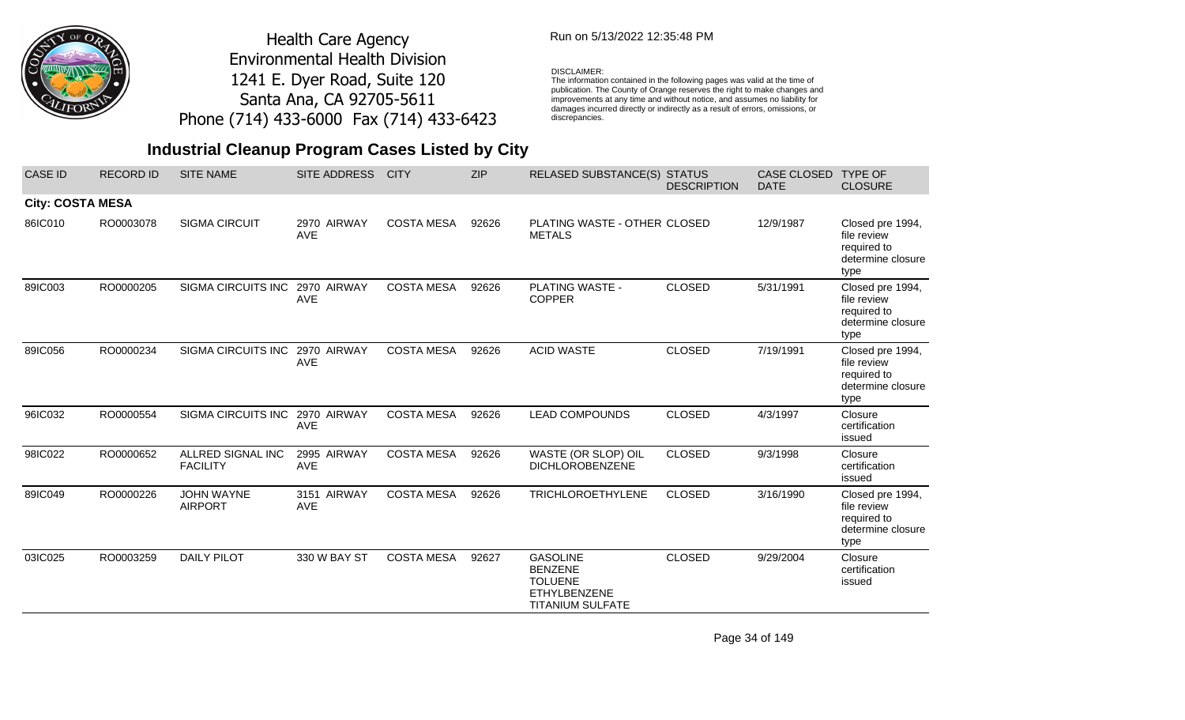

## Run on 5/13/2022 12:35:48 PM

#### DISCLAIMER:

The information contained in the following pages was valid at the time of publication. The County of Orange reserves the right to make changes and improvements at any time and without notice, and assumes no liability for damages incurred directly or indirectly as a result of errors, omissions, or discrepancies.

# **Industrial Cleanup Program Cases Listed by City**

| <b>CASE ID</b>          | <b>RECORD ID</b> | <b>SITE NAME</b>                     | <b>SITE ADDRESS</b>       | <b>CITY</b>       | <b>ZIP</b> | RELASED SUBSTANCE(S) STATUS                                                                           | <b>DESCRIPTION</b> | CASE CLOSED<br><b>DATE</b> | <b>TYPE OF</b><br><b>CLOSURE</b>                                            |
|-------------------------|------------------|--------------------------------------|---------------------------|-------------------|------------|-------------------------------------------------------------------------------------------------------|--------------------|----------------------------|-----------------------------------------------------------------------------|
| <b>City: COSTA MESA</b> |                  |                                      |                           |                   |            |                                                                                                       |                    |                            |                                                                             |
| 86IC010                 | RO0003078        | <b>SIGMA CIRCUIT</b>                 | 2970 AIRWAY<br><b>AVE</b> | <b>COSTA MESA</b> | 92626      | PLATING WASTE - OTHER CLOSED<br><b>METALS</b>                                                         |                    | 12/9/1987                  | Closed pre 1994,<br>file review<br>required to<br>determine closure<br>type |
| 89IC003                 | RO0000205        | <b>SIGMA CIRCUITS INC</b>            | 2970 AIRWAY<br><b>AVE</b> | <b>COSTA MESA</b> | 92626      | <b>PLATING WASTE -</b><br><b>COPPER</b>                                                               | <b>CLOSED</b>      | 5/31/1991                  | Closed pre 1994,<br>file review<br>required to<br>determine closure<br>type |
| 89IC056                 | RO0000234        | <b>SIGMA CIRCUITS INC</b>            | 2970 AIRWAY<br><b>AVE</b> | <b>COSTA MESA</b> | 92626      | <b>ACID WASTE</b>                                                                                     | <b>CLOSED</b>      | 7/19/1991                  | Closed pre 1994,<br>file review<br>required to<br>determine closure<br>type |
| 96IC032                 | RO0000554        | SIGMA CIRCUITS INC                   | 2970 AIRWAY<br><b>AVE</b> | <b>COSTA MESA</b> | 92626      | <b>LEAD COMPOUNDS</b>                                                                                 | <b>CLOSED</b>      | 4/3/1997                   | Closure<br>certification<br>issued                                          |
| 98IC022                 | RO0000652        | ALLRED SIGNAL INC<br><b>FACILITY</b> | 2995 AIRWAY<br><b>AVE</b> | <b>COSTA MESA</b> | 92626      | WASTE (OR SLOP) OIL<br><b>DICHLOROBENZENE</b>                                                         | <b>CLOSED</b>      | 9/3/1998                   | Closure<br>certification<br>issued                                          |
| 89IC049                 | RO0000226        | <b>JOHN WAYNE</b><br><b>AIRPORT</b>  | 3151 AIRWAY<br>AVE        | <b>COSTA MESA</b> | 92626      | <b>TRICHLOROETHYLENE</b>                                                                              | <b>CLOSED</b>      | 3/16/1990                  | Closed pre 1994,<br>file review<br>required to<br>determine closure<br>type |
| 03IC025                 | RO0003259        | <b>DAILY PILOT</b>                   | 330 W BAY ST              | <b>COSTA MESA</b> | 92627      | <b>GASOLINE</b><br><b>BENZENE</b><br><b>TOLUENE</b><br><b>ETHYLBENZENE</b><br><b>TITANIUM SULFATE</b> | <b>CLOSED</b>      | 9/29/2004                  | Closure<br>certification<br>issued                                          |

Page 34 of 149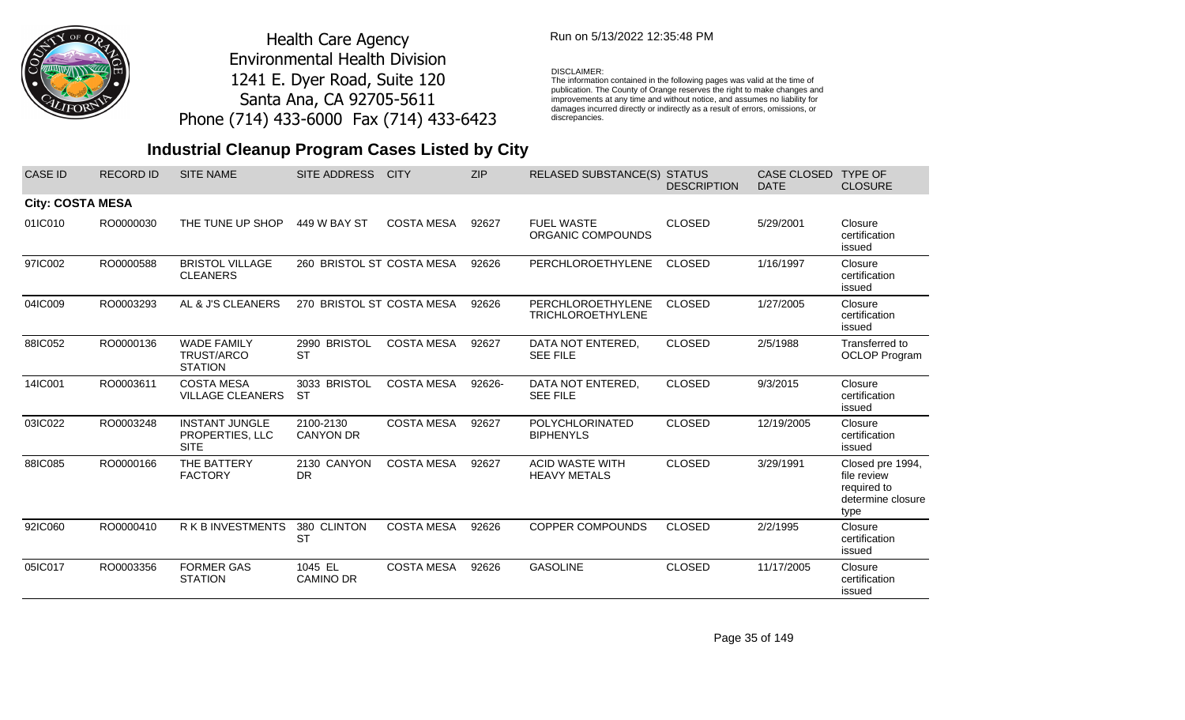

## Run on 5/13/2022 12:35:48 PM

#### DISCLAIMER:

The information contained in the following pages was valid at the time of publication. The County of Orange reserves the right to make changes and improvements at any time and without notice, and assumes no liability for damages incurred directly or indirectly as a result of errors, omissions, or discrepancies.

| <b>CASE ID</b>          | <b>RECORD ID</b> | <b>SITE NAME</b>                                        | <b>SITE ADDRESS</b>           | <b>CITY</b>       | <b>ZIP</b> | <b>RELASED SUBSTANCE(S)</b>                   | <b>STATUS</b><br><b>DESCRIPTION</b> | <b>CASE CLOSED</b><br><b>DATE</b> | <b>TYPE OF</b><br><b>CLOSURE</b>                                            |
|-------------------------|------------------|---------------------------------------------------------|-------------------------------|-------------------|------------|-----------------------------------------------|-------------------------------------|-----------------------------------|-----------------------------------------------------------------------------|
| <b>City: COSTA MESA</b> |                  |                                                         |                               |                   |            |                                               |                                     |                                   |                                                                             |
| 01IC010                 | RO0000030        | THE TUNE UP SHOP                                        | 449 W BAY ST                  | <b>COSTA MESA</b> | 92627      | <b>FUEL WASTE</b><br>ORGANIC COMPOUNDS        | <b>CLOSED</b>                       | 5/29/2001                         | Closure<br>certification<br>issued                                          |
| 97IC002                 | RO0000588        | <b>BRISTOL VILLAGE</b><br><b>CLEANERS</b>               | 260 BRISTOL ST COSTA MESA     |                   | 92626      | PERCHLOROETHYLENE                             | <b>CLOSED</b>                       | 1/16/1997                         | Closure<br>certification<br>issued                                          |
| 04IC009                 | RO0003293        | AL & J'S CLEANERS                                       | 270 BRISTOL ST COSTA MESA     |                   | 92626      | PERCHLOROETHYLENE<br><b>TRICHLOROETHYLENE</b> | <b>CLOSED</b>                       | 1/27/2005                         | Closure<br>certification<br>issued                                          |
| 88IC052                 | RO0000136        | <b>WADE FAMILY</b><br>TRUST/ARCO<br><b>STATION</b>      | 2990 BRISTOL<br><b>ST</b>     | <b>COSTA MESA</b> | 92627      | DATA NOT ENTERED,<br><b>SEE FILE</b>          | <b>CLOSED</b>                       | 2/5/1988                          | Transferred to<br><b>OCLOP Program</b>                                      |
| 14IC001                 | RO0003611        | <b>COSTA MESA</b><br><b>VILLAGE CLEANERS</b>            | 3033 BRISTOL<br><b>ST</b>     | <b>COSTA MESA</b> | 92626-     | DATA NOT ENTERED,<br><b>SEE FILE</b>          | <b>CLOSED</b>                       | 9/3/2015                          | Closure<br>certification<br>issued                                          |
| 03IC022                 | RO0003248        | <b>INSTANT JUNGLE</b><br>PROPERTIES, LLC<br><b>SITE</b> | 2100-2130<br><b>CANYON DR</b> | <b>COSTA MESA</b> | 92627      | POLYCHLORINATED<br><b>BIPHENYLS</b>           | <b>CLOSED</b>                       | 12/19/2005                        | Closure<br>certification<br>issued                                          |
| 88IC085                 | RO0000166        | THE BATTERY<br><b>FACTORY</b>                           | 2130 CANYON<br><b>DR</b>      | <b>COSTA MESA</b> | 92627      | <b>ACID WASTE WITH</b><br><b>HEAVY METALS</b> | <b>CLOSED</b>                       | 3/29/1991                         | Closed pre 1994,<br>file review<br>required to<br>determine closure<br>type |
| 92IC060                 | RO0000410        | R K B INVESTMENTS                                       | 380 CLINTON<br><b>ST</b>      | <b>COSTA MESA</b> | 92626      | <b>COPPER COMPOUNDS</b>                       | <b>CLOSED</b>                       | 2/2/1995                          | Closure<br>certification<br>issued                                          |
| 05IC017                 | RO0003356        | <b>FORMER GAS</b><br><b>STATION</b>                     | 1045 EL<br><b>CAMINO DR</b>   | <b>COSTA MESA</b> | 92626      | <b>GASOLINE</b>                               | <b>CLOSED</b>                       | 11/17/2005                        | Closure<br>certification<br>issued                                          |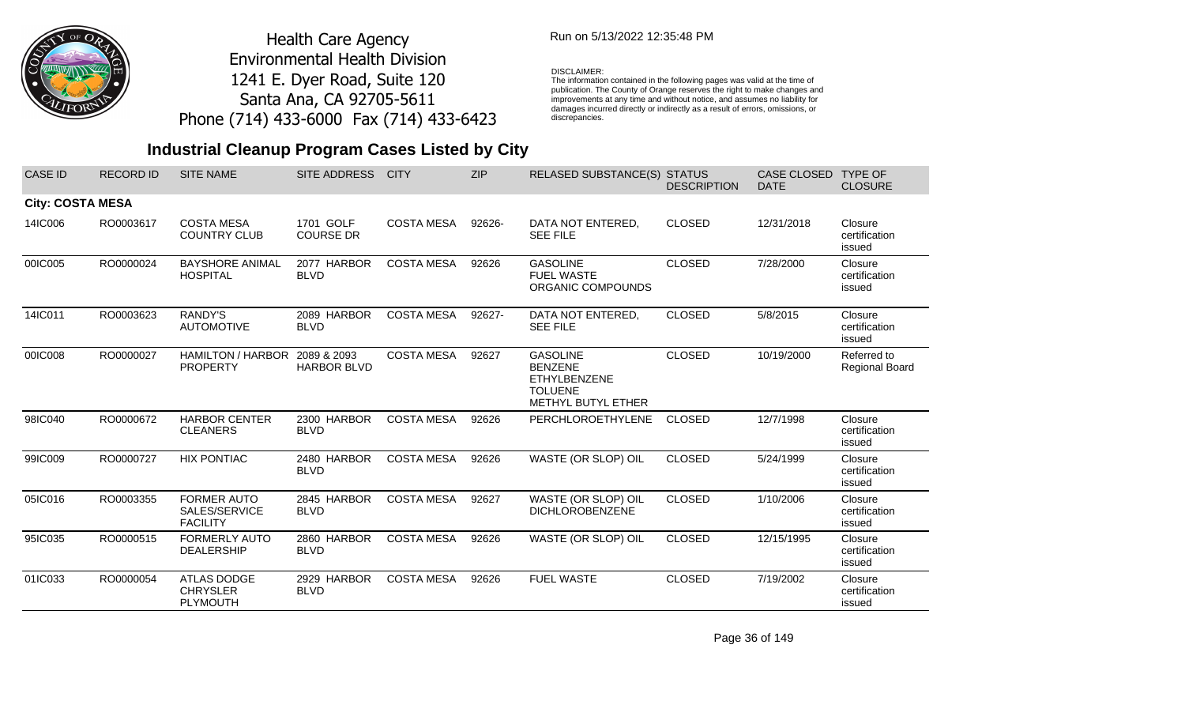

## Run on 5/13/2022 12:35:48 PM

#### DISCLAIMER:

The information contained in the following pages was valid at the time of publication. The County of Orange reserves the right to make changes and improvements at any time and without notice, and assumes no liability for damages incurred directly or indirectly as a result of errors, omissions, or discrepancies.

# **Industrial Cleanup Program Cases Listed by City**

| <b>CASE ID</b>          | <b>RECORD ID</b> | <b>SITE NAME</b>                                         | SITE ADDRESS                      | <b>CITY</b>       | <b>ZIP</b> | RELASED SUBSTANCE(S) STATUS                                                                      | <b>DESCRIPTION</b> | <b>CASE CLOSED</b><br><b>DATE</b> | <b>TYPE OF</b><br><b>CLOSURE</b>     |
|-------------------------|------------------|----------------------------------------------------------|-----------------------------------|-------------------|------------|--------------------------------------------------------------------------------------------------|--------------------|-----------------------------------|--------------------------------------|
| <b>City: COSTA MESA</b> |                  |                                                          |                                   |                   |            |                                                                                                  |                    |                                   |                                      |
| 14IC006                 | RO0003617        | <b>COSTA MESA</b><br><b>COUNTRY CLUB</b>                 | 1701 GOLF<br><b>COURSE DR</b>     | <b>COSTA MESA</b> | 92626-     | DATA NOT ENTERED,<br><b>SEE FILE</b>                                                             | <b>CLOSED</b>      | 12/31/2018                        | Closure<br>certification<br>issued   |
| 00IC005                 | RO0000024        | <b>BAYSHORE ANIMAL</b><br><b>HOSPITAL</b>                | 2077 HARBOR<br><b>BLVD</b>        | <b>COSTA MESA</b> | 92626      | <b>GASOLINE</b><br><b>FUEL WASTE</b><br>ORGANIC COMPOUNDS                                        | <b>CLOSED</b>      | 7/28/2000                         | Closure<br>certification<br>issued   |
| 14IC011                 | RO0003623        | RANDY'S<br><b>AUTOMOTIVE</b>                             | 2089 HARBOR<br><b>BLVD</b>        | <b>COSTA MESA</b> | 92627-     | DATA NOT ENTERED,<br><b>SEE FILE</b>                                                             | <b>CLOSED</b>      | 5/8/2015                          | Closure<br>certification<br>issued   |
| 00IC008                 | RO0000027        | <b>HAMILTON / HARBOR</b><br><b>PROPERTY</b>              | 2089 & 2093<br><b>HARBOR BLVD</b> | <b>COSTA MESA</b> | 92627      | <b>GASOLINE</b><br><b>BENZENE</b><br><b>ETHYLBENZENE</b><br><b>TOLUENE</b><br>METHYL BUTYL ETHER | <b>CLOSED</b>      | 10/19/2000                        | Referred to<br><b>Regional Board</b> |
| 98IC040                 | RO0000672        | <b>HARBOR CENTER</b><br><b>CLEANERS</b>                  | 2300 HARBOR<br><b>BLVD</b>        | <b>COSTA MESA</b> | 92626      | PERCHLOROETHYLENE                                                                                | <b>CLOSED</b>      | 12/7/1998                         | Closure<br>certification<br>issued   |
| 99IC009                 | RO0000727        | <b>HIX PONTIAC</b>                                       | 2480 HARBOR<br><b>BLVD</b>        | <b>COSTA MESA</b> | 92626      | WASTE (OR SLOP) OIL                                                                              | <b>CLOSED</b>      | 5/24/1999                         | Closure<br>certification<br>issued   |
| 05IC016                 | RO0003355        | <b>FORMER AUTO</b><br>SALES/SERVICE<br><b>FACILITY</b>   | 2845 HARBOR<br><b>BLVD</b>        | <b>COSTA MESA</b> | 92627      | WASTE (OR SLOP) OIL<br><b>DICHLOROBENZENE</b>                                                    | <b>CLOSED</b>      | 1/10/2006                         | Closure<br>certification<br>issued   |
| 95IC035                 | RO0000515        | <b>FORMERLY AUTO</b><br><b>DEALERSHIP</b>                | 2860 HARBOR<br><b>BLVD</b>        | <b>COSTA MESA</b> | 92626      | WASTE (OR SLOP) OIL                                                                              | <b>CLOSED</b>      | 12/15/1995                        | Closure<br>certification<br>issued   |
| 01IC033                 | RO0000054        | <b>ATLAS DODGE</b><br><b>CHRYSLER</b><br><b>PLYMOUTH</b> | 2929 HARBOR<br><b>BLVD</b>        | <b>COSTA MESA</b> | 92626      | <b>FUEL WASTE</b>                                                                                | <b>CLOSED</b>      | 7/19/2002                         | Closure<br>certification<br>issued   |

Page 36 of 149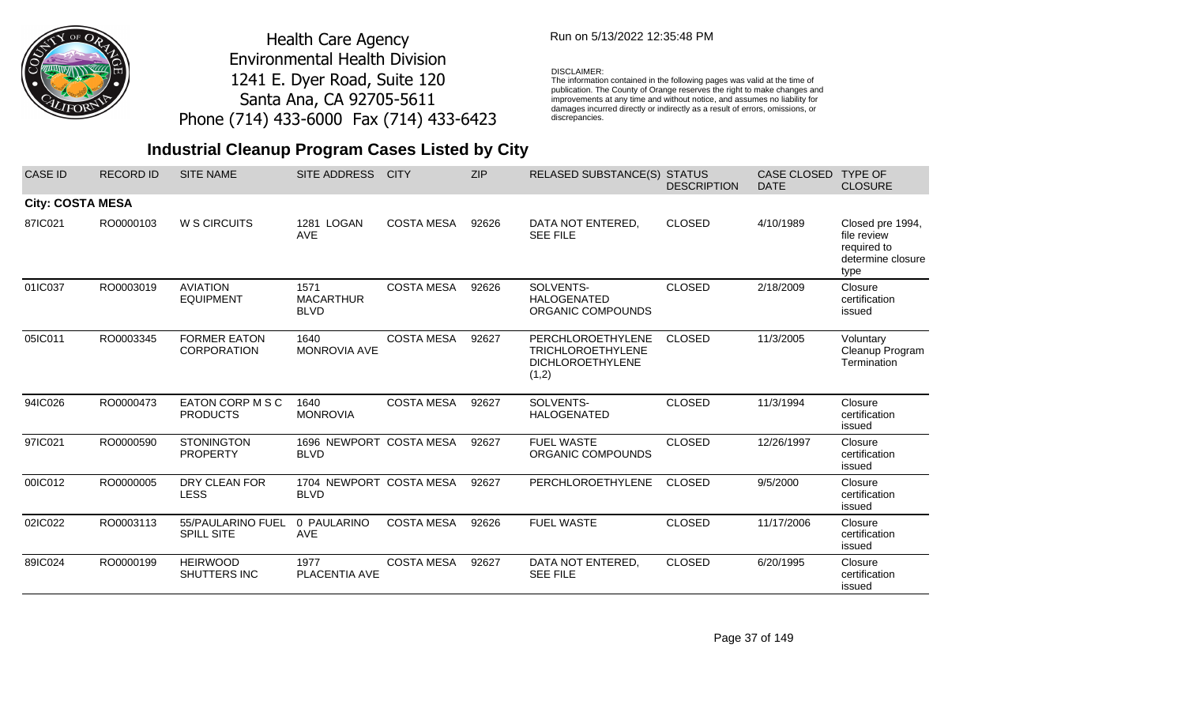

## Run on 5/13/2022 12:35:48 PM

### DISCLAIMER:

The information contained in the following pages was valid at the time of publication. The County of Orange reserves the right to make changes and improvements at any time and without notice, and assumes no liability for damages incurred directly or indirectly as a result of errors, omissions, or discrepancies.

| <b>CASE ID</b>          | <b>RECORD ID</b> | <b>SITE NAME</b>                          | <b>SITE ADDRESS</b>                     | <b>CITY</b>       | <b>ZIP</b> | <b>RELASED SUBSTANCE(S)</b>                                                       | <b>STATUS</b><br><b>DESCRIPTION</b> | CASE CLOSED<br><b>DATE</b> | <b>TYPE OF</b><br><b>CLOSURE</b>                                            |
|-------------------------|------------------|-------------------------------------------|-----------------------------------------|-------------------|------------|-----------------------------------------------------------------------------------|-------------------------------------|----------------------------|-----------------------------------------------------------------------------|
| <b>City: COSTA MESA</b> |                  |                                           |                                         |                   |            |                                                                                   |                                     |                            |                                                                             |
| 87IC021                 | RO0000103        | W S CIRCUITS                              | 1281 LOGAN<br><b>AVE</b>                | <b>COSTA MESA</b> | 92626      | DATA NOT ENTERED,<br><b>SEE FILE</b>                                              | <b>CLOSED</b>                       | 4/10/1989                  | Closed pre 1994,<br>file review<br>required to<br>determine closure<br>type |
| 01IC037                 | RO0003019        | <b>AVIATION</b><br><b>EQUIPMENT</b>       | 1571<br><b>MACARTHUR</b><br><b>BLVD</b> | <b>COSTA MESA</b> | 92626      | SOLVENTS-<br><b>HALOGENATED</b><br>ORGANIC COMPOUNDS                              | <b>CLOSED</b>                       | 2/18/2009                  | Closure<br>certification<br>issued                                          |
| 05IC011                 | RO0003345        | <b>FORMER EATON</b><br><b>CORPORATION</b> | 1640<br><b>MONROVIA AVE</b>             | <b>COSTA MESA</b> | 92627      | PERCHLOROETHYLENE<br><b>TRICHLOROETHYLENE</b><br><b>DICHLOROETHYLENE</b><br>(1,2) | <b>CLOSED</b>                       | 11/3/2005                  | Voluntary<br>Cleanup Program<br>Termination                                 |
| 94IC026                 | RO0000473        | EATON CORP M S C<br><b>PRODUCTS</b>       | 1640<br><b>MONROVIA</b>                 | <b>COSTA MESA</b> | 92627      | SOLVENTS-<br><b>HALOGENATED</b>                                                   | <b>CLOSED</b>                       | 11/3/1994                  | Closure<br>certification<br>issued                                          |
| 97IC021                 | RO0000590        | <b>STONINGTON</b><br><b>PROPERTY</b>      | 1696 NEWPORT COSTA MESA<br><b>BLVD</b>  |                   | 92627      | <b>FUEL WASTE</b><br>ORGANIC COMPOUNDS                                            | <b>CLOSED</b>                       | 12/26/1997                 | Closure<br>certification<br>issued                                          |
| 00IC012                 | RO0000005        | DRY CLEAN FOR<br><b>LESS</b>              | 1704 NEWPORT COSTA MESA<br><b>BLVD</b>  |                   | 92627      | PERCHLOROETHYLENE                                                                 | <b>CLOSED</b>                       | 9/5/2000                   | Closure<br>certification<br>issued                                          |
| 02IC022                 | RO0003113        | 55/PAULARINO FUEL<br>SPILL SITE           | 0 PAULARINO<br>AVE                      | <b>COSTA MESA</b> | 92626      | <b>FUEL WASTE</b>                                                                 | <b>CLOSED</b>                       | 11/17/2006                 | Closure<br>certification<br>issued                                          |
| 89IC024                 | RO0000199        | <b>HEIRWOOD</b><br>SHUTTERS INC           | 1977<br>PLACENTIA AVE                   | <b>COSTA MESA</b> | 92627      | DATA NOT ENTERED,<br><b>SEE FILE</b>                                              | <b>CLOSED</b>                       | 6/20/1995                  | Closure<br>certification<br>issued                                          |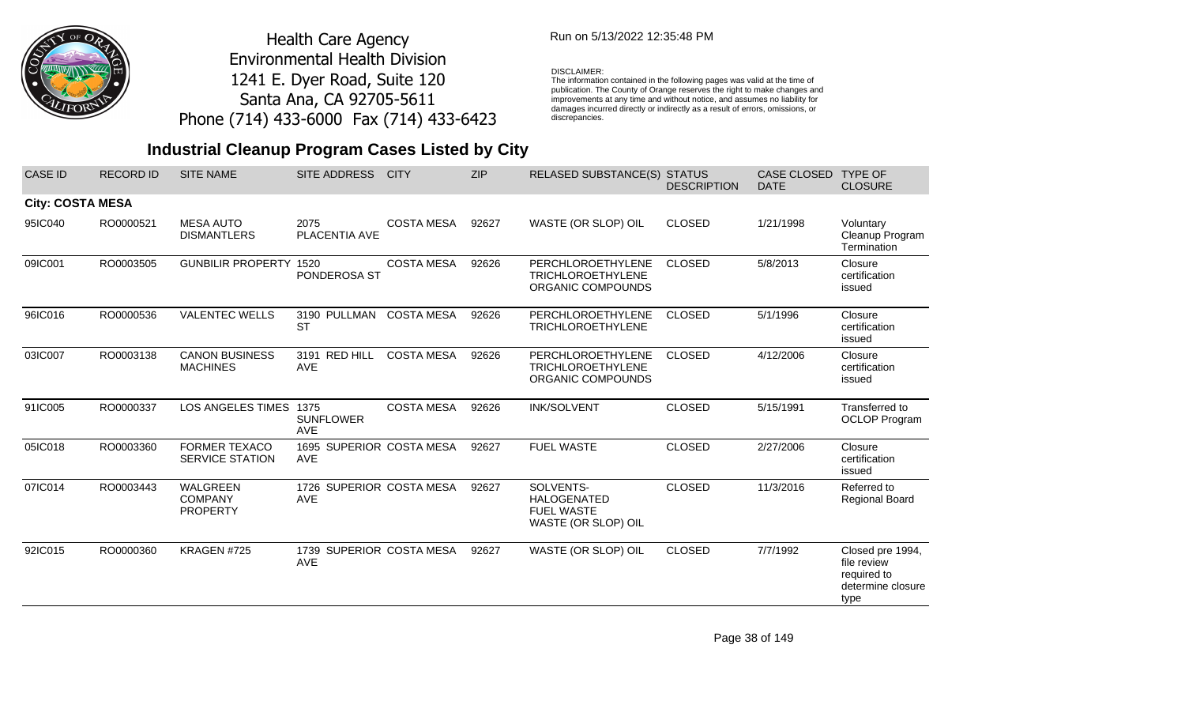

### Run on 5/13/2022 12:35:48 PM

#### DISCLAIMER:

The information contained in the following pages was valid at the time of publication. The County of Orange reserves the right to make changes and improvements at any time and without notice, and assumes no liability for damages incurred directly or indirectly as a result of errors, omissions, or discrepancies.

| <b>CASE ID</b>          | <b>RECORD ID</b> | <b>SITE NAME</b>                               | SITE ADDRESS                           | <b>CITY</b>       | <b>ZIP</b> | RELASED SUBSTANCE(S) STATUS                                                 | <b>DESCRIPTION</b> | CASE CLOSED<br><b>DATE</b> | <b>TYPE OF</b><br><b>CLOSURE</b>                                            |
|-------------------------|------------------|------------------------------------------------|----------------------------------------|-------------------|------------|-----------------------------------------------------------------------------|--------------------|----------------------------|-----------------------------------------------------------------------------|
| <b>City: COSTA MESA</b> |                  |                                                |                                        |                   |            |                                                                             |                    |                            |                                                                             |
| 95IC040                 | RO0000521        | <b>MESA AUTO</b><br><b>DISMANTLERS</b>         | 2075<br>PLACENTIA AVE                  | <b>COSTA MESA</b> | 92627      | WASTE (OR SLOP) OIL                                                         | <b>CLOSED</b>      | 1/21/1998                  | Voluntary<br>Cleanup Program<br>Termination                                 |
| 09IC001                 | RO0003505        | <b>GUNBILIR PROPERTY</b>                       | 1520<br>PONDEROSA ST                   | <b>COSTA MESA</b> | 92626      | PERCHLOROETHYLENE<br><b>TRICHLOROETHYLENE</b><br>ORGANIC COMPOUNDS          | <b>CLOSED</b>      | 5/8/2013                   | Closure<br>certification<br>issued                                          |
| 96IC016                 | RO0000536        | <b>VALENTEC WELLS</b>                          | 3190 PULLMAN<br><b>ST</b>              | <b>COSTA MESA</b> | 92626      | PERCHLOROETHYLENE<br><b>TRICHLOROETHYLENE</b>                               | <b>CLOSED</b>      | 5/1/1996                   | Closure<br>certification<br>issued                                          |
| 03IC007                 | RO0003138        | <b>CANON BUSINESS</b><br><b>MACHINES</b>       | 3191 RED HILL<br><b>AVE</b>            | <b>COSTA MESA</b> | 92626      | PERCHLOROETHYLENE<br><b>TRICHLOROETHYLENE</b><br>ORGANIC COMPOUNDS          | <b>CLOSED</b>      | 4/12/2006                  | Closure<br>certification<br>issued                                          |
| 91IC005                 | RO0000337        | LOS ANGELES TIMES 1375                         | <b>SUNFLOWER</b><br><b>AVE</b>         | <b>COSTA MESA</b> | 92626      | <b>INK/SOLVENT</b>                                                          | <b>CLOSED</b>      | 5/15/1991                  | Transferred to<br><b>OCLOP Program</b>                                      |
| 05IC018                 | RO0003360        | <b>FORMER TEXACO</b><br><b>SERVICE STATION</b> | 1695 SUPERIOR COSTA MESA<br><b>AVE</b> |                   | 92627      | <b>FUEL WASTE</b>                                                           | <b>CLOSED</b>      | 2/27/2006                  | Closure<br>certification<br>issued                                          |
| 07IC014                 | RO0003443        | WALGREEN<br><b>COMPANY</b><br><b>PROPERTY</b>  | 1726 SUPERIOR COSTA MESA<br>AVE        |                   | 92627      | SOLVENTS-<br><b>HALOGENATED</b><br><b>FUEL WASTE</b><br>WASTE (OR SLOP) OIL | <b>CLOSED</b>      | 11/3/2016                  | Referred to<br><b>Regional Board</b>                                        |
| 92IC015                 | RO0000360        | KRAGEN #725                                    | 1739 SUPERIOR COSTA MESA<br>AVE        |                   | 92627      | WASTE (OR SLOP) OIL                                                         | <b>CLOSED</b>      | 7/7/1992                   | Closed pre 1994,<br>file review<br>required to<br>determine closure<br>type |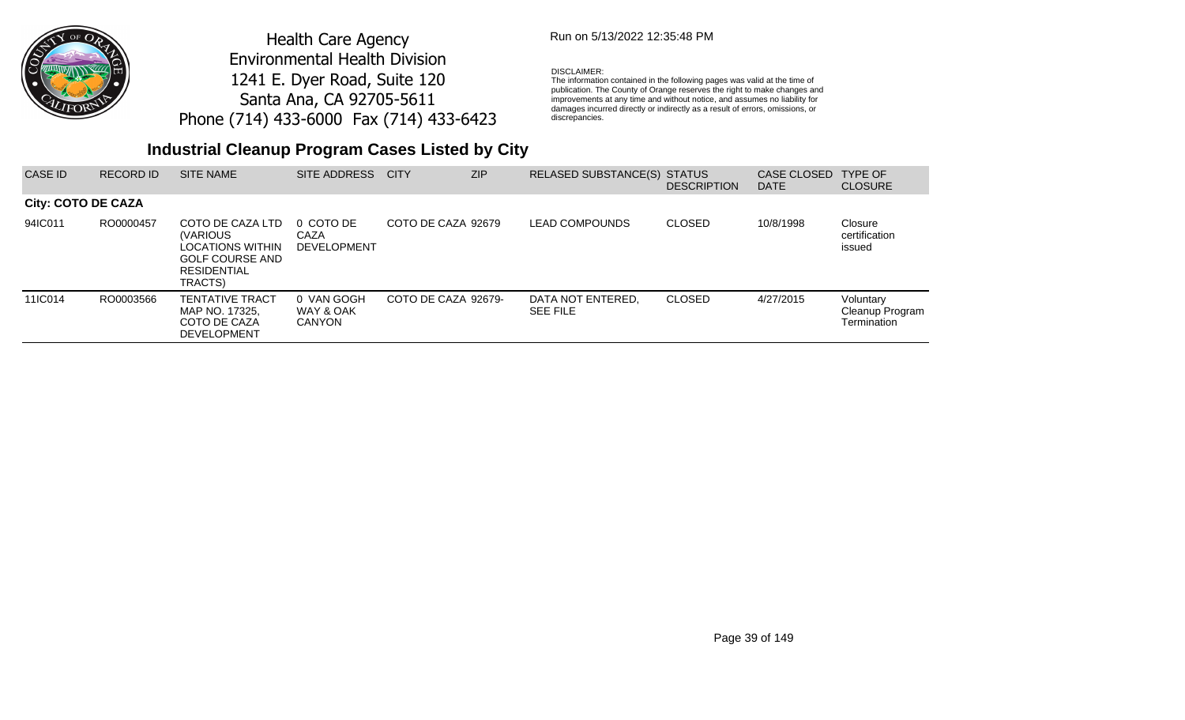

## Run on 5/13/2022 12:35:48 PM

#### DISCLAIMER:

The information contained in the following pages was valid at the time of publication. The County of Orange reserves the right to make changes and improvements at any time and without notice, and assumes no liability for damages incurred directly or indirectly as a result of errors, omissions, or discrepancies.

| CASE ID            | <b>RECORD ID</b> | <b>SITE NAME</b>                                                                                                                 | SITE ADDRESS                            | <b>CITY</b>         | <b>ZIP</b> | RELASED SUBSTANCE(S) STATUS          | <b>DESCRIPTION</b> | CASE CLOSED<br><b>DATE</b> | <b>TYPE OF</b><br><b>CLOSURE</b>            |
|--------------------|------------------|----------------------------------------------------------------------------------------------------------------------------------|-----------------------------------------|---------------------|------------|--------------------------------------|--------------------|----------------------------|---------------------------------------------|
| City: COTO DE CAZA |                  |                                                                                                                                  |                                         |                     |            |                                      |                    |                            |                                             |
| 94IC011            | RO0000457        | COTO DE CAZA LTD<br><i><b>IVARIOUS</b></i><br><b>LOCATIONS WITHIN</b><br><b>GOLF COURSE AND</b><br><b>RESIDENTIAL</b><br>TRACTS) | 0 COTO DE<br>CAZA<br><b>DEVELOPMENT</b> | COTO DE CAZA 92679  |            | <b>LEAD COMPOUNDS</b>                | <b>CLOSED</b>      | 10/8/1998                  | Closure<br>certification<br>issued          |
| 11IC014            | RO0003566        | <b>TENTATIVE TRACT</b><br>MAP NO. 17325.<br>COTO DE CAZA<br><b>DEVELOPMENT</b>                                                   | 0 VAN GOGH<br>WAY & OAK<br>CANYON       | COTO DE CAZA 92679- |            | DATA NOT ENTERED.<br><b>SEE FILE</b> | <b>CLOSED</b>      | 4/27/2015                  | Voluntary<br>Cleanup Program<br>Termination |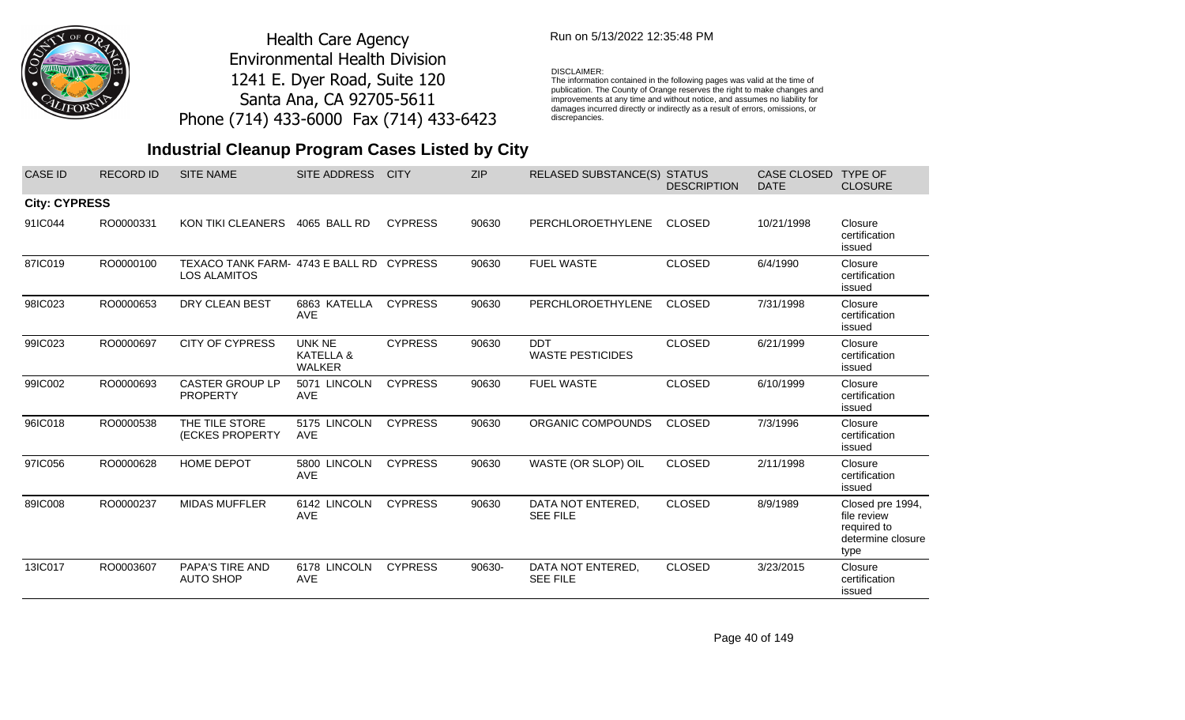

### Run on 5/13/2022 12:35:48 PM

#### DISCLAIMER:

The information contained in the following pages was valid at the time of publication. The County of Orange reserves the right to make changes and improvements at any time and without notice, and assumes no liability for damages incurred directly or indirectly as a result of errors, omissions, or discrepancies.

| <b>CASE ID</b>       | <b>RECORD ID</b> | <b>SITE NAME</b>                                                | SITE ADDRESS                                | <b>CITY</b>    | <b>ZIP</b> | RELASED SUBSTANCE(S) STATUS           | <b>DESCRIPTION</b> | CASE CLOSED<br><b>DATE</b> | <b>TYPE OF</b><br><b>CLOSURE</b>                                            |
|----------------------|------------------|-----------------------------------------------------------------|---------------------------------------------|----------------|------------|---------------------------------------|--------------------|----------------------------|-----------------------------------------------------------------------------|
| <b>City: CYPRESS</b> |                  |                                                                 |                                             |                |            |                                       |                    |                            |                                                                             |
| 91IC044              | RO0000331        | <b>KON TIKI CLEANERS</b>                                        | 4065 BALL RD                                | <b>CYPRESS</b> | 90630      | <b>PERCHLOROETHYLENE</b>              | <b>CLOSED</b>      | 10/21/1998                 | Closure<br>certification<br>issued                                          |
| 87IC019              | RO0000100        | TEXACO TANK FARM- 4743 E BALL RD CYPRESS<br><b>LOS ALAMITOS</b> |                                             |                | 90630      | <b>FUEL WASTE</b>                     | <b>CLOSED</b>      | 6/4/1990                   | Closure<br>certification<br>issued                                          |
| 98IC023              | RO0000653        | DRY CLEAN BEST                                                  | 6863 KATELLA<br><b>AVE</b>                  | <b>CYPRESS</b> | 90630      | PERCHLOROETHYLENE                     | <b>CLOSED</b>      | 7/31/1998                  | Closure<br>certification<br>issued                                          |
| 99IC023              | RO0000697        | <b>CITY OF CYPRESS</b>                                          | <b>UNK NE</b><br>KATELLA &<br><b>WALKER</b> | <b>CYPRESS</b> | 90630      | <b>DDT</b><br><b>WASTE PESTICIDES</b> | <b>CLOSED</b>      | 6/21/1999                  | Closure<br>certification<br>issued                                          |
| 99IC002              | RO0000693        | <b>CASTER GROUP LP</b><br><b>PROPERTY</b>                       | 5071 LINCOLN<br><b>AVE</b>                  | <b>CYPRESS</b> | 90630      | <b>FUEL WASTE</b>                     | <b>CLOSED</b>      | 6/10/1999                  | Closure<br>certification<br>issued                                          |
| 96IC018              | RO0000538        | THE TILE STORE<br>(ECKES PROPERTY                               | 5175 LINCOLN<br><b>AVE</b>                  | <b>CYPRESS</b> | 90630      | ORGANIC COMPOUNDS                     | <b>CLOSED</b>      | 7/3/1996                   | Closure<br>certification<br>issued                                          |
| 97IC056              | RO0000628        | HOME DEPOT                                                      | 5800 LINCOLN<br><b>AVE</b>                  | <b>CYPRESS</b> | 90630      | WASTE (OR SLOP) OIL                   | <b>CLOSED</b>      | 2/11/1998                  | Closure<br>certification<br>issued                                          |
| 89IC008              | RO0000237        | <b>MIDAS MUFFLER</b>                                            | 6142 LINCOLN<br><b>AVE</b>                  | <b>CYPRESS</b> | 90630      | DATA NOT ENTERED,<br><b>SEE FILE</b>  | <b>CLOSED</b>      | 8/9/1989                   | Closed pre 1994,<br>file review<br>required to<br>determine closure<br>type |
| 13IC017              | RO0003607        | PAPA'S TIRE AND<br><b>AUTO SHOP</b>                             | 6178 LINCOLN<br><b>AVE</b>                  | <b>CYPRESS</b> | 90630-     | DATA NOT ENTERED,<br><b>SEE FILE</b>  | <b>CLOSED</b>      | 3/23/2015                  | Closure<br>certification<br>issued                                          |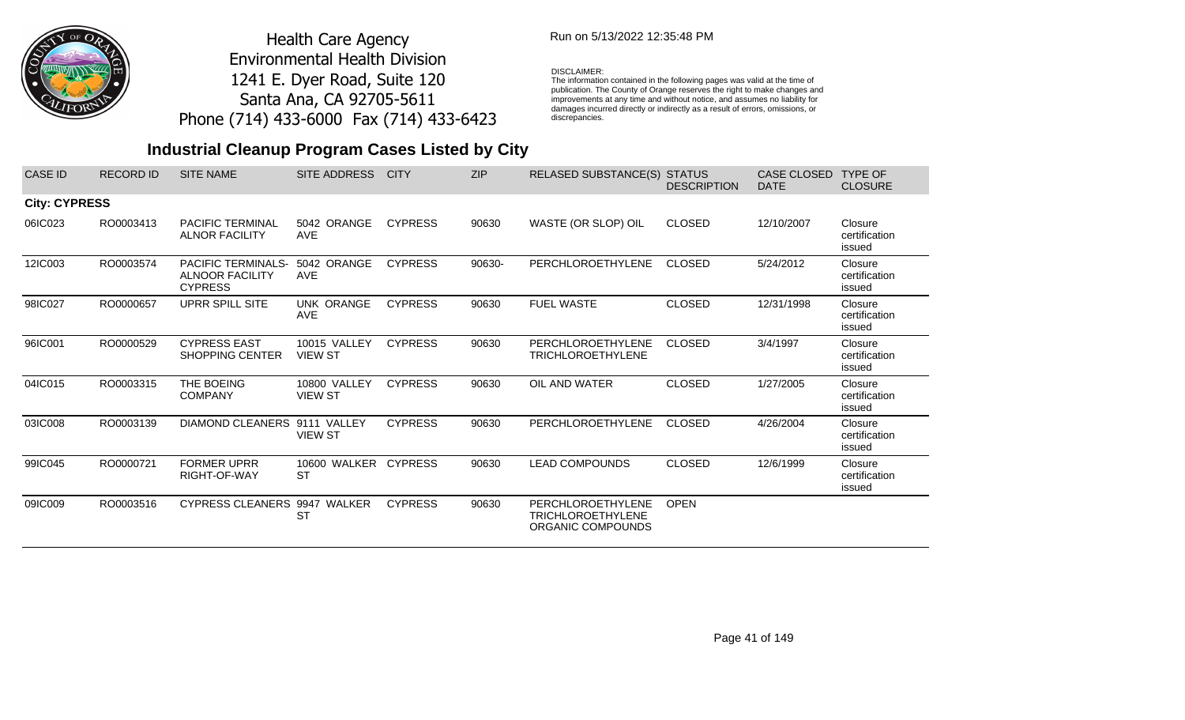

## Run on 5/13/2022 12:35:48 PM

#### DISCLAIMER:

The information contained in the following pages was valid at the time of publication. The County of Orange reserves the right to make changes and improvements at any time and without notice, and assumes no liability for damages incurred directly or indirectly as a result of errors, omissions, or discrepancies.

| CASE ID              | <b>RECORD ID</b> | <b>SITE NAME</b>                                                      | SITE ADDRESS                      | <b>CITY</b>    | <b>ZIP</b> | <b>RELASED SUBSTANCE(S) STATUS</b>                                 | <b>DESCRIPTION</b> | <b>CASE CLOSED</b><br><b>DATE</b> | <b>TYPE OF</b><br><b>CLOSURE</b>   |
|----------------------|------------------|-----------------------------------------------------------------------|-----------------------------------|----------------|------------|--------------------------------------------------------------------|--------------------|-----------------------------------|------------------------------------|
| <b>City: CYPRESS</b> |                  |                                                                       |                                   |                |            |                                                                    |                    |                                   |                                    |
| 06IC023              | RO0003413        | <b>PACIFIC TERMINAL</b><br><b>ALNOR FACILITY</b>                      | 5042 ORANGE<br><b>AVE</b>         | <b>CYPRESS</b> | 90630      | WASTE (OR SLOP) OIL                                                | <b>CLOSED</b>      | 12/10/2007                        | Closure<br>certification<br>issued |
| 12IC003              | RO0003574        | <b>PACIFIC TERMINALS-</b><br><b>ALNOOR FACILITY</b><br><b>CYPRESS</b> | 5042 ORANGE<br><b>AVE</b>         | <b>CYPRESS</b> | 90630-     | PERCHLOROETHYLENE                                                  | CLOSED             | 5/24/2012                         | Closure<br>certification<br>issued |
| 98IC027              | RO0000657        | <b>UPRR SPILL SITE</b>                                                | <b>UNK ORANGE</b><br><b>AVE</b>   | <b>CYPRESS</b> | 90630      | <b>FUEL WASTE</b>                                                  | <b>CLOSED</b>      | 12/31/1998                        | Closure<br>certification<br>issued |
| 96IC001              | RO0000529        | <b>CYPRESS EAST</b><br><b>SHOPPING CENTER</b>                         | 10015 VALLEY<br><b>VIEW ST</b>    | <b>CYPRESS</b> | 90630      | PERCHLOROETHYLENE<br><b>TRICHLOROETHYLENE</b>                      | <b>CLOSED</b>      | 3/4/1997                          | Closure<br>certification<br>issued |
| 04IC015              | RO0003315        | THE BOEING<br><b>COMPANY</b>                                          | 10800 VALLEY<br><b>VIEW ST</b>    | <b>CYPRESS</b> | 90630      | OIL AND WATER                                                      | <b>CLOSED</b>      | 1/27/2005                         | Closure<br>certification<br>issued |
| 03IC008              | RO0003139        | DIAMOND CLEANERS 9111 VALLEY                                          | <b>VIEW ST</b>                    | <b>CYPRESS</b> | 90630      | PERCHLOROETHYLENE                                                  | <b>CLOSED</b>      | 4/26/2004                         | Closure<br>certification<br>issued |
| 99IC045              | RO0000721        | <b>FORMER UPRR</b><br>RIGHT-OF-WAY                                    | 10600 WALKER CYPRESS<br><b>ST</b> |                | 90630      | <b>LEAD COMPOUNDS</b>                                              | <b>CLOSED</b>      | 12/6/1999                         | Closure<br>certification<br>issued |
| 09IC009              | RO0003516        | CYPRESS CLEANERS 9947 WALKER                                          | <b>ST</b>                         | <b>CYPRESS</b> | 90630      | PERCHLOROETHYLENE<br><b>TRICHLOROETHYLENE</b><br>ORGANIC COMPOUNDS | <b>OPEN</b>        |                                   |                                    |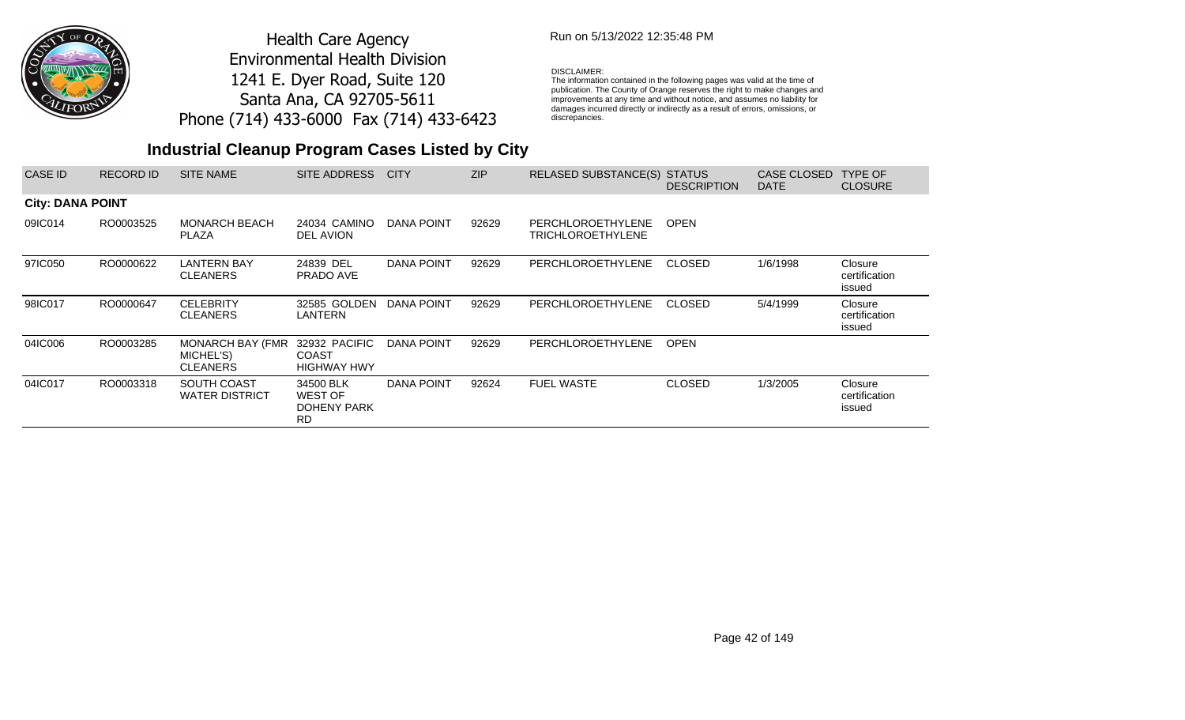

### Run on 5/13/2022 12:35:48 PM

#### DISCLAIMER:

The information contained in the following pages was valid at the time of publication. The County of Orange reserves the right to make changes and improvements at any time and without notice, and assumes no liability for damages incurred directly or indirectly as a result of errors, omissions, or discrepancies.

| CASE ID                 | <b>RECORD ID</b> | <b>SITE NAME</b>                                 | SITE ADDRESS                                            | <b>CITY</b>       | <b>ZIP</b> | RELASED SUBSTANCE(S) STATUS            | <b>DESCRIPTION</b> | CASE CLOSED<br><b>DATE</b> | <b>TYPE OF</b><br><b>CLOSURE</b>   |
|-------------------------|------------------|--------------------------------------------------|---------------------------------------------------------|-------------------|------------|----------------------------------------|--------------------|----------------------------|------------------------------------|
| <b>City: DANA POINT</b> |                  |                                                  |                                                         |                   |            |                                        |                    |                            |                                    |
| 09IC014                 | RO0003525        | <b>MONARCH BEACH</b><br><b>PLAZA</b>             | 24034 CAMINO<br>DEL AVION                               | DANA POINT        | 92629      | PERCHLOROETHYLENE<br>TRICHLOROETHYLENE | <b>OPEN</b>        |                            |                                    |
| 97IC050                 | RO0000622        | LANTERN BAY<br><b>CLEANERS</b>                   | 24839 DEL<br>PRADO AVE                                  | DANA POINT        | 92629      | PERCHLOROETHYLENE                      | CLOSED             | 1/6/1998                   | Closure<br>certification<br>issued |
| 98IC017                 | RO0000647        | <b>CELEBRITY</b><br><b>CLEANERS</b>              | 32585 GOLDEN<br>LANTERN                                 | DANA POINT        | 92629      | PERCHLOROETHYLENE                      | CLOSED             | 5/4/1999                   | Closure<br>certification<br>issued |
| 04IC006                 | RO0003285        | MONARCH BAY (FMR<br>MICHEL'S)<br><b>CLEANERS</b> | 32932 PACIFIC<br><b>COAST</b><br><b>HIGHWAY HWY</b>     | DANA POINT        | 92629      | PERCHLOROETHYLENE                      | <b>OPEN</b>        |                            |                                    |
| 04IC017                 | RO0003318        | SOUTH COAST<br><b>WATER DISTRICT</b>             | 34500 BLK<br><b>WEST OF</b><br>DOHENY PARK<br><b>RD</b> | <b>DANA POINT</b> | 92624      | <b>FUEL WASTE</b>                      | <b>CLOSED</b>      | 1/3/2005                   | Closure<br>certification<br>issued |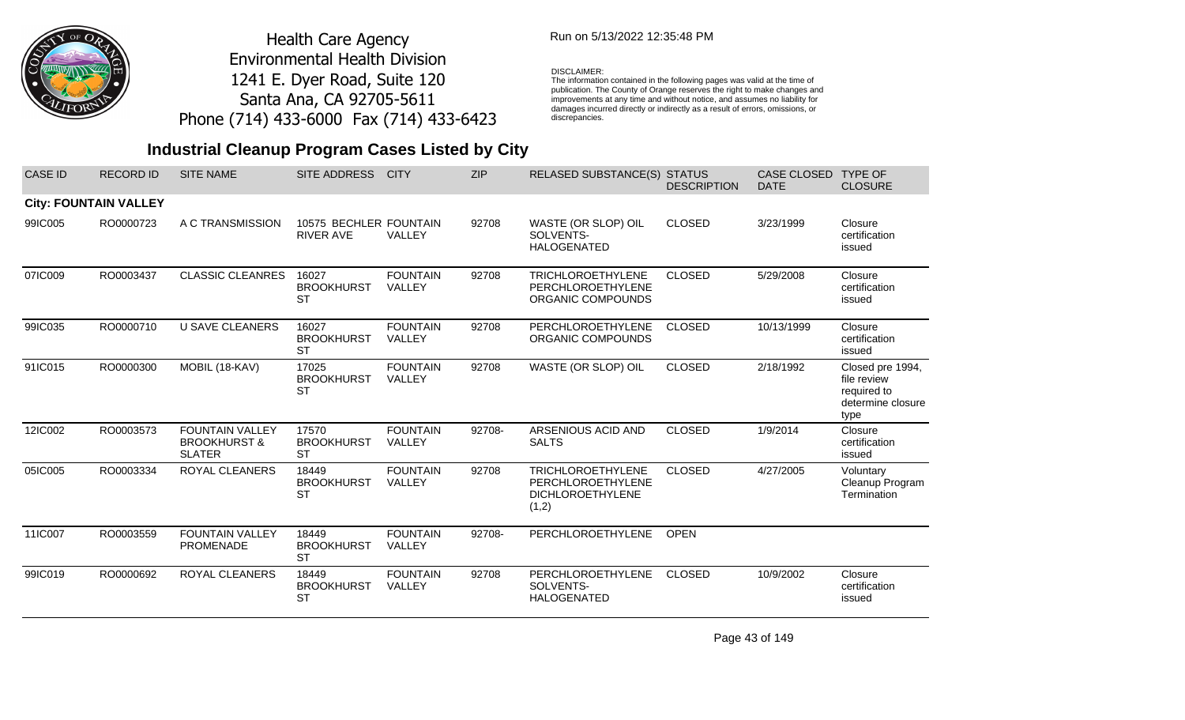

## Run on 5/13/2022 12:35:48 PM

#### DISCLAIMER:

The information contained in the following pages was valid at the time of publication. The County of Orange reserves the right to make changes and improvements at any time and without notice, and assumes no liability for damages incurred directly or indirectly as a result of errors, omissions, or discrepancies.

## **Industrial Cleanup Program Cases Listed by City**

| <b>CASE ID</b> | <b>RECORD ID</b>             | <b>SITE NAME</b>                                                   | <b>SITE ADDRESS</b>                        | <b>CITY</b>               | <b>ZIP</b> | <b>RELASED SUBSTANCE(S) STATUS</b>                                                | <b>DESCRIPTION</b> | CASE CLOSED<br><b>DATE</b> | <b>TYPE OF</b><br><b>CLOSURE</b>                                            |
|----------------|------------------------------|--------------------------------------------------------------------|--------------------------------------------|---------------------------|------------|-----------------------------------------------------------------------------------|--------------------|----------------------------|-----------------------------------------------------------------------------|
|                | <b>City: FOUNTAIN VALLEY</b> |                                                                    |                                            |                           |            |                                                                                   |                    |                            |                                                                             |
| 99IC005        | RO0000723                    | A C TRANSMISSION                                                   | 10575 BECHLER FOUNTAIN<br><b>RIVER AVE</b> | VALLEY                    | 92708      | WASTE (OR SLOP) OIL<br>SOLVENTS-<br><b>HALOGENATED</b>                            | <b>CLOSED</b>      | 3/23/1999                  | Closure<br>certification<br>issued                                          |
| 07IC009        | RO0003437                    | <b>CLASSIC CLEANRES</b>                                            | 16027<br><b>BROOKHURST</b><br><b>ST</b>    | <b>FOUNTAIN</b><br>VALLEY | 92708      | <b>TRICHLOROETHYLENE</b><br>PERCHLOROETHYLENE<br>ORGANIC COMPOUNDS                | <b>CLOSED</b>      | 5/29/2008                  | Closure<br>certification<br>issued                                          |
| 99IC035        | RO0000710                    | <b>U SAVE CLEANERS</b>                                             | 16027<br><b>BROOKHURST</b><br><b>ST</b>    | <b>FOUNTAIN</b><br>VALLEY | 92708      | PERCHLOROETHYLENE<br>ORGANIC COMPOUNDS                                            | <b>CLOSED</b>      | 10/13/1999                 | Closure<br>certification<br>issued                                          |
| 91IC015        | RO0000300                    | MOBIL (18-KAV)                                                     | 17025<br><b>BROOKHURST</b><br><b>ST</b>    | <b>FOUNTAIN</b><br>VALLEY | 92708      | WASTE (OR SLOP) OIL                                                               | <b>CLOSED</b>      | 2/18/1992                  | Closed pre 1994,<br>file review<br>required to<br>determine closure<br>type |
| 12IC002        | RO0003573                    | <b>FOUNTAIN VALLEY</b><br><b>BROOKHURST &amp;</b><br><b>SLATER</b> | 17570<br><b>BROOKHURST</b><br><b>ST</b>    | <b>FOUNTAIN</b><br>VALLEY | 92708-     | ARSENIOUS ACID AND<br><b>SALTS</b>                                                | <b>CLOSED</b>      | 1/9/2014                   | Closure<br>certification<br>issued                                          |
| 05IC005        | RO0003334                    | ROYAL CLEANERS                                                     | 18449<br><b>BROOKHURST</b><br><b>ST</b>    | <b>FOUNTAIN</b><br>VALLEY | 92708      | <b>TRICHLOROETHYLENE</b><br>PERCHLOROETHYLENE<br><b>DICHLOROETHYLENE</b><br>(1,2) | <b>CLOSED</b>      | 4/27/2005                  | Voluntary<br>Cleanup Program<br>Termination                                 |
| 11IC007        | RO0003559                    | <b>FOUNTAIN VALLEY</b><br><b>PROMENADE</b>                         | 18449<br><b>BROOKHURST</b><br><b>ST</b>    | <b>FOUNTAIN</b><br>VALLEY | 92708-     | PERCHLOROETHYLENE                                                                 | <b>OPEN</b>        |                            |                                                                             |
| 99IC019        | RO0000692                    | <b>ROYAL CLEANERS</b>                                              | 18449<br><b>BROOKHURST</b><br><b>ST</b>    | <b>FOUNTAIN</b><br>VALLEY | 92708      | PERCHLOROETHYLENE<br>SOLVENTS-<br><b>HALOGENATED</b>                              | <b>CLOSED</b>      | 10/9/2002                  | Closure<br>certification<br>issued                                          |

Page 43 of 149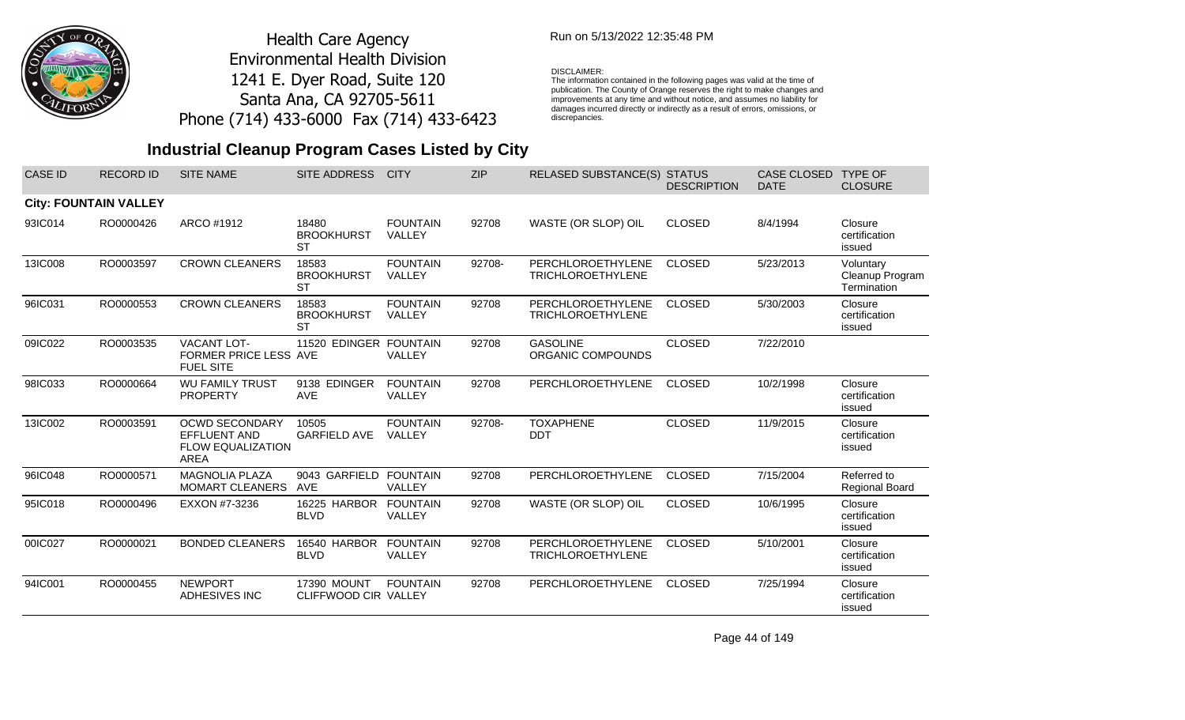

### Run on 5/13/2022 12:35:48 PM

#### DISCLAIMER:

The information contained in the following pages was valid at the time of publication. The County of Orange reserves the right to make changes and improvements at any time and without notice, and assumes no liability for damages incurred directly or indirectly as a result of errors, omissions, or discrepancies.

## **Industrial Cleanup Program Cases Listed by City**

| <b>CASE ID</b> | <b>RECORD ID</b>             | <b>SITE NAME</b>                                                                 | <b>SITE ADDRESS</b>                        | <b>CITY</b>               | <b>ZIP</b> | <b>RELASED SUBSTANCE(S)</b>                   | <b>STATUS</b><br><b>DESCRIPTION</b> | <b>CASE CLOSED</b><br><b>DATE</b> | <b>TYPE OF</b><br><b>CLOSURE</b>            |
|----------------|------------------------------|----------------------------------------------------------------------------------|--------------------------------------------|---------------------------|------------|-----------------------------------------------|-------------------------------------|-----------------------------------|---------------------------------------------|
|                | <b>City: FOUNTAIN VALLEY</b> |                                                                                  |                                            |                           |            |                                               |                                     |                                   |                                             |
| 93IC014        | RO0000426                    | ARCO #1912                                                                       | 18480<br><b>BROOKHURST</b><br><b>ST</b>    | <b>FOUNTAIN</b><br>VALLEY | 92708      | WASTE (OR SLOP) OIL                           | <b>CLOSED</b>                       | 8/4/1994                          | Closure<br>certification<br>issued          |
| 13IC008        | RO0003597                    | <b>CROWN CLEANERS</b>                                                            | 18583<br><b>BROOKHURST</b><br><b>ST</b>    | <b>FOUNTAIN</b><br>VALLEY | 92708-     | PERCHLOROETHYLENE<br><b>TRICHLOROETHYLENE</b> | <b>CLOSED</b>                       | 5/23/2013                         | Voluntary<br>Cleanup Program<br>Termination |
| 96IC031        | RO0000553                    | <b>CROWN CLEANERS</b>                                                            | 18583<br><b>BROOKHURST</b><br><b>ST</b>    | <b>FOUNTAIN</b><br>VALLEY | 92708      | PERCHLOROETHYLENE<br><b>TRICHLOROETHYLENE</b> | <b>CLOSED</b>                       | 5/30/2003                         | Closure<br>certification<br>issued          |
| 09IC022        | RO0003535                    | <b>VACANT LOT-</b><br>FORMER PRICE LESS AVE<br><b>FUEL SITE</b>                  | 11520 EDINGER FOUNTAIN                     | VALLEY                    | 92708      | <b>GASOLINE</b><br>ORGANIC COMPOUNDS          | <b>CLOSED</b>                       | 7/22/2010                         |                                             |
| 98IC033        | RO0000664                    | <b>WU FAMILY TRUST</b><br><b>PROPERTY</b>                                        | 9138 EDINGER<br><b>AVE</b>                 | <b>FOUNTAIN</b><br>VALLEY | 92708      | PERCHLOROETHYLENE                             | <b>CLOSED</b>                       | 10/2/1998                         | Closure<br>certification<br>issued          |
| 13IC002        | RO0003591                    | <b>OCWD SECONDARY</b><br>EFFLUENT AND<br><b>FLOW EQUALIZATION</b><br><b>AREA</b> | 10505<br><b>GARFIELD AVE</b>               | <b>FOUNTAIN</b><br>VALLEY | 92708-     | <b>TOXAPHENE</b><br><b>DDT</b>                | <b>CLOSED</b>                       | 11/9/2015                         | Closure<br>certification<br>issued          |
| 96IC048        | RO0000571                    | <b>MAGNOLIA PLAZA</b><br><b>MOMART CLEANERS</b>                                  | 9043 GARFIELD<br><b>AVE</b>                | <b>FOUNTAIN</b><br>VALLEY | 92708      | PERCHLOROETHYLENE                             | <b>CLOSED</b>                       | 7/15/2004                         | Referred to<br>Regional Board               |
| 95IC018        | RO0000496                    | EXXON #7-3236                                                                    | 16225 HARBOR<br><b>BLVD</b>                | <b>FOUNTAIN</b><br>VALLEY | 92708      | WASTE (OR SLOP) OIL                           | <b>CLOSED</b>                       | 10/6/1995                         | Closure<br>certification<br>issued          |
| 00IC027        | RO0000021                    | <b>BONDED CLEANERS</b>                                                           | 16540 HARBOR<br><b>BLVD</b>                | <b>FOUNTAIN</b><br>VALLEY | 92708      | PERCHLOROETHYLENE<br><b>TRICHLOROETHYLENE</b> | <b>CLOSED</b>                       | 5/10/2001                         | Closure<br>certification<br>issued          |
| 94IC001        | RO0000455                    | <b>NEWPORT</b><br>ADHESIVES INC                                                  | <b>17390 MOUNT</b><br>CLIFFWOOD CIR VALLEY | <b>FOUNTAIN</b>           | 92708      | PERCHLOROETHYLENE                             | <b>CLOSED</b>                       | 7/25/1994                         | Closure<br>certification<br>issued          |

Page 44 of 149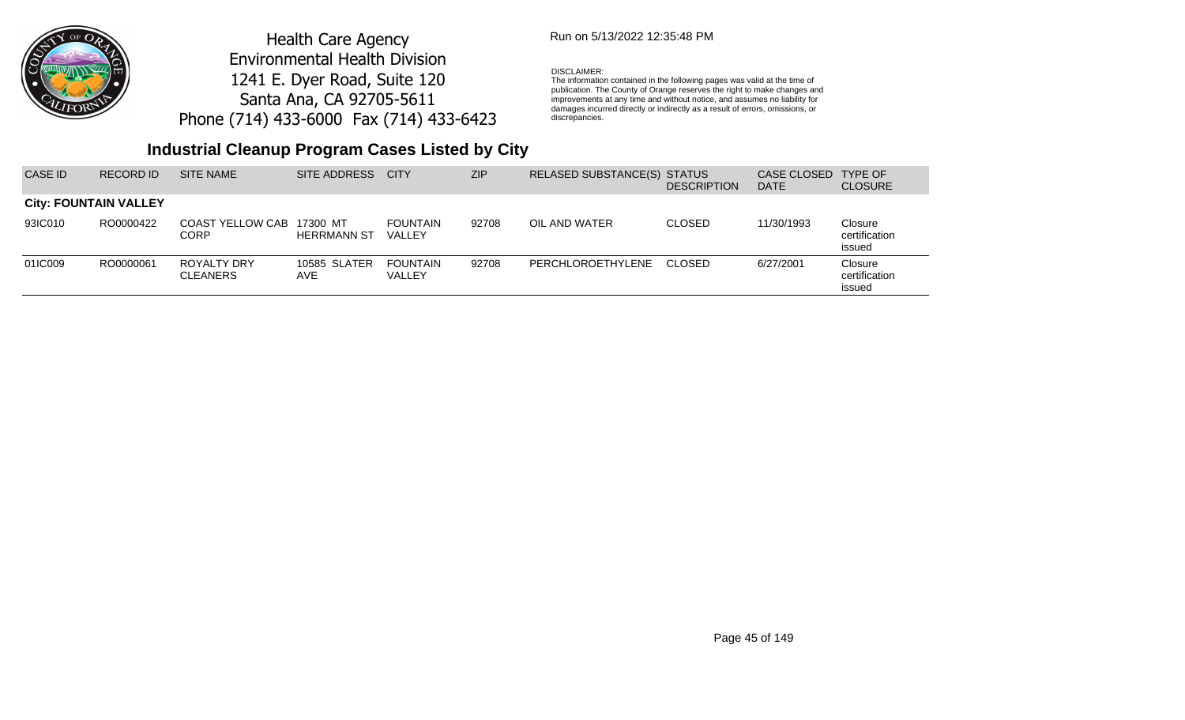

## Run on 5/13/2022 12:35:48 PM

#### DISCLAIMER:

The information contained in the following pages was valid at the time of publication. The County of Orange reserves the right to make changes and improvements at any time and without notice, and assumes no liability for damages incurred directly or indirectly as a result of errors, omissions, or discrepancies.

## **Industrial Cleanup Program Cases Listed by City**

| CASE ID | RECORD ID                    | SITE NAME                      | SITE ADDRESS                   | <b>CITY</b>               | <b>ZIP</b> | RELASED SUBSTANCE(S) STATUS | <b>DESCRIPTION</b> | CASE CLOSED<br><b>DATE</b> | <b>TYPE OF</b><br><b>CLOSURE</b>   |
|---------|------------------------------|--------------------------------|--------------------------------|---------------------------|------------|-----------------------------|--------------------|----------------------------|------------------------------------|
|         | <b>City: FOUNTAIN VALLEY</b> |                                |                                |                           |            |                             |                    |                            |                                    |
| 93IC010 | RO0000422                    | COAST YELLOW CAB<br>CORP       | 17300 MT<br><b>HERRMANN ST</b> | <b>FOUNTAIN</b><br>VALLEY | 92708      | OIL AND WATER               | <b>CLOSED</b>      | 11/30/1993                 | Closure<br>certification<br>issued |
| 01IC009 | RO0000061                    | ROYALTY DRY<br><b>CLEANERS</b> | <b>10585 SLATER</b><br>AVE     | FOUNTAIN<br><b>VALLEY</b> | 92708      | PERCHLOROETHYLENE           | CLOSED             | 6/27/2001                  | Closure<br>certification<br>issued |

Page 45 of 149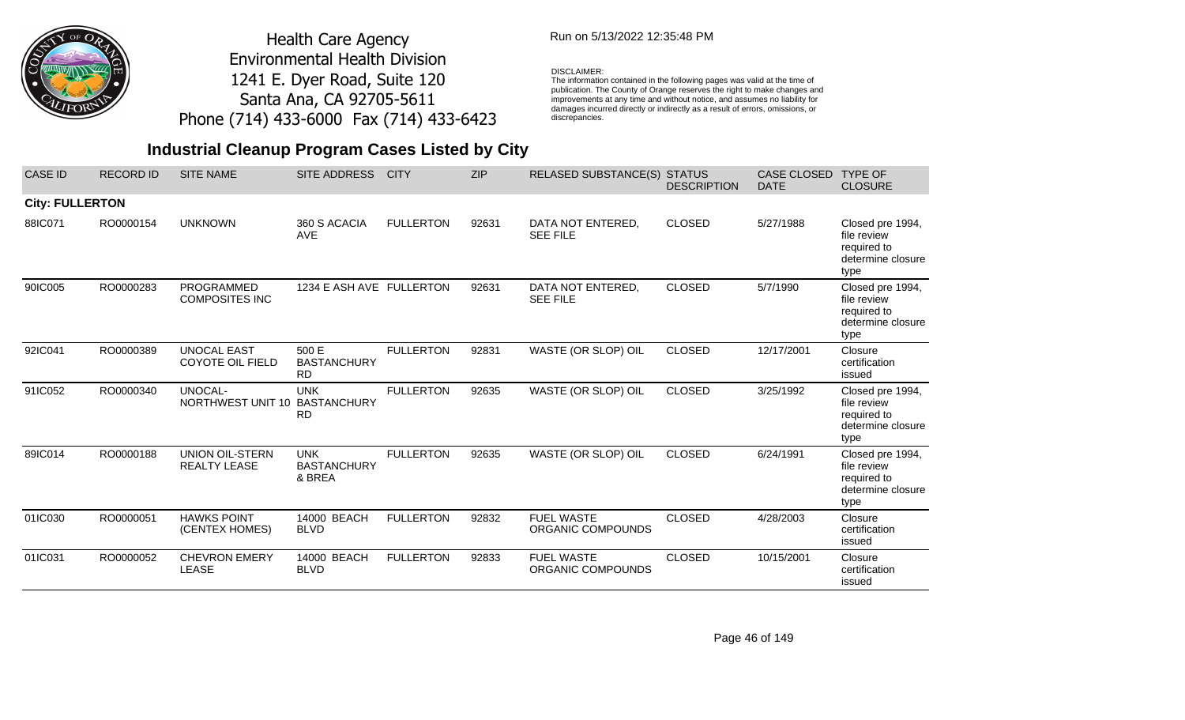

### Run on 5/13/2022 12:35:48 PM

### DISCLAIMER:

The information contained in the following pages was valid at the time of publication. The County of Orange reserves the right to make changes and improvements at any time and without notice, and assumes no liability for damages incurred directly or indirectly as a result of errors, omissions, or discrepancies.

| <b>CASE ID</b>         | <b>RECORD ID</b> | <b>SITE NAME</b>                              | <b>SITE ADDRESS</b>                           | <b>CITY</b>      | <b>ZIP</b> | <b>RELASED SUBSTANCE(S)</b>            | <b>STATUS</b><br><b>DESCRIPTION</b> | <b>CASE CLOSED</b><br><b>DATE</b> | <b>TYPE OF</b><br><b>CLOSURE</b>                                            |
|------------------------|------------------|-----------------------------------------------|-----------------------------------------------|------------------|------------|----------------------------------------|-------------------------------------|-----------------------------------|-----------------------------------------------------------------------------|
| <b>City: FULLERTON</b> |                  |                                               |                                               |                  |            |                                        |                                     |                                   |                                                                             |
| 88IC071                | RO0000154        | <b>UNKNOWN</b>                                | 360 S ACACIA<br><b>AVE</b>                    | <b>FULLERTON</b> | 92631      | DATA NOT ENTERED,<br><b>SEE FILE</b>   | <b>CLOSED</b>                       | 5/27/1988                         | Closed pre 1994,<br>file review<br>required to<br>determine closure<br>type |
| 90IC005                | RO0000283        | PROGRAMMED<br><b>COMPOSITES INC</b>           | 1234 E ASH AVE FULLERTON                      |                  | 92631      | DATA NOT ENTERED,<br><b>SEE FILE</b>   | <b>CLOSED</b>                       | 5/7/1990                          | Closed pre 1994,<br>file review<br>required to<br>determine closure<br>type |
| 92IC041                | RO0000389        | <b>UNOCAL EAST</b><br><b>COYOTE OIL FIELD</b> | 500 E<br><b>BASTANCHURY</b><br><b>RD</b>      | <b>FULLERTON</b> | 92831      | WASTE (OR SLOP) OIL                    | <b>CLOSED</b>                       | 12/17/2001                        | Closure<br>certification<br>issued                                          |
| 91IC052                | RO0000340        | UNOCAL-<br>NORTHWEST UNIT 10                  | <b>UNK</b><br><b>BASTANCHURY</b><br><b>RD</b> | <b>FULLERTON</b> | 92635      | WASTE (OR SLOP) OIL                    | <b>CLOSED</b>                       | 3/25/1992                         | Closed pre 1994,<br>file review<br>required to<br>determine closure<br>type |
| 89IC014                | RO0000188        | <b>UNION OIL-STERN</b><br><b>REALTY LEASE</b> | <b>UNK</b><br><b>BASTANCHURY</b><br>& BREA    | <b>FULLERTON</b> | 92635      | WASTE (OR SLOP) OIL                    | <b>CLOSED</b>                       | 6/24/1991                         | Closed pre 1994,<br>file review<br>required to<br>determine closure<br>type |
| 01IC030                | RO0000051        | <b>HAWKS POINT</b><br>(CENTEX HOMES)          | 14000 BEACH<br><b>BLVD</b>                    | <b>FULLERTON</b> | 92832      | <b>FUEL WASTE</b><br>ORGANIC COMPOUNDS | <b>CLOSED</b>                       | 4/28/2003                         | Closure<br>certification<br>issued                                          |
| 01IC031                | RO0000052        | <b>CHEVRON EMERY</b><br><b>LEASE</b>          | 14000 BEACH<br><b>BLVD</b>                    | <b>FULLERTON</b> | 92833      | <b>FUEL WASTE</b><br>ORGANIC COMPOUNDS | <b>CLOSED</b>                       | 10/15/2001                        | Closure<br>certification<br>issued                                          |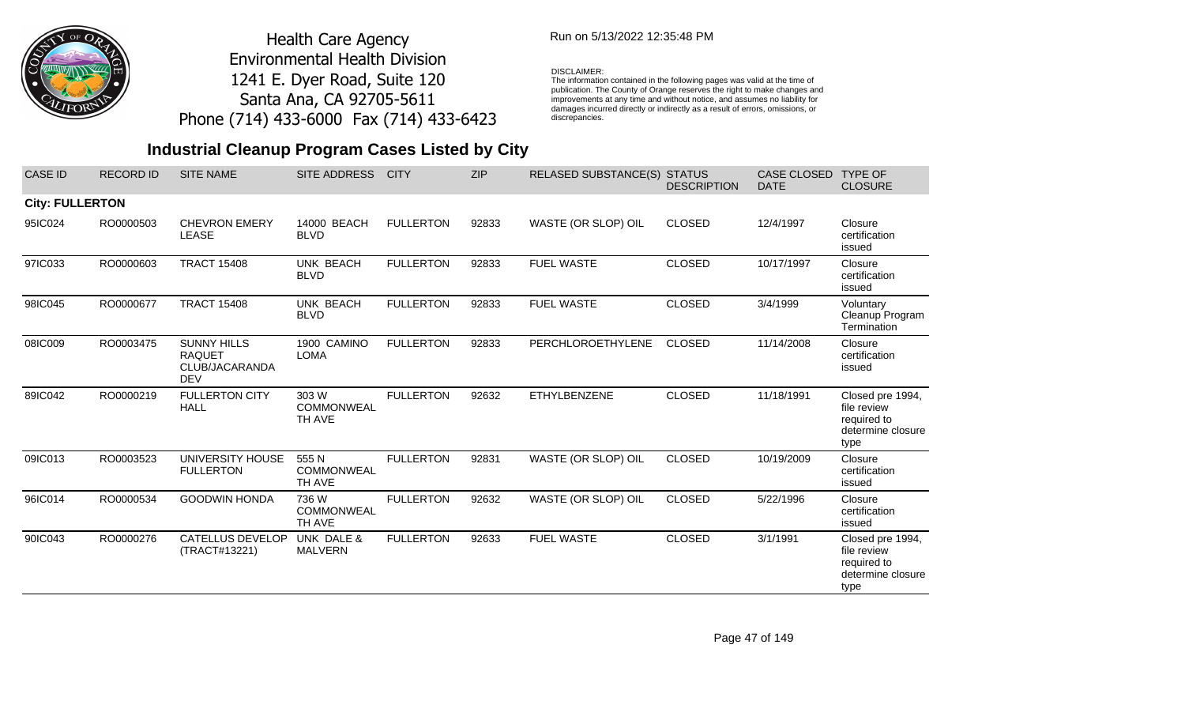

### Run on 5/13/2022 12:35:48 PM

#### DISCLAIMER:

The information contained in the following pages was valid at the time of publication. The County of Orange reserves the right to make changes and improvements at any time and without notice, and assumes no liability for damages incurred directly or indirectly as a result of errors, omissions, or discrepancies.

| <b>CASE ID</b>         | <b>RECORD ID</b> | <b>SITE NAME</b>                                                    | <b>SITE ADDRESS</b>                  | <b>CITY</b>      | <b>ZIP</b> | <b>RELASED SUBSTANCE(S)</b> | <b>STATUS</b><br><b>DESCRIPTION</b> | <b>CASE CLOSED</b><br><b>DATE</b> | <b>TYPE OF</b><br><b>CLOSURE</b>                                            |
|------------------------|------------------|---------------------------------------------------------------------|--------------------------------------|------------------|------------|-----------------------------|-------------------------------------|-----------------------------------|-----------------------------------------------------------------------------|
| <b>City: FULLERTON</b> |                  |                                                                     |                                      |                  |            |                             |                                     |                                   |                                                                             |
| 95IC024                | RO0000503        | <b>CHEVRON EMERY</b><br><b>LEASE</b>                                | 14000 BEACH<br><b>BLVD</b>           | <b>FULLERTON</b> | 92833      | WASTE (OR SLOP) OIL         | <b>CLOSED</b>                       | 12/4/1997                         | Closure<br>certification<br>issued                                          |
| 97IC033                | RO0000603        | <b>TRACT 15408</b>                                                  | UNK BEACH<br><b>BLVD</b>             | <b>FULLERTON</b> | 92833      | <b>FUEL WASTE</b>           | <b>CLOSED</b>                       | 10/17/1997                        | Closure<br>certification<br>issued                                          |
| 98IC045                | RO0000677        | <b>TRACT 15408</b>                                                  | UNK BEACH<br><b>BLVD</b>             | <b>FULLERTON</b> | 92833      | <b>FUEL WASTE</b>           | <b>CLOSED</b>                       | 3/4/1999                          | Voluntary<br>Cleanup Program<br>Termination                                 |
| 08IC009                | RO0003475        | <b>SUNNY HILLS</b><br><b>RAQUET</b><br>CLUB/JACARANDA<br><b>DEV</b> | 1900 CAMINO<br><b>LOMA</b>           | <b>FULLERTON</b> | 92833      | PERCHLOROETHYLENE           | <b>CLOSED</b>                       | 11/14/2008                        | Closure<br>certification<br>issued                                          |
| 89IC042                | RO0000219        | <b>FULLERTON CITY</b><br><b>HALL</b>                                | 303 W<br><b>COMMONWEAL</b><br>TH AVE | <b>FULLERTON</b> | 92632      | ETHYLBENZENE                | <b>CLOSED</b>                       | 11/18/1991                        | Closed pre 1994,<br>file review<br>required to<br>determine closure<br>type |
| 09IC013                | RO0003523        | UNIVERSITY HOUSE<br><b>FULLERTON</b>                                | 555N<br><b>COMMONWEAL</b><br>TH AVE  | <b>FULLERTON</b> | 92831      | WASTE (OR SLOP) OIL         | <b>CLOSED</b>                       | 10/19/2009                        | Closure<br>certification<br>issued                                          |
| 96IC014                | RO0000534        | <b>GOODWIN HONDA</b>                                                | 736 W<br><b>COMMONWEAL</b><br>TH AVE | <b>FULLERTON</b> | 92632      | WASTE (OR SLOP) OIL         | <b>CLOSED</b>                       | 5/22/1996                         | Closure<br>certification<br>issued                                          |
| 90IC043                | RO0000276        | <b>CATELLUS DEVELOP</b><br>(TRACT#13221)                            | UNK DALE &<br><b>MALVERN</b>         | <b>FULLERTON</b> | 92633      | <b>FUEL WASTE</b>           | <b>CLOSED</b>                       | 3/1/1991                          | Closed pre 1994,<br>file review<br>required to<br>determine closure<br>type |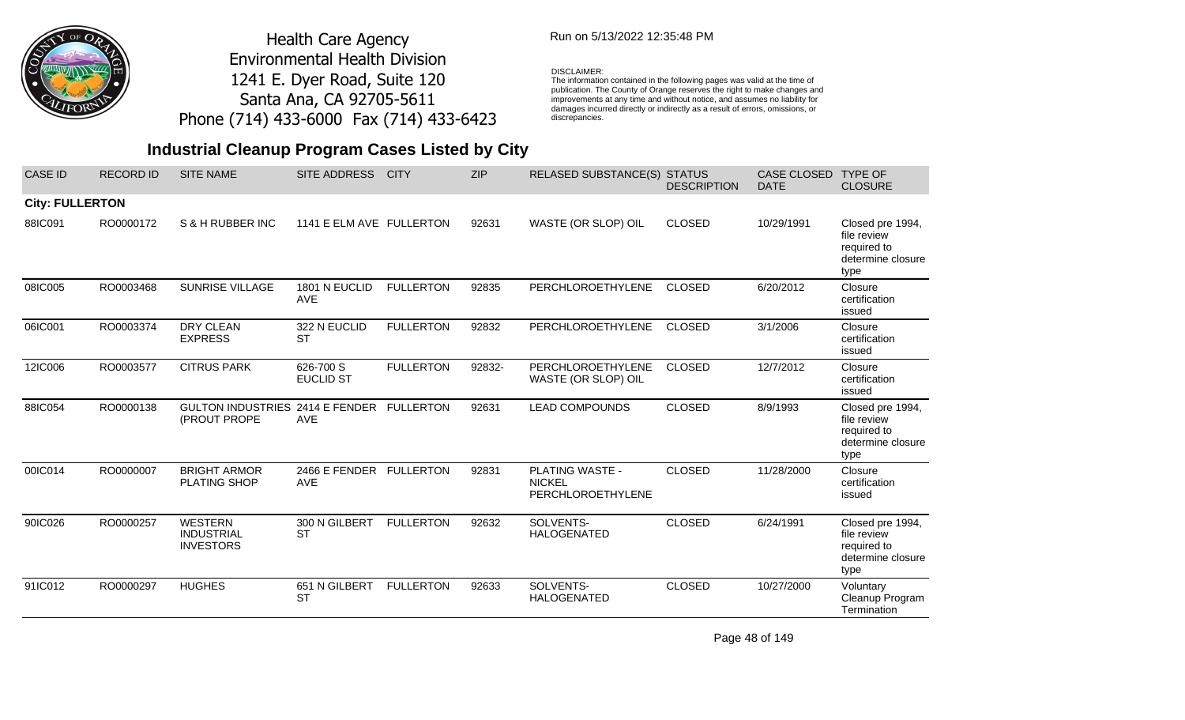

## Run on 5/13/2022 12:35:48 PM

#### DISCLAIMER:

The information contained in the following pages was valid at the time of publication. The County of Orange reserves the right to make changes and improvements at any time and without notice, and assumes no liability for damages incurred directly or indirectly as a result of errors, omissions, or discrepancies.

## **Industrial Cleanup Program Cases Listed by City**

| <b>CASE ID</b>         | <b>RECORD ID</b> | <b>SITE NAME</b>                                        | SITE ADDRESS                  | <b>CITY</b>      | <b>ZIP</b> | <b>RELASED SUBSTANCE(S)</b>                           | <b>STATUS</b><br><b>DESCRIPTION</b> | CASE CLOSED<br><b>DATE</b> | <b>TYPE OF</b><br><b>CLOSURE</b>                                            |
|------------------------|------------------|---------------------------------------------------------|-------------------------------|------------------|------------|-------------------------------------------------------|-------------------------------------|----------------------------|-----------------------------------------------------------------------------|
| <b>City: FULLERTON</b> |                  |                                                         |                               |                  |            |                                                       |                                     |                            |                                                                             |
| 88IC091                | RO0000172        | S & H RUBBER INC                                        | 1141 E ELM AVE FULLERTON      |                  | 92631      | WASTE (OR SLOP) OIL                                   | <b>CLOSED</b>                       | 10/29/1991                 | Closed pre 1994,<br>file review<br>required to<br>determine closure<br>type |
| 08IC005                | RO0003468        | <b>SUNRISE VILLAGE</b>                                  | 1801 N EUCLID<br><b>AVE</b>   | <b>FULLERTON</b> | 92835      | PERCHLOROETHYLENE                                     | <b>CLOSED</b>                       | 6/20/2012                  | Closure<br>certification<br>issued                                          |
| 06IC001                | RO0003374        | <b>DRY CLEAN</b><br><b>EXPRESS</b>                      | 322 N EUCLID<br><b>ST</b>     | <b>FULLERTON</b> | 92832      | PERCHLOROETHYLENE                                     | <b>CLOSED</b>                       | 3/1/2006                   | Closure<br>certification<br>issued                                          |
| 12IC006                | RO0003577        | <b>CITRUS PARK</b>                                      | 626-700 S<br><b>EUCLID ST</b> | <b>FULLERTON</b> | 92832-     | PERCHLOROETHYLENE<br>WASTE (OR SLOP) OIL              | <b>CLOSED</b>                       | 12/7/2012                  | Closure<br>certification<br>issued                                          |
| 88IC054                | RO0000138        | GULTON INDUSTRIES 2414 E FENDER<br>(PROUT PROPE         | <b>AVE</b>                    | <b>FULLERTON</b> | 92631      | <b>LEAD COMPOUNDS</b>                                 | <b>CLOSED</b>                       | 8/9/1993                   | Closed pre 1994,<br>file review<br>required to<br>determine closure<br>type |
| 00IC014                | RO0000007        | <b>BRIGHT ARMOR</b><br><b>PLATING SHOP</b>              | 2466 E FENDER<br><b>AVE</b>   | <b>FULLERTON</b> | 92831      | PLATING WASTE -<br><b>NICKEL</b><br>PERCHLOROETHYLENE | <b>CLOSED</b>                       | 11/28/2000                 | Closure<br>certification<br>issued                                          |
| 90IC026                | RO0000257        | <b>WESTERN</b><br><b>INDUSTRIAL</b><br><b>INVESTORS</b> | 300 N GILBERT<br><b>ST</b>    | <b>FULLERTON</b> | 92632      | SOLVENTS-<br><b>HALOGENATED</b>                       | <b>CLOSED</b>                       | 6/24/1991                  | Closed pre 1994,<br>file review<br>required to<br>determine closure<br>type |
| 91IC012                | RO0000297        | <b>HUGHES</b>                                           | 651 N GILBERT<br><b>ST</b>    | <b>FULLERTON</b> | 92633      | SOLVENTS-<br><b>HALOGENATED</b>                       | <b>CLOSED</b>                       | 10/27/2000                 | Voluntary<br>Cleanup Program<br>Termination                                 |

Page 48 of 149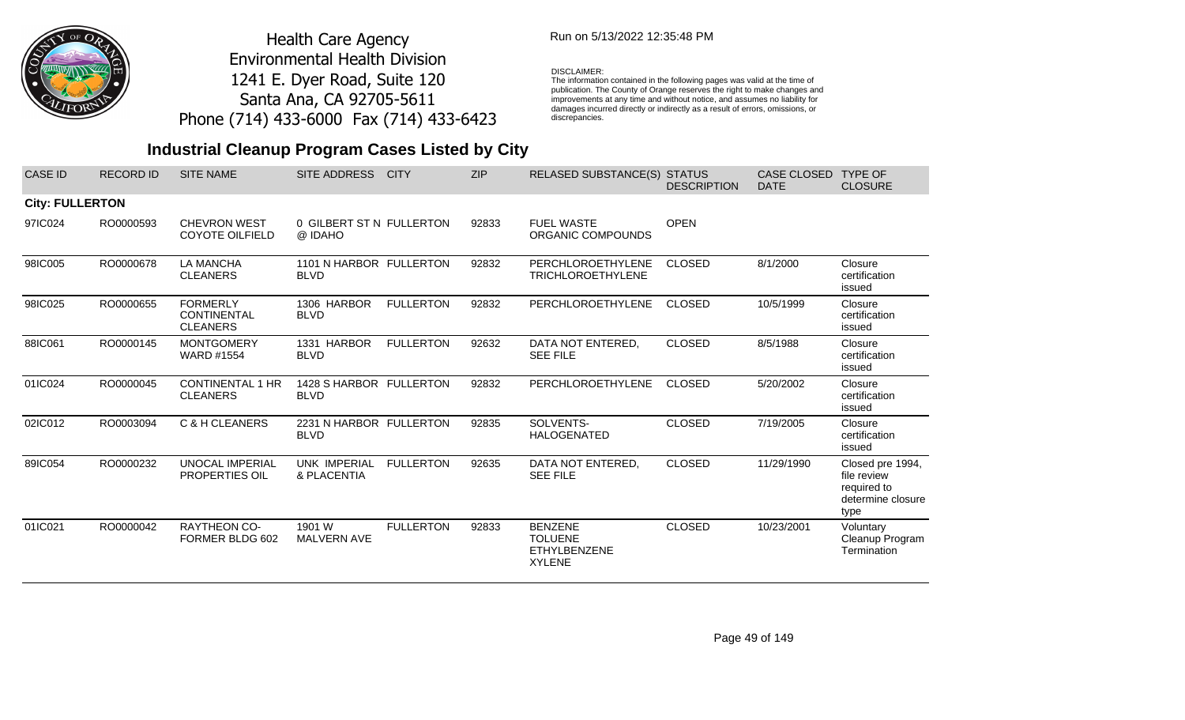

## Run on 5/13/2022 12:35:48 PM

#### DISCLAIMER:

The information contained in the following pages was valid at the time of publication. The County of Orange reserves the right to make changes and improvements at any time and without notice, and assumes no liability for damages incurred directly or indirectly as a result of errors, omissions, or discrepancies.

| <b>CASE ID</b>         | <b>RECORD ID</b> | <b>SITE NAME</b>                                         | SITE ADDRESS                           | <b>CITY</b>      | <b>ZIP</b> | <b>RELASED SUBSTANCE(S) STATUS</b>                                       | <b>DESCRIPTION</b> | CASE CLOSED<br><b>DATE</b> | <b>TYPE OF</b><br><b>CLOSURE</b>                                            |
|------------------------|------------------|----------------------------------------------------------|----------------------------------------|------------------|------------|--------------------------------------------------------------------------|--------------------|----------------------------|-----------------------------------------------------------------------------|
| <b>City: FULLERTON</b> |                  |                                                          |                                        |                  |            |                                                                          |                    |                            |                                                                             |
| 97IC024                | RO0000593        | <b>CHEVRON WEST</b><br><b>COYOTE OILFIELD</b>            | 0 GILBERT ST N FULLERTON<br>@ IDAHO    |                  | 92833      | <b>FUEL WASTE</b><br>ORGANIC COMPOUNDS                                   | <b>OPEN</b>        |                            |                                                                             |
| 98IC005                | RO0000678        | <b>LA MANCHA</b><br><b>CLEANERS</b>                      | 1101 N HARBOR FULLERTON<br><b>BLVD</b> |                  | 92832      | <b>PERCHLOROETHYLENE</b><br><b>TRICHLOROETHYLENE</b>                     | <b>CLOSED</b>      | 8/1/2000                   | Closure<br>certification<br>issued                                          |
| 98IC025                | RO0000655        | <b>FORMERLY</b><br><b>CONTINENTAL</b><br><b>CLEANERS</b> | 1306 HARBOR<br><b>BLVD</b>             | <b>FULLERTON</b> | 92832      | <b>PERCHLOROETHYLENE</b>                                                 | <b>CLOSED</b>      | 10/5/1999                  | Closure<br>certification<br>issued                                          |
| 88IC061                | RO0000145        | <b>MONTGOMERY</b><br><b>WARD #1554</b>                   | 1331 HARBOR<br><b>BLVD</b>             | <b>FULLERTON</b> | 92632      | DATA NOT ENTERED,<br><b>SEE FILE</b>                                     | <b>CLOSED</b>      | 8/5/1988                   | Closure<br>certification<br>issued                                          |
| 01IC024                | RO0000045        | <b>CONTINENTAL 1 HR</b><br><b>CLEANERS</b>               | 1428 S HARBOR FULLERTON<br><b>BLVD</b> |                  | 92832      | PERCHLOROETHYLENE                                                        | <b>CLOSED</b>      | 5/20/2002                  | Closure<br>certification<br>issued                                          |
| 02IC012                | RO0003094        | C & H CLEANERS                                           | 2231 N HARBOR FULLERTON<br><b>BLVD</b> |                  | 92835      | SOLVENTS-<br><b>HALOGENATED</b>                                          | <b>CLOSED</b>      | 7/19/2005                  | Closure<br>certification<br>issued                                          |
| 89IC054                | RO0000232        | <b>UNOCAL IMPERIAL</b><br>PROPERTIES OIL                 | <b>UNK IMPERIAL</b><br>& PLACENTIA     | <b>FULLERTON</b> | 92635      | DATA NOT ENTERED,<br><b>SEE FILE</b>                                     | <b>CLOSED</b>      | 11/29/1990                 | Closed pre 1994,<br>file review<br>required to<br>determine closure<br>type |
| 01IC021                | RO0000042        | <b>RAYTHEON CO-</b><br>FORMER BLDG 602                   | 1901 W<br>MALVERN AVE                  | <b>FULLERTON</b> | 92833      | <b>BENZENE</b><br><b>TOLUENE</b><br><b>ETHYLBENZENE</b><br><b>XYLENE</b> | <b>CLOSED</b>      | 10/23/2001                 | Voluntary<br>Cleanup Program<br>Termination                                 |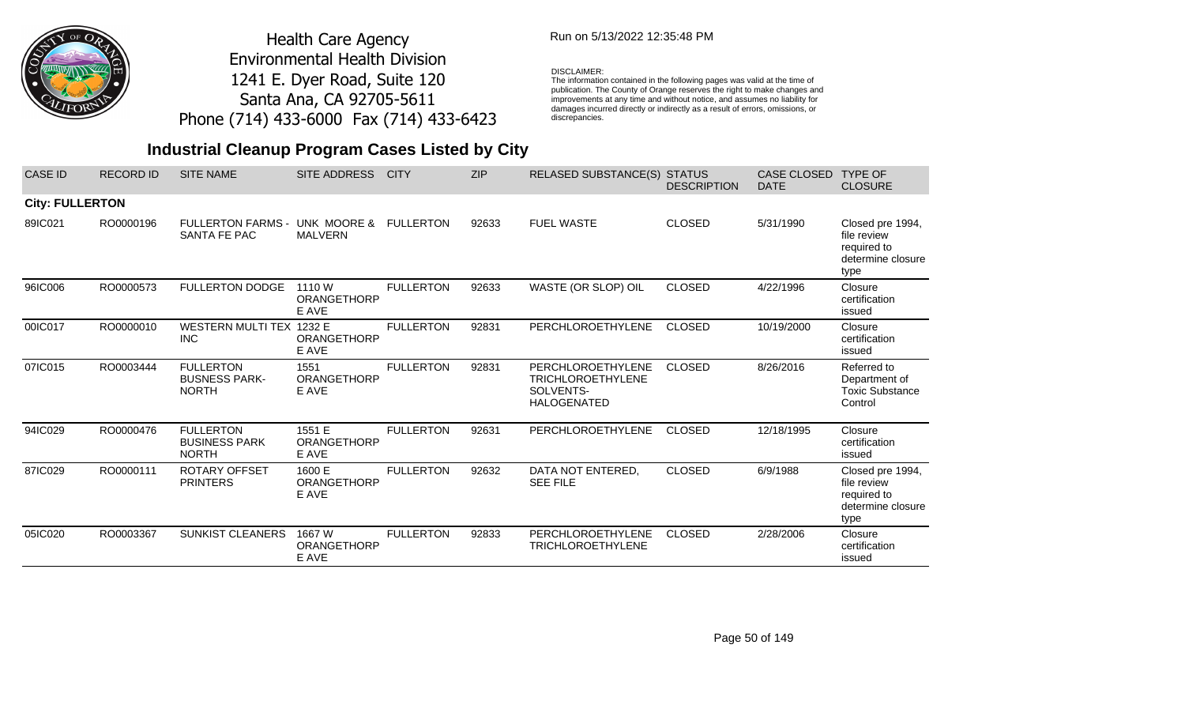

### Run on 5/13/2022 12:35:48 PM

#### DISCLAIMER:

The information contained in the following pages was valid at the time of publication. The County of Orange reserves the right to make changes and improvements at any time and without notice, and assumes no liability for damages incurred directly or indirectly as a result of errors, omissions, or discrepancies.

| <b>CASE ID</b>         | <b>RECORD ID</b> | <b>SITE NAME</b>                                         | <b>SITE ADDRESS</b>                   | <b>CITY</b>      | <b>ZIP</b> | <b>RELASED SUBSTANCE(S) STATUS</b>                                               | <b>DESCRIPTION</b> | CASE CLOSED<br><b>DATE</b> | <b>TYPE OF</b><br><b>CLOSURE</b>                                            |
|------------------------|------------------|----------------------------------------------------------|---------------------------------------|------------------|------------|----------------------------------------------------------------------------------|--------------------|----------------------------|-----------------------------------------------------------------------------|
| <b>City: FULLERTON</b> |                  |                                                          |                                       |                  |            |                                                                                  |                    |                            |                                                                             |
| 89IC021                | RO0000196        | <b>FULLERTON FARMS -</b><br>SANTA FE PAC                 | UNK MOORE &<br><b>MALVERN</b>         | <b>FULLERTON</b> | 92633      | <b>FUEL WASTE</b>                                                                | <b>CLOSED</b>      | 5/31/1990                  | Closed pre 1994,<br>file review<br>required to<br>determine closure<br>type |
| 96IC006                | RO0000573        | <b>FULLERTON DODGE</b>                                   | 1110 W<br><b>ORANGETHORP</b><br>E AVE | <b>FULLERTON</b> | 92633      | WASTE (OR SLOP) OIL                                                              | <b>CLOSED</b>      | 4/22/1996                  | Closure<br>certification<br>issued                                          |
| 00IC017                | RO0000010        | <b>WESTERN MULTI TEX</b><br><b>INC</b>                   | 1232 E<br><b>ORANGETHORP</b><br>E AVE | <b>FULLERTON</b> | 92831      | PERCHLOROETHYLENE                                                                | <b>CLOSED</b>      | 10/19/2000                 | Closure<br>certification<br>issued                                          |
| 07IC015                | RO0003444        | <b>FULLERTON</b><br><b>BUSNESS PARK-</b><br><b>NORTH</b> | 1551<br><b>ORANGETHORP</b><br>E AVE   | <b>FULLERTON</b> | 92831      | PERCHLOROETHYLENE<br><b>TRICHLOROETHYLENE</b><br>SOLVENTS-<br><b>HALOGENATED</b> | <b>CLOSED</b>      | 8/26/2016                  | Referred to<br>Department of<br><b>Toxic Substance</b><br>Control           |
| 94IC029                | RO0000476        | <b>FULLERTON</b><br><b>BUSINESS PARK</b><br><b>NORTH</b> | 1551 E<br>ORANGETHORP<br>E AVE        | <b>FULLERTON</b> | 92631      | <b>PERCHLOROETHYLENE</b>                                                         | <b>CLOSED</b>      | 12/18/1995                 | Closure<br>certification<br>issued                                          |
| 87IC029                | RO0000111        | <b>ROTARY OFFSET</b><br><b>PRINTERS</b>                  | 1600 E<br>ORANGETHORP<br>E AVE        | <b>FULLERTON</b> | 92632      | DATA NOT ENTERED,<br><b>SEE FILE</b>                                             | <b>CLOSED</b>      | 6/9/1988                   | Closed pre 1994,<br>file review<br>required to<br>determine closure<br>type |
| 05IC020                | RO0003367        | <b>SUNKIST CLEANERS</b>                                  | 1667 W<br><b>ORANGETHORP</b><br>E AVE | <b>FULLERTON</b> | 92833      | PERCHLOROETHYLENE<br><b>TRICHLOROETHYLENE</b>                                    | <b>CLOSED</b>      | 2/28/2006                  | Closure<br>certification<br>issued                                          |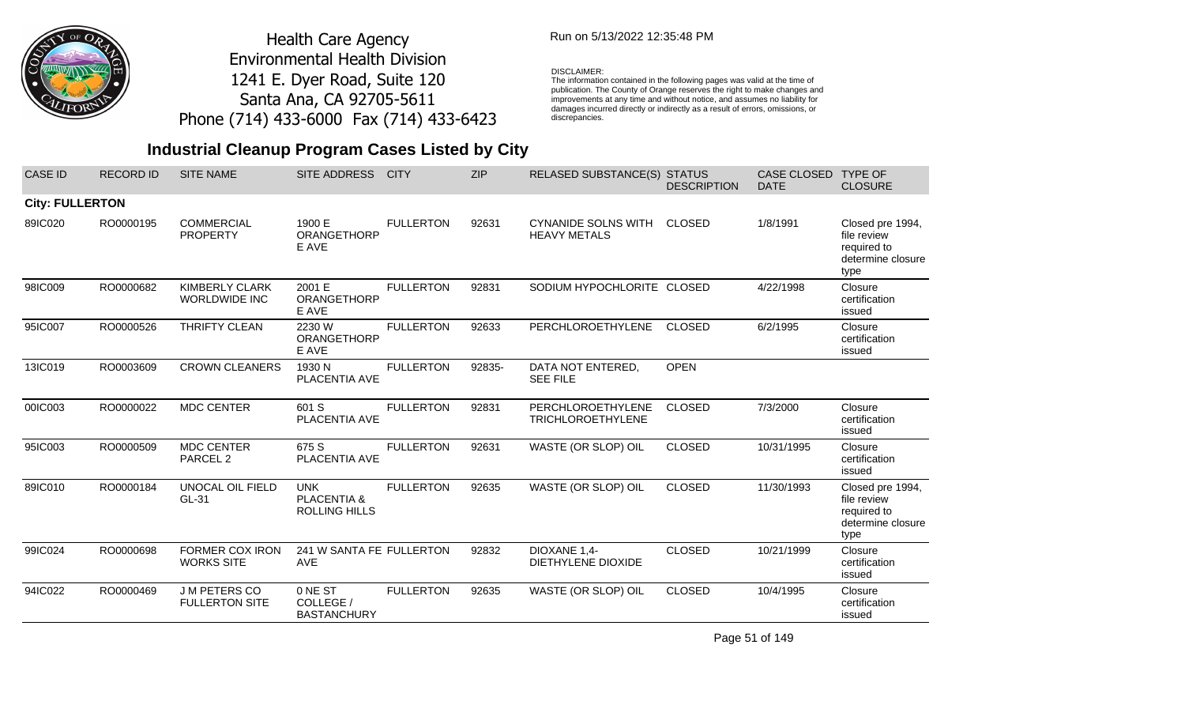

### Run on 5/13/2022 12:35:48 PM

#### DISCLAIMER:

The information contained in the following pages was valid at the time of publication. The County of Orange reserves the right to make changes and improvements at any time and without notice, and assumes no liability for damages incurred directly or indirectly as a result of errors, omissions, or discrepancies.

## **Industrial Cleanup Program Cases Listed by City**

| <b>CASE ID</b>         | <b>RECORD ID</b> | <b>SITE NAME</b>                              | SITE ADDRESS                               | <b>CITY</b>      | <b>ZIP</b> | RELASED SUBSTANCE(S) STATUS                          | <b>DESCRIPTION</b> | CASE CLOSED<br><b>DATE</b> | <b>TYPE OF</b><br><b>CLOSURE</b>                                            |
|------------------------|------------------|-----------------------------------------------|--------------------------------------------|------------------|------------|------------------------------------------------------|--------------------|----------------------------|-----------------------------------------------------------------------------|
| <b>City: FULLERTON</b> |                  |                                               |                                            |                  |            |                                                      |                    |                            |                                                                             |
| 89IC020                | RO0000195        | <b>COMMERCIAL</b><br><b>PROPERTY</b>          | 1900 E<br>ORANGETHORP<br>E AVE             | <b>FULLERTON</b> | 92631      | <b>CYNANIDE SOLNS WITH</b><br><b>HEAVY METALS</b>    | <b>CLOSED</b>      | 1/8/1991                   | Closed pre 1994,<br>file review<br>required to<br>determine closure<br>type |
| 98IC009                | RO0000682        | <b>KIMBERLY CLARK</b><br><b>WORLDWIDE INC</b> | 2001 E<br>ORANGETHORP<br>E AVE             | <b>FULLERTON</b> | 92831      | SODIUM HYPOCHLORITE CLOSED                           |                    | 4/22/1998                  | Closure<br>certification<br>issued                                          |
| 95IC007                | RO0000526        | THRIFTY CLEAN                                 | 2230 W<br>ORANGETHORP<br>E AVE             | <b>FULLERTON</b> | 92633      | PERCHLOROETHYLENE                                    | <b>CLOSED</b>      | 6/2/1995                   | Closure<br>certification<br>issued                                          |
| 13IC019                | RO0003609        | <b>CROWN CLEANERS</b>                         | 1930 N<br>PLACENTIA AVE                    | <b>FULLERTON</b> | 92835-     | DATA NOT ENTERED,<br><b>SEE FILE</b>                 | <b>OPEN</b>        |                            |                                                                             |
| 00IC003                | RO0000022        | <b>MDC CENTER</b>                             | 601 S<br>PLACENTIA AVE                     | <b>FULLERTON</b> | 92831      | <b>PERCHLOROETHYLENE</b><br><b>TRICHLOROETHYLENE</b> | <b>CLOSED</b>      | 7/3/2000                   | Closure<br>certification<br>issued                                          |
| 95IC003                | RO0000509        | <b>MDC CENTER</b><br>PARCEL <sub>2</sub>      | 675 S<br>PLACENTIA AVE                     | <b>FULLERTON</b> | 92631      | WASTE (OR SLOP) OIL                                  | <b>CLOSED</b>      | 10/31/1995                 | Closure<br>certification<br>issued                                          |
| 89IC010                | RO0000184        | UNOCAL OIL FIELD<br>GL-31                     | <b>UNK</b><br>PLACENTIA &<br>ROLLING HILLS | <b>FULLERTON</b> | 92635      | WASTE (OR SLOP) OIL                                  | <b>CLOSED</b>      | 11/30/1993                 | Closed pre 1994,<br>file review<br>required to<br>determine closure<br>type |
| 99IC024                | RO0000698        | FORMER COX IRON<br><b>WORKS SITE</b>          | 241 W SANTA FE FULLERTON<br><b>AVE</b>     |                  | 92832      | DIOXANE 1,4-<br>DIETHYLENE DIOXIDE                   | <b>CLOSED</b>      | 10/21/1999                 | Closure<br>certification<br>issued                                          |
| 94IC022                | RO0000469        | <b>JM PETERS CO</b><br><b>FULLERTON SITE</b>  | 0 NE ST<br>COLLEGE /<br><b>BASTANCHURY</b> | <b>FULLERTON</b> | 92635      | WASTE (OR SLOP) OIL                                  | <b>CLOSED</b>      | 10/4/1995                  | Closure<br>certification<br>issued                                          |

Page 51 of 149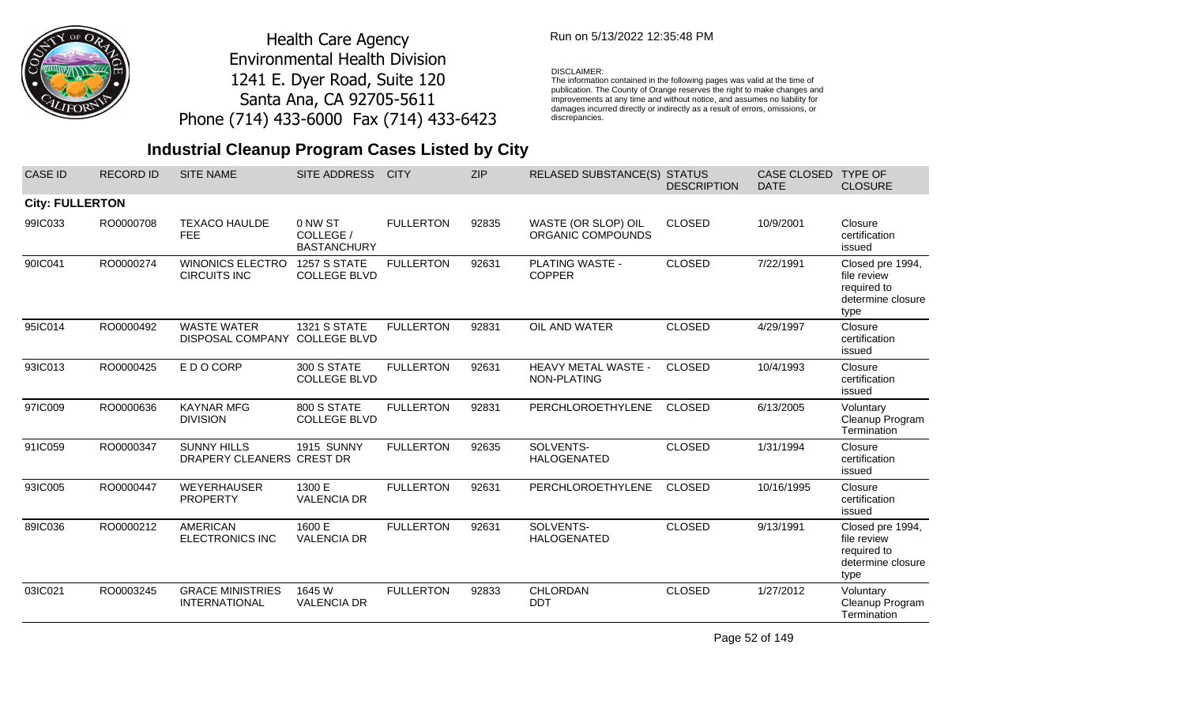

## Run on 5/13/2022 12:35:48 PM

#### DISCLAIMER:

The information contained in the following pages was valid at the time of publication. The County of Orange reserves the right to make changes and improvements at any time and without notice, and assumes no liability for damages incurred directly or indirectly as a result of errors, omissions, or discrepancies.

## **Industrial Cleanup Program Cases Listed by City**

| <b>CASE ID</b>         | <b>RECORD ID</b> | <b>SITE NAME</b>                                | SITE ADDRESS                               | <b>CITY</b>      | <b>ZIP</b> | RELASED SUBSTANCE(S) STATUS              | <b>DESCRIPTION</b> | <b>CASE CLOSED</b><br><b>DATE</b> | <b>TYPE OF</b><br><b>CLOSURE</b>                                            |
|------------------------|------------------|-------------------------------------------------|--------------------------------------------|------------------|------------|------------------------------------------|--------------------|-----------------------------------|-----------------------------------------------------------------------------|
| <b>City: FULLERTON</b> |                  |                                                 |                                            |                  |            |                                          |                    |                                   |                                                                             |
| 99IC033                | RO0000708        | <b>TEXACO HAULDE</b><br>FEE                     | 0 NW ST<br>COLLEGE /<br><b>BASTANCHURY</b> | <b>FULLERTON</b> | 92835      | WASTE (OR SLOP) OIL<br>ORGANIC COMPOUNDS | <b>CLOSED</b>      | 10/9/2001                         | Closure<br>certification<br>issued                                          |
| 90IC041                | RO0000274        | <b>WINONICS ELECTRO</b><br><b>CIRCUITS INC</b>  | 1257 S STATE<br><b>COLLEGE BLVD</b>        | <b>FULLERTON</b> | 92631      | <b>PLATING WASTE -</b><br><b>COPPER</b>  | <b>CLOSED</b>      | 7/22/1991                         | Closed pre 1994,<br>file review<br>required to<br>determine closure<br>type |
| 95IC014                | RO0000492        | <b>WASTE WATER</b><br>DISPOSAL COMPANY          | <b>1321 S STATE</b><br><b>COLLEGE BLVD</b> | <b>FULLERTON</b> | 92831      | OIL AND WATER                            | <b>CLOSED</b>      | 4/29/1997                         | Closure<br>certification<br>issued                                          |
| 93IC013                | RO0000425        | E D O CORP                                      | 300 S STATE<br><b>COLLEGE BLVD</b>         | <b>FULLERTON</b> | 92631      | HEAVY METAL WASTE -<br>NON-PLATING       | <b>CLOSED</b>      | 10/4/1993                         | Closure<br>certification<br>issued                                          |
| 97IC009                | RO0000636        | <b>KAYNAR MFG</b><br><b>DIVISION</b>            | 800 S STATE<br><b>COLLEGE BLVD</b>         | <b>FULLERTON</b> | 92831      | <b>PERCHLOROETHYLENE</b>                 | <b>CLOSED</b>      | 6/13/2005                         | Voluntary<br>Cleanup Program<br>Termination                                 |
| 91IC059                | RO0000347        | <b>SUNNY HILLS</b><br>DRAPERY CLEANERS CREST DR | 1915 SUNNY                                 | <b>FULLERTON</b> | 92635      | SOLVENTS-<br><b>HALOGENATED</b>          | <b>CLOSED</b>      | 1/31/1994                         | Closure<br>certification<br>issued                                          |
| 93IC005                | RO0000447        | <b>WEYERHAUSER</b><br><b>PROPERTY</b>           | 1300 E<br><b>VALENCIA DR</b>               | <b>FULLERTON</b> | 92631      | PERCHLOROETHYLENE                        | <b>CLOSED</b>      | 10/16/1995                        | Closure<br>certification<br>issued                                          |
| 89IC036                | RO0000212        | <b>AMERICAN</b><br><b>ELECTRONICS INC</b>       | 1600 E<br><b>VALENCIA DR</b>               | <b>FULLERTON</b> | 92631      | SOLVENTS-<br>HALOGENATED                 | <b>CLOSED</b>      | 9/13/1991                         | Closed pre 1994,<br>file review<br>required to<br>determine closure<br>type |
| 03IC021                | RO0003245        | <b>GRACE MINISTRIES</b><br><b>INTERNATIONAL</b> | 1645 W<br><b>VALENCIA DR</b>               | <b>FULLERTON</b> | 92833      | <b>CHLORDAN</b><br><b>DDT</b>            | <b>CLOSED</b>      | 1/27/2012                         | Voluntary<br>Cleanup Program<br>Termination                                 |

Page 52 of 149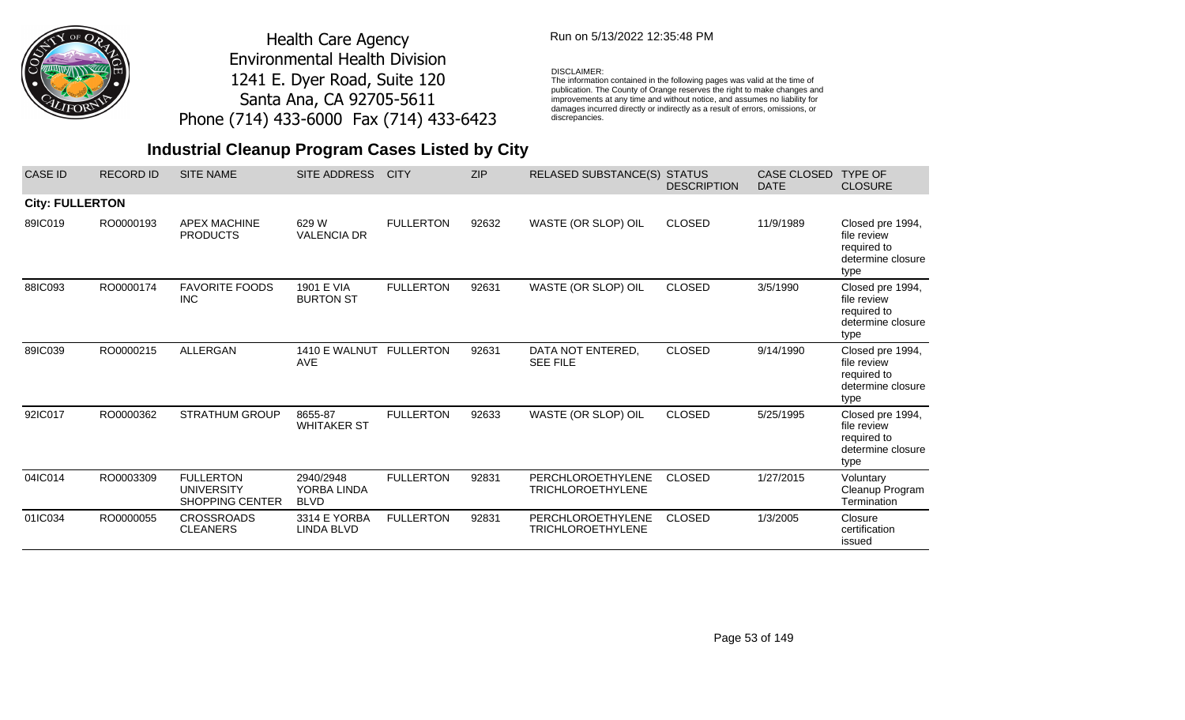

### Run on 5/13/2022 12:35:48 PM

#### DISCLAIMER:

The information contained in the following pages was valid at the time of publication. The County of Orange reserves the right to make changes and improvements at any time and without notice, and assumes no liability for damages incurred directly or indirectly as a result of errors, omissions, or discrepancies.

| <b>CASE ID</b>         | <b>RECORD ID</b> | <b>SITE NAME</b>                                                | <b>SITE ADDRESS</b>                     | <b>CITY</b>      | <b>ZIP</b> | <b>RELASED SUBSTANCE(S)</b>                          | <b>STATUS</b><br><b>DESCRIPTION</b> | <b>CASE CLOSED</b><br><b>DATE</b> | <b>TYPE OF</b><br><b>CLOSURE</b>                                            |
|------------------------|------------------|-----------------------------------------------------------------|-----------------------------------------|------------------|------------|------------------------------------------------------|-------------------------------------|-----------------------------------|-----------------------------------------------------------------------------|
| <b>City: FULLERTON</b> |                  |                                                                 |                                         |                  |            |                                                      |                                     |                                   |                                                                             |
| 89IC019                | RO0000193        | <b>APEX MACHINE</b><br><b>PRODUCTS</b>                          | 629 W<br><b>VALENCIA DR</b>             | <b>FULLERTON</b> | 92632      | WASTE (OR SLOP) OIL                                  | <b>CLOSED</b>                       | 11/9/1989                         | Closed pre 1994,<br>file review<br>required to<br>determine closure<br>type |
| 88IC093                | RO0000174        | <b>FAVORITE FOODS</b><br><b>INC</b>                             | 1901 E VIA<br><b>BURTON ST</b>          | <b>FULLERTON</b> | 92631      | WASTE (OR SLOP) OIL                                  | <b>CLOSED</b>                       | 3/5/1990                          | Closed pre 1994,<br>file review<br>required to<br>determine closure<br>type |
| 89IC039                | RO0000215        | ALLERGAN                                                        | 1410 E WALNUT<br><b>AVE</b>             | <b>FULLERTON</b> | 92631      | DATA NOT ENTERED,<br><b>SEE FILE</b>                 | <b>CLOSED</b>                       | 9/14/1990                         | Closed pre 1994,<br>file review<br>required to<br>determine closure<br>type |
| 92IC017                | RO0000362        | <b>STRATHUM GROUP</b>                                           | 8655-87<br><b>WHITAKER ST</b>           | <b>FULLERTON</b> | 92633      | WASTE (OR SLOP) OIL                                  | <b>CLOSED</b>                       | 5/25/1995                         | Closed pre 1994,<br>file review<br>required to<br>determine closure<br>type |
| 04IC014                | RO0003309        | <b>FULLERTON</b><br><b>UNIVERSITY</b><br><b>SHOPPING CENTER</b> | 2940/2948<br>YORBA LINDA<br><b>BLVD</b> | <b>FULLERTON</b> | 92831      | PERCHLOROETHYLENE<br><b>TRICHLOROETHYLENE</b>        | <b>CLOSED</b>                       | 1/27/2015                         | Voluntary<br>Cleanup Program<br>Termination                                 |
| 01IC034                | RO0000055        | <b>CROSSROADS</b><br><b>CLEANERS</b>                            | 3314 E YORBA<br>LINDA BLVD              | <b>FULLERTON</b> | 92831      | <b>PERCHLOROETHYLENE</b><br><b>TRICHLOROETHYLENE</b> | <b>CLOSED</b>                       | 1/3/2005                          | Closure<br>certification<br>issued                                          |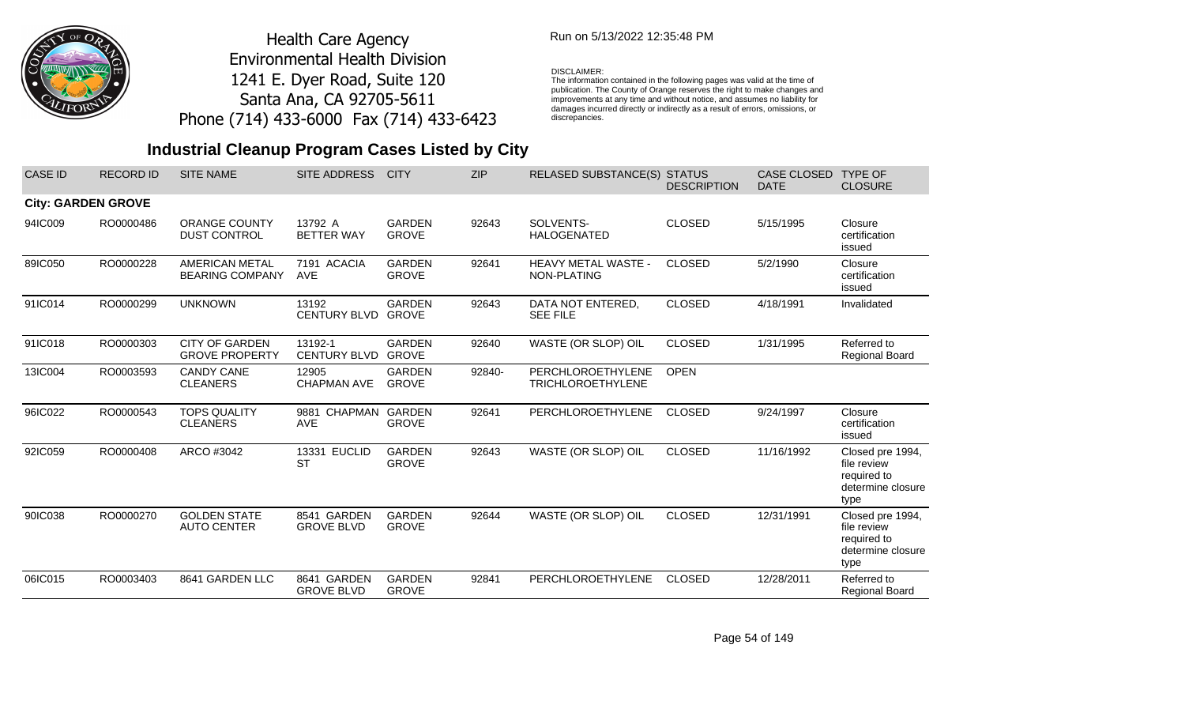

## Run on 5/13/2022 12:35:48 PM

#### DISCLAIMER:

The information contained in the following pages was valid at the time of publication. The County of Orange reserves the right to make changes and improvements at any time and without notice, and assumes no liability for damages incurred directly or indirectly as a result of errors, omissions, or discrepancies.

## **Industrial Cleanup Program Cases Listed by City**

| <b>CASE ID</b> | <b>RECORD ID</b>          | <b>SITE NAME</b>                                | SITE ADDRESS                     | <b>CITY</b>                   | <b>ZIP</b> | RELASED SUBSTANCE(S) STATUS                   | <b>DESCRIPTION</b> | <b>CASE CLOSED</b><br><b>DATE</b> | <b>TYPE OF</b><br><b>CLOSURE</b>                                            |
|----------------|---------------------------|-------------------------------------------------|----------------------------------|-------------------------------|------------|-----------------------------------------------|--------------------|-----------------------------------|-----------------------------------------------------------------------------|
|                | <b>City: GARDEN GROVE</b> |                                                 |                                  |                               |            |                                               |                    |                                   |                                                                             |
| 94IC009        | RO0000486                 | <b>ORANGE COUNTY</b><br><b>DUST CONTROL</b>     | 13792 A<br><b>BETTER WAY</b>     | <b>GARDEN</b><br><b>GROVE</b> | 92643      | SOLVENTS-<br><b>HALOGENATED</b>               | <b>CLOSED</b>      | 5/15/1995                         | Closure<br>certification<br>issued                                          |
| 89IC050        | RO0000228                 | <b>AMERICAN METAL</b><br><b>BEARING COMPANY</b> | 7191 ACACIA<br><b>AVE</b>        | <b>GARDEN</b><br><b>GROVE</b> | 92641      | <b>HEAVY METAL WASTE -</b><br>NON-PLATING     | <b>CLOSED</b>      | 5/2/1990                          | Closure<br>certification<br>issued                                          |
| 91IC014        | RO0000299                 | <b>UNKNOWN</b>                                  | 13192<br><b>CENTURY BLVD</b>     | <b>GARDEN</b><br><b>GROVE</b> | 92643      | DATA NOT ENTERED,<br><b>SEE FILE</b>          | <b>CLOSED</b>      | 4/18/1991                         | Invalidated                                                                 |
| 91IC018        | RO0000303                 | <b>CITY OF GARDEN</b><br><b>GROVE PROPERTY</b>  | 13192-1<br><b>CENTURY BLVD</b>   | <b>GARDEN</b><br><b>GROVE</b> | 92640      | WASTE (OR SLOP) OIL                           | <b>CLOSED</b>      | 1/31/1995                         | Referred to<br>Regional Board                                               |
| 13IC004        | RO0003593                 | <b>CANDY CANE</b><br><b>CLEANERS</b>            | 12905<br><b>CHAPMAN AVE</b>      | <b>GARDEN</b><br><b>GROVE</b> | 92840-     | PERCHLOROETHYLENE<br><b>TRICHLOROETHYLENE</b> | <b>OPEN</b>        |                                   |                                                                             |
| 96IC022        | RO0000543                 | <b>TOPS QUALITY</b><br><b>CLEANERS</b>          | 9881 CHAPMAN<br><b>AVE</b>       | <b>GARDEN</b><br><b>GROVE</b> | 92641      | PERCHLOROETHYLENE                             | <b>CLOSED</b>      | 9/24/1997                         | Closure<br>certification<br>issued                                          |
| 92IC059        | RO0000408                 | ARCO #3042                                      | 13331 EUCLID<br><b>ST</b>        | <b>GARDEN</b><br><b>GROVE</b> | 92643      | WASTE (OR SLOP) OIL                           | <b>CLOSED</b>      | 11/16/1992                        | Closed pre 1994,<br>file review<br>required to<br>determine closure<br>type |
| 90IC038        | RO0000270                 | <b>GOLDEN STATE</b><br><b>AUTO CENTER</b>       | 8541 GARDEN<br><b>GROVE BLVD</b> | <b>GARDEN</b><br><b>GROVE</b> | 92644      | WASTE (OR SLOP) OIL                           | <b>CLOSED</b>      | 12/31/1991                        | Closed pre 1994,<br>file review<br>required to<br>determine closure<br>type |
| 06IC015        | RO0003403                 | 8641 GARDEN LLC                                 | 8641 GARDEN<br><b>GROVE BLVD</b> | <b>GARDEN</b><br><b>GROVE</b> | 92841      | PERCHLOROETHYLENE                             | <b>CLOSED</b>      | 12/28/2011                        | Referred to<br>Regional Board                                               |

Page 54 of 149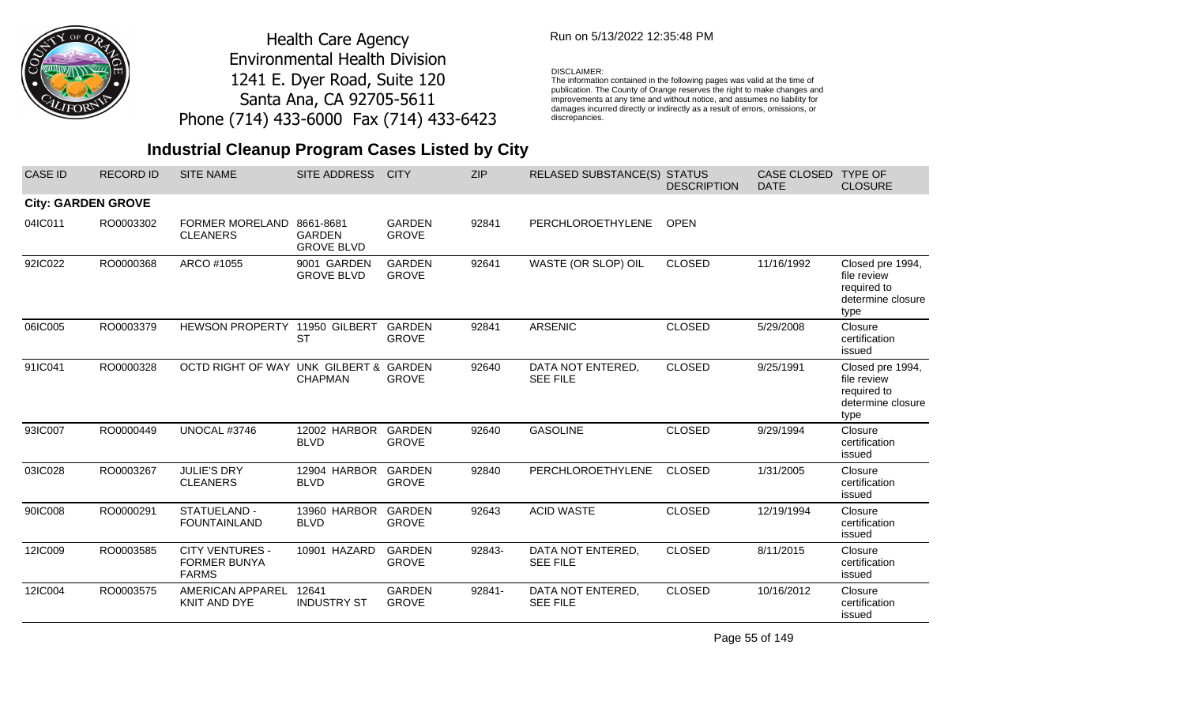

### Run on 5/13/2022 12:35:48 PM

#### DISCLAIMER:

The information contained in the following pages was valid at the time of<br>publication. The County of Orange reserves the right to make changes and<br>improvements at any time and without notice, and assumes no liability for<br>d discrepancies.

# **Industrial Cleanup Program Cases Listed by City**

| CASE ID | <b>RECORD ID</b>          | <b>SITE NAME</b>                                              | SITE ADDRESS                                    | <b>CITY</b>                   | <b>ZIP</b> | RELASED SUBSTANCE(S) STATUS          | <b>DESCRIPTION</b> | CASE CLOSED<br><b>DATE</b> | <b>TYPE OF</b><br><b>CLOSURE</b>                                            |
|---------|---------------------------|---------------------------------------------------------------|-------------------------------------------------|-------------------------------|------------|--------------------------------------|--------------------|----------------------------|-----------------------------------------------------------------------------|
|         | <b>City: GARDEN GROVE</b> |                                                               |                                                 |                               |            |                                      |                    |                            |                                                                             |
| 04IC011 | RO0003302                 | <b>FORMER MORELAND</b><br><b>CLEANERS</b>                     | 8661-8681<br><b>GARDEN</b><br><b>GROVE BLVD</b> | <b>GARDEN</b><br><b>GROVE</b> | 92841      | PERCHLOROETHYLENE                    | <b>OPEN</b>        |                            |                                                                             |
| 92IC022 | RO0000368                 | ARCO #1055                                                    | 9001 GARDEN<br><b>GROVE BLVD</b>                | <b>GARDEN</b><br><b>GROVE</b> | 92641      | WASTE (OR SLOP) OIL                  | <b>CLOSED</b>      | 11/16/1992                 | Closed pre 1994,<br>file review<br>required to<br>determine closure<br>type |
| 06IC005 | RO0003379                 | HEWSON PROPERTY 11950 GILBERT                                 | <b>ST</b>                                       | <b>GARDEN</b><br><b>GROVE</b> | 92841      | <b>ARSENIC</b>                       | <b>CLOSED</b>      | 5/29/2008                  | Closure<br>certification<br>issued                                          |
| 91IC041 | RO0000328                 | OCTD RIGHT OF WAY UNK GILBERT & GARDEN                        | <b>CHAPMAN</b>                                  | <b>GROVE</b>                  | 92640      | DATA NOT ENTERED,<br><b>SEE FILE</b> | <b>CLOSED</b>      | 9/25/1991                  | Closed pre 1994,<br>file review<br>required to<br>determine closure<br>type |
| 93IC007 | RO0000449                 | UNOCAL #3746                                                  | 12002 HARBOR<br><b>BLVD</b>                     | GARDEN<br><b>GROVE</b>        | 92640      | <b>GASOLINE</b>                      | <b>CLOSED</b>      | 9/29/1994                  | Closure<br>certification<br>issued                                          |
| 03IC028 | RO0003267                 | <b>JULIE'S DRY</b><br><b>CLEANERS</b>                         | 12904 HARBOR<br><b>BLVD</b>                     | <b>GARDEN</b><br><b>GROVE</b> | 92840      | PERCHLOROETHYLENE                    | <b>CLOSED</b>      | 1/31/2005                  | Closure<br>certification<br>issued                                          |
| 90IC008 | RO0000291                 | STATUELAND -<br><b>FOUNTAINLAND</b>                           | 13960 HARBOR<br><b>BLVD</b>                     | <b>GARDEN</b><br><b>GROVE</b> | 92643      | <b>ACID WASTE</b>                    | <b>CLOSED</b>      | 12/19/1994                 | Closure<br>certification<br>issued                                          |
| 12IC009 | RO0003585                 | <b>CITY VENTURES -</b><br><b>FORMER BUNYA</b><br><b>FARMS</b> | 10901 HAZARD                                    | <b>GARDEN</b><br><b>GROVE</b> | 92843-     | DATA NOT ENTERED,<br><b>SEE FILE</b> | <b>CLOSED</b>      | 8/11/2015                  | Closure<br>certification<br>issued                                          |
| 12IC004 | RO0003575                 | AMERICAN APPAREL<br>KNIT AND DYE                              | 12641<br><b>INDUSTRY ST</b>                     | <b>GARDEN</b><br><b>GROVE</b> | 92841-     | DATA NOT ENTERED,<br><b>SEE FILE</b> | <b>CLOSED</b>      | 10/16/2012                 | Closure<br>certification<br>issued                                          |

Page 55 of 149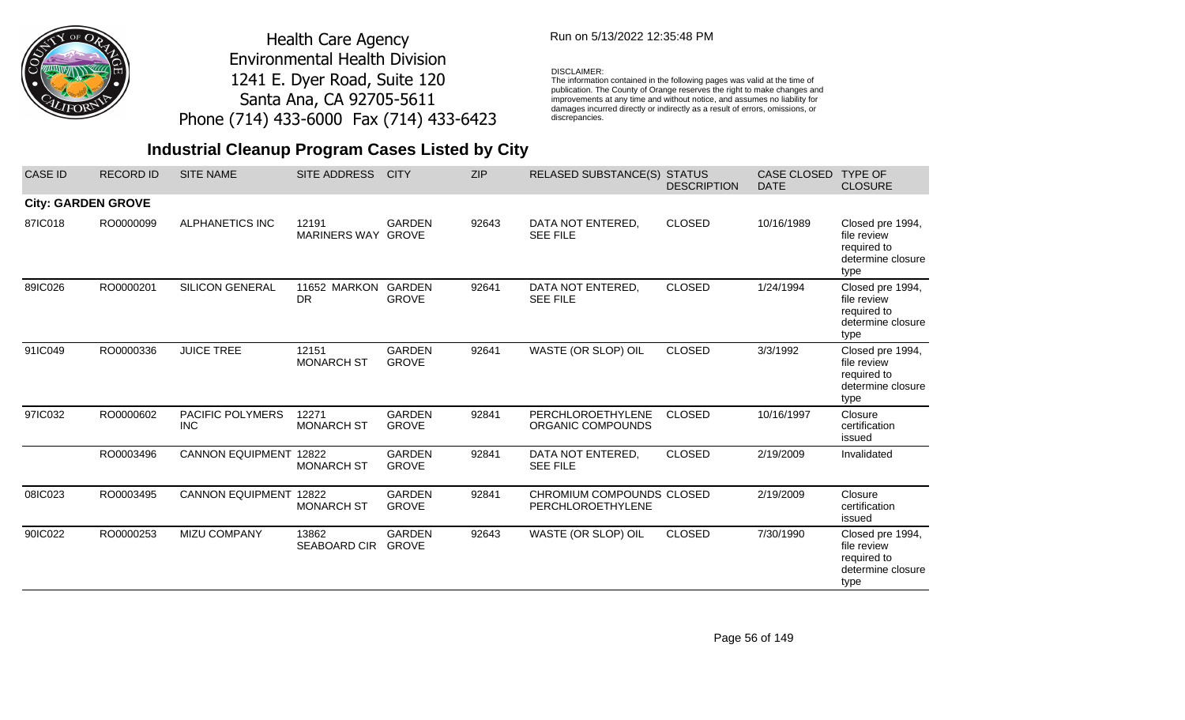

### Run on 5/13/2022 12:35:48 PM

#### DISCLAIMER:

The information contained in the following pages was valid at the time of publication. The County of Orange reserves the right to make changes and improvements at any time and without notice, and assumes no liability for damages incurred directly or indirectly as a result of errors, omissions, or discrepancies.

| <b>CASE ID</b>            | <b>RECORD ID</b> | <b>SITE NAME</b>               | <b>SITE ADDRESS</b>         | <b>CITY</b>                   | <b>ZIP</b> | <b>RELASED SUBSTANCE(S)</b>                    | <b>STATUS</b><br><b>DESCRIPTION</b> | <b>CASE CLOSED</b><br><b>DATE</b> | <b>TYPE OF</b><br><b>CLOSURE</b>                                            |
|---------------------------|------------------|--------------------------------|-----------------------------|-------------------------------|------------|------------------------------------------------|-------------------------------------|-----------------------------------|-----------------------------------------------------------------------------|
| <b>City: GARDEN GROVE</b> |                  |                                |                             |                               |            |                                                |                                     |                                   |                                                                             |
| 87IC018                   | RO0000099        | <b>ALPHANETICS INC</b>         | 12191<br>MARINERS WAY GROVE | <b>GARDEN</b>                 | 92643      | DATA NOT ENTERED,<br><b>SEE FILE</b>           | <b>CLOSED</b>                       | 10/16/1989                        | Closed pre 1994,<br>file review<br>required to<br>determine closure<br>type |
| 89IC026                   | RO0000201        | <b>SILICON GENERAL</b>         | 11652 MARKON<br><b>DR</b>   | GARDEN<br><b>GROVE</b>        | 92641      | DATA NOT ENTERED,<br><b>SEE FILE</b>           | <b>CLOSED</b>                       | 1/24/1994                         | Closed pre 1994,<br>file review<br>required to<br>determine closure<br>type |
| 91IC049                   | RO0000336        | <b>JUICE TREE</b>              | 12151<br><b>MONARCH ST</b>  | <b>GARDEN</b><br><b>GROVE</b> | 92641      | WASTE (OR SLOP) OIL                            | <b>CLOSED</b>                       | 3/3/1992                          | Closed pre 1994,<br>file review<br>required to<br>determine closure<br>type |
| 97IC032                   | RO0000602        | PACIFIC POLYMERS<br><b>INC</b> | 12271<br><b>MONARCH ST</b>  | <b>GARDEN</b><br><b>GROVE</b> | 92841      | PERCHLOROETHYLENE<br>ORGANIC COMPOUNDS         | <b>CLOSED</b>                       | 10/16/1997                        | Closure<br>certification<br>issued                                          |
|                           | RO0003496        | <b>CANNON EQUIPMENT 12822</b>  | <b>MONARCH ST</b>           | <b>GARDEN</b><br><b>GROVE</b> | 92841      | DATA NOT ENTERED,<br><b>SEE FILE</b>           | <b>CLOSED</b>                       | 2/19/2009                         | Invalidated                                                                 |
| 08IC023                   | RO0003495        | <b>CANNON EQUIPMENT</b>        | 12822<br><b>MONARCH ST</b>  | <b>GARDEN</b><br><b>GROVE</b> | 92841      | CHROMIUM COMPOUNDS CLOSED<br>PERCHLOROETHYLENE |                                     | 2/19/2009                         | Closure<br>certification<br>issued                                          |
| 90IC022                   | RO0000253        | <b>MIZU COMPANY</b>            | 13862<br>SEABOARD CIR       | <b>GARDEN</b><br><b>GROVE</b> | 92643      | WASTE (OR SLOP) OIL                            | <b>CLOSED</b>                       | 7/30/1990                         | Closed pre 1994,<br>file review<br>required to<br>determine closure<br>type |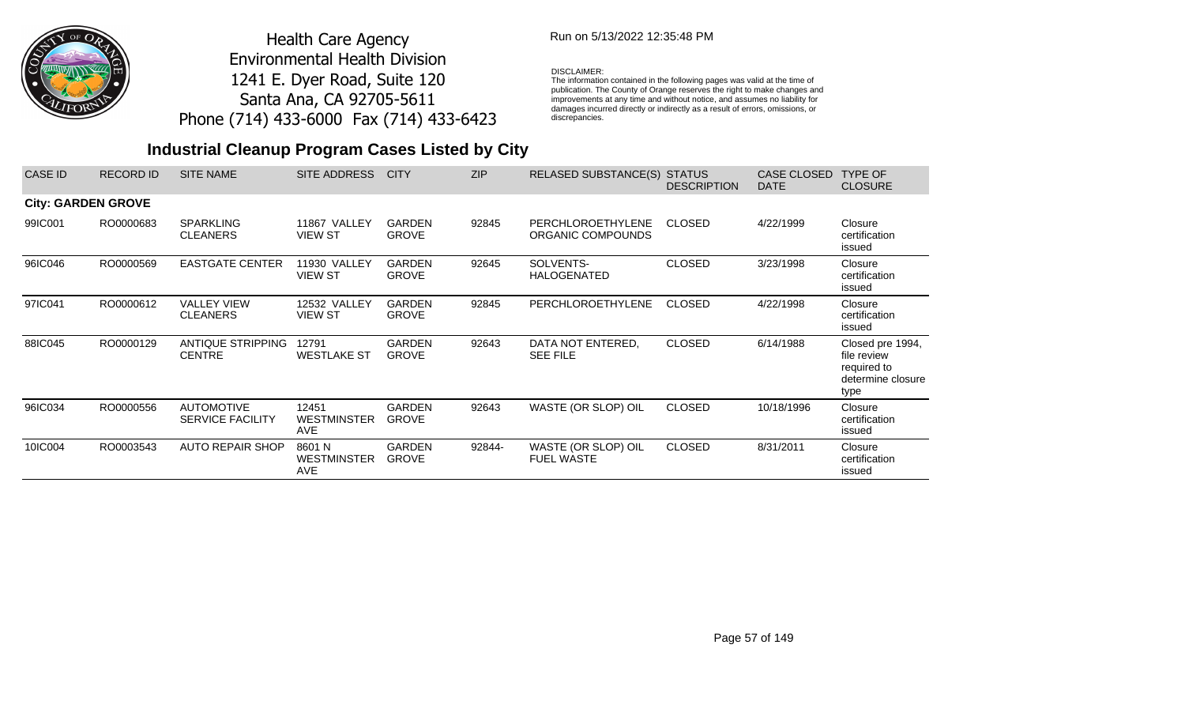

### Run on 5/13/2022 12:35:48 PM

#### DISCLAIMER:

The information contained in the following pages was valid at the time of publication. The County of Orange reserves the right to make changes and improvements at any time and without notice, and assumes no liability for damages incurred directly or indirectly as a result of errors, omissions, or discrepancies.

| <b>CASE ID</b>            | <b>RECORD ID</b> | <b>SITE NAME</b>                             | SITE ADDRESS                        | <b>CITY</b>                   | <b>ZIP</b> | <b>RELASED SUBSTANCE(S)</b>              | <b>STATUS</b><br><b>DESCRIPTION</b> | CASE CLOSED<br><b>DATE</b> | <b>TYPE OF</b><br><b>CLOSURE</b>                                            |
|---------------------------|------------------|----------------------------------------------|-------------------------------------|-------------------------------|------------|------------------------------------------|-------------------------------------|----------------------------|-----------------------------------------------------------------------------|
| <b>City: GARDEN GROVE</b> |                  |                                              |                                     |                               |            |                                          |                                     |                            |                                                                             |
| 99IC001                   | RO0000683        | <b>SPARKLING</b><br><b>CLEANERS</b>          | 11867 VALLEY<br><b>VIEW ST</b>      | <b>GARDEN</b><br><b>GROVE</b> | 92845      | PERCHLOROETHYLENE<br>ORGANIC COMPOUNDS   | <b>CLOSED</b>                       | 4/22/1999                  | Closure<br>certification<br>issued                                          |
| 96IC046                   | RO0000569        | <b>EASTGATE CENTER</b>                       | 11930 VALLEY<br><b>VIEW ST</b>      | <b>GARDEN</b><br><b>GROVE</b> | 92645      | SOLVENTS-<br><b>HALOGENATED</b>          | <b>CLOSED</b>                       | 3/23/1998                  | Closure<br>certification<br>issued                                          |
| 97IC041                   | RO0000612        | <b>VALLEY VIEW</b><br><b>CLEANERS</b>        | 12532 VALLEY<br><b>VIEW ST</b>      | <b>GARDEN</b><br><b>GROVE</b> | 92845      | PERCHLOROETHYLENE                        | <b>CLOSED</b>                       | 4/22/1998                  | Closure<br>certification<br>issued                                          |
| 88IC045                   | RO0000129        | <b>ANTIQUE STRIPPING</b><br><b>CENTRE</b>    | 12791<br><b>WESTLAKE ST</b>         | <b>GARDEN</b><br><b>GROVE</b> | 92643      | DATA NOT ENTERED.<br><b>SEE FILE</b>     | <b>CLOSED</b>                       | 6/14/1988                  | Closed pre 1994,<br>file review<br>required to<br>determine closure<br>type |
| 96IC034                   | RO0000556        | <b>AUTOMOTIVE</b><br><b>SERVICE FACILITY</b> | 12451<br><b>WESTMINSTER</b><br>AVE  | <b>GARDEN</b><br><b>GROVE</b> | 92643      | WASTE (OR SLOP) OIL                      | <b>CLOSED</b>                       | 10/18/1996                 | Closure<br>certification<br>issued                                          |
| 10IC004                   | RO0003543        | <b>AUTO REPAIR SHOP</b>                      | 8601 N<br><b>WESTMINSTER</b><br>AVE | <b>GARDEN</b><br><b>GROVE</b> | 92844-     | WASTE (OR SLOP) OIL<br><b>FUEL WASTE</b> | <b>CLOSED</b>                       | 8/31/2011                  | Closure<br>certification<br>issued                                          |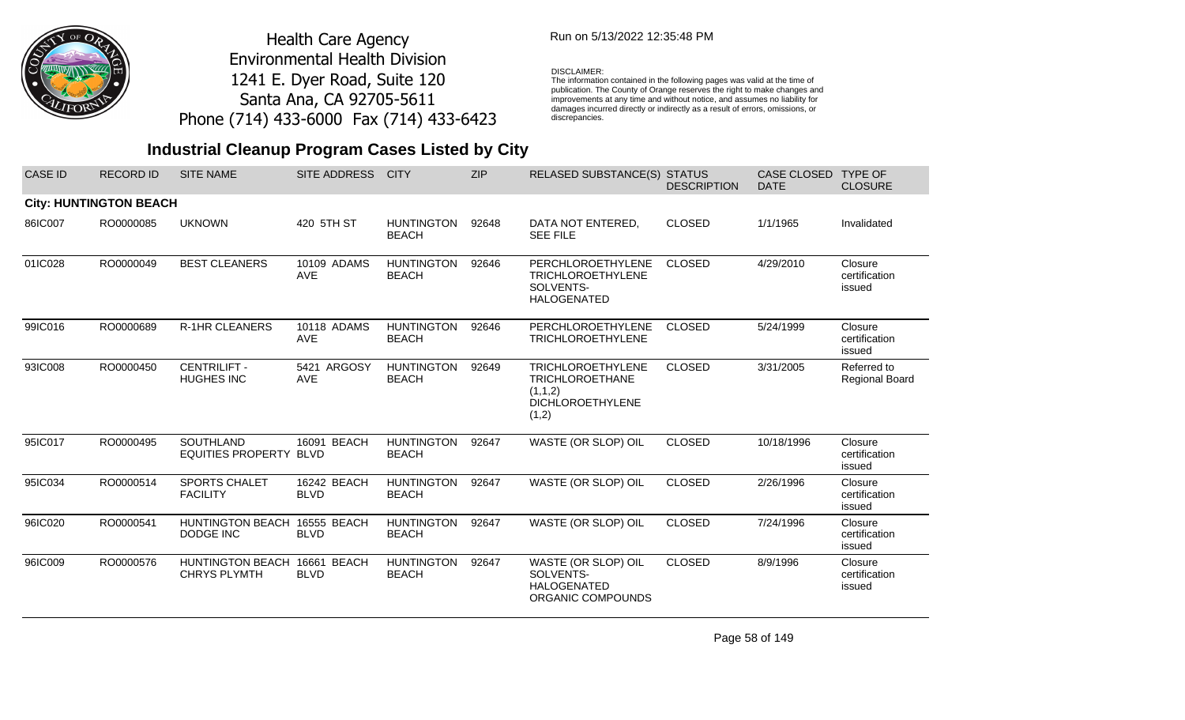

### Run on 5/13/2022 12:35:48 PM

#### DISCLAIMER:

The information contained in the following pages was valid at the time of publication. The County of Orange reserves the right to make changes and improvements at any time and without notice, and assumes no liability for damages incurred directly or indirectly as a result of errors, omissions, or discrepancies.

## **Industrial Cleanup Program Cases Listed by City**

| <b>CASE ID</b> | <b>RECORD ID</b>              | <b>SITE NAME</b>                               | <b>SITE ADDRESS</b>        | <b>CITY</b>                       | <b>ZIP</b> | <b>RELASED SUBSTANCE(S) STATUS</b>                                                                | <b>DESCRIPTION</b> | CASE CLOSED<br><b>DATE</b> | <b>TYPE OF</b><br><b>CLOSURE</b>     |
|----------------|-------------------------------|------------------------------------------------|----------------------------|-----------------------------------|------------|---------------------------------------------------------------------------------------------------|--------------------|----------------------------|--------------------------------------|
|                | <b>City: HUNTINGTON BEACH</b> |                                                |                            |                                   |            |                                                                                                   |                    |                            |                                      |
| 86IC007        | RO0000085                     | <b>UKNOWN</b>                                  | 420 5TH ST                 | <b>HUNTINGTON</b><br><b>BEACH</b> | 92648      | DATA NOT ENTERED,<br><b>SEE FILE</b>                                                              | <b>CLOSED</b>      | 1/1/1965                   | Invalidated                          |
| 01IC028        | RO0000049                     | <b>BEST CLEANERS</b>                           | 10109 ADAMS<br>AVE         | <b>HUNTINGTON</b><br><b>BEACH</b> | 92646      | PERCHLOROETHYLENE<br><b>TRICHLOROETHYLENE</b><br>SOLVENTS-<br><b>HALOGENATED</b>                  | <b>CLOSED</b>      | 4/29/2010                  | Closure<br>certification<br>issued   |
| 99IC016        | RO0000689                     | <b>R-1HR CLEANERS</b>                          | 10118 ADAMS<br><b>AVE</b>  | <b>HUNTINGTON</b><br><b>BEACH</b> | 92646      | PERCHLOROETHYLENE<br><b>TRICHLOROETHYLENE</b>                                                     | <b>CLOSED</b>      | 5/24/1999                  | Closure<br>certification<br>issued   |
| 93IC008        | RO0000450                     | <b>CENTRILIFT -</b><br><b>HUGHES INC</b>       | 5421 ARGOSY<br>AVE         | <b>HUNTINGTON</b><br><b>BEACH</b> | 92649      | <b>TRICHLOROETHYLENE</b><br><b>TRICHLOROETHANE</b><br>(1,1,2)<br><b>DICHLOROETHYLENE</b><br>(1,2) | <b>CLOSED</b>      | 3/31/2005                  | Referred to<br><b>Regional Board</b> |
| 95IC017        | RO0000495                     | <b>SOUTHLAND</b><br><b>EQUITIES PROPERTY</b>   | 16091 BEACH<br><b>BLVD</b> | <b>HUNTINGTON</b><br><b>BEACH</b> | 92647      | WASTE (OR SLOP) OIL                                                                               | <b>CLOSED</b>      | 10/18/1996                 | Closure<br>certification<br>issued   |
| 95IC034        | RO0000514                     | <b>SPORTS CHALET</b><br><b>FACILITY</b>        | 16242 BEACH<br><b>BLVD</b> | <b>HUNTINGTON</b><br><b>BEACH</b> | 92647      | WASTE (OR SLOP) OIL                                                                               | <b>CLOSED</b>      | 2/26/1996                  | Closure<br>certification<br>issued   |
| 96IC020        | RO0000541                     | <b>HUNTINGTON BEACH</b><br>DODGE INC           | 16555 BEACH<br><b>BLVD</b> | <b>HUNTINGTON</b><br><b>BEACH</b> | 92647      | WASTE (OR SLOP) OIL                                                                               | <b>CLOSED</b>      | 7/24/1996                  | Closure<br>certification<br>issued   |
| 96IC009        | RO0000576                     | <b>HUNTINGTON BEACH</b><br><b>CHRYS PLYMTH</b> | 16661 BEACH<br><b>BLVD</b> | <b>HUNTINGTON</b><br><b>BEACH</b> | 92647      | WASTE (OR SLOP) OIL<br>SOLVENTS-<br><b>HALOGENATED</b><br>ORGANIC COMPOUNDS                       | <b>CLOSED</b>      | 8/9/1996                   | Closure<br>certification<br>issued   |

Page 58 of 149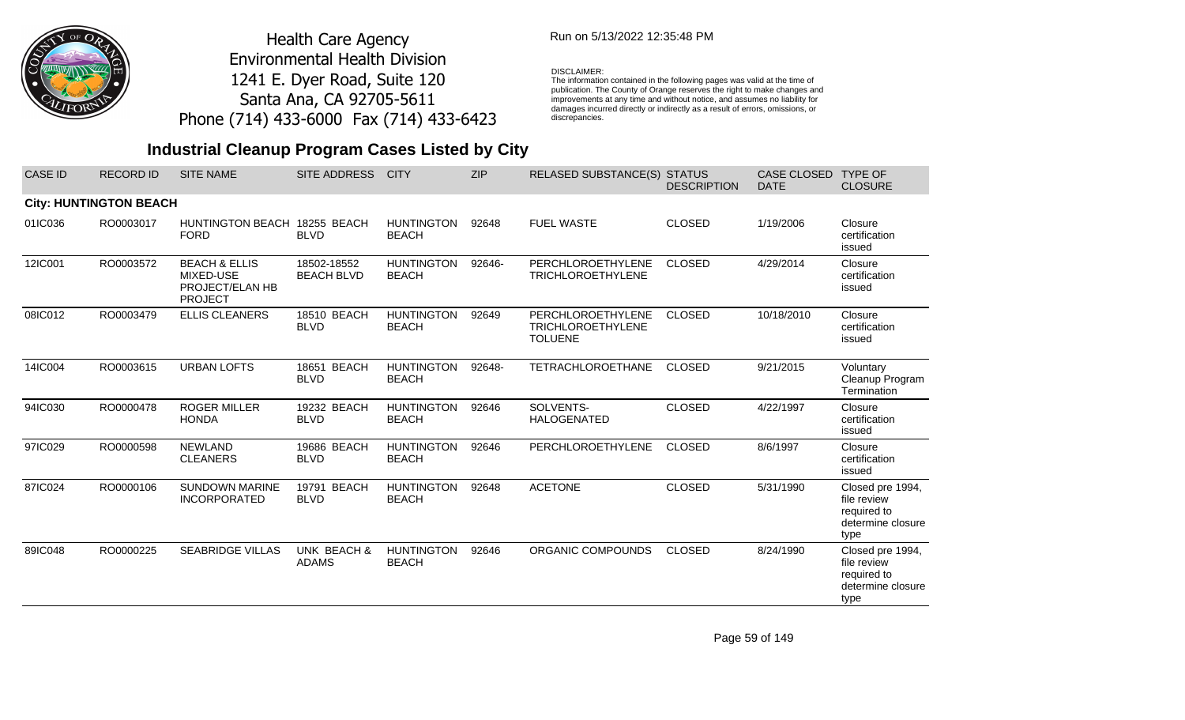

## Run on 5/13/2022 12:35:48 PM

#### DISCLAIMER:

The information contained in the following pages was valid at the time of publication. The County of Orange reserves the right to make changes and improvements at any time and without notice, and assumes no liability for damages incurred directly or indirectly as a result of errors, omissions, or discrepancies.

## **Industrial Cleanup Program Cases Listed by City**

| <b>CASE ID</b> | <b>RECORD ID</b>              | <b>SITE NAME</b>                                                           | SITE ADDRESS                     | <b>CITY</b>                       | <b>ZIP</b> | RELASED SUBSTANCE(S) STATUS                                     | <b>DESCRIPTION</b> | CASE CLOSED<br><b>DATE</b> | <b>TYPE OF</b><br><b>CLOSURE</b>                                            |
|----------------|-------------------------------|----------------------------------------------------------------------------|----------------------------------|-----------------------------------|------------|-----------------------------------------------------------------|--------------------|----------------------------|-----------------------------------------------------------------------------|
|                | <b>City: HUNTINGTON BEACH</b> |                                                                            |                                  |                                   |            |                                                                 |                    |                            |                                                                             |
| 01IC036        | RO0003017                     | HUNTINGTON BEACH 18255 BEACH<br><b>FORD</b>                                | <b>BLVD</b>                      | <b>HUNTINGTON</b><br><b>BEACH</b> | 92648      | <b>FUEL WASTE</b>                                               | <b>CLOSED</b>      | 1/19/2006                  | Closure<br>certification<br>issued                                          |
| 12IC001        | RO0003572                     | <b>BEACH &amp; ELLIS</b><br>MIXED-USE<br>PROJECT/ELAN HB<br><b>PROJECT</b> | 18502-18552<br><b>BEACH BLVD</b> | <b>HUNTINGTON</b><br><b>BEACH</b> | 92646-     | PERCHLOROETHYLENE<br><b>TRICHLOROETHYLENE</b>                   | <b>CLOSED</b>      | 4/29/2014                  | Closure<br>certification<br>issued                                          |
| 08IC012        | RO0003479                     | <b>ELLIS CLEANERS</b>                                                      | 18510 BEACH<br><b>BLVD</b>       | <b>HUNTINGTON</b><br><b>BEACH</b> | 92649      | PERCHLOROETHYLENE<br><b>TRICHLOROETHYLENE</b><br><b>TOLUENE</b> | <b>CLOSED</b>      | 10/18/2010                 | Closure<br>certification<br>issued                                          |
| 14IC004        | RO0003615                     | <b>URBAN LOFTS</b>                                                         | 18651 BEACH<br><b>BLVD</b>       | <b>HUNTINGTON</b><br><b>BEACH</b> | 92648-     | <b>TETRACHLOROETHANE</b>                                        | <b>CLOSED</b>      | 9/21/2015                  | Voluntary<br>Cleanup Program<br>Termination                                 |
| 94IC030        | RO0000478                     | <b>ROGER MILLER</b><br><b>HONDA</b>                                        | 19232 BEACH<br><b>BLVD</b>       | <b>HUNTINGTON</b><br><b>BEACH</b> | 92646      | SOLVENTS-<br><b>HALOGENATED</b>                                 | <b>CLOSED</b>      | 4/22/1997                  | Closure<br>certification<br>issued                                          |
| 97IC029        | RO0000598                     | <b>NEWLAND</b><br><b>CLEANERS</b>                                          | 19686 BEACH<br><b>BLVD</b>       | <b>HUNTINGTON</b><br><b>BEACH</b> | 92646      | PERCHLOROETHYLENE                                               | <b>CLOSED</b>      | 8/6/1997                   | Closure<br>certification<br>issued                                          |
| 87IC024        | RO0000106                     | <b>SUNDOWN MARINE</b><br><b>INCORPORATED</b>                               | 19791 BEACH<br><b>BLVD</b>       | <b>HUNTINGTON</b><br><b>BEACH</b> | 92648      | <b>ACETONE</b>                                                  | <b>CLOSED</b>      | 5/31/1990                  | Closed pre 1994,<br>file review<br>required to<br>determine closure<br>type |
| 89IC048        | RO0000225                     | <b>SEABRIDGE VILLAS</b>                                                    | UNK BEACH &<br><b>ADAMS</b>      | <b>HUNTINGTON</b><br><b>BEACH</b> | 92646      | ORGANIC COMPOUNDS                                               | <b>CLOSED</b>      | 8/24/1990                  | Closed pre 1994,<br>file review<br>required to<br>determine closure<br>type |

Page 59 of 149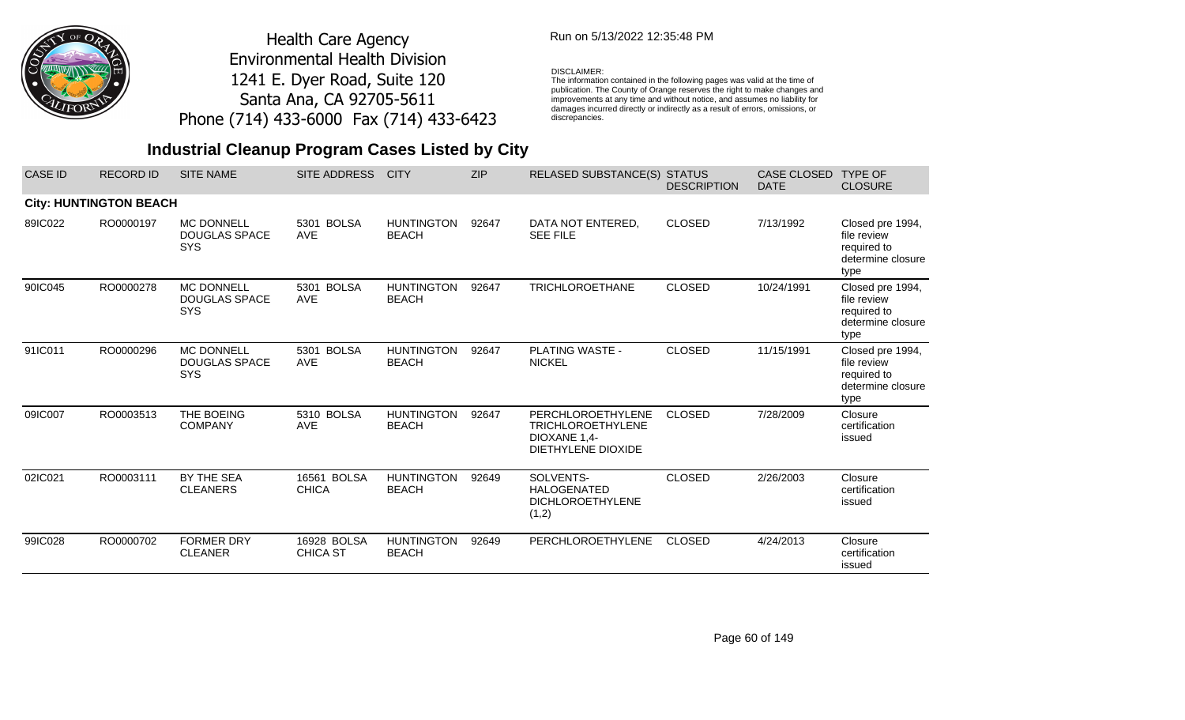

## Run on 5/13/2022 12:35:48 PM

#### DISCLAIMER:

The information contained in the following pages was valid at the time of publication. The County of Orange reserves the right to make changes and improvements at any time and without notice, and assumes no liability for damages incurred directly or indirectly as a result of errors, omissions, or discrepancies.

| <b>CASE ID</b> | <b>RECORD ID</b>              | <b>SITE NAME</b>                                        | <b>SITE ADDRESS</b>                | <b>CITY</b>                       | <b>ZIP</b> | RELASED SUBSTANCE(S) STATUS                                                         | <b>DESCRIPTION</b> | CASE CLOSED<br><b>DATE</b> | <b>TYPE OF</b><br><b>CLOSURE</b>                                            |
|----------------|-------------------------------|---------------------------------------------------------|------------------------------------|-----------------------------------|------------|-------------------------------------------------------------------------------------|--------------------|----------------------------|-----------------------------------------------------------------------------|
|                | <b>City: HUNTINGTON BEACH</b> |                                                         |                                    |                                   |            |                                                                                     |                    |                            |                                                                             |
| 89IC022        | RO0000197                     | <b>MC DONNELL</b><br><b>DOUGLAS SPACE</b><br><b>SYS</b> | 5301 BOLSA<br><b>AVE</b>           | <b>HUNTINGTON</b><br><b>BEACH</b> | 92647      | DATA NOT ENTERED,<br><b>SEE FILE</b>                                                | <b>CLOSED</b>      | 7/13/1992                  | Closed pre 1994,<br>file review<br>required to<br>determine closure<br>type |
| 90IC045        | RO0000278                     | <b>MC DONNELL</b><br><b>DOUGLAS SPACE</b><br><b>SYS</b> | <b>BOLSA</b><br>5301<br><b>AVE</b> | <b>HUNTINGTON</b><br><b>BEACH</b> | 92647      | <b>TRICHLOROETHANE</b>                                                              | <b>CLOSED</b>      | 10/24/1991                 | Closed pre 1994,<br>file review<br>required to<br>determine closure<br>type |
| 91IC011        | RO0000296                     | <b>MC DONNELL</b><br><b>DOUGLAS SPACE</b><br><b>SYS</b> | <b>BOLSA</b><br>5301<br><b>AVE</b> | <b>HUNTINGTON</b><br><b>BEACH</b> | 92647      | PLATING WASTE -<br><b>NICKEL</b>                                                    | <b>CLOSED</b>      | 11/15/1991                 | Closed pre 1994,<br>file review<br>required to<br>determine closure<br>type |
| 09IC007        | RO0003513                     | THE BOEING<br><b>COMPANY</b>                            | 5310 BOLSA<br><b>AVE</b>           | <b>HUNTINGTON</b><br><b>BEACH</b> | 92647      | PERCHLOROETHYLENE<br><b>TRICHLOROETHYLENE</b><br>DIOXANE 1.4-<br>DIETHYLENE DIOXIDE | <b>CLOSED</b>      | 7/28/2009                  | Closure<br>certification<br>issued                                          |
| 02IC021        | RO0003111                     | BY THE SEA<br><b>CLEANERS</b>                           | 16561 BOLSA<br><b>CHICA</b>        | <b>HUNTINGTON</b><br><b>BEACH</b> | 92649      | SOLVENTS-<br><b>HALOGENATED</b><br><b>DICHLOROETHYLENE</b><br>(1,2)                 | <b>CLOSED</b>      | 2/26/2003                  | Closure<br>certification<br>issued                                          |
| 99IC028        | RO0000702                     | <b>FORMER DRY</b><br><b>CLEANER</b>                     | 16928 BOLSA<br><b>CHICA ST</b>     | <b>HUNTINGTON</b><br><b>BEACH</b> | 92649      | PERCHLOROETHYLENE                                                                   | <b>CLOSED</b>      | 4/24/2013                  | Closure<br>certification<br>issued                                          |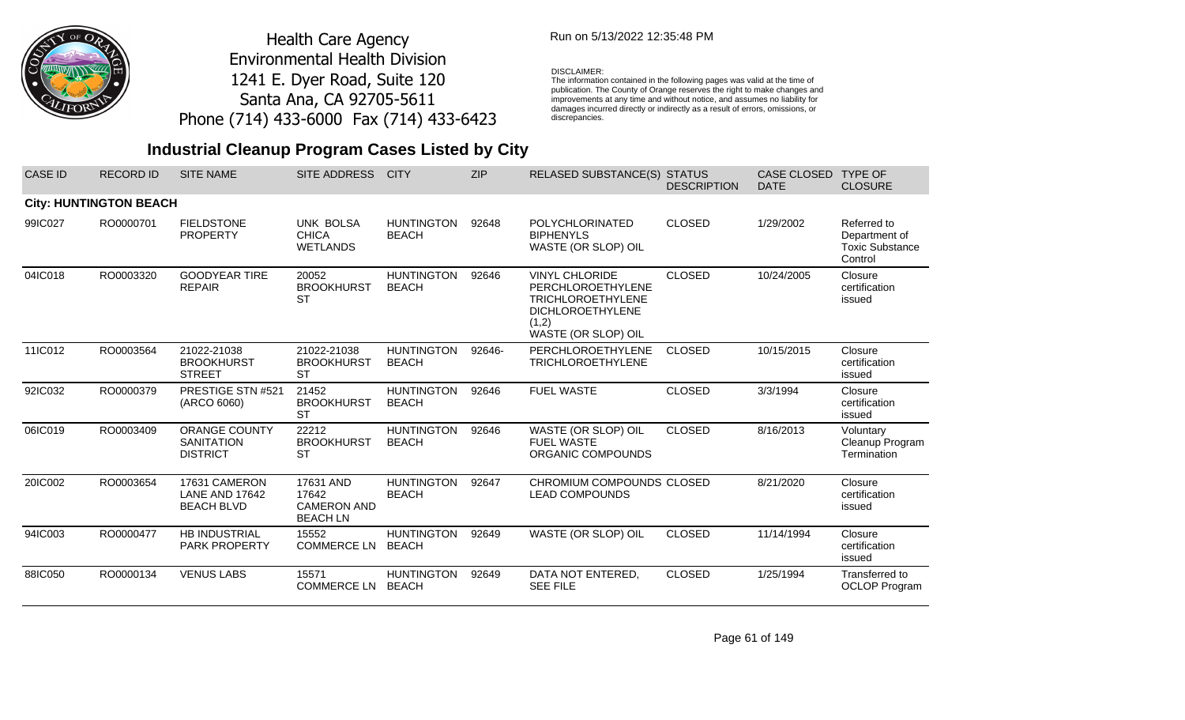

### Run on 5/13/2022 12:35:48 PM

#### DISCLAIMER:

The information contained in the following pages was valid at the time of publication. The County of Orange reserves the right to make changes and improvements at any time and without notice, and assumes no liability for damages incurred directly or indirectly as a result of errors, omissions, or discrepancies.

| <b>CASE ID</b> | <b>RECORD ID</b>              | <b>SITE NAME</b>                                             | <b>SITE ADDRESS</b>                                         | <b>CITY</b>                       | <b>ZIP</b> | <b>RELASED SUBSTANCE(S)</b>                                                                                                       | <b>STATUS</b><br><b>DESCRIPTION</b> | <b>CASE CLOSED</b><br><b>DATE</b> | <b>TYPE OF</b><br><b>CLOSURE</b>                                  |
|----------------|-------------------------------|--------------------------------------------------------------|-------------------------------------------------------------|-----------------------------------|------------|-----------------------------------------------------------------------------------------------------------------------------------|-------------------------------------|-----------------------------------|-------------------------------------------------------------------|
|                | <b>City: HUNTINGTON BEACH</b> |                                                              |                                                             |                                   |            |                                                                                                                                   |                                     |                                   |                                                                   |
| 99IC027        | RO0000701                     | <b>FIELDSTONE</b><br><b>PROPERTY</b>                         | <b>UNK BOLSA</b><br><b>CHICA</b><br><b>WETLANDS</b>         | <b>HUNTINGTON</b><br><b>BEACH</b> | 92648      | POLYCHLORINATED<br><b>BIPHENYLS</b><br>WASTE (OR SLOP) OIL                                                                        | <b>CLOSED</b>                       | 1/29/2002                         | Referred to<br>Department of<br><b>Toxic Substance</b><br>Control |
| 04IC018        | RO0003320                     | <b>GOODYEAR TIRE</b><br><b>REPAIR</b>                        | 20052<br><b>BROOKHURST</b><br><b>ST</b>                     | <b>HUNTINGTON</b><br><b>BEACH</b> | 92646      | <b>VINYL CHLORIDE</b><br>PERCHLOROETHYLENE<br><b>TRICHLOROETHYLENE</b><br><b>DICHLOROETHYLENE</b><br>(1,2)<br>WASTE (OR SLOP) OIL | <b>CLOSED</b>                       | 10/24/2005                        | Closure<br>certification<br>issued                                |
| 11IC012        | RO0003564                     | 21022-21038<br><b>BROOKHURST</b><br><b>STREET</b>            | 21022-21038<br><b>BROOKHURST</b><br><b>ST</b>               | <b>HUNTINGTON</b><br><b>BEACH</b> | 92646-     | PERCHLOROETHYLENE<br><b>TRICHLOROETHYLENE</b>                                                                                     | <b>CLOSED</b>                       | 10/15/2015                        | Closure<br>certification<br>issued                                |
| 92IC032        | RO0000379                     | PRESTIGE STN #521<br>(ARCO 6060)                             | 21452<br><b>BROOKHURST</b><br><b>ST</b>                     | <b>HUNTINGTON</b><br><b>BEACH</b> | 92646      | <b>FUEL WASTE</b>                                                                                                                 | <b>CLOSED</b>                       | 3/3/1994                          | Closure<br>certification<br>issued                                |
| 06IC019        | RO0003409                     | <b>ORANGE COUNTY</b><br><b>SANITATION</b><br><b>DISTRICT</b> | 22212<br><b>BROOKHURST</b><br><b>ST</b>                     | <b>HUNTINGTON</b><br><b>BEACH</b> | 92646      | WASTE (OR SLOP) OIL<br><b>FUEL WASTE</b><br>ORGANIC COMPOUNDS                                                                     | <b>CLOSED</b>                       | 8/16/2013                         | Voluntary<br>Cleanup Program<br>Termination                       |
| 20IC002        | RO0003654                     | 17631 CAMERON<br><b>LANE AND 17642</b><br><b>BEACH BLVD</b>  | 17631 AND<br>17642<br><b>CAMERON AND</b><br><b>BEACH LN</b> | <b>HUNTINGTON</b><br><b>BEACH</b> | 92647      | CHROMIUM COMPOUNDS CLOSED<br><b>LEAD COMPOUNDS</b>                                                                                |                                     | 8/21/2020                         | Closure<br>certification<br>issued                                |
| 94IC003        | RO0000477                     | HB INDUSTRIAL<br><b>PARK PROPERTY</b>                        | 15552<br><b>COMMERCE LN</b>                                 | <b>HUNTINGTON</b><br><b>BEACH</b> | 92649      | WASTE (OR SLOP) OIL                                                                                                               | <b>CLOSED</b>                       | 11/14/1994                        | Closure<br>certification<br>issued                                |
| 88IC050        | RO0000134                     | <b>VENUS LABS</b>                                            | 15571<br><b>COMMERCE LN</b>                                 | <b>HUNTINGTON</b><br><b>BEACH</b> | 92649      | DATA NOT ENTERED,<br><b>SEE FILE</b>                                                                                              | <b>CLOSED</b>                       | 1/25/1994                         | Transferred to<br><b>OCLOP Program</b>                            |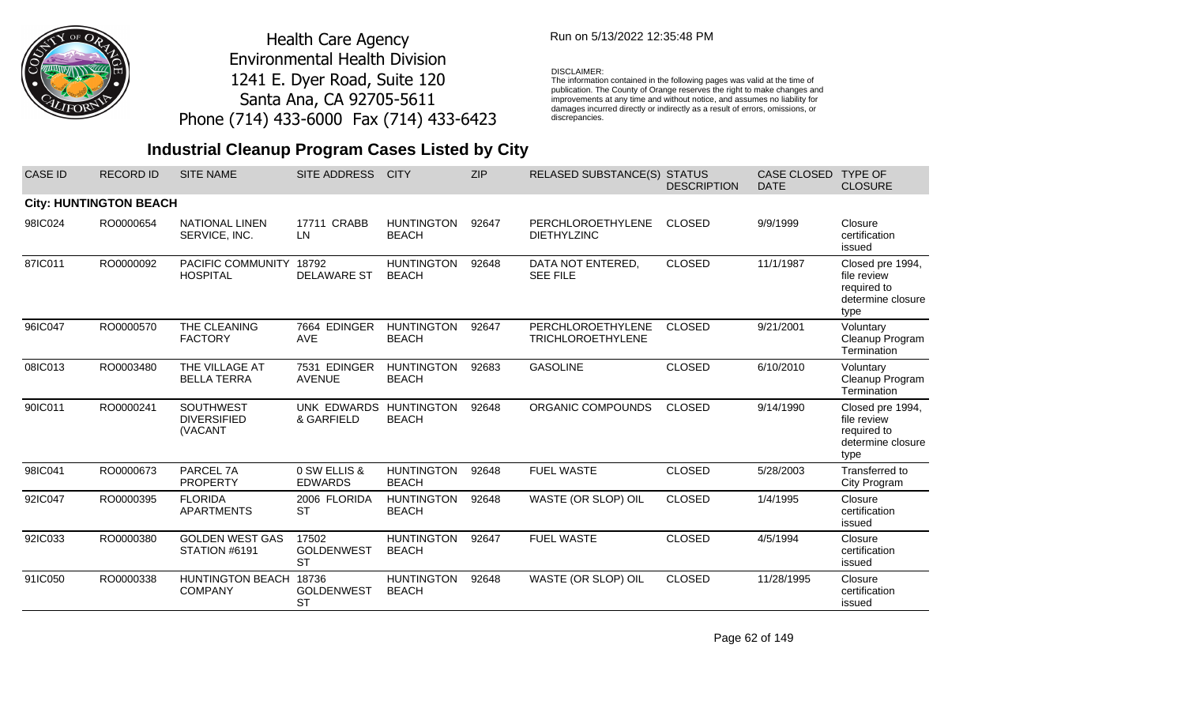

### Run on 5/13/2022 12:35:48 PM

#### DISCLAIMER:

The information contained in the following pages was valid at the time of publication. The County of Orange reserves the right to make changes and improvements at any time and without notice, and assumes no liability for damages incurred directly or indirectly as a result of errors, omissions, or discrepancies.

## **Industrial Cleanup Program Cases Listed by City**

| <b>CASE ID</b> | <b>RECORD ID</b>              | <b>SITE NAME</b>                           | <b>SITE ADDRESS</b>                     | <b>CITY</b>                       | <b>ZIP</b> | RELASED SUBSTANCE(S) STATUS                   | <b>DESCRIPTION</b> | <b>CASE CLOSED</b><br><b>DATE</b> | <b>TYPE OF</b><br><b>CLOSURE</b>                                            |
|----------------|-------------------------------|--------------------------------------------|-----------------------------------------|-----------------------------------|------------|-----------------------------------------------|--------------------|-----------------------------------|-----------------------------------------------------------------------------|
|                | <b>City: HUNTINGTON BEACH</b> |                                            |                                         |                                   |            |                                               |                    |                                   |                                                                             |
| 98IC024        | RO0000654                     | <b>NATIONAL LINEN</b><br>SERVICE, INC.     | 17711 CRABB<br><b>LN</b>                | <b>HUNTINGTON</b><br><b>BEACH</b> | 92647      | PERCHLOROETHYLENE<br><b>DIETHYLZINC</b>       | <b>CLOSED</b>      | 9/9/1999                          | Closure<br>certification<br>issued                                          |
| 87IC011        | RO0000092                     | PACIFIC COMMUNITY<br><b>HOSPITAL</b>       | 18792<br><b>DELAWARE ST</b>             | <b>HUNTINGTON</b><br><b>BEACH</b> | 92648      | DATA NOT ENTERED,<br><b>SEE FILE</b>          | <b>CLOSED</b>      | 11/1/1987                         | Closed pre 1994,<br>file review<br>required to<br>determine closure<br>type |
| 96IC047        | RO0000570                     | THE CLEANING<br><b>FACTORY</b>             | 7664 EDINGER<br><b>AVE</b>              | <b>HUNTINGTON</b><br><b>BEACH</b> | 92647      | PERCHLOROETHYLENE<br><b>TRICHLOROETHYLENE</b> | <b>CLOSED</b>      | 9/21/2001                         | Voluntary<br>Cleanup Program<br>Termination                                 |
| 08IC013        | RO0003480                     | THE VILLAGE AT<br><b>BELLA TERRA</b>       | 7531 EDINGER<br><b>AVENUE</b>           | <b>HUNTINGTON</b><br><b>BEACH</b> | 92683      | <b>GASOLINE</b>                               | <b>CLOSED</b>      | 6/10/2010                         | Voluntary<br>Cleanup Program<br>Termination                                 |
| 90IC011        | RO0000241                     | SOUTHWEST<br><b>DIVERSIFIED</b><br>(VACANT | <b>UNK EDWARDS</b><br>& GARFIELD        | <b>HUNTINGTON</b><br><b>BEACH</b> | 92648      | ORGANIC COMPOUNDS                             | <b>CLOSED</b>      | 9/14/1990                         | Closed pre 1994,<br>file review<br>required to<br>determine closure<br>type |
| 98IC041        | RO0000673                     | PARCEL 7A<br><b>PROPERTY</b>               | 0 SW ELLIS &<br><b>EDWARDS</b>          | <b>HUNTINGTON</b><br><b>BEACH</b> | 92648      | <b>FUEL WASTE</b>                             | <b>CLOSED</b>      | 5/28/2003                         | Transferred to<br>City Program                                              |
| 92IC047        | RO0000395                     | <b>FLORIDA</b><br><b>APARTMENTS</b>        | 2006 FLORIDA<br><b>ST</b>               | <b>HUNTINGTON</b><br><b>BEACH</b> | 92648      | WASTE (OR SLOP) OIL                           | <b>CLOSED</b>      | 1/4/1995                          | Closure<br>certification<br>issued                                          |
| 92IC033        | RO0000380                     | <b>GOLDEN WEST GAS</b><br>STATION #6191    | 17502<br><b>GOLDENWEST</b><br><b>ST</b> | <b>HUNTINGTON</b><br><b>BEACH</b> | 92647      | <b>FUEL WASTE</b>                             | <b>CLOSED</b>      | 4/5/1994                          | Closure<br>certification<br>issued                                          |
| 91IC050        | RO0000338                     | <b>HUNTINGTON BEACH</b><br><b>COMPANY</b>  | 18736<br><b>GOLDENWEST</b><br><b>ST</b> | <b>HUNTINGTON</b><br><b>BEACH</b> | 92648      | WASTE (OR SLOP) OIL                           | <b>CLOSED</b>      | 11/28/1995                        | Closure<br>certification<br>issued                                          |

Page 62 of 149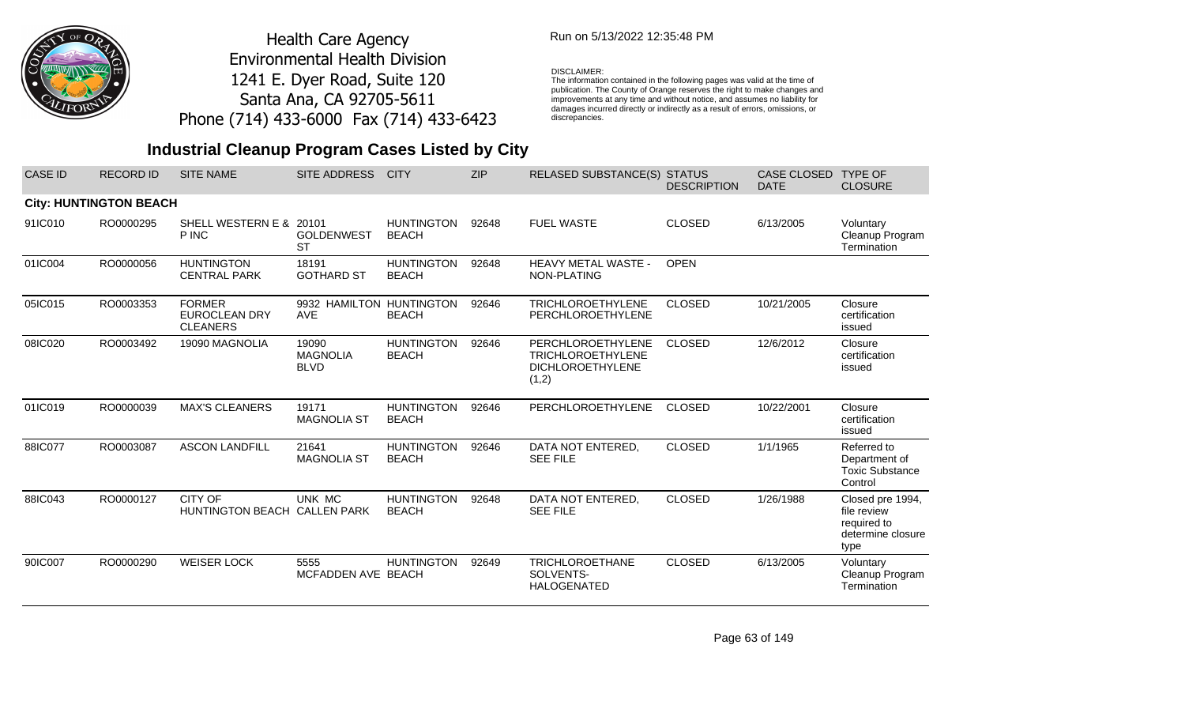

## Run on 5/13/2022 12:35:48 PM

#### DISCLAIMER:

The information contained in the following pages was valid at the time of publication. The County of Orange reserves the right to make changes and improvements at any time and without notice, and assumes no liability for damages incurred directly or indirectly as a result of errors, omissions, or discrepancies.

| <b>CASE ID</b> | <b>RECORD ID</b>              | <b>SITE NAME</b>                                         | <b>SITE ADDRESS</b>                     | <b>CITY</b>                       | <b>ZIP</b> | <b>RELASED SUBSTANCE(S)</b>                                                       | <b>STATUS</b><br><b>DESCRIPTION</b> | <b>CASE CLOSED</b><br><b>DATE</b> | <b>TYPE OF</b><br><b>CLOSURE</b>                                            |
|----------------|-------------------------------|----------------------------------------------------------|-----------------------------------------|-----------------------------------|------------|-----------------------------------------------------------------------------------|-------------------------------------|-----------------------------------|-----------------------------------------------------------------------------|
|                | <b>City: HUNTINGTON BEACH</b> |                                                          |                                         |                                   |            |                                                                                   |                                     |                                   |                                                                             |
| 91IC010        | RO0000295                     | SHELL WESTERN E & 20101<br>P INC                         | <b>GOLDENWEST</b><br><b>ST</b>          | <b>HUNTINGTON</b><br><b>BEACH</b> | 92648      | <b>FUEL WASTE</b>                                                                 | <b>CLOSED</b>                       | 6/13/2005                         | Voluntary<br>Cleanup Program<br>Termination                                 |
| 01IC004        | RO0000056                     | <b>HUNTINGTON</b><br><b>CENTRAL PARK</b>                 | 18191<br><b>GOTHARD ST</b>              | <b>HUNTINGTON</b><br><b>BEACH</b> | 92648      | <b>HEAVY METAL WASTE -</b><br>NON-PLATING                                         | <b>OPEN</b>                         |                                   |                                                                             |
| 05IC015        | RO0003353                     | <b>FORMER</b><br><b>EUROCLEAN DRY</b><br><b>CLEANERS</b> | 9932 HAMILTON HUNTINGTON<br><b>AVE</b>  | <b>BEACH</b>                      | 92646      | <b>TRICHLOROETHYLENE</b><br>PERCHLOROETHYLENE                                     | <b>CLOSED</b>                       | 10/21/2005                        | Closure<br>certification<br>issued                                          |
| 08IC020        | RO0003492                     | 19090 MAGNOLIA                                           | 19090<br><b>MAGNOLIA</b><br><b>BLVD</b> | <b>HUNTINGTON</b><br><b>BEACH</b> | 92646      | PERCHLOROETHYLENE<br><b>TRICHLOROETHYLENE</b><br><b>DICHLOROETHYLENE</b><br>(1,2) | <b>CLOSED</b>                       | 12/6/2012                         | Closure<br>certification<br>issued                                          |
| 01IC019        | RO0000039                     | <b>MAX'S CLEANERS</b>                                    | 19171<br><b>MAGNOLIA ST</b>             | <b>HUNTINGTON</b><br><b>BEACH</b> | 92646      | PERCHLOROETHYLENE                                                                 | <b>CLOSED</b>                       | 10/22/2001                        | Closure<br>certification<br>issued                                          |
| 88IC077        | RO0003087                     | <b>ASCON LANDFILL</b>                                    | 21641<br><b>MAGNOLIA ST</b>             | <b>HUNTINGTON</b><br><b>BEACH</b> | 92646      | DATA NOT ENTERED,<br><b>SEE FILE</b>                                              | <b>CLOSED</b>                       | 1/1/1965                          | Referred to<br>Department of<br><b>Toxic Substance</b><br>Control           |
| 88IC043        | RO0000127                     | CITY OF<br><b>HUNTINGTON BEACH</b>                       | UNK MC<br><b>CALLEN PARK</b>            | <b>HUNTINGTON</b><br><b>BEACH</b> | 92648      | DATA NOT ENTERED,<br><b>SEE FILE</b>                                              | <b>CLOSED</b>                       | 1/26/1988                         | Closed pre 1994,<br>file review<br>required to<br>determine closure<br>type |
| 90IC007        | RO0000290                     | <b>WEISER LOCK</b>                                       | 5555<br>MCFADDEN AVE BEACH              | <b>HUNTINGTON</b>                 | 92649      | <b>TRICHLOROETHANE</b><br>SOLVENTS-<br><b>HALOGENATED</b>                         | <b>CLOSED</b>                       | 6/13/2005                         | Voluntary<br>Cleanup Program<br>Termination                                 |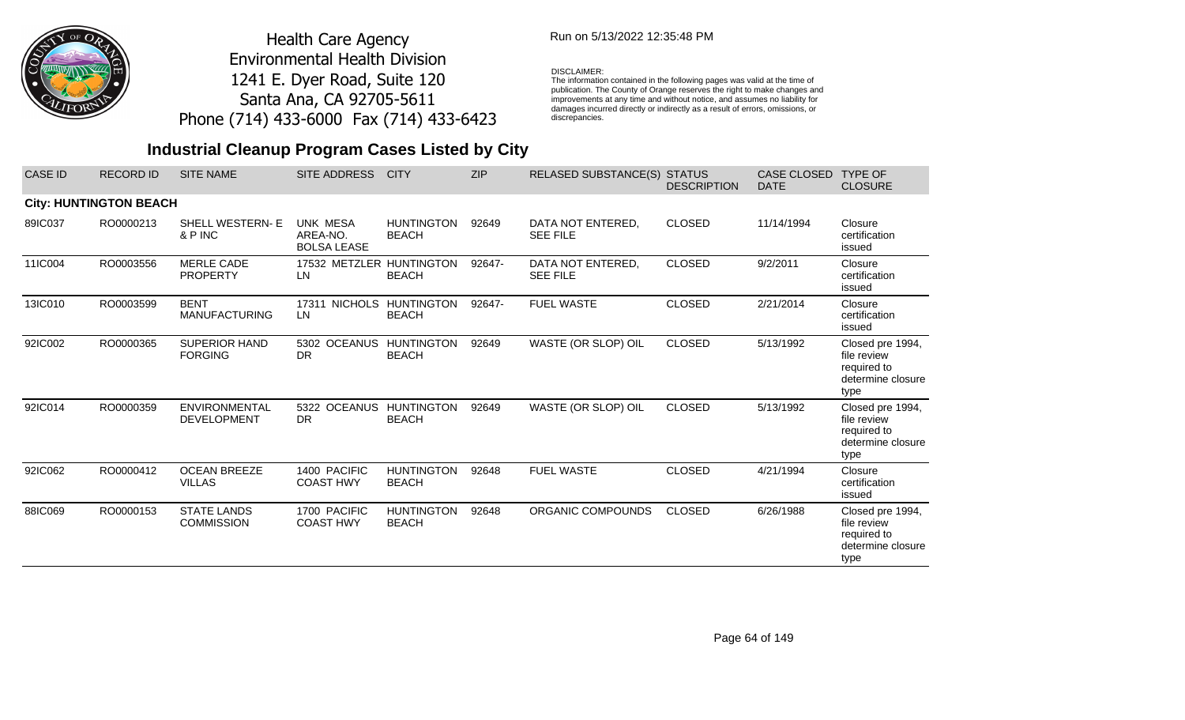

## Run on 5/13/2022 12:35:48 PM

#### DISCLAIMER:

The information contained in the following pages was valid at the time of publication. The County of Orange reserves the right to make changes and improvements at any time and without notice, and assumes no liability for damages incurred directly or indirectly as a result of errors, omissions, or discrepancies.

| <b>CASE ID</b> | <b>RECORD ID</b>              | <b>SITE NAME</b>                           | <b>SITE ADDRESS</b>                               | <b>CITY</b>                       | <b>ZIP</b> | RELASED SUBSTANCE(S) STATUS          | <b>DESCRIPTION</b> | <b>CASE CLOSED</b><br><b>DATE</b> | <b>TYPE OF</b><br><b>CLOSURE</b>                                            |
|----------------|-------------------------------|--------------------------------------------|---------------------------------------------------|-----------------------------------|------------|--------------------------------------|--------------------|-----------------------------------|-----------------------------------------------------------------------------|
|                | <b>City: HUNTINGTON BEACH</b> |                                            |                                                   |                                   |            |                                      |                    |                                   |                                                                             |
| 89IC037        | RO0000213                     | <b>SHELL WESTERN-E</b><br>& P INC          | <b>UNK MESA</b><br>AREA-NO.<br><b>BOLSA LEASE</b> | <b>HUNTINGTON</b><br><b>BEACH</b> | 92649      | DATA NOT ENTERED,<br><b>SEE FILE</b> | <b>CLOSED</b>      | 11/14/1994                        | Closure<br>certification<br>issued                                          |
| 11IC004        | RO0003556                     | <b>MERLE CADE</b><br><b>PROPERTY</b>       | 17532 METZLER HUNTINGTON<br>LN.                   | <b>BEACH</b>                      | 92647-     | DATA NOT ENTERED,<br><b>SEE FILE</b> | <b>CLOSED</b>      | 9/2/2011                          | Closure<br>certification<br>issued                                          |
| 13IC010        | RO0003599                     | <b>BENT</b><br><b>MANUFACTURING</b>        | 17311 NICHOLS HUNTINGTON<br>LN.                   | <b>BEACH</b>                      | 92647-     | <b>FUEL WASTE</b>                    | <b>CLOSED</b>      | 2/21/2014                         | Closure<br>certification<br>issued                                          |
| 92IC002        | RO0000365                     | <b>SUPERIOR HAND</b><br><b>FORGING</b>     | 5302 OCEANUS HUNTINGTON<br><b>DR</b>              | <b>BEACH</b>                      | 92649      | WASTE (OR SLOP) OIL                  | <b>CLOSED</b>      | 5/13/1992                         | Closed pre 1994,<br>file review<br>required to<br>determine closure<br>type |
| 92IC014        | RO0000359                     | <b>ENVIRONMENTAL</b><br><b>DEVELOPMENT</b> | 5322 OCEANUS<br><b>DR</b>                         | <b>HUNTINGTON</b><br><b>BEACH</b> | 92649      | WASTE (OR SLOP) OIL                  | <b>CLOSED</b>      | 5/13/1992                         | Closed pre 1994,<br>file review<br>required to<br>determine closure<br>type |
| 92IC062        | RO0000412                     | <b>OCEAN BREEZE</b><br><b>VILLAS</b>       | 1400 PACIFIC<br><b>COAST HWY</b>                  | <b>HUNTINGTON</b><br><b>BEACH</b> | 92648      | <b>FUEL WASTE</b>                    | <b>CLOSED</b>      | 4/21/1994                         | Closure<br>certification<br>issued                                          |
| 88IC069        | RO0000153                     | <b>STATE LANDS</b><br><b>COMMISSION</b>    | 1700 PACIFIC<br><b>COAST HWY</b>                  | <b>HUNTINGTON</b><br><b>BEACH</b> | 92648      | ORGANIC COMPOUNDS                    | <b>CLOSED</b>      | 6/26/1988                         | Closed pre 1994,<br>file review<br>required to<br>determine closure<br>type |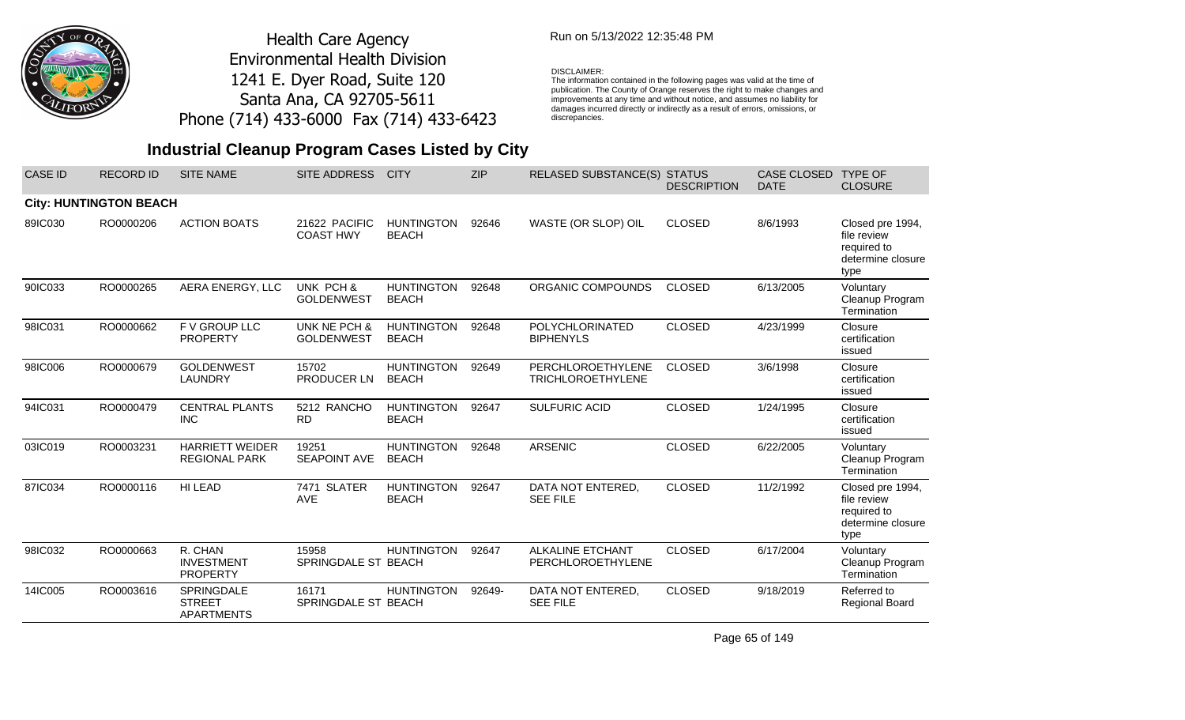

## Run on 5/13/2022 12:35:48 PM

#### DISCLAIMER:

The information contained in the following pages was valid at the time of<br>publication. The County of Orange reserves the right to make changes and<br>improvements at any time and without notice, and assumes no liability for<br>d discrepancies.

## **Industrial Cleanup Program Cases Listed by City**

| CASE ID | <b>RECORD ID</b>              | <b>SITE NAME</b>                                        | <b>SITE ADDRESS</b>               | <b>CITY</b>                       | <b>ZIP</b> | <b>RELASED SUBSTANCE(S)</b>                   | <b>STATUS</b><br><b>DESCRIPTION</b> | CASE CLOSED<br><b>DATE</b> | <b>TYPE OF</b><br><b>CLOSURE</b>                                            |
|---------|-------------------------------|---------------------------------------------------------|-----------------------------------|-----------------------------------|------------|-----------------------------------------------|-------------------------------------|----------------------------|-----------------------------------------------------------------------------|
|         | <b>City: HUNTINGTON BEACH</b> |                                                         |                                   |                                   |            |                                               |                                     |                            |                                                                             |
| 89IC030 | RO0000206                     | <b>ACTION BOATS</b>                                     | 21622 PACIFIC<br><b>COAST HWY</b> | <b>HUNTINGTON</b><br><b>BEACH</b> | 92646      | WASTE (OR SLOP) OIL                           | <b>CLOSED</b>                       | 8/6/1993                   | Closed pre 1994,<br>file review<br>required to<br>determine closure<br>type |
| 90IC033 | RO0000265                     | AERA ENERGY, LLC                                        | UNK PCH &<br><b>GOLDENWEST</b>    | <b>HUNTINGTON</b><br><b>BEACH</b> | 92648      | ORGANIC COMPOUNDS                             | <b>CLOSED</b>                       | 6/13/2005                  | Voluntary<br>Cleanup Program<br>Termination                                 |
| 98IC031 | RO0000662                     | F V GROUP LLC<br><b>PROPERTY</b>                        | UNK NE PCH &<br><b>GOLDENWEST</b> | <b>HUNTINGTON</b><br><b>BEACH</b> | 92648      | POLYCHLORINATED<br><b>BIPHENYLS</b>           | <b>CLOSED</b>                       | 4/23/1999                  | Closure<br>certification<br>issued                                          |
| 98IC006 | RO0000679                     | <b>GOLDENWEST</b><br><b>LAUNDRY</b>                     | 15702<br>PRODUCER LN              | <b>HUNTINGTON</b><br><b>BEACH</b> | 92649      | PERCHLOROETHYLENE<br><b>TRICHLOROETHYLENE</b> | <b>CLOSED</b>                       | 3/6/1998                   | Closure<br>certification<br>issued                                          |
| 94IC031 | RO0000479                     | <b>CENTRAL PLANTS</b><br><b>INC</b>                     | 5212 RANCHO<br><b>RD</b>          | <b>HUNTINGTON</b><br><b>BEACH</b> | 92647      | <b>SULFURIC ACID</b>                          | <b>CLOSED</b>                       | 1/24/1995                  | Closure<br>certification<br>issued                                          |
| 03IC019 | RO0003231                     | <b>HARRIETT WEIDER</b><br><b>REGIONAL PARK</b>          | 19251<br><b>SEAPOINT AVE</b>      | <b>HUNTINGTON</b><br><b>BEACH</b> | 92648      | <b>ARSENIC</b>                                | <b>CLOSED</b>                       | 6/22/2005                  | Voluntary<br>Cleanup Program<br>Termination                                 |
| 87IC034 | RO0000116                     | HI LEAD                                                 | 7471 SLATER<br><b>AVE</b>         | <b>HUNTINGTON</b><br><b>BEACH</b> | 92647      | DATA NOT ENTERED,<br><b>SEE FILE</b>          | <b>CLOSED</b>                       | 11/2/1992                  | Closed pre 1994,<br>file review<br>required to<br>determine closure<br>type |
| 98IC032 | RO0000663                     | R. CHAN<br><b>INVESTMENT</b><br><b>PROPERTY</b>         | 15958<br>SPRINGDALE ST BEACH      | <b>HUNTINGTON</b>                 | 92647      | <b>ALKALINE ETCHANT</b><br>PERCHLOROETHYLENE  | <b>CLOSED</b>                       | 6/17/2004                  | Voluntary<br>Cleanup Program<br>Termination                                 |
| 14IC005 | RO0003616                     | <b>SPRINGDALE</b><br><b>STREET</b><br><b>APARTMENTS</b> | 16171<br>SPRINGDALE ST BEACH      | <b>HUNTINGTON</b>                 | 92649-     | DATA NOT ENTERED,<br><b>SEE FILE</b>          | <b>CLOSED</b>                       | 9/18/2019                  | Referred to<br><b>Regional Board</b>                                        |

Page 65 of 149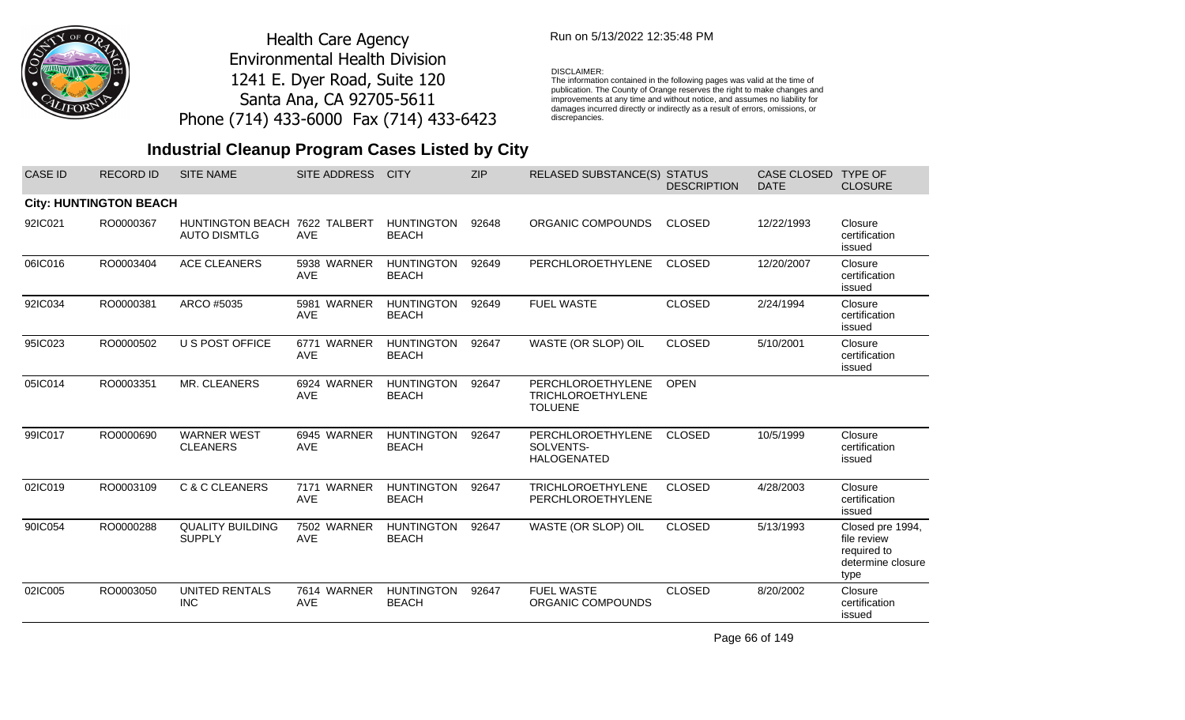

## Run on 5/13/2022 12:35:48 PM

#### DISCLAIMER:

The information contained in the following pages was valid at the time of publication. The County of Orange reserves the right to make changes and improvements at any time and without notice, and assumes no liability for damages incurred directly or indirectly as a result of errors, omissions, or discrepancies.

## **Industrial Cleanup Program Cases Listed by City**

| <b>CASE ID</b> | <b>RECORD ID</b>              | <b>SITE NAME</b>                                     | SITE ADDRESS              | <b>CITY</b>                       | <b>ZIP</b> | <b>RELASED SUBSTANCE(S) STATUS</b>                              | <b>DESCRIPTION</b> | CASE CLOSED<br><b>DATE</b> | <b>TYPE OF</b><br><b>CLOSURE</b>                                            |
|----------------|-------------------------------|------------------------------------------------------|---------------------------|-----------------------------------|------------|-----------------------------------------------------------------|--------------------|----------------------------|-----------------------------------------------------------------------------|
|                | <b>City: HUNTINGTON BEACH</b> |                                                      |                           |                                   |            |                                                                 |                    |                            |                                                                             |
| 92IC021        | RO0000367                     | HUNTINGTON BEACH 7622 TALBERT<br><b>AUTO DISMTLG</b> | <b>AVE</b>                | <b>HUNTINGTON</b><br><b>BEACH</b> | 92648      | ORGANIC COMPOUNDS                                               | <b>CLOSED</b>      | 12/22/1993                 | Closure<br>certification<br>issued                                          |
| 06IC016        | RO0003404                     | <b>ACE CLEANERS</b>                                  | 5938 WARNER<br><b>AVE</b> | <b>HUNTINGTON</b><br><b>BEACH</b> | 92649      | PERCHLOROETHYLENE                                               | <b>CLOSED</b>      | 12/20/2007                 | Closure<br>certification<br>issued                                          |
| 92IC034        | RO0000381                     | ARCO #5035                                           | 5981 WARNER<br><b>AVE</b> | <b>HUNTINGTON</b><br><b>BEACH</b> | 92649      | <b>FUEL WASTE</b>                                               | <b>CLOSED</b>      | 2/24/1994                  | Closure<br>certification<br>issued                                          |
| 95IC023        | RO0000502                     | U S POST OFFICE                                      | 6771 WARNER<br><b>AVE</b> | <b>HUNTINGTON</b><br><b>BEACH</b> | 92647      | WASTE (OR SLOP) OIL                                             | <b>CLOSED</b>      | 5/10/2001                  | Closure<br>certification<br>issued                                          |
| 05IC014        | RO0003351                     | MR. CLEANERS                                         | 6924 WARNER<br><b>AVE</b> | <b>HUNTINGTON</b><br><b>BEACH</b> | 92647      | PERCHLOROETHYLENE<br><b>TRICHLOROETHYLENE</b><br><b>TOLUENE</b> | <b>OPEN</b>        |                            |                                                                             |
| 99IC017        | RO0000690                     | <b>WARNER WEST</b><br><b>CLEANERS</b>                | 6945 WARNER<br><b>AVE</b> | <b>HUNTINGTON</b><br><b>BEACH</b> | 92647      | PERCHLOROETHYLENE<br>SOLVENTS-<br><b>HALOGENATED</b>            | <b>CLOSED</b>      | 10/5/1999                  | Closure<br>certification<br>issued                                          |
| 02IC019        | RO0003109                     | C & C CLEANERS                                       | 7171 WARNER<br><b>AVE</b> | <b>HUNTINGTON</b><br><b>BEACH</b> | 92647      | <b>TRICHLOROETHYLENE</b><br>PERCHLOROETHYLENE                   | <b>CLOSED</b>      | 4/28/2003                  | Closure<br>certification<br>issued                                          |
| 90IC054        | RO0000288                     | <b>QUALITY BUILDING</b><br><b>SUPPLY</b>             | 7502 WARNER<br><b>AVE</b> | <b>HUNTINGTON</b><br><b>BEACH</b> | 92647      | WASTE (OR SLOP) OIL                                             | <b>CLOSED</b>      | 5/13/1993                  | Closed pre 1994,<br>file review<br>required to<br>determine closure<br>type |
| 02IC005        | RO0003050                     | <b>UNITED RENTALS</b><br><b>INC</b>                  | 7614 WARNER<br><b>AVE</b> | <b>HUNTINGTON</b><br><b>BEACH</b> | 92647      | <b>FUEL WASTE</b><br>ORGANIC COMPOUNDS                          | <b>CLOSED</b>      | 8/20/2002                  | Closure<br>certification<br>issued                                          |

Page 66 of 149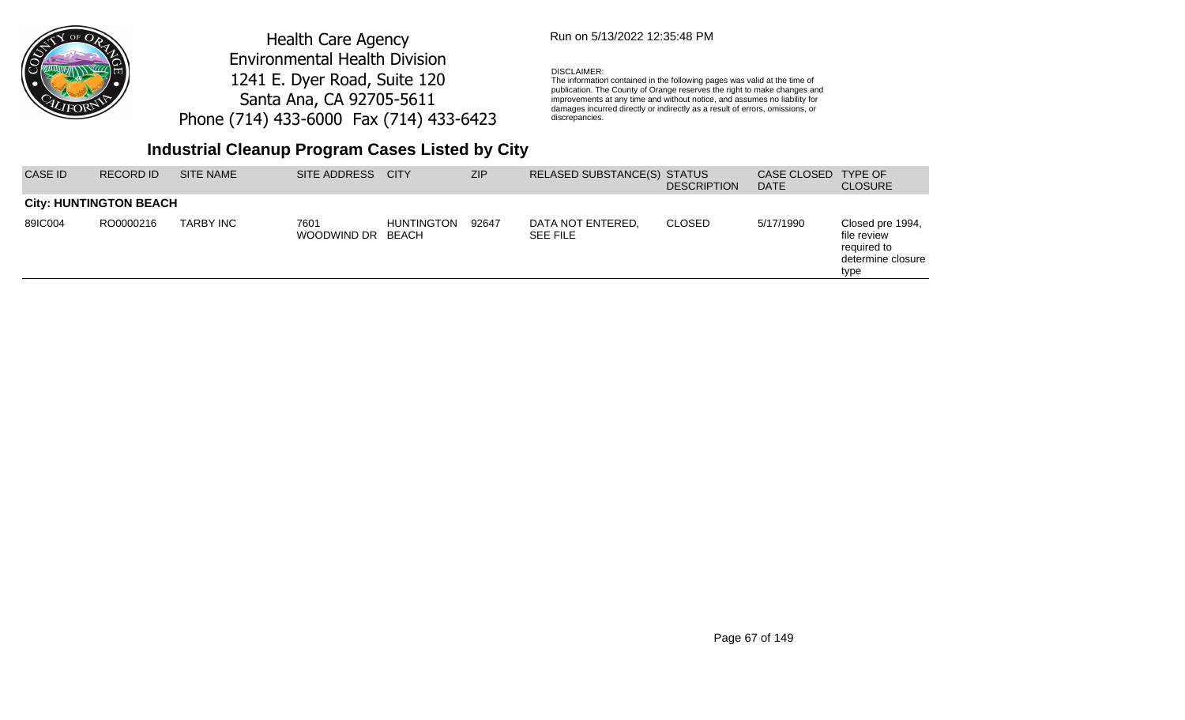

### Run on 5/13/2022 12:35:48 PM

#### DISCLAIMER:

The information contained in the following pages was valid at the time of publication. The County of Orange reserves the right to make changes and improvements at any time and without notice, and assumes no liability for damages incurred directly or indirectly as a result of errors, omissions, or discrepancies.

## **Industrial Cleanup Program Cases Listed by City**

| <b>CASE ID</b> | RECORD ID                     | <b>SITE NAME</b> | SITE ADDRESS CITY   |                            | <b>ZIP</b> | RELASED SUBSTANCE(S) STATUS          | <b>DESCRIPTION</b> | CASE CLOSED<br><b>DATE</b> | <b>TYPE OF</b><br><b>CLOSURE</b>                                            |
|----------------|-------------------------------|------------------|---------------------|----------------------------|------------|--------------------------------------|--------------------|----------------------------|-----------------------------------------------------------------------------|
|                | <b>City: HUNTINGTON BEACH</b> |                  |                     |                            |            |                                      |                    |                            |                                                                             |
| 89IC004        | RO0000216                     | <b>TARBY INC</b> | 7601<br>WOODWIND DR | <b>HUNTINGTON</b><br>BEACH | 92647      | DATA NOT ENTERED.<br><b>SEE FILE</b> | <b>CLOSED</b>      | 5/17/1990                  | Closed pre 1994,<br>file review<br>required to<br>determine closure<br>type |

Page 67 of 149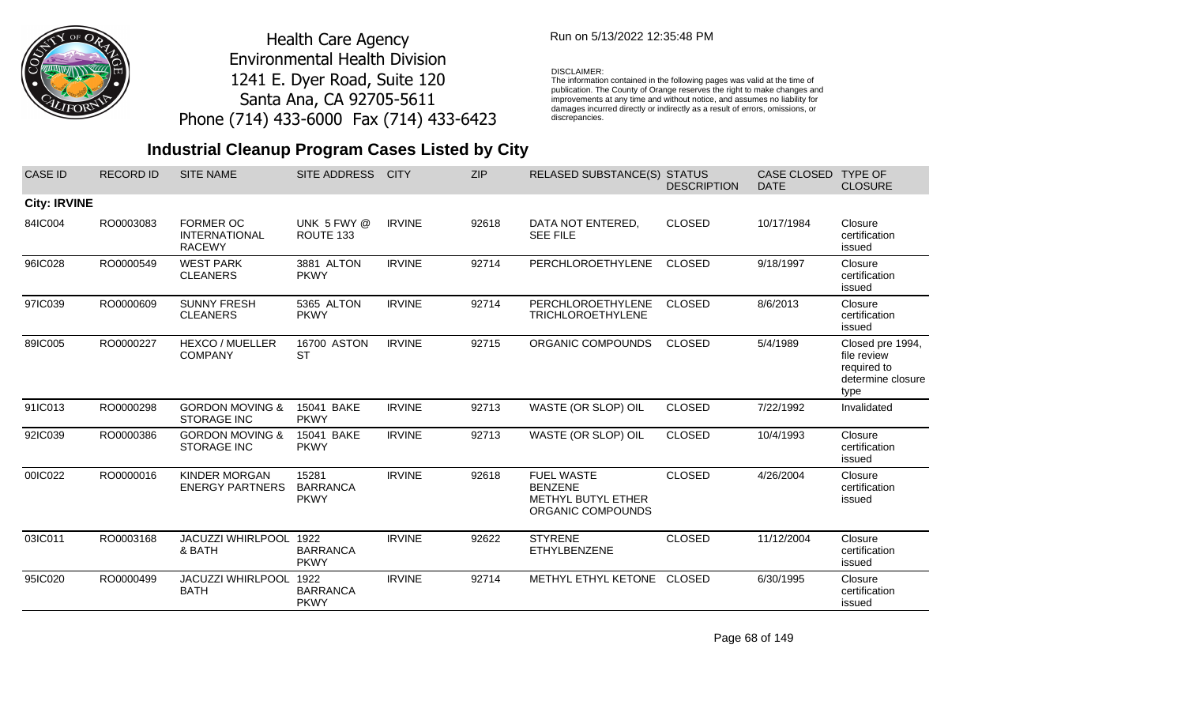

### Run on 5/13/2022 12:35:48 PM

#### DISCLAIMER:

The information contained in the following pages was valid at the time of publication. The County of Orange reserves the right to make changes and improvements at any time and without notice, and assumes no liability for damages incurred directly or indirectly as a result of errors, omissions, or discrepancies.

## **Industrial Cleanup Program Cases Listed by City**

| <b>CASE ID</b>      | <b>RECORD ID</b> | <b>SITE NAME</b>                                          | <b>SITE ADDRESS</b>                     | <b>CITY</b>   | <b>ZIP</b> | RELASED SUBSTANCE(S) STATUS                                                           | <b>DESCRIPTION</b> | <b>CASE CLOSED</b><br><b>DATE</b> | <b>TYPE OF</b><br><b>CLOSURE</b>                                            |
|---------------------|------------------|-----------------------------------------------------------|-----------------------------------------|---------------|------------|---------------------------------------------------------------------------------------|--------------------|-----------------------------------|-----------------------------------------------------------------------------|
| <b>City: IRVINE</b> |                  |                                                           |                                         |               |            |                                                                                       |                    |                                   |                                                                             |
| 84IC004             | RO0003083        | <b>FORMER OC</b><br><b>INTERNATIONAL</b><br><b>RACEWY</b> | UNK 5 FWY @<br>ROUTE 133                | <b>IRVINE</b> | 92618      | DATA NOT ENTERED,<br><b>SEE FILE</b>                                                  | <b>CLOSED</b>      | 10/17/1984                        | Closure<br>certification<br>issued                                          |
| 96IC028             | RO0000549        | <b>WEST PARK</b><br><b>CLEANERS</b>                       | 3881 ALTON<br><b>PKWY</b>               | <b>IRVINE</b> | 92714      | PERCHLOROETHYLENE                                                                     | <b>CLOSED</b>      | 9/18/1997                         | Closure<br>certification<br>issued                                          |
| 97IC039             | RO0000609        | <b>SUNNY FRESH</b><br><b>CLEANERS</b>                     | 5365 ALTON<br><b>PKWY</b>               | <b>IRVINE</b> | 92714      | PERCHLOROETHYLENE<br><b>TRICHLOROETHYLENE</b>                                         | <b>CLOSED</b>      | 8/6/2013                          | Closure<br>certification<br>issued                                          |
| 89IC005             | RO0000227        | <b>HEXCO / MUELLER</b><br><b>COMPANY</b>                  | 16700 ASTON<br><b>ST</b>                | <b>IRVINE</b> | 92715      | ORGANIC COMPOUNDS                                                                     | <b>CLOSED</b>      | 5/4/1989                          | Closed pre 1994,<br>file review<br>required to<br>determine closure<br>type |
| 91IC013             | RO0000298        | <b>GORDON MOVING &amp;</b><br><b>STORAGE INC</b>          | 15041 BAKE<br><b>PKWY</b>               | <b>IRVINE</b> | 92713      | WASTE (OR SLOP) OIL                                                                   | <b>CLOSED</b>      | 7/22/1992                         | Invalidated                                                                 |
| 92IC039             | RO0000386        | <b>GORDON MOVING &amp;</b><br><b>STORAGE INC</b>          | 15041 BAKE<br><b>PKWY</b>               | <b>IRVINE</b> | 92713      | WASTE (OR SLOP) OIL                                                                   | <b>CLOSED</b>      | 10/4/1993                         | Closure<br>certification<br>issued                                          |
| 00IC022             | RO0000016        | <b>KINDER MORGAN</b><br><b>ENERGY PARTNERS</b>            | 15281<br><b>BARRANCA</b><br><b>PKWY</b> | <b>IRVINE</b> | 92618      | <b>FUEL WASTE</b><br><b>BENZENE</b><br><b>METHYL BUTYL ETHER</b><br>ORGANIC COMPOUNDS | <b>CLOSED</b>      | 4/26/2004                         | Closure<br>certification<br>issued                                          |
| 03IC011             | RO0003168        | JACUZZI WHIRLPOOL<br>& BATH                               | 1922<br><b>BARRANCA</b><br><b>PKWY</b>  | <b>IRVINE</b> | 92622      | <b>STYRENE</b><br>ETHYLBENZENE                                                        | <b>CLOSED</b>      | 11/12/2004                        | Closure<br>certification<br>issued                                          |
| 95IC020             | RO0000499        | <b>JACUZZI WHIRLPOOL</b><br><b>BATH</b>                   | 1922<br><b>BARRANCA</b><br><b>PKWY</b>  | <b>IRVINE</b> | 92714      | METHYL ETHYL KETONE                                                                   | CLOSED             | 6/30/1995                         | Closure<br>certification<br>issued                                          |

Page 68 of 149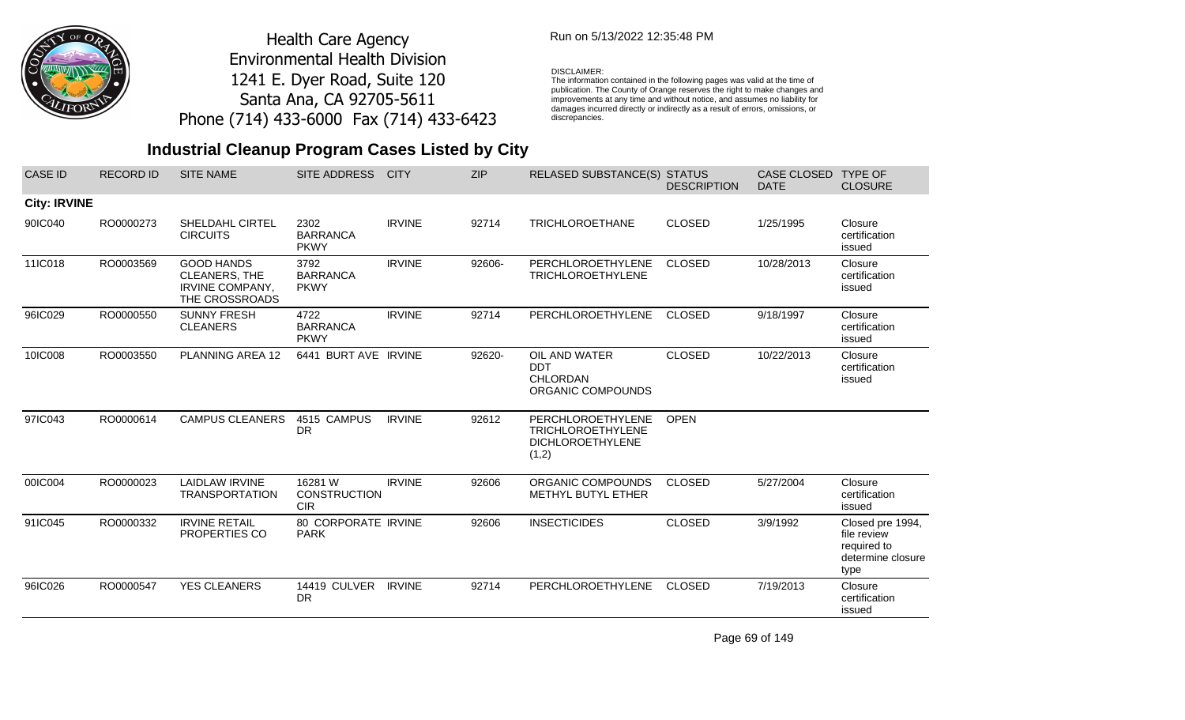

## Run on 5/13/2022 12:35:48 PM

#### DISCLAIMER:

The information contained in the following pages was valid at the time of publication. The County of Orange reserves the right to make changes and improvements at any time and without notice, and assumes no liability for damages incurred directly or indirectly as a result of errors, omissions, or discrepancies.

## **Industrial Cleanup Program Cases Listed by City**

| <b>CASE ID</b>      | <b>RECORD ID</b> | <b>SITE NAME</b>                                                                      | SITE ADDRESS                                 | <b>CITY</b>   | <b>ZIP</b> | RELASED SUBSTANCE(S) STATUS                                         | <b>DESCRIPTION</b> | <b>CASE CLOSED</b><br><b>DATE</b> | <b>TYPE OF</b><br><b>CLOSURE</b>                                            |
|---------------------|------------------|---------------------------------------------------------------------------------------|----------------------------------------------|---------------|------------|---------------------------------------------------------------------|--------------------|-----------------------------------|-----------------------------------------------------------------------------|
| <b>City: IRVINE</b> |                  |                                                                                       |                                              |               |            |                                                                     |                    |                                   |                                                                             |
| 90IC040             | RO0000273        | <b>SHELDAHL CIRTEL</b><br><b>CIRCUITS</b>                                             | 2302<br><b>BARRANCA</b><br><b>PKWY</b>       | <b>IRVINE</b> | 92714      | <b>TRICHLOROETHANE</b>                                              | <b>CLOSED</b>      | 1/25/1995                         | Closure<br>certification<br>issued                                          |
| 11IC018             | RO0003569        | <b>GOOD HANDS</b><br><b>CLEANERS, THE</b><br><b>IRVINE COMPANY,</b><br>THE CROSSROADS | 3792<br><b>BARRANCA</b><br><b>PKWY</b>       | <b>IRVINE</b> | 92606-     | PERCHLOROETHYLENE<br><b>TRICHLOROETHYLENE</b>                       | <b>CLOSED</b>      | 10/28/2013                        | Closure<br>certification<br>issued                                          |
| 96IC029             | RO0000550        | <b>SUNNY FRESH</b><br><b>CLEANERS</b>                                                 | 4722<br><b>BARRANCA</b><br><b>PKWY</b>       | <b>IRVINE</b> | 92714      | PERCHLOROETHYLENE                                                   | <b>CLOSED</b>      | 9/18/1997                         | Closure<br>certification<br>issued                                          |
| 10IC008             | RO0003550        | PLANNING AREA 12                                                                      | 6441 BURT AVE IRVINE                         |               | 92620-     | OIL AND WATER<br><b>DDT</b><br>CHLORDAN<br>ORGANIC COMPOUNDS        | <b>CLOSED</b>      | 10/22/2013                        | Closure<br>certification<br>issued                                          |
| 97IC043             | RO0000614        | <b>CAMPUS CLEANERS</b>                                                                | 4515 CAMPUS<br><b>DR</b>                     | <b>IRVINE</b> | 92612      | PERCHLOROETHYLENE<br>TRICHLOROETHYLENE<br>DICHLOROETHYLENE<br>(1,2) | <b>OPEN</b>        |                                   |                                                                             |
| 00IC004             | RO0000023        | <b>LAIDLAW IRVINE</b><br><b>TRANSPORTATION</b>                                        | 16281 W<br><b>CONSTRUCTION</b><br><b>CIR</b> | <b>IRVINE</b> | 92606      | ORGANIC COMPOUNDS<br><b>METHYL BUTYL ETHER</b>                      | <b>CLOSED</b>      | 5/27/2004                         | Closure<br>certification<br>issued                                          |
| 91IC045             | RO0000332        | <b>IRVINE RETAIL</b><br><b>PROPERTIES CO</b>                                          | 80 CORPORATE IRVINE<br><b>PARK</b>           |               | 92606      | <b>INSECTICIDES</b>                                                 | <b>CLOSED</b>      | 3/9/1992                          | Closed pre 1994,<br>file review<br>required to<br>determine closure<br>type |
| 96IC026             | RO0000547        | <b>YES CLEANERS</b>                                                                   | 14419 CULVER IRVINE<br>DR                    |               | 92714      | PERCHLOROETHYLENE                                                   | <b>CLOSED</b>      | 7/19/2013                         | Closure<br>certification<br>issued                                          |

Page 69 of 149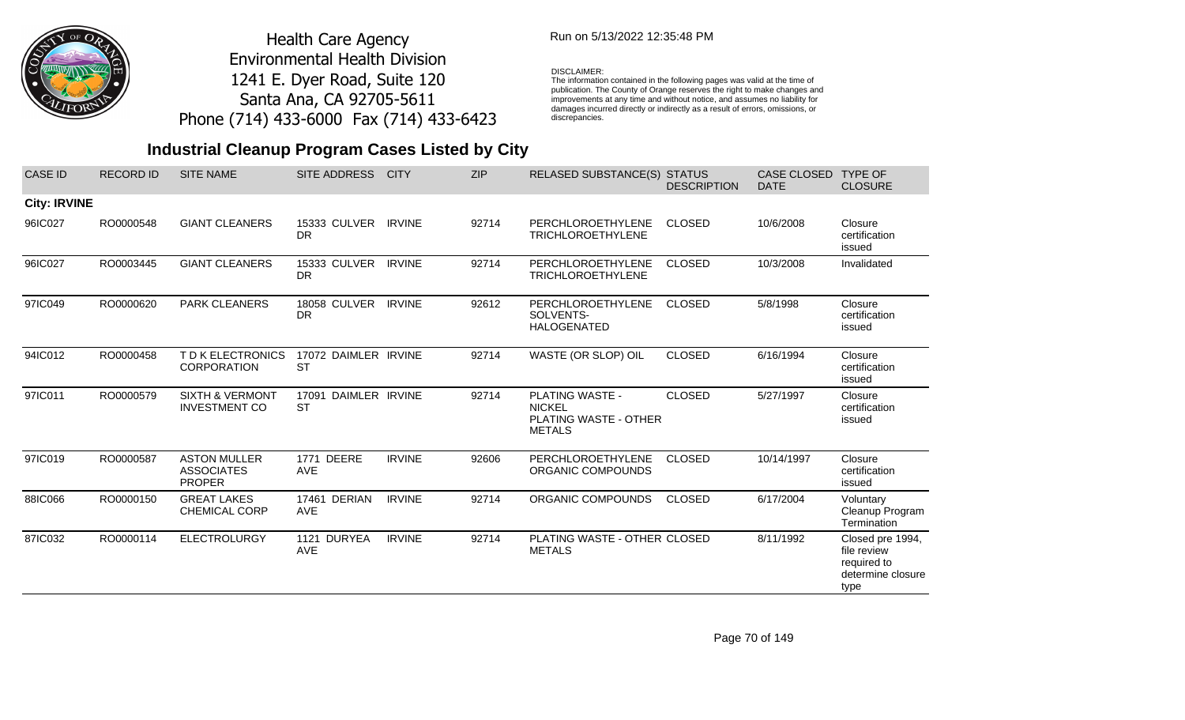

## Run on 5/13/2022 12:35:48 PM

#### DISCLAIMER:

The information contained in the following pages was valid at the time of publication. The County of Orange reserves the right to make changes and improvements at any time and without notice, and assumes no liability for damages incurred directly or indirectly as a result of errors, omissions, or discrepancies.

| <b>CASE ID</b>      | <b>RECORD ID</b> | <b>SITE NAME</b>                                          | <b>SITE ADDRESS</b>               | <b>CITY</b>   | <b>ZIP</b> | <b>RELASED SUBSTANCE(S) STATUS</b>                                                | <b>DESCRIPTION</b> | CASE CLOSED<br><b>DATE</b> | <b>TYPE OF</b><br><b>CLOSURE</b>                                            |
|---------------------|------------------|-----------------------------------------------------------|-----------------------------------|---------------|------------|-----------------------------------------------------------------------------------|--------------------|----------------------------|-----------------------------------------------------------------------------|
| <b>City: IRVINE</b> |                  |                                                           |                                   |               |            |                                                                                   |                    |                            |                                                                             |
| 96IC027             | RO0000548        | <b>GIANT CLEANERS</b>                                     | 15333 CULVER<br><b>DR</b>         | <b>IRVINE</b> | 92714      | PERCHLOROETHYLENE<br><b>TRICHLOROETHYLENE</b>                                     | <b>CLOSED</b>      | 10/6/2008                  | Closure<br>certification<br>issued                                          |
| 96IC027             | RO0003445        | <b>GIANT CLEANERS</b>                                     | 15333 CULVER<br>DR.               | <b>IRVINE</b> | 92714      | PERCHLOROETHYLENE<br><b>TRICHLOROETHYLENE</b>                                     | <b>CLOSED</b>      | 10/3/2008                  | Invalidated                                                                 |
| 97IC049             | RO0000620        | PARK CLEANERS                                             | <b>18058 CULVER</b><br><b>DR</b>  | <b>IRVINE</b> | 92612      | PERCHLOROETHYLENE<br>SOLVENTS-<br><b>HALOGENATED</b>                              | <b>CLOSED</b>      | 5/8/1998                   | Closure<br>certification<br>issued                                          |
| 94IC012             | RO0000458        | T D K ELECTRONICS<br><b>CORPORATION</b>                   | 17072 DAIMLER IRVINE<br><b>ST</b> |               | 92714      | WASTE (OR SLOP) OIL                                                               | <b>CLOSED</b>      | 6/16/1994                  | Closure<br>certification<br>issued                                          |
| 97IC011             | RO0000579        | <b>SIXTH &amp; VERMONT</b><br><b>INVESTMENT CO</b>        | 17091 DAIMLER IRVINE<br><b>ST</b> |               | 92714      | PLATING WASTE -<br><b>NICKEL</b><br><b>PLATING WASTE - OTHER</b><br><b>METALS</b> | <b>CLOSED</b>      | 5/27/1997                  | Closure<br>certification<br>issued                                          |
| 97IC019             | RO0000587        | <b>ASTON MULLER</b><br><b>ASSOCIATES</b><br><b>PROPER</b> | <b>1771 DEERE</b><br><b>AVE</b>   | <b>IRVINE</b> | 92606      | PERCHLOROETHYLENE<br>ORGANIC COMPOUNDS                                            | <b>CLOSED</b>      | 10/14/1997                 | Closure<br>certification<br>issued                                          |
| 88IC066             | RO0000150        | <b>GREAT LAKES</b><br><b>CHEMICAL CORP</b>                | 17461 DERIAN<br><b>AVE</b>        | <b>IRVINE</b> | 92714      | ORGANIC COMPOUNDS                                                                 | <b>CLOSED</b>      | 6/17/2004                  | Voluntary<br>Cleanup Program<br>Termination                                 |
| 87IC032             | RO0000114        | <b>ELECTROLURGY</b>                                       | 1121 DURYEA<br><b>AVE</b>         | <b>IRVINE</b> | 92714      | PLATING WASTE - OTHER CLOSED<br><b>METALS</b>                                     |                    | 8/11/1992                  | Closed pre 1994,<br>file review<br>required to<br>determine closure<br>type |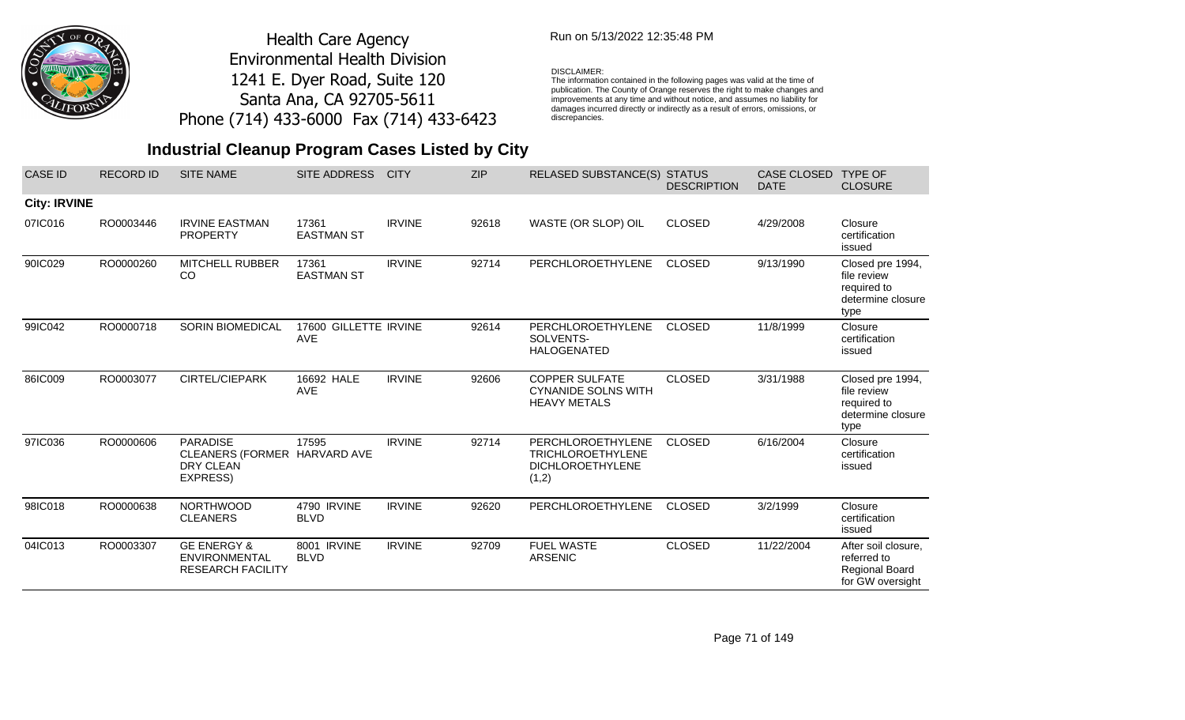

## Run on 5/13/2022 12:35:48 PM

#### DISCLAIMER:

The information contained in the following pages was valid at the time of publication. The County of Orange reserves the right to make changes and improvements at any time and without notice, and assumes no liability for damages incurred directly or indirectly as a result of errors, omissions, or discrepancies.

| <b>CASE ID</b>      | <b>RECORD ID</b> | <b>SITE NAME</b>                                                           | SITE ADDRESS                        | <b>CITY</b>   | <b>ZIP</b> | RELASED SUBSTANCE(S) STATUS                                                       | <b>DESCRIPTION</b> | <b>CASE CLOSED</b><br><b>DATE</b> | <b>TYPE OF</b><br><b>CLOSURE</b>                                            |
|---------------------|------------------|----------------------------------------------------------------------------|-------------------------------------|---------------|------------|-----------------------------------------------------------------------------------|--------------------|-----------------------------------|-----------------------------------------------------------------------------|
| <b>City: IRVINE</b> |                  |                                                                            |                                     |               |            |                                                                                   |                    |                                   |                                                                             |
| 07IC016             | RO0003446        | <b>IRVINE EASTMAN</b><br><b>PROPERTY</b>                                   | 17361<br><b>EASTMAN ST</b>          | <b>IRVINE</b> | 92618      | WASTE (OR SLOP) OIL                                                               | <b>CLOSED</b>      | 4/29/2008                         | Closure<br>certification<br>issued                                          |
| 90IC029             | RO0000260        | <b>MITCHELL RUBBER</b><br>CO                                               | 17361<br><b>EASTMAN ST</b>          | <b>IRVINE</b> | 92714      | PERCHLOROETHYLENE                                                                 | <b>CLOSED</b>      | 9/13/1990                         | Closed pre 1994,<br>file review<br>required to<br>determine closure<br>type |
| 99IC042             | RO0000718        | <b>SORIN BIOMEDICAL</b>                                                    | 17600 GILLETTE IRVINE<br><b>AVE</b> |               | 92614      | PERCHLOROETHYLENE<br>SOLVENTS-<br><b>HALOGENATED</b>                              | <b>CLOSED</b>      | 11/8/1999                         | Closure<br>certification<br>issued                                          |
| 86IC009             | RO0003077        | <b>CIRTEL/CIEPARK</b>                                                      | 16692 HALE<br><b>AVE</b>            | <b>IRVINE</b> | 92606      | <b>COPPER SULFATE</b><br><b>CYNANIDE SOLNS WITH</b><br><b>HEAVY METALS</b>        | <b>CLOSED</b>      | 3/31/1988                         | Closed pre 1994,<br>file review<br>required to<br>determine closure<br>type |
| 97IC036             | RO0000606        | <b>PARADISE</b><br>CLEANERS (FORMER HARVARD AVE<br>DRY CLEAN<br>EXPRESS)   | 17595                               | <b>IRVINE</b> | 92714      | PERCHLOROETHYLENE<br><b>TRICHLOROETHYLENE</b><br><b>DICHLOROETHYLENE</b><br>(1,2) | <b>CLOSED</b>      | 6/16/2004                         | Closure<br>certification<br>issued                                          |
| 98IC018             | RO0000638        | <b>NORTHWOOD</b><br><b>CLEANERS</b>                                        | 4790 IRVINE<br><b>BLVD</b>          | <b>IRVINE</b> | 92620      | PERCHLOROETHYLENE                                                                 | <b>CLOSED</b>      | 3/2/1999                          | Closure<br>certification<br>issued                                          |
| 04IC013             | RO0003307        | <b>GE ENERGY &amp;</b><br><b>ENVIRONMENTAL</b><br><b>RESEARCH FACILITY</b> | 8001 IRVINE<br><b>BLVD</b>          | <b>IRVINE</b> | 92709      | <b>FUEL WASTE</b><br><b>ARSENIC</b>                                               | <b>CLOSED</b>      | 11/22/2004                        | After soil closure,<br>referred to<br>Regional Board<br>for GW oversight    |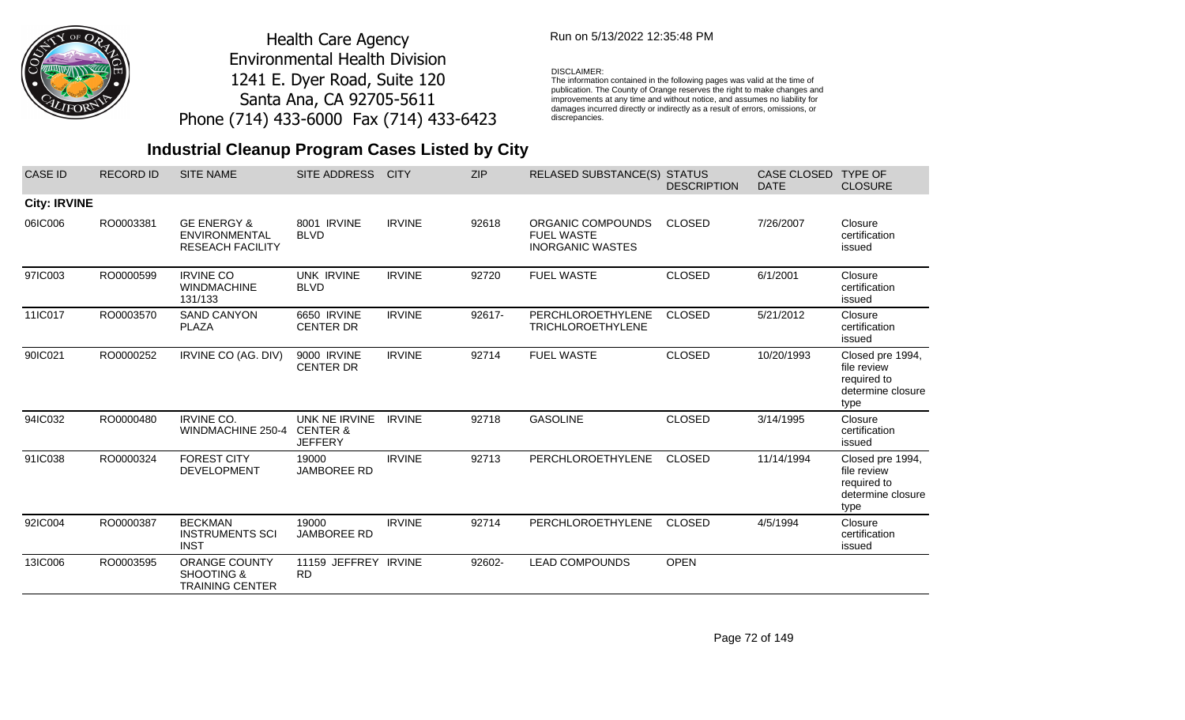

## Run on 5/13/2022 12:35:48 PM

#### DISCLAIMER:

The information contained in the following pages was valid at the time of publication. The County of Orange reserves the right to make changes and improvements at any time and without notice, and assumes no liability for damages incurred directly or indirectly as a result of errors, omissions, or discrepancies.

## **Industrial Cleanup Program Cases Listed by City**

| <b>CASE ID</b>      | <b>RECORD ID</b> | <b>SITE NAME</b>                                                          | <b>SITE ADDRESS</b>                                    | <b>CITY</b>   | <b>ZIP</b> | RELASED SUBSTANCE(S) STATUS                                       | <b>DESCRIPTION</b> | <b>CASE CLOSED</b><br><b>DATE</b> | <b>TYPE OF</b><br><b>CLOSURE</b>                                            |
|---------------------|------------------|---------------------------------------------------------------------------|--------------------------------------------------------|---------------|------------|-------------------------------------------------------------------|--------------------|-----------------------------------|-----------------------------------------------------------------------------|
| <b>City: IRVINE</b> |                  |                                                                           |                                                        |               |            |                                                                   |                    |                                   |                                                                             |
| 06IC006             | RO0003381        | <b>GE ENERGY &amp;</b><br><b>ENVIRONMENTAL</b><br><b>RESEACH FACILITY</b> | 8001 IRVINE<br><b>BLVD</b>                             | <b>IRVINE</b> | 92618      | ORGANIC COMPOUNDS<br><b>FUEL WASTE</b><br><b>INORGANIC WASTES</b> | <b>CLOSED</b>      | 7/26/2007                         | Closure<br>certification<br>issued                                          |
| 97IC003             | RO0000599        | <b>IRVINE CO</b><br><b>WINDMACHINE</b><br>131/133                         | <b>UNK IRVINE</b><br><b>BLVD</b>                       | <b>IRVINE</b> | 92720      | <b>FUEL WASTE</b>                                                 | <b>CLOSED</b>      | 6/1/2001                          | Closure<br>certification<br>issued                                          |
| 11IC017             | RO0003570        | <b>SAND CANYON</b><br><b>PLAZA</b>                                        | 6650 IRVINE<br><b>CENTER DR</b>                        | <b>IRVINE</b> | 92617-     | PERCHLOROETHYLENE<br><b>TRICHLOROETHYLENE</b>                     | <b>CLOSED</b>      | 5/21/2012                         | Closure<br>certification<br>issued                                          |
| 90IC021             | RO0000252        | IRVINE CO (AG. DIV)                                                       | 9000 IRVINE<br><b>CENTER DR</b>                        | <b>IRVINE</b> | 92714      | <b>FUEL WASTE</b>                                                 | <b>CLOSED</b>      | 10/20/1993                        | Closed pre 1994,<br>file review<br>required to<br>determine closure<br>type |
| 94IC032             | RO0000480        | <b>IRVINE CO.</b><br>WINDMACHINE 250-4                                    | UNK NE IRVINE<br><b>CENTER &amp;</b><br><b>JEFFERY</b> | <b>IRVINE</b> | 92718      | <b>GASOLINE</b>                                                   | <b>CLOSED</b>      | 3/14/1995                         | Closure<br>certification<br>issued                                          |
| 91IC038             | RO0000324        | <b>FOREST CITY</b><br><b>DEVELOPMENT</b>                                  | 19000<br><b>JAMBOREE RD</b>                            | <b>IRVINE</b> | 92713      | PERCHLOROETHYLENE                                                 | <b>CLOSED</b>      | 11/14/1994                        | Closed pre 1994,<br>file review<br>required to<br>determine closure<br>type |
| 92IC004             | RO0000387        | <b>BECKMAN</b><br><b>INSTRUMENTS SCI</b><br><b>INST</b>                   | 19000<br><b>JAMBOREE RD</b>                            | <b>IRVINE</b> | 92714      | PERCHLOROETHYLENE                                                 | <b>CLOSED</b>      | 4/5/1994                          | Closure<br>certification<br>issued                                          |
| 13IC006             | RO0003595        | <b>ORANGE COUNTY</b><br><b>SHOOTING &amp;</b><br><b>TRAINING CENTER</b>   | 11159 JEFFREY IRVINE<br><b>RD</b>                      |               | 92602-     | <b>LEAD COMPOUNDS</b>                                             | <b>OPEN</b>        |                                   |                                                                             |

Page 72 of 149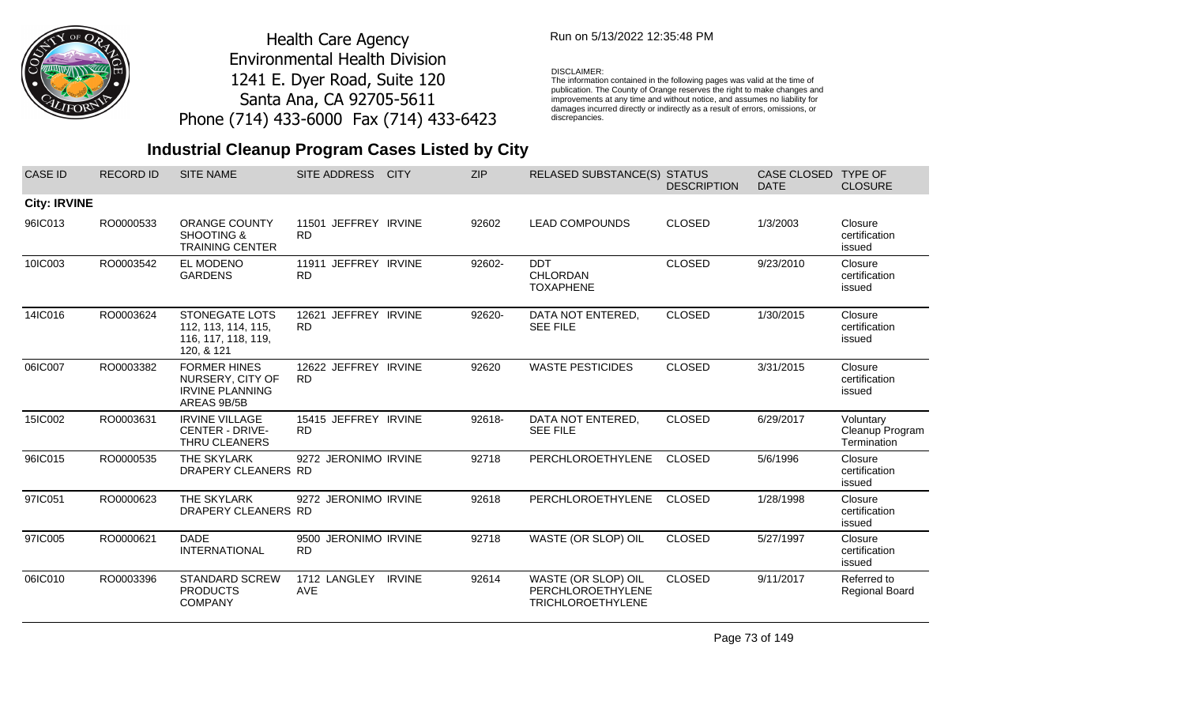

## Run on 5/13/2022 12:35:48 PM

#### DISCLAIMER:

The information contained in the following pages was valid at the time of publication. The County of Orange reserves the right to make changes and improvements at any time and without notice, and assumes no liability for damages incurred directly or indirectly as a result of errors, omissions, or discrepancies.

## **Industrial Cleanup Program Cases Listed by City**

| <b>CASE ID</b>      | <b>RECORD ID</b> | <b>SITE NAME</b>                                                                  | SITE ADDRESS                         | <b>CITY</b>   | <b>ZIP</b> | RELASED SUBSTANCE(S) STATUS                                          | <b>DESCRIPTION</b> | CASE CLOSED<br><b>DATE</b> | <b>TYPE OF</b><br><b>CLOSURE</b>            |
|---------------------|------------------|-----------------------------------------------------------------------------------|--------------------------------------|---------------|------------|----------------------------------------------------------------------|--------------------|----------------------------|---------------------------------------------|
| <b>City: IRVINE</b> |                  |                                                                                   |                                      |               |            |                                                                      |                    |                            |                                             |
| 96IC013             | RO0000533        | <b>ORANGE COUNTY</b><br><b>SHOOTING &amp;</b><br><b>TRAINING CENTER</b>           | 11501 JEFFREY IRVINE<br><b>RD</b>    |               | 92602      | <b>LEAD COMPOUNDS</b>                                                | <b>CLOSED</b>      | 1/3/2003                   | Closure<br>certification<br>issued          |
| 10IC003             | RO0003542        | EL MODENO<br><b>GARDENS</b>                                                       | 11911 JEFFREY IRVINE<br><b>RD</b>    |               | 92602-     | <b>DDT</b><br>CHLORDAN<br><b>TOXAPHENE</b>                           | <b>CLOSED</b>      | 9/23/2010                  | Closure<br>certification<br>issued          |
| 14IC016             | RO0003624        | <b>STONEGATE LOTS</b><br>112, 113, 114, 115,<br>116, 117, 118, 119,<br>120, & 121 | JEFFREY IRVINE<br>12621<br><b>RD</b> |               | 92620-     | DATA NOT ENTERED,<br><b>SEE FILE</b>                                 | <b>CLOSED</b>      | 1/30/2015                  | Closure<br>certification<br>issued          |
| 06IC007             | RO0003382        | <b>FORMER HINES</b><br>NURSERY, CITY OF<br><b>IRVINE PLANNING</b><br>AREAS 9B/5B  | 12622 JEFFREY IRVINE<br><b>RD</b>    |               | 92620      | <b>WASTE PESTICIDES</b>                                              | <b>CLOSED</b>      | 3/31/2015                  | Closure<br>certification<br>issued          |
| 15IC002             | RO0003631        | <b>IRVINE VILLAGE</b><br><b>CENTER - DRIVE-</b><br>THRU CLEANERS                  | 15415 JEFFREY IRVINE<br><b>RD</b>    |               | 92618-     | DATA NOT ENTERED,<br><b>SEE FILE</b>                                 | <b>CLOSED</b>      | 6/29/2017                  | Voluntary<br>Cleanup Program<br>Termination |
| 96IC015             | RO0000535        | THE SKYLARK<br>DRAPERY CLEANERS RD                                                | 9272 JERONIMO IRVINE                 |               | 92718      | PERCHLOROETHYLENE                                                    | <b>CLOSED</b>      | 5/6/1996                   | Closure<br>certification<br>issued          |
| 97IC051             | RO0000623        | THE SKYLARK<br>DRAPERY CLEANERS RD                                                | 9272 JERONIMO IRVINE                 |               | 92618      | PERCHLOROETHYLENE                                                    | <b>CLOSED</b>      | 1/28/1998                  | Closure<br>certification<br>issued          |
| 97IC005             | RO0000621        | <b>DADE</b><br><b>INTERNATIONAL</b>                                               | 9500 JERONIMO IRVINE<br><b>RD</b>    |               | 92718      | WASTE (OR SLOP) OIL                                                  | <b>CLOSED</b>      | 5/27/1997                  | Closure<br>certification<br>issued          |
| 06IC010             | RO0003396        | <b>STANDARD SCREW</b><br><b>PRODUCTS</b><br><b>COMPANY</b>                        | 1712 LANGLEY<br>AVE                  | <b>IRVINE</b> | 92614      | WASTE (OR SLOP) OIL<br>PERCHLOROETHYLENE<br><b>TRICHLOROETHYLENE</b> | <b>CLOSED</b>      | 9/11/2017                  | Referred to<br><b>Regional Board</b>        |

Page 73 of 149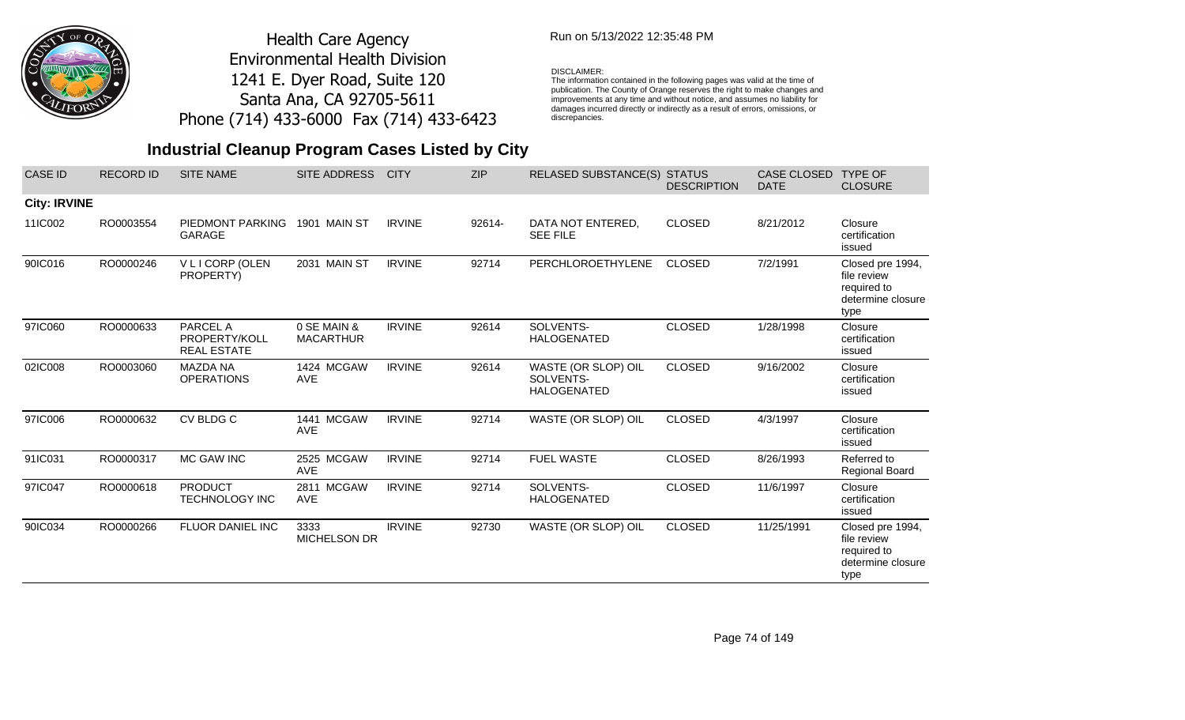

## Run on 5/13/2022 12:35:48 PM

#### DISCLAIMER:

The information contained in the following pages was valid at the time of publication. The County of Orange reserves the right to make changes and improvements at any time and without notice, and assumes no liability for damages incurred directly or indirectly as a result of errors, omissions, or discrepancies.

| <b>CASE ID</b>      | <b>RECORD ID</b> | <b>SITE NAME</b>                                | <b>SITE ADDRESS</b>             | <b>CITY</b>   | <b>ZIP</b> | RELASED SUBSTANCE(S) STATUS                            | <b>DESCRIPTION</b> | <b>CASE CLOSED</b><br><b>DATE</b> | <b>TYPE OF</b><br><b>CLOSURE</b>                                            |
|---------------------|------------------|-------------------------------------------------|---------------------------------|---------------|------------|--------------------------------------------------------|--------------------|-----------------------------------|-----------------------------------------------------------------------------|
| <b>City: IRVINE</b> |                  |                                                 |                                 |               |            |                                                        |                    |                                   |                                                                             |
| 11IC002             | RO0003554        | PIEDMONT PARKING<br><b>GARAGE</b>               | 1901 MAIN ST                    | <b>IRVINE</b> | 92614-     | DATA NOT ENTERED,<br><b>SEE FILE</b>                   | <b>CLOSED</b>      | 8/21/2012                         | Closure<br>certification<br>issued                                          |
| 90IC016             | RO0000246        | V L I CORP (OLEN<br>PROPERTY)                   | 2031 MAIN ST                    | <b>IRVINE</b> | 92714      | <b>PERCHLOROETHYLENE</b>                               | <b>CLOSED</b>      | 7/2/1991                          | Closed pre 1994,<br>file review<br>required to<br>determine closure<br>type |
| 97IC060             | RO0000633        | PARCEL A<br>PROPERTY/KOLL<br><b>REAL ESTATE</b> | 0 SE MAIN &<br><b>MACARTHUR</b> | <b>IRVINE</b> | 92614      | SOLVENTS-<br><b>HALOGENATED</b>                        | <b>CLOSED</b>      | 1/28/1998                         | Closure<br>certification<br>issued                                          |
| 02IC008             | RO0003060        | <b>MAZDA NA</b><br><b>OPERATIONS</b>            | 1424 MCGAW<br><b>AVE</b>        | <b>IRVINE</b> | 92614      | WASTE (OR SLOP) OIL<br>SOLVENTS-<br><b>HALOGENATED</b> | <b>CLOSED</b>      | 9/16/2002                         | Closure<br>certification<br>issued                                          |
| 97IC006             | RO0000632        | CV BLDG C                                       | 1441 MCGAW<br>AVE               | <b>IRVINE</b> | 92714      | WASTE (OR SLOP) OIL                                    | <b>CLOSED</b>      | 4/3/1997                          | Closure<br>certification<br>issued                                          |
| 91IC031             | RO0000317        | MC GAW INC                                      | 2525 MCGAW<br>AVE               | <b>IRVINE</b> | 92714      | <b>FUEL WASTE</b>                                      | <b>CLOSED</b>      | 8/26/1993                         | Referred to<br><b>Regional Board</b>                                        |
| 97IC047             | RO0000618        | <b>PRODUCT</b><br><b>TECHNOLOGY INC</b>         | 2811 MCGAW<br><b>AVE</b>        | <b>IRVINE</b> | 92714      | SOLVENTS-<br><b>HALOGENATED</b>                        | <b>CLOSED</b>      | 11/6/1997                         | Closure<br>certification<br>issued                                          |
| 90IC034             | RO0000266        | <b>FLUOR DANIEL INC</b>                         | 3333<br>MICHELSON DR            | <b>IRVINE</b> | 92730      | WASTE (OR SLOP) OIL                                    | <b>CLOSED</b>      | 11/25/1991                        | Closed pre 1994,<br>file review<br>required to<br>determine closure<br>type |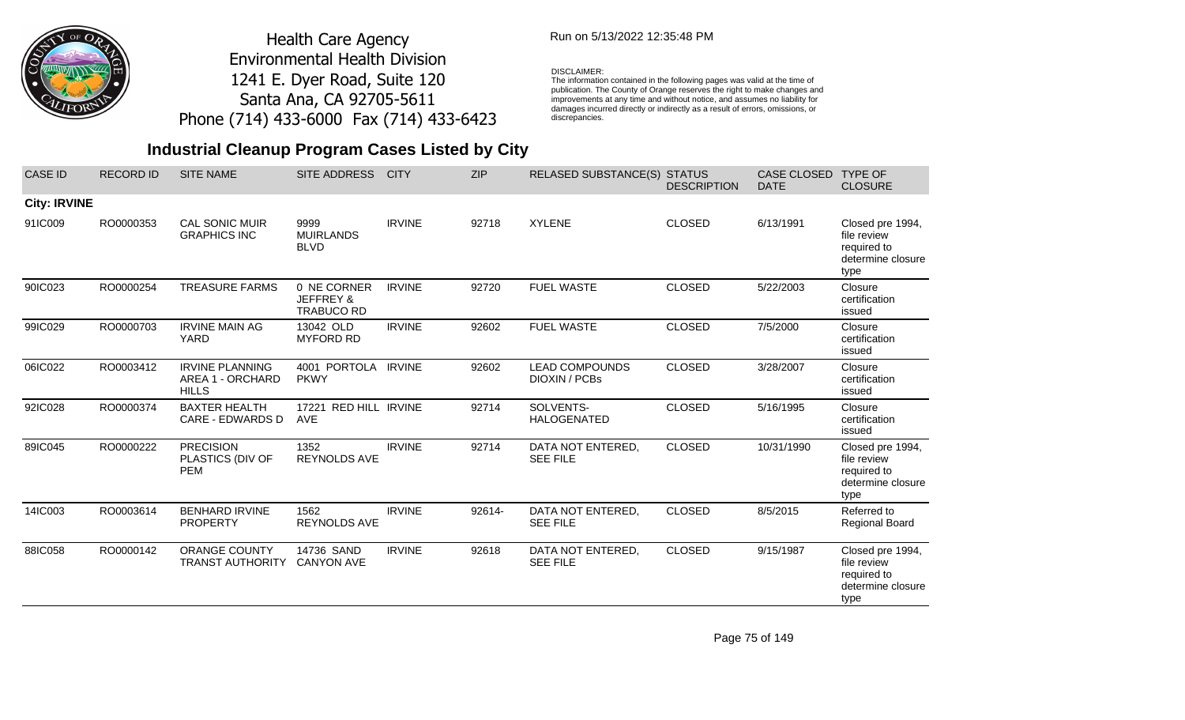

## Run on 5/13/2022 12:35:48 PM

#### DISCLAIMER:

The information contained in the following pages was valid at the time of publication. The County of Orange reserves the right to make changes and improvements at any time and without notice, and assumes no liability for damages incurred directly or indirectly as a result of errors, omissions, or discrepancies.

## **Industrial Cleanup Program Cases Listed by City**

| <b>CASE ID</b>      | <b>RECORD ID</b> | <b>SITE NAME</b>                                           | SITE ADDRESS                                             | <b>CITY</b>   | <b>ZIP</b> | RELASED SUBSTANCE(S) STATUS                   | <b>DESCRIPTION</b> | CASE CLOSED<br><b>DATE</b> | <b>TYPE OF</b><br><b>CLOSURE</b>                                            |
|---------------------|------------------|------------------------------------------------------------|----------------------------------------------------------|---------------|------------|-----------------------------------------------|--------------------|----------------------------|-----------------------------------------------------------------------------|
| <b>City: IRVINE</b> |                  |                                                            |                                                          |               |            |                                               |                    |                            |                                                                             |
| 91IC009             | RO0000353        | CAL SONIC MUIR<br><b>GRAPHICS INC</b>                      | 9999<br><b>MUIRLANDS</b><br><b>BLVD</b>                  | <b>IRVINE</b> | 92718      | <b>XYLENE</b>                                 | <b>CLOSED</b>      | 6/13/1991                  | Closed pre 1994,<br>file review<br>required to<br>determine closure<br>type |
| 90IC023             | RO0000254        | <b>TREASURE FARMS</b>                                      | 0 NE CORNER<br><b>JEFFREY &amp;</b><br><b>TRABUCO RD</b> | <b>IRVINE</b> | 92720      | <b>FUEL WASTE</b>                             | <b>CLOSED</b>      | 5/22/2003                  | Closure<br>certification<br>issued                                          |
| 99IC029             | RO0000703        | <b>IRVINE MAIN AG</b><br><b>YARD</b>                       | 13042 OLD<br><b>MYFORD RD</b>                            | <b>IRVINE</b> | 92602      | <b>FUEL WASTE</b>                             | <b>CLOSED</b>      | 7/5/2000                   | Closure<br>certification<br>issued                                          |
| 06IC022             | RO0003412        | <b>IRVINE PLANNING</b><br>AREA 1 - ORCHARD<br><b>HILLS</b> | 4001 PORTOLA IRVINE<br><b>PKWY</b>                       |               | 92602      | <b>LEAD COMPOUNDS</b><br><b>DIOXIN / PCBs</b> | <b>CLOSED</b>      | 3/28/2007                  | Closure<br>certification<br>issued                                          |
| 92IC028             | RO0000374        | <b>BAXTER HEALTH</b><br>CARE - EDWARDS D                   | 17221 RED HILL IRVINE<br><b>AVE</b>                      |               | 92714      | SOLVENTS-<br><b>HALOGENATED</b>               | <b>CLOSED</b>      | 5/16/1995                  | Closure<br>certification<br>issued                                          |
| 89IC045             | RO0000222        | <b>PRECISION</b><br>PLASTICS (DIV OF<br><b>PEM</b>         | 1352<br><b>REYNOLDS AVE</b>                              | <b>IRVINE</b> | 92714      | DATA NOT ENTERED,<br><b>SEE FILE</b>          | <b>CLOSED</b>      | 10/31/1990                 | Closed pre 1994,<br>file review<br>required to<br>determine closure<br>type |
| 14IC003             | RO0003614        | <b>BENHARD IRVINE</b><br><b>PROPERTY</b>                   | 1562<br>REYNOLDS AVE                                     | <b>IRVINE</b> | 92614-     | DATA NOT ENTERED,<br><b>SEE FILE</b>          | <b>CLOSED</b>      | 8/5/2015                   | Referred to<br><b>Regional Board</b>                                        |
| 88IC058             | RO0000142        | <b>ORANGE COUNTY</b><br><b>TRANST AUTHORITY</b>            | 14736 SAND<br><b>CANYON AVE</b>                          | <b>IRVINE</b> | 92618      | DATA NOT ENTERED,<br><b>SEE FILE</b>          | <b>CLOSED</b>      | 9/15/1987                  | Closed pre 1994,<br>file review<br>required to<br>determine closure<br>type |

Page 75 of 149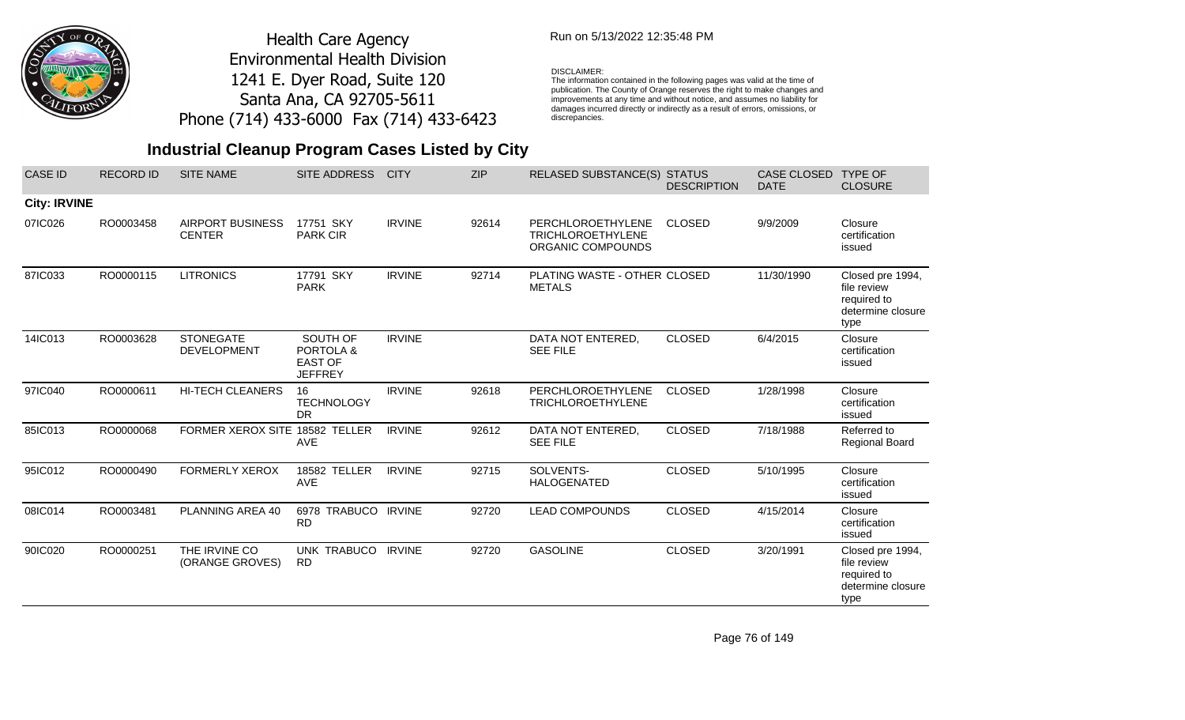

## Run on 5/13/2022 12:35:48 PM

### DISCLAIMER:

The information contained in the following pages was valid at the time of publication. The County of Orange reserves the right to make changes and improvements at any time and without notice, and assumes no liability for damages incurred directly or indirectly as a result of errors, omissions, or discrepancies.

| <b>CASE ID</b>      | <b>RECORD ID</b> | <b>SITE NAME</b>                         | SITE ADDRESS                                              | <b>CITY</b>   | <b>ZIP</b> | RELASED SUBSTANCE(S) STATUS                                               | <b>DESCRIPTION</b> | <b>CASE CLOSED</b><br><b>DATE</b> | <b>TYPE OF</b><br><b>CLOSURE</b>                                            |
|---------------------|------------------|------------------------------------------|-----------------------------------------------------------|---------------|------------|---------------------------------------------------------------------------|--------------------|-----------------------------------|-----------------------------------------------------------------------------|
| <b>City: IRVINE</b> |                  |                                          |                                                           |               |            |                                                                           |                    |                                   |                                                                             |
| 07IC026             | RO0003458        | <b>AIRPORT BUSINESS</b><br><b>CENTER</b> | 17751 SKY<br><b>PARK CIR</b>                              | <b>IRVINE</b> | 92614      | <b>PERCHLOROETHYLENE</b><br><b>TRICHLOROETHYLENE</b><br>ORGANIC COMPOUNDS | <b>CLOSED</b>      | 9/9/2009                          | Closure<br>certification<br>issued                                          |
| 87IC033             | RO0000115        | <b>LITRONICS</b>                         | 17791 SKY<br><b>PARK</b>                                  | <b>IRVINE</b> | 92714      | PLATING WASTE - OTHER CLOSED<br><b>METALS</b>                             |                    | 11/30/1990                        | Closed pre 1994,<br>file review<br>required to<br>determine closure<br>type |
| 14IC013             | RO0003628        | <b>STONEGATE</b><br><b>DEVELOPMENT</b>   | SOUTH OF<br>PORTOLA &<br><b>EAST OF</b><br><b>JEFFREY</b> | <b>IRVINE</b> |            | DATA NOT ENTERED,<br><b>SEE FILE</b>                                      | <b>CLOSED</b>      | 6/4/2015                          | Closure<br>certification<br>issued                                          |
| 97IC040             | RO0000611        | <b>HI-TECH CLEANERS</b>                  | 16<br><b>TECHNOLOGY</b><br><b>DR</b>                      | <b>IRVINE</b> | 92618      | PERCHLOROETHYLENE<br><b>TRICHLOROETHYLENE</b>                             | <b>CLOSED</b>      | 1/28/1998                         | Closure<br>certification<br>issued                                          |
| 85IC013             | RO0000068        | FORMER XEROX SITE 18582 TELLER           | <b>AVE</b>                                                | <b>IRVINE</b> | 92612      | DATA NOT ENTERED,<br><b>SEE FILE</b>                                      | <b>CLOSED</b>      | 7/18/1988                         | Referred to<br><b>Regional Board</b>                                        |
| 95IC012             | RO0000490        | <b>FORMERLY XEROX</b>                    | 18582 TELLER<br><b>AVE</b>                                | <b>IRVINE</b> | 92715      | SOLVENTS-<br><b>HALOGENATED</b>                                           | <b>CLOSED</b>      | 5/10/1995                         | Closure<br>certification<br>issued                                          |
| 08IC014             | RO0003481        | PLANNING AREA 40                         | 6978 TRABUCO IRVINE<br><b>RD</b>                          |               | 92720      | <b>LEAD COMPOUNDS</b>                                                     | <b>CLOSED</b>      | 4/15/2014                         | Closure<br>certification<br>issued                                          |
| 90IC020             | RO0000251        | THE IRVINE CO<br>(ORANGE GROVES)         | UNK TRABUCO IRVINE<br><b>RD</b>                           |               | 92720      | <b>GASOLINE</b>                                                           | <b>CLOSED</b>      | 3/20/1991                         | Closed pre 1994,<br>file review<br>required to<br>determine closure<br>type |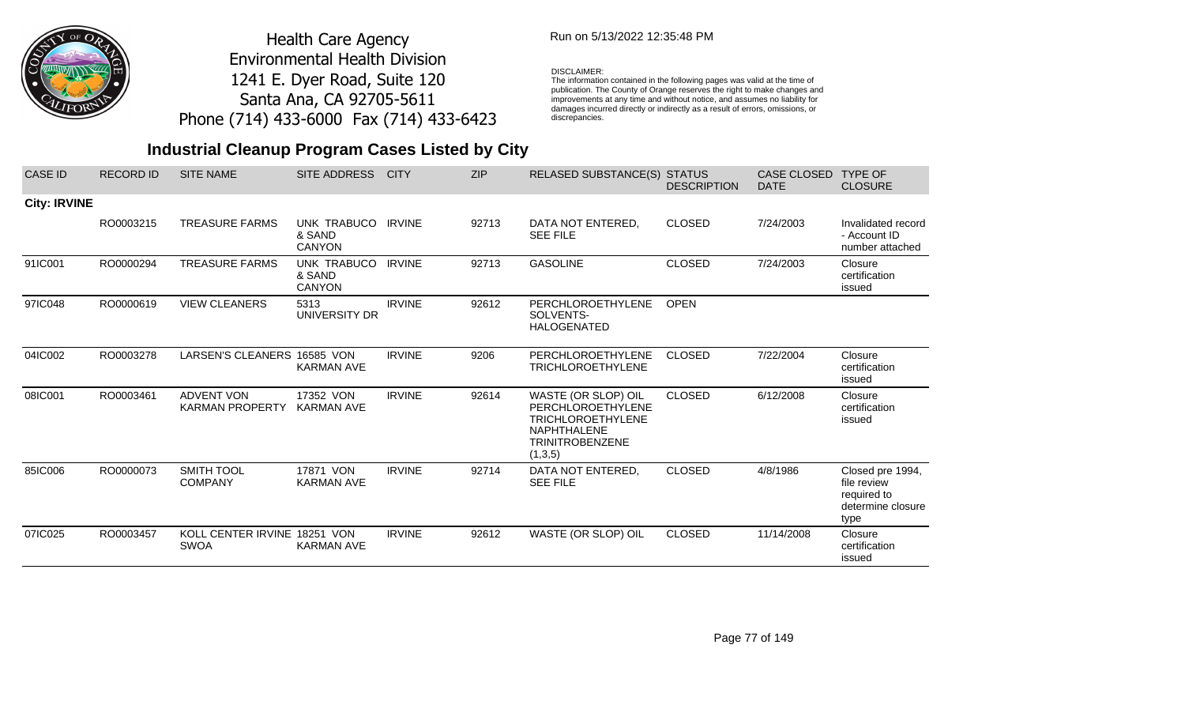

## Run on 5/13/2022 12:35:48 PM

#### DISCLAIMER:

The information contained in the following pages was valid at the time of publication. The County of Orange reserves the right to make changes and improvements at any time and without notice, and assumes no liability for damages incurred directly or indirectly as a result of errors, omissions, or discrepancies.

| <b>CASE ID</b>      | <b>RECORD ID</b> | <b>SITE NAME</b>                            | SITE ADDRESS                           | <b>CITY</b>   | <b>ZIP</b> | <b>RELASED SUBSTANCE(S)</b>                                                                                                            | <b>STATUS</b><br><b>DESCRIPTION</b> | <b>CASE CLOSED</b><br><b>DATE</b> | <b>TYPE OF</b><br><b>CLOSURE</b>                                            |
|---------------------|------------------|---------------------------------------------|----------------------------------------|---------------|------------|----------------------------------------------------------------------------------------------------------------------------------------|-------------------------------------|-----------------------------------|-----------------------------------------------------------------------------|
| <b>City: IRVINE</b> |                  |                                             |                                        |               |            |                                                                                                                                        |                                     |                                   |                                                                             |
|                     | RO0003215        | <b>TREASURE FARMS</b>                       | UNK TRABUCO<br>& SAND<br><b>CANYON</b> | <b>IRVINE</b> | 92713      | DATA NOT ENTERED,<br><b>SEE FILE</b>                                                                                                   | <b>CLOSED</b>                       | 7/24/2003                         | Invalidated record<br>- Account ID<br>number attached                       |
| 91IC001             | RO0000294        | <b>TREASURE FARMS</b>                       | UNK TRABUCO<br>& SAND<br><b>CANYON</b> | <b>IRVINE</b> | 92713      | <b>GASOLINE</b>                                                                                                                        | <b>CLOSED</b>                       | 7/24/2003                         | Closure<br>certification<br>issued                                          |
| 97IC048             | RO0000619        | <b>VIEW CLEANERS</b>                        | 5313<br>UNIVERSITY DR                  | <b>IRVINE</b> | 92612      | PERCHLOROETHYLENE<br>SOLVENTS-<br><b>HALOGENATED</b>                                                                                   | <b>OPEN</b>                         |                                   |                                                                             |
| 04IC002             | RO0003278        | LARSEN'S CLEANERS 16585 VON                 | <b>KARMAN AVE</b>                      | <b>IRVINE</b> | 9206       | PERCHLOROETHYLENE<br><b>TRICHLOROETHYLENE</b>                                                                                          | <b>CLOSED</b>                       | 7/22/2004                         | Closure<br>certification<br>issued                                          |
| 08IC001             | RO0003461        | <b>ADVENT VON</b><br><b>KARMAN PROPERTY</b> | 17352 VON<br><b>KARMAN AVE</b>         | <b>IRVINE</b> | 92614      | WASTE (OR SLOP) OIL<br><b>PERCHLOROETHYLENE</b><br><b>TRICHLOROETHYLENE</b><br><b>NAPHTHALENE</b><br><b>TRINITROBENZENE</b><br>(1,3,5) | <b>CLOSED</b>                       | 6/12/2008                         | Closure<br>certification<br>issued                                          |
| 85IC006             | RO0000073        | SMITH TOOL<br><b>COMPANY</b>                | 17871 VON<br><b>KARMAN AVE</b>         | <b>IRVINE</b> | 92714      | DATA NOT ENTERED.<br><b>SEE FILE</b>                                                                                                   | <b>CLOSED</b>                       | 4/8/1986                          | Closed pre 1994,<br>file review<br>required to<br>determine closure<br>type |
| 07IC025             | RO0003457        | KOLL CENTER IRVINE 18251 VON<br><b>SWOA</b> | <b>KARMAN AVE</b>                      | <b>IRVINE</b> | 92612      | WASTE (OR SLOP) OIL                                                                                                                    | <b>CLOSED</b>                       | 11/14/2008                        | Closure<br>certification<br>issued                                          |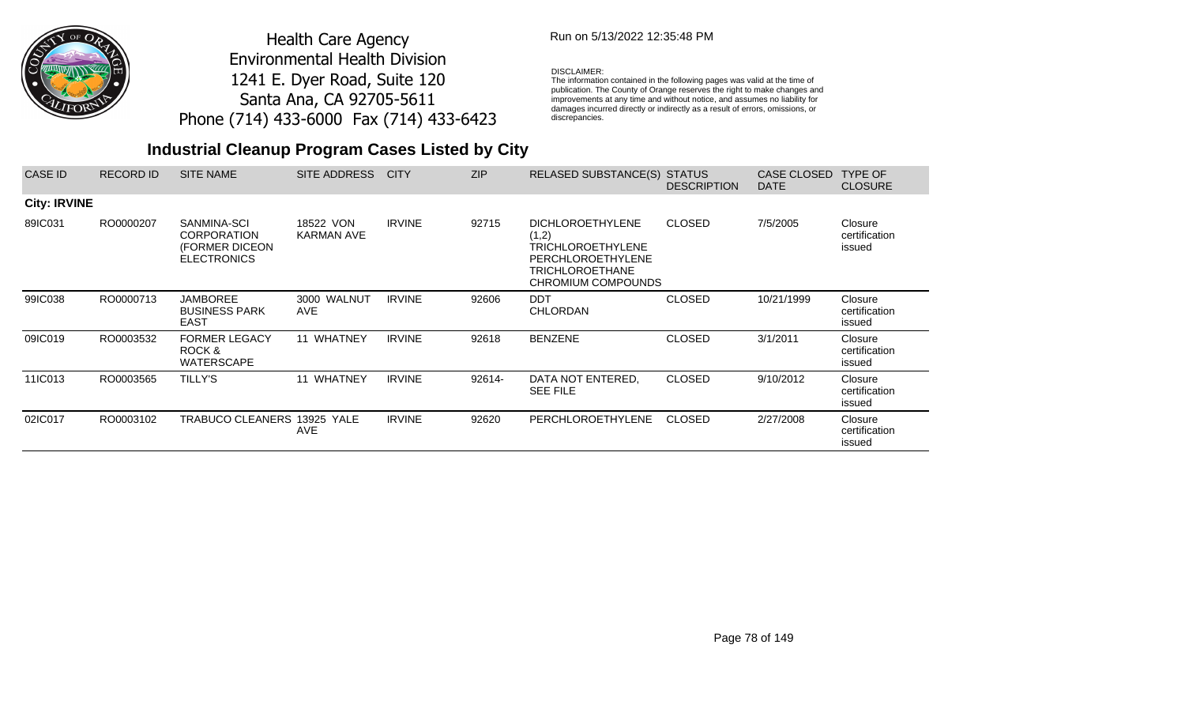

## Run on 5/13/2022 12:35:48 PM

### DISCLAIMER:

The information contained in the following pages was valid at the time of publication. The County of Orange reserves the right to make changes and improvements at any time and without notice, and assumes no liability for damages incurred directly or indirectly as a result of errors, omissions, or discrepancies.

| <b>CASE ID</b>      | <b>RECORD ID</b> | <b>SITE NAME</b>                                                          | SITE ADDRESS                   | <b>CITY</b>   | <b>ZIP</b> | <b>RELASED SUBSTANCE(S)</b>                                                                                                              | <b>STATUS</b><br><b>DESCRIPTION</b> | <b>CASE CLOSED</b><br><b>DATE</b> | <b>TYPE OF</b><br><b>CLOSURE</b>   |
|---------------------|------------------|---------------------------------------------------------------------------|--------------------------------|---------------|------------|------------------------------------------------------------------------------------------------------------------------------------------|-------------------------------------|-----------------------------------|------------------------------------|
| <b>City: IRVINE</b> |                  |                                                                           |                                |               |            |                                                                                                                                          |                                     |                                   |                                    |
| 89IC031             | RO0000207        | SANMINA-SCI<br><b>CORPORATION</b><br>(FORMER DICEON<br><b>ELECTRONICS</b> | 18522 VON<br><b>KARMAN AVE</b> | <b>IRVINE</b> | 92715      | <b>DICHLOROETHYLENE</b><br>(1,2)<br><b>TRICHLOROETHYLENE</b><br><b>PERCHLOROETHYLENE</b><br><b>TRICHLOROETHANE</b><br>CHROMIUM COMPOUNDS | <b>CLOSED</b>                       | 7/5/2005                          | Closure<br>certification<br>issued |
| 99IC038             | RO0000713        | <b>JAMBOREE</b><br><b>BUSINESS PARK</b><br><b>EAST</b>                    | 3000 WALNUT<br><b>AVE</b>      | <b>IRVINE</b> | 92606      | <b>DDT</b><br><b>CHLORDAN</b>                                                                                                            | <b>CLOSED</b>                       | 10/21/1999                        | Closure<br>certification<br>issued |
| 09IC019             | RO0003532        | <b>FORMER LEGACY</b><br>ROCK &<br><b>WATERSCAPE</b>                       | 11 WHATNEY                     | <b>IRVINE</b> | 92618      | <b>BENZENE</b>                                                                                                                           | <b>CLOSED</b>                       | 3/1/2011                          | Closure<br>certification<br>issued |
| 11IC013             | RO0003565        | <b>TILLY'S</b>                                                            | 11 WHATNEY                     | <b>IRVINE</b> | 92614-     | DATA NOT ENTERED.<br><b>SEE FILE</b>                                                                                                     | <b>CLOSED</b>                       | 9/10/2012                         | Closure<br>certification<br>issued |
| 02IC017             | RO0003102        | TRABUCO CLEANERS 13925 YALE                                               | AVE                            | <b>IRVINE</b> | 92620      | <b>PERCHLOROETHYLENE</b>                                                                                                                 | <b>CLOSED</b>                       | 2/27/2008                         | Closure<br>certification<br>issued |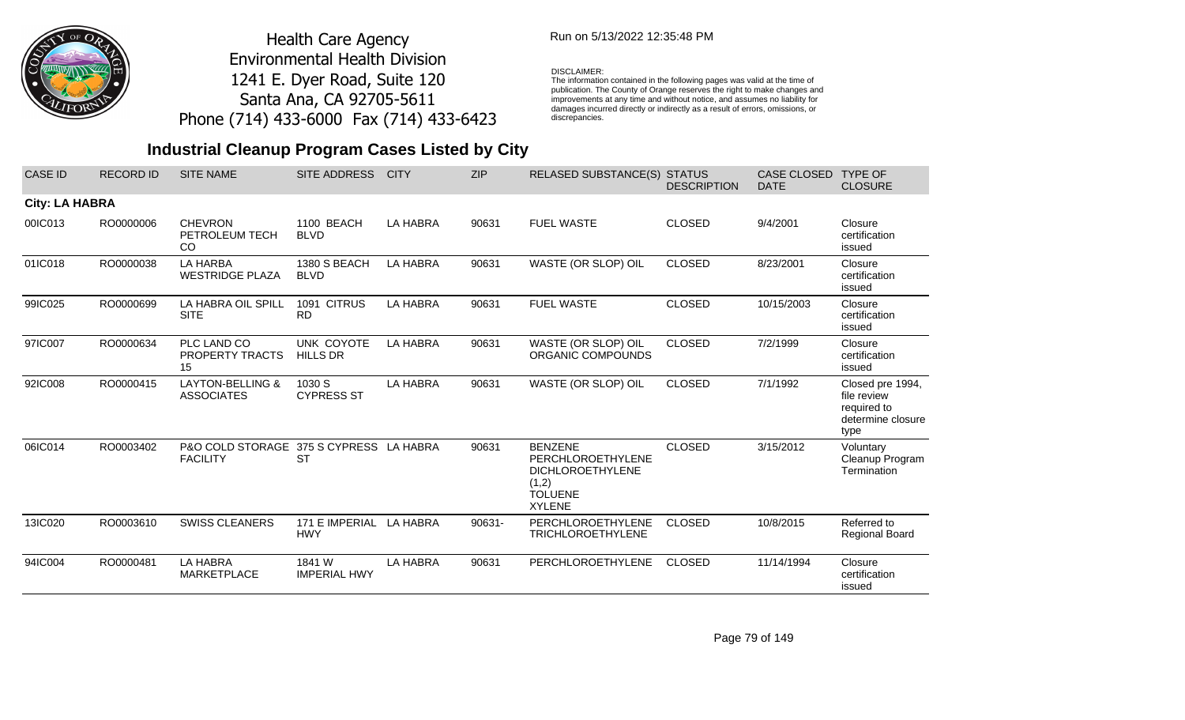

## Run on 5/13/2022 12:35:48 PM

#### DISCLAIMER:

The information contained in the following pages was valid at the time of publication. The County of Orange reserves the right to make changes and improvements at any time and without notice, and assumes no liability for damages incurred directly or indirectly as a result of errors, omissions, or discrepancies.

# **Industrial Cleanup Program Cases Listed by City**

| <b>CASE ID</b>        | <b>RECORD ID</b> | <b>SITE NAME</b>                                           | <b>SITE ADDRESS</b>           | <b>CITY</b>     | <b>ZIP</b> | <b>RELASED SUBSTANCE(S) STATUS</b>                                                                         | <b>DESCRIPTION</b> | <b>CASE CLOSED</b><br><b>DATE</b> | <b>TYPE OF</b><br><b>CLOSURE</b>                                            |
|-----------------------|------------------|------------------------------------------------------------|-------------------------------|-----------------|------------|------------------------------------------------------------------------------------------------------------|--------------------|-----------------------------------|-----------------------------------------------------------------------------|
| <b>City: LA HABRA</b> |                  |                                                            |                               |                 |            |                                                                                                            |                    |                                   |                                                                             |
| 00IC013               | RO0000006        | <b>CHEVRON</b><br>PETROLEUM TECH<br>CO                     | 1100 BEACH<br><b>BLVD</b>     | <b>LA HABRA</b> | 90631      | <b>FUEL WASTE</b>                                                                                          | <b>CLOSED</b>      | 9/4/2001                          | Closure<br>certification<br>issued                                          |
| 01IC018               | RO0000038        | <b>LA HARBA</b><br><b>WESTRIDGE PLAZA</b>                  | 1380 S BEACH<br><b>BLVD</b>   | <b>LA HABRA</b> | 90631      | WASTE (OR SLOP) OIL                                                                                        | <b>CLOSED</b>      | 8/23/2001                         | Closure<br>certification<br>issued                                          |
| 99IC025               | RO0000699        | LA HABRA OIL SPILL<br><b>SITE</b>                          | 1091 CITRUS<br><b>RD</b>      | <b>LA HABRA</b> | 90631      | <b>FUEL WASTE</b>                                                                                          | <b>CLOSED</b>      | 10/15/2003                        | Closure<br>certification<br>issued                                          |
| 97IC007               | RO0000634        | PLC LAND CO<br>PROPERTY TRACTS<br>15                       | UNK COYOTE<br><b>HILLS DR</b> | <b>LA HABRA</b> | 90631      | WASTE (OR SLOP) OIL<br>ORGANIC COMPOUNDS                                                                   | <b>CLOSED</b>      | 7/2/1999                          | Closure<br>certification<br>issued                                          |
| 92IC008               | RO0000415        | <b>LAYTON-BELLING &amp;</b><br><b>ASSOCIATES</b>           | 1030 S<br><b>CYPRESS ST</b>   | <b>LA HABRA</b> | 90631      | WASTE (OR SLOP) OIL                                                                                        | <b>CLOSED</b>      | 7/1/1992                          | Closed pre 1994,<br>file review<br>required to<br>determine closure<br>type |
| 06IC014               | RO0003402        | P&O COLD STORAGE 375 S CYPRESS LA HABRA<br><b>FACILITY</b> | <b>ST</b>                     |                 | 90631      | <b>BENZENE</b><br>PERCHLOROETHYLENE<br><b>DICHLOROETHYLENE</b><br>(1,2)<br><b>TOLUENE</b><br><b>XYLENE</b> | <b>CLOSED</b>      | 3/15/2012                         | Voluntary<br>Cleanup Program<br>Termination                                 |
| 13IC020               | RO0003610        | <b>SWISS CLEANERS</b>                                      | 171 E IMPERIAL<br><b>HWY</b>  | LA HABRA        | 90631-     | <b>PERCHLOROETHYLENE</b><br><b>TRICHLOROETHYLENE</b>                                                       | <b>CLOSED</b>      | 10/8/2015                         | Referred to<br>Regional Board                                               |
| 94IC004               | RO0000481        | <b>LA HABRA</b><br><b>MARKETPLACE</b>                      | 1841 W<br><b>IMPERIAL HWY</b> | <b>LA HABRA</b> | 90631      | PERCHLOROETHYLENE                                                                                          | <b>CLOSED</b>      | 11/14/1994                        | Closure<br>certification<br>issued                                          |

Page 79 of 149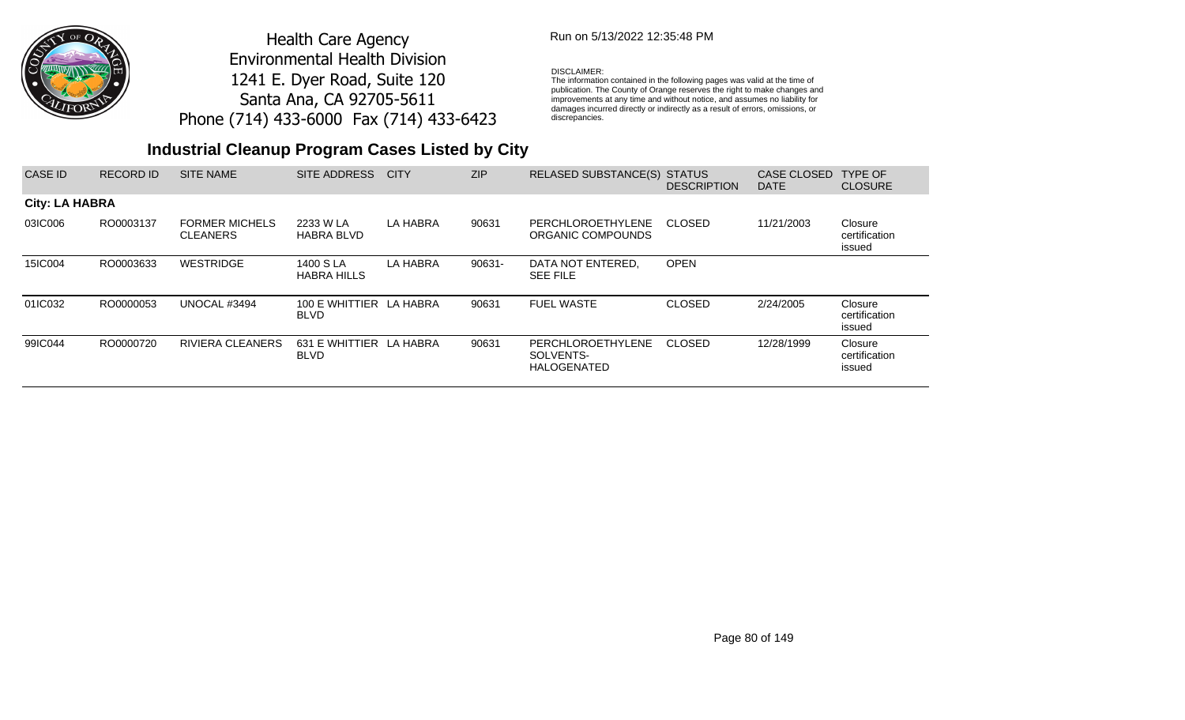

## Run on 5/13/2022 12:35:48 PM

#### DISCLAIMER:

The information contained in the following pages was valid at the time of publication. The County of Orange reserves the right to make changes and improvements at any time and without notice, and assumes no liability for damages incurred directly or indirectly as a result of errors, omissions, or discrepancies.

| CASE ID               | <b>RECORD ID</b> | <b>SITE NAME</b>                         | SITE ADDRESS                           | <b>CITY</b> | ZIP    | RELASED SUBSTANCE(S) STATUS                                 | <b>DESCRIPTION</b> | <b>CASE CLOSED</b><br><b>DATE</b> | <b>TYPE OF</b><br><b>CLOSURE</b>   |
|-----------------------|------------------|------------------------------------------|----------------------------------------|-------------|--------|-------------------------------------------------------------|--------------------|-----------------------------------|------------------------------------|
| <b>City: LA HABRA</b> |                  |                                          |                                        |             |        |                                                             |                    |                                   |                                    |
| 03IC006               | RO0003137        | <b>FORMER MICHELS</b><br><b>CLEANERS</b> | 2233 W LA<br><b>HABRA BLVD</b>         | LA HABRA    | 90631  | PERCHLOROETHYLENE<br>ORGANIC COMPOUNDS                      | <b>CLOSED</b>      | 11/21/2003                        | Closure<br>certification<br>issued |
| 15IC004               | RO0003633        | WESTRIDGE                                | 1400 S LA<br><b>HABRA HILLS</b>        | LA HABRA    | 90631- | DATA NOT ENTERED.<br><b>SEE FILE</b>                        | <b>OPEN</b>        |                                   |                                    |
| 01IC032               | RO0000053        | UNOCAL #3494                             | 100 E WHITTIER LA HABRA<br><b>BLVD</b> |             | 90631  | <b>FUEL WASTE</b>                                           | <b>CLOSED</b>      | 2/24/2005                         | Closure<br>certification<br>issued |
| 99IC044               | RO0000720        | <b>RIVIERA CLEANERS</b>                  | 631 E WHITTIER LA HABRA<br><b>BLVD</b> |             | 90631  | <b>PERCHLOROETHYLENE</b><br>SOLVENTS-<br><b>HALOGENATED</b> | CLOSED             | 12/28/1999                        | Closure<br>certification<br>issued |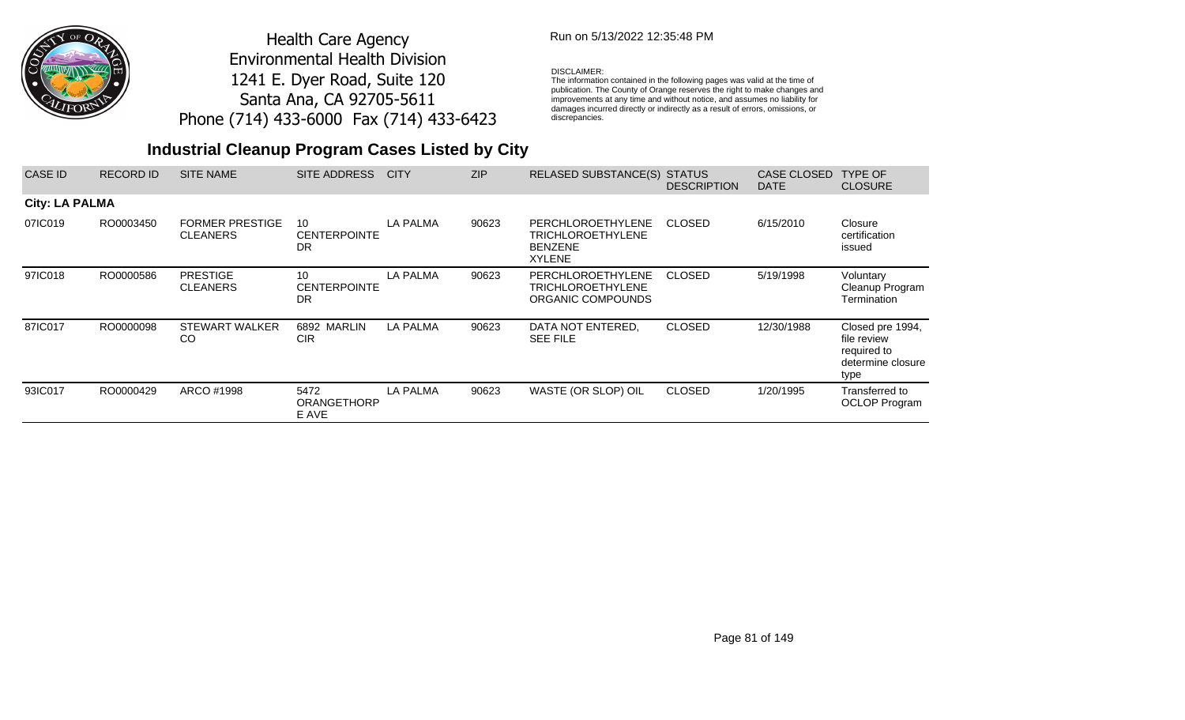

### Run on 5/13/2022 12:35:48 PM

### DISCLAIMER:

The information contained in the following pages was valid at the time of publication. The County of Orange reserves the right to make changes and improvements at any time and without notice, and assumes no liability for damages incurred directly or indirectly as a result of errors, omissions, or discrepancies.

| <b>CASE ID</b>        | <b>RECORD ID</b> | <b>SITE NAME</b>                          | SITE ADDRESS                           | <b>CITY</b>     | <b>ZIP</b> | <b>RELASED SUBSTANCE(S)</b>                                                      | <b>STATUS</b><br><b>DESCRIPTION</b> | <b>CASE CLOSED</b><br><b>DATE</b> | <b>TYPE OF</b><br><b>CLOSURE</b>                                            |
|-----------------------|------------------|-------------------------------------------|----------------------------------------|-----------------|------------|----------------------------------------------------------------------------------|-------------------------------------|-----------------------------------|-----------------------------------------------------------------------------|
| <b>City: LA PALMA</b> |                  |                                           |                                        |                 |            |                                                                                  |                                     |                                   |                                                                             |
| 07IC019               | RO0003450        | <b>FORMER PRESTIGE</b><br><b>CLEANERS</b> | 10<br><b>CENTERPOINTE</b><br><b>DR</b> | <b>LA PALMA</b> | 90623      | <b>PERCHLOROETHYLENE</b><br>TRICHLOROETHYLENE<br><b>BENZENE</b><br><b>XYLENE</b> | <b>CLOSED</b>                       | 6/15/2010                         | Closure<br>certification<br>issued                                          |
| 97IC018               | RO0000586        | <b>PRESTIGE</b><br><b>CLEANERS</b>        | 10<br><b>CENTERPOINTE</b><br><b>DR</b> | <b>LA PALMA</b> | 90623      | <b>PERCHLOROETHYLENE</b><br>TRICHLOROETHYLENE<br>ORGANIC COMPOUNDS               | <b>CLOSED</b>                       | 5/19/1998                         | Voluntary<br>Cleanup Program<br>Termination                                 |
| 87IC017               | RO0000098        | <b>STEWART WALKER</b><br>CO               | 6892 MARLIN<br><b>CIR</b>              | LA PALMA        | 90623      | DATA NOT ENTERED.<br><b>SEE FILE</b>                                             | <b>CLOSED</b>                       | 12/30/1988                        | Closed pre 1994,<br>file review<br>required to<br>determine closure<br>type |
| 93IC017               | RO0000429        | ARCO #1998                                | 5472<br><b>ORANGETHORP</b><br>E AVE    | <b>LA PALMA</b> | 90623      | WASTE (OR SLOP) OIL                                                              | <b>CLOSED</b>                       | 1/20/1995                         | Transferred to<br><b>OCLOP</b> Program                                      |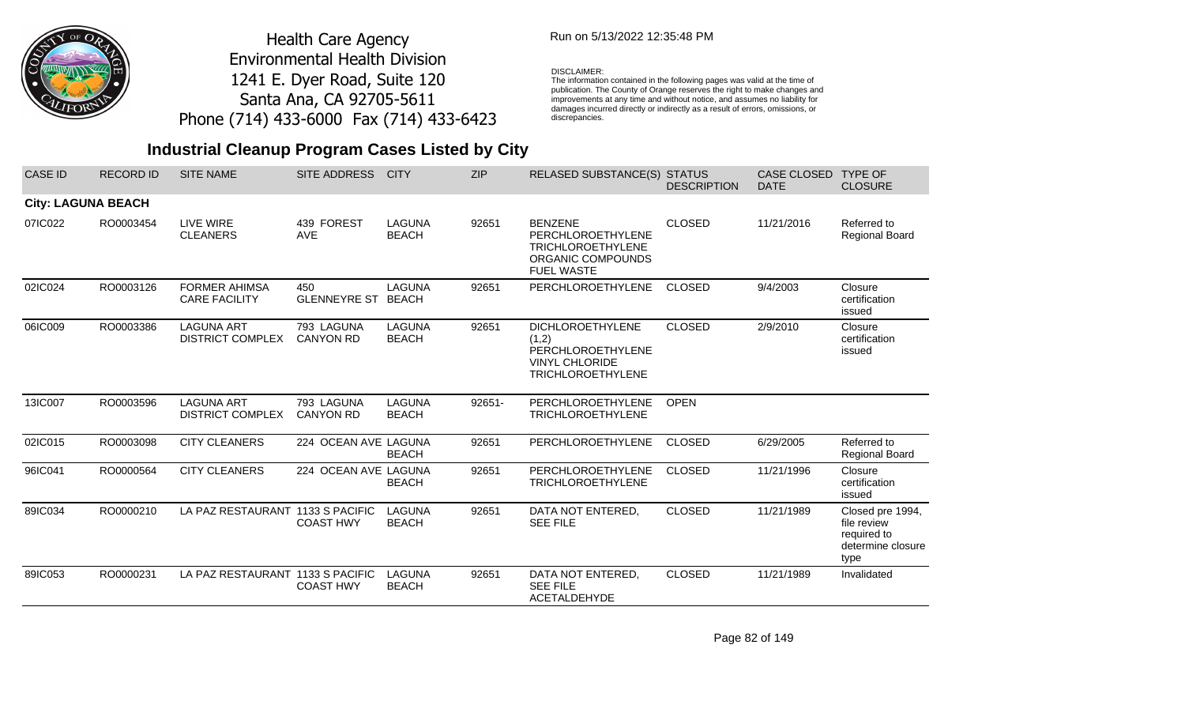

### Run on 5/13/2022 12:35:48 PM

#### DISCLAIMER:

The information contained in the following pages was valid at the time of publication. The County of Orange reserves the right to make changes and improvements at any time and without notice, and assumes no liability for damages incurred directly or indirectly as a result of errors, omissions, or discrepancies.

## **Industrial Cleanup Program Cases Listed by City**

| <b>CASE ID</b>            | <b>RECORD ID</b> | <b>SITE NAME</b>                             | <b>SITE ADDRESS</b>              | <b>CITY</b>                   | <b>ZIP</b> | <b>RELASED SUBSTANCE(S) STATUS</b>                                                                         | <b>DESCRIPTION</b> | <b>CASE CLOSED</b><br><b>DATE</b> | <b>TYPE OF</b><br><b>CLOSURE</b>                                            |
|---------------------------|------------------|----------------------------------------------|----------------------------------|-------------------------------|------------|------------------------------------------------------------------------------------------------------------|--------------------|-----------------------------------|-----------------------------------------------------------------------------|
| <b>City: LAGUNA BEACH</b> |                  |                                              |                                  |                               |            |                                                                                                            |                    |                                   |                                                                             |
| 07IC022                   | RO0003454        | LIVE WIRE<br><b>CLEANERS</b>                 | 439 FOREST<br><b>AVE</b>         | <b>LAGUNA</b><br><b>BEACH</b> | 92651      | <b>BENZENE</b><br>PERCHLOROETHYLENE<br><b>TRICHLOROETHYLENE</b><br>ORGANIC COMPOUNDS<br><b>FUEL WASTE</b>  | <b>CLOSED</b>      | 11/21/2016                        | Referred to<br>Regional Board                                               |
| 02IC024                   | RO0003126        | <b>FORMER AHIMSA</b><br><b>CARE FACILITY</b> | 450<br><b>GLENNEYRE ST BEACH</b> | LAGUNA                        | 92651      | PERCHLOROETHYLENE                                                                                          | <b>CLOSED</b>      | 9/4/2003                          | Closure<br>certification<br>issued                                          |
| 06IC009                   | RO0003386        | <b>LAGUNA ART</b><br><b>DISTRICT COMPLEX</b> | 793 LAGUNA<br><b>CANYON RD</b>   | LAGUNA<br><b>BEACH</b>        | 92651      | <b>DICHLOROETHYLENE</b><br>(1,2)<br>PERCHLOROETHYLENE<br><b>VINYL CHLORIDE</b><br><b>TRICHLOROETHYLENE</b> | <b>CLOSED</b>      | 2/9/2010                          | Closure<br>certification<br>issued                                          |
| 13IC007                   | RO0003596        | <b>LAGUNA ART</b><br><b>DISTRICT COMPLEX</b> | 793 LAGUNA<br><b>CANYON RD</b>   | <b>LAGUNA</b><br><b>BEACH</b> | 92651-     | PERCHLOROETHYLENE<br><b>TRICHLOROETHYLENE</b>                                                              | <b>OPEN</b>        |                                   |                                                                             |
| 02IC015                   | RO0003098        | <b>CITY CLEANERS</b>                         | 224 OCEAN AVE LAGUNA             | <b>BEACH</b>                  | 92651      | PERCHLOROETHYLENE                                                                                          | <b>CLOSED</b>      | 6/29/2005                         | Referred to<br>Regional Board                                               |
| 96IC041                   | RO0000564        | <b>CITY CLEANERS</b>                         | 224 OCEAN AVE LAGUNA             | <b>BEACH</b>                  | 92651      | PERCHLOROETHYLENE<br><b>TRICHLOROETHYLENE</b>                                                              | <b>CLOSED</b>      | 11/21/1996                        | Closure<br>certification<br>issued                                          |
| 89IC034                   | RO0000210        | LA PAZ RESTAURANT 1133 S PACIFIC             | <b>COAST HWY</b>                 | LAGUNA<br><b>BEACH</b>        | 92651      | DATA NOT ENTERED,<br><b>SEE FILE</b>                                                                       | <b>CLOSED</b>      | 11/21/1989                        | Closed pre 1994,<br>file review<br>required to<br>determine closure<br>type |
| 89IC053                   | RO0000231        | LA PAZ RESTAURANT 1133 S PACIFIC             | <b>COAST HWY</b>                 | LAGUNA<br><b>BEACH</b>        | 92651      | DATA NOT ENTERED,<br><b>SEE FILE</b><br><b>ACETALDEHYDE</b>                                                | <b>CLOSED</b>      | 11/21/1989                        | Invalidated                                                                 |

Page 82 of 149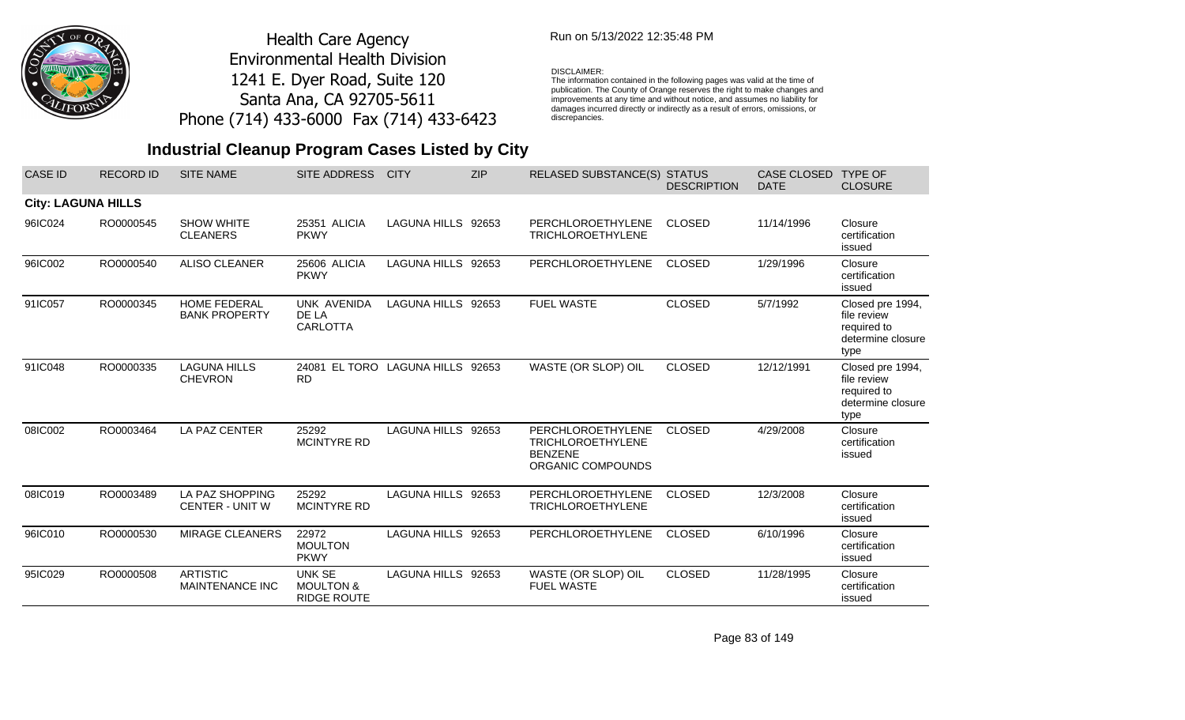

### Run on 5/13/2022 12:35:48 PM

#### DISCLAIMER:

The information contained in the following pages was valid at the time of publication. The County of Orange reserves the right to make changes and improvements at any time and without notice, and assumes no liability for damages incurred directly or indirectly as a result of errors, omissions, or discrepancies.

| <b>CASE ID</b>            | <b>RECORD ID</b> | <b>SITE NAME</b>                            | <b>SITE ADDRESS</b>                                         | <b>CITY</b>         | <b>ZIP</b> | <b>RELASED SUBSTANCE(S)</b>                                                          | <b>STATUS</b><br><b>DESCRIPTION</b> | <b>CASE CLOSED</b><br><b>DATE</b> | <b>TYPE OF</b><br><b>CLOSURE</b>                                            |
|---------------------------|------------------|---------------------------------------------|-------------------------------------------------------------|---------------------|------------|--------------------------------------------------------------------------------------|-------------------------------------|-----------------------------------|-----------------------------------------------------------------------------|
| <b>City: LAGUNA HILLS</b> |                  |                                             |                                                             |                     |            |                                                                                      |                                     |                                   |                                                                             |
| 96IC024                   | RO0000545        | <b>SHOW WHITE</b><br><b>CLEANERS</b>        | 25351 ALICIA<br><b>PKWY</b>                                 | LAGUNA HILLS 92653  |            | PERCHLOROETHYLENE<br><b>TRICHLOROETHYLENE</b>                                        | <b>CLOSED</b>                       | 11/14/1996                        | Closure<br>certification<br>issued                                          |
| 96IC002                   | RO0000540        | ALISO CLEANER                               | 25606 ALICIA<br><b>PKWY</b>                                 | <b>LAGUNA HILLS</b> | 92653      | PERCHLOROETHYLENE                                                                    | <b>CLOSED</b>                       | 1/29/1996                         | Closure<br>certification<br>issued                                          |
| 91IC057                   | RO0000345        | <b>HOME FEDERAL</b><br><b>BANK PROPERTY</b> | UNK AVENIDA<br>DE LA<br><b>CARLOTTA</b>                     | LAGUNA HILLS 92653  |            | <b>FUEL WASTE</b>                                                                    | <b>CLOSED</b>                       | 5/7/1992                          | Closed pre 1994,<br>file review<br>required to<br>determine closure<br>type |
| 91IC048                   | RO0000335        | <b>LAGUNA HILLS</b><br><b>CHEVRON</b>       | 24081 EL TORO LAGUNA HILLS<br><b>RD</b>                     |                     | 92653      | WASTE (OR SLOP) OIL                                                                  | <b>CLOSED</b>                       | 12/12/1991                        | Closed pre 1994,<br>file review<br>required to<br>determine closure<br>type |
| 08IC002                   | RO0003464        | LA PAZ CENTER                               | 25292<br><b>MCINTYRE RD</b>                                 | LAGUNA HILLS 92653  |            | PERCHLOROETHYLENE<br><b>TRICHLOROETHYLENE</b><br><b>BENZENE</b><br>ORGANIC COMPOUNDS | <b>CLOSED</b>                       | 4/29/2008                         | Closure<br>certification<br>issued                                          |
| 08IC019                   | RO0003489        | LA PAZ SHOPPING<br><b>CENTER - UNIT W</b>   | 25292<br>MCINTYRE RD                                        | LAGUNA HILLS 92653  |            | PERCHLOROETHYLENE<br><b>TRICHLOROETHYLENE</b>                                        | <b>CLOSED</b>                       | 12/3/2008                         | Closure<br>certification<br>issued                                          |
| 96IC010                   | RO0000530        | <b>MIRAGE CLEANERS</b>                      | 22972<br><b>MOULTON</b><br><b>PKWY</b>                      | <b>LAGUNA HILLS</b> | 92653      | PERCHLOROETHYLENE                                                                    | <b>CLOSED</b>                       | 6/10/1996                         | Closure<br>certification<br>issued                                          |
| 95IC029                   | RO0000508        | <b>ARTISTIC</b><br>MAINTENANCE INC          | <b>UNK SE</b><br><b>MOULTON &amp;</b><br><b>RIDGE ROUTE</b> | LAGUNA HILLS 92653  |            | WASTE (OR SLOP) OIL<br><b>FUEL WASTE</b>                                             | <b>CLOSED</b>                       | 11/28/1995                        | Closure<br>certification<br>issued                                          |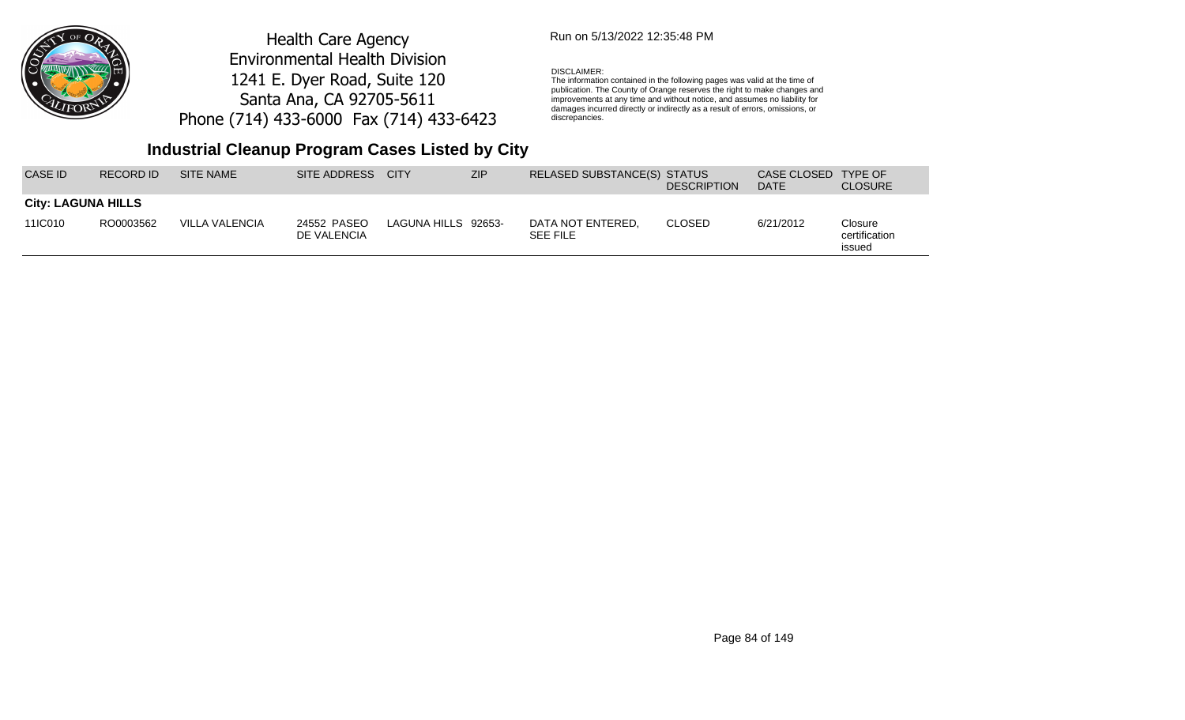

## Run on 5/13/2022 12:35:48 PM

#### DISCLAIMER:

The information contained in the following pages was valid at the time of publication. The County of Orange reserves the right to make changes and improvements at any time and without notice, and assumes no liability for damages incurred directly or indirectly as a result of errors, omissions, or discrepancies.

## **Industrial Cleanup Program Cases Listed by City**

| CASE ID.                  | RECORD ID | <b>SITE NAME</b> | SITE ADDRESS               | <b>CITY</b>         | <b>ZIP</b> | RELASED SUBSTANCE(S) STATUS          | <b>DESCRIPTION</b> | CASE CLOSED<br><b>DATE</b> | TYPE OF<br><b>CLOSURE</b>          |
|---------------------------|-----------|------------------|----------------------------|---------------------|------------|--------------------------------------|--------------------|----------------------------|------------------------------------|
| <b>City: LAGUNA HILLS</b> |           |                  |                            |                     |            |                                      |                    |                            |                                    |
| 11IC010                   | RO0003562 | VILLA VALENCIA   | 24552 PASEO<br>DE VALENCIA | LAGUNA HILLS 92653- |            | DATA NOT ENTERED.<br><b>SEE FILE</b> | <b>CLOSED</b>      | 6/21/2012                  | Closure<br>certification<br>issued |

Page 84 of 149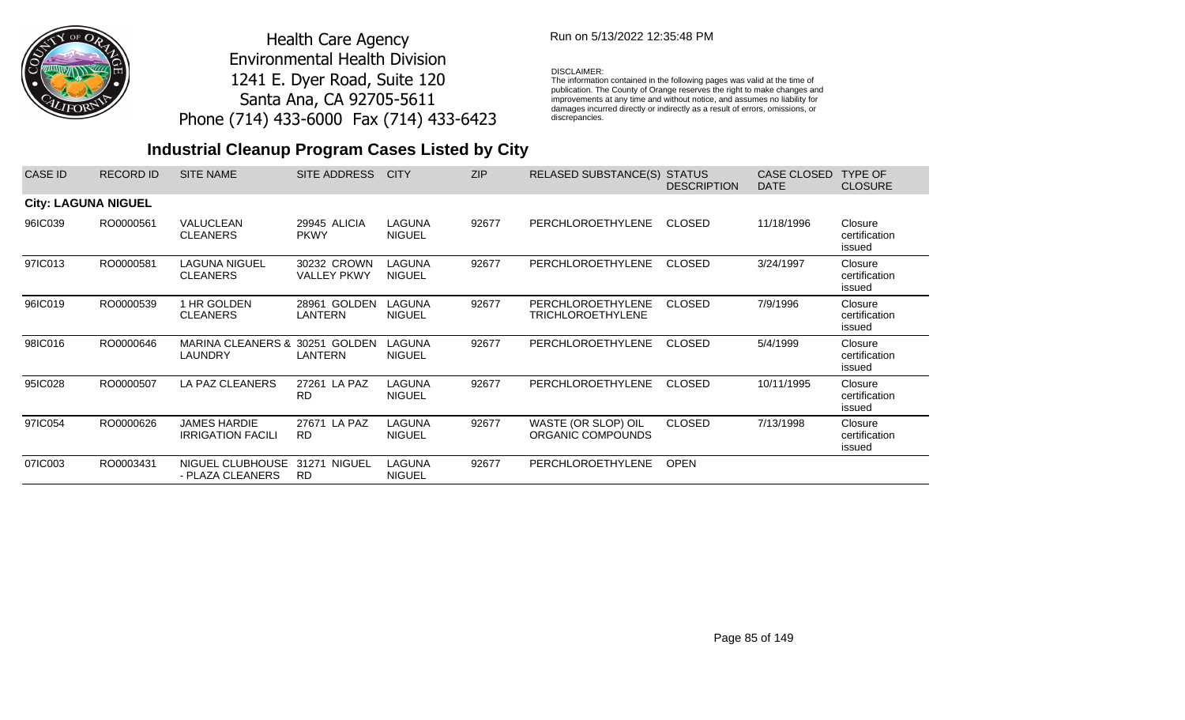

## Run on 5/13/2022 12:35:48 PM

#### DISCLAIMER:

The information contained in the following pages was valid at the time of publication. The County of Orange reserves the right to make changes and improvements at any time and without notice, and assumes no liability for damages incurred directly or indirectly as a result of errors, omissions, or discrepancies.

| CASE ID                    | <b>RECORD ID</b> | <b>SITE NAME</b>                                | SITE ADDRESS                      | <b>CITY</b>                    | <b>ZIP</b> | <b>RELASED SUBSTANCE(S)</b>                          | <b>STATUS</b><br><b>DESCRIPTION</b> | CASE CLOSED<br><b>DATE</b> | <b>TYPE OF</b><br><b>CLOSURE</b>   |
|----------------------------|------------------|-------------------------------------------------|-----------------------------------|--------------------------------|------------|------------------------------------------------------|-------------------------------------|----------------------------|------------------------------------|
| <b>City: LAGUNA NIGUEL</b> |                  |                                                 |                                   |                                |            |                                                      |                                     |                            |                                    |
| 96IC039                    | RO0000561        | VALUCLEAN<br><b>CLEANERS</b>                    | 29945 ALICIA<br><b>PKWY</b>       | LAGUNA<br><b>NIGUEL</b>        | 92677      | <b>PERCHLOROETHYLENE</b>                             | <b>CLOSED</b>                       | 11/18/1996                 | Closure<br>certification<br>issued |
| 97IC013                    | RO0000581        | <b>LAGUNA NIGUEL</b><br><b>CLEANERS</b>         | 30232 CROWN<br><b>VALLEY PKWY</b> | <b>LAGUNA</b><br><b>NIGUEL</b> | 92677      | <b>PERCHLOROETHYLENE</b>                             | <b>CLOSED</b>                       | 3/24/1997                  | Closure<br>certification<br>issued |
| 96IC019                    | RO0000539        | 1 HR GOLDEN<br><b>CLEANERS</b>                  | 28961 GOLDEN<br>LANTERN           | LAGUNA<br><b>NIGUEL</b>        | 92677      | <b>PERCHLOROETHYLENE</b><br><b>TRICHLOROETHYLENE</b> | <b>CLOSED</b>                       | 7/9/1996                   | Closure<br>certification<br>issued |
| 98IC016                    | RO0000646        | <b>MARINA CLEANERS &amp;</b><br>LAUNDRY         | 30251 GOLDEN<br>LANTERN           | LAGUNA<br><b>NIGUEL</b>        | 92677      | <b>PERCHLOROETHYLENE</b>                             | <b>CLOSED</b>                       | 5/4/1999                   | Closure<br>certification<br>issued |
| 95IC028                    | RO0000507        | LA PAZ CLEANERS                                 | 27261 LA PAZ<br><b>RD</b>         | <b>LAGUNA</b><br><b>NIGUEL</b> | 92677      | <b>PERCHLOROETHYLENE</b>                             | <b>CLOSED</b>                       | 10/11/1995                 | Closure<br>certification<br>issued |
| 97IC054                    | RO0000626        | <b>JAMES HARDIE</b><br><b>IRRIGATION FACILI</b> | 27671 LA PAZ<br><b>RD</b>         | <b>LAGUNA</b><br><b>NIGUEL</b> | 92677      | WASTE (OR SLOP) OIL<br>ORGANIC COMPOUNDS             | <b>CLOSED</b>                       | 7/13/1998                  | Closure<br>certification<br>issued |
| 07IC003                    | RO0003431        | NIGUEL CLUBHOUSE<br>- PLAZA CLEANERS            | NIGUEL<br>31271<br><b>RD</b>      | <b>LAGUNA</b><br><b>NIGUEL</b> | 92677      | PERCHLOROETHYLENE                                    | <b>OPEN</b>                         |                            |                                    |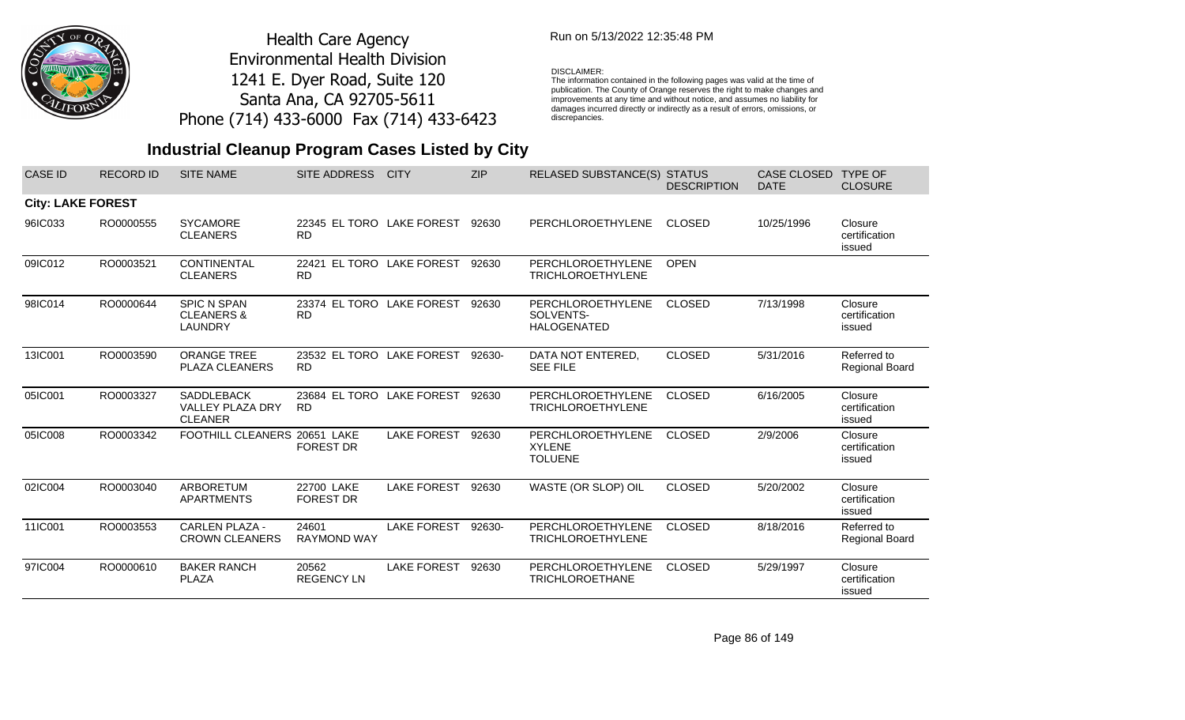

## Run on 5/13/2022 12:35:48 PM

#### DISCLAIMER:

The information contained in the following pages was valid at the time of publication. The County of Orange reserves the right to make changes and improvements at any time and without notice, and assumes no liability for damages incurred directly or indirectly as a result of errors, omissions, or discrepancies.

| <b>CASE ID</b>           | <b>RECORD ID</b> | <b>SITE NAME</b>                                               | <b>SITE ADDRESS</b>                    | <b>CITY</b>        | <b>ZIP</b> | <b>RELASED SUBSTANCE(S)</b>                          | <b>STATUS</b><br><b>DESCRIPTION</b> | <b>CASE CLOSED</b><br><b>DATE</b> | <b>TYPE OF</b><br><b>CLOSURE</b>     |
|--------------------------|------------------|----------------------------------------------------------------|----------------------------------------|--------------------|------------|------------------------------------------------------|-------------------------------------|-----------------------------------|--------------------------------------|
| <b>City: LAKE FOREST</b> |                  |                                                                |                                        |                    |            |                                                      |                                     |                                   |                                      |
| 96IC033                  | RO0000555        | <b>SYCAMORE</b><br><b>CLEANERS</b>                             | 22345 EL TORO LAKE FOREST<br><b>RD</b> |                    | 92630      | PERCHLOROETHYLENE                                    | <b>CLOSED</b>                       | 10/25/1996                        | Closure<br>certification<br>issued   |
| 09IC012                  | RO0003521        | <b>CONTINENTAL</b><br><b>CLEANERS</b>                          | 22421 EL TORO LAKE FOREST<br><b>RD</b> |                    | 92630      | PERCHLOROETHYLENE<br><b>TRICHLOROETHYLENE</b>        | <b>OPEN</b>                         |                                   |                                      |
| 98IC014                  | RO0000644        | <b>SPIC N SPAN</b><br><b>CLEANERS &amp;</b><br><b>LAUNDRY</b>  | 23374 EL TORO LAKE FOREST<br><b>RD</b> |                    | 92630      | PERCHLOROETHYLENE<br>SOLVENTS-<br><b>HALOGENATED</b> | <b>CLOSED</b>                       | 7/13/1998                         | Closure<br>certification<br>issued   |
| 13IC001                  | RO0003590        | <b>ORANGE TREE</b><br><b>PLAZA CLEANERS</b>                    | 23532 EL TORO LAKE FOREST<br><b>RD</b> |                    | 92630-     | DATA NOT ENTERED,<br><b>SEE FILE</b>                 | <b>CLOSED</b>                       | 5/31/2016                         | Referred to<br><b>Regional Board</b> |
| 05IC001                  | RO0003327        | <b>SADDLEBACK</b><br><b>VALLEY PLAZA DRY</b><br><b>CLEANER</b> | 23684 EL TORO LAKE FOREST<br><b>RD</b> |                    | 92630      | PERCHLOROETHYLENE<br><b>TRICHLOROETHYLENE</b>        | <b>CLOSED</b>                       | 6/16/2005                         | Closure<br>certification<br>issued   |
| 05IC008                  | RO0003342        | FOOTHILL CLEANERS 20651 LAKE                                   | <b>FOREST DR</b>                       | <b>LAKE FOREST</b> | 92630      | PERCHLOROETHYLENE<br><b>XYLENE</b><br><b>TOLUENE</b> | <b>CLOSED</b>                       | 2/9/2006                          | Closure<br>certification<br>issued   |
| 02IC004                  | RO0003040        | ARBORETUM<br><b>APARTMENTS</b>                                 | 22700 LAKE<br><b>FOREST DR</b>         | <b>LAKE FOREST</b> | 92630      | WASTE (OR SLOP) OIL                                  | <b>CLOSED</b>                       | 5/20/2002                         | Closure<br>certification<br>issued   |
| 11IC001                  | RO0003553        | <b>CARLEN PLAZA -</b><br><b>CROWN CLEANERS</b>                 | 24601<br><b>RAYMOND WAY</b>            | <b>LAKE FOREST</b> | 92630-     | PERCHLOROETHYLENE<br><b>TRICHLOROETHYLENE</b>        | <b>CLOSED</b>                       | 8/18/2016                         | Referred to<br>Regional Board        |
| 97IC004                  | RO0000610        | <b>BAKER RANCH</b><br>PLAZA                                    | 20562<br><b>REGENCY LN</b>             | <b>LAKE FOREST</b> | 92630      | PERCHLOROETHYLENE<br><b>TRICHLOROETHANE</b>          | <b>CLOSED</b>                       | 5/29/1997                         | Closure<br>certification<br>issued   |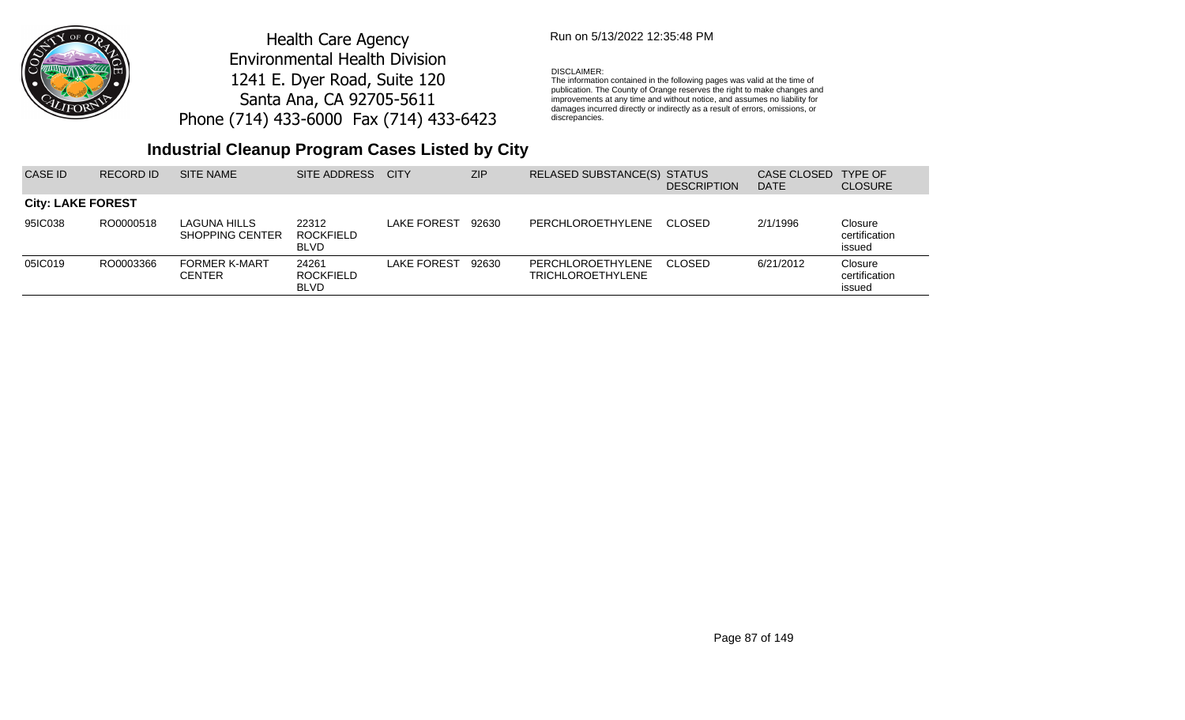

## Run on 5/13/2022 12:35:48 PM

#### DISCLAIMER:

The information contained in the following pages was valid at the time of publication. The County of Orange reserves the right to make changes and improvements at any time and without notice, and assumes no liability for damages incurred directly or indirectly as a result of errors, omissions, or discrepancies.

| CASE ID                  | <b>RECORD ID</b> | SITE NAME                              | SITE ADDRESS                             | <b>CITY</b>        | <b>ZIP</b> | RELASED SUBSTANCE(S) STATUS                   | <b>DESCRIPTION</b> | CASE CLOSED<br><b>DATE</b> | <b>TYPE OF</b><br><b>CLOSURE</b>   |
|--------------------------|------------------|----------------------------------------|------------------------------------------|--------------------|------------|-----------------------------------------------|--------------------|----------------------------|------------------------------------|
| <b>City: LAKE FOREST</b> |                  |                                        |                                          |                    |            |                                               |                    |                            |                                    |
| 95IC038                  | RO0000518        | LAGUNA HILLS<br><b>SHOPPING CENTER</b> | 22312<br>ROCKFIELD<br><b>BLVD</b>        | LAKE FOREST        | 92630      | PERCHLOROETHYLENE                             | -CLOSED            | 2/1/1996                   | Closure<br>certification<br>issued |
| 05IC019                  | RO0003366        | <b>FORMER K-MART</b><br>CENTER         | 24261<br><b>ROCKFIELD</b><br><b>BLVD</b> | <b>LAKE FOREST</b> | 92630      | PERCHLOROETHYLENE<br><b>TRICHLOROETHYLENE</b> | -CLOSED            | 6/21/2012                  | Closure<br>certification<br>issued |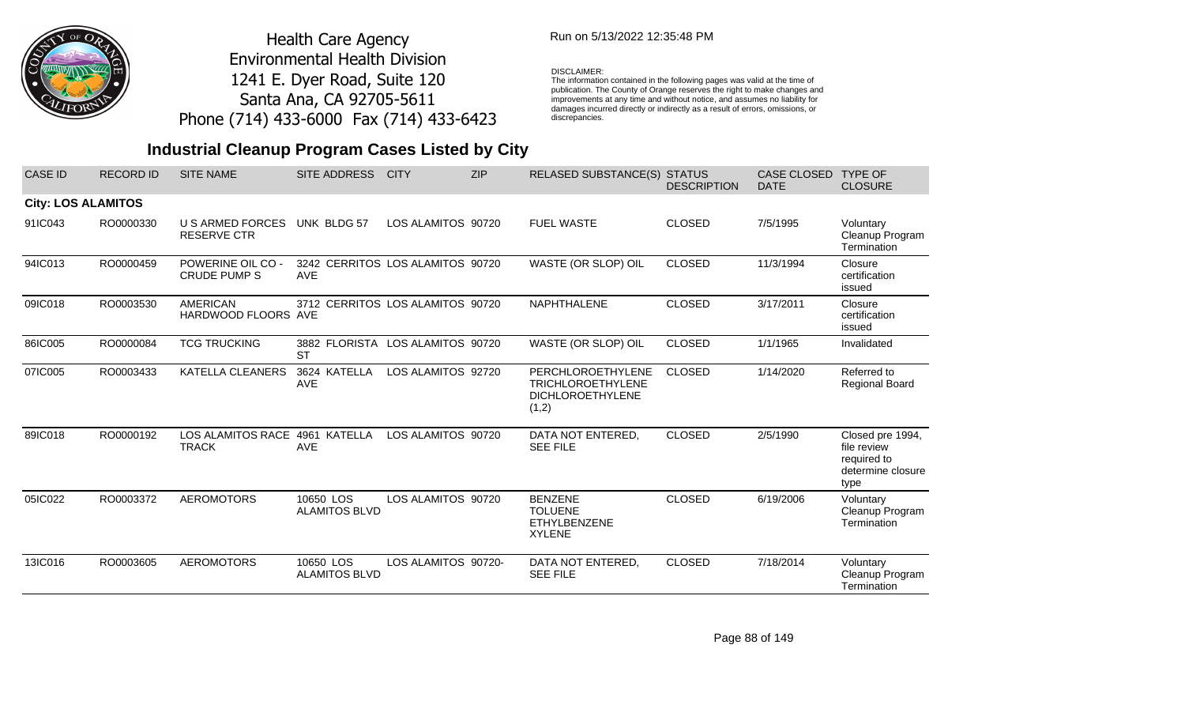

## Run on 5/13/2022 12:35:48 PM

#### DISCLAIMER:

The information contained in the following pages was valid at the time of publication. The County of Orange reserves the right to make changes and improvements at any time and without notice, and assumes no liability for damages incurred directly or indirectly as a result of errors, omissions, or discrepancies.

## **Industrial Cleanup Program Cases Listed by City**

| <b>CASE ID</b>            | <b>RECORD ID</b> | <b>SITE NAME</b>                                | <b>SITE ADDRESS</b>                            | <b>CITY</b>         | <b>ZIP</b> | <b>RELASED SUBSTANCE(S) STATUS</b>                                                | <b>DESCRIPTION</b> | <b>CASE CLOSED</b><br><b>DATE</b> | <b>TYPE OF</b><br><b>CLOSURE</b>                                            |
|---------------------------|------------------|-------------------------------------------------|------------------------------------------------|---------------------|------------|-----------------------------------------------------------------------------------|--------------------|-----------------------------------|-----------------------------------------------------------------------------|
| <b>City: LOS ALAMITOS</b> |                  |                                                 |                                                |                     |            |                                                                                   |                    |                                   |                                                                             |
| 91IC043                   | RO0000330        | U S ARMED FORCES<br><b>RESERVE CTR</b>          | UNK BLDG 57                                    | LOS ALAMITOS 90720  |            | <b>FUEL WASTE</b>                                                                 | <b>CLOSED</b>      | 7/5/1995                          | Voluntary<br>Cleanup Program<br>Termination                                 |
| 94IC013                   | RO0000459        | <b>POWERINE OIL CO -</b><br><b>CRUDE PUMP S</b> | 3242 CERRITOS LOS ALAMITOS 90720<br><b>AVE</b> |                     |            | WASTE (OR SLOP) OIL                                                               | <b>CLOSED</b>      | 11/3/1994                         | Closure<br>certification<br>issued                                          |
| 09IC018                   | RO0003530        | <b>AMERICAN</b><br>HARDWOOD FLOORS AVE          | 3712 CERRITOS LOS ALAMITOS 90720               |                     |            | NAPHTHALENE                                                                       | <b>CLOSED</b>      | 3/17/2011                         | Closure<br>certification<br>issued                                          |
| 86IC005                   | RO0000084        | <b>TCG TRUCKING</b>                             | 3882 FLORISTA LOS ALAMITOS 90720<br><b>ST</b>  |                     |            | WASTE (OR SLOP) OIL                                                               | <b>CLOSED</b>      | 1/1/1965                          | Invalidated                                                                 |
| 07IC005                   | RO0003433        | <b>KATELLA CLEANERS</b>                         | 3624 KATELLA<br>AVE                            | LOS ALAMITOS 92720  |            | PERCHLOROETHYLENE<br><b>TRICHLOROETHYLENE</b><br><b>DICHLOROETHYLENE</b><br>(1,2) | <b>CLOSED</b>      | 1/14/2020                         | Referred to<br>Regional Board                                               |
| 89IC018                   | RO0000192        | <b>LOS ALAMITOS RACE</b><br><b>TRACK</b>        | 4961 KATELLA<br><b>AVE</b>                     | LOS ALAMITOS 90720  |            | DATA NOT ENTERED,<br><b>SEE FILE</b>                                              | <b>CLOSED</b>      | 2/5/1990                          | Closed pre 1994,<br>file review<br>required to<br>determine closure<br>type |
| 05IC022                   | RO0003372        | <b>AEROMOTORS</b>                               | 10650 LOS<br><b>ALAMITOS BLVD</b>              | LOS ALAMITOS 90720  |            | <b>BENZENE</b><br><b>TOLUENE</b><br><b>ETHYLBENZENE</b><br><b>XYLENE</b>          | <b>CLOSED</b>      | 6/19/2006                         | Voluntary<br>Cleanup Program<br>Termination                                 |
| 13IC016                   | RO0003605        | <b>AEROMOTORS</b>                               | 10650 LOS<br><b>ALAMITOS BLVD</b>              | LOS ALAMITOS 90720- |            | DATA NOT ENTERED,<br><b>SEE FILE</b>                                              | <b>CLOSED</b>      | 7/18/2014                         | Voluntary<br>Cleanup Program<br>Termination                                 |

Page 88 of 149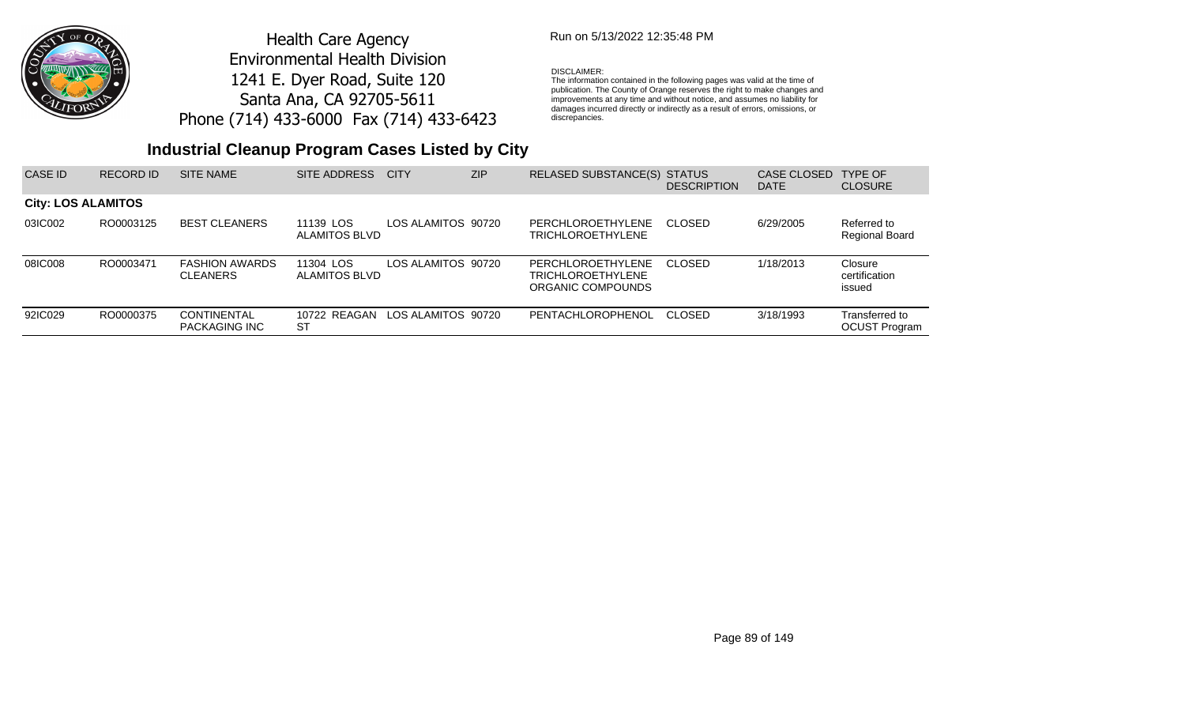

## Run on 5/13/2022 12:35:48 PM

#### DISCLAIMER:

The information contained in the following pages was valid at the time of publication. The County of Orange reserves the right to make changes and improvements at any time and without notice, and assumes no liability for damages incurred directly or indirectly as a result of errors, omissions, or discrepancies.

## **Industrial Cleanup Program Cases Listed by City**

| CASE ID                   | <b>RECORD ID</b> | <b>SITE NAME</b>                           | SITE ADDRESS                      | <b>CITY</b>        | ZIP | RELASED SUBSTANCE(S) STATUS                                               | <b>DESCRIPTION</b> | <b>CASE CLOSED</b><br><b>DATE</b> | <b>TYPE OF</b><br><b>CLOSURE</b>       |
|---------------------------|------------------|--------------------------------------------|-----------------------------------|--------------------|-----|---------------------------------------------------------------------------|--------------------|-----------------------------------|----------------------------------------|
| <b>City: LOS ALAMITOS</b> |                  |                                            |                                   |                    |     |                                                                           |                    |                                   |                                        |
| 03IC002                   | RO0003125        | <b>BEST CLEANERS</b>                       | 11139 LOS<br>ALAMITOS BLVD        | LOS ALAMITOS 90720 |     | PERCHLOROETHYLENE<br><b>TRICHLOROETHYLENE</b>                             | CLOSED             | 6/29/2005                         | Referred to<br><b>Regional Board</b>   |
| 08IC008                   | RO0003471        | <b>FASHION AWARDS</b><br><b>CLEANERS</b>   | 11304 LOS<br><b>ALAMITOS BLVD</b> | LOS ALAMITOS 90720 |     | <b>PERCHLOROETHYLENE</b><br><b>TRICHLOROETHYLENE</b><br>ORGANIC COMPOUNDS | -CLOSED            | 1/18/2013                         | Closure<br>certification<br>issued     |
| 92IC029                   | RO0000375        | <b>CONTINENTAL</b><br><b>PACKAGING INC</b> | 10722 REAGAN<br>ST                | LOS ALAMITOS 90720 |     | PENTACHLOROPHENOL                                                         | CLOSED             | 3/18/1993                         | Transferred to<br><b>OCUST Program</b> |

Page 89 of 149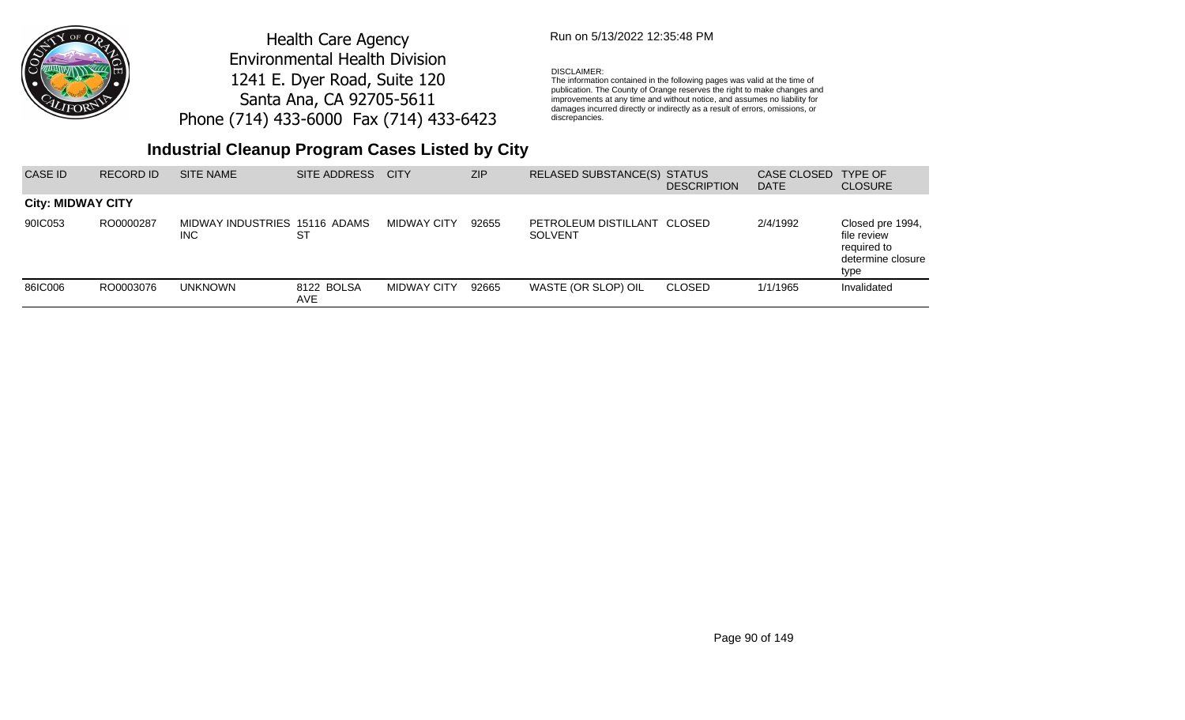

## Run on 5/13/2022 12:35:48 PM

### DISCLAIMER:

The information contained in the following pages was valid at the time of publication. The County of Orange reserves the right to make changes and improvements at any time and without notice, and assumes no liability for damages incurred directly or indirectly as a result of errors, omissions, or discrepancies.

| CASE ID                  | <b>RECORD ID</b> | <b>SITE NAME</b>                            | SITE ADDRESS       | <b>CITY</b>        | <b>ZIP</b> | RELASED SUBSTANCE(S) STATUS                   | <b>DESCRIPTION</b> | CASE CLOSED<br><b>DATE</b> | <b>TYPE OF</b><br><b>CLOSURE</b>                                            |
|--------------------------|------------------|---------------------------------------------|--------------------|--------------------|------------|-----------------------------------------------|--------------------|----------------------------|-----------------------------------------------------------------------------|
| <b>City: MIDWAY CITY</b> |                  |                                             |                    |                    |            |                                               |                    |                            |                                                                             |
| 90IC053                  | RO0000287        | MIDWAY INDUSTRIES 15116 ADAMS<br><b>INC</b> | ST                 | MIDWAY CITY        | 92655      | PETROLEUM DISTILLANT CLOSED<br><b>SOLVENT</b> |                    | 2/4/1992                   | Closed pre 1994,<br>file review<br>required to<br>determine closure<br>type |
| 86IC006                  | RO0003076        | <b>UNKNOWN</b>                              | 8122 BOLSA<br>AVE. | <b>MIDWAY CITY</b> | 92665      | WASTE (OR SLOP) OIL                           | <b>CLOSED</b>      | 1/1/1965                   | Invalidated                                                                 |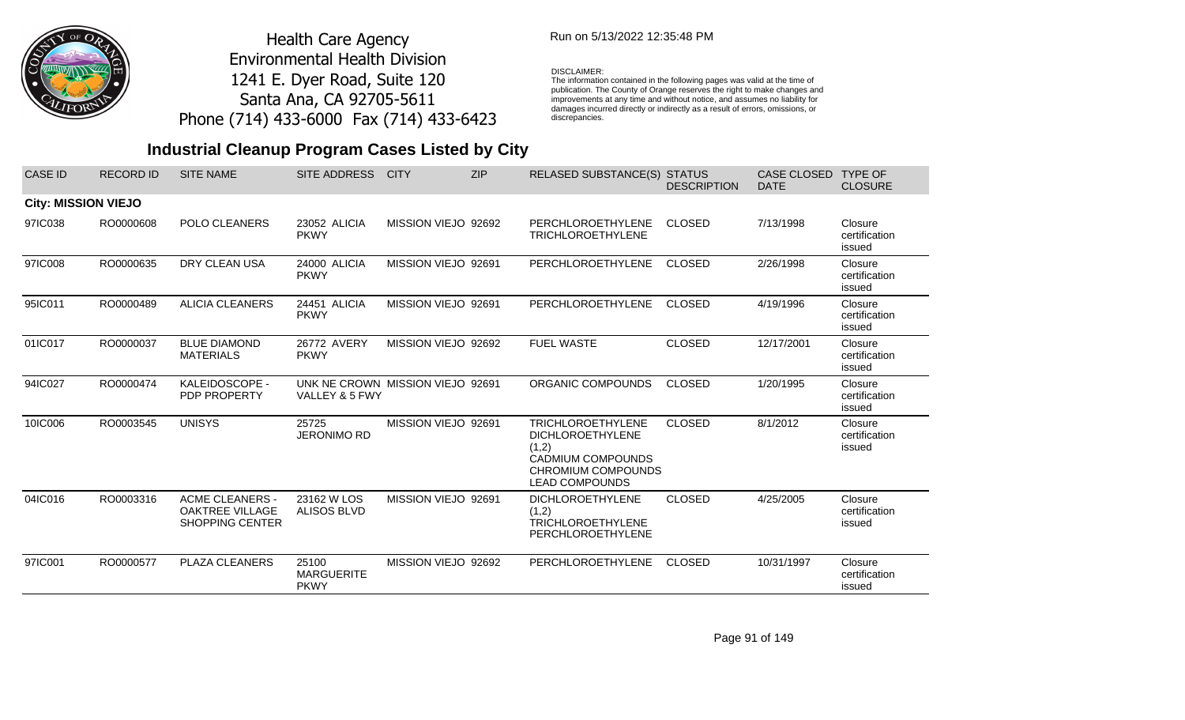

### Run on 5/13/2022 12:35:48 PM

#### DISCLAIMER:

The information contained in the following pages was valid at the time of publication. The County of Orange reserves the right to make changes and improvements at any time and without notice, and assumes no liability for damages incurred directly or indirectly as a result of errors, omissions, or discrepancies.

| <b>CASE ID</b>             | <b>RECORD ID</b> | <b>SITE NAME</b>                                                           | SITE ADDRESS                                       | <b>CITY</b>         | <b>ZIP</b> | <b>RELASED SUBSTANCE(S) STATUS</b>                                                                                               | <b>DESCRIPTION</b> | CASE CLOSED<br><b>DATE</b> | <b>TYPE OF</b><br><b>CLOSURE</b>   |
|----------------------------|------------------|----------------------------------------------------------------------------|----------------------------------------------------|---------------------|------------|----------------------------------------------------------------------------------------------------------------------------------|--------------------|----------------------------|------------------------------------|
| <b>City: MISSION VIEJO</b> |                  |                                                                            |                                                    |                     |            |                                                                                                                                  |                    |                            |                                    |
| 97IC038                    | RO0000608        | POLO CLEANERS                                                              | 23052 ALICIA<br><b>PKWY</b>                        | MISSION VIEJO 92692 |            | PERCHLOROETHYLENE<br><b>TRICHLOROETHYLENE</b>                                                                                    | <b>CLOSED</b>      | 7/13/1998                  | Closure<br>certification<br>issued |
| 97IC008                    | RO0000635        | DRY CLEAN USA                                                              | 24000 ALICIA<br><b>PKWY</b>                        | MISSION VIEJO 92691 |            | PERCHLOROETHYLENE                                                                                                                | <b>CLOSED</b>      | 2/26/1998                  | Closure<br>certification<br>issued |
| 95IC011                    | RO0000489        | <b>ALICIA CLEANERS</b>                                                     | 24451 ALICIA<br><b>PKWY</b>                        | MISSION VIEJO 92691 |            | PERCHLOROETHYLENE                                                                                                                | <b>CLOSED</b>      | 4/19/1996                  | Closure<br>certification<br>issued |
| 01IC017                    | RO0000037        | <b>BLUE DIAMOND</b><br><b>MATERIALS</b>                                    | 26772 AVERY<br><b>PKWY</b>                         | MISSION VIEJO 92692 |            | <b>FUEL WASTE</b>                                                                                                                | <b>CLOSED</b>      | 12/17/2001                 | Closure<br>certification<br>issued |
| 94IC027                    | RO0000474        | KALEIDOSCOPE -<br><b>PDP PROPERTY</b>                                      | UNK NE CROWN MISSION VIEJO 92691<br>VALLEY & 5 FWY |                     |            | ORGANIC COMPOUNDS                                                                                                                | <b>CLOSED</b>      | 1/20/1995                  | Closure<br>certification<br>issued |
| 10IC006                    | RO0003545        | <b>UNISYS</b>                                                              | 25725<br><b>JERONIMO RD</b>                        | MISSION VIEJO 92691 |            | <b>TRICHLOROETHYLENE</b><br><b>DICHLOROETHYLENE</b><br>(1,2)<br>CADMIUM COMPOUNDS<br>CHROMIUM COMPOUNDS<br><b>LEAD COMPOUNDS</b> | <b>CLOSED</b>      | 8/1/2012                   | Closure<br>certification<br>issued |
| 04IC016                    | RO0003316        | <b>ACME CLEANERS -</b><br><b>OAKTREE VILLAGE</b><br><b>SHOPPING CENTER</b> | 23162 W LOS<br><b>ALISOS BLVD</b>                  | MISSION VIEJO 92691 |            | <b>DICHLOROETHYLENE</b><br>(1,2)<br><b>TRICHLOROETHYLENE</b><br>PERCHLOROETHYLENE                                                | <b>CLOSED</b>      | 4/25/2005                  | Closure<br>certification<br>issued |
| 97IC001                    | RO0000577        | <b>PLAZA CLEANERS</b>                                                      | 25100<br><b>MARGUERITE</b><br><b>PKWY</b>          | MISSION VIEJO 92692 |            | PERCHLOROETHYLENE                                                                                                                | <b>CLOSED</b>      | 10/31/1997                 | Closure<br>certification<br>issued |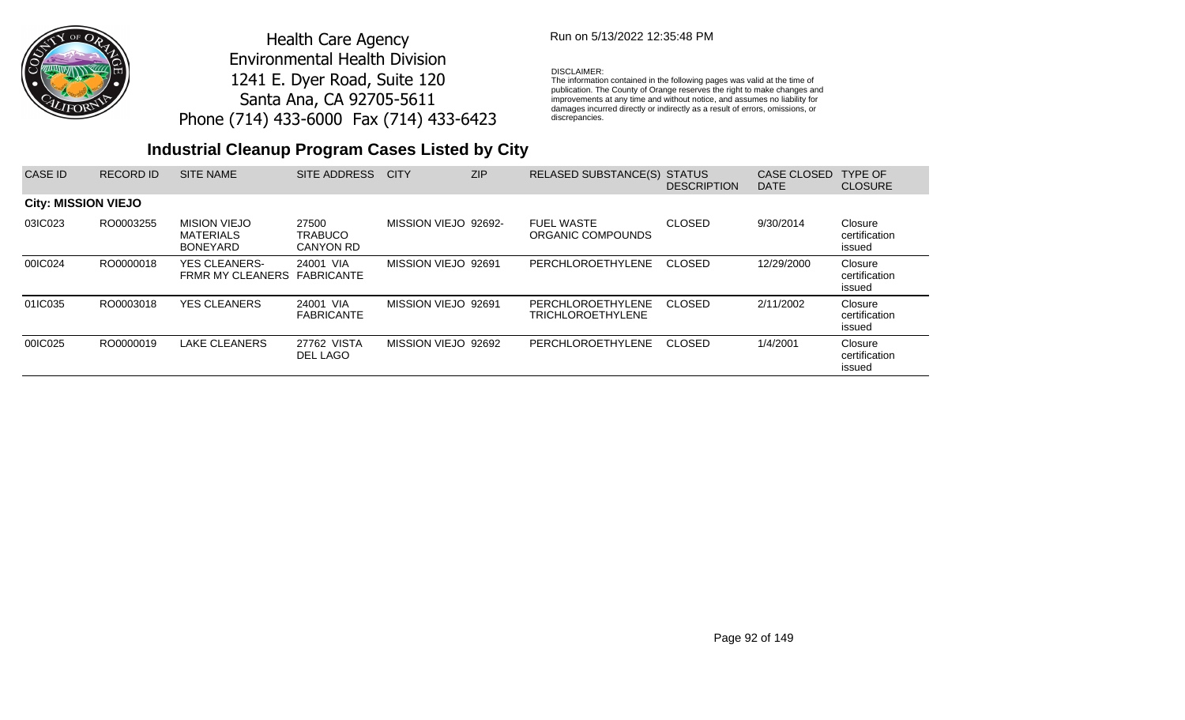

## Run on 5/13/2022 12:35:48 PM

#### DISCLAIMER:

The information contained in the following pages was valid at the time of publication. The County of Orange reserves the right to make changes and improvements at any time and without notice, and assumes no liability for damages incurred directly or indirectly as a result of errors, omissions, or discrepancies.

| <b>CASE ID</b>             | <b>RECORD ID</b> | <b>SITE NAME</b>                                           | SITE ADDRESS                         | <b>CITY</b>          | ZIP | RELASED SUBSTANCE(S)                          | <b>STATUS</b><br><b>DESCRIPTION</b> | <b>CASE CLOSED</b><br><b>DATE</b> | TYPE OF<br><b>CLOSURE</b>          |
|----------------------------|------------------|------------------------------------------------------------|--------------------------------------|----------------------|-----|-----------------------------------------------|-------------------------------------|-----------------------------------|------------------------------------|
| <b>City: MISSION VIEJO</b> |                  |                                                            |                                      |                      |     |                                               |                                     |                                   |                                    |
| 03IC023                    | RO0003255        | <b>MISION VIEJO</b><br><b>MATERIALS</b><br><b>BONEYARD</b> | 27500<br><b>TRABUCO</b><br>CANYON RD | MISSION VIEJO 92692- |     | <b>FUEL WASTE</b><br>ORGANIC COMPOUNDS        | <b>CLOSED</b>                       | 9/30/2014                         | Closure<br>certification<br>issued |
| 00IC024                    | RO0000018        | <b>YES CLEANERS-</b><br><b>FRMR MY CLEANERS</b>            | 24001 VIA<br>FABRICANTE              | MISSION VIEJO 92691  |     | PERCHLOROETHYLENE                             | <b>CLOSED</b>                       | 12/29/2000                        | Closure<br>certification<br>issued |
| 01IC035                    | RO0003018        | <b>YES CLEANERS</b>                                        | 24001 VIA<br><b>FABRICANTE</b>       | MISSION VIEJO 92691  |     | PERCHLOROETHYLENE<br><b>TRICHLOROETHYLENE</b> | <b>CLOSED</b>                       | 2/11/2002                         | Closure<br>certification<br>issued |
| 00IC025                    | RO0000019        | LAKE CLEANERS                                              | 27762 VISTA<br>DEL LAGO              | MISSION VIEJO 92692  |     | PERCHLOROETHYLENE                             | <b>CLOSED</b>                       | 1/4/2001                          | Closure<br>certification<br>issued |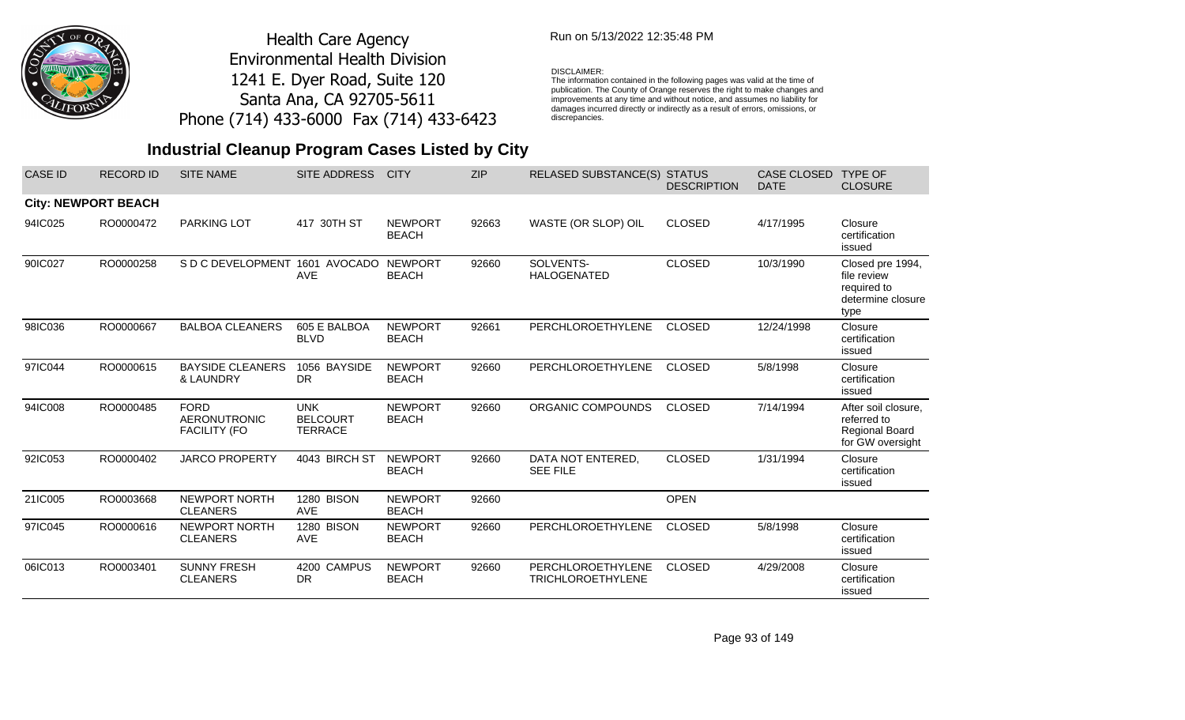

## Run on 5/13/2022 12:35:48 PM

#### DISCLAIMER:

The information contained in the following pages was valid at the time of publication. The County of Orange reserves the right to make changes and improvements at any time and without notice, and assumes no liability for damages incurred directly or indirectly as a result of errors, omissions, or discrepancies.

| <b>CASE ID</b> | <b>RECORD ID</b>           | <b>SITE NAME</b>                                          | <b>SITE ADDRESS</b>                             | <b>CITY</b>                    | <b>ZIP</b> | <b>RELASED SUBSTANCE(S)</b>                   | <b>STATUS</b><br><b>DESCRIPTION</b> | <b>CASE CLOSED</b><br><b>DATE</b> | <b>TYPE OF</b><br><b>CLOSURE</b>                                            |
|----------------|----------------------------|-----------------------------------------------------------|-------------------------------------------------|--------------------------------|------------|-----------------------------------------------|-------------------------------------|-----------------------------------|-----------------------------------------------------------------------------|
|                | <b>City: NEWPORT BEACH</b> |                                                           |                                                 |                                |            |                                               |                                     |                                   |                                                                             |
| 94IC025        | RO0000472                  | <b>PARKING LOT</b>                                        | 417 30TH ST                                     | <b>NEWPORT</b><br><b>BEACH</b> | 92663      | WASTE (OR SLOP) OIL                           | <b>CLOSED</b>                       | 4/17/1995                         | Closure<br>certification<br>issued                                          |
| 90IC027        | RO0000258                  | S D C DEVELOPMENT                                         | 1601 AVOCADO<br><b>AVE</b>                      | <b>NEWPORT</b><br><b>BEACH</b> | 92660      | SOLVENTS-<br><b>HALOGENATED</b>               | <b>CLOSED</b>                       | 10/3/1990                         | Closed pre 1994,<br>file review<br>required to<br>determine closure<br>type |
| 98IC036        | RO0000667                  | <b>BALBOA CLEANERS</b>                                    | 605 E BALBOA<br><b>BLVD</b>                     | <b>NEWPORT</b><br><b>BEACH</b> | 92661      | PERCHLOROETHYLENE                             | <b>CLOSED</b>                       | 12/24/1998                        | Closure<br>certification<br>issued                                          |
| 97IC044        | RO0000615                  | <b>BAYSIDE CLEANERS</b><br>& LAUNDRY                      | 1056 BAYSIDE<br><b>DR</b>                       | <b>NEWPORT</b><br><b>BEACH</b> | 92660      | PERCHLOROETHYLENE                             | <b>CLOSED</b>                       | 5/8/1998                          | Closure<br>certification<br>issued                                          |
| 94IC008        | RO0000485                  | <b>FORD</b><br><b>AERONUTRONIC</b><br><b>FACILITY (FO</b> | <b>UNK</b><br><b>BELCOURT</b><br><b>TERRACE</b> | <b>NEWPORT</b><br><b>BEACH</b> | 92660      | ORGANIC COMPOUNDS                             | <b>CLOSED</b>                       | 7/14/1994                         | After soil closure,<br>referred to<br>Regional Board<br>for GW oversight    |
| 92IC053        | RO0000402                  | <b>JARCO PROPERTY</b>                                     | 4043 BIRCH ST                                   | <b>NEWPORT</b><br><b>BEACH</b> | 92660      | DATA NOT ENTERED,<br><b>SEE FILE</b>          | <b>CLOSED</b>                       | 1/31/1994                         | Closure<br>certification<br>issued                                          |
| 21IC005        | RO0003668                  | NEWPORT NORTH<br><b>CLEANERS</b>                          | 1280 BISON<br><b>AVE</b>                        | <b>NEWPORT</b><br><b>BEACH</b> | 92660      |                                               | <b>OPEN</b>                         |                                   |                                                                             |
| 97IC045        | RO0000616                  | NEWPORT NORTH<br><b>CLEANERS</b>                          | 1280 BISON<br><b>AVE</b>                        | <b>NEWPORT</b><br><b>BEACH</b> | 92660      | PERCHLOROETHYLENE                             | <b>CLOSED</b>                       | 5/8/1998                          | Closure<br>certification<br>issued                                          |
| 06IC013        | RO0003401                  | <b>SUNNY FRESH</b><br><b>CLEANERS</b>                     | 4200 CAMPUS<br><b>DR</b>                        | <b>NEWPORT</b><br><b>BEACH</b> | 92660      | PERCHLOROETHYLENE<br><b>TRICHLOROETHYLENE</b> | <b>CLOSED</b>                       | 4/29/2008                         | Closure<br>certification<br>issued                                          |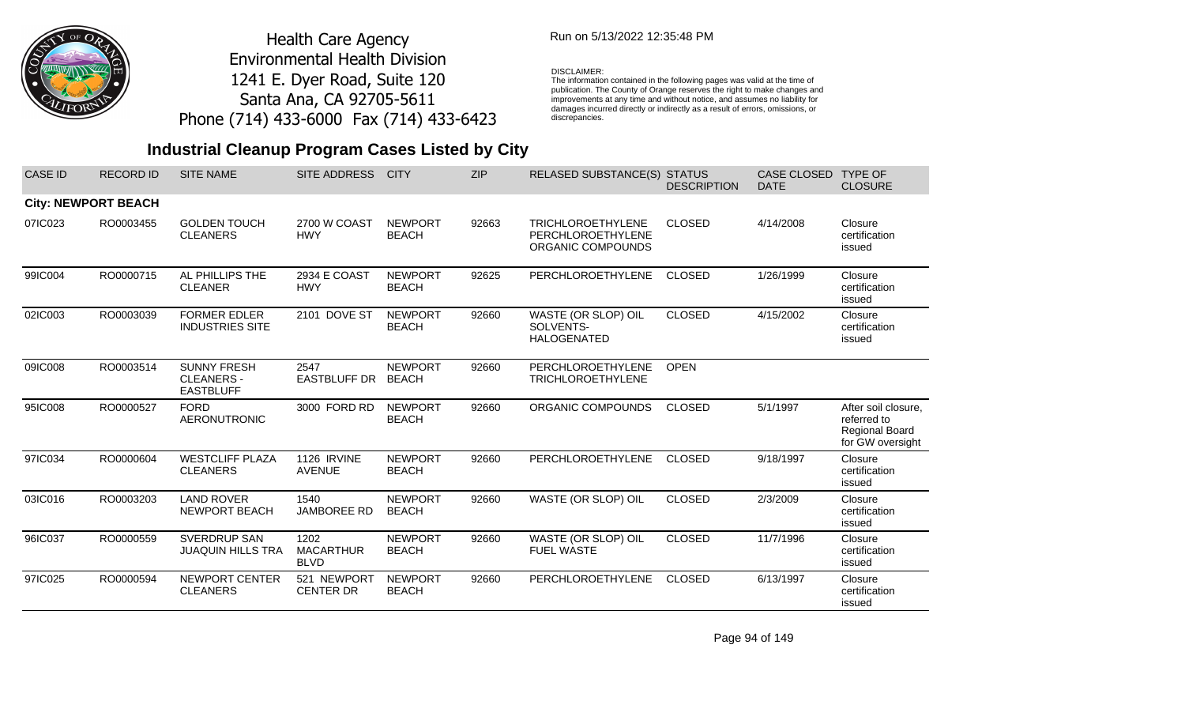

### Run on 5/13/2022 12:35:48 PM

#### DISCLAIMER:

The information contained in the following pages was valid at the time of publication. The County of Orange reserves the right to make changes and improvements at any time and without notice, and assumes no liability for damages incurred directly or indirectly as a result of errors, omissions, or discrepancies.

## **Industrial Cleanup Program Cases Listed by City**

| <b>CASE ID</b> | <b>RECORD ID</b>           | <b>SITE NAME</b>                                            | SITE ADDRESS                            | <b>CITY</b>                    | <b>ZIP</b> | RELASED SUBSTANCE(S) STATUS                                        | <b>DESCRIPTION</b> | <b>CASE CLOSED</b><br><b>DATE</b> | <b>TYPE OF</b><br><b>CLOSURE</b>                                                |
|----------------|----------------------------|-------------------------------------------------------------|-----------------------------------------|--------------------------------|------------|--------------------------------------------------------------------|--------------------|-----------------------------------|---------------------------------------------------------------------------------|
|                | <b>City: NEWPORT BEACH</b> |                                                             |                                         |                                |            |                                                                    |                    |                                   |                                                                                 |
| 07IC023        | RO0003455                  | <b>GOLDEN TOUCH</b><br><b>CLEANERS</b>                      | 2700 W COAST<br><b>HWY</b>              | <b>NEWPORT</b><br><b>BEACH</b> | 92663      | <b>TRICHLOROETHYLENE</b><br>PERCHLOROETHYLENE<br>ORGANIC COMPOUNDS | <b>CLOSED</b>      | 4/14/2008                         | Closure<br>certification<br>issued                                              |
| 99IC004        | RO0000715                  | AL PHILLIPS THE<br><b>CLEANER</b>                           | 2934 E COAST<br><b>HWY</b>              | <b>NEWPORT</b><br><b>BEACH</b> | 92625      | PERCHLOROETHYLENE                                                  | <b>CLOSED</b>      | 1/26/1999                         | Closure<br>certification<br>issued                                              |
| 02IC003        | RO0003039                  | <b>FORMER EDLER</b><br><b>INDUSTRIES SITE</b>               | 2101 DOVE ST                            | <b>NEWPORT</b><br><b>BEACH</b> | 92660      | WASTE (OR SLOP) OIL<br>SOLVENTS-<br><b>HALOGENATED</b>             | <b>CLOSED</b>      | 4/15/2002                         | Closure<br>certification<br>issued                                              |
| 09IC008        | RO0003514                  | <b>SUNNY FRESH</b><br><b>CLEANERS -</b><br><b>EASTBLUFF</b> | 2547<br><b>EASTBLUFF DR</b>             | <b>NEWPORT</b><br><b>BEACH</b> | 92660      | PERCHLOROETHYLENE<br><b>TRICHLOROETHYLENE</b>                      | <b>OPEN</b>        |                                   |                                                                                 |
| 95IC008        | RO0000527                  | <b>FORD</b><br><b>AERONUTRONIC</b>                          | 3000 FORD RD                            | <b>NEWPORT</b><br><b>BEACH</b> | 92660      | ORGANIC COMPOUNDS                                                  | <b>CLOSED</b>      | 5/1/1997                          | After soil closure,<br>referred to<br><b>Regional Board</b><br>for GW oversight |
| 97IC034        | RO0000604                  | <b>WESTCLIFF PLAZA</b><br><b>CLEANERS</b>                   | <b>1126 IRVINE</b><br><b>AVENUE</b>     | <b>NEWPORT</b><br><b>BEACH</b> | 92660      | PERCHLOROETHYLENE                                                  | <b>CLOSED</b>      | 9/18/1997                         | Closure<br>certification<br>issued                                              |
| 03IC016        | RO0003203                  | <b>LAND ROVER</b><br><b>NEWPORT BEACH</b>                   | 1540<br><b>JAMBOREE RD</b>              | <b>NEWPORT</b><br><b>BEACH</b> | 92660      | WASTE (OR SLOP) OIL                                                | <b>CLOSED</b>      | 2/3/2009                          | Closure<br>certification<br>issued                                              |
| 96IC037        | RO0000559                  | <b>SVERDRUP SAN</b><br><b>JUAQUIN HILLS TRA</b>             | 1202<br><b>MACARTHUR</b><br><b>BLVD</b> | <b>NEWPORT</b><br><b>BEACH</b> | 92660      | WASTE (OR SLOP) OIL<br><b>FUEL WASTE</b>                           | <b>CLOSED</b>      | 11/7/1996                         | Closure<br>certification<br>issued                                              |
| 97IC025        | RO0000594                  | NEWPORT CENTER<br><b>CLEANERS</b>                           | 521 NEWPORT<br><b>CENTER DR</b>         | <b>NEWPORT</b><br><b>BEACH</b> | 92660      | PERCHLOROETHYLENE                                                  | <b>CLOSED</b>      | 6/13/1997                         | Closure<br>certification<br>issued                                              |

Page 94 of 149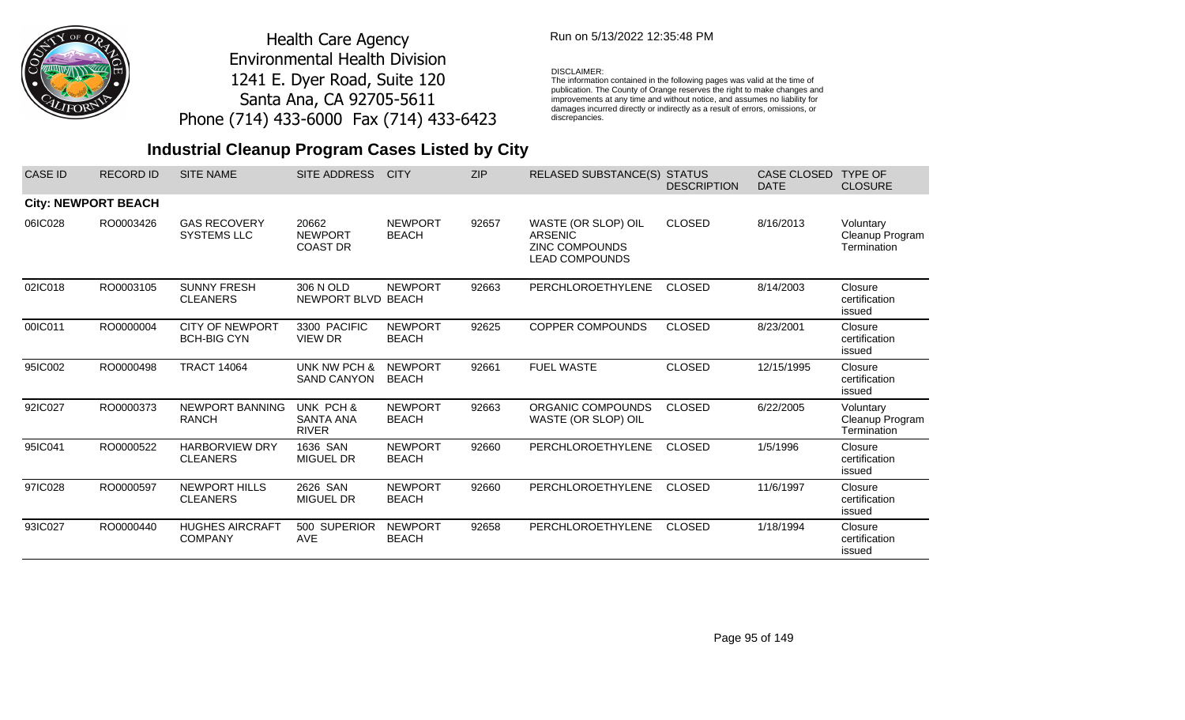

## Run on 5/13/2022 12:35:48 PM

### DISCLAIMER:

The information contained in the following pages was valid at the time of publication. The County of Orange reserves the right to make changes and improvements at any time and without notice, and assumes no liability for damages incurred directly or indirectly as a result of errors, omissions, or discrepancies.

## **Industrial Cleanup Program Cases Listed by City**

| <b>CASE ID</b> | <b>RECORD ID</b>           | <b>SITE NAME</b>                             | <b>SITE ADDRESS</b>                        | <b>CITY</b>                    | <b>ZIP</b> | <b>RELASED SUBSTANCE(S)</b>                                                             | <b>STATUS</b><br><b>DESCRIPTION</b> | <b>CASE CLOSED</b><br><b>DATE</b> | <b>TYPE OF</b><br><b>CLOSURE</b>            |
|----------------|----------------------------|----------------------------------------------|--------------------------------------------|--------------------------------|------------|-----------------------------------------------------------------------------------------|-------------------------------------|-----------------------------------|---------------------------------------------|
|                | <b>City: NEWPORT BEACH</b> |                                              |                                            |                                |            |                                                                                         |                                     |                                   |                                             |
| 06IC028        | RO0003426                  | <b>GAS RECOVERY</b><br><b>SYSTEMS LLC</b>    | 20662<br><b>NEWPORT</b><br><b>COAST DR</b> | <b>NEWPORT</b><br><b>BEACH</b> | 92657      | WASTE (OR SLOP) OIL<br><b>ARSENIC</b><br><b>ZINC COMPOUNDS</b><br><b>LEAD COMPOUNDS</b> | <b>CLOSED</b>                       | 8/16/2013                         | Voluntary<br>Cleanup Program<br>Termination |
| 02IC018        | RO0003105                  | <b>SUNNY FRESH</b><br><b>CLEANERS</b>        | 306 N OLD<br>NEWPORT BLVD BEACH            | <b>NEWPORT</b>                 | 92663      | PERCHLOROETHYLENE                                                                       | <b>CLOSED</b>                       | 8/14/2003                         | Closure<br>certification<br>issued          |
| 00IC011        | RO0000004                  | <b>CITY OF NEWPORT</b><br><b>BCH-BIG CYN</b> | 3300 PACIFIC<br><b>VIEW DR</b>             | <b>NEWPORT</b><br><b>BEACH</b> | 92625      | <b>COPPER COMPOUNDS</b>                                                                 | <b>CLOSED</b>                       | 8/23/2001                         | Closure<br>certification<br>issued          |
| 95IC002        | RO0000498                  | <b>TRACT 14064</b>                           | UNK NW PCH &<br><b>SAND CANYON</b>         | <b>NEWPORT</b><br><b>BEACH</b> | 92661      | <b>FUEL WASTE</b>                                                                       | <b>CLOSED</b>                       | 12/15/1995                        | Closure<br>certification<br>issued          |
| 92IC027        | RO0000373                  | NEWPORT BANNING<br><b>RANCH</b>              | UNK PCH &<br>SANTA ANA<br><b>RIVER</b>     | <b>NEWPORT</b><br><b>BEACH</b> | 92663      | ORGANIC COMPOUNDS<br>WASTE (OR SLOP) OIL                                                | <b>CLOSED</b>                       | 6/22/2005                         | Voluntary<br>Cleanup Program<br>Termination |
| 95IC041        | RO0000522                  | <b>HARBORVIEW DRY</b><br><b>CLEANERS</b>     | 1636 SAN<br><b>MIGUEL DR</b>               | <b>NEWPORT</b><br><b>BEACH</b> | 92660      | PERCHLOROETHYLENE                                                                       | <b>CLOSED</b>                       | 1/5/1996                          | Closure<br>certification<br>issued          |
| 97IC028        | RO0000597                  | <b>NEWPORT HILLS</b><br><b>CLEANERS</b>      | 2626 SAN<br><b>MIGUEL DR</b>               | <b>NEWPORT</b><br><b>BEACH</b> | 92660      | PERCHLOROETHYLENE                                                                       | <b>CLOSED</b>                       | 11/6/1997                         | Closure<br>certification<br>issued          |
| 93IC027        | RO0000440                  | <b>HUGHES AIRCRAFT</b><br><b>COMPANY</b>     | 500 SUPERIOR<br><b>AVE</b>                 | <b>NEWPORT</b><br><b>BEACH</b> | 92658      | PERCHLOROETHYLENE                                                                       | <b>CLOSED</b>                       | 1/18/1994                         | Closure<br>certification<br>issued          |

Page 95 of 149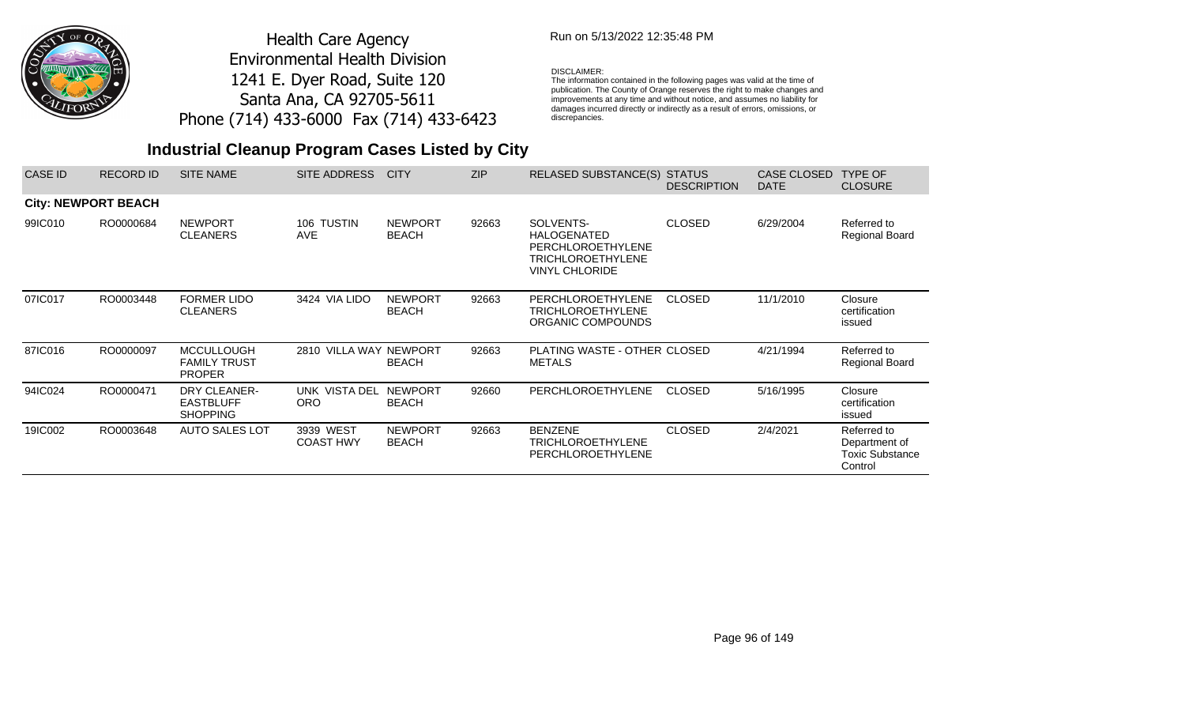

## Run on 5/13/2022 12:35:48 PM

#### DISCLAIMER:

The information contained in the following pages was valid at the time of publication. The County of Orange reserves the right to make changes and improvements at any time and without notice, and assumes no liability for damages incurred directly or indirectly as a result of errors, omissions, or discrepancies.

| CASE ID                    | <b>RECORD ID</b> | <b>SITE NAME</b>                                          | SITE ADDRESS                  | <b>CITY</b>                    | <b>ZIP</b> | RELASED SUBSTANCE(S) STATUS                                                                                      | <b>DESCRIPTION</b> | CASE CLOSED<br><b>DATE</b> | <b>TYPE OF</b><br><b>CLOSURE</b>                                  |
|----------------------------|------------------|-----------------------------------------------------------|-------------------------------|--------------------------------|------------|------------------------------------------------------------------------------------------------------------------|--------------------|----------------------------|-------------------------------------------------------------------|
| <b>City: NEWPORT BEACH</b> |                  |                                                           |                               |                                |            |                                                                                                                  |                    |                            |                                                                   |
| 99IC010                    | RO0000684        | <b>NEWPORT</b><br><b>CLEANERS</b>                         | 106 TUSTIN<br><b>AVE</b>      | <b>NEWPORT</b><br><b>BEACH</b> | 92663      | SOLVENTS-<br><b>HALOGENATED</b><br><b>PERCHLOROETHYLENE</b><br><b>TRICHLOROETHYLENE</b><br><b>VINYL CHLORIDE</b> | <b>CLOSED</b>      | 6/29/2004                  | Referred to<br>Regional Board                                     |
| 07IC017                    | RO0003448        | <b>FORMER LIDO</b><br><b>CLEANERS</b>                     | 3424 VIA LIDO                 | <b>NEWPORT</b><br><b>BEACH</b> | 92663      | PERCHLOROETHYLENE<br><b>TRICHLOROETHYLENE</b><br>ORGANIC COMPOUNDS                                               | <b>CLOSED</b>      | 11/1/2010                  | Closure<br>certification<br>issued                                |
| 87IC016                    | RO0000097        | <b>MCCULLOUGH</b><br><b>FAMILY TRUST</b><br><b>PROPER</b> | 2810 VILLA WAY NEWPORT        | <b>BEACH</b>                   | 92663      | PLATING WASTE - OTHER CLOSED<br><b>METALS</b>                                                                    |                    | 4/21/1994                  | Referred to<br>Regional Board                                     |
| 94IC024                    | RO0000471        | DRY CLEANER-<br><b>EASTBLUFF</b><br><b>SHOPPING</b>       | UNK VISTA DEL<br><b>ORO</b>   | <b>NEWPORT</b><br><b>BEACH</b> | 92660      | <b>PERCHLOROETHYLENE</b>                                                                                         | <b>CLOSED</b>      | 5/16/1995                  | Closure<br>certification<br>issued                                |
| 19IC002                    | RO0003648        | AUTO SALES LOT                                            | 3939 WEST<br><b>COAST HWY</b> | <b>NEWPORT</b><br><b>BEACH</b> | 92663      | <b>BENZENE</b><br><b>TRICHLOROETHYLENE</b><br><b>PERCHLOROETHYLENE</b>                                           | <b>CLOSED</b>      | 2/4/2021                   | Referred to<br>Department of<br><b>Toxic Substance</b><br>Control |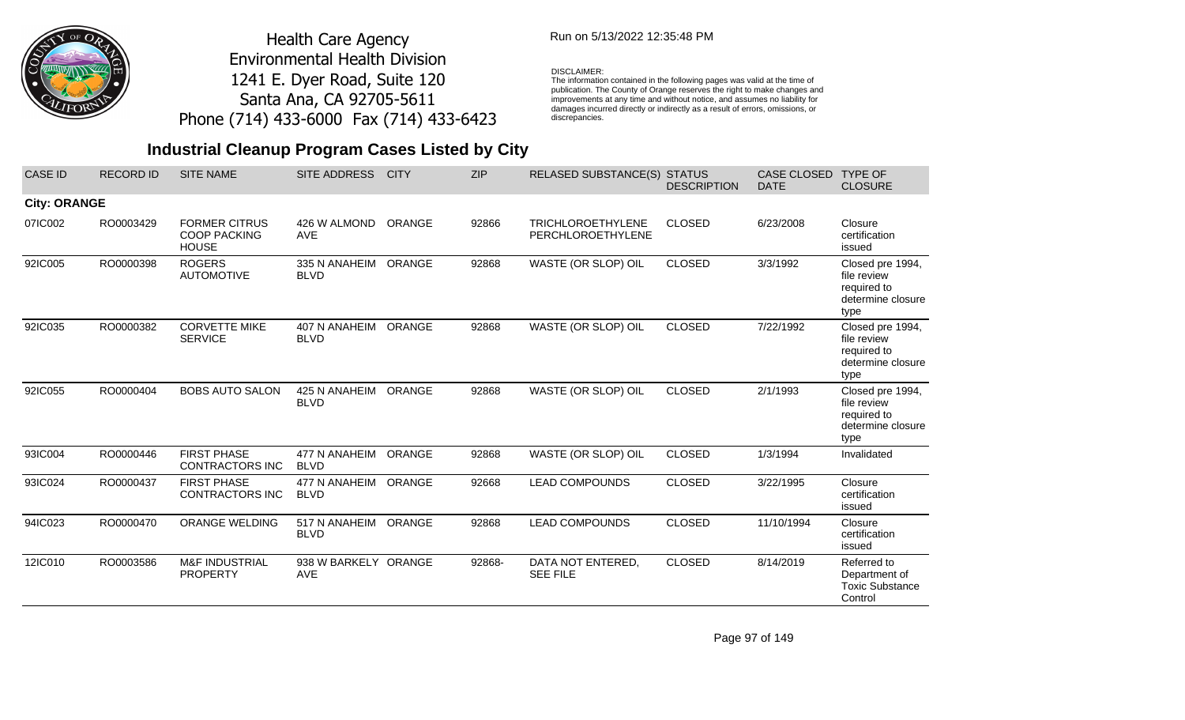

## Run on 5/13/2022 12:35:48 PM

### DISCLAIMER:

The information contained in the following pages was valid at the time of publication. The County of Orange reserves the right to make changes and improvements at any time and without notice, and assumes no liability for damages incurred directly or indirectly as a result of errors, omissions, or discrepancies.

## **Industrial Cleanup Program Cases Listed by City**

| <b>CASE ID</b>      | <b>RECORD ID</b> | <b>SITE NAME</b>                                            | <b>SITE ADDRESS</b>          | <b>CITY</b> | <b>ZIP</b> | <b>RELASED SUBSTANCE(S)</b>                   | <b>STATUS</b><br><b>DESCRIPTION</b> | <b>CASE CLOSED</b><br><b>DATE</b> | <b>TYPE OF</b><br><b>CLOSURE</b>                                            |
|---------------------|------------------|-------------------------------------------------------------|------------------------------|-------------|------------|-----------------------------------------------|-------------------------------------|-----------------------------------|-----------------------------------------------------------------------------|
| <b>City: ORANGE</b> |                  |                                                             |                              |             |            |                                               |                                     |                                   |                                                                             |
| 07IC002             | RO0003429        | <b>FORMER CITRUS</b><br><b>COOP PACKING</b><br><b>HOUSE</b> | 426 W ALMOND<br><b>AVE</b>   | ORANGE      | 92866      | <b>TRICHLOROETHYLENE</b><br>PERCHLOROETHYLENE | <b>CLOSED</b>                       | 6/23/2008                         | Closure<br>certification<br>issued                                          |
| 92IC005             | RO0000398        | <b>ROGERS</b><br><b>AUTOMOTIVE</b>                          | 335 N ANAHEIM<br><b>BLVD</b> | ORANGE      | 92868      | WASTE (OR SLOP) OIL                           | <b>CLOSED</b>                       | 3/3/1992                          | Closed pre 1994,<br>file review<br>required to<br>determine closure<br>type |
| 92IC035             | RO0000382        | <b>CORVETTE MIKE</b><br><b>SERVICE</b>                      | 407 N ANAHEIM<br><b>BLVD</b> | ORANGE      | 92868      | WASTE (OR SLOP) OIL                           | <b>CLOSED</b>                       | 7/22/1992                         | Closed pre 1994,<br>file review<br>required to<br>determine closure<br>type |
| 92IC055             | RO0000404        | <b>BOBS AUTO SALON</b>                                      | 425 N ANAHEIM<br><b>BLVD</b> | ORANGE      | 92868      | WASTE (OR SLOP) OIL                           | <b>CLOSED</b>                       | 2/1/1993                          | Closed pre 1994,<br>file review<br>required to<br>determine closure<br>type |
| 93IC004             | RO0000446        | <b>FIRST PHASE</b><br><b>CONTRACTORS INC</b>                | 477 N ANAHEIM<br><b>BLVD</b> | ORANGE      | 92868      | WASTE (OR SLOP) OIL                           | <b>CLOSED</b>                       | 1/3/1994                          | Invalidated                                                                 |
| 93IC024             | RO0000437        | <b>FIRST PHASE</b><br><b>CONTRACTORS INC</b>                | 477 N ANAHEIM<br><b>BLVD</b> | ORANGE      | 92668      | <b>LEAD COMPOUNDS</b>                         | <b>CLOSED</b>                       | 3/22/1995                         | Closure<br>certification<br>issued                                          |
| 94IC023             | RO0000470        | <b>ORANGE WELDING</b>                                       | 517 N ANAHEIM<br><b>BLVD</b> | ORANGE      | 92868      | <b>LEAD COMPOUNDS</b>                         | <b>CLOSED</b>                       | 11/10/1994                        | Closure<br>certification<br>issued                                          |
| 12IC010             | RO0003586        | <b>M&amp;F INDUSTRIAL</b><br><b>PROPERTY</b>                | 938 W BARKELY ORANGE<br>AVE  |             | 92868-     | DATA NOT ENTERED,<br><b>SEE FILE</b>          | <b>CLOSED</b>                       | 8/14/2019                         | Referred to<br>Department of<br><b>Toxic Substance</b><br>Control           |

Page 97 of 149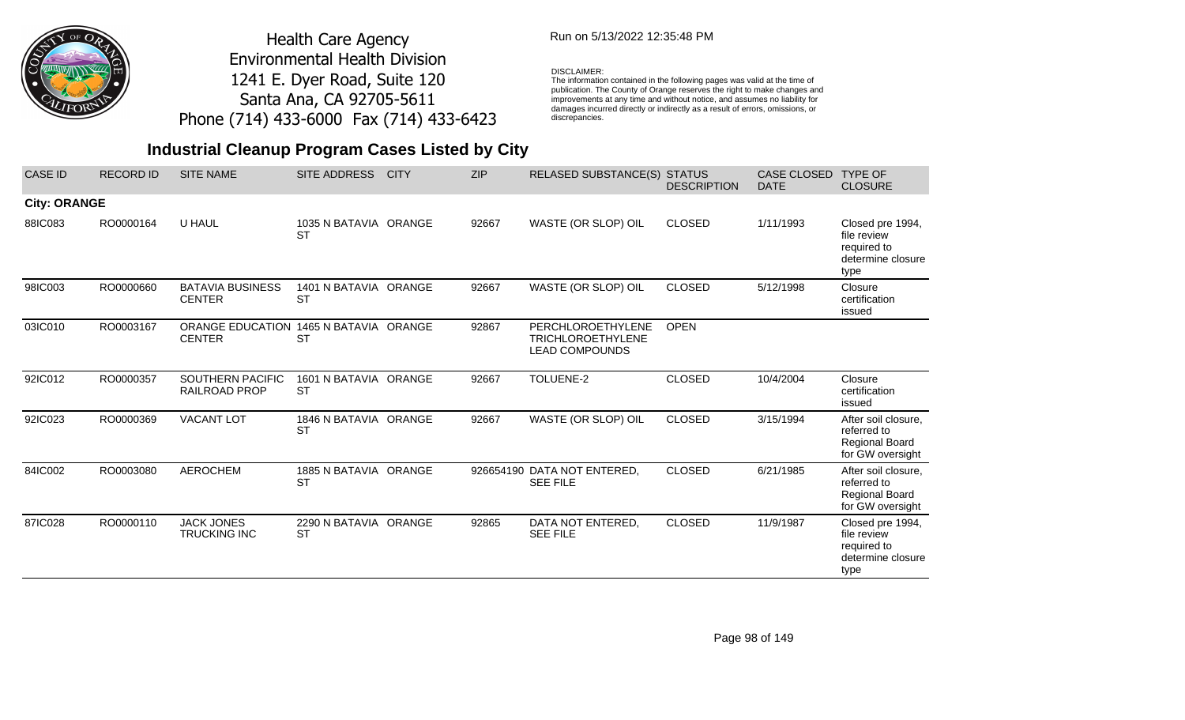

## Run on 5/13/2022 12:35:48 PM

### DISCLAIMER:

The information contained in the following pages was valid at the time of publication. The County of Orange reserves the right to make changes and improvements at any time and without notice, and assumes no liability for damages incurred directly or indirectly as a result of errors, omissions, or discrepancies.

| <b>CASE ID</b>      | <b>RECORD ID</b> | <b>SITE NAME</b>                                        | <b>SITE ADDRESS</b>                | <b>CITY</b> | <b>ZIP</b> | <b>RELASED SUBSTANCE(S) STATUS</b>                                     | <b>DESCRIPTION</b> | <b>CASE CLOSED</b><br><b>DATE</b> | <b>TYPE OF</b><br><b>CLOSURE</b>                                                |
|---------------------|------------------|---------------------------------------------------------|------------------------------------|-------------|------------|------------------------------------------------------------------------|--------------------|-----------------------------------|---------------------------------------------------------------------------------|
| <b>City: ORANGE</b> |                  |                                                         |                                    |             |            |                                                                        |                    |                                   |                                                                                 |
| 88IC083             | RO0000164        | U HAUL                                                  | 1035 N BATAVIA ORANGE<br><b>ST</b> |             | 92667      | WASTE (OR SLOP) OIL                                                    | <b>CLOSED</b>      | 1/11/1993                         | Closed pre 1994,<br>file review<br>required to<br>determine closure<br>type     |
| 98IC003             | RO0000660        | <b>BATAVIA BUSINESS</b><br><b>CENTER</b>                | 1401 N BATAVIA ORANGE<br><b>ST</b> |             | 92667      | WASTE (OR SLOP) OIL                                                    | <b>CLOSED</b>      | 5/12/1998                         | Closure<br>certification<br>issued                                              |
| 03IC010             | RO0003167        | ORANGE EDUCATION 1465 N BATAVIA ORANGE<br><b>CENTER</b> | <b>ST</b>                          |             | 92867      | PERCHLOROETHYLENE<br><b>TRICHLOROETHYLENE</b><br><b>LEAD COMPOUNDS</b> | <b>OPEN</b>        |                                   |                                                                                 |
| 92IC012             | RO0000357        | <b>SOUTHERN PACIFIC</b><br>RAILROAD PROP                | 1601 N BATAVIA ORANGE<br><b>ST</b> |             | 92667      | TOLUENE-2                                                              | <b>CLOSED</b>      | 10/4/2004                         | Closure<br>certification<br>issued                                              |
| 92IC023             | RO0000369        | <b>VACANT LOT</b>                                       | 1846 N BATAVIA ORANGE<br><b>ST</b> |             | 92667      | WASTE (OR SLOP) OIL                                                    | <b>CLOSED</b>      | 3/15/1994                         | After soil closure,<br>referred to<br><b>Regional Board</b><br>for GW oversight |
| 84IC002             | RO0003080        | <b>AEROCHEM</b>                                         | 1885 N BATAVIA ORANGE<br><b>ST</b> |             |            | 926654190 DATA NOT ENTERED,<br><b>SEE FILE</b>                         | <b>CLOSED</b>      | 6/21/1985                         | After soil closure,<br>referred to<br><b>Regional Board</b><br>for GW oversight |
| 87IC028             | RO0000110        | <b>JACK JONES</b><br><b>TRUCKING INC</b>                | 2290 N BATAVIA ORANGE<br><b>ST</b> |             | 92865      | DATA NOT ENTERED,<br><b>SEE FILE</b>                                   | <b>CLOSED</b>      | 11/9/1987                         | Closed pre 1994,<br>file review<br>required to<br>determine closure<br>type     |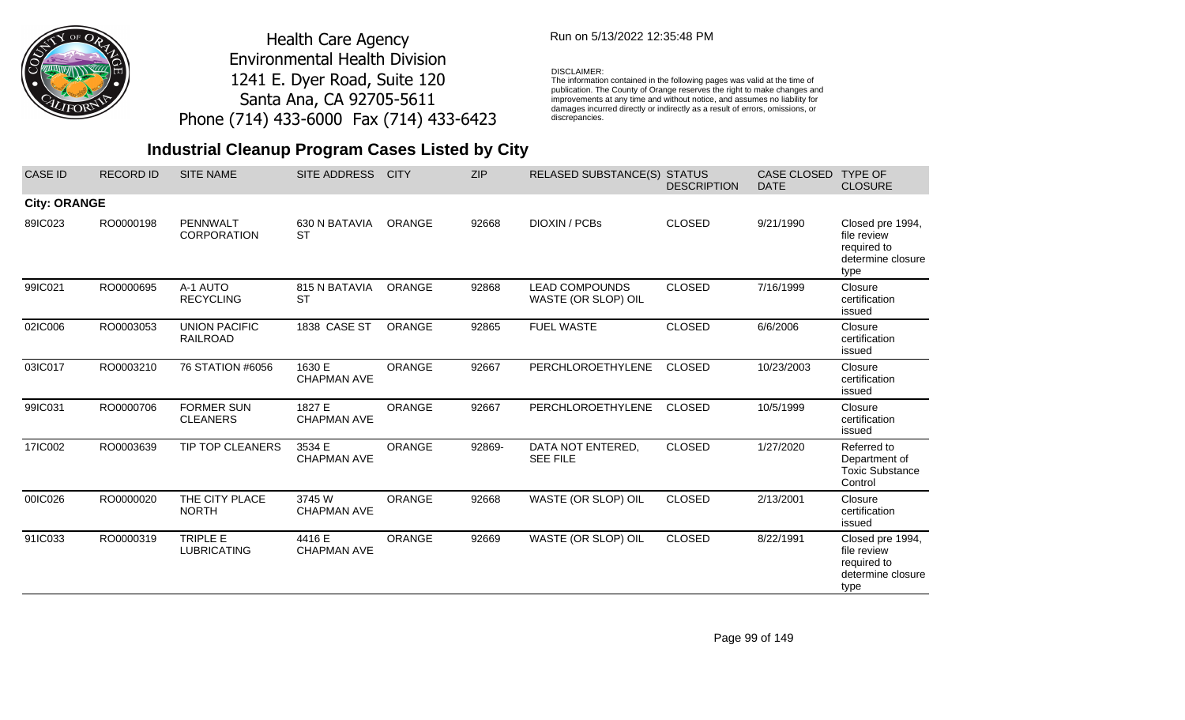

## Run on 5/13/2022 12:35:48 PM

### DISCLAIMER:

The information contained in the following pages was valid at the time of publication. The County of Orange reserves the right to make changes and improvements at any time and without notice, and assumes no liability for damages incurred directly or indirectly as a result of errors, omissions, or discrepancies.

## **Industrial Cleanup Program Cases Listed by City**

| <b>CASE ID</b>      | <b>RECORD ID</b> | <b>SITE NAME</b>                        | SITE ADDRESS                 | <b>CITY</b>   | <b>ZIP</b> | <b>RELASED SUBSTANCE(S)</b>                  | <b>STATUS</b><br><b>DESCRIPTION</b> | CASE CLOSED<br><b>DATE</b> | <b>TYPE OF</b><br><b>CLOSURE</b>                                            |
|---------------------|------------------|-----------------------------------------|------------------------------|---------------|------------|----------------------------------------------|-------------------------------------|----------------------------|-----------------------------------------------------------------------------|
| <b>City: ORANGE</b> |                  |                                         |                              |               |            |                                              |                                     |                            |                                                                             |
| 89IC023             | RO0000198        | PENNWALT<br><b>CORPORATION</b>          | 630 N BATAVIA<br><b>ST</b>   | <b>ORANGE</b> | 92668      | DIOXIN / PCBs                                | <b>CLOSED</b>                       | 9/21/1990                  | Closed pre 1994,<br>file review<br>required to<br>determine closure<br>type |
| 99IC021             | RO0000695        | A-1 AUTO<br><b>RECYCLING</b>            | 815 N BATAVIA<br><b>ST</b>   | ORANGE        | 92868      | <b>LEAD COMPOUNDS</b><br>WASTE (OR SLOP) OIL | <b>CLOSED</b>                       | 7/16/1999                  | Closure<br>certification<br>issued                                          |
| 02IC006             | RO0003053        | <b>UNION PACIFIC</b><br><b>RAILROAD</b> | 1838 CASE ST                 | ORANGE        | 92865      | <b>FUEL WASTE</b>                            | <b>CLOSED</b>                       | 6/6/2006                   | Closure<br>certification<br>issued                                          |
| 03IC017             | RO0003210        | 76 STATION #6056                        | 1630 E<br><b>CHAPMAN AVE</b> | ORANGE        | 92667      | PERCHLOROETHYLENE                            | <b>CLOSED</b>                       | 10/23/2003                 | Closure<br>certification<br>issued                                          |
| 99IC031             | RO0000706        | <b>FORMER SUN</b><br><b>CLEANERS</b>    | 1827 E<br><b>CHAPMAN AVE</b> | ORANGE        | 92667      | PERCHLOROETHYLENE                            | <b>CLOSED</b>                       | 10/5/1999                  | Closure<br>certification<br>issued                                          |
| 17IC002             | RO0003639        | TIP TOP CLEANERS                        | 3534 E<br><b>CHAPMAN AVE</b> | <b>ORANGE</b> | 92869-     | DATA NOT ENTERED,<br><b>SEE FILE</b>         | <b>CLOSED</b>                       | 1/27/2020                  | Referred to<br>Department of<br><b>Toxic Substance</b><br>Control           |
| 00IC026             | RO0000020        | THE CITY PLACE<br><b>NORTH</b>          | 3745 W<br><b>CHAPMAN AVE</b> | <b>ORANGE</b> | 92668      | WASTE (OR SLOP) OIL                          | <b>CLOSED</b>                       | 2/13/2001                  | Closure<br>certification<br>issued                                          |
| 91IC033             | RO0000319        | TRIPLE E<br><b>LUBRICATING</b>          | 4416 E<br><b>CHAPMAN AVE</b> | <b>ORANGE</b> | 92669      | WASTE (OR SLOP) OIL                          | <b>CLOSED</b>                       | 8/22/1991                  | Closed pre 1994,<br>file review<br>required to<br>determine closure<br>type |

Page 99 of 149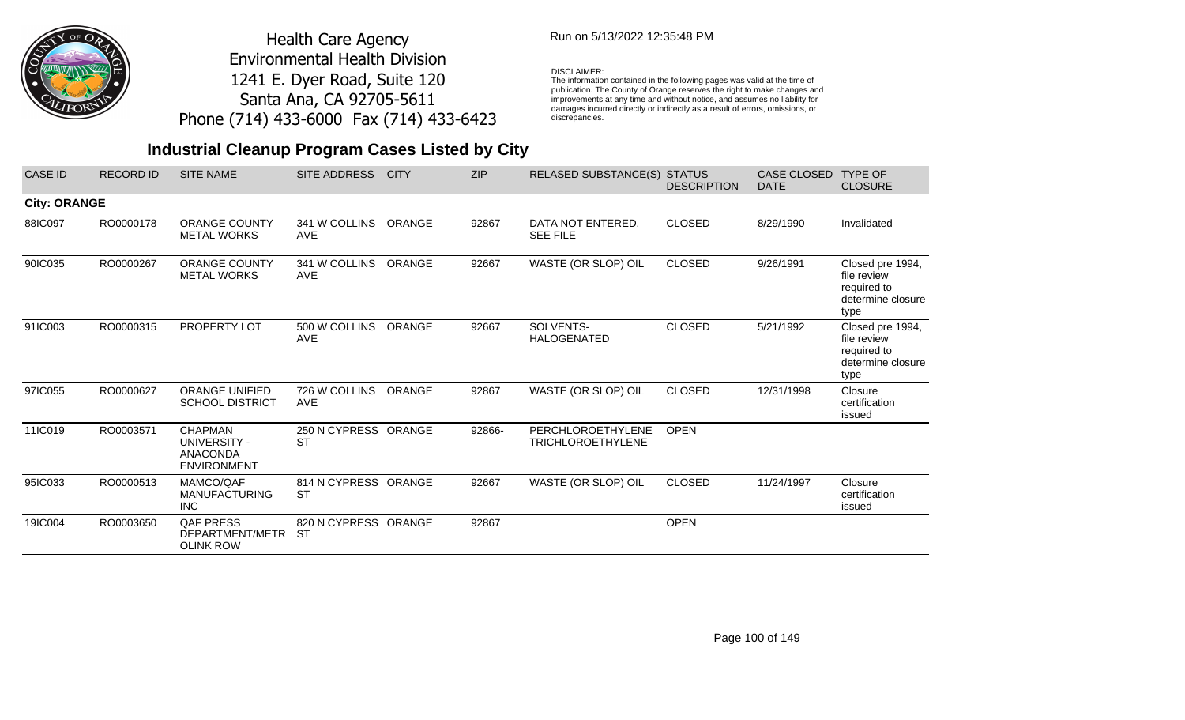

## Run on 5/13/2022 12:35:48 PM

#### DISCLAIMER:

The information contained in the following pages was valid at the time of publication. The County of Orange reserves the right to make changes and improvements at any time and without notice, and assumes no liability for damages incurred directly or indirectly as a result of errors, omissions, or discrepancies.

| <b>CASE ID</b>      | <b>RECORD ID</b> | <b>SITE NAME</b>                                                        | SITE ADDRESS                      | <b>CITY</b> | <b>ZIP</b> | <b>RELASED SUBSTANCE(S)</b>                   | <b>STATUS</b><br><b>DESCRIPTION</b> | <b>CASE CLOSED</b><br><b>DATE</b> | <b>TYPE OF</b><br><b>CLOSURE</b>                                            |
|---------------------|------------------|-------------------------------------------------------------------------|-----------------------------------|-------------|------------|-----------------------------------------------|-------------------------------------|-----------------------------------|-----------------------------------------------------------------------------|
| <b>City: ORANGE</b> |                  |                                                                         |                                   |             |            |                                               |                                     |                                   |                                                                             |
| 88IC097             | RO0000178        | <b>ORANGE COUNTY</b><br><b>METAL WORKS</b>                              | 341 W COLLINS<br><b>AVE</b>       | ORANGE      | 92867      | DATA NOT ENTERED,<br><b>SEE FILE</b>          | <b>CLOSED</b>                       | 8/29/1990                         | Invalidated                                                                 |
| 90IC035             | RO0000267        | <b>ORANGE COUNTY</b><br><b>METAL WORKS</b>                              | 341 W COLLINS<br><b>AVE</b>       | ORANGE      | 92667      | WASTE (OR SLOP) OIL                           | <b>CLOSED</b>                       | 9/26/1991                         | Closed pre 1994,<br>file review<br>required to<br>determine closure<br>type |
| 91IC003             | RO0000315        | PROPERTY LOT                                                            | 500 W COLLINS<br><b>AVE</b>       | ORANGE      | 92667      | SOLVENTS-<br><b>HALOGENATED</b>               | <b>CLOSED</b>                       | 5/21/1992                         | Closed pre 1994,<br>file review<br>required to<br>determine closure<br>type |
| 97IC055             | RO0000627        | <b>ORANGE UNIFIED</b><br><b>SCHOOL DISTRICT</b>                         | 726 W COLLINS<br><b>AVE</b>       | ORANGE      | 92867      | WASTE (OR SLOP) OIL                           | <b>CLOSED</b>                       | 12/31/1998                        | Closure<br>certification<br>issued                                          |
| 11IC019             | RO0003571        | <b>CHAPMAN</b><br>UNIVERSITY -<br><b>ANACONDA</b><br><b>ENVIRONMENT</b> | 250 N CYPRESS ORANGE<br><b>ST</b> |             | 92866-     | PERCHLOROETHYLENE<br><b>TRICHLOROETHYLENE</b> | <b>OPEN</b>                         |                                   |                                                                             |
| 95IC033             | RO0000513        | MAMCO/QAF<br><b>MANUFACTURING</b><br><b>INC</b>                         | 814 N CYPRESS ORANGE<br><b>ST</b> |             | 92667      | WASTE (OR SLOP) OIL                           | <b>CLOSED</b>                       | 11/24/1997                        | Closure<br>certification<br>issued                                          |
| 19IC004             | RO0003650        | <b>QAF PRESS</b><br>DEPARTMENT/METR<br><b>OLINK ROW</b>                 | 820 N CYPRESS ORANGE<br><b>ST</b> |             | 92867      |                                               | <b>OPEN</b>                         |                                   |                                                                             |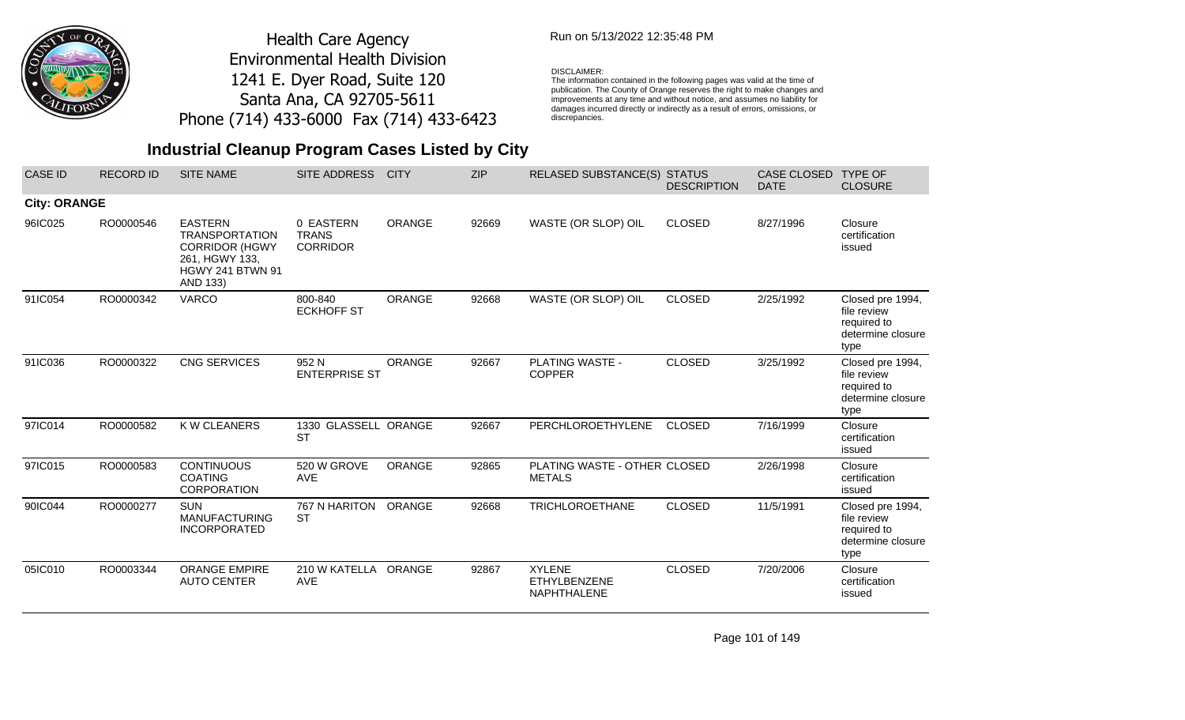

## Run on 5/13/2022 12:35:48 PM

#### DISCLAIMER:

The information contained in the following pages was valid at the time of publication. The County of Orange reserves the right to make changes and improvements at any time and without notice, and assumes no liability for damages incurred directly or indirectly as a result of errors, omissions, or discrepancies.

## **Industrial Cleanup Program Cases Listed by City**

| <b>CASE ID</b>      | <b>RECORD ID</b> | <b>SITE NAME</b>                                                                                                          | SITE ADDRESS                                 | <b>CITY</b>   | <b>ZIP</b> | <b>RELASED SUBSTANCE(S) STATUS</b>                         | <b>DESCRIPTION</b> | CASE CLOSED<br><b>DATE</b> | <b>TYPE OF</b><br><b>CLOSURE</b>                                            |
|---------------------|------------------|---------------------------------------------------------------------------------------------------------------------------|----------------------------------------------|---------------|------------|------------------------------------------------------------|--------------------|----------------------------|-----------------------------------------------------------------------------|
| <b>City: ORANGE</b> |                  |                                                                                                                           |                                              |               |            |                                                            |                    |                            |                                                                             |
| 96IC025             | RO0000546        | <b>EASTERN</b><br><b>TRANSPORTATION</b><br><b>CORRIDOR (HGWY</b><br>261, HGWY 133,<br><b>HGWY 241 BTWN 91</b><br>AND 133) | 0 EASTERN<br><b>TRANS</b><br><b>CORRIDOR</b> | <b>ORANGE</b> | 92669      | WASTE (OR SLOP) OIL                                        | <b>CLOSED</b>      | 8/27/1996                  | Closure<br>certification<br>issued                                          |
| 91IC054             | RO0000342        | <b>VARCO</b>                                                                                                              | 800-840<br><b>ECKHOFF ST</b>                 | <b>ORANGE</b> | 92668      | WASTE (OR SLOP) OIL                                        | <b>CLOSED</b>      | 2/25/1992                  | Closed pre 1994,<br>file review<br>required to<br>determine closure<br>type |
| 91IC036             | RO0000322        | CNG SERVICES                                                                                                              | 952 N<br><b>ENTERPRISE ST</b>                | <b>ORANGE</b> | 92667      | PLATING WASTE -<br><b>COPPER</b>                           | <b>CLOSED</b>      | 3/25/1992                  | Closed pre 1994,<br>file review<br>required to<br>determine closure<br>type |
| 97IC014             | RO0000582        | K W CLEANERS                                                                                                              | 1330 GLASSELL ORANGE<br><b>ST</b>            |               | 92667      | PERCHLOROETHYLENE                                          | <b>CLOSED</b>      | 7/16/1999                  | Closure<br>certification<br>issued                                          |
| 97IC015             | RO0000583        | <b>CONTINUOUS</b><br><b>COATING</b><br><b>CORPORATION</b>                                                                 | 520 W GROVE<br><b>AVE</b>                    | <b>ORANGE</b> | 92865      | PLATING WASTE - OTHER CLOSED<br><b>METALS</b>              |                    | 2/26/1998                  | Closure<br>certification<br>issued                                          |
| 90IC044             | RO0000277        | <b>SUN</b><br><b>MANUFACTURING</b><br><b>INCORPORATED</b>                                                                 | 767 N HARITON<br><b>ST</b>                   | ORANGE        | 92668      | <b>TRICHLOROETHANE</b>                                     | <b>CLOSED</b>      | 11/5/1991                  | Closed pre 1994,<br>file review<br>required to<br>determine closure<br>type |
| 05IC010             | RO0003344        | <b>ORANGE EMPIRE</b><br><b>AUTO CENTER</b>                                                                                | 210 W KATELLA<br><b>AVE</b>                  | ORANGE        | 92867      | <b>XYLENE</b><br><b>ETHYLBENZENE</b><br><b>NAPHTHALENE</b> | <b>CLOSED</b>      | 7/20/2006                  | Closure<br>certification<br>issued                                          |

Page 101 of 149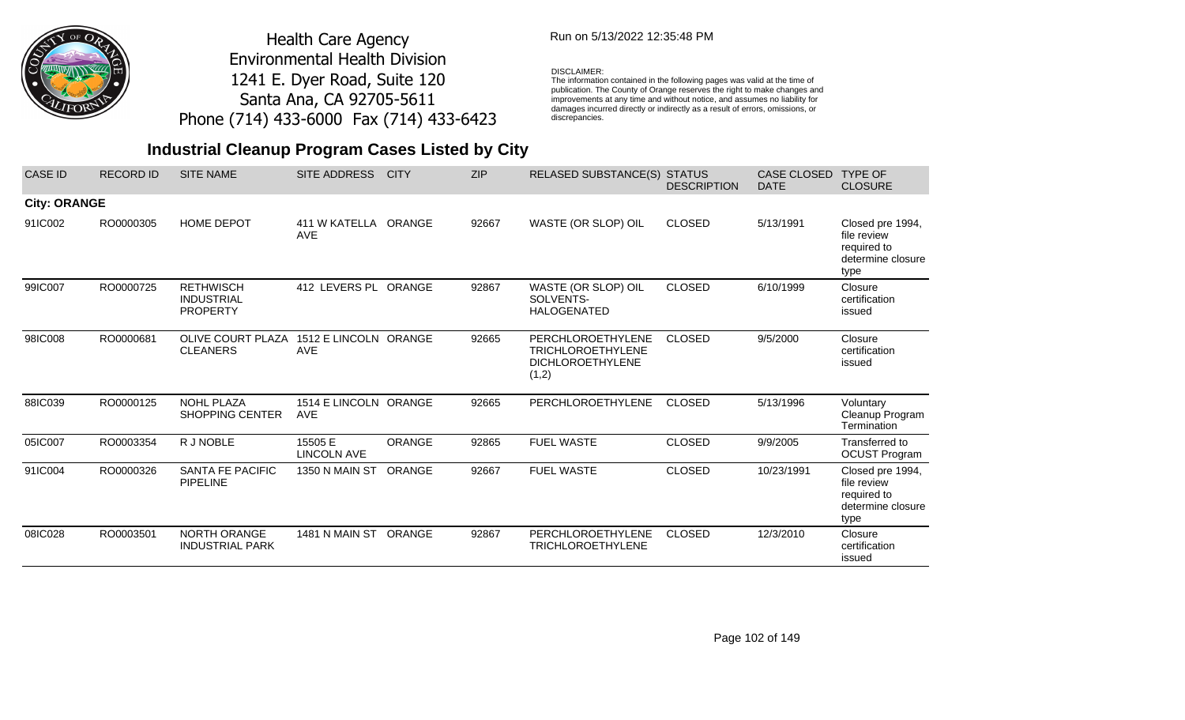

## Run on 5/13/2022 12:35:48 PM

### DISCLAIMER:

The information contained in the following pages was valid at the time of publication. The County of Orange reserves the right to make changes and improvements at any time and without notice, and assumes no liability for damages incurred directly or indirectly as a result of errors, omissions, or discrepancies.

| <b>CASE ID</b>      | <b>RECORD ID</b> | <b>SITE NAME</b>                                         | <b>SITE ADDRESS</b>                 | <b>CITY</b>   | <b>ZIP</b> | <b>RELASED SUBSTANCE(S)</b>                                                       | <b>STATUS</b><br><b>DESCRIPTION</b> | CASE CLOSED<br><b>DATE</b> | <b>TYPE OF</b><br><b>CLOSURE</b>                                            |
|---------------------|------------------|----------------------------------------------------------|-------------------------------------|---------------|------------|-----------------------------------------------------------------------------------|-------------------------------------|----------------------------|-----------------------------------------------------------------------------|
| <b>City: ORANGE</b> |                  |                                                          |                                     |               |            |                                                                                   |                                     |                            |                                                                             |
| 91IC002             | RO0000305        | <b>HOME DEPOT</b>                                        | 411 W KATELLA ORANGE<br><b>AVE</b>  |               | 92667      | WASTE (OR SLOP) OIL                                                               | <b>CLOSED</b>                       | 5/13/1991                  | Closed pre 1994,<br>file review<br>required to<br>determine closure<br>type |
| 99IC007             | RO0000725        | <b>RETHWISCH</b><br><b>INDUSTRIAL</b><br><b>PROPERTY</b> | 412 LEVERS PL ORANGE                |               | 92867      | WASTE (OR SLOP) OIL<br>SOLVENTS-<br><b>HALOGENATED</b>                            | <b>CLOSED</b>                       | 6/10/1999                  | Closure<br>certification<br>issued                                          |
| 98IC008             | RO0000681        | <b>OLIVE COURT PLAZA</b><br><b>CLEANERS</b>              | 1512 E LINCOLN ORANGE<br><b>AVE</b> |               | 92665      | PERCHLOROETHYLENE<br><b>TRICHLOROETHYLENE</b><br><b>DICHLOROETHYLENE</b><br>(1,2) | <b>CLOSED</b>                       | 9/5/2000                   | Closure<br>certification<br>issued                                          |
| 88IC039             | RO0000125        | <b>NOHL PLAZA</b><br><b>SHOPPING CENTER</b>              | 1514 E LINCOLN ORANGE<br><b>AVE</b> |               | 92665      | PERCHLOROETHYLENE                                                                 | <b>CLOSED</b>                       | 5/13/1996                  | Voluntary<br>Cleanup Program<br>Termination                                 |
| 05IC007             | RO0003354        | R J NOBLE                                                | 15505 E<br><b>LINCOLN AVE</b>       | <b>ORANGE</b> | 92865      | <b>FUEL WASTE</b>                                                                 | <b>CLOSED</b>                       | 9/9/2005                   | Transferred to<br><b>OCUST Program</b>                                      |
| 91IC004             | RO0000326        | SANTA FE PACIFIC<br><b>PIPELINE</b>                      | 1350 N MAIN ST                      | ORANGE        | 92667      | <b>FUEL WASTE</b>                                                                 | <b>CLOSED</b>                       | 10/23/1991                 | Closed pre 1994,<br>file review<br>required to<br>determine closure<br>type |
| 08IC028             | RO0003501        | <b>NORTH ORANGE</b><br><b>INDUSTRIAL PARK</b>            | 1481 N MAIN ST ORANGE               |               | 92867      | PERCHLOROETHYLENE<br><b>TRICHLOROETHYLENE</b>                                     | <b>CLOSED</b>                       | 12/3/2010                  | Closure<br>certification<br>issued                                          |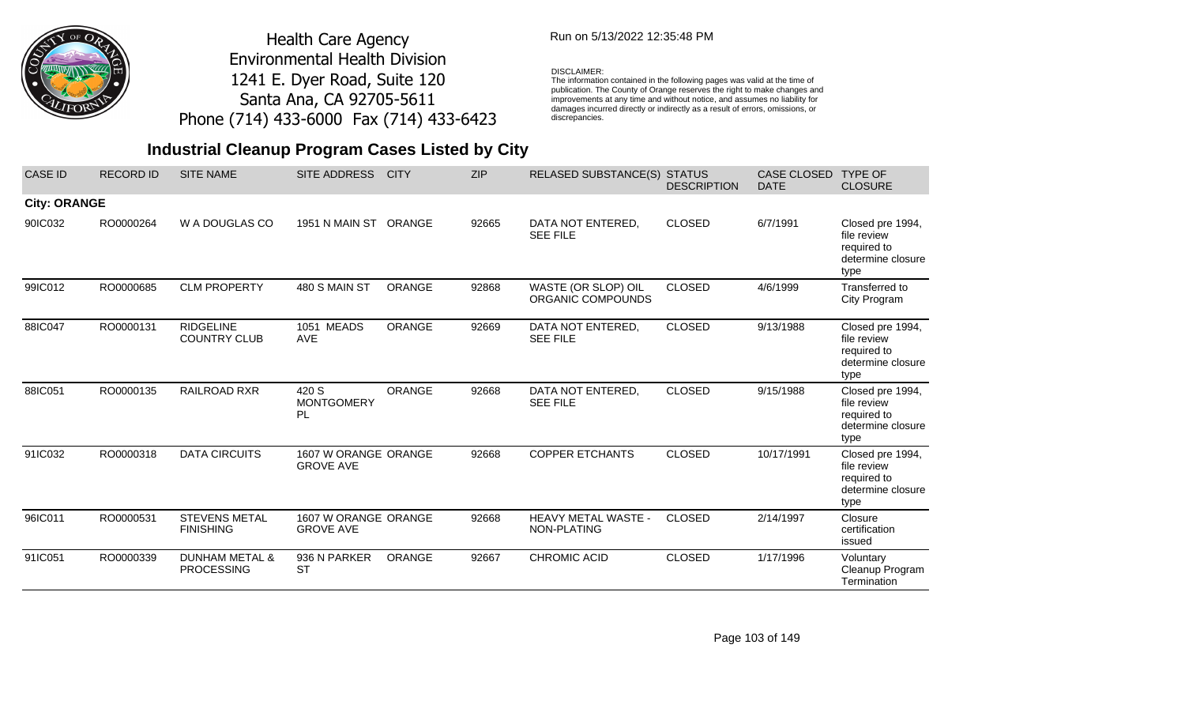

## Run on 5/13/2022 12:35:48 PM

### DISCLAIMER:

The information contained in the following pages was valid at the time of publication. The County of Orange reserves the right to make changes and improvements at any time and without notice, and assumes no liability for damages incurred directly or indirectly as a result of errors, omissions, or discrepancies.

## **Industrial Cleanup Program Cases Listed by City**

| <b>CASE ID</b>      | <b>RECORD ID</b> | <b>SITE NAME</b>                               | <b>SITE ADDRESS</b>                      | <b>CITY</b>   | <b>ZIP</b> | RELASED SUBSTANCE(S) STATUS              | <b>DESCRIPTION</b> | <b>CASE CLOSED</b><br><b>DATE</b> | <b>TYPE OF</b><br><b>CLOSURE</b>                                            |
|---------------------|------------------|------------------------------------------------|------------------------------------------|---------------|------------|------------------------------------------|--------------------|-----------------------------------|-----------------------------------------------------------------------------|
| <b>City: ORANGE</b> |                  |                                                |                                          |               |            |                                          |                    |                                   |                                                                             |
| 90IC032             | RO0000264        | W A DOUGLAS CO                                 | 1951 N MAIN ST                           | <b>ORANGE</b> | 92665      | DATA NOT ENTERED,<br><b>SEE FILE</b>     | <b>CLOSED</b>      | 6/7/1991                          | Closed pre 1994,<br>file review<br>required to<br>determine closure<br>type |
| 99IC012             | RO0000685        | <b>CLM PROPERTY</b>                            | 480 S MAIN ST                            | <b>ORANGE</b> | 92868      | WASTE (OR SLOP) OIL<br>ORGANIC COMPOUNDS | <b>CLOSED</b>      | 4/6/1999                          | Transferred to<br>City Program                                              |
| 88IC047             | RO0000131        | <b>RIDGELINE</b><br><b>COUNTRY CLUB</b>        | 1051 MEADS<br><b>AVE</b>                 | <b>ORANGE</b> | 92669      | DATA NOT ENTERED,<br><b>SEE FILE</b>     | <b>CLOSED</b>      | 9/13/1988                         | Closed pre 1994,<br>file review<br>required to<br>determine closure<br>type |
| 88IC051             | RO0000135        | <b>RAILROAD RXR</b>                            | 420 S<br><b>MONTGOMERY</b><br>PL.        | <b>ORANGE</b> | 92668      | DATA NOT ENTERED,<br><b>SEE FILE</b>     | <b>CLOSED</b>      | 9/15/1988                         | Closed pre 1994,<br>file review<br>required to<br>determine closure<br>type |
| 91IC032             | RO0000318        | <b>DATA CIRCUITS</b>                           | 1607 W ORANGE ORANGE<br><b>GROVE AVE</b> |               | 92668      | <b>COPPER ETCHANTS</b>                   | <b>CLOSED</b>      | 10/17/1991                        | Closed pre 1994,<br>file review<br>required to<br>determine closure<br>type |
| 96IC011             | RO0000531        | <b>STEVENS METAL</b><br><b>FINISHING</b>       | 1607 W ORANGE ORANGE<br><b>GROVE AVE</b> |               | 92668      | HEAVY METAL WASTE -<br>NON-PLATING       | <b>CLOSED</b>      | 2/14/1997                         | Closure<br>certification<br>issued                                          |
| 91IC051             | RO0000339        | <b>DUNHAM METAL &amp;</b><br><b>PROCESSING</b> | 936 N PARKER<br><b>ST</b>                | <b>ORANGE</b> | 92667      | CHROMIC ACID                             | <b>CLOSED</b>      | 1/17/1996                         | Voluntary<br>Cleanup Program<br>Termination                                 |

Page 103 of 149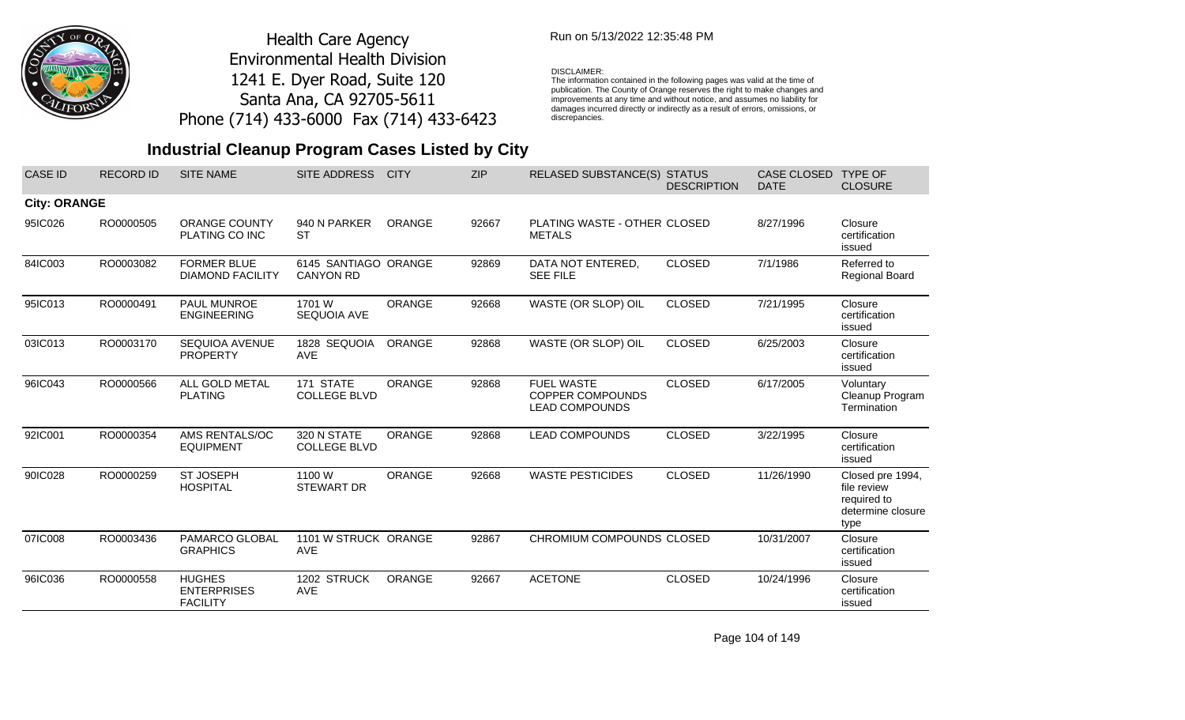

## Run on 5/13/2022 12:35:48 PM

#### DISCLAIMER:

The information contained in the following pages was valid at the time of publication. The County of Orange reserves the right to make changes and improvements at any time and without notice, and assumes no liability for damages incurred directly or indirectly as a result of errors, omissions, or discrepancies.

# **Industrial Cleanup Program Cases Listed by City**

| <b>CASE ID</b>      | <b>RECORD ID</b> | <b>SITE NAME</b>                                       | <b>SITE ADDRESS</b>                      | <b>CITY</b>   | <b>ZIP</b> | <b>RELASED SUBSTANCE(S) STATUS</b>                                    | <b>DESCRIPTION</b> | CASE CLOSED<br><b>DATE</b> | <b>TYPE OF</b><br><b>CLOSURE</b>                                            |
|---------------------|------------------|--------------------------------------------------------|------------------------------------------|---------------|------------|-----------------------------------------------------------------------|--------------------|----------------------------|-----------------------------------------------------------------------------|
| <b>City: ORANGE</b> |                  |                                                        |                                          |               |            |                                                                       |                    |                            |                                                                             |
| 95IC026             | RO0000505        | <b>ORANGE COUNTY</b><br>PLATING CO INC                 | 940 N PARKER<br><b>ST</b>                | <b>ORANGE</b> | 92667      | PLATING WASTE - OTHER CLOSED<br><b>METALS</b>                         |                    | 8/27/1996                  | Closure<br>certification<br>issued                                          |
| 84IC003             | RO0003082        | <b>FORMER BLUE</b><br><b>DIAMOND FACILITY</b>          | 6145 SANTIAGO ORANGE<br><b>CANYON RD</b> |               | 92869      | DATA NOT ENTERED,<br><b>SEE FILE</b>                                  | <b>CLOSED</b>      | 7/1/1986                   | Referred to<br>Regional Board                                               |
| 95IC013             | RO0000491        | PAUL MUNROE<br><b>ENGINEERING</b>                      | 1701 W<br><b>SEQUOIA AVE</b>             | <b>ORANGE</b> | 92668      | WASTE (OR SLOP) OIL                                                   | <b>CLOSED</b>      | 7/21/1995                  | Closure<br>certification<br>issued                                          |
| 03IC013             | RO0003170        | <b>SEQUIOA AVENUE</b><br><b>PROPERTY</b>               | 1828 SEQUOIA<br><b>AVE</b>               | ORANGE        | 92868      | WASTE (OR SLOP) OIL                                                   | <b>CLOSED</b>      | 6/25/2003                  | Closure<br>certification<br>issued                                          |
| 96IC043             | RO0000566        | ALL GOLD METAL<br><b>PLATING</b>                       | 171 STATE<br><b>COLLEGE BLVD</b>         | <b>ORANGE</b> | 92868      | <b>FUEL WASTE</b><br><b>COPPER COMPOUNDS</b><br><b>LEAD COMPOUNDS</b> | <b>CLOSED</b>      | 6/17/2005                  | Voluntary<br>Cleanup Program<br>Termination                                 |
| 92IC001             | RO0000354        | AMS RENTALS/OC<br><b>EQUIPMENT</b>                     | 320 N STATE<br><b>COLLEGE BLVD</b>       | <b>ORANGE</b> | 92868      | <b>LEAD COMPOUNDS</b>                                                 | <b>CLOSED</b>      | 3/22/1995                  | Closure<br>certification<br>issued                                          |
| 90IC028             | RO0000259        | <b>ST JOSEPH</b><br><b>HOSPITAL</b>                    | 1100 W<br><b>STEWART DR</b>              | <b>ORANGE</b> | 92668      | <b>WASTE PESTICIDES</b>                                               | <b>CLOSED</b>      | 11/26/1990                 | Closed pre 1994,<br>file review<br>required to<br>determine closure<br>type |
| 07IC008             | RO0003436        | PAMARCO GLOBAL<br><b>GRAPHICS</b>                      | 1101 W STRUCK ORANGE<br>AVE              |               | 92867      | CHROMIUM COMPOUNDS CLOSED                                             |                    | 10/31/2007                 | Closure<br>certification<br>issued                                          |
| 96IC036             | RO0000558        | <b>HUGHES</b><br><b>ENTERPRISES</b><br><b>FACILITY</b> | 1202 STRUCK<br>AVE                       | ORANGE        | 92667      | <b>ACETONE</b>                                                        | <b>CLOSED</b>      | 10/24/1996                 | Closure<br>certification<br>issued                                          |

Page 104 of 149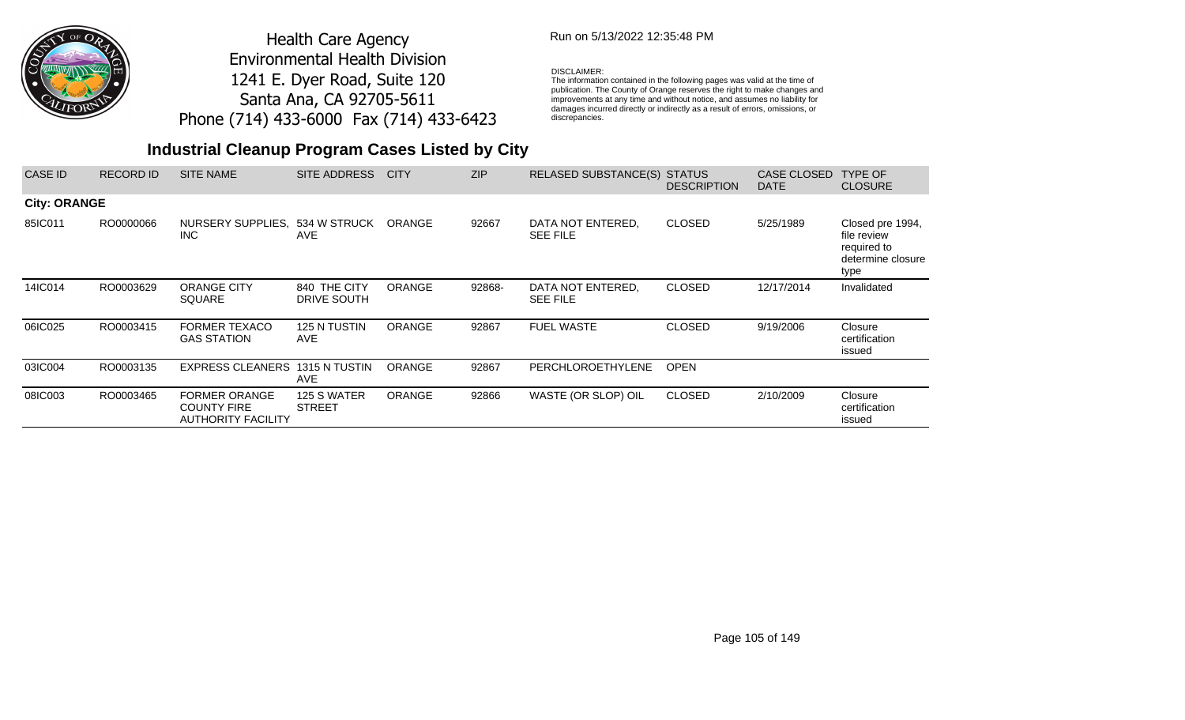

## Run on 5/13/2022 12:35:48 PM

### DISCLAIMER:

The information contained in the following pages was valid at the time of publication. The County of Orange reserves the right to make changes and improvements at any time and without notice, and assumes no liability for damages incurred directly or indirectly as a result of errors, omissions, or discrepancies.

| CASE ID             | <b>RECORD ID</b> | <b>SITE NAME</b>                                                        | SITE ADDRESS                 | <b>CITY</b>   | <b>ZIP</b> | RELASED SUBSTANCE(S) STATUS          | <b>DESCRIPTION</b> | CASE CLOSED<br><b>DATE</b> | TYPE OF<br><b>CLOSURE</b>                                                   |
|---------------------|------------------|-------------------------------------------------------------------------|------------------------------|---------------|------------|--------------------------------------|--------------------|----------------------------|-----------------------------------------------------------------------------|
| <b>City: ORANGE</b> |                  |                                                                         |                              |               |            |                                      |                    |                            |                                                                             |
| 85IC011             | RO0000066        | NURSERY SUPPLIES,<br><b>INC</b>                                         | 534 W STRUCK<br><b>AVE</b>   | <b>ORANGE</b> | 92667      | DATA NOT ENTERED.<br><b>SEE FILE</b> | <b>CLOSED</b>      | 5/25/1989                  | Closed pre 1994,<br>file review<br>required to<br>determine closure<br>type |
| 14IC014             | RO0003629        | <b>ORANGE CITY</b><br><b>SQUARE</b>                                     | 840 THE CITY<br>DRIVE SOUTH  | <b>ORANGE</b> | 92868-     | DATA NOT ENTERED.<br><b>SEE FILE</b> | <b>CLOSED</b>      | 12/17/2014                 | Invalidated                                                                 |
| 06IC025             | RO0003415        | <b>FORMER TEXACO</b><br><b>GAS STATION</b>                              | 125 N TUSTIN<br><b>AVE</b>   | <b>ORANGE</b> | 92867      | <b>FUEL WASTE</b>                    | <b>CLOSED</b>      | 9/19/2006                  | Closure<br>certification<br>issued                                          |
| 03IC004             | RO0003135        | <b>EXPRESS CLEANERS</b>                                                 | 1315 N TUSTIN<br><b>AVE</b>  | <b>ORANGE</b> | 92867      | PERCHLOROETHYLENE                    | <b>OPEN</b>        |                            |                                                                             |
| 08IC003             | RO0003465        | <b>FORMER ORANGE</b><br><b>COUNTY FIRE</b><br><b>AUTHORITY FACILITY</b> | 125 S WATER<br><b>STREET</b> | <b>ORANGE</b> | 92866      | WASTE (OR SLOP) OIL                  | <b>CLOSED</b>      | 2/10/2009                  | Closure<br>certification<br>issued                                          |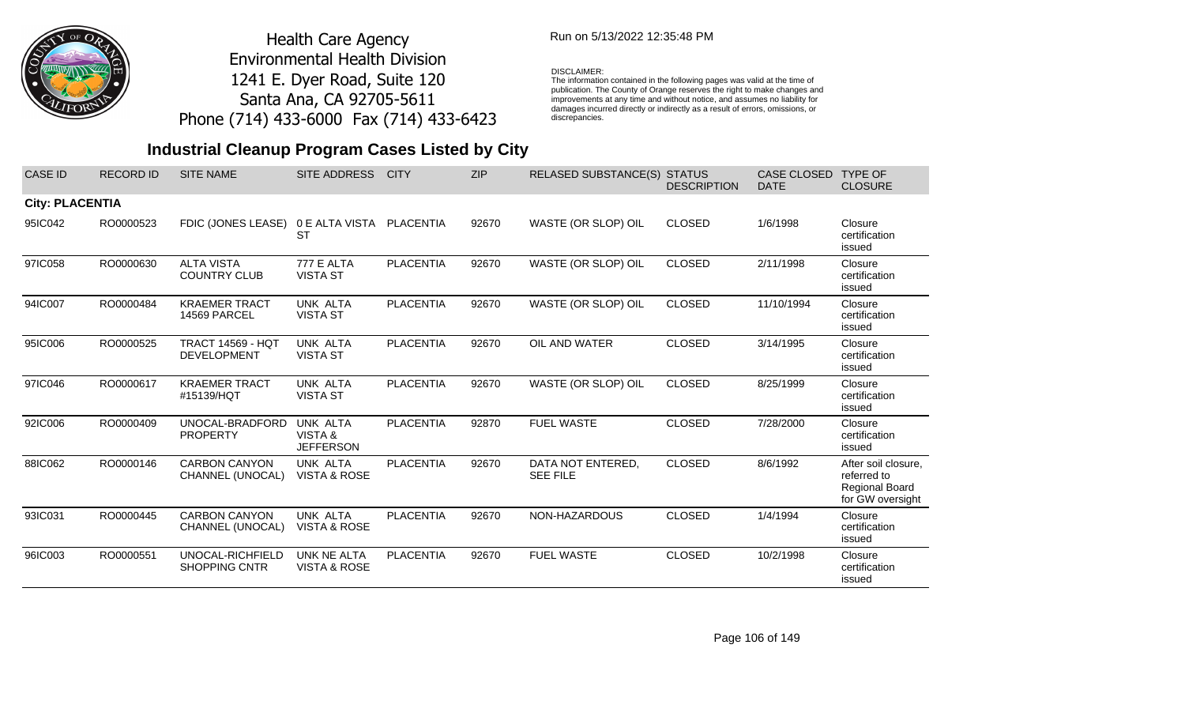

## Run on 5/13/2022 12:35:48 PM

#### DISCLAIMER:

The information contained in the following pages was valid at the time of publication. The County of Orange reserves the right to make changes and improvements at any time and without notice, and assumes no liability for damages incurred directly or indirectly as a result of errors, omissions, or discrepancies.

| <b>CASE ID</b>         | <b>RECORD ID</b> | <b>SITE NAME</b>                               | SITE ADDRESS                                  | <b>CITY</b>      | <b>ZIP</b> | <b>RELASED SUBSTANCE(S)</b>          | <b>STATUS</b><br><b>DESCRIPTION</b> | <b>CASE CLOSED</b><br><b>DATE</b> | <b>TYPE OF</b><br><b>CLOSURE</b>                                                |
|------------------------|------------------|------------------------------------------------|-----------------------------------------------|------------------|------------|--------------------------------------|-------------------------------------|-----------------------------------|---------------------------------------------------------------------------------|
| <b>City: PLACENTIA</b> |                  |                                                |                                               |                  |            |                                      |                                     |                                   |                                                                                 |
| 95IC042                | RO0000523        | FDIC (JONES LEASE)                             | 0 E ALTA VISTA PLACENTIA<br>SТ                |                  | 92670      | WASTE (OR SLOP) OIL                  | <b>CLOSED</b>                       | 1/6/1998                          | Closure<br>certification<br>issued                                              |
| 97IC058                | RO0000630        | <b>ALTA VISTA</b><br><b>COUNTRY CLUB</b>       | <b>777 E ALTA</b><br><b>VISTA ST</b>          | <b>PLACENTIA</b> | 92670      | WASTE (OR SLOP) OIL                  | <b>CLOSED</b>                       | 2/11/1998                         | Closure<br>certification<br>issued                                              |
| 94IC007                | RO0000484        | <b>KRAEMER TRACT</b><br>14569 PARCEL           | UNK ALTA<br><b>VISTA ST</b>                   | <b>PLACENTIA</b> | 92670      | WASTE (OR SLOP) OIL                  | <b>CLOSED</b>                       | 11/10/1994                        | Closure<br>certification<br>issued                                              |
| 95IC006                | RO0000525        | <b>TRACT 14569 - HQT</b><br><b>DEVELOPMENT</b> | UNK ALTA<br><b>VISTA ST</b>                   | <b>PLACENTIA</b> | 92670      | OIL AND WATER                        | <b>CLOSED</b>                       | 3/14/1995                         | Closure<br>certification<br>issued                                              |
| 97IC046                | RO0000617        | <b>KRAEMER TRACT</b><br>#15139/HQT             | UNK ALTA<br><b>VISTA ST</b>                   | <b>PLACENTIA</b> | 92670      | WASTE (OR SLOP) OIL                  | <b>CLOSED</b>                       | 8/25/1999                         | Closure<br>certification<br>issued                                              |
| 92IC006                | RO0000409        | UNOCAL-BRADFORD<br><b>PROPERTY</b>             | UNK ALTA<br>VISTA &<br><b>JEFFERSON</b>       | <b>PLACENTIA</b> | 92870      | <b>FUEL WASTE</b>                    | <b>CLOSED</b>                       | 7/28/2000                         | Closure<br>certification<br>issued                                              |
| 88IC062                | RO0000146        | <b>CARBON CANYON</b><br>CHANNEL (UNOCAL)       | UNK ALTA<br><b>VISTA &amp; ROSE</b>           | <b>PLACENTIA</b> | 92670      | DATA NOT ENTERED,<br><b>SEE FILE</b> | <b>CLOSED</b>                       | 8/6/1992                          | After soil closure.<br>referred to<br><b>Regional Board</b><br>for GW oversight |
| 93IC031                | RO0000445        | <b>CARBON CANYON</b><br>CHANNEL (UNOCAL)       | UNK ALTA<br>VISTA & ROSE                      | <b>PLACENTIA</b> | 92670      | NON-HAZARDOUS                        | <b>CLOSED</b>                       | 1/4/1994                          | Closure<br>certification<br>issued                                              |
| 96IC003                | RO0000551        | UNOCAL-RICHFIELD<br><b>SHOPPING CNTR</b>       | <b>UNK NE ALTA</b><br><b>VISTA &amp; ROSE</b> | <b>PLACENTIA</b> | 92670      | <b>FUEL WASTE</b>                    | <b>CLOSED</b>                       | 10/2/1998                         | Closure<br>certification<br>issued                                              |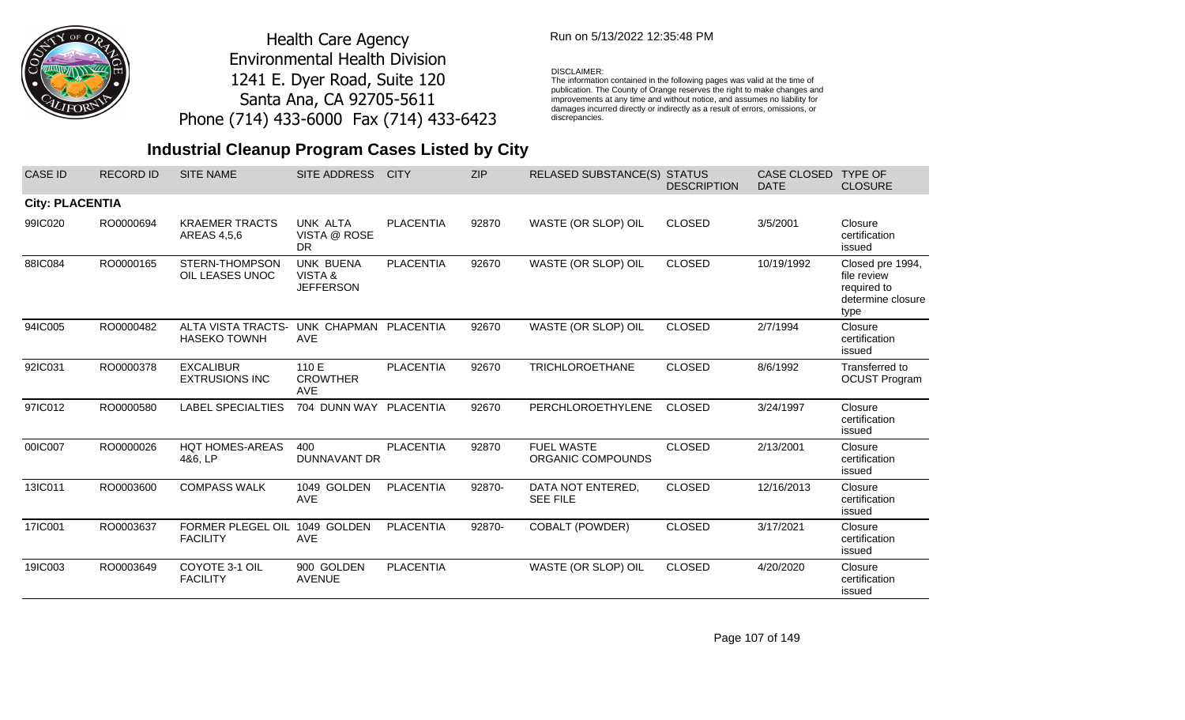

## Run on 5/13/2022 12:35:48 PM

#### DISCLAIMER:

The information contained in the following pages was valid at the time of publication. The County of Orange reserves the right to make changes and improvements at any time and without notice, and assumes no liability for damages incurred directly or indirectly as a result of errors, omissions, or discrepancies.

# **Industrial Cleanup Program Cases Listed by City**

| <b>CASE ID</b>         | <b>RECORD ID</b> | <b>SITE NAME</b>                                 | <b>SITE ADDRESS</b>                             | <b>CITY</b>      | <b>ZIP</b> | <b>RELASED SUBSTANCE(S)</b>            | <b>STATUS</b><br><b>DESCRIPTION</b> | CASE CLOSED<br><b>DATE</b> | <b>TYPE OF</b><br><b>CLOSURE</b>                                            |
|------------------------|------------------|--------------------------------------------------|-------------------------------------------------|------------------|------------|----------------------------------------|-------------------------------------|----------------------------|-----------------------------------------------------------------------------|
| <b>City: PLACENTIA</b> |                  |                                                  |                                                 |                  |            |                                        |                                     |                            |                                                                             |
| 99IC020                | RO0000694        | <b>KRAEMER TRACTS</b><br>AREAS 4,5,6             | UNK ALTA<br>VISTA @ ROSE<br><b>DR</b>           | <b>PLACENTIA</b> | 92870      | WASTE (OR SLOP) OIL                    | <b>CLOSED</b>                       | 3/5/2001                   | Closure<br>certification<br>issued                                          |
| 88IC084                | RO0000165        | STERN-THOMPSON<br>OIL LEASES UNOC                | <b>UNK BUENA</b><br>VISTA &<br><b>JEFFERSON</b> | <b>PLACENTIA</b> | 92670      | WASTE (OR SLOP) OIL                    | <b>CLOSED</b>                       | 10/19/1992                 | Closed pre 1994,<br>file review<br>required to<br>determine closure<br>type |
| 94IC005                | RO0000482        | <b>ALTA VISTA TRACTS-</b><br><b>HASEKO TOWNH</b> | UNK CHAPMAN PLACENTIA<br><b>AVE</b>             |                  | 92670      | WASTE (OR SLOP) OIL                    | <b>CLOSED</b>                       | 2/7/1994                   | Closure<br>certification<br>issued                                          |
| 92IC031                | RO0000378        | <b>EXCALIBUR</b><br><b>EXTRUSIONS INC</b>        | 110 E<br><b>CROWTHER</b><br>AVE                 | <b>PLACENTIA</b> | 92670      | <b>TRICHLOROETHANE</b>                 | <b>CLOSED</b>                       | 8/6/1992                   | Transferred to<br><b>OCUST Program</b>                                      |
| 97IC012                | RO0000580        | <b>LABEL SPECIALTIES</b>                         | 704 DUNN WAY PLACENTIA                          |                  | 92670      | PERCHLOROETHYLENE                      | <b>CLOSED</b>                       | 3/24/1997                  | Closure<br>certification<br>issued                                          |
| 00IC007                | RO0000026        | <b>HQT HOMES-AREAS</b><br>4&6, LP                | 400<br><b>DUNNAVANT DR</b>                      | <b>PLACENTIA</b> | 92870      | <b>FUEL WASTE</b><br>ORGANIC COMPOUNDS | <b>CLOSED</b>                       | 2/13/2001                  | Closure<br>certification<br>issued                                          |
| 13IC011                | RO0003600        | <b>COMPASS WALK</b>                              | 1049 GOLDEN<br><b>AVE</b>                       | <b>PLACENTIA</b> | 92870-     | DATA NOT ENTERED,<br><b>SEE FILE</b>   | <b>CLOSED</b>                       | 12/16/2013                 | Closure<br>certification<br>issued                                          |
| 17IC001                | RO0003637        | FORMER PLEGEL OIL<br><b>FACILITY</b>             | 1049 GOLDEN<br><b>AVE</b>                       | <b>PLACENTIA</b> | 92870-     | <b>COBALT (POWDER)</b>                 | <b>CLOSED</b>                       | 3/17/2021                  | Closure<br>certification<br>issued                                          |
| 19IC003                | RO0003649        | COYOTE 3-1 OIL<br><b>FACILITY</b>                | 900 GOLDEN<br><b>AVENUE</b>                     | <b>PLACENTIA</b> |            | WASTE (OR SLOP) OIL                    | <b>CLOSED</b>                       | 4/20/2020                  | Closure<br>certification<br>issued                                          |

Page 107 of 149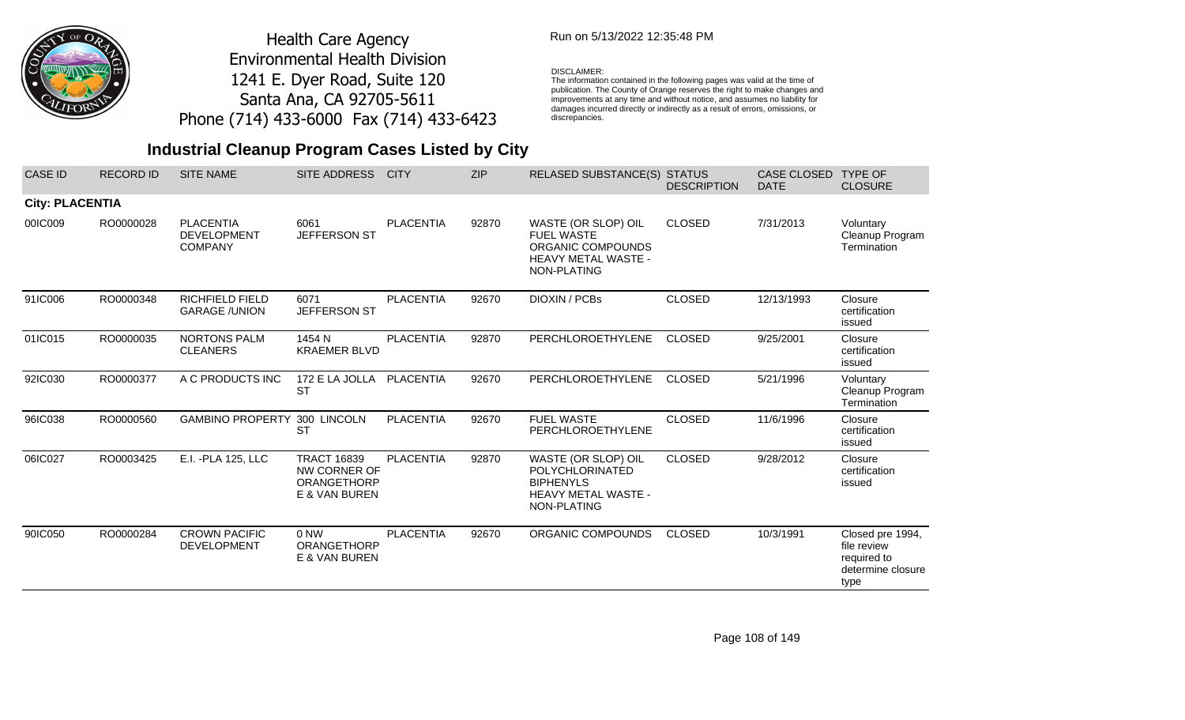

## Run on 5/13/2022 12:35:48 PM

#### DISCLAIMER:

The information contained in the following pages was valid at the time of publication. The County of Orange reserves the right to make changes and improvements at any time and without notice, and assumes no liability for damages incurred directly or indirectly as a result of errors, omissions, or discrepancies.

| <b>CASE ID</b>         | <b>RECORD ID</b> | <b>SITE NAME</b>                                         | SITE ADDRESS                                                       | <b>CITY</b>      | <b>ZIP</b> | <b>RELASED SUBSTANCE(S)</b>                                                                                    | <b>STATUS</b><br><b>DESCRIPTION</b> | <b>CASE CLOSED</b><br><b>DATE</b> | <b>TYPE OF</b><br><b>CLOSURE</b>                                            |
|------------------------|------------------|----------------------------------------------------------|--------------------------------------------------------------------|------------------|------------|----------------------------------------------------------------------------------------------------------------|-------------------------------------|-----------------------------------|-----------------------------------------------------------------------------|
| <b>City: PLACENTIA</b> |                  |                                                          |                                                                    |                  |            |                                                                                                                |                                     |                                   |                                                                             |
| 00IC009                | RO0000028        | <b>PLACENTIA</b><br><b>DEVELOPMENT</b><br><b>COMPANY</b> | 6061<br>JEFFERSON ST                                               | <b>PLACENTIA</b> | 92870      | WASTE (OR SLOP) OIL<br><b>FUEL WASTE</b><br>ORGANIC COMPOUNDS<br>HEAVY METAL WASTE -<br>NON-PLATING            | <b>CLOSED</b>                       | 7/31/2013                         | Voluntary<br>Cleanup Program<br>Termination                                 |
| 91IC006                | RO0000348        | <b>RICHFIELD FIELD</b><br><b>GARAGE /UNION</b>           | 6071<br>JEFFERSON ST                                               | <b>PLACENTIA</b> | 92670      | <b>DIOXIN / PCBs</b>                                                                                           | <b>CLOSED</b>                       | 12/13/1993                        | Closure<br>certification<br>issued                                          |
| 01IC015                | RO0000035        | <b>NORTONS PALM</b><br><b>CLEANERS</b>                   | 1454 N<br><b>KRAEMER BLVD</b>                                      | <b>PLACENTIA</b> | 92870      | PERCHLOROETHYLENE                                                                                              | <b>CLOSED</b>                       | 9/25/2001                         | Closure<br>certification<br>issued                                          |
| 92IC030                | RO0000377        | A C PRODUCTS INC                                         | 172 E LA JOLLA<br><b>ST</b>                                        | <b>PLACENTIA</b> | 92670      | PERCHLOROETHYLENE                                                                                              | <b>CLOSED</b>                       | 5/21/1996                         | Voluntary<br>Cleanup Program<br>Termination                                 |
| 96IC038                | RO0000560        | <b>GAMBINO PROPERTY</b>                                  | 300 LINCOLN<br>SТ                                                  | <b>PLACENTIA</b> | 92670      | <b>FUEL WASTE</b><br>PERCHLOROETHYLENE                                                                         | <b>CLOSED</b>                       | 11/6/1996                         | Closure<br>certification<br>issued                                          |
| 06IC027                | RO0003425        | E.I. - PLA 125, LLC                                      | <b>TRACT 16839</b><br>NW CORNER OF<br>ORANGETHORP<br>E & VAN BUREN | <b>PLACENTIA</b> | 92870      | WASTE (OR SLOP) OIL<br><b>POLYCHLORINATED</b><br><b>BIPHENYLS</b><br><b>HEAVY METAL WASTE -</b><br>NON-PLATING | <b>CLOSED</b>                       | 9/28/2012                         | Closure<br>certification<br>issued                                          |
| 90IC050                | RO0000284        | <b>CROWN PACIFIC</b><br><b>DEVELOPMENT</b>               | 0 NW<br><b>ORANGETHORP</b><br>E & VAN BUREN                        | <b>PLACENTIA</b> | 92670      | ORGANIC COMPOUNDS                                                                                              | <b>CLOSED</b>                       | 10/3/1991                         | Closed pre 1994,<br>file review<br>required to<br>determine closure<br>type |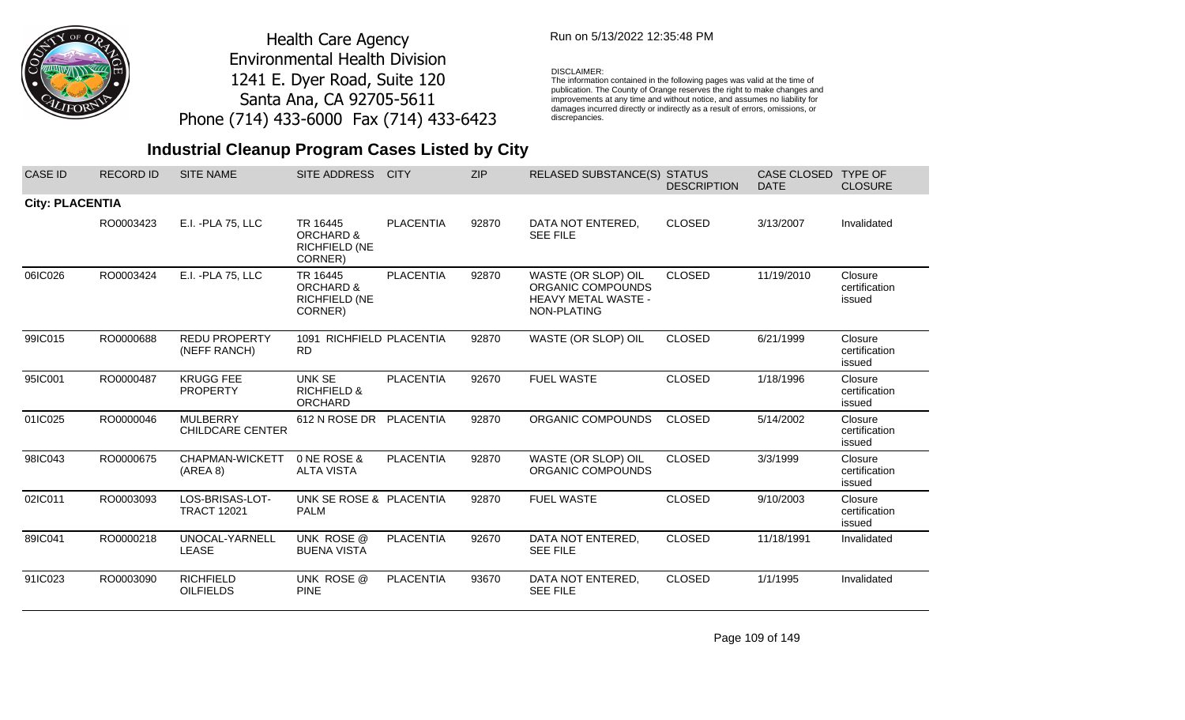

### Run on 5/13/2022 12:35:48 PM

#### DISCLAIMER:

The information contained in the following pages was valid at the time of publication. The County of Orange reserves the right to make changes and improvements at any time and without notice, and assumes no liability for damages incurred directly or indirectly as a result of errors, omissions, or discrepancies.

| <b>CASE ID</b>         | <b>RECORD ID</b> | <b>SITE NAME</b>                           | SITE ADDRESS                                                        | <b>CITY</b>      | <b>ZIP</b> | <b>RELASED SUBSTANCE(S) STATUS</b>                                             | <b>DESCRIPTION</b> | CASE CLOSED<br><b>DATE</b> | <b>TYPE OF</b><br><b>CLOSURE</b>   |
|------------------------|------------------|--------------------------------------------|---------------------------------------------------------------------|------------------|------------|--------------------------------------------------------------------------------|--------------------|----------------------------|------------------------------------|
| <b>City: PLACENTIA</b> |                  |                                            |                                                                     |                  |            |                                                                                |                    |                            |                                    |
|                        | RO0003423        | E.I. - PLA 75, LLC                         | TR 16445<br>ORCHARD &<br><b>RICHFIELD (NE</b><br>CORNER)            | <b>PLACENTIA</b> | 92870      | DATA NOT ENTERED.<br><b>SEE FILE</b>                                           | <b>CLOSED</b>      | 3/13/2007                  | Invalidated                        |
| 06IC026                | RO0003424        | E.I. - PLA 75, LLC                         | TR 16445<br><b>ORCHARD &amp;</b><br><b>RICHFIELD (NE</b><br>CORNER) | <b>PLACENTIA</b> | 92870      | WASTE (OR SLOP) OIL<br>ORGANIC COMPOUNDS<br>HEAVY METAL WASTE -<br>NON-PLATING | <b>CLOSED</b>      | 11/19/2010                 | Closure<br>certification<br>issued |
| 99IC015                | RO0000688        | <b>REDU PROPERTY</b><br>(NEFF RANCH)       | 1091 RICHFIELD PLACENTIA<br><b>RD</b>                               |                  | 92870      | WASTE (OR SLOP) OIL                                                            | <b>CLOSED</b>      | 6/21/1999                  | Closure<br>certification<br>issued |
| 95IC001                | RO0000487        | <b>KRUGG FEE</b><br><b>PROPERTY</b>        | <b>UNK SE</b><br><b>RICHFIELD &amp;</b><br>ORCHARD                  | <b>PLACENTIA</b> | 92670      | <b>FUEL WASTE</b>                                                              | <b>CLOSED</b>      | 1/18/1996                  | Closure<br>certification<br>issued |
| 01IC025                | RO0000046        | <b>MULBERRY</b><br><b>CHILDCARE CENTER</b> | 612 N ROSE DR PLACENTIA                                             |                  | 92870      | ORGANIC COMPOUNDS                                                              | <b>CLOSED</b>      | 5/14/2002                  | Closure<br>certification<br>issued |
| 98IC043                | RO0000675        | CHAPMAN-WICKETT<br>(AREA 8)                | 0 NE ROSE &<br><b>ALTA VISTA</b>                                    | <b>PLACENTIA</b> | 92870      | WASTE (OR SLOP) OIL<br>ORGANIC COMPOUNDS                                       | <b>CLOSED</b>      | 3/3/1999                   | Closure<br>certification<br>issued |
| 02IC011                | RO0003093        | LOS-BRISAS-LOT-<br><b>TRACT 12021</b>      | UNK SE ROSE & PLACENTIA<br><b>PALM</b>                              |                  | 92870      | <b>FUEL WASTE</b>                                                              | <b>CLOSED</b>      | 9/10/2003                  | Closure<br>certification<br>issued |
| 89IC041                | RO0000218        | UNOCAL-YARNELL<br><b>LEASE</b>             | UNK ROSE @<br><b>BUENA VISTA</b>                                    | <b>PLACENTIA</b> | 92670      | DATA NOT ENTERED,<br><b>SEE FILE</b>                                           | <b>CLOSED</b>      | 11/18/1991                 | Invalidated                        |
| 91IC023                | RO0003090        | <b>RICHFIELD</b><br><b>OILFIELDS</b>       | UNK ROSE @<br><b>PINE</b>                                           | <b>PLACENTIA</b> | 93670      | DATA NOT ENTERED,<br><b>SEE FILE</b>                                           | <b>CLOSED</b>      | 1/1/1995                   | Invalidated                        |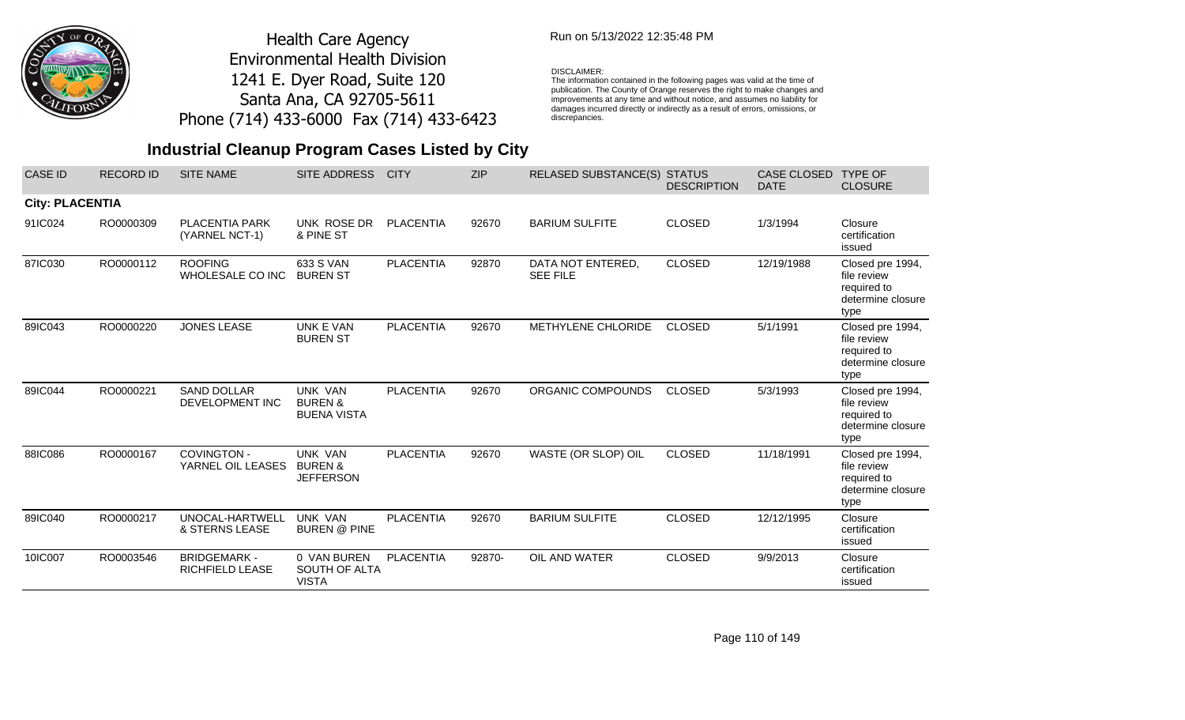

### Run on 5/13/2022 12:35:48 PM

#### DISCLAIMER:

The information contained in the following pages was valid at the time of publication. The County of Orange reserves the right to make changes and improvements at any time and without notice, and assumes no liability for damages incurred directly or indirectly as a result of errors, omissions, or discrepancies.

## **Industrial Cleanup Program Cases Listed by City**

| <b>CASE ID</b>         | <b>RECORD ID</b> | <b>SITE NAME</b>                        | SITE ADDRESS                                               | <b>CITY</b>      | <b>ZIP</b> | <b>RELASED SUBSTANCE(S)</b>          | <b>STATUS</b><br><b>DESCRIPTION</b> | CASE CLOSED<br><b>DATE</b> | <b>TYPE OF</b><br><b>CLOSURE</b>                                            |
|------------------------|------------------|-----------------------------------------|------------------------------------------------------------|------------------|------------|--------------------------------------|-------------------------------------|----------------------------|-----------------------------------------------------------------------------|
| <b>City: PLACENTIA</b> |                  |                                         |                                                            |                  |            |                                      |                                     |                            |                                                                             |
| 91IC024                | RO0000309        | <b>PLACENTIA PARK</b><br>(YARNEL NCT-1) | UNK ROSE DR<br>& PINE ST                                   | <b>PLACENTIA</b> | 92670      | <b>BARIUM SULFITE</b>                | <b>CLOSED</b>                       | 1/3/1994                   | Closure<br>certification<br>issued                                          |
| 87IC030                | RO0000112        | <b>ROOFING</b><br>WHOLESALE CO INC      | 633 S VAN<br><b>BUREN ST</b>                               | <b>PLACENTIA</b> | 92870      | DATA NOT ENTERED,<br><b>SEE FILE</b> | <b>CLOSED</b>                       | 12/19/1988                 | Closed pre 1994,<br>file review<br>required to<br>determine closure<br>type |
| 89IC043                | RO0000220        | <b>JONES LEASE</b>                      | UNK E VAN<br><b>BUREN ST</b>                               | <b>PLACENTIA</b> | 92670      | <b>METHYLENE CHLORIDE</b>            | <b>CLOSED</b>                       | 5/1/1991                   | Closed pre 1994,<br>file review<br>required to<br>determine closure<br>type |
| 89IC044                | RO0000221        | <b>SAND DOLLAR</b><br>DEVELOPMENT INC   | <b>UNK VAN</b><br><b>BUREN &amp;</b><br><b>BUENA VISTA</b> | <b>PLACENTIA</b> | 92670      | ORGANIC COMPOUNDS                    | <b>CLOSED</b>                       | 5/3/1993                   | Closed pre 1994,<br>file review<br>required to<br>determine closure<br>type |
| 88IC086                | RO0000167        | <b>COVINGTON -</b><br>YARNEL OIL LEASES | <b>UNK VAN</b><br><b>BUREN &amp;</b><br>JEFFERSON          | <b>PLACENTIA</b> | 92670      | WASTE (OR SLOP) OIL                  | <b>CLOSED</b>                       | 11/18/1991                 | Closed pre 1994,<br>file review<br>required to<br>determine closure<br>type |
| 89IC040                | RO0000217        | UNOCAL-HARTWELL<br>& STERNS LEASE       | <b>UNK VAN</b><br><b>BUREN @ PINE</b>                      | <b>PLACENTIA</b> | 92670      | <b>BARIUM SULFITE</b>                | <b>CLOSED</b>                       | 12/12/1995                 | Closure<br>certification<br>issued                                          |
| 10IC007                | RO0003546        | <b>BRIDGEMARK -</b><br>RICHFIELD LEASE  | 0 VAN BUREN<br>SOUTH OF ALTA<br><b>VISTA</b>               | <b>PLACENTIA</b> | 92870-     | OIL AND WATER                        | <b>CLOSED</b>                       | 9/9/2013                   | Closure<br>certification<br>issued                                          |

Page 110 of 149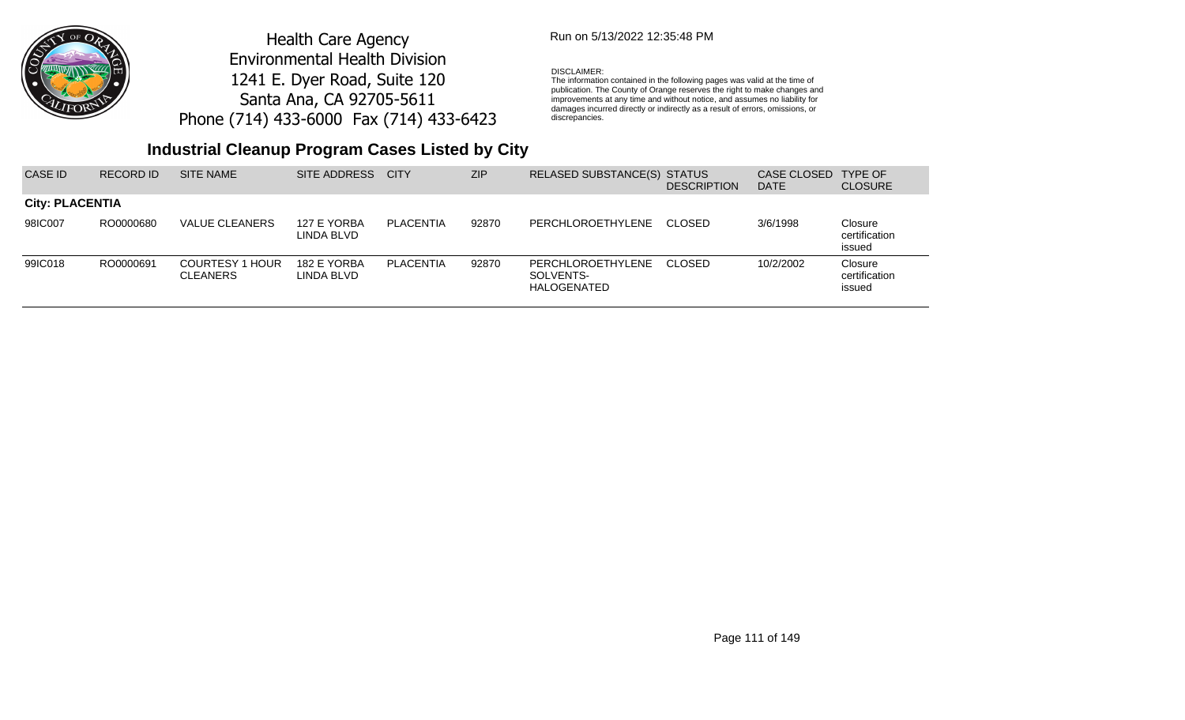

## Run on 5/13/2022 12:35:48 PM

#### DISCLAIMER:

The information contained in the following pages was valid at the time of publication. The County of Orange reserves the right to make changes and improvements at any time and without notice, and assumes no liability for damages incurred directly or indirectly as a result of errors, omissions, or discrepancies.

| CASE ID                | <b>RECORD ID</b> | <b>SITE NAME</b>                          | SITE ADDRESS              | <b>CITY</b> | <b>ZIP</b> | RELASED SUBSTANCE(S) STATUS                   | <b>DESCRIPTION</b> | CASE CLOSED<br><b>DATE</b> | <b>TYPE OF</b><br><b>CLOSURE</b>   |
|------------------------|------------------|-------------------------------------------|---------------------------|-------------|------------|-----------------------------------------------|--------------------|----------------------------|------------------------------------|
| <b>City: PLACENTIA</b> |                  |                                           |                           |             |            |                                               |                    |                            |                                    |
| 98IC007                | RO0000680        | VALUE CLEANERS                            | 127 E YORBA<br>LINDA BLVD | PLACENTIA   | 92870      | PERCHLOROETHYLENE CLOSED                      |                    | 3/6/1998                   | Closure<br>certification<br>issued |
| 99IC018                | RO0000691        | <b>COURTESY 1 HOUR</b><br><b>CLEANERS</b> | 182 E YORBA<br>LINDA BLVD | PLACENTIA   | 92870      | PERCHLOROETHYLENE<br>SOLVENTS-<br>HALOGENATED | CLOSED             | 10/2/2002                  | Closure<br>certification<br>issued |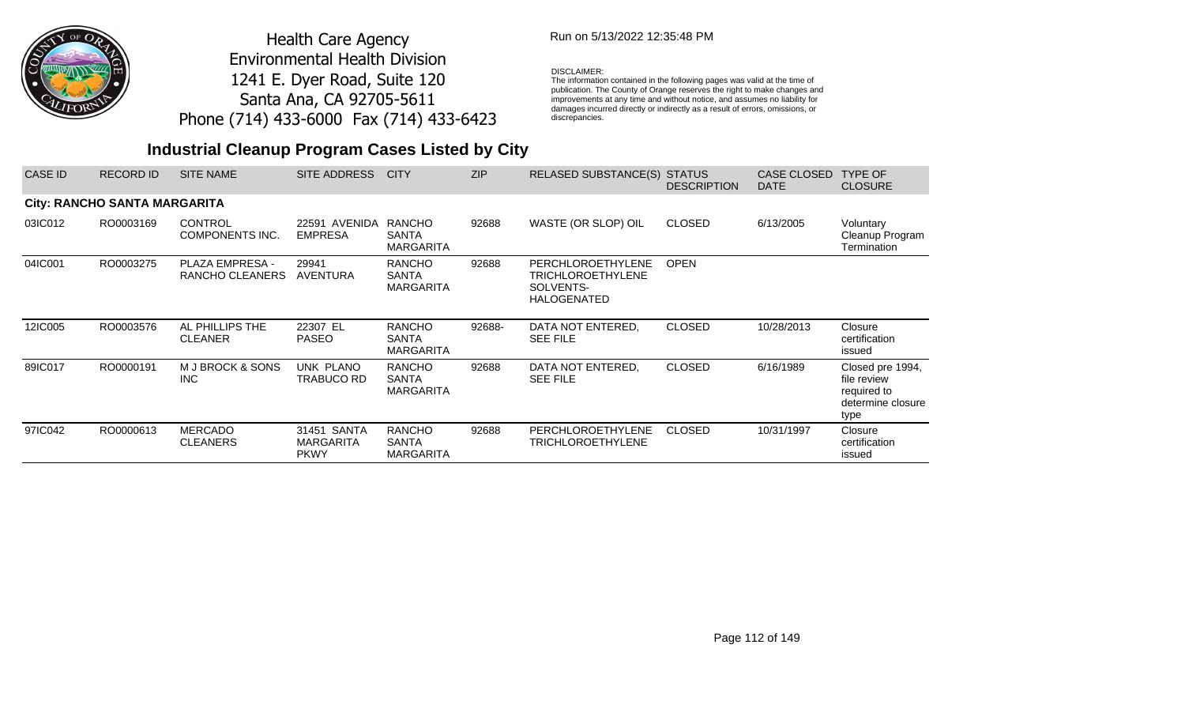

## Run on 5/13/2022 12:35:48 PM

#### DISCLAIMER:

The information contained in the following pages was valid at the time of publication. The County of Orange reserves the right to make changes and improvements at any time and without notice, and assumes no liability for damages incurred directly or indirectly as a result of errors, omissions, or discrepancies.

| CASE ID | <b>RECORD ID</b>             | <b>SITE NAME</b>                          | SITE ADDRESS                                   | <b>CITY</b>                                       | <b>ZIP</b> | <b>RELASED SUBSTANCE(S)</b>                                                      | <b>STATUS</b><br><b>DESCRIPTION</b> | CASE CLOSED<br><b>DATE</b> | <b>TYPE OF</b><br><b>CLOSURE</b>                                            |
|---------|------------------------------|-------------------------------------------|------------------------------------------------|---------------------------------------------------|------------|----------------------------------------------------------------------------------|-------------------------------------|----------------------------|-----------------------------------------------------------------------------|
|         | City: RANCHO SANTA MARGARITA |                                           |                                                |                                                   |            |                                                                                  |                                     |                            |                                                                             |
| 03IC012 | RO0003169                    | <b>CONTROL</b><br>COMPONENTS INC.         | 22591 AVENIDA<br><b>EMPRESA</b>                | RANCHO<br><b>SANTA</b><br><b>MARGARITA</b>        | 92688      | WASTE (OR SLOP) OIL                                                              | <b>CLOSED</b>                       | 6/13/2005                  | Voluntary<br>Cleanup Program<br>Termination                                 |
| 04IC001 | RO0003275                    | <b>PLAZA EMPRESA -</b><br>RANCHO CLEANERS | 29941<br><b>AVENTURA</b>                       | <b>RANCHO</b><br><b>SANTA</b><br><b>MARGARITA</b> | 92688      | <b>PERCHLOROETHYLENE</b><br>TRICHLOROETHYLENE<br>SOLVENTS-<br><b>HALOGENATED</b> | <b>OPEN</b>                         |                            |                                                                             |
| 12IC005 | RO0003576                    | AL PHILLIPS THE<br><b>CLEANER</b>         | 22307 EL<br><b>PASEO</b>                       | <b>RANCHO</b><br><b>SANTA</b><br><b>MARGARITA</b> | 92688-     | DATA NOT ENTERED.<br><b>SEE FILE</b>                                             | <b>CLOSED</b>                       | 10/28/2013                 | Closure<br>certification<br>issued                                          |
| 89IC017 | RO0000191                    | M J BROCK & SONS<br>INC                   | UNK PLANO<br>TRABUCO RD                        | <b>RANCHO</b><br><b>SANTA</b><br><b>MARGARITA</b> | 92688      | DATA NOT ENTERED.<br><b>SEE FILE</b>                                             | <b>CLOSED</b>                       | 6/16/1989                  | Closed pre 1994,<br>file review<br>required to<br>determine closure<br>type |
| 97IC042 | RO0000613                    | <b>MERCADO</b><br><b>CLEANERS</b>         | 31451 SANTA<br><b>MARGARITA</b><br><b>PKWY</b> | <b>RANCHO</b><br>SANTA<br><b>MARGARITA</b>        | 92688      | PERCHLOROETHYLENE<br>TRICHLOROETHYLENE                                           | <b>CLOSED</b>                       | 10/31/1997                 | Closure<br>certification<br>issued                                          |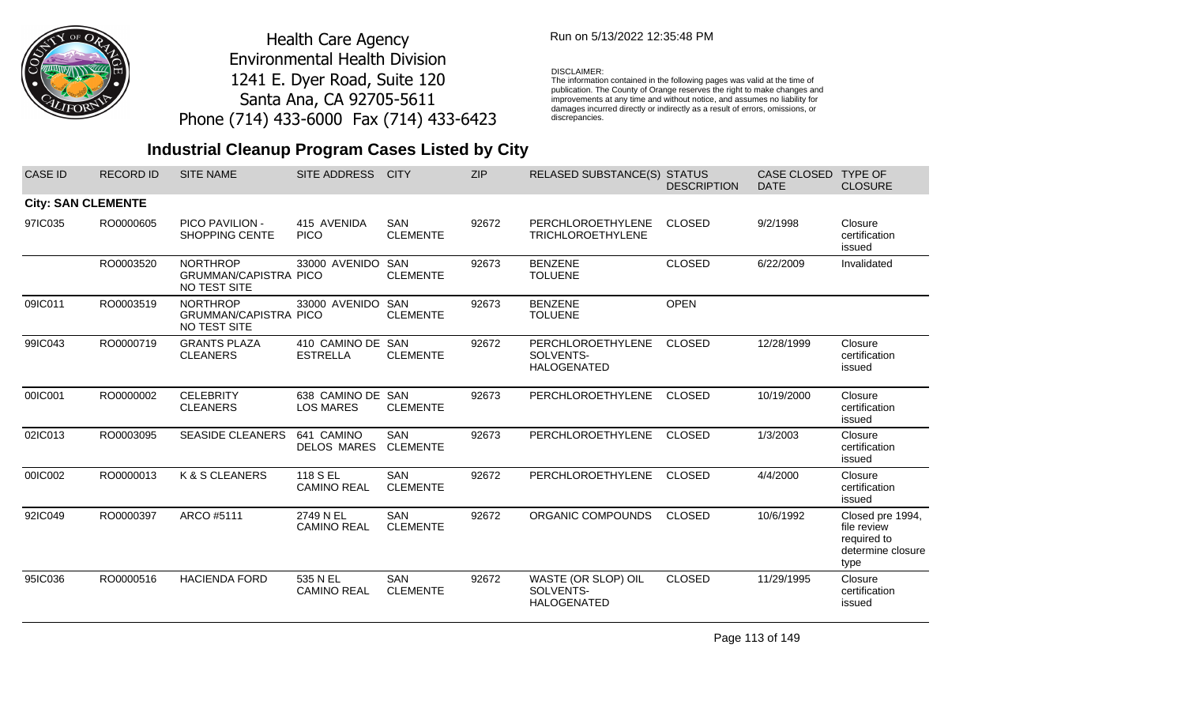

### Run on 5/13/2022 12:35:48 PM

#### DISCLAIMER:

The information contained in the following pages was valid at the time of publication. The County of Orange reserves the right to make changes and improvements at any time and without notice, and assumes no liability for damages incurred directly or indirectly as a result of errors, omissions, or discrepancies.

## **Industrial Cleanup Program Cases Listed by City**

| <b>CASE ID</b>            | <b>RECORD ID</b> | <b>SITE NAME</b>                                                | <b>SITE ADDRESS</b>                   | <b>CITY</b>                   | <b>ZIP</b> | RELASED SUBSTANCE(S) STATUS                            | <b>DESCRIPTION</b> | CASE CLOSED<br><b>DATE</b> | <b>TYPE OF</b><br><b>CLOSURE</b>                                            |
|---------------------------|------------------|-----------------------------------------------------------------|---------------------------------------|-------------------------------|------------|--------------------------------------------------------|--------------------|----------------------------|-----------------------------------------------------------------------------|
| <b>City: SAN CLEMENTE</b> |                  |                                                                 |                                       |                               |            |                                                        |                    |                            |                                                                             |
| 97IC035                   | RO0000605        | PICO PAVILION -<br><b>SHOPPING CENTE</b>                        | 415 AVENIDA<br><b>PICO</b>            | <b>SAN</b><br><b>CLEMENTE</b> | 92672      | PERCHLOROETHYLENE<br><b>TRICHLOROETHYLENE</b>          | <b>CLOSED</b>      | 9/2/1998                   | Closure<br>certification<br>issued                                          |
|                           | RO0003520        | <b>NORTHROP</b><br><b>GRUMMAN/CAPISTRA PICO</b><br>NO TEST SITE | 33000 AVENIDO SAN                     | <b>CLEMENTE</b>               | 92673      | <b>BENZENE</b><br><b>TOLUENE</b>                       | <b>CLOSED</b>      | 6/22/2009                  | Invalidated                                                                 |
| 09IC011                   | RO0003519        | <b>NORTHROP</b><br><b>GRUMMAN/CAPISTRA PICO</b><br>NO TEST SITE | 33000 AVENIDO SAN                     | <b>CLEMENTE</b>               | 92673      | <b>BENZENE</b><br><b>TOLUENE</b>                       | <b>OPEN</b>        |                            |                                                                             |
| 99IC043                   | RO0000719        | <b>GRANTS PLAZA</b><br><b>CLEANERS</b>                          | 410 CAMINO DE SAN<br><b>ESTRELLA</b>  | <b>CLEMENTE</b>               | 92672      | PERCHLOROETHYLENE<br>SOLVENTS-<br><b>HALOGENATED</b>   | <b>CLOSED</b>      | 12/28/1999                 | Closure<br>certification<br>issued                                          |
| 00IC001                   | RO0000002        | <b>CELEBRITY</b><br><b>CLEANERS</b>                             | 638 CAMINO DE SAN<br><b>LOS MARES</b> | <b>CLEMENTE</b>               | 92673      | PERCHLOROETHYLENE                                      | <b>CLOSED</b>      | 10/19/2000                 | Closure<br>certification<br>issued                                          |
| 02IC013                   | RO0003095        | <b>SEASIDE CLEANERS</b>                                         | 641 CAMINO<br><b>DELOS MARES</b>      | <b>SAN</b><br><b>CLEMENTE</b> | 92673      | PERCHLOROETHYLENE                                      | <b>CLOSED</b>      | 1/3/2003                   | Closure<br>certification<br>issued                                          |
| 00IC002                   | RO0000013        | K & S CLEANERS                                                  | 118 S EL<br><b>CAMINO REAL</b>        | <b>SAN</b><br><b>CLEMENTE</b> | 92672      | PERCHLOROETHYLENE                                      | <b>CLOSED</b>      | 4/4/2000                   | Closure<br>certification<br>issued                                          |
| 92IC049                   | RO0000397        | ARCO #5111                                                      | 2749 N EL<br><b>CAMINO REAL</b>       | SAN<br><b>CLEMENTE</b>        | 92672      | ORGANIC COMPOUNDS                                      | <b>CLOSED</b>      | 10/6/1992                  | Closed pre 1994,<br>file review<br>required to<br>determine closure<br>type |
| 95IC036                   | RO0000516        | <b>HACIENDA FORD</b>                                            | 535 N EL<br><b>CAMINO REAL</b>        | <b>SAN</b><br><b>CLEMENTE</b> | 92672      | WASTE (OR SLOP) OIL<br>SOLVENTS-<br><b>HALOGENATED</b> | <b>CLOSED</b>      | 11/29/1995                 | Closure<br>certification<br>issued                                          |

Page 113 of 149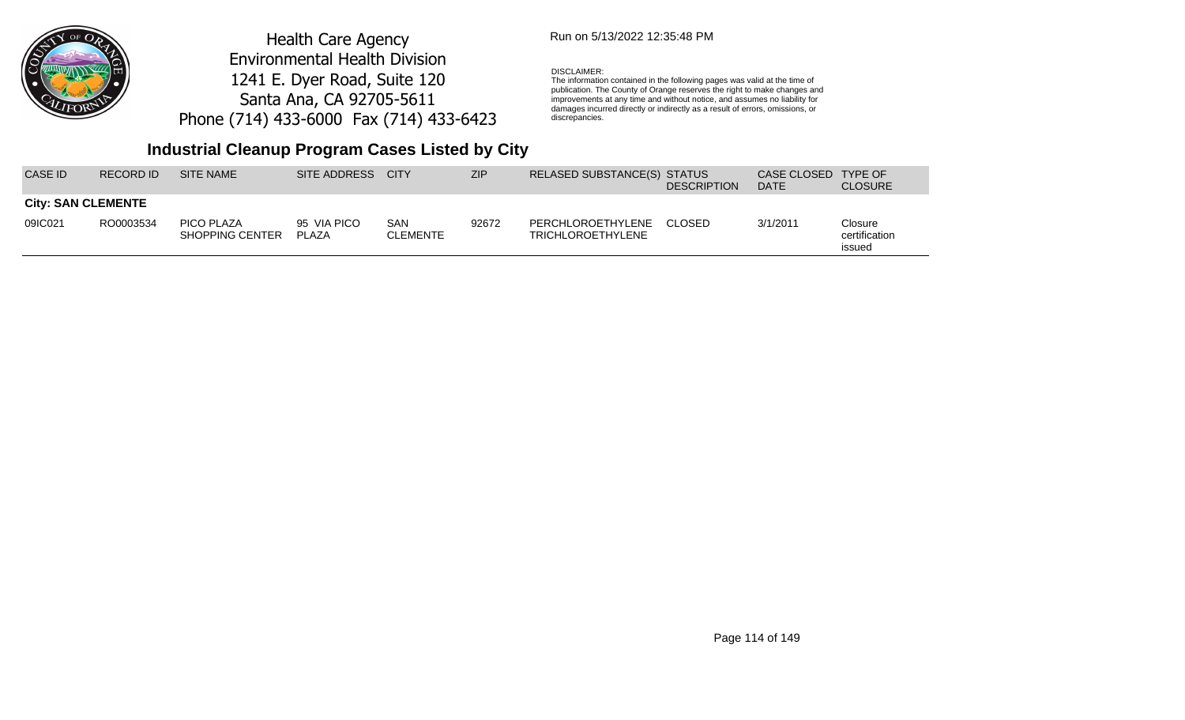

### Run on 5/13/2022 12:35:48 PM

#### DISCLAIMER:

The information contained in the following pages was valid at the time of publication. The County of Orange reserves the right to make changes and improvements at any time and without notice, and assumes no liability for damages incurred directly or indirectly as a result of errors, omissions, or discrepancies.

## **Industrial Cleanup Program Cases Listed by City**

| CASE ID.                  | RECORD ID | <b>SITE NAME</b>              | SITE ADDRESS CITY     |                        | <b>ZIP</b> | RELASED SUBSTANCE(S) STATUS                          | <b>DESCRIPTION</b> | CASE CLOSED TYPE OF<br><b>DATE</b> | <b>CLOSURE</b>                     |
|---------------------------|-----------|-------------------------------|-----------------------|------------------------|------------|------------------------------------------------------|--------------------|------------------------------------|------------------------------------|
| <b>City: SAN CLEMENTE</b> |           |                               |                       |                        |            |                                                      |                    |                                    |                                    |
| 09IC021                   | RO0003534 | PICO PLAZA<br>SHOPPING CENTER | 95 VIA PICO<br>PI AZA | SAN<br><b>CLEMENTE</b> | 92672      | PERCHLOROETHYLENE CLOSED<br><b>TRICHLOROETHYLENE</b> |                    | 3/1/2011                           | Closure<br>certification<br>issued |

Page 114 of 149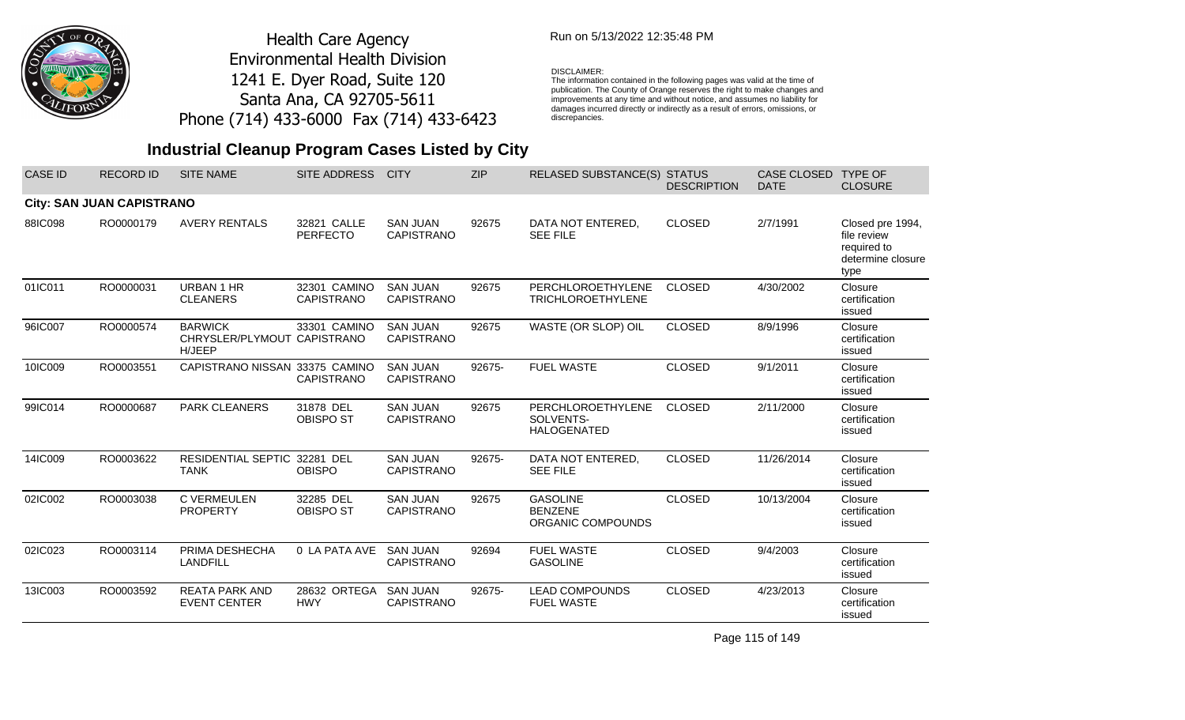

### Run on 5/13/2022 12:35:48 PM

#### DISCLAIMER:

The information contained in the following pages was valid at the time of publication. The County of Orange reserves the right to make changes and improvements at any time and without notice, and assumes no liability for damages incurred directly or indirectly as a result of errors, omissions, or discrepancies.

## **Industrial Cleanup Program Cases Listed by City**

| <b>CASE ID</b> | <b>RECORD ID</b>                 | <b>SITE NAME</b>                                        | <b>SITE ADDRESS</b>               | <b>CITY</b>                          | <b>ZIP</b> | RELASED SUBSTANCE(S) STATUS                            | <b>DESCRIPTION</b> | CASE CLOSED<br><b>DATE</b> | <b>TYPE OF</b><br><b>CLOSURE</b>                                            |
|----------------|----------------------------------|---------------------------------------------------------|-----------------------------------|--------------------------------------|------------|--------------------------------------------------------|--------------------|----------------------------|-----------------------------------------------------------------------------|
|                | <b>City: SAN JUAN CAPISTRANO</b> |                                                         |                                   |                                      |            |                                                        |                    |                            |                                                                             |
| 88IC098        | RO0000179                        | <b>AVERY RENTALS</b>                                    | 32821 CALLE<br><b>PERFECTO</b>    | <b>SAN JUAN</b><br><b>CAPISTRANO</b> | 92675      | DATA NOT ENTERED,<br><b>SEE FILE</b>                   | <b>CLOSED</b>      | 2/7/1991                   | Closed pre 1994,<br>file review<br>required to<br>determine closure<br>type |
| 01IC011        | RO0000031                        | URBAN 1 HR<br><b>CLEANERS</b>                           | 32301 CAMINO<br><b>CAPISTRANO</b> | <b>SAN JUAN</b><br><b>CAPISTRANO</b> | 92675      | PERCHLOROETHYLENE<br>TRICHLOROETHYLENE                 | <b>CLOSED</b>      | 4/30/2002                  | Closure<br>certification<br>issued                                          |
| 96IC007        | RO0000574                        | <b>BARWICK</b><br>CHRYSLER/PLYMOUT CAPISTRANO<br>H/JEEP | 33301 CAMINO                      | <b>SAN JUAN</b><br><b>CAPISTRANO</b> | 92675      | WASTE (OR SLOP) OIL                                    | <b>CLOSED</b>      | 8/9/1996                   | Closure<br>certification<br>issued                                          |
| 10IC009        | RO0003551                        | CAPISTRANO NISSAN 33375 CAMINO                          | <b>CAPISTRANO</b>                 | <b>SAN JUAN</b><br><b>CAPISTRANO</b> | 92675-     | <b>FUEL WASTE</b>                                      | <b>CLOSED</b>      | 9/1/2011                   | Closure<br>certification<br>issued                                          |
| 99IC014        | RO0000687                        | PARK CLEANERS                                           | 31878 DEL<br><b>OBISPO ST</b>     | <b>SAN JUAN</b><br>CAPISTRANO        | 92675      | PERCHLOROETHYLENE<br>SOLVENTS-<br><b>HALOGENATED</b>   | <b>CLOSED</b>      | 2/11/2000                  | Closure<br>certification<br>issued                                          |
| 14IC009        | RO0003622                        | RESIDENTIAL SEPTIC 32281 DEL<br><b>TANK</b>             | <b>OBISPO</b>                     | <b>SAN JUAN</b><br><b>CAPISTRANO</b> | 92675-     | DATA NOT ENTERED,<br><b>SEE FILE</b>                   | <b>CLOSED</b>      | 11/26/2014                 | Closure<br>certification<br>issued                                          |
| 02IC002        | RO0003038                        | C VERMEULEN<br><b>PROPERTY</b>                          | 32285 DEL<br><b>OBISPO ST</b>     | <b>SAN JUAN</b><br><b>CAPISTRANO</b> | 92675      | <b>GASOLINE</b><br><b>BENZENE</b><br>ORGANIC COMPOUNDS | <b>CLOSED</b>      | 10/13/2004                 | Closure<br>certification<br>issued                                          |
| 02IC023        | RO0003114                        | PRIMA DESHECHA<br><b>LANDFILL</b>                       | 0 LA PATA AVE                     | <b>SAN JUAN</b><br><b>CAPISTRANO</b> | 92694      | <b>FUEL WASTE</b><br><b>GASOLINE</b>                   | <b>CLOSED</b>      | 9/4/2003                   | Closure<br>certification<br>issued                                          |
| 13IC003        | RO0003592                        | <b>REATA PARK AND</b><br><b>EVENT CENTER</b>            | 28632 ORTEGA<br><b>HWY</b>        | <b>SAN JUAN</b><br>CAPISTRANO        | 92675-     | <b>LEAD COMPOUNDS</b><br><b>FUEL WASTE</b>             | <b>CLOSED</b>      | 4/23/2013                  | Closure<br>certification<br>issued                                          |

Page 115 of 149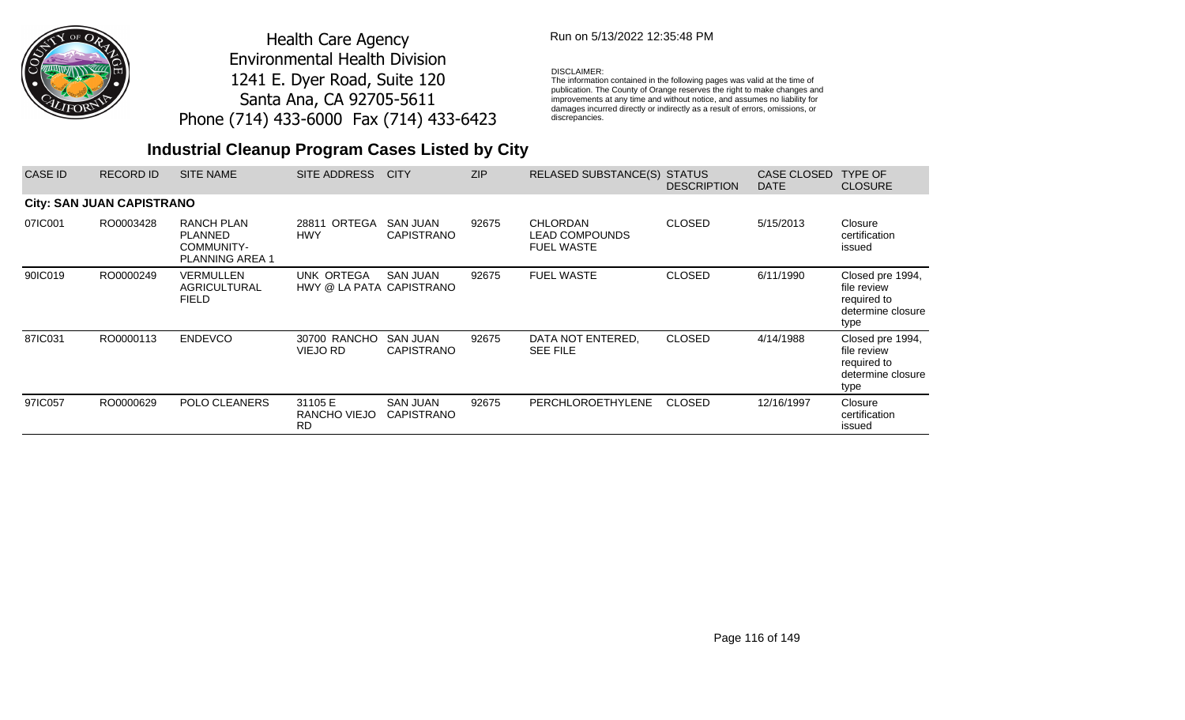

## Run on 5/13/2022 12:35:48 PM

### DISCLAIMER:

The information contained in the following pages was valid at the time of publication. The County of Orange reserves the right to make changes and improvements at any time and without notice, and assumes no liability for damages incurred directly or indirectly as a result of errors, omissions, or discrepancies.

| <b>CASE ID</b> | <b>RECORD ID</b>                 | <b>SITE NAME</b>                                                            | SITE ADDRESS                           | <b>CITY</b>                          | <b>ZIP</b> | <b>RELASED SUBSTANCE(S)</b>                                   | <b>STATUS</b><br><b>DESCRIPTION</b> | <b>CASE CLOSED</b><br><b>DATE</b> | <b>TYPE OF</b><br><b>CLOSURE</b>                                            |
|----------------|----------------------------------|-----------------------------------------------------------------------------|----------------------------------------|--------------------------------------|------------|---------------------------------------------------------------|-------------------------------------|-----------------------------------|-----------------------------------------------------------------------------|
|                | <b>City: SAN JUAN CAPISTRANO</b> |                                                                             |                                        |                                      |            |                                                               |                                     |                                   |                                                                             |
| 07IC001        | RO0003428                        | <b>RANCH PLAN</b><br><b>PLANNED</b><br>COMMUNITY-<br><b>PLANNING AREA 1</b> | 28811 ORTEGA<br><b>HWY</b>             | <b>SAN JUAN</b><br><b>CAPISTRANO</b> | 92675      | <b>CHLORDAN</b><br><b>LEAD COMPOUNDS</b><br><b>FUEL WASTE</b> | <b>CLOSED</b>                       | 5/15/2013                         | Closure<br>certification<br>issued                                          |
| 90IC019        | RO0000249                        | VERMULLEN<br><b>AGRICULTURAL</b><br><b>FIELD</b>                            | UNK ORTEGA<br>HWY @ LA PATA CAPISTRANO | <b>SAN JUAN</b>                      | 92675      | <b>FUEL WASTE</b>                                             | <b>CLOSED</b>                       | 6/11/1990                         | Closed pre 1994,<br>file review<br>required to<br>determine closure<br>type |
| 87IC031        | RO0000113                        | <b>ENDEVCO</b>                                                              | 30700 RANCHO<br>VIEJO RD               | <b>SAN JUAN</b><br><b>CAPISTRANO</b> | 92675      | DATA NOT ENTERED.<br><b>SEE FILE</b>                          | <b>CLOSED</b>                       | 4/14/1988                         | Closed pre 1994,<br>file review<br>required to<br>determine closure<br>type |
| 97IC057        | RO0000629                        | POLO CLEANERS                                                               | 31105 E<br>RANCHO VIEJO<br><b>RD</b>   | <b>SAN JUAN</b><br><b>CAPISTRANO</b> | 92675      | <b>PERCHLOROETHYLENE</b>                                      | <b>CLOSED</b>                       | 12/16/1997                        | Closure<br>certification<br>issued                                          |

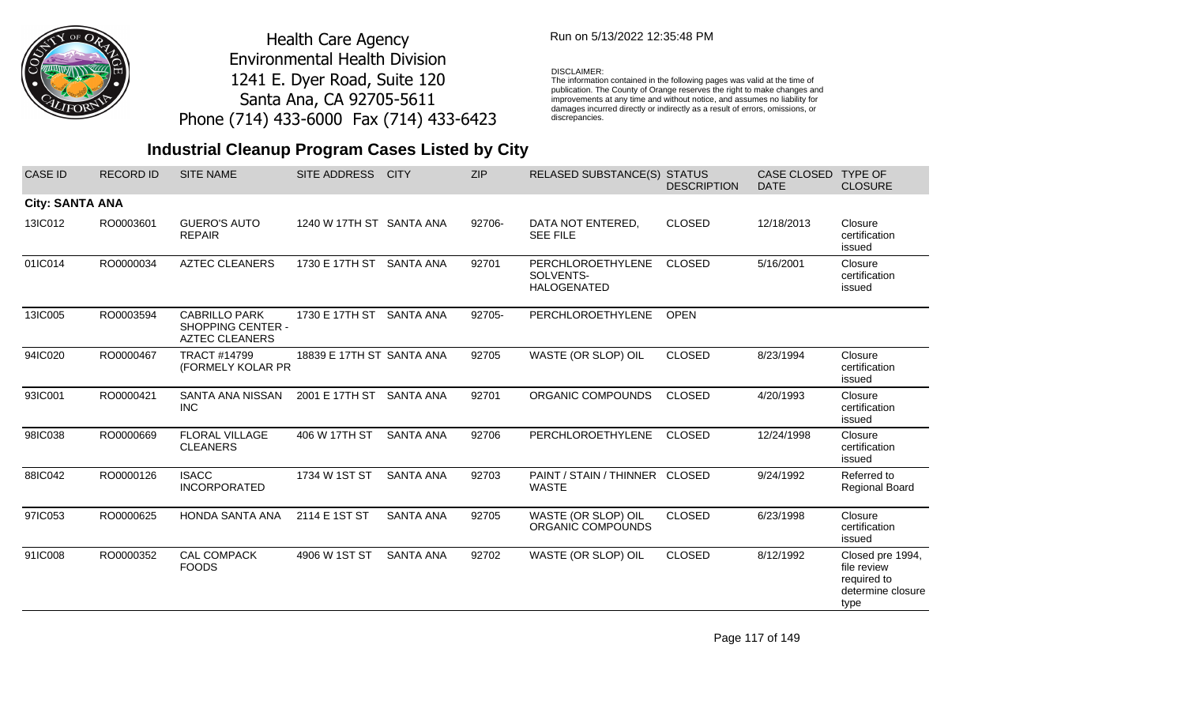

### Run on 5/13/2022 12:35:48 PM

#### DISCLAIMER:

The information contained in the following pages was valid at the time of publication. The County of Orange reserves the right to make changes and improvements at any time and without notice, and assumes no liability for damages incurred directly or indirectly as a result of errors, omissions, or discrepancies.

## **Industrial Cleanup Program Cases Listed by City**

| <b>CASE ID</b>         | <b>RECORD ID</b> | <b>SITE NAME</b>                                                          | <b>SITE ADDRESS</b>       | <b>CITY</b>      | <b>ZIP</b> | RELASED SUBSTANCE(S) STATUS                          | <b>DESCRIPTION</b> | <b>CASE CLOSED</b><br><b>DATE</b> | <b>TYPE OF</b><br><b>CLOSURE</b>                                            |
|------------------------|------------------|---------------------------------------------------------------------------|---------------------------|------------------|------------|------------------------------------------------------|--------------------|-----------------------------------|-----------------------------------------------------------------------------|
| <b>City: SANTA ANA</b> |                  |                                                                           |                           |                  |            |                                                      |                    |                                   |                                                                             |
| 13IC012                | RO0003601        | <b>GUERO'S AUTO</b><br><b>REPAIR</b>                                      | 1240 W 17TH ST SANTA ANA  |                  | 92706-     | DATA NOT ENTERED,<br><b>SEE FILE</b>                 | <b>CLOSED</b>      | 12/18/2013                        | Closure<br>certification<br>issued                                          |
| 01IC014                | RO0000034        | <b>AZTEC CLEANERS</b>                                                     | 1730 E 17TH ST            | <b>SANTA ANA</b> | 92701      | PERCHLOROETHYLENE<br>SOLVENTS-<br><b>HALOGENATED</b> | <b>CLOSED</b>      | 5/16/2001                         | Closure<br>certification<br>issued                                          |
| 13IC005                | RO0003594        | <b>CABRILLO PARK</b><br><b>SHOPPING CENTER -</b><br><b>AZTEC CLEANERS</b> | 1730 E 17TH ST            | <b>SANTA ANA</b> | 92705-     | PERCHLOROETHYLENE                                    | <b>OPEN</b>        |                                   |                                                                             |
| 94IC020                | RO0000467        | <b>TRACT #14799</b><br>(FORMELY KOLAR PR                                  | 18839 E 17TH ST SANTA ANA |                  | 92705      | WASTE (OR SLOP) OIL                                  | <b>CLOSED</b>      | 8/23/1994                         | Closure<br>certification<br>issued                                          |
| 93IC001                | RO0000421        | SANTA ANA NISSAN<br><b>INC</b>                                            | 2001 E 17TH ST            | <b>SANTA ANA</b> | 92701      | ORGANIC COMPOUNDS                                    | <b>CLOSED</b>      | 4/20/1993                         | Closure<br>certification<br>issued                                          |
| 98IC038                | RO0000669        | <b>FLORAL VILLAGE</b><br><b>CLEANERS</b>                                  | 406 W 17TH ST             | <b>SANTA ANA</b> | 92706      | PERCHLOROETHYLENE                                    | <b>CLOSED</b>      | 12/24/1998                        | Closure<br>certification<br>issued                                          |
| 88IC042                | RO0000126        | <b>ISACC</b><br><b>INCORPORATED</b>                                       | 1734 W 1ST ST             | <b>SANTA ANA</b> | 92703      | PAINT / STAIN / THINNER CLOSED<br><b>WASTE</b>       |                    | 9/24/1992                         | Referred to<br>Regional Board                                               |
| 97IC053                | RO0000625        | HONDA SANTA ANA                                                           | 2114 E 1ST ST             | <b>SANTA ANA</b> | 92705      | WASTE (OR SLOP) OIL<br>ORGANIC COMPOUNDS             | <b>CLOSED</b>      | 6/23/1998                         | Closure<br>certification<br>issued                                          |
| 91IC008                | RO0000352        | CAL COMPACK<br><b>FOODS</b>                                               | 4906 W 1ST ST             | <b>SANTA ANA</b> | 92702      | WASTE (OR SLOP) OIL                                  | <b>CLOSED</b>      | 8/12/1992                         | Closed pre 1994,<br>file review<br>required to<br>determine closure<br>type |

Page 117 of 149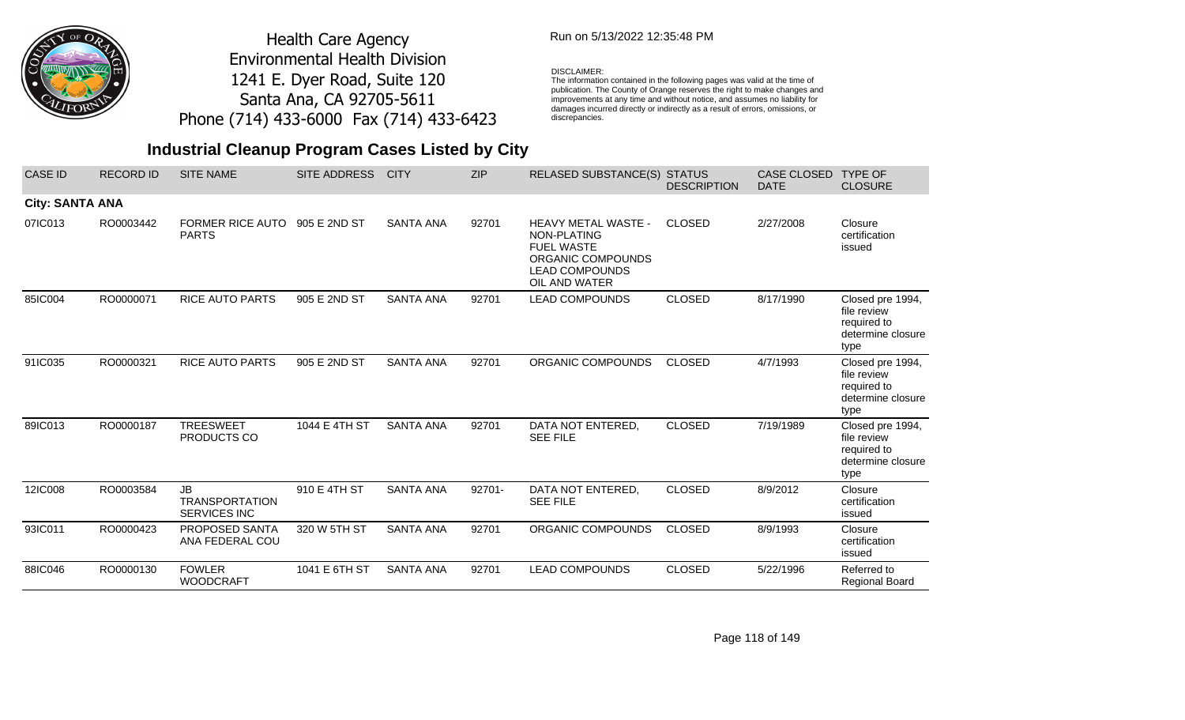

## Run on 5/13/2022 12:35:48 PM

### DISCLAIMER:

The information contained in the following pages was valid at the time of publication. The County of Orange reserves the right to make changes and improvements at any time and without notice, and assumes no liability for damages incurred directly or indirectly as a result of errors, omissions, or discrepancies.

## **Industrial Cleanup Program Cases Listed by City**

| <b>CASE ID</b>         | <b>RECORD ID</b> | <b>SITE NAME</b>                                          | <b>SITE ADDRESS</b> | <b>CITY</b>      | <b>ZIP</b> | <b>RELASED SUBSTANCE(S) STATUS</b>                                                                                            | <b>DESCRIPTION</b> | CASE CLOSED<br><b>DATE</b> | <b>TYPE OF</b><br><b>CLOSURE</b>                                            |
|------------------------|------------------|-----------------------------------------------------------|---------------------|------------------|------------|-------------------------------------------------------------------------------------------------------------------------------|--------------------|----------------------------|-----------------------------------------------------------------------------|
| <b>City: SANTA ANA</b> |                  |                                                           |                     |                  |            |                                                                                                                               |                    |                            |                                                                             |
| 07IC013                | RO0003442        | <b>FORMER RICE AUTO</b><br><b>PARTS</b>                   | 905 E 2ND ST        | <b>SANTA ANA</b> | 92701      | <b>HEAVY METAL WASTE -</b><br>NON-PLATING<br><b>FUEL WASTE</b><br>ORGANIC COMPOUNDS<br><b>LEAD COMPOUNDS</b><br>OIL AND WATER | <b>CLOSED</b>      | 2/27/2008                  | Closure<br>certification<br>issued                                          |
| 85IC004                | RO0000071        | <b>RICE AUTO PARTS</b>                                    | 905 E 2ND ST        | <b>SANTA ANA</b> | 92701      | <b>LEAD COMPOUNDS</b>                                                                                                         | <b>CLOSED</b>      | 8/17/1990                  | Closed pre 1994,<br>file review<br>required to<br>determine closure<br>type |
| 91IC035                | RO0000321        | <b>RICE AUTO PARTS</b>                                    | 905 E 2ND ST        | <b>SANTA ANA</b> | 92701      | ORGANIC COMPOUNDS                                                                                                             | <b>CLOSED</b>      | 4/7/1993                   | Closed pre 1994,<br>file review<br>required to<br>determine closure<br>type |
| 89IC013                | RO0000187        | <b>TREESWEET</b><br>PRODUCTS CO                           | 1044 E 4TH ST       | <b>SANTA ANA</b> | 92701      | DATA NOT ENTERED,<br><b>SEE FILE</b>                                                                                          | <b>CLOSED</b>      | 7/19/1989                  | Closed pre 1994,<br>file review<br>required to<br>determine closure<br>type |
| 12IC008                | RO0003584        | <b>JB</b><br><b>TRANSPORTATION</b><br><b>SERVICES INC</b> | 910 E 4TH ST        | <b>SANTA ANA</b> | 92701-     | DATA NOT ENTERED,<br><b>SEE FILE</b>                                                                                          | <b>CLOSED</b>      | 8/9/2012                   | Closure<br>certification<br>issued                                          |
| 93IC011                | RO0000423        | PROPOSED SANTA<br>ANA FEDERAL COU                         | 320 W 5TH ST        | <b>SANTA ANA</b> | 92701      | ORGANIC COMPOUNDS                                                                                                             | <b>CLOSED</b>      | 8/9/1993                   | Closure<br>certification<br>issued                                          |
| 88IC046                | RO0000130        | <b>FOWLER</b><br><b>WOODCRAFT</b>                         | 1041 E 6TH ST       | <b>SANTA ANA</b> | 92701      | <b>LEAD COMPOUNDS</b>                                                                                                         | <b>CLOSED</b>      | 5/22/1996                  | Referred to<br><b>Regional Board</b>                                        |

Page 118 of 149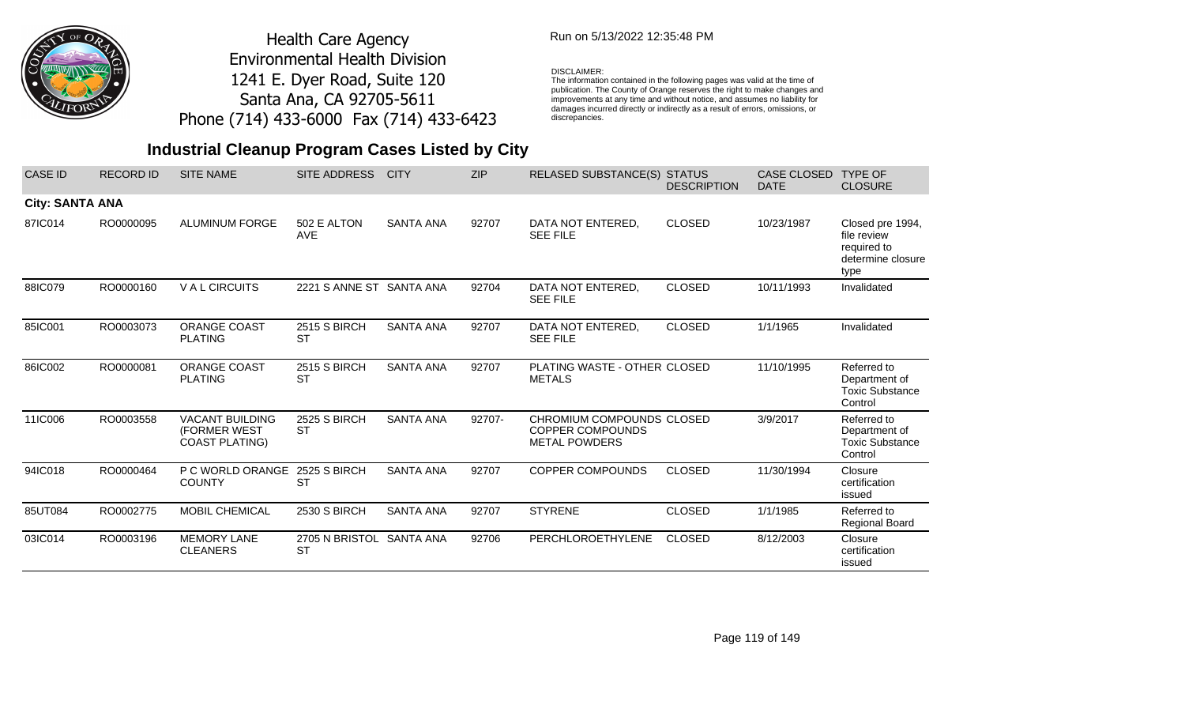

### Run on 5/13/2022 12:35:48 PM

### DISCLAIMER:

The information contained in the following pages was valid at the time of publication. The County of Orange reserves the right to make changes and improvements at any time and without notice, and assumes no liability for damages incurred directly or indirectly as a result of errors, omissions, or discrepancies.

| <b>CASE ID</b>         | <b>RECORD ID</b> | <b>SITE NAME</b>                                                | <b>SITE ADDRESS</b>                   | <b>CITY</b>      | <b>ZIP</b> | <b>RELASED SUBSTANCE(S) STATUS</b>                                           | <b>DESCRIPTION</b> | <b>CASE CLOSED</b><br><b>DATE</b> | <b>TYPE OF</b><br><b>CLOSURE</b>                                            |
|------------------------|------------------|-----------------------------------------------------------------|---------------------------------------|------------------|------------|------------------------------------------------------------------------------|--------------------|-----------------------------------|-----------------------------------------------------------------------------|
| <b>City: SANTA ANA</b> |                  |                                                                 |                                       |                  |            |                                                                              |                    |                                   |                                                                             |
| 87IC014                | RO0000095        | <b>ALUMINUM FORGE</b>                                           | 502 E ALTON<br><b>AVE</b>             | <b>SANTA ANA</b> | 92707      | DATA NOT ENTERED,<br><b>SEE FILE</b>                                         | <b>CLOSED</b>      | 10/23/1987                        | Closed pre 1994,<br>file review<br>required to<br>determine closure<br>type |
| 88IC079                | RO0000160        | <b>VALCIRCUITS</b>                                              | 2221 S ANNE ST SANTA ANA              |                  | 92704      | DATA NOT ENTERED.<br><b>SEE FILE</b>                                         | <b>CLOSED</b>      | 10/11/1993                        | Invalidated                                                                 |
| 85IC001                | RO0003073        | <b>ORANGE COAST</b><br><b>PLATING</b>                           | 2515 S BIRCH<br><b>ST</b>             | <b>SANTA ANA</b> | 92707      | DATA NOT ENTERED,<br><b>SEE FILE</b>                                         | <b>CLOSED</b>      | 1/1/1965                          | Invalidated                                                                 |
| 86IC002                | RO0000081        | <b>ORANGE COAST</b><br><b>PLATING</b>                           | <b>2515 S BIRCH</b><br><b>ST</b>      | <b>SANTA ANA</b> | 92707      | PLATING WASTE - OTHER CLOSED<br><b>METALS</b>                                |                    | 11/10/1995                        | Referred to<br>Department of<br><b>Toxic Substance</b><br>Control           |
| 11IC006                | RO0003558        | <b>VACANT BUILDING</b><br>(FORMER WEST<br><b>COAST PLATING)</b> | 2525 S BIRCH<br><b>ST</b>             | <b>SANTA ANA</b> | 92707-     | CHROMIUM COMPOUNDS CLOSED<br><b>COPPER COMPOUNDS</b><br><b>METAL POWDERS</b> |                    | 3/9/2017                          | Referred to<br>Department of<br><b>Toxic Substance</b><br>Control           |
| 94IC018                | RO0000464        | P C WORLD ORANGE<br><b>COUNTY</b>                               | 2525 S BIRCH<br><b>ST</b>             | <b>SANTA ANA</b> | 92707      | <b>COPPER COMPOUNDS</b>                                                      | <b>CLOSED</b>      | 11/30/1994                        | Closure<br>certification<br>issued                                          |
| 85UT084                | RO0002775        | <b>MOBIL CHEMICAL</b>                                           | <b>2530 S BIRCH</b>                   | <b>SANTA ANA</b> | 92707      | <b>STYRENE</b>                                                               | <b>CLOSED</b>      | 1/1/1985                          | Referred to<br><b>Regional Board</b>                                        |
| 03IC014                | RO0003196        | <b>MEMORY LANE</b><br><b>CLEANERS</b>                           | 2705 N BRISTOL SANTA ANA<br><b>ST</b> |                  | 92706      | PERCHLOROETHYLENE                                                            | <b>CLOSED</b>      | 8/12/2003                         | Closure<br>certification<br>issued                                          |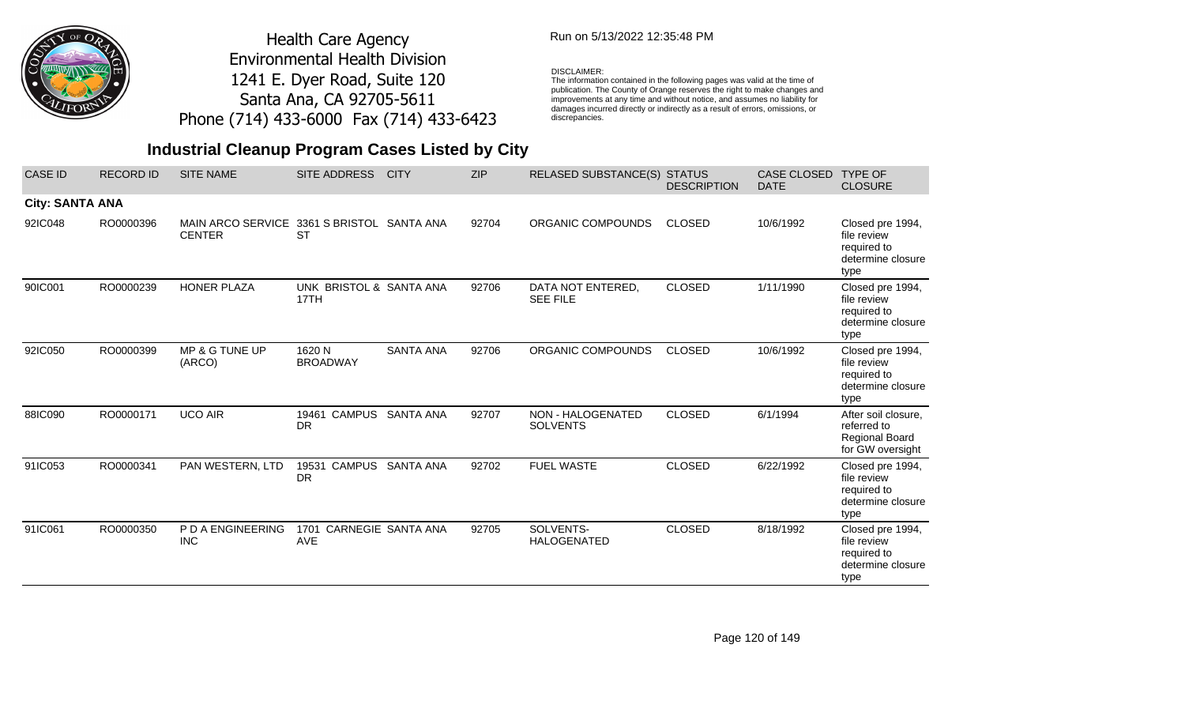

## Run on 5/13/2022 12:35:48 PM

#### DISCLAIMER:

The information contained in the following pages was valid at the time of publication. The County of Orange reserves the right to make changes and improvements at any time and without notice, and assumes no liability for damages incurred directly or indirectly as a result of errors, omissions, or discrepancies.

| <b>CASE ID</b>         | <b>RECORD ID</b> | <b>SITE NAME</b>                          | SITE ADDRESS                          | <b>CITY</b>        | <b>ZIP</b> | RELASED SUBSTANCE(S) STATUS          | <b>DESCRIPTION</b> | <b>CASE CLOSED</b><br><b>DATE</b> | <b>TYPE OF</b><br><b>CLOSURE</b>                                                |
|------------------------|------------------|-------------------------------------------|---------------------------------------|--------------------|------------|--------------------------------------|--------------------|-----------------------------------|---------------------------------------------------------------------------------|
| <b>City: SANTA ANA</b> |                  |                                           |                                       |                    |            |                                      |                    |                                   |                                                                                 |
| 92IC048                | RO0000396        | <b>MAIN ARCO SERVICE</b><br><b>CENTER</b> | 3361 S BRISTOL SANTA ANA<br><b>ST</b> |                    | 92704      | ORGANIC COMPOUNDS                    | <b>CLOSED</b>      | 10/6/1992                         | Closed pre 1994,<br>file review<br>required to<br>determine closure<br>type     |
| 90IC001                | RO0000239        | <b>HONER PLAZA</b>                        | UNK BRISTOL & SANTA ANA<br>17TH       |                    | 92706      | DATA NOT ENTERED,<br><b>SEE FILE</b> | <b>CLOSED</b>      | 1/11/1990                         | Closed pre 1994,<br>file review<br>required to<br>determine closure<br>type     |
| 92IC050                | RO0000399        | MP & G TUNE UP<br>(ARCO)                  | 1620 N<br><b>BROADWAY</b>             | <b>SANTA ANA</b>   | 92706      | ORGANIC COMPOUNDS                    | <b>CLOSED</b>      | 10/6/1992                         | Closed pre 1994,<br>file review<br>required to<br>determine closure<br>type     |
| 88IC090                | RO0000171        | <b>UCO AIR</b>                            | <b>CAMPUS</b><br>19461<br><b>DR</b>   | <b>SANTA ANA</b>   | 92707      | NON - HALOGENATED<br><b>SOLVENTS</b> | <b>CLOSED</b>      | 6/1/1994                          | After soil closure,<br>referred to<br><b>Regional Board</b><br>for GW oversight |
| 91IC053                | RO0000341        | PAN WESTERN, LTD                          | 19531<br><b>CAMPUS</b><br><b>DR</b>   | <b>SANTA ANA</b>   | 92702      | <b>FUEL WASTE</b>                    | <b>CLOSED</b>      | 6/22/1992                         | Closed pre 1994,<br>file review<br>required to<br>determine closure<br>type     |
| 91IC061                | RO0000350        | P D A ENGINEERING<br><b>INC</b>           | 1701<br><b>AVE</b>                    | CARNEGIE SANTA ANA | 92705      | SOLVENTS-<br><b>HALOGENATED</b>      | <b>CLOSED</b>      | 8/18/1992                         | Closed pre 1994,<br>file review<br>required to<br>determine closure<br>type     |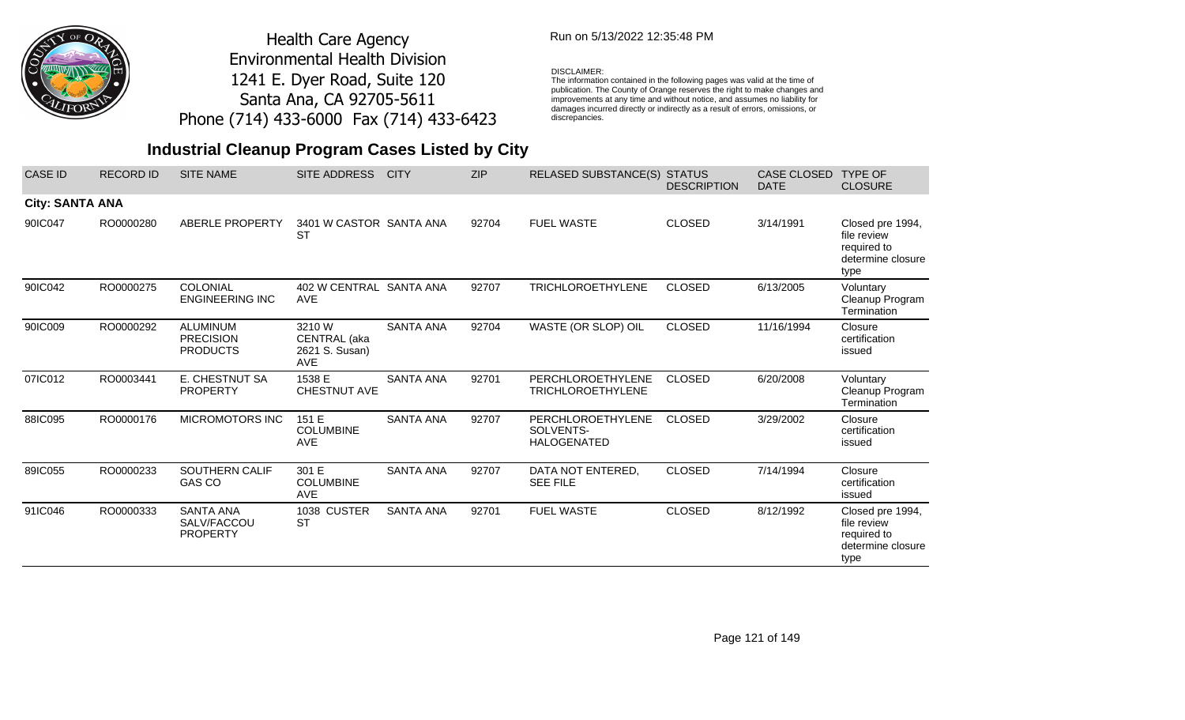

## Run on 5/13/2022 12:35:48 PM

### DISCLAIMER:

The information contained in the following pages was valid at the time of publication. The County of Orange reserves the right to make changes and improvements at any time and without notice, and assumes no liability for damages incurred directly or indirectly as a result of errors, omissions, or discrepancies.

| <b>CASE ID</b>         | <b>RECORD ID</b> | <b>SITE NAME</b>                                       | SITE ADDRESS                                           | <b>CITY</b>      | <b>ZIP</b> | <b>RELASED SUBSTANCE(S)</b>                          | <b>STATUS</b><br><b>DESCRIPTION</b> | <b>CASE CLOSED</b><br><b>DATE</b> | <b>TYPE OF</b><br><b>CLOSURE</b>                                            |
|------------------------|------------------|--------------------------------------------------------|--------------------------------------------------------|------------------|------------|------------------------------------------------------|-------------------------------------|-----------------------------------|-----------------------------------------------------------------------------|
| <b>City: SANTA ANA</b> |                  |                                                        |                                                        |                  |            |                                                      |                                     |                                   |                                                                             |
| 90IC047                | RO0000280        | ABERLE PROPERTY                                        | 3401 W CASTOR SANTA ANA<br><b>ST</b>                   |                  | 92704      | <b>FUEL WASTE</b>                                    | <b>CLOSED</b>                       | 3/14/1991                         | Closed pre 1994,<br>file review<br>required to<br>determine closure<br>type |
| 90IC042                | RO0000275        | COLONIAL<br><b>ENGINEERING INC</b>                     | 402 W CENTRAL SANTA ANA<br><b>AVE</b>                  |                  | 92707      | <b>TRICHLOROETHYLENE</b>                             | <b>CLOSED</b>                       | 6/13/2005                         | Voluntary<br>Cleanup Program<br>Termination                                 |
| 90IC009                | RO0000292        | <b>ALUMINUM</b><br><b>PRECISION</b><br><b>PRODUCTS</b> | 3210 W<br>CENTRAL (aka<br>2621 S. Susan)<br><b>AVE</b> | <b>SANTA ANA</b> | 92704      | WASTE (OR SLOP) OIL                                  | <b>CLOSED</b>                       | 11/16/1994                        | Closure<br>certification<br>issued                                          |
| 07IC012                | RO0003441        | E. CHESTNUT SA<br><b>PROPERTY</b>                      | 1538 E<br>CHESTNUT AVE                                 | <b>SANTA ANA</b> | 92701      | PERCHLOROETHYLENE<br><b>TRICHLOROETHYLENE</b>        | <b>CLOSED</b>                       | 6/20/2008                         | Voluntary<br>Cleanup Program<br>Termination                                 |
| 88IC095                | RO0000176        | MICROMOTORS INC                                        | 151 E<br><b>COLUMBINE</b><br><b>AVE</b>                | <b>SANTA ANA</b> | 92707      | PERCHLOROETHYLENE<br>SOLVENTS-<br><b>HALOGENATED</b> | <b>CLOSED</b>                       | 3/29/2002                         | Closure<br>certification<br>issued                                          |
| 89IC055                | RO0000233        | <b>SOUTHERN CALIF</b><br>GAS CO                        | 301 E<br><b>COLUMBINE</b><br><b>AVE</b>                | <b>SANTA ANA</b> | 92707      | DATA NOT ENTERED,<br><b>SEE FILE</b>                 | <b>CLOSED</b>                       | 7/14/1994                         | Closure<br>certification<br>issued                                          |
| 91IC046                | RO0000333        | <b>SANTA ANA</b><br>SALV/FACCOU<br><b>PROPERTY</b>     | 1038 CUSTER<br><b>ST</b>                               | <b>SANTA ANA</b> | 92701      | <b>FUEL WASTE</b>                                    | <b>CLOSED</b>                       | 8/12/1992                         | Closed pre 1994,<br>file review<br>required to<br>determine closure<br>type |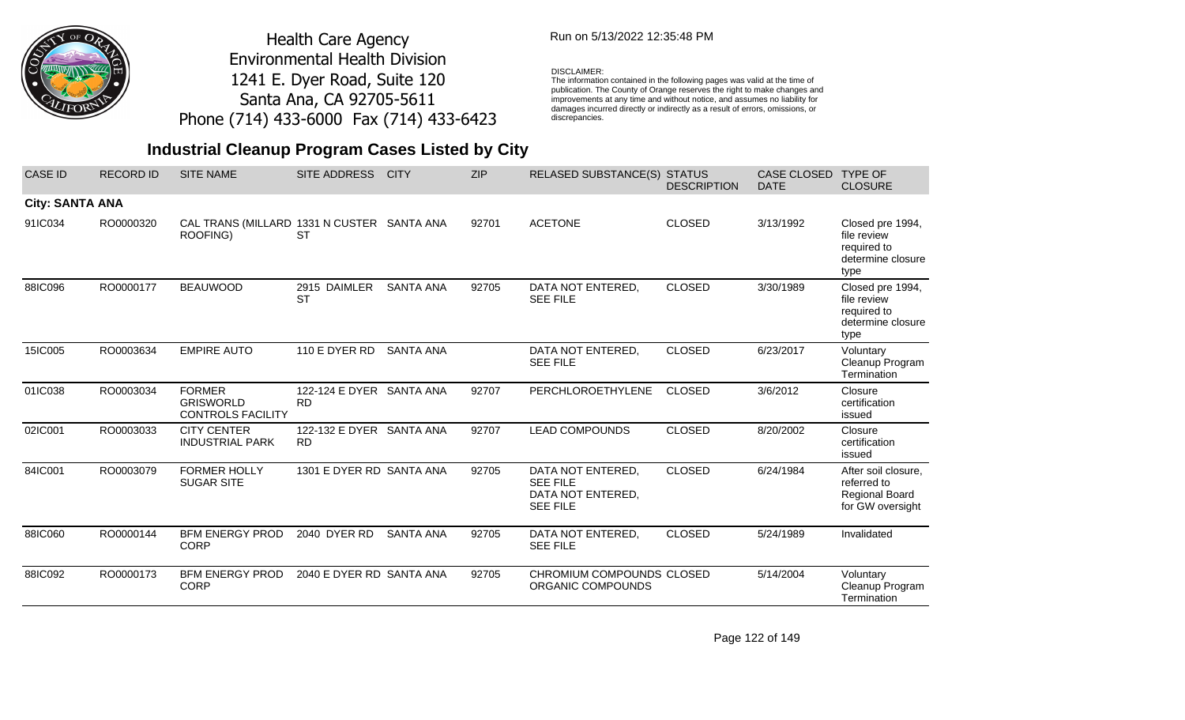

### Run on 5/13/2022 12:35:48 PM

#### DISCLAIMER:

The information contained in the following pages was valid at the time of publication. The County of Orange reserves the right to make changes and improvements at any time and without notice, and assumes no liability for damages incurred directly or indirectly as a result of errors, omissions, or discrepancies.

| <b>CASE ID</b>         | <b>RECORD ID</b> | <b>SITE NAME</b>                                              | <b>SITE ADDRESS</b>                   | <b>CITY</b>      | <b>ZIP</b> | RELASED SUBSTANCE(S) STATUS                                                  | <b>DESCRIPTION</b> | <b>CASE CLOSED</b><br><b>DATE</b> | <b>TYPE OF</b><br><b>CLOSURE</b>                                                |
|------------------------|------------------|---------------------------------------------------------------|---------------------------------------|------------------|------------|------------------------------------------------------------------------------|--------------------|-----------------------------------|---------------------------------------------------------------------------------|
| <b>City: SANTA ANA</b> |                  |                                                               |                                       |                  |            |                                                                              |                    |                                   |                                                                                 |
| 91IC034                | RO0000320        | CAL TRANS (MILLARD 1331 N CUSTER SANTA ANA<br>ROOFING)        | <b>ST</b>                             |                  | 92701      | <b>ACETONE</b>                                                               | <b>CLOSED</b>      | 3/13/1992                         | Closed pre 1994,<br>file review<br>required to<br>determine closure<br>type     |
| 88IC096                | RO0000177        | <b>BEAUWOOD</b>                                               | 2915 DAIMLER<br><b>ST</b>             | <b>SANTA ANA</b> | 92705      | DATA NOT ENTERED,<br><b>SEE FILE</b>                                         | <b>CLOSED</b>      | 3/30/1989                         | Closed pre 1994,<br>file review<br>required to<br>determine closure<br>type     |
| 15IC005                | RO0003634        | <b>EMPIRE AUTO</b>                                            | 110 E DYER RD                         | <b>SANTA ANA</b> |            | DATA NOT ENTERED,<br><b>SEE FILE</b>                                         | <b>CLOSED</b>      | 6/23/2017                         | Voluntary<br>Cleanup Program<br>Termination                                     |
| 01IC038                | RO0003034        | <b>FORMER</b><br><b>GRISWORLD</b><br><b>CONTROLS FACILITY</b> | 122-124 E DYER SANTA ANA<br><b>RD</b> |                  | 92707      | PERCHLOROETHYLENE                                                            | <b>CLOSED</b>      | 3/6/2012                          | Closure<br>certification<br>issued                                              |
| 02IC001                | RO0003033        | <b>CITY CENTER</b><br><b>INDUSTRIAL PARK</b>                  | 122-132 E DYER SANTA ANA<br><b>RD</b> |                  | 92707      | <b>LEAD COMPOUNDS</b>                                                        | <b>CLOSED</b>      | 8/20/2002                         | Closure<br>certification<br>issued                                              |
| 84IC001                | RO0003079        | <b>FORMER HOLLY</b><br><b>SUGAR SITE</b>                      | 1301 E DYER RD SANTA ANA              |                  | 92705      | DATA NOT ENTERED,<br><b>SEE FILE</b><br>DATA NOT ENTERED,<br><b>SEE FILE</b> | <b>CLOSED</b>      | 6/24/1984                         | After soil closure,<br>referred to<br><b>Regional Board</b><br>for GW oversight |
| 88IC060                | RO0000144        | <b>BFM ENERGY PROD</b><br><b>CORP</b>                         | 2040 DYER RD                          | <b>SANTA ANA</b> | 92705      | DATA NOT ENTERED,<br><b>SEE FILE</b>                                         | <b>CLOSED</b>      | 5/24/1989                         | Invalidated                                                                     |
| 88IC092                | RO0000173        | <b>BFM ENERGY PROD</b><br><b>CORP</b>                         | 2040 E DYER RD SANTA ANA              |                  | 92705      | CHROMIUM COMPOUNDS CLOSED<br>ORGANIC COMPOUNDS                               |                    | 5/14/2004                         | Voluntary<br>Cleanup Program<br>Termination                                     |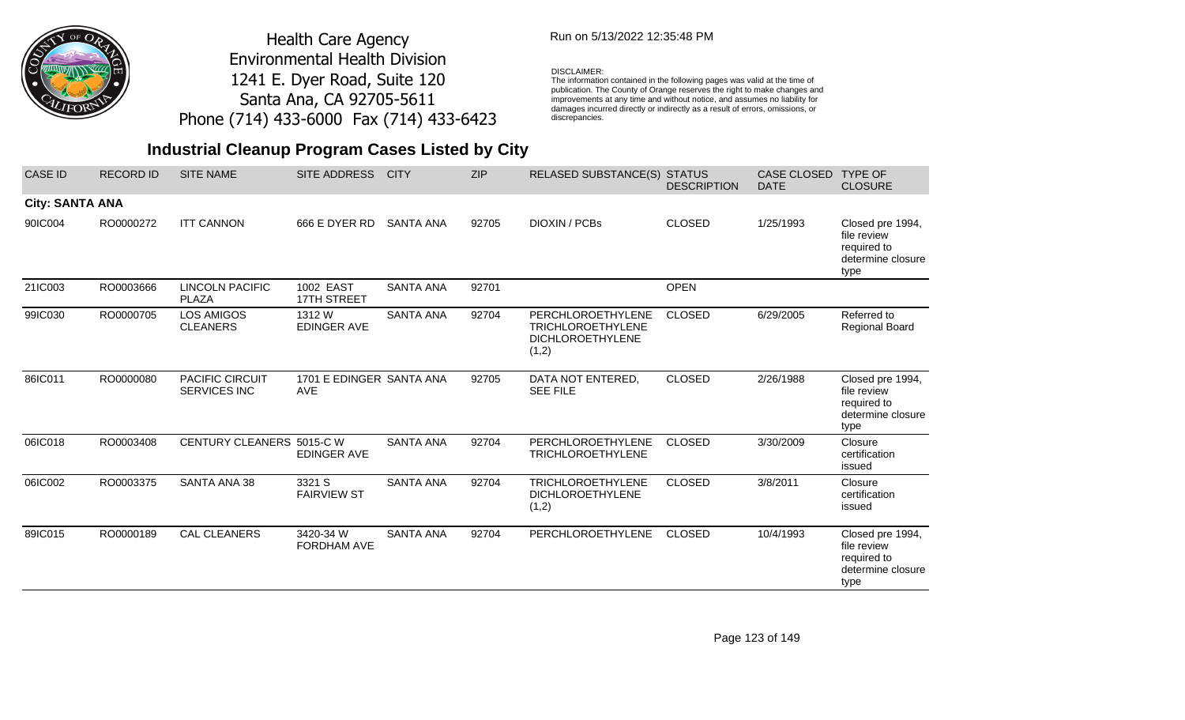

### Run on 5/13/2022 12:35:48 PM

#### DISCLAIMER:

The information contained in the following pages was valid at the time of publication. The County of Orange reserves the right to make changes and improvements at any time and without notice, and assumes no liability for damages incurred directly or indirectly as a result of errors, omissions, or discrepancies.

| <b>CASE ID</b>         | <b>RECORD ID</b> | <b>SITE NAME</b>                       | <b>SITE ADDRESS</b>                    | <b>CITY</b>      | <b>ZIP</b> | <b>RELASED SUBSTANCE(S)</b>                                                       | <b>STATUS</b><br><b>DESCRIPTION</b> | <b>CASE CLOSED</b><br><b>DATE</b> | <b>TYPE OF</b><br><b>CLOSURE</b>                                            |
|------------------------|------------------|----------------------------------------|----------------------------------------|------------------|------------|-----------------------------------------------------------------------------------|-------------------------------------|-----------------------------------|-----------------------------------------------------------------------------|
| <b>City: SANTA ANA</b> |                  |                                        |                                        |                  |            |                                                                                   |                                     |                                   |                                                                             |
| 90IC004                | RO0000272        | <b>ITT CANNON</b>                      | 666 E DYER RD                          | <b>SANTA ANA</b> | 92705      | DIOXIN / PCBs                                                                     | <b>CLOSED</b>                       | 1/25/1993                         | Closed pre 1994,<br>file review<br>required to<br>determine closure<br>type |
| 21IC003                | RO0003666        | LINCOLN PACIFIC<br><b>PLAZA</b>        | 1002 EAST<br>17TH STREET               | <b>SANTA ANA</b> | 92701      |                                                                                   | <b>OPEN</b>                         |                                   |                                                                             |
| 99IC030                | RO0000705        | LOS AMIGOS<br><b>CLEANERS</b>          | 1312 W<br><b>EDINGER AVE</b>           | <b>SANTA ANA</b> | 92704      | PERCHLOROETHYLENE<br><b>TRICHLOROETHYLENE</b><br><b>DICHLOROETHYLENE</b><br>(1,2) | <b>CLOSED</b>                       | 6/29/2005                         | Referred to<br>Regional Board                                               |
| 86IC011                | RO0000080        | PACIFIC CIRCUIT<br><b>SERVICES INC</b> | 1701 E EDINGER SANTA ANA<br><b>AVE</b> |                  | 92705      | DATA NOT ENTERED,<br><b>SEE FILE</b>                                              | <b>CLOSED</b>                       | 2/26/1988                         | Closed pre 1994,<br>file review<br>required to<br>determine closure<br>type |
| 06IC018                | RO0003408        | CENTURY CLEANERS 5015-C W              | <b>EDINGER AVE</b>                     | <b>SANTA ANA</b> | 92704      | <b>PERCHLOROETHYLENE</b><br><b>TRICHLOROETHYLENE</b>                              | <b>CLOSED</b>                       | 3/30/2009                         | Closure<br>certification<br>issued                                          |
| 06IC002                | RO0003375        | SANTA ANA 38                           | 3321 S<br><b>FAIRVIEW ST</b>           | <b>SANTA ANA</b> | 92704      | <b>TRICHLOROETHYLENE</b><br><b>DICHLOROETHYLENE</b><br>(1,2)                      | <b>CLOSED</b>                       | 3/8/2011                          | Closure<br>certification<br>issued                                          |
| 89IC015                | RO0000189        | CAL CLEANERS                           | 3420-34 W<br><b>FORDHAM AVE</b>        | <b>SANTA ANA</b> | 92704      | PERCHLOROETHYLENE                                                                 | <b>CLOSED</b>                       | 10/4/1993                         | Closed pre 1994,<br>file review<br>required to<br>determine closure<br>type |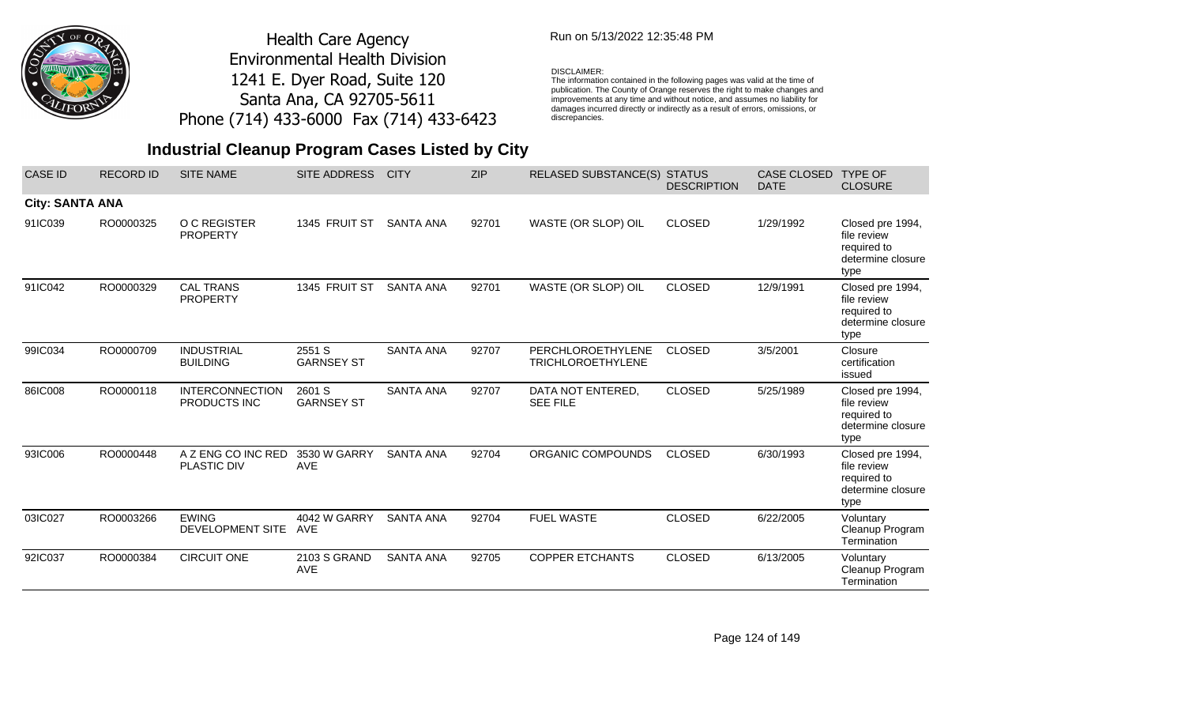

### Run on 5/13/2022 12:35:48 PM

#### DISCLAIMER:

The information contained in the following pages was valid at the time of publication. The County of Orange reserves the right to make changes and improvements at any time and without notice, and assumes no liability for damages incurred directly or indirectly as a result of errors, omissions, or discrepancies.

| <b>CASE ID</b>         | <b>RECORD ID</b> | <b>SITE NAME</b>                        | <b>SITE ADDRESS</b>         | <b>CITY</b>      | <b>ZIP</b> | <b>RELASED SUBSTANCE(S)</b>                   | <b>STATUS</b><br><b>DESCRIPTION</b> | <b>CASE CLOSED</b><br><b>DATE</b> | <b>TYPE OF</b><br><b>CLOSURE</b>                                            |
|------------------------|------------------|-----------------------------------------|-----------------------------|------------------|------------|-----------------------------------------------|-------------------------------------|-----------------------------------|-----------------------------------------------------------------------------|
| <b>City: SANTA ANA</b> |                  |                                         |                             |                  |            |                                               |                                     |                                   |                                                                             |
| 91IC039                | RO0000325        | O C REGISTER<br><b>PROPERTY</b>         | 1345 FRUIT ST               | <b>SANTA ANA</b> | 92701      | WASTE (OR SLOP) OIL                           | <b>CLOSED</b>                       | 1/29/1992                         | Closed pre 1994,<br>file review<br>required to<br>determine closure<br>type |
| 91IC042                | RO0000329        | <b>CAL TRANS</b><br><b>PROPERTY</b>     | 1345 FRUIT ST               | <b>SANTA ANA</b> | 92701      | WASTE (OR SLOP) OIL                           | <b>CLOSED</b>                       | 12/9/1991                         | Closed pre 1994,<br>file review<br>required to<br>determine closure<br>type |
| 99IC034                | RO0000709        | <b>INDUSTRIAL</b><br><b>BUILDING</b>    | 2551 S<br><b>GARNSEY ST</b> | <b>SANTA ANA</b> | 92707      | PERCHLOROETHYLENE<br><b>TRICHLOROETHYLENE</b> | <b>CLOSED</b>                       | 3/5/2001                          | Closure<br>certification<br>issued                                          |
| 86IC008                | RO0000118        | <b>INTERCONNECTION</b><br>PRODUCTS INC  | 2601 S<br><b>GARNSEY ST</b> | <b>SANTA ANA</b> | 92707      | DATA NOT ENTERED,<br><b>SEE FILE</b>          | <b>CLOSED</b>                       | 5/25/1989                         | Closed pre 1994,<br>file review<br>required to<br>determine closure<br>type |
| 93IC006                | RO0000448        | A Z ENG CO INC RED<br>PLASTIC DIV       | 3530 W GARRY<br><b>AVE</b>  | <b>SANTA ANA</b> | 92704      | ORGANIC COMPOUNDS                             | <b>CLOSED</b>                       | 6/30/1993                         | Closed pre 1994,<br>file review<br>required to<br>determine closure<br>type |
| 03IC027                | RO0003266        | <b>EWING</b><br><b>DEVELOPMENT SITE</b> | 4042 W GARRY<br><b>AVE</b>  | <b>SANTA ANA</b> | 92704      | <b>FUEL WASTE</b>                             | <b>CLOSED</b>                       | 6/22/2005                         | Voluntary<br>Cleanup Program<br>Termination                                 |
| 92IC037                | RO0000384        | <b>CIRCUIT ONE</b>                      | 2103 S GRAND<br><b>AVE</b>  | <b>SANTA ANA</b> | 92705      | <b>COPPER ETCHANTS</b>                        | <b>CLOSED</b>                       | 6/13/2005                         | Voluntary<br>Cleanup Program<br>Termination                                 |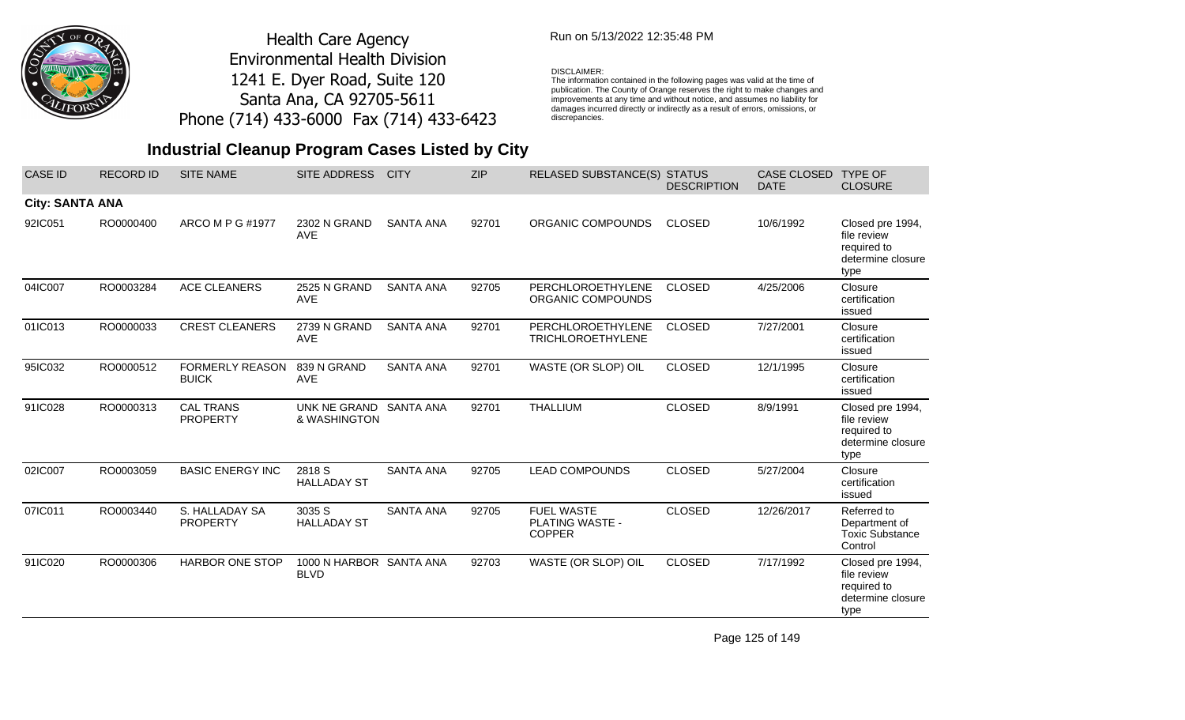

### Run on 5/13/2022 12:35:48 PM

### DISCLAIMER:

The information contained in the following pages was valid at the time of publication. The County of Orange reserves the right to make changes and improvements at any time and without notice, and assumes no liability for damages incurred directly or indirectly as a result of errors, omissions, or discrepancies.

## **Industrial Cleanup Program Cases Listed by City**

| <b>CASE ID</b>         | <b>RECORD ID</b> | <b>SITE NAME</b>                       | <b>SITE ADDRESS</b>                    | <b>CITY</b>      | <b>ZIP</b> | RELASED SUBSTANCE(S)                                         | <b>STATUS</b><br><b>DESCRIPTION</b> | CASE CLOSED<br><b>DATE</b> | <b>TYPE OF</b><br><b>CLOSURE</b>                                            |
|------------------------|------------------|----------------------------------------|----------------------------------------|------------------|------------|--------------------------------------------------------------|-------------------------------------|----------------------------|-----------------------------------------------------------------------------|
| <b>City: SANTA ANA</b> |                  |                                        |                                        |                  |            |                                                              |                                     |                            |                                                                             |
| 92IC051                | RO0000400        | ARCO M P G #1977                       | 2302 N GRAND<br><b>AVE</b>             | <b>SANTA ANA</b> | 92701      | ORGANIC COMPOUNDS                                            | <b>CLOSED</b>                       | 10/6/1992                  | Closed pre 1994,<br>file review<br>required to<br>determine closure<br>type |
| 04IC007                | RO0003284        | <b>ACE CLEANERS</b>                    | 2525 N GRAND<br><b>AVE</b>             | <b>SANTA ANA</b> | 92705      | PERCHLOROETHYLENE<br>ORGANIC COMPOUNDS                       | <b>CLOSED</b>                       | 4/25/2006                  | Closure<br>certification<br>issued                                          |
| 01IC013                | RO0000033        | <b>CREST CLEANERS</b>                  | 2739 N GRAND<br><b>AVE</b>             | <b>SANTA ANA</b> | 92701      | PERCHLOROETHYLENE<br><b>TRICHLOROETHYLENE</b>                | <b>CLOSED</b>                       | 7/27/2001                  | Closure<br>certification<br>issued                                          |
| 95IC032                | RO0000512        | <b>FORMERLY REASON</b><br><b>BUICK</b> | 839 N GRAND<br><b>AVE</b>              | <b>SANTA ANA</b> | 92701      | WASTE (OR SLOP) OIL                                          | <b>CLOSED</b>                       | 12/1/1995                  | Closure<br>certification<br>issued                                          |
| 91IC028                | RO0000313        | <b>CAL TRANS</b><br><b>PROPERTY</b>    | UNK NE GRAND<br>& WASHINGTON           | <b>SANTA ANA</b> | 92701      | <b>THALLIUM</b>                                              | <b>CLOSED</b>                       | 8/9/1991                   | Closed pre 1994,<br>file review<br>required to<br>determine closure<br>type |
| 02IC007                | RO0003059        | <b>BASIC ENERGY INC</b>                | 2818 S<br><b>HALLADAY ST</b>           | <b>SANTA ANA</b> | 92705      | <b>LEAD COMPOUNDS</b>                                        | <b>CLOSED</b>                       | 5/27/2004                  | Closure<br>certification<br>issued                                          |
| 07IC011                | RO0003440        | S. HALLADAY SA<br><b>PROPERTY</b>      | 3035 S<br><b>HALLADAY ST</b>           | <b>SANTA ANA</b> | 92705      | <b>FUEL WASTE</b><br><b>PLATING WASTE -</b><br><b>COPPER</b> | <b>CLOSED</b>                       | 12/26/2017                 | Referred to<br>Department of<br><b>Toxic Substance</b><br>Control           |
| 91IC020                | RO0000306        | <b>HARBOR ONE STOP</b>                 | 1000 N HARBOR SANTA ANA<br><b>BLVD</b> |                  | 92703      | WASTE (OR SLOP) OIL                                          | <b>CLOSED</b>                       | 7/17/1992                  | Closed pre 1994,<br>file review<br>required to<br>determine closure<br>type |

Page 125 of 149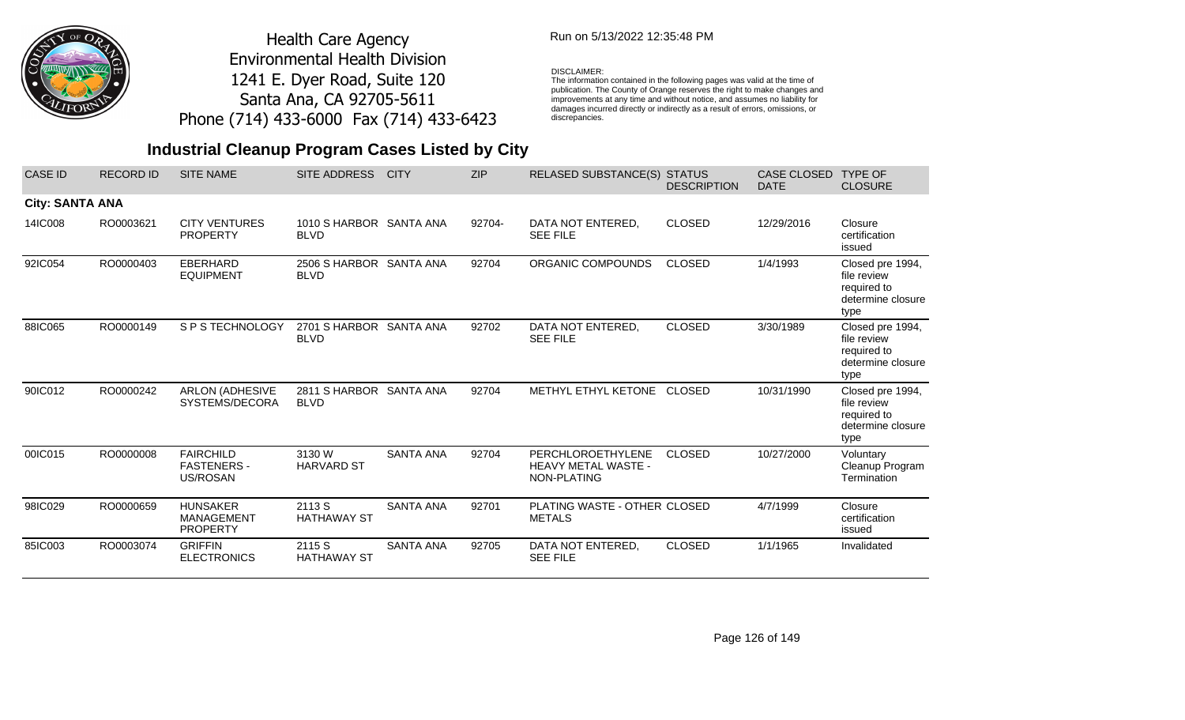

### Run on 5/13/2022 12:35:48 PM

#### DISCLAIMER:

The information contained in the following pages was valid at the time of publication. The County of Orange reserves the right to make changes and improvements at any time and without notice, and assumes no liability for damages incurred directly or indirectly as a result of errors, omissions, or discrepancies.

| <b>CASE ID</b>         | <b>RECORD ID</b> | <b>SITE NAME</b>                                        | SITE ADDRESS                           | <b>CITY</b>      | <b>ZIP</b> | <b>RELASED SUBSTANCE(S) STATUS</b>                             | <b>DESCRIPTION</b> | <b>CASE CLOSED</b><br><b>DATE</b> | <b>TYPE OF</b><br><b>CLOSURE</b>                                            |
|------------------------|------------------|---------------------------------------------------------|----------------------------------------|------------------|------------|----------------------------------------------------------------|--------------------|-----------------------------------|-----------------------------------------------------------------------------|
| <b>City: SANTA ANA</b> |                  |                                                         |                                        |                  |            |                                                                |                    |                                   |                                                                             |
| 14IC008                | RO0003621        | <b>CITY VENTURES</b><br><b>PROPERTY</b>                 | 1010 S HARBOR SANTA ANA<br><b>BLVD</b> |                  | 92704-     | DATA NOT ENTERED,<br><b>SEE FILE</b>                           | <b>CLOSED</b>      | 12/29/2016                        | Closure<br>certification<br>issued                                          |
| 92IC054                | RO0000403        | <b>EBERHARD</b><br><b>EQUIPMENT</b>                     | 2506 S HARBOR SANTA ANA<br><b>BLVD</b> |                  | 92704      | ORGANIC COMPOUNDS                                              | <b>CLOSED</b>      | 1/4/1993                          | Closed pre 1994,<br>file review<br>required to<br>determine closure<br>type |
| 88IC065                | RO0000149        | S P S TECHNOLOGY                                        | 2701 S HARBOR SANTA ANA<br><b>BLVD</b> |                  | 92702      | DATA NOT ENTERED,<br><b>SEE FILE</b>                           | <b>CLOSED</b>      | 3/30/1989                         | Closed pre 1994,<br>file review<br>required to<br>determine closure<br>type |
| 90IC012                | RO0000242        | <b>ARLON (ADHESIVE</b><br>SYSTEMS/DECORA                | 2811 S HARBOR SANTA ANA<br><b>BLVD</b> |                  | 92704      | METHYL ETHYL KETONE                                            | <b>CLOSED</b>      | 10/31/1990                        | Closed pre 1994,<br>file review<br>required to<br>determine closure<br>type |
| 00IC015                | RO0000008        | <b>FAIRCHILD</b><br><b>FASTENERS -</b><br>US/ROSAN      | 3130 W<br><b>HARVARD ST</b>            | <b>SANTA ANA</b> | 92704      | PERCHLOROETHYLENE<br><b>HEAVY METAL WASTE -</b><br>NON-PLATING | <b>CLOSED</b>      | 10/27/2000                        | Voluntary<br>Cleanup Program<br>Termination                                 |
| 98IC029                | RO0000659        | <b>HUNSAKER</b><br><b>MANAGEMENT</b><br><b>PROPERTY</b> | 2113 S<br><b>HATHAWAY ST</b>           | <b>SANTA ANA</b> | 92701      | PLATING WASTE - OTHER CLOSED<br><b>METALS</b>                  |                    | 4/7/1999                          | Closure<br>certification<br>issued                                          |
| 85IC003                | RO0003074        | <b>GRIFFIN</b><br><b>ELECTRONICS</b>                    | 2115 S<br><b>HATHAWAY ST</b>           | <b>SANTA ANA</b> | 92705      | DATA NOT ENTERED,<br><b>SEE FILE</b>                           | <b>CLOSED</b>      | 1/1/1965                          | Invalidated                                                                 |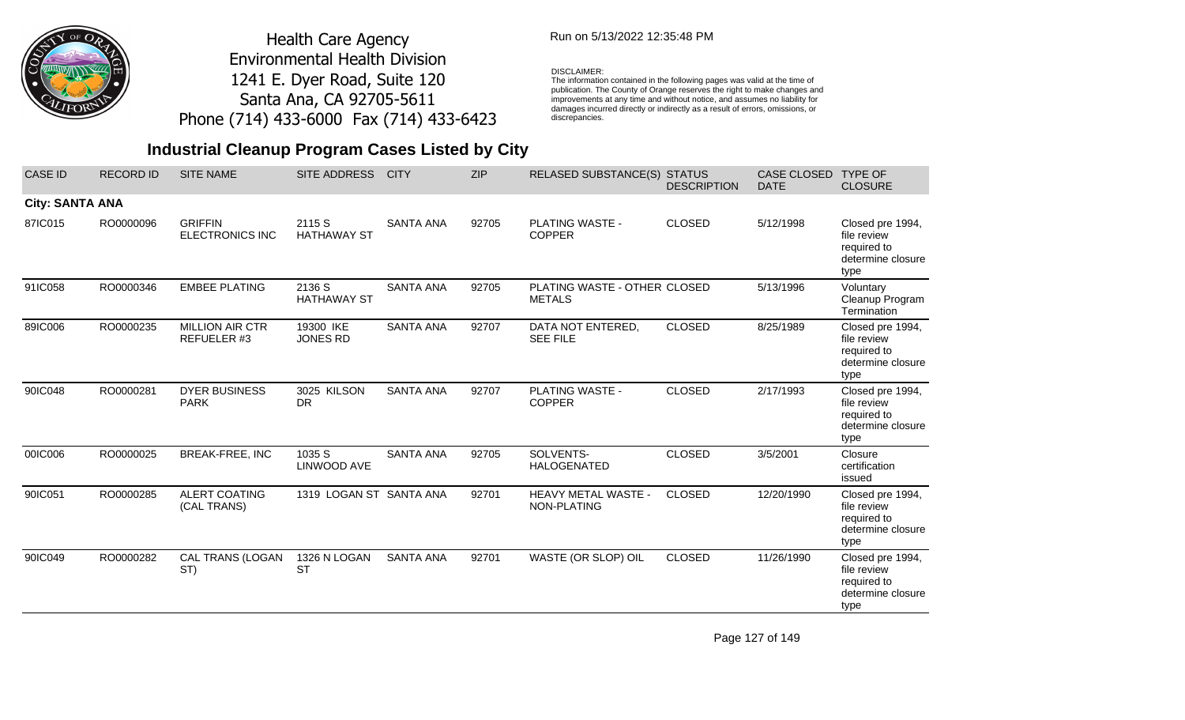

### Run on 5/13/2022 12:35:48 PM

### DISCLAIMER:

The information contained in the following pages was valid at the time of publication. The County of Orange reserves the right to make changes and improvements at any time and without notice, and assumes no liability for damages incurred directly or indirectly as a result of errors, omissions, or discrepancies.

## **Industrial Cleanup Program Cases Listed by City**

| <b>CASE ID</b>         | <b>RECORD ID</b> | <b>SITE NAME</b>                         | SITE ADDRESS                 | <b>CITY</b>      | <b>ZIP</b> | RELASED SUBSTANCE(S) STATUS                   | <b>DESCRIPTION</b> | CASE CLOSED<br><b>DATE</b> | <b>TYPE OF</b><br><b>CLOSURE</b>                                            |
|------------------------|------------------|------------------------------------------|------------------------------|------------------|------------|-----------------------------------------------|--------------------|----------------------------|-----------------------------------------------------------------------------|
| <b>City: SANTA ANA</b> |                  |                                          |                              |                  |            |                                               |                    |                            |                                                                             |
| 87IC015                | RO0000096        | <b>GRIFFIN</b><br><b>ELECTRONICS INC</b> | 2115 S<br><b>HATHAWAY ST</b> | <b>SANTA ANA</b> | 92705      | <b>PLATING WASTE -</b><br><b>COPPER</b>       | <b>CLOSED</b>      | 5/12/1998                  | Closed pre 1994,<br>file review<br>required to<br>determine closure<br>type |
| 91IC058                | RO0000346        | <b>EMBEE PLATING</b>                     | 2136 S<br><b>HATHAWAY ST</b> | <b>SANTA ANA</b> | 92705      | PLATING WASTE - OTHER CLOSED<br><b>METALS</b> |                    | 5/13/1996                  | Voluntary<br>Cleanup Program<br>Termination                                 |
| 89IC006                | RO0000235        | <b>MILLION AIR CTR</b><br>REFUELER #3    | 19300 IKE<br><b>JONES RD</b> | <b>SANTA ANA</b> | 92707      | DATA NOT ENTERED,<br><b>SEE FILE</b>          | <b>CLOSED</b>      | 8/25/1989                  | Closed pre 1994,<br>file review<br>required to<br>determine closure<br>type |
| 90IC048                | RO0000281        | <b>DYER BUSINESS</b><br><b>PARK</b>      | 3025 KILSON<br><b>DR</b>     | <b>SANTA ANA</b> | 92707      | PLATING WASTE -<br><b>COPPER</b>              | <b>CLOSED</b>      | 2/17/1993                  | Closed pre 1994,<br>file review<br>required to<br>determine closure<br>type |
| 00IC006                | RO0000025        | <b>BREAK-FREE, INC</b>                   | 1035 S<br>LINWOOD AVE        | <b>SANTA ANA</b> | 92705      | SOLVENTS-<br><b>HALOGENATED</b>               | <b>CLOSED</b>      | 3/5/2001                   | Closure<br>certification<br>issued                                          |
| 90IC051                | RO0000285        | <b>ALERT COATING</b><br>(CAL TRANS)      | 1319 LOGAN ST SANTA ANA      |                  | 92701      | HEAVY METAL WASTE -<br>NON-PLATING            | <b>CLOSED</b>      | 12/20/1990                 | Closed pre 1994,<br>file review<br>required to<br>determine closure<br>type |
| 90IC049                | RO0000282        | CAL TRANS (LOGAN<br>ST)                  | 1326 N LOGAN<br><b>ST</b>    | <b>SANTA ANA</b> | 92701      | WASTE (OR SLOP) OIL                           | <b>CLOSED</b>      | 11/26/1990                 | Closed pre 1994,<br>file review<br>required to<br>determine closure<br>type |

Page 127 of 149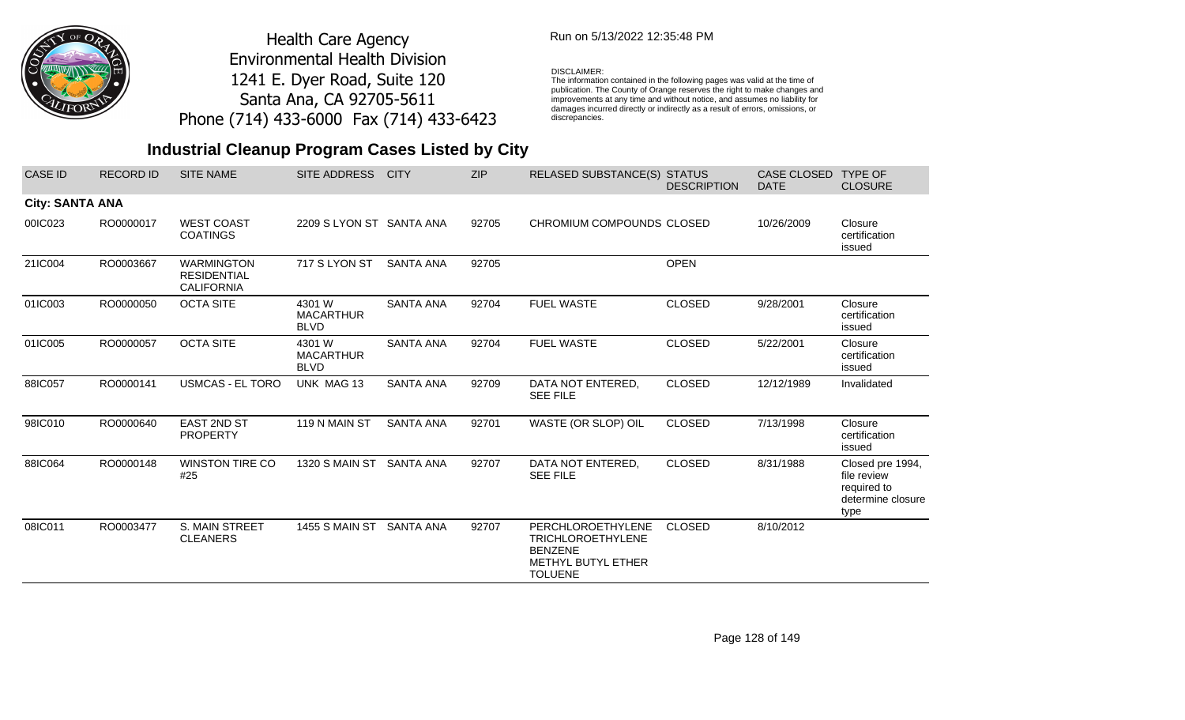

### Run on 5/13/2022 12:35:48 PM

#### DISCLAIMER:

The information contained in the following pages was valid at the time of publication. The County of Orange reserves the right to make changes and improvements at any time and without notice, and assumes no liability for damages incurred directly or indirectly as a result of errors, omissions, or discrepancies.

| <b>CASE ID</b>         | <b>RECORD ID</b> | <b>SITE NAME</b>                                             | SITE ADDRESS                              | <b>CITY</b>      | <b>ZIP</b> | <b>RELASED SUBSTANCE(S) STATUS</b>                                                                      | <b>DESCRIPTION</b> | <b>CASE CLOSED</b><br><b>DATE</b> | <b>TYPE OF</b><br><b>CLOSURE</b>                                            |
|------------------------|------------------|--------------------------------------------------------------|-------------------------------------------|------------------|------------|---------------------------------------------------------------------------------------------------------|--------------------|-----------------------------------|-----------------------------------------------------------------------------|
| <b>City: SANTA ANA</b> |                  |                                                              |                                           |                  |            |                                                                                                         |                    |                                   |                                                                             |
| 00IC023                | RO0000017        | <b>WEST COAST</b><br><b>COATINGS</b>                         | 2209 SLYON ST SANTA ANA                   |                  | 92705      | CHROMIUM COMPOUNDS CLOSED                                                                               |                    | 10/26/2009                        | Closure<br>certification<br>issued                                          |
| 21IC004                | RO0003667        | <b>WARMINGTON</b><br><b>RESIDENTIAL</b><br><b>CALIFORNIA</b> | 717 S LYON ST                             | <b>SANTA ANA</b> | 92705      |                                                                                                         | <b>OPEN</b>        |                                   |                                                                             |
| 01IC003                | RO0000050        | <b>OCTA SITE</b>                                             | 4301 W<br><b>MACARTHUR</b><br><b>BLVD</b> | <b>SANTA ANA</b> | 92704      | <b>FUEL WASTE</b>                                                                                       | <b>CLOSED</b>      | 9/28/2001                         | Closure<br>certification<br>issued                                          |
| 01IC005                | RO0000057        | <b>OCTA SITE</b>                                             | 4301 W<br><b>MACARTHUR</b><br><b>BLVD</b> | <b>SANTA ANA</b> | 92704      | <b>FUEL WASTE</b>                                                                                       | <b>CLOSED</b>      | 5/22/2001                         | Closure<br>certification<br>issued                                          |
| 88IC057                | RO0000141        | <b>USMCAS - EL TORO</b>                                      | UNK MAG 13                                | <b>SANTA ANA</b> | 92709      | DATA NOT ENTERED,<br><b>SEE FILE</b>                                                                    | <b>CLOSED</b>      | 12/12/1989                        | Invalidated                                                                 |
| 98IC010                | RO0000640        | <b>EAST 2ND ST</b><br><b>PROPERTY</b>                        | 119 N MAIN ST                             | <b>SANTA ANA</b> | 92701      | WASTE (OR SLOP) OIL                                                                                     | <b>CLOSED</b>      | 7/13/1998                         | Closure<br>certification<br>issued                                          |
| 88IC064                | RO0000148        | <b>WINSTON TIRE CO</b><br>#25                                | 1320 S MAIN ST                            | <b>SANTA ANA</b> | 92707      | DATA NOT ENTERED,<br><b>SEE FILE</b>                                                                    | <b>CLOSED</b>      | 8/31/1988                         | Closed pre 1994,<br>file review<br>required to<br>determine closure<br>type |
| 08IC011                | RO0003477        | <b>S. MAIN STREET</b><br><b>CLEANERS</b>                     | <b>1455 S MAIN ST</b>                     | SANTA ANA        | 92707      | PERCHLOROETHYLENE<br><b>TRICHLOROETHYLENE</b><br><b>BENZENE</b><br>METHYL BUTYL ETHER<br><b>TOLUENE</b> | <b>CLOSED</b>      | 8/10/2012                         |                                                                             |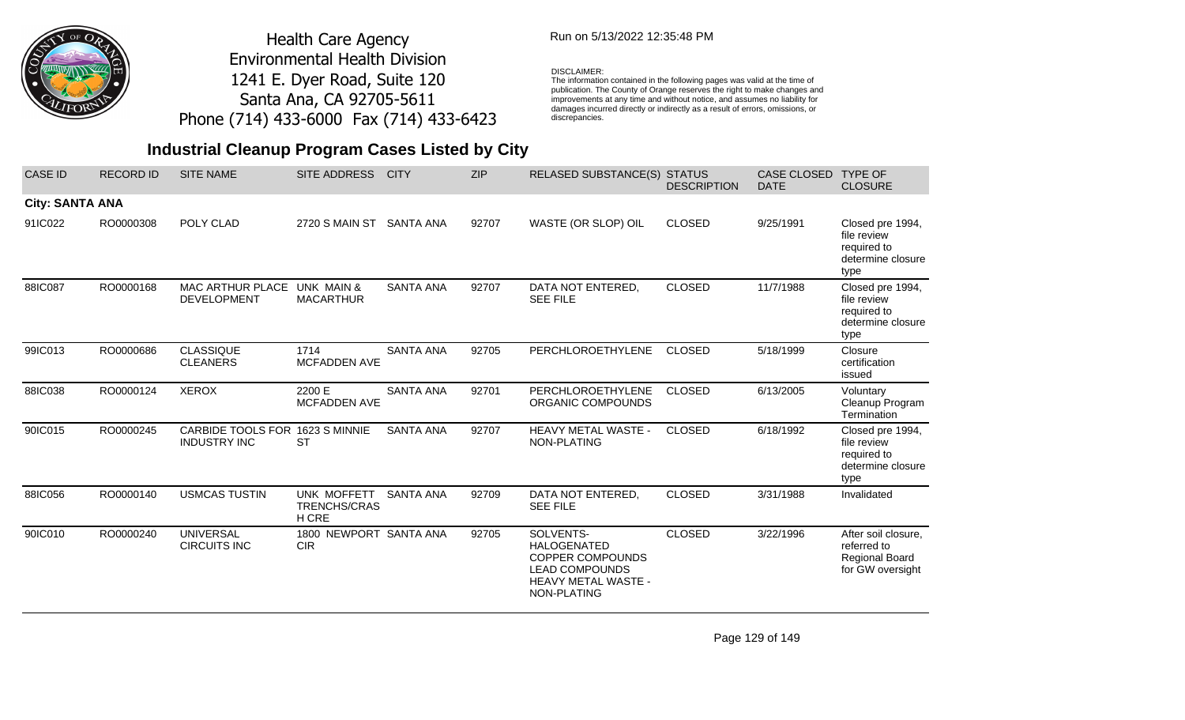

## Run on 5/13/2022 12:35:48 PM

#### DISCLAIMER:

The information contained in the following pages was valid at the time of publication. The County of Orange reserves the right to make changes and improvements at any time and without notice, and assumes no liability for damages incurred directly or indirectly as a result of errors, omissions, or discrepancies.

## **Industrial Cleanup Program Cases Listed by City**

| <b>CASE ID</b>         | <b>RECORD ID</b> | <b>SITE NAME</b>                                       | SITE ADDRESS                                | <b>CITY</b>      | <b>ZIP</b> | RELASED SUBSTANCE(S) STATUS                                                                                                      | <b>DESCRIPTION</b> | CASE CLOSED<br><b>DATE</b> | <b>TYPE OF</b><br><b>CLOSURE</b>                                                |
|------------------------|------------------|--------------------------------------------------------|---------------------------------------------|------------------|------------|----------------------------------------------------------------------------------------------------------------------------------|--------------------|----------------------------|---------------------------------------------------------------------------------|
| <b>City: SANTA ANA</b> |                  |                                                        |                                             |                  |            |                                                                                                                                  |                    |                            |                                                                                 |
| 91IC022                | RO0000308        | POLY CLAD                                              | 2720 S MAIN ST                              | SANTA ANA        | 92707      | WASTE (OR SLOP) OIL                                                                                                              | <b>CLOSED</b>      | 9/25/1991                  | Closed pre 1994,<br>file review<br>required to<br>determine closure<br>type     |
| 88IC087                | RO0000168        | MAC ARTHUR PLACE<br><b>DEVELOPMENT</b>                 | UNK MAIN &<br><b>MACARTHUR</b>              | <b>SANTA ANA</b> | 92707      | DATA NOT ENTERED.<br><b>SEE FILE</b>                                                                                             | <b>CLOSED</b>      | 11/7/1988                  | Closed pre 1994,<br>file review<br>required to<br>determine closure<br>type     |
| 99IC013                | RO0000686        | <b>CLASSIQUE</b><br><b>CLEANERS</b>                    | 1714<br><b>MCFADDEN AVE</b>                 | <b>SANTA ANA</b> | 92705      | PERCHLOROETHYLENE                                                                                                                | <b>CLOSED</b>      | 5/18/1999                  | Closure<br>certification<br>issued                                              |
| 88IC038                | RO0000124        | <b>XEROX</b>                                           | 2200 E<br>MCFADDEN AVE                      | <b>SANTA ANA</b> | 92701      | PERCHLOROETHYLENE<br>ORGANIC COMPOUNDS                                                                                           | <b>CLOSED</b>      | 6/13/2005                  | Voluntary<br>Cleanup Program<br>Termination                                     |
| 90IC015                | RO0000245        | CARBIDE TOOLS FOR 1623 S MINNIE<br><b>INDUSTRY INC</b> | <b>ST</b>                                   | <b>SANTA ANA</b> | 92707      | HEAVY METAL WASTE -<br>NON-PLATING                                                                                               | <b>CLOSED</b>      | 6/18/1992                  | Closed pre 1994,<br>file review<br>required to<br>determine closure<br>type     |
| 88IC056                | RO0000140        | <b>USMCAS TUSTIN</b>                                   | UNK MOFFETT<br><b>TRENCHS/CRAS</b><br>H CRE | <b>SANTA ANA</b> | 92709      | DATA NOT ENTERED,<br><b>SEE FILE</b>                                                                                             | <b>CLOSED</b>      | 3/31/1988                  | Invalidated                                                                     |
| 90IC010                | RO0000240        | <b>UNIVERSAL</b><br><b>CIRCUITS INC</b>                | 1800 NEWPORT SANTA ANA<br><b>CIR</b>        |                  | 92705      | SOLVENTS-<br><b>HALOGENATED</b><br><b>COPPER COMPOUNDS</b><br><b>LEAD COMPOUNDS</b><br><b>HEAVY METAL WASTE -</b><br>NON-PLATING | <b>CLOSED</b>      | 3/22/1996                  | After soil closure,<br>referred to<br><b>Regional Board</b><br>for GW oversight |

Page 129 of 149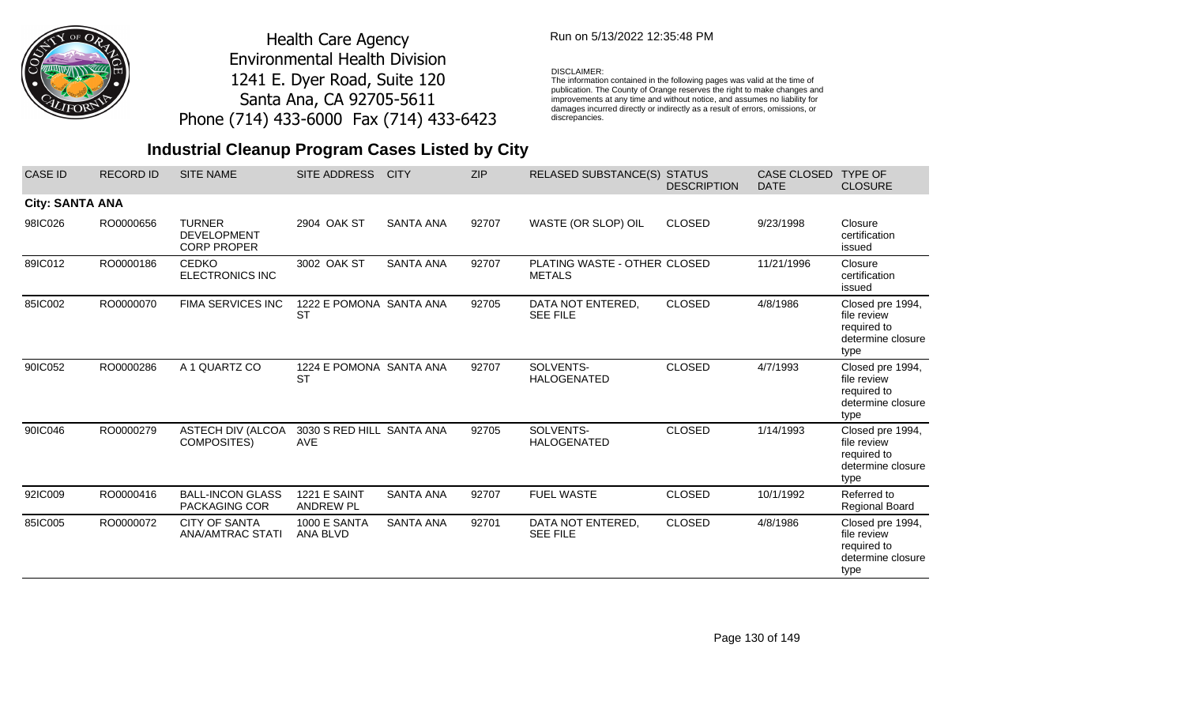

## Run on 5/13/2022 12:35:48 PM

#### DISCLAIMER:

The information contained in the following pages was valid at the time of publication. The County of Orange reserves the right to make changes and improvements at any time and without notice, and assumes no liability for damages incurred directly or indirectly as a result of errors, omissions, or discrepancies.

| <b>CASE ID</b>         | <b>RECORD ID</b> | <b>SITE NAME</b>                                          | SITE ADDRESS                            | <b>CITY</b>      | <b>ZIP</b> | RELASED SUBSTANCE(S) STATUS                   | <b>DESCRIPTION</b> | <b>CASE CLOSED</b><br><b>DATE</b> | <b>TYPE OF</b><br><b>CLOSURE</b>                                            |
|------------------------|------------------|-----------------------------------------------------------|-----------------------------------------|------------------|------------|-----------------------------------------------|--------------------|-----------------------------------|-----------------------------------------------------------------------------|
| <b>City: SANTA ANA</b> |                  |                                                           |                                         |                  |            |                                               |                    |                                   |                                                                             |
| 98IC026                | RO0000656        | <b>TURNER</b><br><b>DEVELOPMENT</b><br><b>CORP PROPER</b> | 2904 OAK ST                             | <b>SANTA ANA</b> | 92707      | WASTE (OR SLOP) OIL                           | <b>CLOSED</b>      | 9/23/1998                         | Closure<br>certification<br>issued                                          |
| 89IC012                | RO0000186        | <b>CEDKO</b><br><b>ELECTRONICS INC</b>                    | 3002 OAK ST                             | <b>SANTA ANA</b> | 92707      | PLATING WASTE - OTHER CLOSED<br><b>METALS</b> |                    | 11/21/1996                        | Closure<br>certification<br>issued                                          |
| 85IC002                | RO0000070        | FIMA SERVICES INC                                         | 1222 E POMONA SANTA ANA<br><b>ST</b>    |                  | 92705      | DATA NOT ENTERED,<br><b>SEE FILE</b>          | <b>CLOSED</b>      | 4/8/1986                          | Closed pre 1994,<br>file review<br>required to<br>determine closure<br>type |
| 90IC052                | RO0000286        | A 1 QUARTZ CO                                             | 1224 E POMONA SANTA ANA<br><b>ST</b>    |                  | 92707      | SOLVENTS-<br><b>HALOGENATED</b>               | <b>CLOSED</b>      | 4/7/1993                          | Closed pre 1994,<br>file review<br>required to<br>determine closure<br>type |
| 90IC046                | RO0000279        | ASTECH DIV (ALCOA<br>COMPOSITES)                          | 3030 S RED HILL SANTA ANA<br><b>AVE</b> |                  | 92705      | SOLVENTS-<br><b>HALOGENATED</b>               | <b>CLOSED</b>      | 1/14/1993                         | Closed pre 1994,<br>file review<br>required to<br>determine closure<br>type |
| 92IC009                | RO0000416        | <b>BALL-INCON GLASS</b><br><b>PACKAGING COR</b>           | <b>1221 E SAINT</b><br><b>ANDREW PL</b> | <b>SANTA ANA</b> | 92707      | <b>FUEL WASTE</b>                             | <b>CLOSED</b>      | 10/1/1992                         | Referred to<br><b>Regional Board</b>                                        |
| 85IC005                | RO0000072        | <b>CITY OF SANTA</b><br>ANA/AMTRAC STATI                  | 1000 E SANTA<br>ANA BLVD                | <b>SANTA ANA</b> | 92701      | DATA NOT ENTERED,<br><b>SEE FILE</b>          | <b>CLOSED</b>      | 4/8/1986                          | Closed pre 1994,<br>file review<br>required to<br>determine closure<br>type |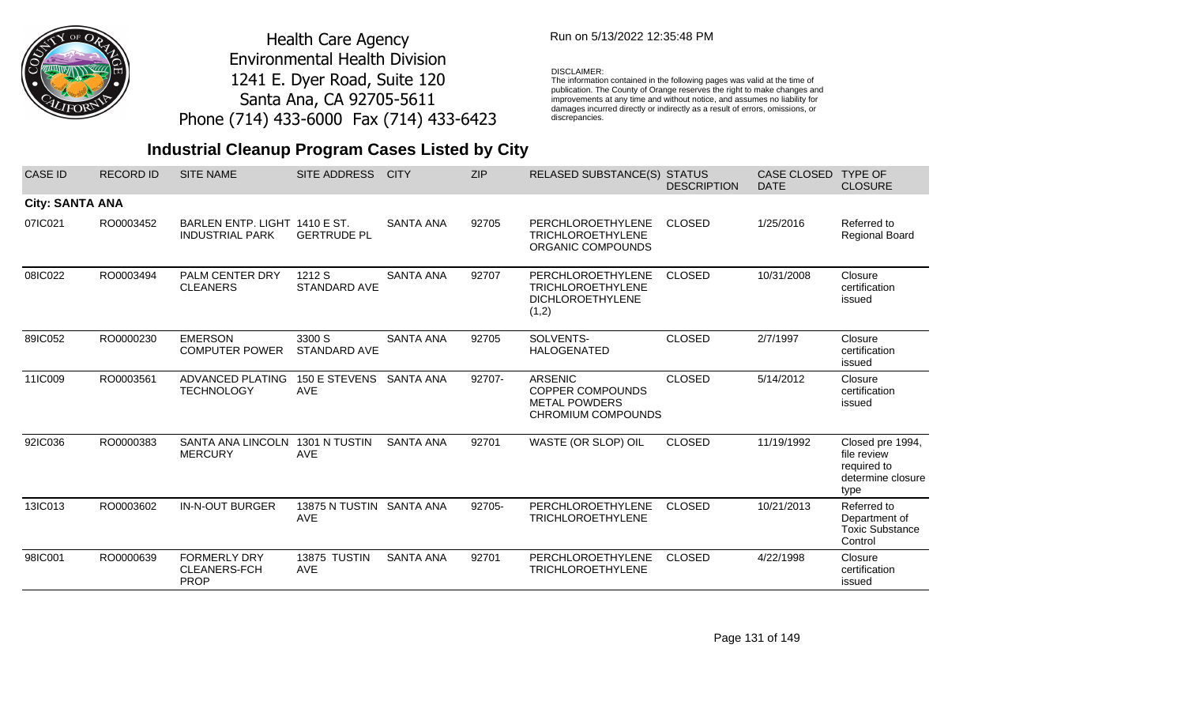

### Run on 5/13/2022 12:35:48 PM

#### DISCLAIMER:

The information contained in the following pages was valid at the time of publication. The County of Orange reserves the right to make changes and improvements at any time and without notice, and assumes no liability for damages incurred directly or indirectly as a result of errors, omissions, or discrepancies.

## **Industrial Cleanup Program Cases Listed by City**

| <b>CASE ID</b>         | <b>RECORD ID</b> | <b>SITE NAME</b>                                          | SITE ADDRESS                        | <b>CITY</b>      | <b>ZIP</b> | <b>RELASED SUBSTANCE(S)</b>                                                             | <b>STATUS</b><br><b>DESCRIPTION</b> | <b>CASE CLOSED</b><br><b>DATE</b> | <b>TYPE OF</b><br><b>CLOSURE</b>                                            |
|------------------------|------------------|-----------------------------------------------------------|-------------------------------------|------------------|------------|-----------------------------------------------------------------------------------------|-------------------------------------|-----------------------------------|-----------------------------------------------------------------------------|
| <b>City: SANTA ANA</b> |                  |                                                           |                                     |                  |            |                                                                                         |                                     |                                   |                                                                             |
| 07IC021                | RO0003452        | BARLEN ENTP. LIGHT 1410 E ST.<br><b>INDUSTRIAL PARK</b>   | <b>GERTRUDE PL</b>                  | <b>SANTA ANA</b> | 92705      | PERCHLOROETHYLENE<br><b>TRICHLOROETHYLENE</b><br>ORGANIC COMPOUNDS                      | <b>CLOSED</b>                       | 1/25/2016                         | Referred to<br><b>Regional Board</b>                                        |
| 08IC022                | RO0003494        | PALM CENTER DRY<br><b>CLEANERS</b>                        | 1212 S<br><b>STANDARD AVE</b>       | <b>SANTA ANA</b> | 92707      | PERCHLOROETHYLENE<br><b>TRICHLOROETHYLENE</b><br><b>DICHLOROETHYLENE</b><br>(1,2)       | <b>CLOSED</b>                       | 10/31/2008                        | Closure<br>certification<br>issued                                          |
| 89IC052                | RO0000230        | <b>EMERSON</b><br><b>COMPUTER POWER</b>                   | 3300 S<br><b>STANDARD AVE</b>       | <b>SANTA ANA</b> | 92705      | SOLVENTS-<br><b>HALOGENATED</b>                                                         | <b>CLOSED</b>                       | 2/7/1997                          | Closure<br>certification<br>issued                                          |
| 11IC009                | RO0003561        | ADVANCED PLATING<br><b>TECHNOLOGY</b>                     | 150 E STEVENS<br><b>AVE</b>         | <b>SANTA ANA</b> | 92707-     | <b>ARSENIC</b><br><b>COPPER COMPOUNDS</b><br><b>METAL POWDERS</b><br>CHROMIUM COMPOUNDS | <b>CLOSED</b>                       | 5/14/2012                         | Closure<br>certification<br>issued                                          |
| 92IC036                | RO0000383        | SANTA ANA LINCOLN<br><b>MERCURY</b>                       | 1301 N TUSTIN<br><b>AVE</b>         | <b>SANTA ANA</b> | 92701      | WASTE (OR SLOP) OIL                                                                     | <b>CLOSED</b>                       | 11/19/1992                        | Closed pre 1994,<br>file review<br>required to<br>determine closure<br>type |
| 13IC013                | RO0003602        | <b>IN-N-OUT BURGER</b>                                    | <b>13875 N TUSTIN</b><br><b>AVE</b> | <b>SANTA ANA</b> | 92705-     | PERCHLOROETHYLENE<br><b>TRICHLOROETHYLENE</b>                                           | <b>CLOSED</b>                       | 10/21/2013                        | Referred to<br>Department of<br><b>Toxic Substance</b><br>Control           |
| 98IC001                | RO0000639        | <b>FORMERLY DRY</b><br><b>CLEANERS-FCH</b><br><b>PROP</b> | 13875 TUSTIN<br><b>AVE</b>          | <b>SANTA ANA</b> | 92701      | PERCHLOROETHYLENE<br><b>TRICHLOROETHYLENE</b>                                           | <b>CLOSED</b>                       | 4/22/1998                         | Closure<br>certification<br>issued                                          |

Page 131 of 149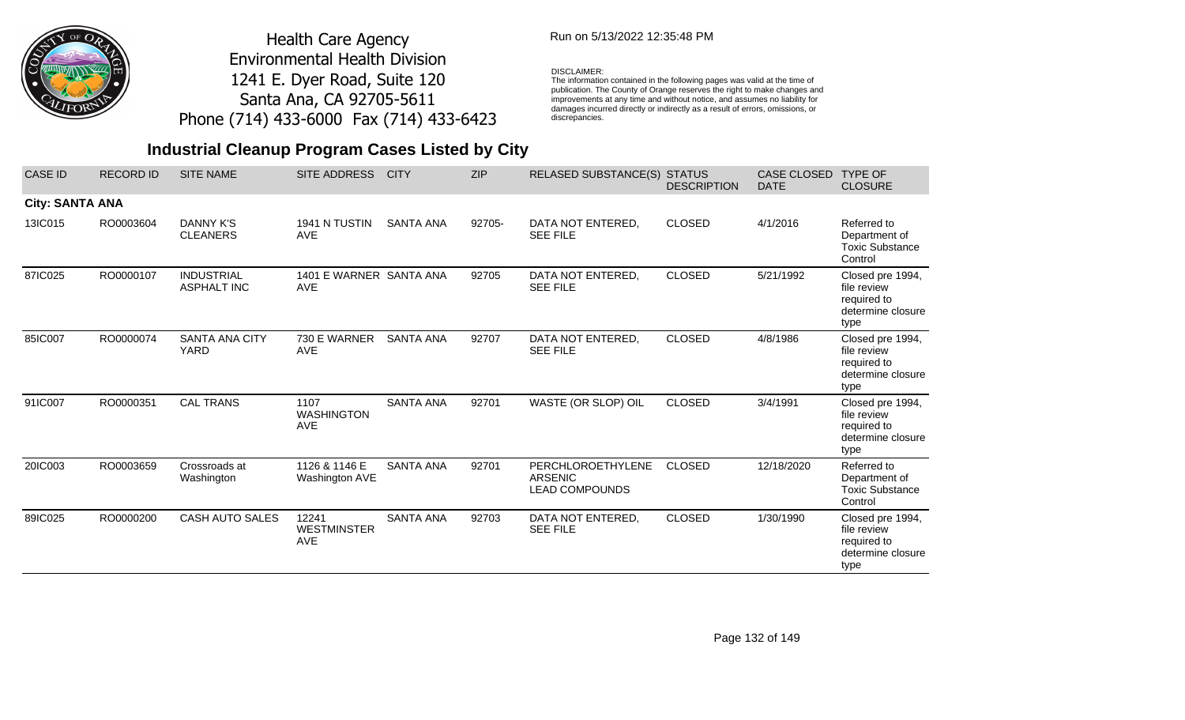

### Run on 5/13/2022 12:35:48 PM

#### DISCLAIMER:

The information contained in the following pages was valid at the time of publication. The County of Orange reserves the right to make changes and improvements at any time and without notice, and assumes no liability for damages incurred directly or indirectly as a result of errors, omissions, or discrepancies.

| <b>CASE ID</b>         | <b>RECORD ID</b> | <b>SITE NAME</b>                        | <b>SITE ADDRESS</b>                       | <b>CITY</b>      | <b>ZIP</b> | <b>RELASED SUBSTANCE(S)</b>                                  | <b>STATUS</b><br><b>DESCRIPTION</b> | <b>CASE CLOSED</b><br><b>DATE</b> | <b>TYPE OF</b><br><b>CLOSURE</b>                                            |
|------------------------|------------------|-----------------------------------------|-------------------------------------------|------------------|------------|--------------------------------------------------------------|-------------------------------------|-----------------------------------|-----------------------------------------------------------------------------|
| <b>City: SANTA ANA</b> |                  |                                         |                                           |                  |            |                                                              |                                     |                                   |                                                                             |
| 13IC015                | RO0003604        | DANNY K'S<br><b>CLEANERS</b>            | 1941 N TUSTIN<br><b>AVE</b>               | <b>SANTA ANA</b> | 92705-     | DATA NOT ENTERED,<br><b>SEE FILE</b>                         | <b>CLOSED</b>                       | 4/1/2016                          | Referred to<br>Department of<br><b>Toxic Substance</b><br>Control           |
| 87IC025                | RO0000107        | <b>INDUSTRIAL</b><br><b>ASPHALT INC</b> | 1401 E WARNER SANTA ANA<br><b>AVE</b>     |                  | 92705      | DATA NOT ENTERED,<br><b>SEE FILE</b>                         | <b>CLOSED</b>                       | 5/21/1992                         | Closed pre 1994,<br>file review<br>required to<br>determine closure<br>type |
| 85IC007                | RO0000074        | <b>SANTA ANA CITY</b><br><b>YARD</b>    | 730 E WARNER<br><b>AVE</b>                | <b>SANTA ANA</b> | 92707      | DATA NOT ENTERED,<br><b>SEE FILE</b>                         | <b>CLOSED</b>                       | 4/8/1986                          | Closed pre 1994,<br>file review<br>required to<br>determine closure<br>type |
| 91IC007                | RO0000351        | <b>CAL TRANS</b>                        | 1107<br><b>WASHINGTON</b><br><b>AVE</b>   | <b>SANTA ANA</b> | 92701      | WASTE (OR SLOP) OIL                                          | <b>CLOSED</b>                       | 3/4/1991                          | Closed pre 1994,<br>file review<br>required to<br>determine closure<br>type |
| 20IC003                | RO0003659        | Crossroads at<br>Washington             | 1126 & 1146 E<br>Washington AVE           | <b>SANTA ANA</b> | 92701      | PERCHLOROETHYLENE<br><b>ARSENIC</b><br><b>LEAD COMPOUNDS</b> | <b>CLOSED</b>                       | 12/18/2020                        | Referred to<br>Department of<br><b>Toxic Substance</b><br>Control           |
| 89IC025                | RO0000200        | CASH AUTO SALES                         | 12241<br><b>WESTMINSTER</b><br><b>AVE</b> | <b>SANTA ANA</b> | 92703      | DATA NOT ENTERED,<br><b>SEE FILE</b>                         | <b>CLOSED</b>                       | 1/30/1990                         | Closed pre 1994,<br>file review<br>required to<br>determine closure<br>type |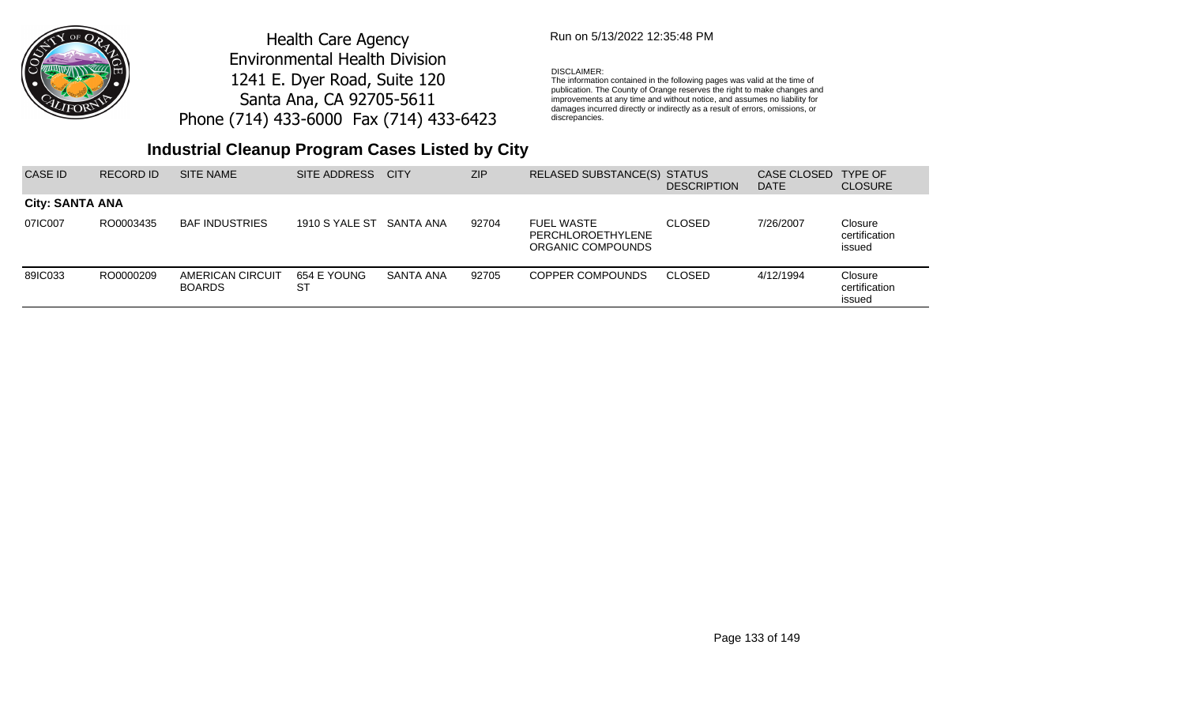

### Run on 5/13/2022 12:35:48 PM

#### DISCLAIMER:

The information contained in the following pages was valid at the time of publication. The County of Orange reserves the right to make changes and improvements at any time and without notice, and assumes no liability for damages incurred directly or indirectly as a result of errors, omissions, or discrepancies.

| CASE ID                | RECORD ID | <b>SITE NAME</b>                  | SITE ADDRESS             | <b>CITY</b>      | <b>ZIP</b> | RELASED SUBSTANCE(S) STATUS                                 | <b>DESCRIPTION</b> | CASE CLOSED<br><b>DATE</b> | TYPE OF<br><b>CLOSURE</b>          |
|------------------------|-----------|-----------------------------------|--------------------------|------------------|------------|-------------------------------------------------------------|--------------------|----------------------------|------------------------------------|
| <b>City: SANTA ANA</b> |           |                                   |                          |                  |            |                                                             |                    |                            |                                    |
| 07IC007                | RO0003435 | <b>BAF INDUSTRIES</b>             | 1910 S YALE ST SANTA ANA |                  | 92704      | <b>FUEL WASTE</b><br>PERCHLOROETHYLENE<br>ORGANIC COMPOUNDS | <b>CLOSED</b>      | 7/26/2007                  | Closure<br>certification<br>issued |
| 89IC033                | RO0000209 | AMERICAN CIRCUIT<br><b>BOARDS</b> | 654 E YOUNG<br>SТ        | <b>SANTA ANA</b> | 92705      | COPPER COMPOUNDS                                            | <b>CLOSED</b>      | 4/12/1994                  | Closure<br>certification<br>issued |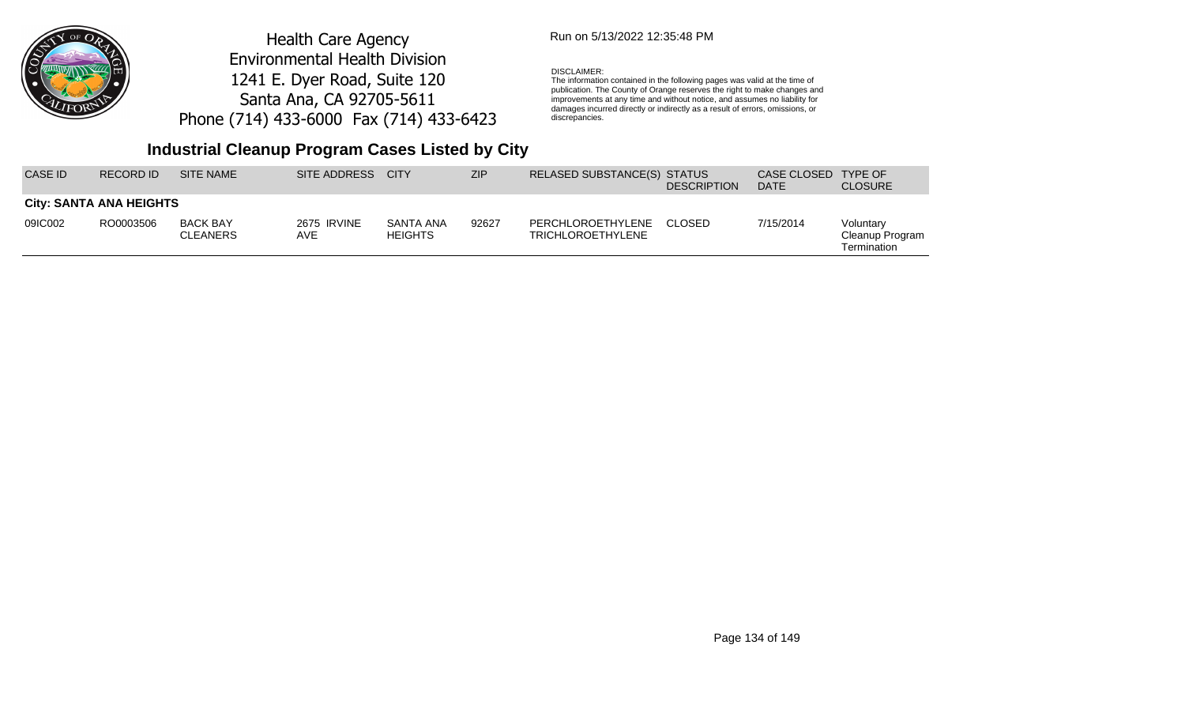

### Run on 5/13/2022 12:35:48 PM

#### DISCLAIMER:

The information contained in the following pages was valid at the time of publication. The County of Orange reserves the right to make changes and improvements at any time and without notice, and assumes no liability for damages incurred directly or indirectly as a result of errors, omissions, or discrepancies.

| CASE ID | RECORD ID                      | SITE NAME                          | SITE ADDRESS       | <b>CITY</b>                 | <b>ZIP</b> | RELASED SUBSTANCE(S) STATUS                   | <b>DESCRIPTION</b> | CASE CLOSED<br><b>DATE</b> | <b>TYPE OF</b><br><b>CLOSURE</b>            |
|---------|--------------------------------|------------------------------------|--------------------|-----------------------------|------------|-----------------------------------------------|--------------------|----------------------------|---------------------------------------------|
|         | <b>City: SANTA ANA HEIGHTS</b> |                                    |                    |                             |            |                                               |                    |                            |                                             |
| 09IC002 | RO0003506                      | <b>BACK BAY</b><br><b>CLEANERS</b> | 2675 IRVINE<br>AVE | SANTA ANA<br><b>HEIGHTS</b> | 92627      | PERCHLOROETHYLENE<br><b>TRICHLOROETHYLENE</b> | CLOSED             | 7/15/2014                  | Voluntary<br>Cleanup Program<br>Termination |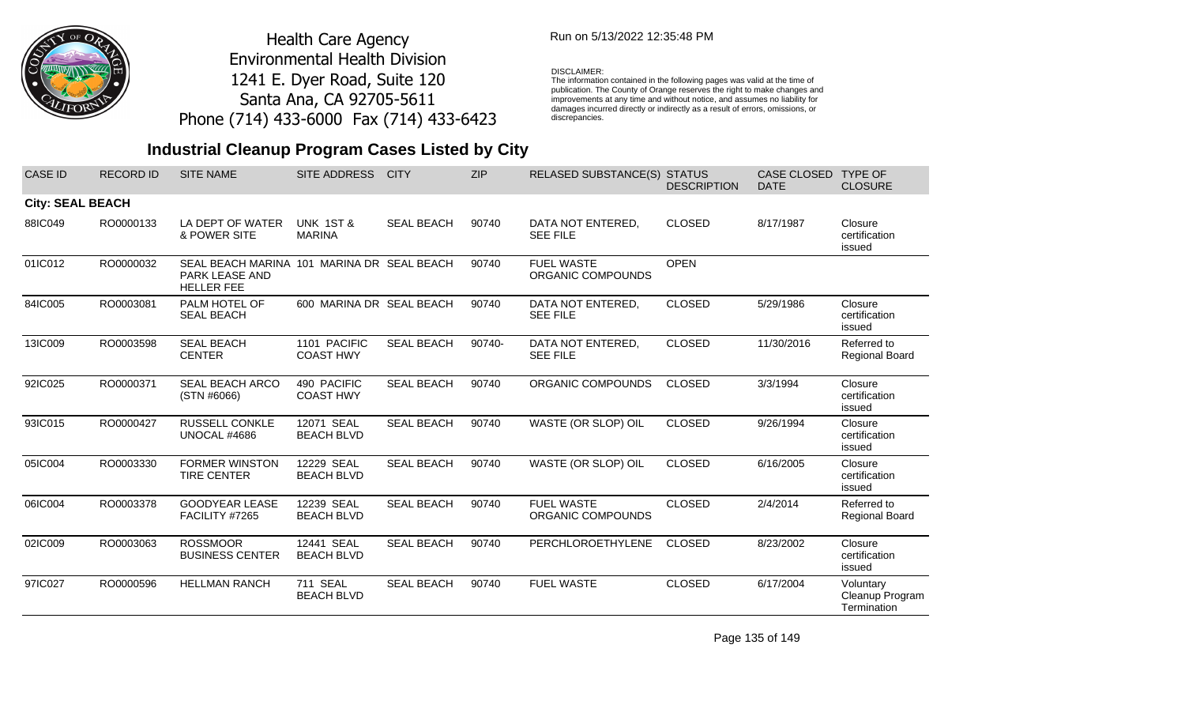

### Run on 5/13/2022 12:35:48 PM

#### DISCLAIMER:

The information contained in the following pages was valid at the time of publication. The County of Orange reserves the right to make changes and improvements at any time and without notice, and assumes no liability for damages incurred directly or indirectly as a result of errors, omissions, or discrepancies.

## **Industrial Cleanup Program Cases Listed by City**

| <b>CASE ID</b>          | <b>RECORD ID</b> | <b>SITE NAME</b>                                                                         | SITE ADDRESS                          | <b>CITY</b>       | <b>ZIP</b> | <b>RELASED SUBSTANCE(S)</b>            | <b>STATUS</b><br><b>DESCRIPTION</b> | <b>CASE CLOSED</b><br><b>DATE</b> | <b>TYPE OF</b><br><b>CLOSURE</b>            |
|-------------------------|------------------|------------------------------------------------------------------------------------------|---------------------------------------|-------------------|------------|----------------------------------------|-------------------------------------|-----------------------------------|---------------------------------------------|
| <b>City: SEAL BEACH</b> |                  |                                                                                          |                                       |                   |            |                                        |                                     |                                   |                                             |
| 88IC049                 | RO0000133        | LA DEPT OF WATER<br>& POWER SITE                                                         | <b>UNK 1ST &amp;</b><br><b>MARINA</b> | <b>SEAL BEACH</b> | 90740      | DATA NOT ENTERED,<br><b>SEE FILE</b>   | <b>CLOSED</b>                       | 8/17/1987                         | Closure<br>certification<br>issued          |
| 01IC012                 | RO0000032        | SEAL BEACH MARINA 101 MARINA DR SEAL BEACH<br><b>PARK LEASE AND</b><br><b>HELLER FEE</b> |                                       |                   | 90740      | <b>FUEL WASTE</b><br>ORGANIC COMPOUNDS | <b>OPEN</b>                         |                                   |                                             |
| 84IC005                 | RO0003081        | PALM HOTEL OF<br><b>SEAL BEACH</b>                                                       | 600 MARINA DR SEAL BEACH              |                   | 90740      | DATA NOT ENTERED,<br><b>SEE FILE</b>   | <b>CLOSED</b>                       | 5/29/1986                         | Closure<br>certification<br>issued          |
| 13IC009                 | RO0003598        | <b>SEAL BEACH</b><br><b>CENTER</b>                                                       | 1101 PACIFIC<br><b>COAST HWY</b>      | <b>SEAL BEACH</b> | 90740-     | DATA NOT ENTERED,<br><b>SEE FILE</b>   | <b>CLOSED</b>                       | 11/30/2016                        | Referred to<br>Regional Board               |
| 92IC025                 | RO0000371        | <b>SEAL BEACH ARCO</b><br>(STN #6066)                                                    | 490 PACIFIC<br><b>COAST HWY</b>       | <b>SEAL BEACH</b> | 90740      | ORGANIC COMPOUNDS                      | <b>CLOSED</b>                       | 3/3/1994                          | Closure<br>certification<br>issued          |
| 93IC015                 | RO0000427        | <b>RUSSELL CONKLE</b><br>UNOCAL #4686                                                    | 12071 SEAL<br><b>BEACH BLVD</b>       | <b>SEAL BEACH</b> | 90740      | WASTE (OR SLOP) OIL                    | <b>CLOSED</b>                       | 9/26/1994                         | Closure<br>certification<br>issued          |
| 05IC004                 | RO0003330        | <b>FORMER WINSTON</b><br><b>TIRE CENTER</b>                                              | 12229 SEAL<br><b>BEACH BLVD</b>       | <b>SEAL BEACH</b> | 90740      | WASTE (OR SLOP) OIL                    | <b>CLOSED</b>                       | 6/16/2005                         | Closure<br>certification<br>issued          |
| 06IC004                 | RO0003378        | <b>GOODYEAR LEASE</b><br>FACILITY #7265                                                  | 12239 SEAL<br><b>BEACH BLVD</b>       | <b>SEAL BEACH</b> | 90740      | <b>FUEL WASTE</b><br>ORGANIC COMPOUNDS | <b>CLOSED</b>                       | 2/4/2014                          | Referred to<br>Regional Board               |
| 02IC009                 | RO0003063        | <b>ROSSMOOR</b><br><b>BUSINESS CENTER</b>                                                | 12441 SEAL<br><b>BEACH BLVD</b>       | <b>SEAL BEACH</b> | 90740      | <b>PERCHLOROETHYLENE</b>               | <b>CLOSED</b>                       | 8/23/2002                         | Closure<br>certification<br>issued          |
| 97IC027                 | RO0000596        | <b>HELLMAN RANCH</b>                                                                     | 711 SEAL<br><b>BEACH BLVD</b>         | <b>SEAL BEACH</b> | 90740      | <b>FUEL WASTE</b>                      | <b>CLOSED</b>                       | 6/17/2004                         | Voluntary<br>Cleanup Program<br>Termination |

Page 135 of 149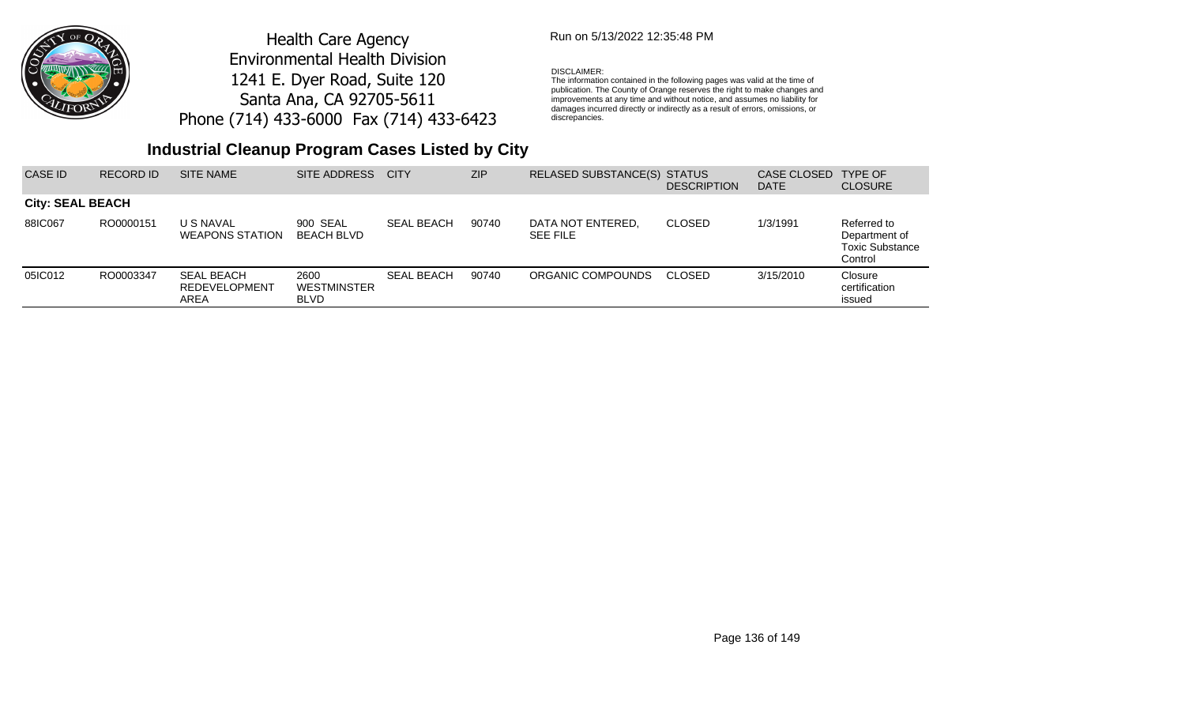

### Run on 5/13/2022 12:35:48 PM

#### DISCLAIMER:

The information contained in the following pages was valid at the time of publication. The County of Orange reserves the right to make changes and improvements at any time and without notice, and assumes no liability for damages incurred directly or indirectly as a result of errors, omissions, or discrepancies.

| CASE ID                 | <b>RECORD ID</b> | <b>SITE NAME</b>                                  | SITE ADDRESS                              | <b>CITY</b>       | <b>ZIP</b> | RELASED SUBSTANCE(S) STATUS          | <b>DESCRIPTION</b> | CASE CLOSED<br><b>DATE</b> | TYPE OF<br><b>CLOSURE</b>                                         |
|-------------------------|------------------|---------------------------------------------------|-------------------------------------------|-------------------|------------|--------------------------------------|--------------------|----------------------------|-------------------------------------------------------------------|
| <b>City: SEAL BEACH</b> |                  |                                                   |                                           |                   |            |                                      |                    |                            |                                                                   |
| 88IC067                 | RO0000151        | U S NAVAL<br><b>WEAPONS STATION</b>               | 900 SEAL<br>BEACH BLVD                    | <b>SEAL BEACH</b> | 90740      | DATA NOT ENTERED,<br><b>SEE FILE</b> | <b>CLOSED</b>      | 1/3/1991                   | Referred to<br>Department of<br><b>Toxic Substance</b><br>Control |
| 05IC012                 | RO0003347        | <b>SEAL BEACH</b><br><b>REDEVELOPMENT</b><br>AREA | 2600<br><b>WESTMINSTER</b><br><b>BLVD</b> | <b>SEAL BEACH</b> | 90740      | ORGANIC COMPOUNDS                    | CLOSED             | 3/15/2010                  | Closure<br>certification<br>issued                                |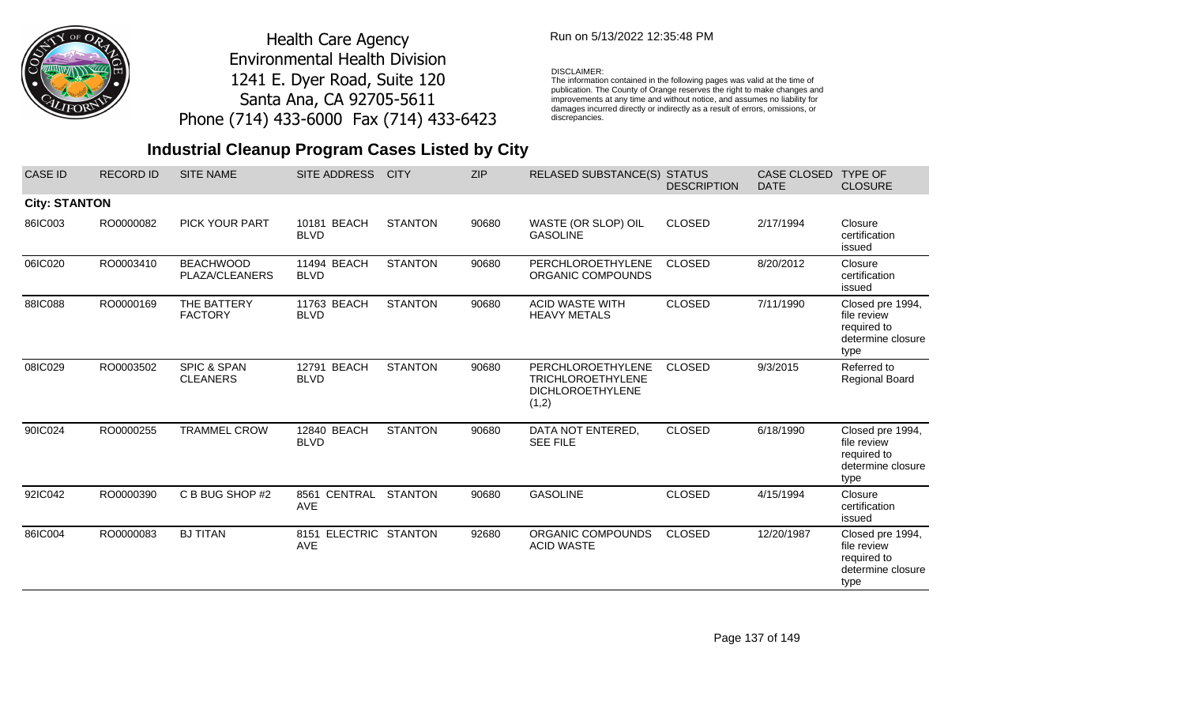

### Run on 5/13/2022 12:35:48 PM

#### DISCLAIMER:

The information contained in the following pages was valid at the time of publication. The County of Orange reserves the right to make changes and improvements at any time and without notice, and assumes no liability for damages incurred directly or indirectly as a result of errors, omissions, or discrepancies.

| <b>CASE ID</b>       | <b>RECORD ID</b> | <b>SITE NAME</b>                          | <b>SITE ADDRESS</b>                    | <b>CITY</b>    | <b>ZIP</b> | <b>RELASED SUBSTANCE(S) STATUS</b>                                                | <b>DESCRIPTION</b> | <b>CASE CLOSED</b><br><b>DATE</b> | <b>TYPE OF</b><br><b>CLOSURE</b>                                            |
|----------------------|------------------|-------------------------------------------|----------------------------------------|----------------|------------|-----------------------------------------------------------------------------------|--------------------|-----------------------------------|-----------------------------------------------------------------------------|
| <b>City: STANTON</b> |                  |                                           |                                        |                |            |                                                                                   |                    |                                   |                                                                             |
| 86IC003              | RO0000082        | <b>PICK YOUR PART</b>                     | 10181 BEACH<br><b>BLVD</b>             | <b>STANTON</b> | 90680      | WASTE (OR SLOP) OIL<br><b>GASOLINE</b>                                            | <b>CLOSED</b>      | 2/17/1994                         | Closure<br>certification<br>issued                                          |
| 06IC020              | RO0003410        | <b>BEACHWOOD</b><br>PLAZA/CLEANERS        | 11494 BEACH<br><b>BLVD</b>             | <b>STANTON</b> | 90680      | PERCHLOROETHYLENE<br>ORGANIC COMPOUNDS                                            | <b>CLOSED</b>      | 8/20/2012                         | Closure<br>certification<br>issued                                          |
| 88IC088              | RO0000169        | THE BATTERY<br><b>FACTORY</b>             | 11763 BEACH<br><b>BLVD</b>             | <b>STANTON</b> | 90680      | <b>ACID WASTE WITH</b><br><b>HEAVY METALS</b>                                     | <b>CLOSED</b>      | 7/11/1990                         | Closed pre 1994,<br>file review<br>required to<br>determine closure<br>type |
| 08IC029              | RO0003502        | <b>SPIC &amp; SPAN</b><br><b>CLEANERS</b> | 12791 BEACH<br><b>BLVD</b>             | <b>STANTON</b> | 90680      | PERCHLOROETHYLENE<br><b>TRICHLOROETHYLENE</b><br><b>DICHLOROETHYLENE</b><br>(1,2) | <b>CLOSED</b>      | 9/3/2015                          | Referred to<br><b>Regional Board</b>                                        |
| 90IC024              | RO0000255        | <b>TRAMMEL CROW</b>                       | 12840 BEACH<br><b>BLVD</b>             | <b>STANTON</b> | 90680      | DATA NOT ENTERED,<br><b>SEE FILE</b>                                              | <b>CLOSED</b>      | 6/18/1990                         | Closed pre 1994,<br>file review<br>required to<br>determine closure<br>type |
| 92IC042              | RO0000390        | C B BUG SHOP #2                           | 8561 CENTRAL<br><b>AVE</b>             | <b>STANTON</b> | 90680      | <b>GASOLINE</b>                                                                   | <b>CLOSED</b>      | 4/15/1994                         | Closure<br>certification<br>issued                                          |
| 86IC004              | RO0000083        | <b>BJ TITAN</b>                           | ELECTRIC STANTON<br>8151<br><b>AVE</b> |                | 92680      | ORGANIC COMPOUNDS<br><b>ACID WASTE</b>                                            | <b>CLOSED</b>      | 12/20/1987                        | Closed pre 1994,<br>file review<br>required to<br>determine closure<br>type |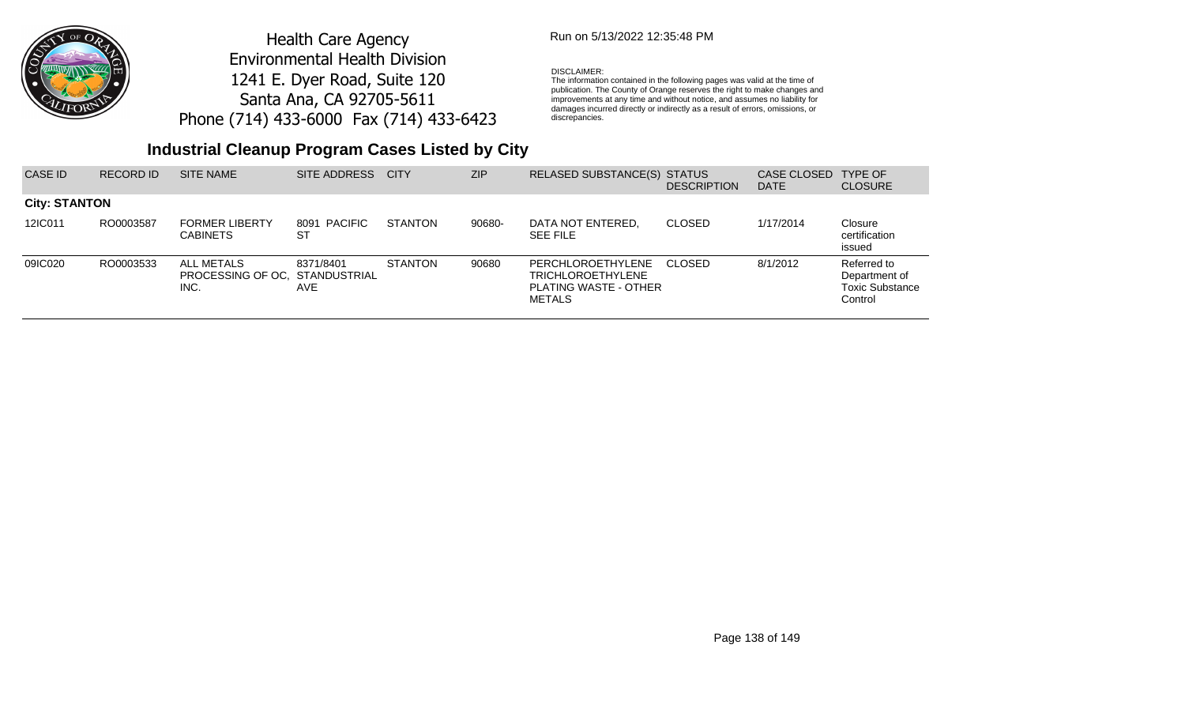

## Run on 5/13/2022 12:35:48 PM

### DISCLAIMER:

The information contained in the following pages was valid at the time of publication. The County of Orange reserves the right to make changes and improvements at any time and without notice, and assumes no liability for damages incurred directly or indirectly as a result of errors, omissions, or discrepancies.

| CASE ID              | <b>RECORD ID</b> | <b>SITE NAME</b>                                     | SITE ADDRESS            | <b>CITY</b>    | <b>ZIP</b> | RELASED SUBSTANCE(S) STATUS                                                             | <b>DESCRIPTION</b> | CASE CLOSED<br><b>DATE</b> | <b>TYPE OF</b><br><b>CLOSURE</b>                                  |
|----------------------|------------------|------------------------------------------------------|-------------------------|----------------|------------|-----------------------------------------------------------------------------------------|--------------------|----------------------------|-------------------------------------------------------------------|
| <b>City: STANTON</b> |                  |                                                      |                         |                |            |                                                                                         |                    |                            |                                                                   |
| 12IC011              | RO0003587        | <b>FORMER LIBERTY</b><br><b>CABINETS</b>             | 8091 PACIFIC<br>-ST     | <b>STANTON</b> | 90680-     | DATA NOT ENTERED.<br><b>SEE FILE</b>                                                    | <b>CLOSED</b>      | 1/17/2014                  | Closure<br>certification<br>issued                                |
| 09IC020              | RO0003533        | ALL METALS<br>PROCESSING OF OC. STANDUSTRIAL<br>INC. | 8371/8401<br><b>AVE</b> | <b>STANTON</b> | 90680      | <b>PERCHLOROETHYLENE</b><br>TRICHLOROETHYLENE<br>PLATING WASTE - OTHER<br><b>METALS</b> | CLOSED             | 8/1/2012                   | Referred to<br>Department of<br><b>Toxic Substance</b><br>Control |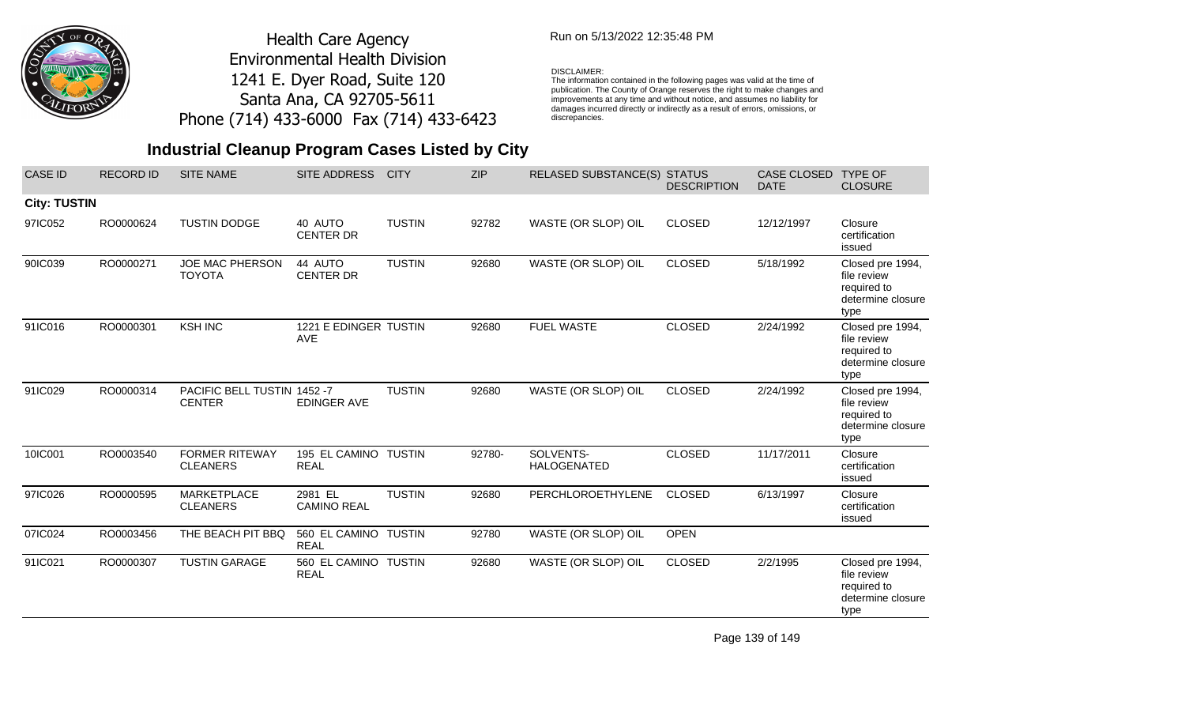

### Run on 5/13/2022 12:35:48 PM

#### DISCLAIMER:

The information contained in the following pages was valid at the time of publication. The County of Orange reserves the right to make changes and improvements at any time and without notice, and assumes no liability for damages incurred directly or indirectly as a result of errors, omissions, or discrepancies.

# **Industrial Cleanup Program Cases Listed by City**

| <b>CASE ID</b>      | <b>RECORD ID</b> | <b>SITE NAME</b>                             | <b>SITE ADDRESS</b>                 | <b>CITY</b>   | <b>ZIP</b> | <b>RELASED SUBSTANCE(S)</b>     | <b>STATUS</b><br><b>DESCRIPTION</b> | <b>CASE CLOSED</b><br><b>DATE</b> | <b>TYPE OF</b><br><b>CLOSURE</b>                                            |
|---------------------|------------------|----------------------------------------------|-------------------------------------|---------------|------------|---------------------------------|-------------------------------------|-----------------------------------|-----------------------------------------------------------------------------|
| <b>City: TUSTIN</b> |                  |                                              |                                     |               |            |                                 |                                     |                                   |                                                                             |
| 97IC052             | RO0000624        | <b>TUSTIN DODGE</b>                          | 40 AUTO<br><b>CENTER DR</b>         | <b>TUSTIN</b> | 92782      | WASTE (OR SLOP) OIL             | <b>CLOSED</b>                       | 12/12/1997                        | Closure<br>certification<br>issued                                          |
| 90IC039             | RO0000271        | <b>JOE MAC PHERSON</b><br><b>TOYOTA</b>      | 44 AUTO<br><b>CENTER DR</b>         | <b>TUSTIN</b> | 92680      | WASTE (OR SLOP) OIL             | <b>CLOSED</b>                       | 5/18/1992                         | Closed pre 1994,<br>file review<br>required to<br>determine closure<br>type |
| 91IC016             | RO0000301        | <b>KSH INC</b>                               | 1221 E EDINGER TUSTIN<br><b>AVE</b> |               | 92680      | <b>FUEL WASTE</b>               | <b>CLOSED</b>                       | 2/24/1992                         | Closed pre 1994,<br>file review<br>required to<br>determine closure<br>type |
| 91IC029             | RO0000314        | PACIFIC BELL TUSTIN 1452 -7<br><b>CENTER</b> | <b>EDINGER AVE</b>                  | <b>TUSTIN</b> | 92680      | WASTE (OR SLOP) OIL             | <b>CLOSED</b>                       | 2/24/1992                         | Closed pre 1994,<br>file review<br>required to<br>determine closure<br>type |
| 10IC001             | RO0003540        | <b>FORMER RITEWAY</b><br><b>CLEANERS</b>     | 195 EL CAMINO TUSTIN<br><b>REAL</b> |               | 92780-     | SOLVENTS-<br><b>HALOGENATED</b> | <b>CLOSED</b>                       | 11/17/2011                        | Closure<br>certification<br>issued                                          |
| 97IC026             | RO0000595        | <b>MARKETPLACE</b><br><b>CLEANERS</b>        | 2981 EL<br><b>CAMINO REAL</b>       | <b>TUSTIN</b> | 92680      | PERCHLOROETHYLENE               | <b>CLOSED</b>                       | 6/13/1997                         | Closure<br>certification<br>issued                                          |
| 07IC024             | RO0003456        | THE BEACH PIT BBQ                            | 560 EL CAMINO TUSTIN<br><b>REAL</b> |               | 92780      | WASTE (OR SLOP) OIL             | <b>OPEN</b>                         |                                   |                                                                             |
| 91IC021             | RO0000307        | <b>TUSTIN GARAGE</b>                         | 560 EL CAMINO TUSTIN<br><b>REAL</b> |               | 92680      | WASTE (OR SLOP) OIL             | <b>CLOSED</b>                       | 2/2/1995                          | Closed pre 1994,<br>file review<br>required to<br>determine closure<br>type |

Page 139 of 149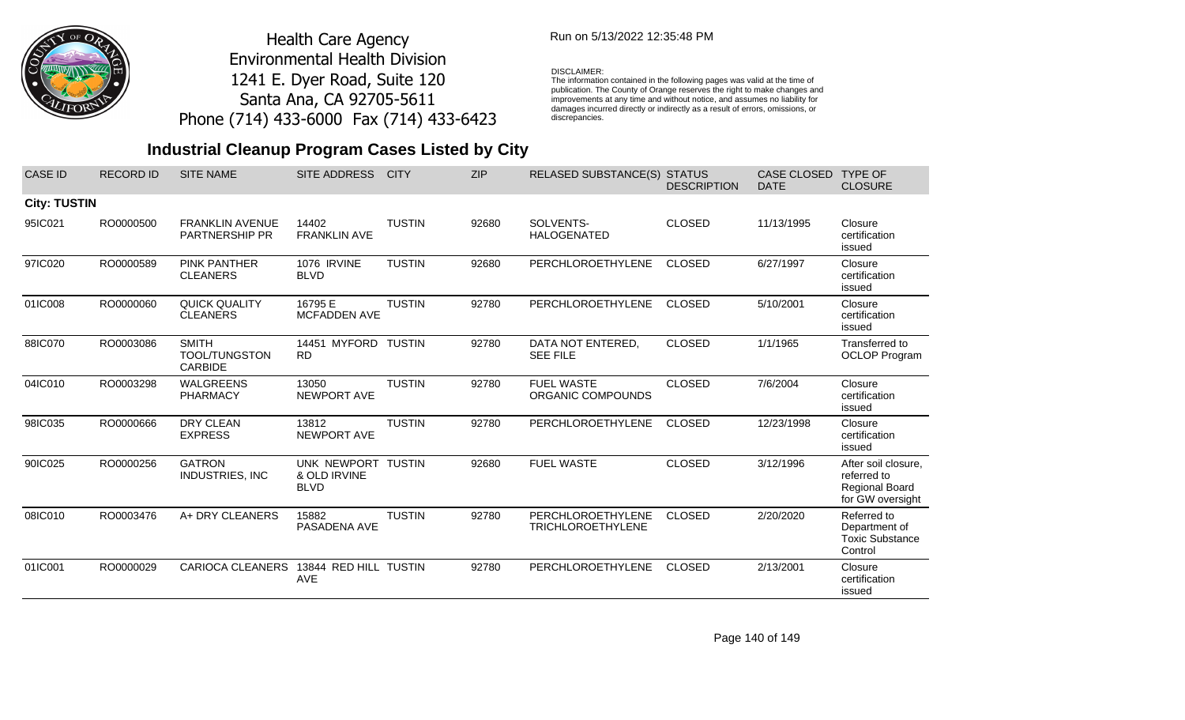

### Run on 5/13/2022 12:35:48 PM

#### DISCLAIMER:

The information contained in the following pages was valid at the time of publication. The County of Orange reserves the right to make changes and improvements at any time and without notice, and assumes no liability for damages incurred directly or indirectly as a result of errors, omissions, or discrepancies.

| <b>CASE ID</b>      | <b>RECORD ID</b> | <b>SITE NAME</b>                                       | <b>SITE ADDRESS</b>                               | <b>CITY</b>   | <b>ZIP</b> | <b>RELASED SUBSTANCE(S)</b>                   | <b>STATUS</b><br><b>DESCRIPTION</b> | <b>CASE CLOSED</b><br><b>DATE</b> | <b>TYPE OF</b><br><b>CLOSURE</b>                                         |
|---------------------|------------------|--------------------------------------------------------|---------------------------------------------------|---------------|------------|-----------------------------------------------|-------------------------------------|-----------------------------------|--------------------------------------------------------------------------|
| <b>City: TUSTIN</b> |                  |                                                        |                                                   |               |            |                                               |                                     |                                   |                                                                          |
| 95IC021             | RO0000500        | <b>FRANKLIN AVENUE</b><br><b>PARTNERSHIP PR</b>        | 14402<br><b>FRANKLIN AVE</b>                      | <b>TUSTIN</b> | 92680      | SOLVENTS-<br><b>HALOGENATED</b>               | <b>CLOSED</b>                       | 11/13/1995                        | Closure<br>certification<br>issued                                       |
| 97IC020             | RO0000589        | <b>PINK PANTHER</b><br><b>CLEANERS</b>                 | 1076 IRVINE<br><b>BLVD</b>                        | <b>TUSTIN</b> | 92680      | PERCHLOROETHYLENE                             | <b>CLOSED</b>                       | 6/27/1997                         | Closure<br>certification<br>issued                                       |
| 01IC008             | RO0000060        | <b>QUICK QUALITY</b><br><b>CLEANERS</b>                | 16795 E<br><b>MCFADDEN AVE</b>                    | <b>TUSTIN</b> | 92780      | PERCHLOROETHYLENE                             | <b>CLOSED</b>                       | 5/10/2001                         | Closure<br>certification<br>issued                                       |
| 88IC070             | RO0003086        | <b>SMITH</b><br><b>TOOL/TUNGSTON</b><br><b>CARBIDE</b> | 14451 MYFORD<br><b>RD</b>                         | <b>TUSTIN</b> | 92780      | DATA NOT ENTERED,<br><b>SEE FILE</b>          | <b>CLOSED</b>                       | 1/1/1965                          | Transferred to<br><b>OCLOP Program</b>                                   |
| 04IC010             | RO0003298        | <b>WALGREENS</b><br><b>PHARMACY</b>                    | 13050<br>NEWPORT AVE                              | <b>TUSTIN</b> | 92780      | <b>FUEL WASTE</b><br>ORGANIC COMPOUNDS        | <b>CLOSED</b>                       | 7/6/2004                          | Closure<br>certification<br>issued                                       |
| 98IC035             | RO0000666        | <b>DRY CLEAN</b><br><b>EXPRESS</b>                     | 13812<br><b>NEWPORT AVE</b>                       | <b>TUSTIN</b> | 92780      | PERCHLOROETHYLENE                             | <b>CLOSED</b>                       | 12/23/1998                        | Closure<br>certification<br>issued                                       |
| 90IC025             | RO0000256        | <b>GATRON</b><br><b>INDUSTRIES, INC</b>                | UNK NEWPORT TUSTIN<br>& OLD IRVINE<br><b>BLVD</b> |               | 92680      | <b>FUEL WASTE</b>                             | <b>CLOSED</b>                       | 3/12/1996                         | After soil closure,<br>referred to<br>Regional Board<br>for GW oversight |
| 08IC010             | RO0003476        | A+ DRY CLEANERS                                        | 15882<br>PASADENA AVE                             | <b>TUSTIN</b> | 92780      | PERCHLOROETHYLENE<br><b>TRICHLOROETHYLENE</b> | <b>CLOSED</b>                       | 2/20/2020                         | Referred to<br>Department of<br><b>Toxic Substance</b><br>Control        |
| 01IC001             | RO0000029        | <b>CARIOCA CLEANERS</b>                                | 13844 RED HILL TUSTIN<br><b>AVE</b>               |               | 92780      | PERCHLOROETHYLENE                             | <b>CLOSED</b>                       | 2/13/2001                         | Closure<br>certification<br>issued                                       |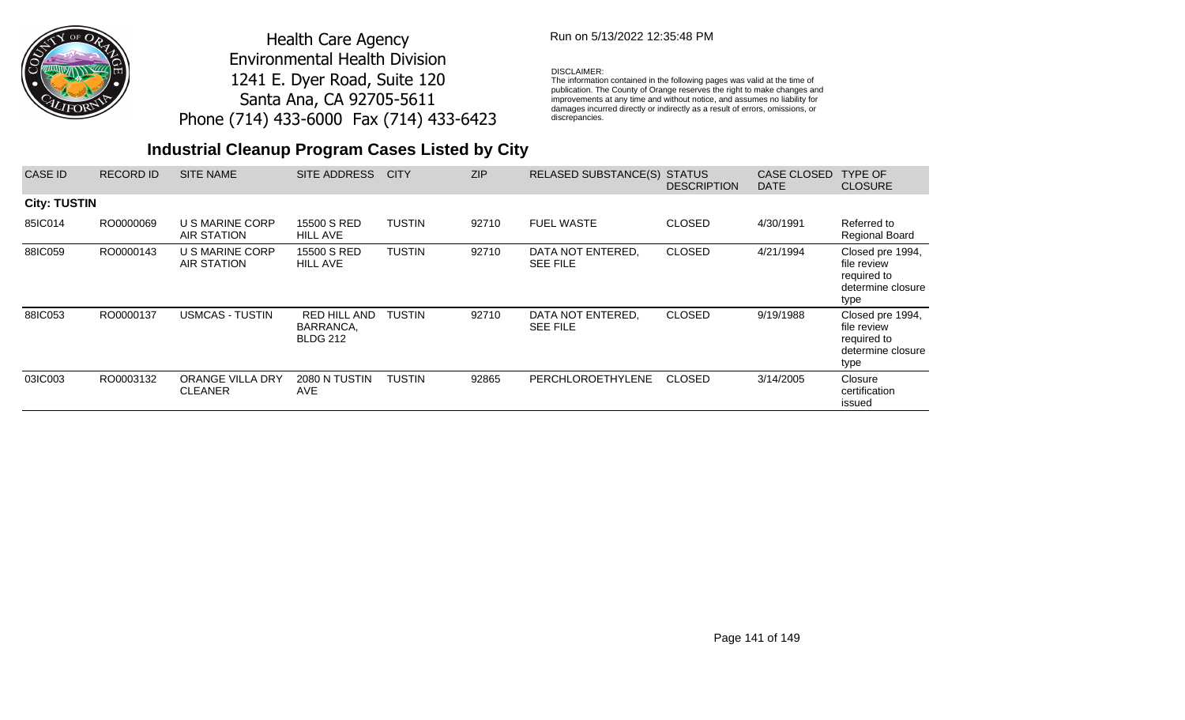

## Run on 5/13/2022 12:35:48 PM

### DISCLAIMER:

The information contained in the following pages was valid at the time of publication. The County of Orange reserves the right to make changes and improvements at any time and without notice, and assumes no liability for damages incurred directly or indirectly as a result of errors, omissions, or discrepancies.

| <b>CASE ID</b>      | <b>RECORD ID</b> | <b>SITE NAME</b>                          | SITE ADDRESS                                        | <b>CITY</b>   | <b>ZIP</b> | <b>RELASED SUBSTANCE(S)</b>          | <b>STATUS</b><br><b>DESCRIPTION</b> | <b>CASE CLOSED</b><br><b>DATE</b> | <b>TYPE OF</b><br><b>CLOSURE</b>                                            |
|---------------------|------------------|-------------------------------------------|-----------------------------------------------------|---------------|------------|--------------------------------------|-------------------------------------|-----------------------------------|-----------------------------------------------------------------------------|
| <b>City: TUSTIN</b> |                  |                                           |                                                     |               |            |                                      |                                     |                                   |                                                                             |
| 85IC014             | RO0000069        | U S MARINE CORP<br>AIR STATION            | 15500 S RED<br><b>HILL AVE</b>                      | <b>TUSTIN</b> | 92710      | <b>FUEL WASTE</b>                    | <b>CLOSED</b>                       | 4/30/1991                         | Referred to<br><b>Regional Board</b>                                        |
| 88IC059             | RO0000143        | U S MARINE CORP<br>AIR STATION            | 15500 S RED<br><b>HILL AVE</b>                      | <b>TUSTIN</b> | 92710      | DATA NOT ENTERED,<br><b>SEE FILE</b> | <b>CLOSED</b>                       | 4/21/1994                         | Closed pre 1994,<br>file review<br>required to<br>determine closure<br>type |
| 88IC053             | RO0000137        | <b>USMCAS - TUSTIN</b>                    | <b>RED HILL AND</b><br>BARRANCA,<br><b>BLDG 212</b> | <b>TUSTIN</b> | 92710      | DATA NOT ENTERED,<br><b>SEE FILE</b> | <b>CLOSED</b>                       | 9/19/1988                         | Closed pre 1994,<br>file review<br>required to<br>determine closure<br>type |
| 03IC003             | RO0003132        | <b>ORANGE VILLA DRY</b><br><b>CLEANER</b> | 2080 N TUSTIN<br>AVE.                               | TUSTIN        | 92865      | PERCHLOROETHYLENE                    | <b>CLOSED</b>                       | 3/14/2005                         | Closure<br>certification<br>issued                                          |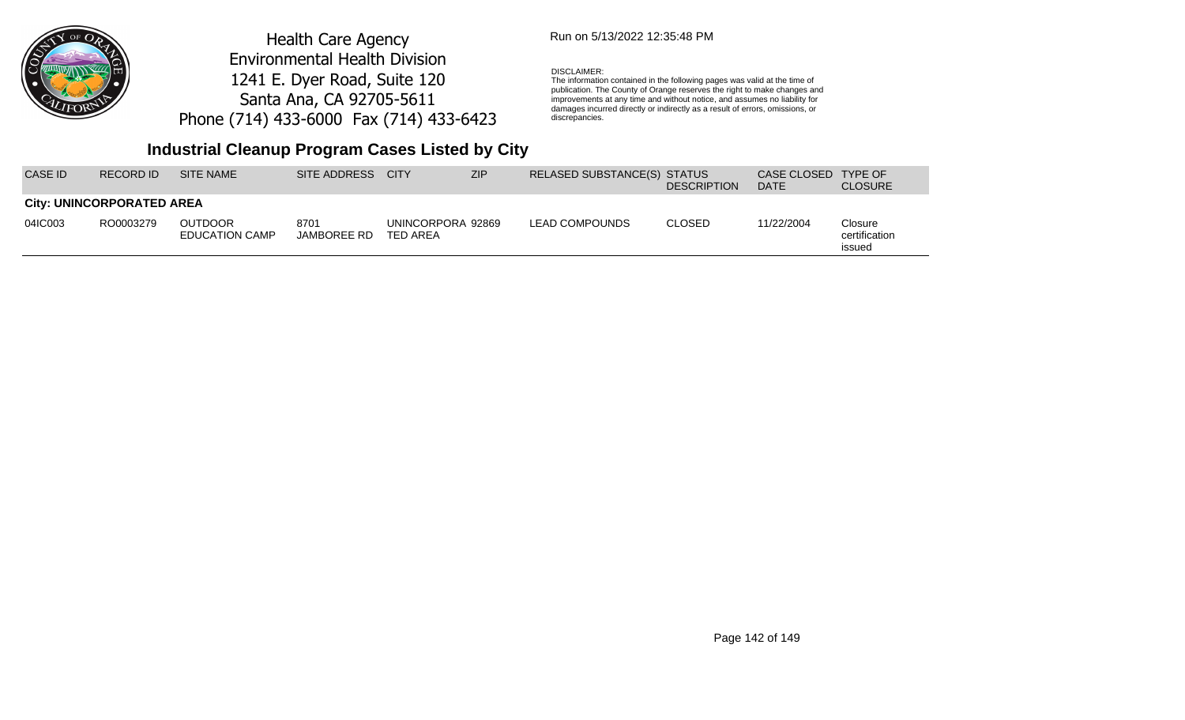

### Run on 5/13/2022 12:35:48 PM

#### DISCLAIMER:

The information contained in the following pages was valid at the time of publication. The County of Orange reserves the right to make changes and improvements at any time and without notice, and assumes no liability for damages incurred directly or indirectly as a result of errors, omissions, or discrepancies.

## **Industrial Cleanup Program Cases Listed by City**

| CASE ID. | RECORD ID                        | SITE NAME                        | SITE ADDRESS        | <b>CITY</b>                   | <b>ZIP</b> | RELASED SUBSTANCE(S) STATUS | <b>DESCRIPTION</b> | CASE CLOSED<br><b>DATE</b> | <b>TYPE OF</b><br><b>CLOSURE</b>   |
|----------|----------------------------------|----------------------------------|---------------------|-------------------------------|------------|-----------------------------|--------------------|----------------------------|------------------------------------|
|          | <b>City: UNINCORPORATED AREA</b> |                                  |                     |                               |            |                             |                    |                            |                                    |
| 04IC003  | RO0003279                        | <b>OUTDOOR</b><br>EDUCATION CAMP | 8701<br>JAMBOREE RD | UNINCORPORA 92869<br>TED AREA |            | LEAD COMPOUNDS              | <b>CLOSED</b>      | 11/22/2004                 | Closure<br>certification<br>issued |

Page 142 of 149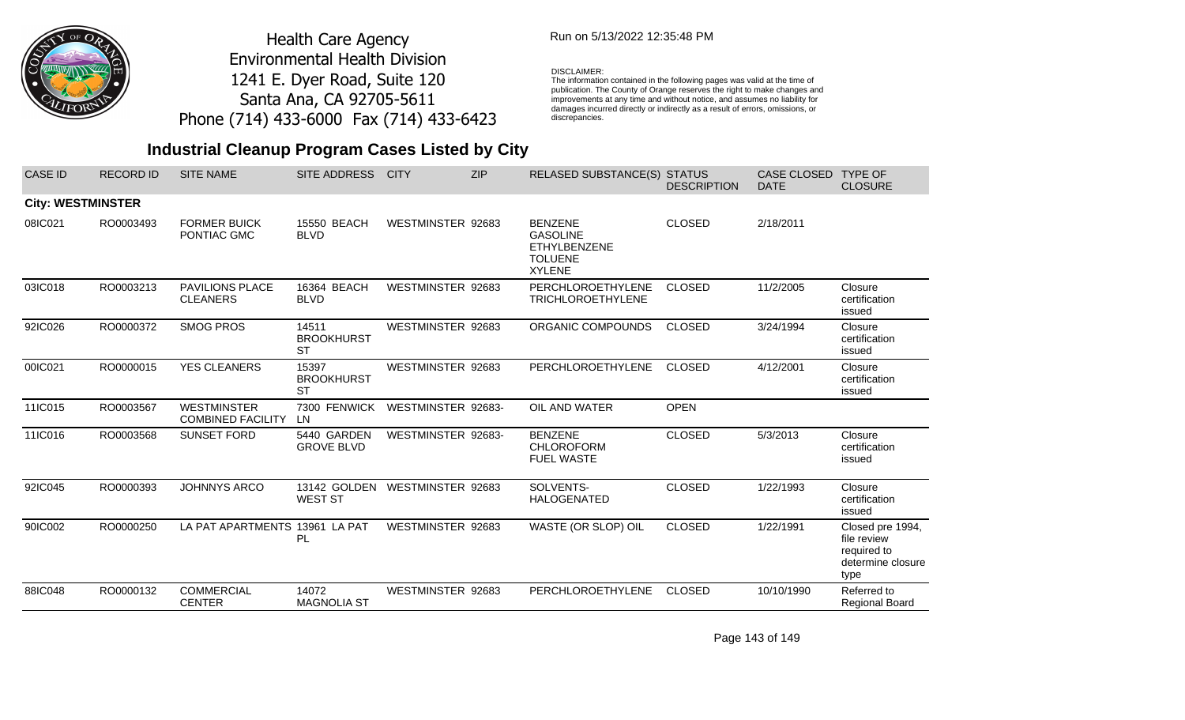

### Run on 5/13/2022 12:35:48 PM

#### DISCLAIMER:

The information contained in the following pages was valid at the time of publication. The County of Orange reserves the right to make changes and improvements at any time and without notice, and assumes no liability for damages incurred directly or indirectly as a result of errors, omissions, or discrepancies.

## **Industrial Cleanup Program Cases Listed by City**

| <b>CASE ID</b>           | <b>RECORD ID</b> | <b>SITE NAME</b>                               | SITE ADDRESS                            | <b>CITY</b>        | <b>ZIP</b> | RELASED SUBSTANCE(S) STATUS                                                                 | <b>DESCRIPTION</b> | CASE CLOSED<br><b>DATE</b> | <b>TYPE OF</b><br><b>CLOSURE</b>                                            |
|--------------------------|------------------|------------------------------------------------|-----------------------------------------|--------------------|------------|---------------------------------------------------------------------------------------------|--------------------|----------------------------|-----------------------------------------------------------------------------|
| <b>City: WESTMINSTER</b> |                  |                                                |                                         |                    |            |                                                                                             |                    |                            |                                                                             |
| 08IC021                  | RO0003493        | <b>FORMER BUICK</b><br>PONTIAC GMC             | 15550 BEACH<br><b>BLVD</b>              | WESTMINSTER 92683  |            | <b>BENZENE</b><br><b>GASOLINE</b><br><b>ETHYLBENZENE</b><br><b>TOLUENE</b><br><b>XYLENE</b> | <b>CLOSED</b>      | 2/18/2011                  |                                                                             |
| 03IC018                  | RO0003213        | PAVILIONS PLACE<br><b>CLEANERS</b>             | 16364 BEACH<br><b>BLVD</b>              | WESTMINSTER 92683  |            | PERCHLOROETHYLENE<br><b>TRICHLOROETHYLENE</b>                                               | <b>CLOSED</b>      | 11/2/2005                  | Closure<br>certification<br>issued                                          |
| 92IC026                  | RO0000372        | <b>SMOG PROS</b>                               | 14511<br><b>BROOKHURST</b><br><b>ST</b> | WESTMINSTER 92683  |            | ORGANIC COMPOUNDS                                                                           | <b>CLOSED</b>      | 3/24/1994                  | Closure<br>certification<br>issued                                          |
| 00IC021                  | RO0000015        | <b>YES CLEANERS</b>                            | 15397<br><b>BROOKHURST</b><br><b>ST</b> | WESTMINSTER 92683  |            | <b>PERCHLOROETHYLENE</b>                                                                    | <b>CLOSED</b>      | 4/12/2001                  | Closure<br>certification<br>issued                                          |
| 11IC015                  | RO0003567        | <b>WESTMINSTER</b><br><b>COMBINED FACILITY</b> | 7300 FENWICK<br>LN.                     | WESTMINSTER 92683- |            | OIL AND WATER                                                                               | <b>OPEN</b>        |                            |                                                                             |
| 11IC016                  | RO0003568        | <b>SUNSET FORD</b>                             | 5440 GARDEN<br><b>GROVE BLVD</b>        | WESTMINSTER 92683- |            | <b>BENZENE</b><br><b>CHLOROFORM</b><br><b>FUEL WASTE</b>                                    | <b>CLOSED</b>      | 5/3/2013                   | Closure<br>certification<br>issued                                          |
| 92IC045                  | RO0000393        | <b>JOHNNYS ARCO</b>                            | 13142 GOLDEN<br><b>WEST ST</b>          | WESTMINSTER 92683  |            | SOLVENTS-<br><b>HALOGENATED</b>                                                             | <b>CLOSED</b>      | 1/22/1993                  | Closure<br>certification<br>issued                                          |
| 90IC002                  | RO0000250        | LA PAT APARTMENTS                              | 13961 LA PAT<br>PL                      | WESTMINSTER 92683  |            | WASTE (OR SLOP) OIL                                                                         | <b>CLOSED</b>      | 1/22/1991                  | Closed pre 1994,<br>file review<br>required to<br>determine closure<br>type |
| 88IC048                  | RO0000132        | <b>COMMERCIAL</b><br><b>CENTER</b>             | 14072<br><b>MAGNOLIA ST</b>             | WESTMINSTER 92683  |            | <b>PERCHLOROETHYLENE</b>                                                                    | <b>CLOSED</b>      | 10/10/1990                 | Referred to<br>Regional Board                                               |

Page 143 of 149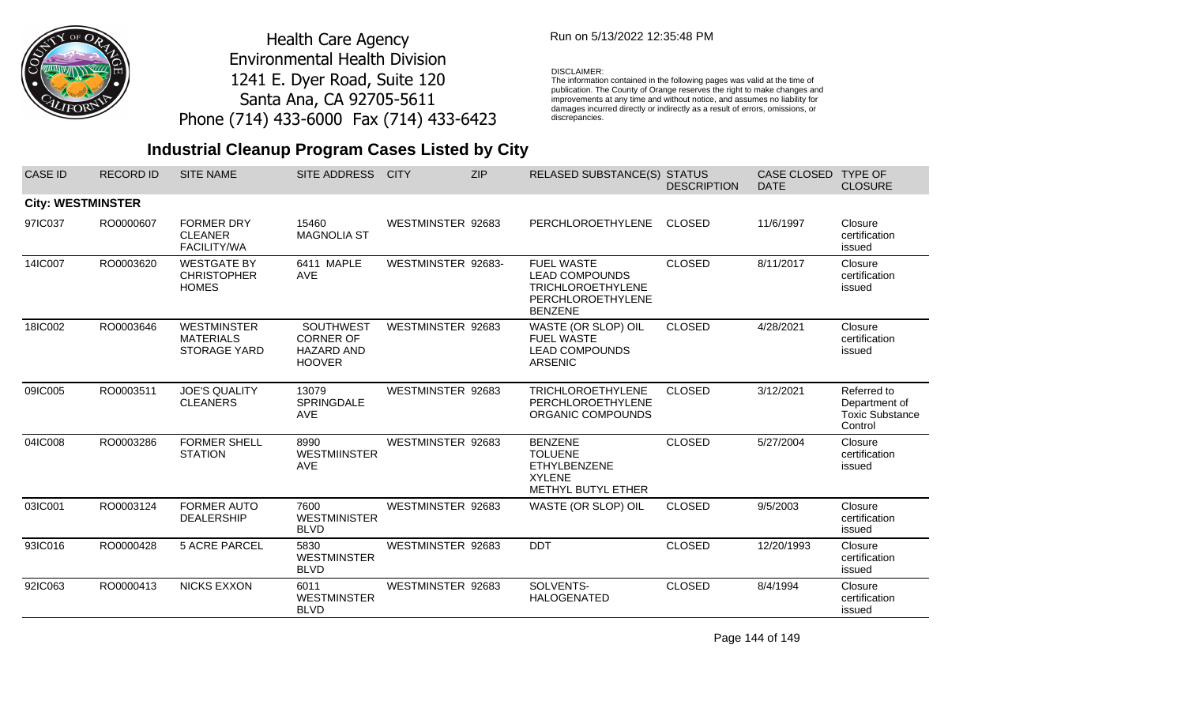

### Run on 5/13/2022 12:35:48 PM

#### DISCLAIMER:

The information contained in the following pages was valid at the time of publication. The County of Orange reserves the right to make changes and improvements at any time and without notice, and assumes no liability for damages incurred directly or indirectly as a result of errors, omissions, or discrepancies.

## **Industrial Cleanup Program Cases Listed by City**

| <b>CASE ID</b>           | <b>RECORD ID</b> | <b>SITE NAME</b>                                              | SITE ADDRESS                                                               | <b>CITY</b>        | <b>ZIP</b> | RELASED SUBSTANCE(S) STATUS                                                                                   | <b>DESCRIPTION</b> | CASE CLOSED TYPE OF<br><b>DATE</b> | <b>CLOSURE</b>                                                    |
|--------------------------|------------------|---------------------------------------------------------------|----------------------------------------------------------------------------|--------------------|------------|---------------------------------------------------------------------------------------------------------------|--------------------|------------------------------------|-------------------------------------------------------------------|
| <b>City: WESTMINSTER</b> |                  |                                                               |                                                                            |                    |            |                                                                                                               |                    |                                    |                                                                   |
| 97IC037                  | RO0000607        | <b>FORMER DRY</b><br><b>CLEANER</b><br><b>FACILITY/WA</b>     | 15460<br><b>MAGNOLIA ST</b>                                                | WESTMINSTER 92683  |            | PERCHLOROETHYLENE                                                                                             | <b>CLOSED</b>      | 11/6/1997                          | Closure<br>certification<br>issued                                |
| 14IC007                  | RO0003620        | <b>WESTGATE BY</b><br><b>CHRISTOPHER</b><br><b>HOMES</b>      | 6411 MAPLE<br>AVE                                                          | WESTMINSTER 92683- |            | <b>FUEL WASTE</b><br><b>LEAD COMPOUNDS</b><br><b>TRICHLOROETHYLENE</b><br>PERCHLOROETHYLENE<br><b>BENZENE</b> | <b>CLOSED</b>      | 8/11/2017                          | Closure<br>certification<br>issued                                |
| 18IC002                  | RO0003646        | <b>WESTMINSTER</b><br><b>MATERIALS</b><br><b>STORAGE YARD</b> | <b>SOUTHWEST</b><br><b>CORNER OF</b><br><b>HAZARD AND</b><br><b>HOOVER</b> | WESTMINSTER 92683  |            | WASTE (OR SLOP) OIL<br><b>FUEL WASTE</b><br><b>LEAD COMPOUNDS</b><br><b>ARSENIC</b>                           | <b>CLOSED</b>      | 4/28/2021                          | Closure<br>certification<br>issued                                |
| 09IC005                  | RO0003511        | <b>JOE'S QUALITY</b><br><b>CLEANERS</b>                       | 13079<br><b>SPRINGDALE</b><br><b>AVE</b>                                   | WESTMINSTER 92683  |            | <b>TRICHLOROETHYLENE</b><br>PERCHLOROETHYLENE<br>ORGANIC COMPOUNDS                                            | <b>CLOSED</b>      | 3/12/2021                          | Referred to<br>Department of<br><b>Toxic Substance</b><br>Control |
| 04IC008                  | RO0003286        | <b>FORMER SHELL</b><br><b>STATION</b>                         | 8990<br><b>WESTMIINSTER</b><br>AVE                                         | WESTMINSTER 92683  |            | <b>BENZENE</b><br><b>TOLUENE</b><br>ETHYLBENZENE<br><b>XYLENE</b><br>METHYL BUTYL ETHER                       | <b>CLOSED</b>      | 5/27/2004                          | Closure<br>certification<br>issued                                |
| 03IC001                  | RO0003124        | <b>FORMER AUTO</b><br><b>DEALERSHIP</b>                       | 7600<br><b>WESTMINISTER</b><br><b>BLVD</b>                                 | WESTMINSTER 92683  |            | WASTE (OR SLOP) OIL                                                                                           | <b>CLOSED</b>      | 9/5/2003                           | Closure<br>certification<br>issued                                |
| 93IC016                  | RO0000428        | <b>5 ACRE PARCEL</b>                                          | 5830<br><b>WESTMINSTER</b><br><b>BLVD</b>                                  | WESTMINSTER 92683  |            | <b>DDT</b>                                                                                                    | <b>CLOSED</b>      | 12/20/1993                         | Closure<br>certification<br>issued                                |
| 92IC063                  | RO0000413        | <b>NICKS EXXON</b>                                            | 6011<br><b>WESTMINSTER</b><br><b>BLVD</b>                                  | WESTMINSTER 92683  |            | SOLVENTS-<br><b>HALOGENATED</b>                                                                               | <b>CLOSED</b>      | 8/4/1994                           | Closure<br>certification<br>issued                                |

Page 144 of 149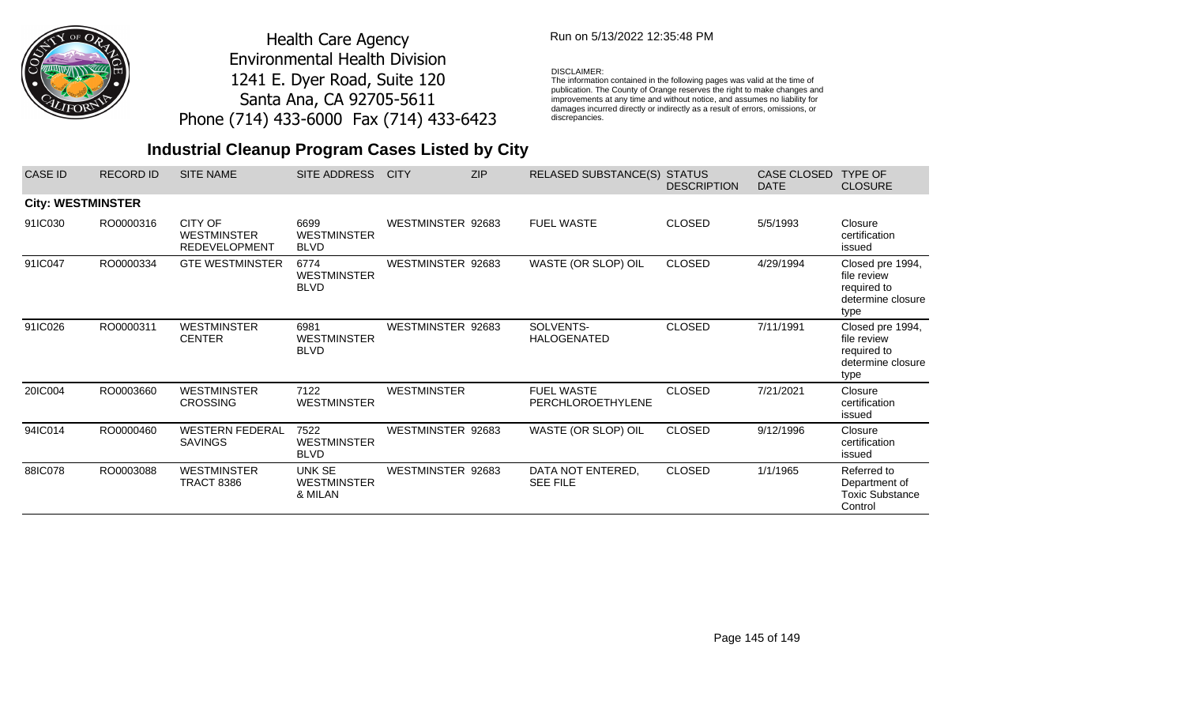

## Run on 5/13/2022 12:35:48 PM

#### DISCLAIMER:

The information contained in the following pages was valid at the time of publication. The County of Orange reserves the right to make changes and improvements at any time and without notice, and assumes no liability for damages incurred directly or indirectly as a result of errors, omissions, or discrepancies.

# **Industrial Cleanup Program Cases Listed by City**

| <b>CASE ID</b>           | <b>RECORD ID</b> | <b>SITE NAME</b>                                      | SITE ADDRESS                              | <b>CITY</b>        | <b>ZIP</b> | <b>RELASED SUBSTANCE(S)</b>            | <b>STATUS</b><br><b>DESCRIPTION</b> | CASE CLOSED<br><b>DATE</b> | <b>TYPE OF</b><br><b>CLOSURE</b>                                            |
|--------------------------|------------------|-------------------------------------------------------|-------------------------------------------|--------------------|------------|----------------------------------------|-------------------------------------|----------------------------|-----------------------------------------------------------------------------|
| <b>City: WESTMINSTER</b> |                  |                                                       |                                           |                    |            |                                        |                                     |                            |                                                                             |
| 91IC030                  | RO0000316        | CITY OF<br><b>WESTMINSTER</b><br><b>REDEVELOPMENT</b> | 6699<br><b>WESTMINSTER</b><br><b>BLVD</b> | WESTMINSTER 92683  |            | <b>FUEL WASTE</b>                      | <b>CLOSED</b>                       | 5/5/1993                   | Closure<br>certification<br>issued                                          |
| 91IC047                  | RO0000334        | <b>GTE WESTMINSTER</b>                                | 6774<br><b>WESTMINSTER</b><br><b>BLVD</b> | WESTMINSTER 92683  |            | WASTE (OR SLOP) OIL                    | <b>CLOSED</b>                       | 4/29/1994                  | Closed pre 1994,<br>file review<br>required to<br>determine closure<br>type |
| 91IC026                  | RO0000311        | <b>WESTMINSTER</b><br><b>CENTER</b>                   | 6981<br><b>WESTMINSTER</b><br><b>BLVD</b> | WESTMINSTER 92683  |            | SOLVENTS-<br><b>HALOGENATED</b>        | <b>CLOSED</b>                       | 7/11/1991                  | Closed pre 1994,<br>file review<br>required to<br>determine closure<br>type |
| 20IC004                  | RO0003660        | <b>WESTMINSTER</b><br><b>CROSSING</b>                 | 7122<br><b>WESTMINSTER</b>                | <b>WESTMINSTER</b> |            | <b>FUEL WASTE</b><br>PERCHLOROETHYLENE | <b>CLOSED</b>                       | 7/21/2021                  | Closure<br>certification<br>issued                                          |
| 94IC014                  | RO0000460        | <b>WESTERN FEDERAL</b><br><b>SAVINGS</b>              | 7522<br><b>WESTMINSTER</b><br><b>BLVD</b> | WESTMINSTER 92683  |            | WASTE (OR SLOP) OIL                    | <b>CLOSED</b>                       | 9/12/1996                  | Closure<br>certification<br>issued                                          |
| 88IC078                  | RO0003088        | <b>WESTMINSTER</b><br><b>TRACT 8386</b>               | UNK SE<br><b>WESTMINSTER</b><br>& MILAN   | WESTMINSTER 92683  |            | DATA NOT ENTERED,<br><b>SEE FILE</b>   | <b>CLOSED</b>                       | 1/1/1965                   | Referred to<br>Department of<br><b>Toxic Substance</b><br>Control           |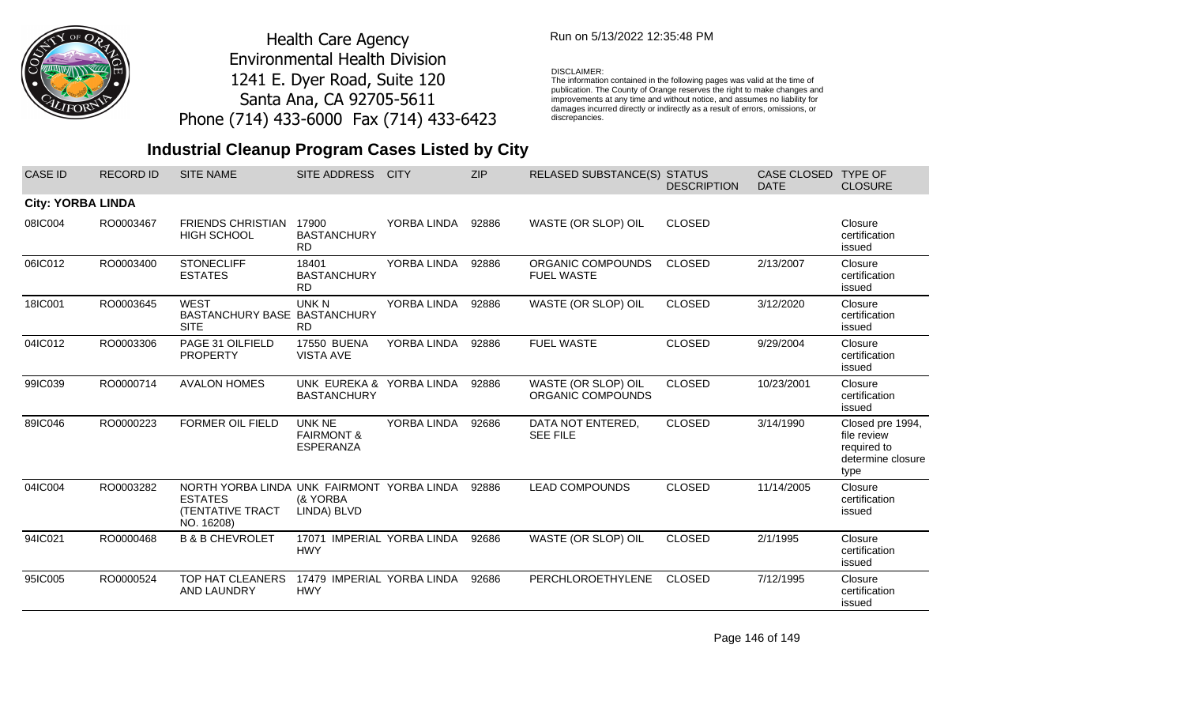

## Run on 5/13/2022 12:35:48 PM

#### DISCLAIMER:

The information contained in the following pages was valid at the time of publication. The County of Orange reserves the right to make changes and improvements at any time and without notice, and assumes no liability for damages incurred directly or indirectly as a result of errors, omissions, or discrepancies.

# **Industrial Cleanup Program Cases Listed by City**

| <b>CASE ID</b>           | <b>RECORD ID</b> | <b>SITE NAME</b>                                                                               | SITE ADDRESS                                        | <b>CITY</b> | <b>ZIP</b> | RELASED SUBSTANCE(S) STATUS              | <b>DESCRIPTION</b> | <b>CASE CLOSED</b><br><b>DATE</b> | <b>TYPE OF</b><br><b>CLOSURE</b>                                            |
|--------------------------|------------------|------------------------------------------------------------------------------------------------|-----------------------------------------------------|-------------|------------|------------------------------------------|--------------------|-----------------------------------|-----------------------------------------------------------------------------|
| <b>City: YORBA LINDA</b> |                  |                                                                                                |                                                     |             |            |                                          |                    |                                   |                                                                             |
| 08IC004                  | RO0003467        | <b>FRIENDS CHRISTIAN</b><br><b>HIGH SCHOOL</b>                                                 | 17900<br><b>BASTANCHURY</b><br><b>RD</b>            | YORBA LINDA | 92886      | WASTE (OR SLOP) OIL                      | <b>CLOSED</b>      |                                   | Closure<br>certification<br>issued                                          |
| 06IC012                  | RO0003400        | <b>STONECLIFF</b><br><b>ESTATES</b>                                                            | 18401<br><b>BASTANCHURY</b><br><b>RD</b>            | YORBA LINDA | 92886      | ORGANIC COMPOUNDS<br><b>FUEL WASTE</b>   | <b>CLOSED</b>      | 2/13/2007                         | Closure<br>certification<br>issued                                          |
| 18IC001                  | RO0003645        | <b>WEST</b><br>BASTANCHURY BASE BASTANCHURY<br><b>SITE</b>                                     | UNK N<br><b>RD</b>                                  | YORBA LINDA | 92886      | WASTE (OR SLOP) OIL                      | <b>CLOSED</b>      | 3/12/2020                         | Closure<br>certification<br>issued                                          |
| 04IC012                  | RO0003306        | PAGE 31 OILFIELD<br><b>PROPERTY</b>                                                            | <b>17550 BUENA</b><br><b>VISTA AVE</b>              | YORBA LINDA | 92886      | <b>FUEL WASTE</b>                        | <b>CLOSED</b>      | 9/29/2004                         | Closure<br>certification<br>issued                                          |
| 99IC039                  | RO0000714        | <b>AVALON HOMES</b>                                                                            | UNK EUREKA & YORBA LINDA<br><b>BASTANCHURY</b>      |             | 92886      | WASTE (OR SLOP) OIL<br>ORGANIC COMPOUNDS | <b>CLOSED</b>      | 10/23/2001                        | Closure<br>certification<br>issued                                          |
| 89IC046                  | RO0000223        | <b>FORMER OIL FIELD</b>                                                                        | UNK NE<br><b>FAIRMONT &amp;</b><br><b>ESPERANZA</b> | YORBA LINDA | 92686      | DATA NOT ENTERED,<br><b>SEE FILE</b>     | <b>CLOSED</b>      | 3/14/1990                         | Closed pre 1994,<br>file review<br>required to<br>determine closure<br>type |
| 04IC004                  | RO0003282        | NORTH YORBA LINDA UNK FAIRMONT YORBA LINDA<br><b>ESTATES</b><br>(TENTATIVE TRACT<br>NO. 16208) | (& YORBA<br>LINDA) BLVD                             |             | 92886      | <b>LEAD COMPOUNDS</b>                    | <b>CLOSED</b>      | 11/14/2005                        | Closure<br>certification<br>issued                                          |
| 94IC021                  | RO0000468        | <b>B &amp; B CHEVROLET</b>                                                                     | 17071 IMPERIAL YORBA LINDA<br><b>HWY</b>            |             | 92686      | WASTE (OR SLOP) OIL                      | <b>CLOSED</b>      | 2/1/1995                          | Closure<br>certification<br>issued                                          |
| 95IC005                  | RO0000524        | TOP HAT CLEANERS<br>AND LAUNDRY                                                                | 17479 IMPERIAL YORBA LINDA<br><b>HWY</b>            |             | 92686      | PERCHLOROETHYLENE                        | <b>CLOSED</b>      | 7/12/1995                         | Closure<br>certification<br>issued                                          |

Page 146 of 149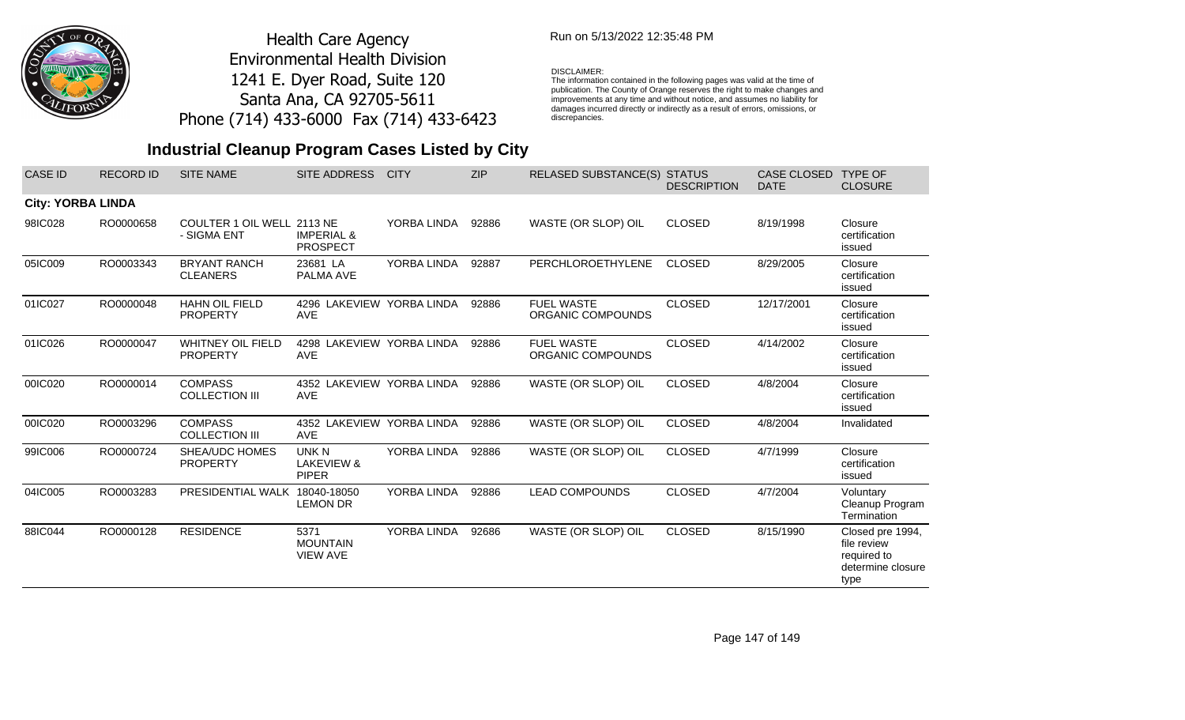

## Run on 5/13/2022 12:35:48 PM

#### DISCLAIMER:

The information contained in the following pages was valid at the time of publication. The County of Orange reserves the right to make changes and improvements at any time and without notice, and assumes no liability for damages incurred directly or indirectly as a result of errors, omissions, or discrepancies.

# **Industrial Cleanup Program Cases Listed by City**

| <b>CASE ID</b>           | <b>RECORD ID</b> | <b>SITE NAME</b>                            | SITE ADDRESS                               | <b>CITY</b> | <b>ZIP</b> | RELASED SUBSTANCE(S) STATUS            | <b>DESCRIPTION</b> | CASE CLOSED<br><b>DATE</b> | <b>TYPE OF</b><br><b>CLOSURE</b>                                            |
|--------------------------|------------------|---------------------------------------------|--------------------------------------------|-------------|------------|----------------------------------------|--------------------|----------------------------|-----------------------------------------------------------------------------|
| <b>City: YORBA LINDA</b> |                  |                                             |                                            |             |            |                                        |                    |                            |                                                                             |
| 98IC028                  | RO0000658        | COULTER 1 OIL WELL 2113 NE<br>- SIGMA ENT   | <b>IMPERIAL &amp;</b><br><b>PROSPECT</b>   | YORBA LINDA | 92886      | WASTE (OR SLOP) OIL                    | <b>CLOSED</b>      | 8/19/1998                  | Closure<br>certification<br>issued                                          |
| 05IC009                  | RO0003343        | <b>BRYANT RANCH</b><br><b>CLEANERS</b>      | 23681 LA<br>PALMA AVE                      | YORBA LINDA | 92887      | PERCHLOROETHYLENE                      | <b>CLOSED</b>      | 8/29/2005                  | Closure<br>certification<br>issued                                          |
| 01IC027                  | RO0000048        | <b>HAHN OIL FIELD</b><br><b>PROPERTY</b>    | 4296 LAKEVIEW YORBA LINDA<br><b>AVE</b>    |             | 92886      | <b>FUEL WASTE</b><br>ORGANIC COMPOUNDS | <b>CLOSED</b>      | 12/17/2001                 | Closure<br>certification<br>issued                                          |
| 01IC026                  | RO0000047        | <b>WHITNEY OIL FIELD</b><br><b>PROPERTY</b> | 4298 LAKEVIEW YORBA LINDA<br><b>AVE</b>    |             | 92886      | <b>FUEL WASTE</b><br>ORGANIC COMPOUNDS | <b>CLOSED</b>      | 4/14/2002                  | Closure<br>certification<br>issued                                          |
| 00IC020                  | RO0000014        | <b>COMPASS</b><br><b>COLLECTION III</b>     | 4352 LAKEVIEW YORBA LINDA<br><b>AVE</b>    |             | 92886      | WASTE (OR SLOP) OIL                    | <b>CLOSED</b>      | 4/8/2004                   | Closure<br>certification<br>issued                                          |
| 00IC020                  | RO0003296        | <b>COMPASS</b><br><b>COLLECTION III</b>     | 4352 LAKEVIEW YORBA LINDA<br><b>AVE</b>    |             | 92886      | WASTE (OR SLOP) OIL                    | <b>CLOSED</b>      | 4/8/2004                   | Invalidated                                                                 |
| 99IC006                  | RO0000724        | <b>SHEA/UDC HOMES</b><br><b>PROPERTY</b>    | UNK N<br>LAKEVIEW &<br><b>PIPER</b>        | YORBA LINDA | 92886      | WASTE (OR SLOP) OIL                    | <b>CLOSED</b>      | 4/7/1999                   | Closure<br>certification<br>issued                                          |
| 04IC005                  | RO0003283        | PRESIDENTIAL WALK                           | 18040-18050<br><b>LEMON DR</b>             | YORBA LINDA | 92886      | <b>LEAD COMPOUNDS</b>                  | <b>CLOSED</b>      | 4/7/2004                   | Voluntary<br>Cleanup Program<br>Termination                                 |
| 88IC044                  | RO0000128        | <b>RESIDENCE</b>                            | 5371<br><b>MOUNTAIN</b><br><b>VIEW AVE</b> | YORBA LINDA | 92686      | WASTE (OR SLOP) OIL                    | <b>CLOSED</b>      | 8/15/1990                  | Closed pre 1994,<br>file review<br>required to<br>determine closure<br>type |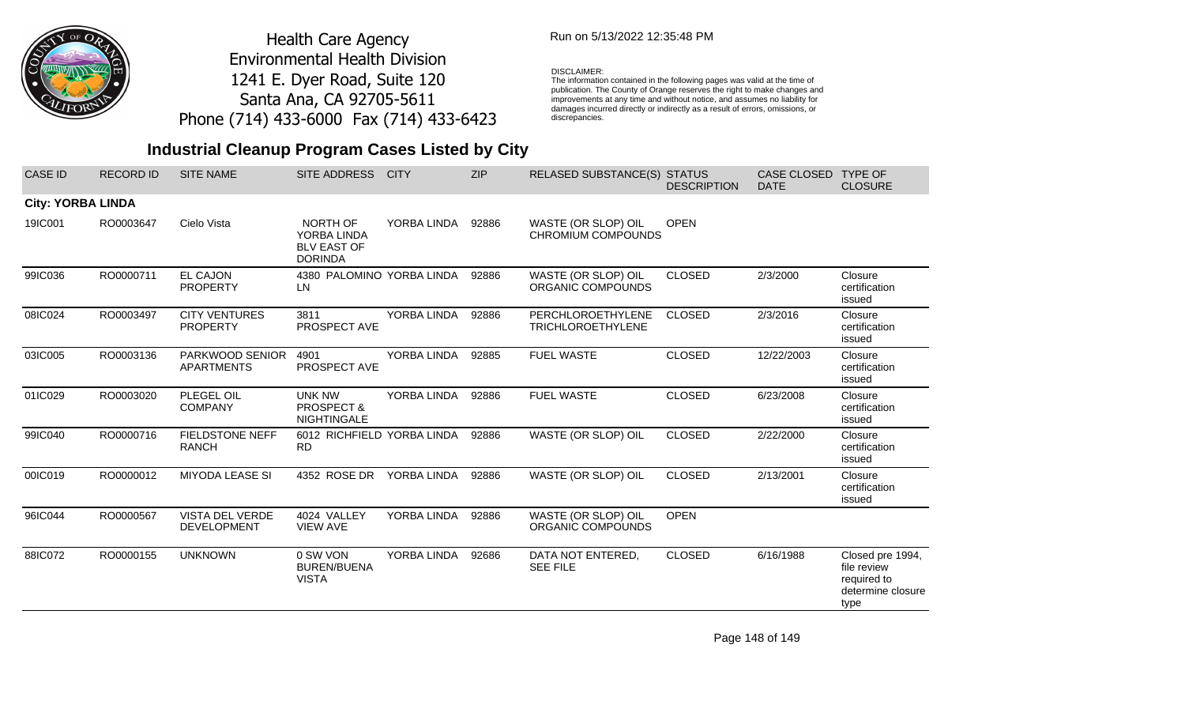

## Run on 5/13/2022 12:35:48 PM

#### DISCLAIMER:

The information contained in the following pages was valid at the time of publication. The County of Orange reserves the right to make changes and improvements at any time and without notice, and assumes no liability for damages incurred directly or indirectly as a result of errors, omissions, or discrepancies.

# **Industrial Cleanup Program Cases Listed by City**

| CASE ID                  | <b>RECORD ID</b> | <b>SITE NAME</b>                        | SITE ADDRESS                                                    | <b>CITY</b> | <b>ZIP</b> | RELASED SUBSTANCE(S) STATUS                      | <b>DESCRIPTION</b> | CASE CLOSED TYPE OF<br><b>DATE</b> | <b>CLOSURE</b>                                                              |
|--------------------------|------------------|-----------------------------------------|-----------------------------------------------------------------|-------------|------------|--------------------------------------------------|--------------------|------------------------------------|-----------------------------------------------------------------------------|
| <b>City: YORBA LINDA</b> |                  |                                         |                                                                 |             |            |                                                  |                    |                                    |                                                                             |
| 19IC001                  | RO0003647        | Cielo Vista                             | NORTH OF<br>YORBA LINDA<br><b>BLV EAST OF</b><br><b>DORINDA</b> | YORBA LINDA | 92886      | WASTE (OR SLOP) OIL<br><b>CHROMIUM COMPOUNDS</b> | <b>OPEN</b>        |                                    |                                                                             |
| 99IC036                  | RO0000711        | <b>EL CAJON</b><br><b>PROPERTY</b>      | 4380 PALOMINO YORBA LINDA<br>LN                                 |             | 92886      | WASTE (OR SLOP) OIL<br>ORGANIC COMPOUNDS         | <b>CLOSED</b>      | 2/3/2000                           | Closure<br>certification<br>issued                                          |
| 08IC024                  | RO0003497        | <b>CITY VENTURES</b><br><b>PROPERTY</b> | 3811<br>PROSPECT AVE                                            | YORBA LINDA | 92886      | PERCHLOROETHYLENE<br><b>TRICHLOROETHYLENE</b>    | <b>CLOSED</b>      | 2/3/2016                           | Closure<br>certification<br>issued                                          |
| 03IC005                  | RO0003136        | PARKWOOD SENIOR<br><b>APARTMENTS</b>    | 4901<br>PROSPECT AVE                                            | YORBA LINDA | 92885      | <b>FUEL WASTE</b>                                | <b>CLOSED</b>      | 12/22/2003                         | Closure<br>certification<br>issued                                          |
| 01IC029                  | RO0003020        | PLEGEL OIL<br><b>COMPANY</b>            | <b>UNK NW</b><br><b>PROSPECT &amp;</b><br><b>NIGHTINGALE</b>    | YORBA LINDA | 92886      | <b>FUEL WASTE</b>                                | <b>CLOSED</b>      | 6/23/2008                          | Closure<br>certification<br>issued                                          |
| 99IC040                  | RO0000716        | <b>FIELDSTONE NEFF</b><br><b>RANCH</b>  | 6012 RICHFIELD YORBA LINDA<br><b>RD</b>                         |             | 92886      | WASTE (OR SLOP) OIL                              | <b>CLOSED</b>      | 2/22/2000                          | Closure<br>certification<br>issued                                          |
| 00IC019                  | RO0000012        | <b>MIYODA LEASE SI</b>                  | 4352 ROSE DR                                                    | YORBA LINDA | 92886      | WASTE (OR SLOP) OIL                              | <b>CLOSED</b>      | 2/13/2001                          | Closure<br>certification<br>issued                                          |
| 96IC044                  | RO0000567        | VISTA DEL VERDE<br><b>DEVELOPMENT</b>   | 4024 VALLEY<br><b>VIEW AVE</b>                                  | YORBA LINDA | 92886      | WASTE (OR SLOP) OIL<br>ORGANIC COMPOUNDS         | <b>OPEN</b>        |                                    |                                                                             |
| 88IC072                  | RO0000155        | <b>UNKNOWN</b>                          | 0 SW VON<br><b>BUREN/BUENA</b><br><b>VISTA</b>                  | YORBA LINDA | 92686      | DATA NOT ENTERED,<br><b>SEE FILE</b>             | <b>CLOSED</b>      | 6/16/1988                          | Closed pre 1994,<br>file review<br>required to<br>determine closure<br>type |

Page 148 of 149